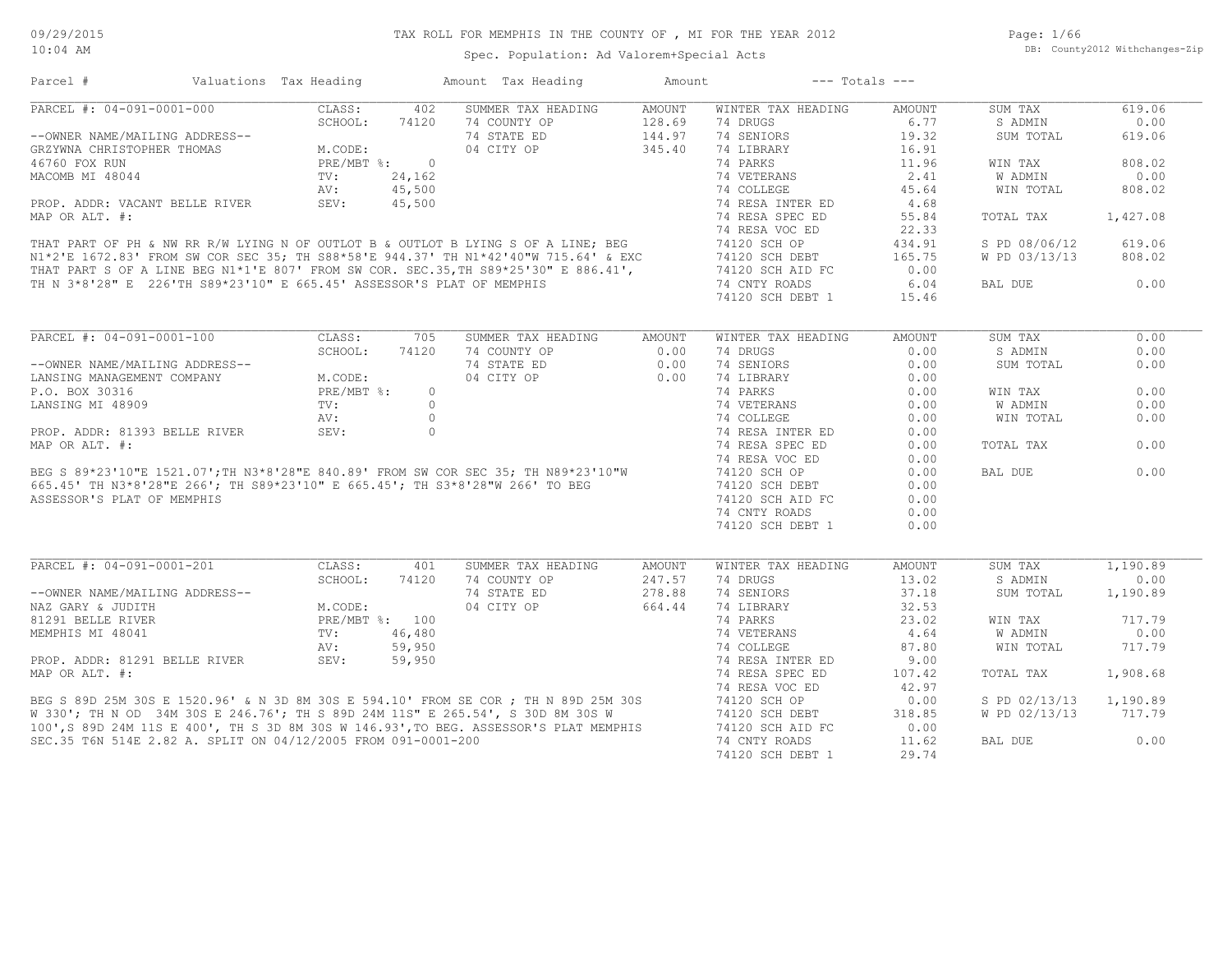Page: 1/66 DB: County2012 Withchanges-Zip

## Spec. Population: Ad Valorem+Special Acts

| Parcel #                                                                                                                                                                                                                          | Valuations Tax Heading |                                                                              |       | Amount Tax Heading                                                    | Amount                 | $---$ Totals $---$                            |               |               |          |
|-----------------------------------------------------------------------------------------------------------------------------------------------------------------------------------------------------------------------------------|------------------------|------------------------------------------------------------------------------|-------|-----------------------------------------------------------------------|------------------------|-----------------------------------------------|---------------|---------------|----------|
| PARCEL #: 04-091-0001-000                                                                                                                                                                                                         |                        | CLASS:                                                                       | 402   | SUMMER TAX HEADING                                                    | AMOUNT                 | WINTER TAX HEADING                            | AMOUNT        | SUM TAX       | 619.06   |
|                                                                                                                                                                                                                                   |                        | SCHOOL:                                                                      |       | 74 COUNTY OP                                                          | $128.69$<br>$144.97$   | 74 DRUGS                                      | 6.77          | S ADMIN       | 0.00     |
| --OWNER NAME/MAILING ADDRESS--<br>GRZYWNA CHRISTOPHER THOMAS<br>46760 FOX RUN<br>MACOMB MI 48044<br>PROP. ADDR: VACANT BELLE RIVER<br>MAP OP LIT *.<br>ALLE RIVER<br>MAP OP LIT *.<br>ALLE RIVER<br>PROP. 45,500<br>MAP OP LIT *. |                        |                                                                              |       | 74 STATE ED                                                           |                        | 74 SENIORS                                    | 19.32         | SUM TOTAL     | 619.06   |
|                                                                                                                                                                                                                                   |                        |                                                                              |       | 04 CITY OP                                                            | 345.40                 | 74 LIBRARY                                    | 16.91         |               |          |
|                                                                                                                                                                                                                                   |                        |                                                                              |       |                                                                       |                        |                                               | 11.96         | WIN TAX       | 808.02   |
|                                                                                                                                                                                                                                   |                        |                                                                              |       |                                                                       |                        |                                               | 2.41          | W ADMIN       | 0.00     |
|                                                                                                                                                                                                                                   |                        |                                                                              |       |                                                                       |                        |                                               | 45.64         | WIN TOTAL     | 808.02   |
|                                                                                                                                                                                                                                   |                        |                                                                              |       |                                                                       |                        |                                               | 4.68          |               |          |
|                                                                                                                                                                                                                                   |                        |                                                                              |       |                                                                       |                        |                                               | 55.84         | TOTAL TAX     | 1,427.08 |
|                                                                                                                                                                                                                                   |                        |                                                                              |       |                                                                       |                        |                                               | 22.33         |               |          |
|                                                                                                                                                                                                                                   |                        |                                                                              |       |                                                                       |                        |                                               | 434.91        | S PD 08/06/12 | 619.06   |
|                                                                                                                                                                                                                                   |                        |                                                                              |       |                                                                       |                        |                                               | 165.75        | W PD 03/13/13 | 808.02   |
|                                                                                                                                                                                                                                   |                        |                                                                              |       |                                                                       |                        |                                               | 0.00          |               |          |
|                                                                                                                                                                                                                                   |                        |                                                                              |       |                                                                       |                        | 74 CNTY ROADS                                 | 6.04          | BAL DUE       | 0.00     |
|                                                                                                                                                                                                                                   |                        |                                                                              |       | TH N 3*8'28" E 226'TH S89*23'10" E 665.45' ASSESSOR'S PLAT OF MEMPHIS |                        | 74120 SCH DEBT 1                              | 15.46         |               |          |
|                                                                                                                                                                                                                                   |                        |                                                                              |       |                                                                       |                        |                                               |               |               |          |
| PARCEL #: 04-091-0001-100                                                                                                                                                                                                         |                        | CLASS:                                                                       | 705   | SUMMER TAX HEADING                                                    | AMOUNT                 | WINTER TAX HEADING                            | <b>AMOUNT</b> | SUM TAX       | 0.00     |
|                                                                                                                                                                                                                                   |                        | SCHOOL:                                                                      | 74120 | 74 COUNTY OP                                                          |                        | 74 DRUGS                                      | 0.00          | S ADMIN       | 0.00     |
| --OWNER NAME/MAILING ADDRESS--<br>LANSING MANAGEMENT COMPANY M.CODE:<br>P.O. BOX 30316 PRE/MBT %:<br>LANSING MI 48909 TV:<br>xv.                                                                                                  |                        |                                                                              |       | 74 STATE ED                                                           | $0.00$<br>0.00<br>0.00 | 74 SENIORS                                    | 0.00          | SUM TOTAL     | 0.00     |
|                                                                                                                                                                                                                                   |                        |                                                                              |       |                                                                       |                        | 74 LIBRARY                                    | 0.00          |               |          |
|                                                                                                                                                                                                                                   |                        |                                                                              |       |                                                                       |                        | 74 PARKS                                      | 0.00          | WIN TAX       | 0.00     |
|                                                                                                                                                                                                                                   |                        |                                                                              |       |                                                                       |                        | 74 VETERANS<br>74 COLLEGE<br>74 RESA INTER ED | 0.00          | W ADMIN       | 0.00     |
|                                                                                                                                                                                                                                   |                        |                                                                              |       |                                                                       |                        |                                               | 0.00          | WIN TOTAL     | 0.00     |
|                                                                                                                                                                                                                                   |                        |                                                                              |       |                                                                       |                        |                                               | 0.00          |               |          |
|                                                                                                                                                                                                                                   |                        |                                                                              |       |                                                                       |                        | 74 RESA SPEC ED                               | 0.00          | TOTAL TAX     | 0.00     |
|                                                                                                                                                                                                                                   |                        |                                                                              |       |                                                                       |                        | 74 RESA VOC ED                                | 0.00          |               |          |
|                                                                                                                                                                                                                                   |                        |                                                                              |       |                                                                       |                        |                                               | 0.00          | BAL DUE       | 0.00     |
|                                                                                                                                                                                                                                   |                        |                                                                              |       |                                                                       |                        | 74120 SCH OP                                  |               |               |          |
|                                                                                                                                                                                                                                   |                        |                                                                              |       |                                                                       |                        | 74120 SCH DEBT                                | 0.00          |               |          |
|                                                                                                                                                                                                                                   |                        |                                                                              |       |                                                                       |                        | 74120 SCH AID FC                              | 0.00          |               |          |
|                                                                                                                                                                                                                                   |                        |                                                                              |       |                                                                       |                        | 74 CNTY ROADS                                 | 0.00          |               |          |
|                                                                                                                                                                                                                                   |                        |                                                                              |       |                                                                       |                        | 74120 SCH DEBT 1                              | 0.00          |               |          |
| PARCEL #: 04-091-0001-201                                                                                                                                                                                                         |                        | CLASS:                                                                       | 401   | SUMMER TAX HEADING                                                    | AMOUNT                 | WINTER TAX HEADING                            | <b>AMOUNT</b> | SUM TAX       | 1,190.89 |
|                                                                                                                                                                                                                                   |                        |                                                                              |       | 74 COUNTY OP                                                          | 247.57                 | 74 DRUGS                                      | 13.02         | S ADMIN       | 0.00     |
| --OWNER NAME/MAILING ADDRESS--                                                                                                                                                                                                    |                        |                                                                              |       | 74 STATE ED                                                           | 278.88                 | 74 SENIORS                                    | 37.18         | SUM TOTAL     | 1,190.89 |
|                                                                                                                                                                                                                                   |                        | SCHOOL: 74120<br>NG ADDRESS--<br>M.CODE:<br>PRE/MBT %: 100<br>THE MET %: 100 |       |                                                                       |                        |                                               | 32.53         |               |          |
|                                                                                                                                                                                                                                   |                        |                                                                              |       |                                                                       |                        |                                               | 23.02         | WIN TAX       | 717.79   |
|                                                                                                                                                                                                                                   |                        |                                                                              |       |                                                                       |                        |                                               | 4.64          | W ADMIN       | 0.00     |
|                                                                                                                                                                                                                                   |                        |                                                                              |       |                                                                       |                        |                                               | 87.80         | WIN TOTAL     | 717.79   |
|                                                                                                                                                                                                                                   |                        |                                                                              |       |                                                                       |                        |                                               | 9.00          |               |          |
|                                                                                                                                                                                                                                   |                        |                                                                              |       |                                                                       |                        |                                               | 107.42        | TOTAL TAX     | 1,908.68 |
|                                                                                                                                                                                                                                   |                        |                                                                              |       |                                                                       |                        |                                               | 42.97         |               |          |
|                                                                                                                                                                                                                                   |                        |                                                                              |       |                                                                       |                        |                                               |               |               |          |
|                                                                                                                                                                                                                                   |                        |                                                                              |       |                                                                       |                        |                                               | 0.00          | S PD 02/13/13 | 1,190.89 |
|                                                                                                                                                                                                                                   |                        |                                                                              |       |                                                                       |                        |                                               | 318.85        | W PD 02/13/13 | 717.79   |
|                                                                                                                                                                                                                                   |                        |                                                                              |       |                                                                       |                        |                                               | 0.00          |               |          |
|                                                                                                                                                                                                                                   |                        |                                                                              |       |                                                                       |                        |                                               | 11.62         | BAL DUE       | 0.00     |
|                                                                                                                                                                                                                                   |                        |                                                                              |       |                                                                       |                        |                                               | 29.74         |               |          |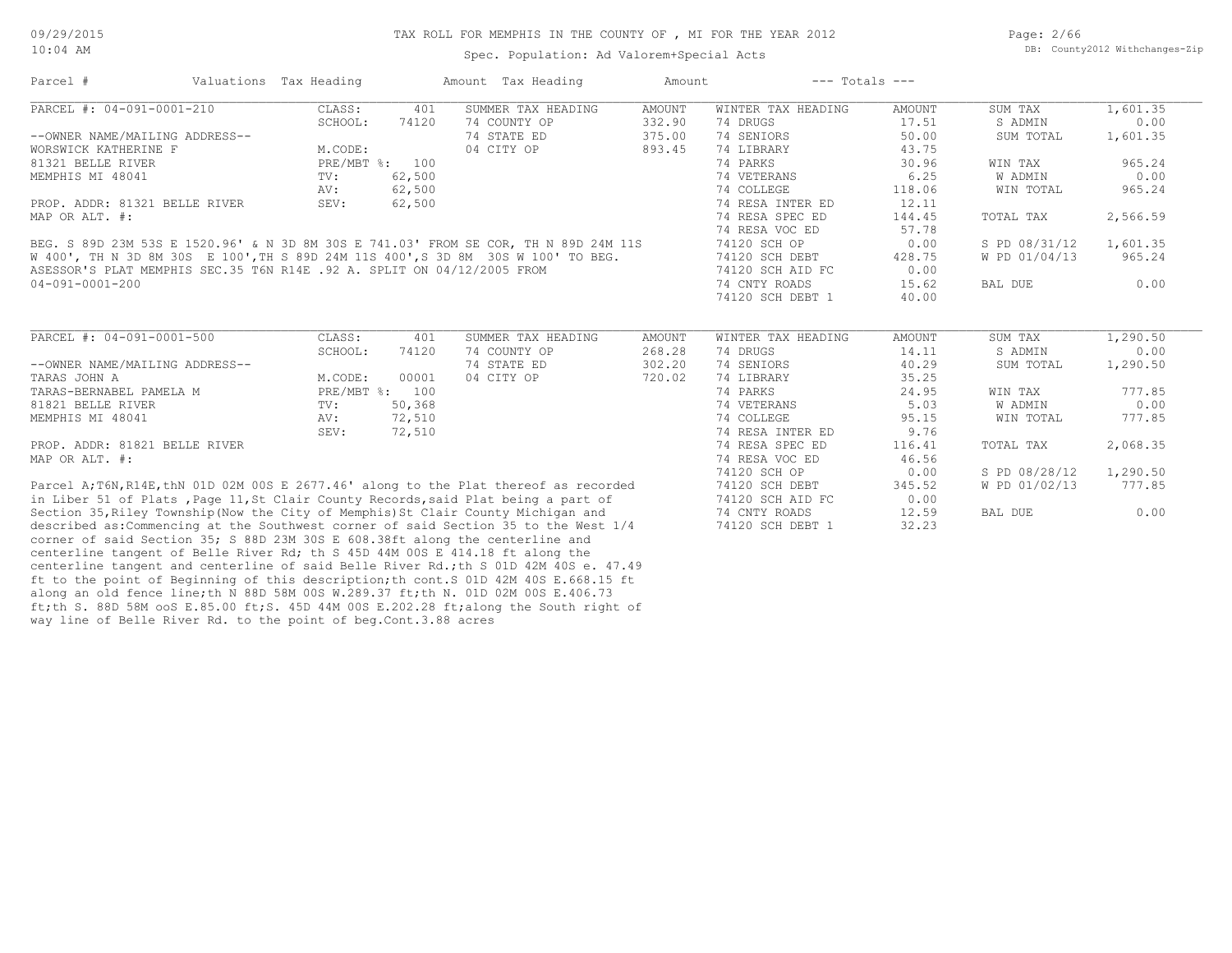| Parcel #                                                                          | Valuations Tax Heading |                | Amount Tax Heading                                                                    | Amount        | $---$ Totals $---$ |        |               |          |
|-----------------------------------------------------------------------------------|------------------------|----------------|---------------------------------------------------------------------------------------|---------------|--------------------|--------|---------------|----------|
| PARCEL #: 04-091-0001-210                                                         | CLASS:                 | 401            | SUMMER TAX HEADING                                                                    | <b>AMOUNT</b> | WINTER TAX HEADING | AMOUNT | SUM TAX       | 1,601.35 |
|                                                                                   | SCHOOL:                | 74120          | 74 COUNTY OP                                                                          | 332.90        | 74 DRUGS           | 17.51  | S ADMIN       | 0.00     |
| --OWNER NAME/MAILING ADDRESS--                                                    |                        |                | 74 STATE ED                                                                           | 375.00        | 74 SENIORS         | 50.00  | SUM TOTAL     | 1,601.35 |
| WORSWICK KATHERINE F                                                              | M.CODE:                |                | 04 CITY OP                                                                            | 893.45        | 74 LIBRARY         | 43.75  |               |          |
| 81321 BELLE RIVER                                                                 |                        | PRE/MBT %: 100 |                                                                                       |               | 74 PARKS           | 30.96  | WIN TAX       | 965.24   |
| MEMPHIS MI 48041                                                                  | TV:                    | 62,500         |                                                                                       |               | 74 VETERANS        | 6.25   | W ADMIN       | 0.00     |
|                                                                                   | AV:                    | 62,500         |                                                                                       |               | 74 COLLEGE         | 118.06 | WIN TOTAL     | 965.24   |
| PROP. ADDR: 81321 BELLE RIVER                                                     | SEV:                   | 62,500         |                                                                                       |               | 74 RESA INTER ED   | 12.11  |               |          |
| MAP OR ALT. #:                                                                    |                        |                |                                                                                       |               | 74 RESA SPEC ED    | 144.45 | TOTAL TAX     | 2,566.59 |
|                                                                                   |                        |                |                                                                                       |               | 74 RESA VOC ED     | 57.78  |               |          |
|                                                                                   |                        |                | BEG. S 89D 23M 53S E 1520.96' & N 3D 8M 30S E 741.03' FROM SE COR, TH N 89D 24M 11S   |               | 74120 SCH OP       | 0.00   | S PD 08/31/12 | 1,601.35 |
|                                                                                   |                        |                | W 400', TH N 3D 8M 30S E 100', TH S 89D 24M 11S 400', S 3D 8M 30S W 100' TO BEG.      |               | 74120 SCH DEBT     | 428.75 | W PD 01/04/13 | 965.24   |
| ASESSOR'S PLAT MEMPHIS SEC.35 T6N R14E .92 A. SPLIT ON 04/12/2005 FROM            |                        |                |                                                                                       |               | 74120 SCH AID FC   | 0.00   |               |          |
| $04 - 091 - 0001 - 200$                                                           |                        |                |                                                                                       |               | 74 CNTY ROADS      | 15.62  | BAL DUE       | 0.00     |
|                                                                                   |                        |                |                                                                                       |               | 74120 SCH DEBT 1   | 40.00  |               |          |
|                                                                                   |                        |                |                                                                                       |               |                    |        |               |          |
| PARCEL #: 04-091-0001-500                                                         | CLASS:                 | 401            | SUMMER TAX HEADING                                                                    | <b>AMOUNT</b> | WINTER TAX HEADING | AMOUNT | SUM TAX       | 1,290.50 |
|                                                                                   | SCHOOL:                | 74120          | 74 COUNTY OP                                                                          | 268.28        | 74 DRUGS           | 14.11  | S ADMIN       | 0.00     |
| --OWNER NAME/MAILING ADDRESS--                                                    |                        |                | 74 STATE ED                                                                           | 302.20        | 74 SENIORS         | 40.29  | SUM TOTAL     | 1,290.50 |
| TARAS JOHN A                                                                      | M.CODE:                | 00001          | 04 CITY OP                                                                            | 720.02        | 74 LIBRARY         | 35.25  |               |          |
| TARAS-BERNABEL PAMELA M                                                           |                        | PRE/MBT %: 100 |                                                                                       |               | 74 PARKS           | 24.95  | WIN TAX       | 777.85   |
| 81821 BELLE RIVER                                                                 | $\text{TV}$ :          | 50,368         |                                                                                       |               | 74 VETERANS        | 5.03   | W ADMIN       | 0.00     |
| MEMPHIS MI 48041                                                                  | AV:                    | 72,510         |                                                                                       |               | 74 COLLEGE         | 95.15  | WIN TOTAL     | 777.85   |
|                                                                                   | SEV:                   | 72,510         |                                                                                       |               | 74 RESA INTER ED   | 9.76   |               |          |
| PROP. ADDR: 81821 BELLE RIVER                                                     |                        |                |                                                                                       |               | 74 RESA SPEC ED    | 116.41 | TOTAL TAX     | 2,068.35 |
| MAP OR ALT. #:                                                                    |                        |                |                                                                                       |               | 74 RESA VOC ED     | 46.56  |               |          |
|                                                                                   |                        |                |                                                                                       |               | 74120 SCH OP       | 0.00   | S PD 08/28/12 | 1,290.50 |
|                                                                                   |                        |                | Parcel A; T6N, R14E, thN 01D 02M 00S E 2677.46' along to the Plat thereof as recorded |               | 74120 SCH DEBT     | 345.52 | W PD 01/02/13 | 777.85   |
|                                                                                   |                        |                | in Liber 51 of Plats, Page 11, St Clair County Records, said Plat being a part of     |               | 74120 SCH AID FC   | 0.00   |               |          |
| Section 35, Riley Township (Now the City of Memphis) St Clair County Michigan and |                        |                |                                                                                       |               | 74 CNTY ROADS      | 12.59  | BAL DUE       | 0.00     |
|                                                                                   |                        |                | described as: Commencing at the Southwest corner of said Section 35 to the West 1/4   |               | 74120 SCH DEBT 1   | 32.23  |               |          |
| corner of said Section 35; S 88D 23M 30S E 608.38ft along the centerline and      |                        |                |                                                                                       |               |                    |        |               |          |
|                                                                                   |                        |                |                                                                                       |               |                    |        |               |          |

way line of Belle River Rd. to the point of beg.Cont.3.88 acres ft;th S. 88D 58M ooS E.85.00 ft;S. 45D 44M 00S E.202.28 ft;along the South right of along an old fence line;th N 88D 58M 00S W.289.37 ft;th N. 01D 02M 00S E.406.73 ft to the point of Beginning of this description;th cont.S 01D 42M 40S E.668.15 ft centerline tangent and centerline of said Belle River Rd.;th S 01D 42M 40S e. 47.49 centerline tangent of Belle River Rd; th S 45D 44M 00S E 414.18 ft along the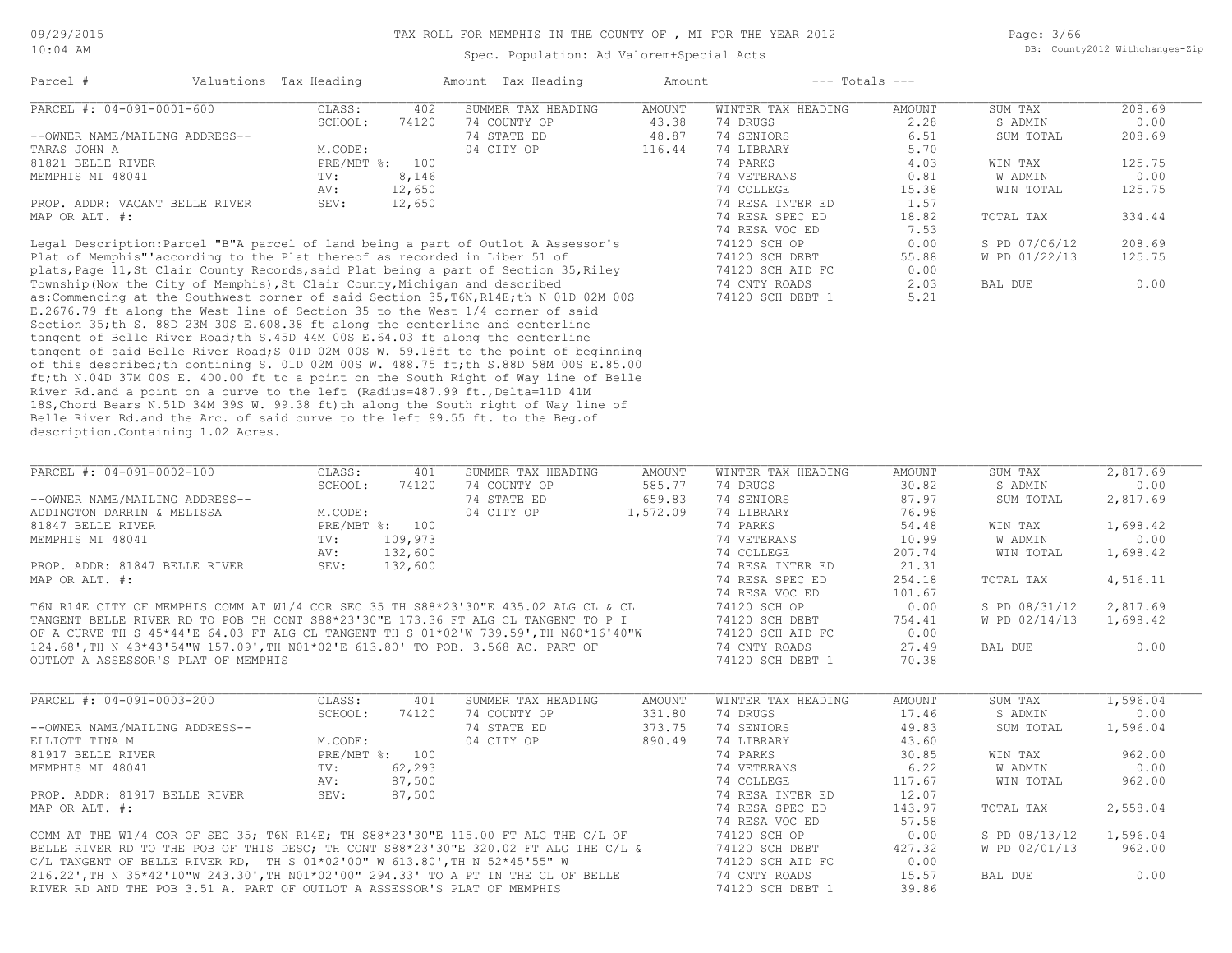Page: 3/66 DB: County2012 Withchanges-Zip

| Parcel #                                                                      | Valuations Tax Heading |        | Amount Tax Heading                                                                                                                                                                                                                   | Amount | $---$ Totals $---$ |        |               |        |
|-------------------------------------------------------------------------------|------------------------|--------|--------------------------------------------------------------------------------------------------------------------------------------------------------------------------------------------------------------------------------------|--------|--------------------|--------|---------------|--------|
| PARCEL #: 04-091-0001-600                                                     | CLASS:                 | 402    | SUMMER TAX HEADING                                                                                                                                                                                                                   | AMOUNT | WINTER TAX HEADING | AMOUNT | SUM TAX       | 208.69 |
|                                                                               | SCHOOL:                | 74120  | 74 COUNTY OP                                                                                                                                                                                                                         | 43.38  | 74 DRUGS           | 2.28   | S ADMIN       | 0.00   |
| --OWNER NAME/MAILING ADDRESS--                                                |                        |        | 74 STATE ED                                                                                                                                                                                                                          | 48.87  | 74 SENIORS         | 6.51   | SUM TOTAL     | 208.69 |
| TARAS JOHN A                                                                  | M.CODE:                |        | 04 CITY OP                                                                                                                                                                                                                           | 116.44 | 74 LIBRARY         | 5.70   |               |        |
| 81821 BELLE RIVER                                                             | $PRE/MBT$ %:           | 100    |                                                                                                                                                                                                                                      |        | 74 PARKS           | 4.03   | WIN TAX       | 125.75 |
| MEMPHIS MI 48041                                                              | TV:                    | 8,146  |                                                                                                                                                                                                                                      |        | 74 VETERANS        | 0.81   | W ADMIN       | 0.00   |
|                                                                               | AV:                    | 12,650 |                                                                                                                                                                                                                                      |        | 74 COLLEGE         | 15.38  | WIN TOTAL     | 125.75 |
| PROP. ADDR: VACANT BELLE RIVER                                                | SEV:                   | 12,650 |                                                                                                                                                                                                                                      |        | 74 RESA INTER ED   | 1.57   |               |        |
| MAP OR ALT. #:                                                                |                        |        |                                                                                                                                                                                                                                      |        | 74 RESA SPEC ED    | 18.82  | TOTAL TAX     | 334.44 |
|                                                                               |                        |        |                                                                                                                                                                                                                                      |        | 74 RESA VOC ED     | 7.53   |               |        |
|                                                                               |                        |        | Legal Description: Parcel "B"A parcel of land being a part of Outlot A Assessor's                                                                                                                                                    |        | 74120 SCH OP       | 0.00   | S PD 07/06/12 | 208.69 |
| Plat of Memphis" according to the Plat thereof as recorded in Liber 51 of     |                        |        |                                                                                                                                                                                                                                      |        | 74120 SCH DEBT     | 55.88  | W PD 01/22/13 | 125.75 |
|                                                                               |                        |        | plats, Page 11, St Clair County Records, said Plat being a part of Section 35, Riley                                                                                                                                                 |        | 74120 SCH AID FC   | 0.00   |               |        |
| Township (Now the City of Memphis), St Clair County, Michigan and described   |                        |        |                                                                                                                                                                                                                                      |        | 74 CNTY ROADS      | 2.03   | BAL DUE       | 0.00   |
|                                                                               |                        |        | as: Commencing at the Southwest corner of said Section 35, T6N, R14E; th N 01D 02M 00S                                                                                                                                               |        | 74120 SCH DEBT 1   | 5.21   |               |        |
| E.2676.79 ft along the West line of Section 35 to the West 1/4 corner of said |                        |        |                                                                                                                                                                                                                                      |        |                    |        |               |        |
| Section 35; th S. 88D 23M 30S E.608.38 ft along the centerline and centerline |                        |        |                                                                                                                                                                                                                                      |        |                    |        |               |        |
| tangent of Belle River Road; th S.45D 44M 00S E.64.03 ft along the centerline |                        |        |                                                                                                                                                                                                                                      |        |                    |        |               |        |
|                                                                               |                        |        | tangent of said Belle River Road; S 01D 02M 00S W. 59.18ft to the point of beginning                                                                                                                                                 |        |                    |        |               |        |
|                                                                               |                        |        | $\sim$ C in the activity and the contraction of $\sim$ 0.000 0.000 $\mu$ 0.000 $\mu$ 0.000 0.000 $\mu$ 0.000 0.000 0.000 0.000 0.000 0.000 0.000 0.000 0.000 0.000 0.000 0.000 0.000 0.000 0.000 0.000 0.000 0.000 0.000 0.000 0.000 |        |                    |        |               |        |

description.Containing 1.02 Acres. Belle River Rd.and the Arc. of said curve to the left 99.55 ft. to the Beg.of 18S,Chord Bears N.51D 34M 39S W. 99.38 ft)th along the South right of Way line of River Rd.and a point on a curve to the left (Radius=487.99 ft., Delta=11D 41M ft;th N.04D 37M 00S E. 400.00 ft to a point on the South Right of Way line of Belle of this described;th contining S. 01D 02M 00S W. 488.75 ft;th S.88D 58M 00S E.85.00

| PARCEL #: 04-091-0002-100                                                            | CLASS:  | 401            | SUMMER TAX HEADING | AMOUNT   | WINTER TAX HEADING | AMOUNT | SUM TAX       | 2,817.69 |
|--------------------------------------------------------------------------------------|---------|----------------|--------------------|----------|--------------------|--------|---------------|----------|
|                                                                                      | SCHOOL: | 74120          | 74 COUNTY OP       | 585.77   | 74 DRUGS           | 30.82  | S ADMIN       | 0.00     |
| --OWNER NAME/MAILING ADDRESS--                                                       |         |                | 74 STATE ED        | 659.83   | 74 SENIORS         | 87.97  | SUM TOTAL     | 2,817.69 |
| ADDINGTON DARRIN & MELISSA                                                           | M.CODE: |                | 04 CITY OP         | 1,572.09 | 74 LIBRARY         | 76.98  |               |          |
| 81847 BELLE RIVER                                                                    |         | PRE/MBT %: 100 |                    |          | 74 PARKS           | 54.48  | WIN TAX       | 1,698.42 |
| MEMPHIS MI 48041                                                                     | TV:     | 109,973        |                    |          | 74 VETERANS        | 10.99  | W ADMIN       | 0.00     |
|                                                                                      | AV:     | 132,600        |                    |          | 74 COLLEGE         | 207.74 | WIN TOTAL     | 1,698.42 |
| PROP. ADDR: 81847 BELLE RIVER                                                        | SEV:    | 132,600        |                    |          | 74 RESA INTER ED   | 21.31  |               |          |
| MAP OR ALT. #:                                                                       |         |                |                    |          | 74 RESA SPEC ED    | 254.18 | TOTAL TAX     | 4,516.11 |
|                                                                                      |         |                |                    |          | 74 RESA VOC ED     | 101.67 |               |          |
| T6N R14E CITY OF MEMPHIS COMM AT W1/4 COR SEC 35 TH S88*23'30"E 435.02 ALG CL & CL   |         |                |                    |          | 74120 SCH OP       | 0.00   | S PD 08/31/12 | 2,817.69 |
| TANGENT BELLE RIVER RD TO POB TH CONT S88*23'30"E 173.36 FT ALG CL TANGENT TO P I    |         |                |                    |          | 74120 SCH DEBT     | 754.41 | W PD 02/14/13 | 1,698.42 |
| OF A CURVE TH S 45*44'E 64.03 FT ALG CL TANGENT TH S 01*02'W 739.59', TH N60*16'40"W |         |                |                    |          | 74120 SCH AID FC   | 0.00   |               |          |
|                                                                                      |         |                |                    |          |                    |        |               |          |

OUTLOT A ASSESSOR'S PLAT OF MEMPHIS 74120 SCH DEBT 1 70.38 124.68',TH N 43\*43'54"W 157.09',TH N01\*02'E 613.80' TO POB. 3.568 AC. PART OF 74 CNTY ROADS 27.49 BAL DUE 0.00

| PARCEL #: 04-091-0003-200                                                           | CLASS:  | 401            | SUMMER TAX HEADING | AMOUNT | WINTER TAX HEADING | AMOUNT | SUM TAX       | 1,596.04 |
|-------------------------------------------------------------------------------------|---------|----------------|--------------------|--------|--------------------|--------|---------------|----------|
|                                                                                     | SCHOOL: | 74120          | 74 COUNTY OP       | 331.80 | 74 DRUGS           | 17.46  | S ADMIN       | 0.00     |
| --OWNER NAME/MAILING ADDRESS--                                                      |         |                | 74 STATE ED        | 373.75 | 74 SENIORS         | 49.83  | SUM TOTAL     | 1,596.04 |
| ELLIOTT TINA M                                                                      | M.CODE: |                | 04 CITY OP         | 890.49 | 74 LIBRARY         | 43.60  |               |          |
| 81917 BELLE RIVER                                                                   |         | PRE/MBT %: 100 |                    |        | 74 PARKS           | 30.85  | WIN TAX       | 962.00   |
| MEMPHIS MI 48041                                                                    | TV:     | 62,293         |                    |        | 74 VETERANS        | 6.22   | W ADMIN       | 0.00     |
|                                                                                     | AV:     | 87,500         |                    |        | 74 COLLEGE         | 117.67 | WIN TOTAL     | 962.00   |
| PROP. ADDR: 81917 BELLE RIVER                                                       | SEV:    | 87,500         |                    |        | 74 RESA INTER ED   | 12.07  |               |          |
| MAP OR ALT. #:                                                                      |         |                |                    |        | 74 RESA SPEC ED    | 143.97 | TOTAL TAX     | 2,558.04 |
|                                                                                     |         |                |                    |        | 74 RESA VOC ED     | 57.58  |               |          |
| COMM AT THE W1/4 COR OF SEC 35; T6N R14E; TH S88*23'30"E 115.00 FT ALG THE C/L OF   |         |                |                    |        | 74120 SCH OP       | 0.00   | S PD 08/13/12 | 1,596.04 |
| BELLE RIVER RD TO THE POB OF THIS DESC; TH CONT S88*23'30"E 320.02 FT ALG THE C/L & |         |                |                    |        | 74120 SCH DEBT     | 427.32 | W PD 02/01/13 | 962.00   |
| C/L TANGENT OF BELLE RIVER RD, TH S $01*02'00''$ W $613.80'$ , TH N $52*45'55''$ W  |         |                |                    |        | 74120 SCH AID FC   | 0.00   |               |          |
| 216.22', TH N 35*42'10"W 243.30', TH N01*02'00" 294.33' TO A PT IN THE CL OF BELLE  |         |                |                    |        | 74 CNTY ROADS      | 15.57  | BAL DUE       | 0.00     |

RIVER RD AND THE POB 3.51 A. PART OF OUTLOT A ASSESSOR'S PLAT OF MEMPHIS 74120 SCH DEBT 1 39.86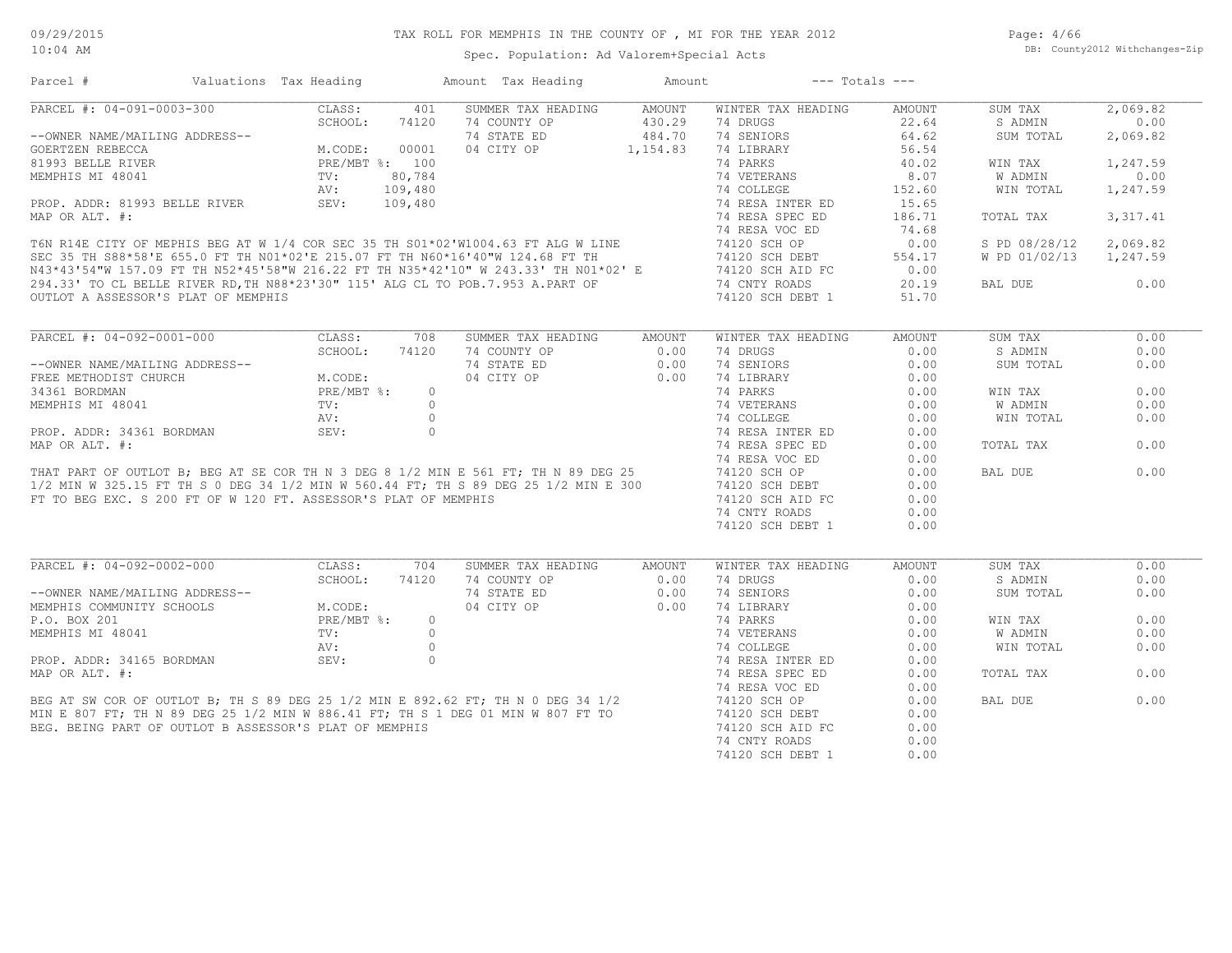| Parcel #                                                        | Valuations Tax Heading          |            | Amount Tax Heading                                                                                                                                                                                                                     | Amount        | $---$ Totals $---$ |               |                |           |
|-----------------------------------------------------------------|---------------------------------|------------|----------------------------------------------------------------------------------------------------------------------------------------------------------------------------------------------------------------------------------------|---------------|--------------------|---------------|----------------|-----------|
| PARCEL #: 04-091-0003-300                                       | CLASS:                          | 401        | SUMMER TAX HEADING                                                                                                                                                                                                                     | AMOUNT        | WINTER TAX HEADING | AMOUNT        | SUM TAX        | 2,069.82  |
|                                                                 | SCHOOL:                         | 74120      | 74 COUNTY OP                                                                                                                                                                                                                           | 430.29        | 74 DRUGS           | 22.64         | S ADMIN        | 0.00      |
| --OWNER NAME/MAILING ADDRESS--                                  |                                 |            | 74 STATE ED                                                                                                                                                                                                                            | 484.70        | 74 SENIORS         | 64.62         | SUM TOTAL      | 2,069.82  |
| GOERTZEN REBECCA                                                |                                 |            | 04 CITY OP                                                                                                                                                                                                                             | 1, 154.83     | 74 LIBRARY         | 56.54         |                |           |
| 81993 BELLE RIVER                                               | M.CODE: 00001<br>PRE/MBT %: 100 |            |                                                                                                                                                                                                                                        |               | 74 PARKS           | 40.02         | WIN TAX        | 1,247.59  |
|                                                                 | $\texttt{TV}$ :                 | 80,784     |                                                                                                                                                                                                                                        |               | 74 VETERANS        | 8.07          | W ADMIN        | 0.00      |
| MEMPHIS MI 48041                                                |                                 |            |                                                                                                                                                                                                                                        |               |                    |               |                |           |
|                                                                 | AV:<br>SEV:                     | 109,480    |                                                                                                                                                                                                                                        |               | 74 COLLEGE         | 152.60        | WIN TOTAL      | 1,247.59  |
| PROP. ADDR: 81993 BELLE RIVER                                   |                                 | 109,480    |                                                                                                                                                                                                                                        |               | 74 RESA INTER ED   | 15.65         |                |           |
| MAP OR ALT. #:                                                  |                                 |            |                                                                                                                                                                                                                                        |               | 74 RESA SPEC ED    | 186.71        | TOTAL TAX      | 3, 317.41 |
|                                                                 |                                 |            | FAIL ON ALL. ".<br>T6N R14E CITY OF MEPHIS BEG AT W 1/4 COR SEC 35 TH S01*02'W1004.63 FT ALG W LINE<br>SEC 35 TH S88*58'E 655.0 FT TH N01*02'E 215.07 FT TH N60*16'40"W 124.68 FT TH<br>N43*43'54"W 157.09 FT TH N52*45'58"W 216.22 FT |               | 74 RESA VOC ED     | 74.68         |                |           |
|                                                                 |                                 |            |                                                                                                                                                                                                                                        |               | 74120 SCH OP       | 0.00          | S PD 08/28/12  | 2,069.82  |
|                                                                 |                                 |            |                                                                                                                                                                                                                                        |               | 74120 SCH DEBT     | 554.17        | W PD 01/02/13  | 1,247.59  |
|                                                                 |                                 |            |                                                                                                                                                                                                                                        |               | 74120 SCH AID FC   | 0.00          |                |           |
|                                                                 |                                 |            | 294.33' TO CL BELLE RIVER RD, TH N88*23'30" 115' ALG CL TO POB.7.953 A.PART OF<br>OUTLOT A ASSESSOR'S PLAT OF MEMPHIS                                                                                                                  |               | 74 CNTY ROADS      | 20.19         | BAL DUE        | 0.00      |
| OUTLOT A ASSESSOR'S PLAT OF MEMPHIS                             |                                 |            |                                                                                                                                                                                                                                        |               | 74120 SCH DEBT 1   | 51.70         |                |           |
|                                                                 |                                 |            |                                                                                                                                                                                                                                        |               |                    |               |                |           |
| PARCEL #: 04-092-0001-000                                       | CLASS:                          | 708        | SUMMER TAX HEADING                                                                                                                                                                                                                     | <b>AMOUNT</b> | WINTER TAX HEADING | <b>AMOUNT</b> | SUM TAX        | 0.00      |
|                                                                 | SCHOOL:                         | 74120      | 74 COUNTY OP                                                                                                                                                                                                                           | 0.00          | 74 DRUGS           | 0.00          | S ADMIN        | 0.00      |
| --OWNER NAME/MAILING ADDRESS--                                  |                                 |            | 74 STATE ED                                                                                                                                                                                                                            | 0.00          | 74 SENIORS         | 0.00          | SUM TOTAL      | 0.00      |
| FREE METHODIST CHURCH                                           | M.CODE:                         |            | 04 CITY OP                                                                                                                                                                                                                             | 0.00          | 74 LIBRARY         | 0.00          |                |           |
| 34361 BORDMAN                                                   | PRE/MBT %:<br>TV:               | $\circ$    |                                                                                                                                                                                                                                        |               | 74 PARKS           | 0.00          | WIN TAX        | 0.00      |
| MEMPHIS MI 48041                                                |                                 | $\bigcirc$ |                                                                                                                                                                                                                                        |               | 74 VETERANS        | 0.00          | <b>W ADMIN</b> | 0.00      |
|                                                                 | AV:                             | $\circ$    |                                                                                                                                                                                                                                        |               | 74 COLLEGE         | 0.00          | WIN TOTAL      | 0.00      |
|                                                                 |                                 | $\circ$    |                                                                                                                                                                                                                                        |               |                    |               |                |           |
| PROP. ADDR: 34361 BORDMAN                                       | SEV:                            |            |                                                                                                                                                                                                                                        |               | 74 RESA INTER ED   | 0.00          |                |           |
| MAP OR ALT. #:                                                  |                                 |            |                                                                                                                                                                                                                                        |               | 74 RESA SPEC ED    | 0.00          | TOTAL TAX      | 0.00      |
|                                                                 |                                 |            | THAT PART OF OUTLOT B; BEG AT SE COR TH N 3 DEG 8 1/2 MIN E 561 FT; TH N 89 DEG 25<br>1/2 MIN W 325.15 FT TH S 0 DEG 34 1/2 MIN W 560.44 FT; TH S 89 DEG 25 1/2 MIN E 300                                                              |               | 74 RESA VOC ED     | 0.00          |                |           |
|                                                                 |                                 |            |                                                                                                                                                                                                                                        |               | 74120 SCH OP       | 0.00          | BAL DUE        | 0.00      |
|                                                                 |                                 |            |                                                                                                                                                                                                                                        |               | 74120 SCH DEBT     | 0.00          |                |           |
| FT TO BEG EXC. S 200 FT OF W 120 FT. ASSESSOR'S PLAT OF MEMPHIS |                                 |            |                                                                                                                                                                                                                                        |               | 74120 SCH AID FC   | 0.00          |                |           |
|                                                                 |                                 |            |                                                                                                                                                                                                                                        |               | 74 CNTY ROADS      | 0.00          |                |           |
|                                                                 |                                 |            |                                                                                                                                                                                                                                        |               | 74120 SCH DEBT 1   | 0.00          |                |           |
|                                                                 |                                 |            |                                                                                                                                                                                                                                        |               |                    |               |                |           |
| PARCEL #: 04-092-0002-000                                       | CLASS:                          | 704        | SUMMER TAX HEADING                                                                                                                                                                                                                     | AMOUNT        | WINTER TAX HEADING | <b>AMOUNT</b> | SUM TAX        | 0.00      |
|                                                                 | SCHOOL:                         | 74120      | 74 COUNTY OP                                                                                                                                                                                                                           | 0.00          | 74 DRUGS           | 0.00          | S ADMIN        | 0.00      |
| --OWNER NAME/MAILING ADDRESS--                                  |                                 |            | 74 STATE ED                                                                                                                                                                                                                            | 0.00          | 74 SENIORS         | 0.00          | SUM TOTAL      | 0.00      |
| MEMPHIS COMMUNITY SCHOOLS                                       | M.CODE:                         |            | 04 CITY OP                                                                                                                                                                                                                             | 0.00          | 74 LIBRARY         | 0.00          |                |           |
| P.O. BOX 201                                                    | PRE/MBT %:                      | $\circ$    |                                                                                                                                                                                                                                        |               | 74 PARKS           | 0.00          | WIN TAX        | 0.00      |
|                                                                 |                                 |            |                                                                                                                                                                                                                                        |               |                    | 0.00          | W ADMIN        | 0.00      |
|                                                                 |                                 |            |                                                                                                                                                                                                                                        |               |                    | 0.00          | WIN TOTAL      | 0.00      |
|                                                                 |                                 |            | MEMPHIS MI 48041<br>PROP. ADDR: 34165 BORDMAN<br>MAP OR ALT. #:<br>BEG AT SW COR OF OUTLOT B; TH S 89 DEG 25 1/2 MIN E 892.62 FT; TH N 0 DEG 34 1/2<br>MIN E 807 FT; TH N 89 DEG 25 1/2 MIN W 886.41 FT; TH S 1 DEG 01 MIN W 807 FT TO |               |                    |               |                |           |
|                                                                 |                                 |            |                                                                                                                                                                                                                                        |               | 74 RESA INTER ED   | 0.00          |                |           |
|                                                                 |                                 |            |                                                                                                                                                                                                                                        |               | 74 RESA SPEC ED    | 0.00          | TOTAL TAX      | 0.00      |
|                                                                 |                                 |            |                                                                                                                                                                                                                                        |               | 74 RESA VOC ED     | 0.00          |                |           |
|                                                                 |                                 |            |                                                                                                                                                                                                                                        |               |                    | 0.00          | BAL DUE        | 0.00      |
|                                                                 |                                 |            |                                                                                                                                                                                                                                        |               | 74120 SCH DEBT     | 0.00          |                |           |
| BEG. BEING PART OF OUTLOT B ASSESSOR'S PLAT OF MEMPHIS          |                                 |            |                                                                                                                                                                                                                                        |               | 74120 SCH AID FC   | 0.00          |                |           |
|                                                                 |                                 |            |                                                                                                                                                                                                                                        |               | 74 CNTY ROADS      | 0.00          |                |           |
|                                                                 |                                 |            |                                                                                                                                                                                                                                        |               | 74120 SCH DEBT 1   | 0.00          |                |           |
|                                                                 |                                 |            |                                                                                                                                                                                                                                        |               |                    |               |                |           |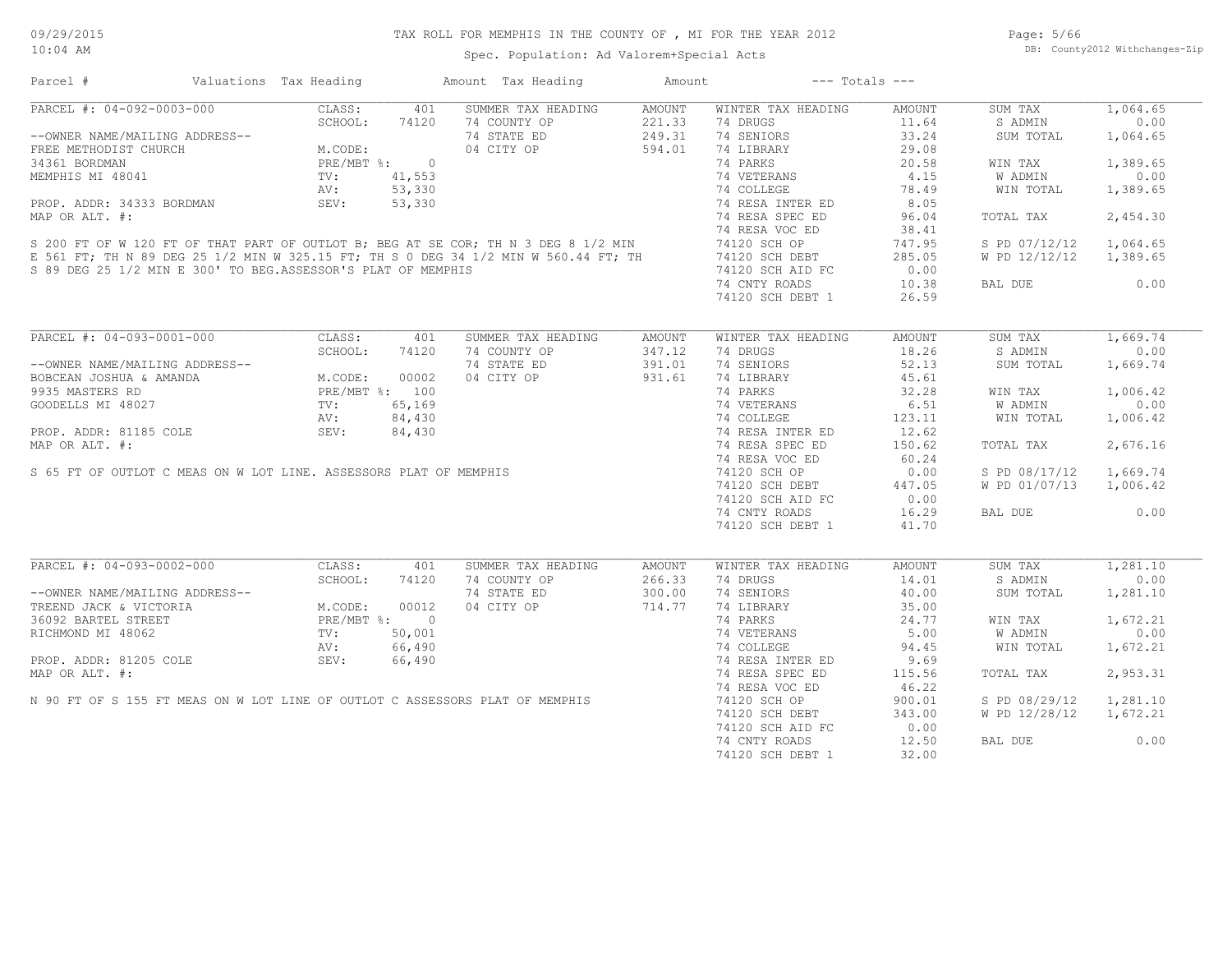Page: 5/66 DB: County2012 Withchanges-Zip

Spec. Population: Ad Valorem+Special Acts

| Parcel #                                                                                                                                                                                                                                                                                                                                                                                                                   | Valuations Tax Heading                                                                                                                                                                                                                                                                                                                                                                                                                                                                                                                          |              | Amount Tax Heading                 | Amount           | $---$ Totals $---$             |                        |                    |                  |
|----------------------------------------------------------------------------------------------------------------------------------------------------------------------------------------------------------------------------------------------------------------------------------------------------------------------------------------------------------------------------------------------------------------------------|-------------------------------------------------------------------------------------------------------------------------------------------------------------------------------------------------------------------------------------------------------------------------------------------------------------------------------------------------------------------------------------------------------------------------------------------------------------------------------------------------------------------------------------------------|--------------|------------------------------------|------------------|--------------------------------|------------------------|--------------------|------------------|
| PARCEL #: 04-092-0003-000                                                                                                                                                                                                                                                                                                                                                                                                  | CLASS:                                                                                                                                                                                                                                                                                                                                                                                                                                                                                                                                          | 401          | SUMMER TAX HEADING                 | AMOUNT           | WINTER TAX HEADING             | <b>AMOUNT</b>          | SUM TAX            | 1,064.65         |
|                                                                                                                                                                                                                                                                                                                                                                                                                            | $\begin{minipage}{0.9\linewidth} \begin{minipage}{0.9\linewidth} \begin{minipage}{0.9\linewidth} \end{minipage} \begin{minipage}{0.9\linewidth} \end{minipage} \begin{minipage}{0.9\linewidth} \begin{minipage}{0.9\linewidth} \end{minipage} \begin{minipage}{0.9\linewidth} \begin{minipage}{0.9\linewidth} \end{minipage} \begin{minipage}{0.9\linewidth} \end{minipage} \begin{minipage}{0.9\linewidth} \end{minipage} \begin{minipage}{0.9\linewidth} \begin{minipage}{0.9\linewidth} \end{minipage} \begin{minipage}{0.9\linewidth} \end$ | 74120        | 74 COUNTY OP                       | 221.33           | 74 DRUGS                       | 11.64                  | S ADMIN            | 0.00             |
| --OWNER NAME/MAILING ADDRESS--                                                                                                                                                                                                                                                                                                                                                                                             |                                                                                                                                                                                                                                                                                                                                                                                                                                                                                                                                                 |              | 74 STATE ED                        | 249.31           | 74 SENIORS                     | 33.24                  | SUM TOTAL          | 1,064.65         |
| FREE METHODIST CHURCH                                                                                                                                                                                                                                                                                                                                                                                                      |                                                                                                                                                                                                                                                                                                                                                                                                                                                                                                                                                 |              | 04 CITY OP                         | 594.01           | 74 LIBRARY                     | 29.08                  |                    |                  |
| 34361 BORDMAN                                                                                                                                                                                                                                                                                                                                                                                                              |                                                                                                                                                                                                                                                                                                                                                                                                                                                                                                                                                 | $\circ$      |                                    |                  | 74 PARKS                       | 20.58                  | WIN TAX            | 1,389.65         |
| 34361 BORDMAN<br>MEMPHIS MI 48041 TV: $41,553$<br>PROP. ADDR: 34333 BORDMAN SEV: $53,330$<br>MAP OR ALT. #:<br>S 200 FT OF W 120 FT OF THAT PART OF OUTLOT B; BEG AT SE COR; TH N 3 DEG 8 1/2 MIN<br>E 561 FT; TH N 89 DEG 25 1/2 MIN W                                                                                                                                                                                    |                                                                                                                                                                                                                                                                                                                                                                                                                                                                                                                                                 |              |                                    |                  | 74 VETERANS                    | 4.15                   | W ADMIN            | 0.00             |
|                                                                                                                                                                                                                                                                                                                                                                                                                            |                                                                                                                                                                                                                                                                                                                                                                                                                                                                                                                                                 |              |                                    |                  | 74 COLLEGE                     | 78.49                  | WIN TOTAL          | 1,389.65         |
|                                                                                                                                                                                                                                                                                                                                                                                                                            |                                                                                                                                                                                                                                                                                                                                                                                                                                                                                                                                                 |              |                                    |                  | 74 RESA INTER ED               | 8.05                   |                    |                  |
|                                                                                                                                                                                                                                                                                                                                                                                                                            |                                                                                                                                                                                                                                                                                                                                                                                                                                                                                                                                                 |              |                                    |                  | 74 RESA SPEC ED                | 96.04                  | TOTAL TAX          | 2,454.30         |
|                                                                                                                                                                                                                                                                                                                                                                                                                            |                                                                                                                                                                                                                                                                                                                                                                                                                                                                                                                                                 |              |                                    |                  | 74 RESA VOC ED                 | 38.41                  |                    |                  |
|                                                                                                                                                                                                                                                                                                                                                                                                                            |                                                                                                                                                                                                                                                                                                                                                                                                                                                                                                                                                 |              |                                    |                  | 74120 SCH OP                   | 747.95                 | S PD 07/12/12      | 1,064.65         |
|                                                                                                                                                                                                                                                                                                                                                                                                                            |                                                                                                                                                                                                                                                                                                                                                                                                                                                                                                                                                 |              |                                    |                  |                                |                        |                    |                  |
|                                                                                                                                                                                                                                                                                                                                                                                                                            |                                                                                                                                                                                                                                                                                                                                                                                                                                                                                                                                                 |              |                                    |                  | 74120 SCH DEBT                 | 285.05                 | W PD 12/12/12      | 1,389.65         |
| S 89 DEG 25 1/2 MIN E 300' TO BEG.ASSESSOR'S PLAT OF MEMPHIS                                                                                                                                                                                                                                                                                                                                                               |                                                                                                                                                                                                                                                                                                                                                                                                                                                                                                                                                 |              |                                    |                  | 74120 SCH AID FC               | 0.00                   |                    |                  |
|                                                                                                                                                                                                                                                                                                                                                                                                                            |                                                                                                                                                                                                                                                                                                                                                                                                                                                                                                                                                 |              |                                    |                  | 74 CNTY ROADS                  | 10.38                  | BAL DUE            | 0.00             |
|                                                                                                                                                                                                                                                                                                                                                                                                                            |                                                                                                                                                                                                                                                                                                                                                                                                                                                                                                                                                 |              |                                    |                  | 74120 SCH DEBT 1               | 26.59                  |                    |                  |
|                                                                                                                                                                                                                                                                                                                                                                                                                            |                                                                                                                                                                                                                                                                                                                                                                                                                                                                                                                                                 |              |                                    |                  |                                |                        |                    |                  |
| PARCEL #: 04-093-0001-000                                                                                                                                                                                                                                                                                                                                                                                                  | CLASS:                                                                                                                                                                                                                                                                                                                                                                                                                                                                                                                                          | 401          | SUMMER TAX HEADING                 | AMOUNT           | WINTER TAX HEADING             | AMOUNT                 | SUM TAX            | 1,669.74         |
|                                                                                                                                                                                                                                                                                                                                                                                                                            | SCHOOL:                                                                                                                                                                                                                                                                                                                                                                                                                                                                                                                                         | 74120        | 74 COUNTY OP                       | 347.12           | 74 DRUGS                       | 18.26                  | S ADMIN            | 0.00             |
| --OWNER NAME/MAILING ADDRESS--                                                                                                                                                                                                                                                                                                                                                                                             |                                                                                                                                                                                                                                                                                                                                                                                                                                                                                                                                                 |              | 74 STATE ED                        | 391.01           | 74 SENIORS                     | 52.13                  | SUM TOTAL          | 1,669.74         |
| BOBCEAN JOSHUA & AMANDA                                                                                                                                                                                                                                                                                                                                                                                                    |                                                                                                                                                                                                                                                                                                                                                                                                                                                                                                                                                 |              | 04 CITY OP                         | 931.61           | 74 LIBRARY                     | 45.61                  |                    |                  |
| 9935 MASTERS RD                                                                                                                                                                                                                                                                                                                                                                                                            |                                                                                                                                                                                                                                                                                                                                                                                                                                                                                                                                                 |              |                                    |                  | 74 PARKS                       | 32.28                  | WIN TAX            | 1,006.42         |
| GOODELLS MI 48027                                                                                                                                                                                                                                                                                                                                                                                                          | NESS--<br>M.CODE: 00002<br>PRE/MBT %: 100<br>TV: 65,169<br>AV: 84,430<br>SEV: 84,430<br>SEV: 84,430                                                                                                                                                                                                                                                                                                                                                                                                                                             |              |                                    |                  | 74 VETERANS                    | 6.51                   | W ADMIN            | 0.00             |
|                                                                                                                                                                                                                                                                                                                                                                                                                            |                                                                                                                                                                                                                                                                                                                                                                                                                                                                                                                                                 |              |                                    |                  | 74 COLLEGE                     | 123.11                 | WIN TOTAL          | 1,006.42         |
| PROP. ADDR: 81185 COLE                                                                                                                                                                                                                                                                                                                                                                                                     |                                                                                                                                                                                                                                                                                                                                                                                                                                                                                                                                                 |              |                                    |                  | 74 RESA INTER ED               | 12.62                  |                    |                  |
| MAP OR ALT. #:                                                                                                                                                                                                                                                                                                                                                                                                             |                                                                                                                                                                                                                                                                                                                                                                                                                                                                                                                                                 |              |                                    |                  | 74 RESA SPEC ED                | 150.62                 | TOTAL TAX          | 2,676.16         |
|                                                                                                                                                                                                                                                                                                                                                                                                                            |                                                                                                                                                                                                                                                                                                                                                                                                                                                                                                                                                 |              |                                    |                  |                                | 60.24                  |                    |                  |
|                                                                                                                                                                                                                                                                                                                                                                                                                            |                                                                                                                                                                                                                                                                                                                                                                                                                                                                                                                                                 |              |                                    |                  | 74 RESA VOC ED                 |                        |                    |                  |
| S 65 FT OF OUTLOT C MEAS ON W LOT LINE. ASSESSORS PLAT OF MEMPHIS                                                                                                                                                                                                                                                                                                                                                          |                                                                                                                                                                                                                                                                                                                                                                                                                                                                                                                                                 |              |                                    |                  | 74120 SCH OP                   | 0.00                   | S PD 08/17/12      | 1,669.74         |
|                                                                                                                                                                                                                                                                                                                                                                                                                            |                                                                                                                                                                                                                                                                                                                                                                                                                                                                                                                                                 |              |                                    |                  | 74120 SCH DEBT                 | 447.05                 | W PD 01/07/13      | 1,006.42         |
|                                                                                                                                                                                                                                                                                                                                                                                                                            |                                                                                                                                                                                                                                                                                                                                                                                                                                                                                                                                                 |              |                                    |                  | 74120 SCH AID FC               | 0.00                   |                    |                  |
|                                                                                                                                                                                                                                                                                                                                                                                                                            |                                                                                                                                                                                                                                                                                                                                                                                                                                                                                                                                                 |              |                                    |                  | 74 CNTY ROADS                  | 16.29                  | BAL DUE            | 0.00             |
|                                                                                                                                                                                                                                                                                                                                                                                                                            |                                                                                                                                                                                                                                                                                                                                                                                                                                                                                                                                                 |              |                                    |                  | 74120 SCH DEBT 1               | 41.70                  |                    |                  |
|                                                                                                                                                                                                                                                                                                                                                                                                                            |                                                                                                                                                                                                                                                                                                                                                                                                                                                                                                                                                 |              |                                    |                  |                                |                        |                    |                  |
| PARCEL #: 04-093-0002-000                                                                                                                                                                                                                                                                                                                                                                                                  | CLASS:<br>SCHOOL:                                                                                                                                                                                                                                                                                                                                                                                                                                                                                                                               | 401<br>74120 | SUMMER TAX HEADING<br>74 COUNTY OP | AMOUNT<br>266.33 | WINTER TAX HEADING<br>74 DRUGS | <b>AMOUNT</b><br>14.01 | SUM TAX<br>S ADMIN | 1,281,10<br>0.00 |
|                                                                                                                                                                                                                                                                                                                                                                                                                            |                                                                                                                                                                                                                                                                                                                                                                                                                                                                                                                                                 |              |                                    | 300.00           |                                | 40.00                  |                    |                  |
|                                                                                                                                                                                                                                                                                                                                                                                                                            |                                                                                                                                                                                                                                                                                                                                                                                                                                                                                                                                                 |              | 74 STATE ED                        |                  | 74 SENIORS                     |                        | SUM TOTAL          | 1,281.10         |
| SCHOOL: 74120<br>TREEND JACK & VICTORIA<br>36092 BARTEL STREET<br>RICHMOND MI 48062<br>N.CODE: 00012<br>TV: 50.001<br>N.CODE: 00012<br>TV: 50.001                                                                                                                                                                                                                                                                          |                                                                                                                                                                                                                                                                                                                                                                                                                                                                                                                                                 |              | 04 CITY OP                         | 714.77           | 74 LIBRARY                     | 35.00                  |                    |                  |
|                                                                                                                                                                                                                                                                                                                                                                                                                            |                                                                                                                                                                                                                                                                                                                                                                                                                                                                                                                                                 |              |                                    |                  | 74 PARKS                       | 24.77                  | WIN TAX            | 1,672.21         |
|                                                                                                                                                                                                                                                                                                                                                                                                                            |                                                                                                                                                                                                                                                                                                                                                                                                                                                                                                                                                 |              |                                    |                  | 74 VETERANS                    | 5.00                   | W ADMIN            | 0.00             |
|                                                                                                                                                                                                                                                                                                                                                                                                                            |                                                                                                                                                                                                                                                                                                                                                                                                                                                                                                                                                 |              |                                    |                  | 74 COLLEGE                     | 94.45                  | WIN TOTAL          | 1,672.21         |
|                                                                                                                                                                                                                                                                                                                                                                                                                            |                                                                                                                                                                                                                                                                                                                                                                                                                                                                                                                                                 |              |                                    |                  | 74 RESA INTER ED               | 9.69                   |                    |                  |
| $\begin{tabular}{lllllllllll} 36092 & \texttt{BARTEL} & \texttt{SIREET} & \texttt{PRE/MBT} & \texttt{\$:} & 0 \\ \texttt{RICHMOND MI} & 48062 & \texttt{TV:} & 50,001 \\ & \texttt{AV:} & 66,490 \\ \texttt{PROP. ADDR: } 81205 & \texttt{COLE} & \texttt{SEV:} & 66,490 \\ \texttt{MAP OR ALT. } \texttt{\#:} & & & \\ \texttt{N} & 90 & \texttt{FT OF S} & 155 & \texttt{FT MEAS ON W LOT LINE OF OUTLOT C ASSESSORS PL$ |                                                                                                                                                                                                                                                                                                                                                                                                                                                                                                                                                 |              |                                    |                  | 74 RESA SPEC ED                | 115.56                 | TOTAL TAX          | 2,953.31         |
|                                                                                                                                                                                                                                                                                                                                                                                                                            |                                                                                                                                                                                                                                                                                                                                                                                                                                                                                                                                                 |              |                                    |                  | 74 RESA VOC ED                 | 46.22                  |                    |                  |
|                                                                                                                                                                                                                                                                                                                                                                                                                            |                                                                                                                                                                                                                                                                                                                                                                                                                                                                                                                                                 |              |                                    |                  | 74120 SCH OP                   | 900.01                 | S PD 08/29/12      | 1,281.10         |
|                                                                                                                                                                                                                                                                                                                                                                                                                            |                                                                                                                                                                                                                                                                                                                                                                                                                                                                                                                                                 |              |                                    |                  | 74120 SCH DEBT                 | 343.00                 | W PD 12/28/12      | 1,672.21         |
|                                                                                                                                                                                                                                                                                                                                                                                                                            |                                                                                                                                                                                                                                                                                                                                                                                                                                                                                                                                                 |              |                                    |                  | 74120 SCH AID FC               | 0.00                   |                    |                  |
|                                                                                                                                                                                                                                                                                                                                                                                                                            |                                                                                                                                                                                                                                                                                                                                                                                                                                                                                                                                                 |              |                                    |                  | 74 CNTY ROADS                  | 12.50                  | BAL DUE            | 0.00             |
|                                                                                                                                                                                                                                                                                                                                                                                                                            |                                                                                                                                                                                                                                                                                                                                                                                                                                                                                                                                                 |              |                                    |                  |                                |                        |                    |                  |
|                                                                                                                                                                                                                                                                                                                                                                                                                            |                                                                                                                                                                                                                                                                                                                                                                                                                                                                                                                                                 |              |                                    |                  | 74120 SCH DEBT 1               | 32.00                  |                    |                  |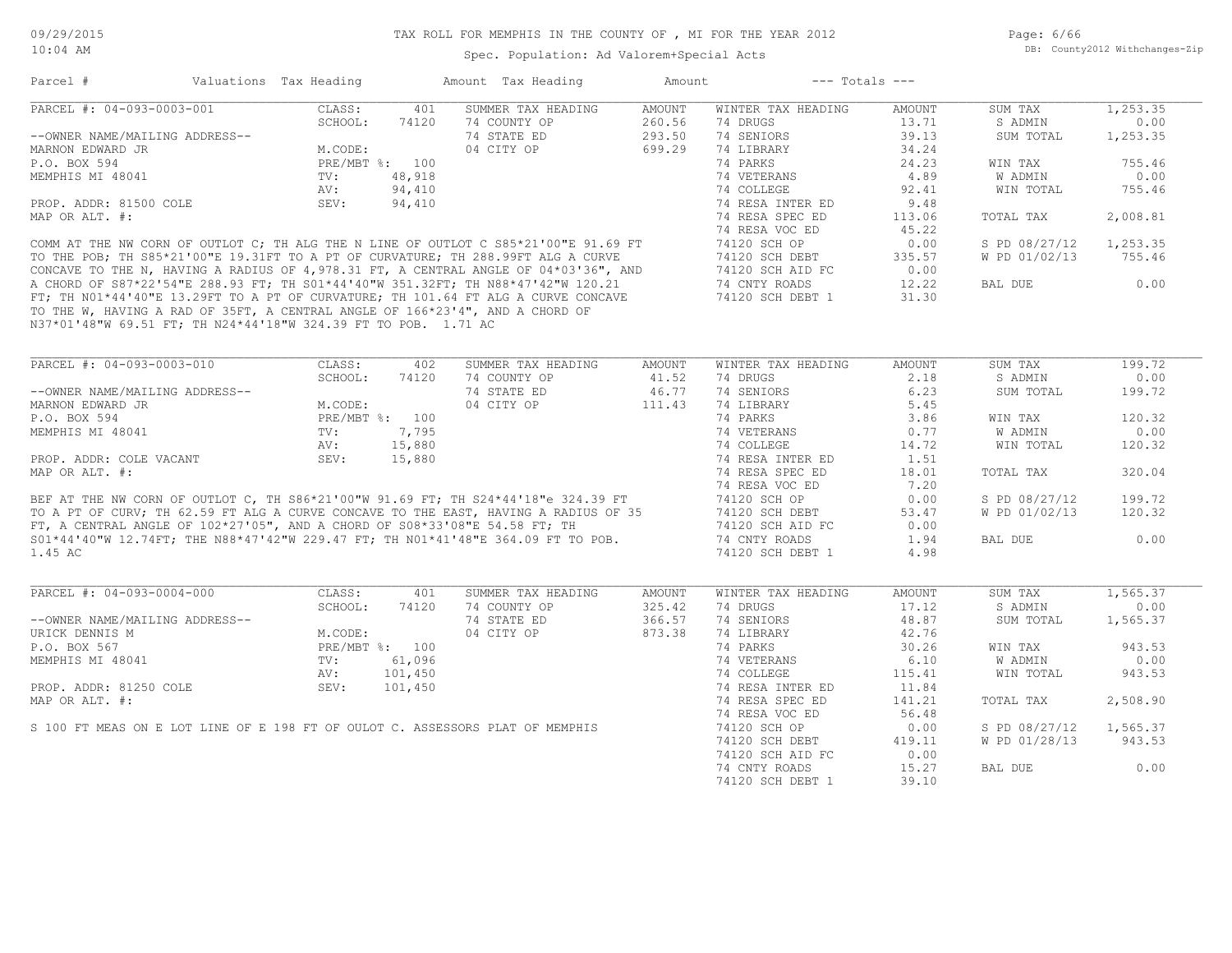Page: 6/66 DB: County2012 Withchanges-Zip

|                                                                | Valuations Tax Heading |         | Amount Tax Heading                                                                                                                                                       | Amount        | $---$ Totals $---$                |                |               |          |
|----------------------------------------------------------------|------------------------|---------|--------------------------------------------------------------------------------------------------------------------------------------------------------------------------|---------------|-----------------------------------|----------------|---------------|----------|
| PARCEL #: 04-093-0003-001                                      | CLASS:                 | 401     | SUMMER TAX HEADING                                                                                                                                                       | <b>AMOUNT</b> | WINTER TAX HEADING                | <b>AMOUNT</b>  | SUM TAX       | 1,253.35 |
|                                                                | SCHOOL:                | 74120   | 74 COUNTY OP                                                                                                                                                             | 260.56        | 74 DRUGS                          | 13.71          | S ADMIN       | 0.00     |
| --OWNER NAME/MAILING ADDRESS--                                 |                        |         | 74 STATE ED                                                                                                                                                              | 293.50        | 74 SENIORS                        | 39.13          | SUM TOTAL     | 1,253.35 |
| MARNON EDWARD JR                                               | M.CODE:                |         | 04 CITY OP                                                                                                                                                               | 699.29        | 74 LIBRARY                        | 34.24          |               |          |
| P.O. BOX 594                                                   | PRE/MBT %: 100         |         |                                                                                                                                                                          |               | 74 PARKS                          | 24.23          | WIN TAX       | 755.46   |
| MEMPHIS MI 48041                                               | TV:                    | 48,918  |                                                                                                                                                                          |               | 74 VETERANS                       | 4.89           | W ADMIN       | 0.00     |
|                                                                | AV:                    | 94,410  |                                                                                                                                                                          |               | 74 COLLEGE                        | 92.41          | WIN TOTAL     | 755.46   |
|                                                                |                        |         |                                                                                                                                                                          |               |                                   |                |               |          |
| PROP. ADDR: 81500 COLE                                         | SEV:                   | 94,410  |                                                                                                                                                                          |               | 74 RESA INTER ED                  | 9.48           |               |          |
| MAP OR ALT. #:                                                 |                        |         |                                                                                                                                                                          |               | 74 RESA SPEC ED                   | 113.06         | TOTAL TAX     | 2,008.81 |
|                                                                |                        |         |                                                                                                                                                                          |               | 74 RESA VOC ED                    | 45.22          |               |          |
|                                                                |                        |         | COMM AT THE NW CORN OF OUTLOT C; TH ALG THE N LINE OF OUTLOT C S85*21'00"E 91.69 FT                                                                                      |               | 74120 SCH OP                      | 0.00           | S PD 08/27/12 | 1,253.35 |
|                                                                |                        |         | TO THE POB; TH S85*21'00"E 19.31FT TO A PT OF CURVATURE; TH 288.99FT ALG A CURVE                                                                                         |               | 74120 SCH DEBT                    | 335.57         | W PD 01/02/13 | 755.46   |
|                                                                |                        |         | CONCAVE TO THE N, HAVING A RADIUS OF 4, 978.31 FT, A CENTRAL ANGLE OF 04*03'36", AND                                                                                     |               | 74120 SCH AID FC                  | 0.00           |               |          |
|                                                                |                        |         | A CHORD OF S87*22'54"E 288.93 FT; TH S01*44'40"W 351.32FT; TH N88*47'42"W 120.21                                                                                         |               | 74 CNTY ROADS                     | 12.22          | BAL DUE       | 0.00     |
|                                                                |                        |         | FT; TH NO1*44'40"E 13.29FT TO A PT OF CURVATURE; TH 101.64 FT ALG A CURVE CONCAVE                                                                                        |               | 74120 SCH DEBT 1                  | 31.30          |               |          |
|                                                                |                        |         | TO THE W, HAVING A RAD OF 35FT, A CENTRAL ANGLE OF 166*23'4", AND A CHORD OF                                                                                             |               |                                   |                |               |          |
| N37*01'48"W 69.51 FT; TH N24*44'18"W 324.39 FT TO POB. 1.71 AC |                        |         |                                                                                                                                                                          |               |                                   |                |               |          |
|                                                                |                        |         |                                                                                                                                                                          |               |                                   |                |               |          |
| PARCEL #: 04-093-0003-010                                      | CLASS:                 | 402     | SUMMER TAX HEADING                                                                                                                                                       | AMOUNT        | WINTER TAX HEADING                | <b>AMOUNT</b>  | SUM TAX       | 199.72   |
|                                                                | SCHOOL:                | 74120   | 74 COUNTY OP                                                                                                                                                             | 41.52         | 74 DRUGS                          | 2.18           | S ADMIN       | 0.00     |
| --OWNER NAME/MAILING ADDRESS--                                 |                        |         | 74 STATE ED                                                                                                                                                              | 46.77         | 74 SENIORS                        | 6.23           | SUM TOTAL     | 199.72   |
| MARNON EDWARD JR                                               | M.CODE:                |         | 04 CITY OP                                                                                                                                                               | 111.43        | 74 LIBRARY                        | 5.45           |               |          |
| P.O. BOX 594                                                   | PRE/MBT %: 100         |         |                                                                                                                                                                          |               | 74 PARKS                          | 3.86           | WIN TAX       | 120.32   |
| MEMPHIS MI 48041                                               | TV:                    | 7,795   |                                                                                                                                                                          |               | 74 VETERANS                       | 0.77           | W ADMIN       | 0.00     |
|                                                                | AV:                    | 15,880  |                                                                                                                                                                          |               | 74 COLLEGE                        | 14.72          | WIN TOTAL     | 120.32   |
| PROP. ADDR: COLE VACANT                                        | SEV:                   |         |                                                                                                                                                                          |               |                                   |                |               |          |
|                                                                |                        | 15,880  |                                                                                                                                                                          |               | 74 RESA INTER ED                  | 1.51           |               |          |
|                                                                |                        |         |                                                                                                                                                                          |               |                                   |                |               |          |
| MAP OR ALT. #:                                                 |                        |         |                                                                                                                                                                          |               | 74 RESA SPEC ED                   | 18.01          | TOTAL TAX     | 320.04   |
|                                                                |                        |         |                                                                                                                                                                          |               | 74 RESA VOC ED                    | 7.20           |               |          |
|                                                                |                        |         |                                                                                                                                                                          |               | 74120 SCH OP                      | 0.00           | S PD 08/27/12 | 199.72   |
|                                                                |                        |         | BEF AT THE NW CORN OF OUTLOT C, TH S86*21'00"W 91.69 FT; TH S24*44'18"e 324.39 FT<br>TO A PT OF CURV; TH 62.59 FT ALG A CURVE CONCAVE TO THE EAST, HAVING A RADIUS OF 35 |               | 74120 SCH DEBT                    | 53.47          | W PD 01/02/13 | 120.32   |
|                                                                |                        |         |                                                                                                                                                                          |               | 74120 SCH AID FC                  | 0.00           |               |          |
|                                                                |                        |         | FT, A CENTRAL ANGLE OF $102*27'05''$ , AND A CHORD OF $S08*33'08''E$ 54.58 FT; TH<br>S01*44'40"W 12.74FT; THE N88*47'42"W 229.47 FT; TH N01*41'48"E 364.09 FT TO POB.    |               | 74 CNTY ROADS                     | 1.94           | BAL DUE       | 0.00     |
| 1.45 AC                                                        |                        |         |                                                                                                                                                                          |               | 74120 SCH DEBT 1                  | 4.98           |               |          |
|                                                                |                        |         |                                                                                                                                                                          |               |                                   |                |               |          |
| PARCEL #: 04-093-0004-000                                      | CLASS:                 | 401     | SUMMER TAX HEADING                                                                                                                                                       | AMOUNT        | WINTER TAX HEADING                | AMOUNT         | SUM TAX       | 1,565.37 |
|                                                                | SCHOOL:                | 74120   | 74 COUNTY OP                                                                                                                                                             | 325.42        | 74 DRUGS                          | 17.12          | S ADMIN       | 0.00     |
| --OWNER NAME/MAILING ADDRESS--                                 |                        |         | 74 STATE ED                                                                                                                                                              | 366.57        | 74 SENIORS                        | 48.87          | SUM TOTAL     | 1,565.37 |
| URICK DENNIS M                                                 | M.CODE:                |         | 04 CITY OP                                                                                                                                                               | 873.38        | 74 LIBRARY                        | 42.76          |               |          |
| P.O. BOX 567                                                   | PRE/MBT %: 100         |         |                                                                                                                                                                          |               | 74 PARKS                          | 30.26          | WIN TAX       | 943.53   |
| MEMPHIS MI 48041                                               | TV:                    | 61,096  |                                                                                                                                                                          |               | 74 VETERANS                       | 6.10           | W ADMIN       | 0.00     |
|                                                                | AV:                    | 101,450 |                                                                                                                                                                          |               | 74 COLLEGE                        | 115.41         | WIN TOTAL     | 943.53   |
| PROP. ADDR: 81250 COLE                                         | SEV:                   | 101,450 |                                                                                                                                                                          |               | 74 RESA INTER ED                  | 11.84          |               |          |
|                                                                |                        |         |                                                                                                                                                                          |               |                                   |                |               |          |
| MAP OR ALT. #:                                                 |                        |         |                                                                                                                                                                          |               | 74 RESA SPEC ED                   | 141.21         | TOTAL TAX     | 2,508.90 |
|                                                                |                        |         |                                                                                                                                                                          |               | 74 RESA VOC ED                    | 56.48          |               |          |
|                                                                |                        |         | S 100 FT MEAS ON E LOT LINE OF E 198 FT OF OULOT C. ASSESSORS PLAT OF MEMPHIS                                                                                            |               | 74120 SCH OP                      | 0.00           | S PD 08/27/12 | 1,565.37 |
|                                                                |                        |         |                                                                                                                                                                          |               | 74120 SCH DEBT                    | 419.11         | W PD 01/28/13 | 943.53   |
|                                                                |                        |         |                                                                                                                                                                          |               | 74120 SCH AID FC                  | 0.00           |               |          |
|                                                                |                        |         |                                                                                                                                                                          |               | 74 CNTY ROADS<br>74120 SCH DEBT 1 | 15.27<br>39.10 | BAL DUE       | 0.00     |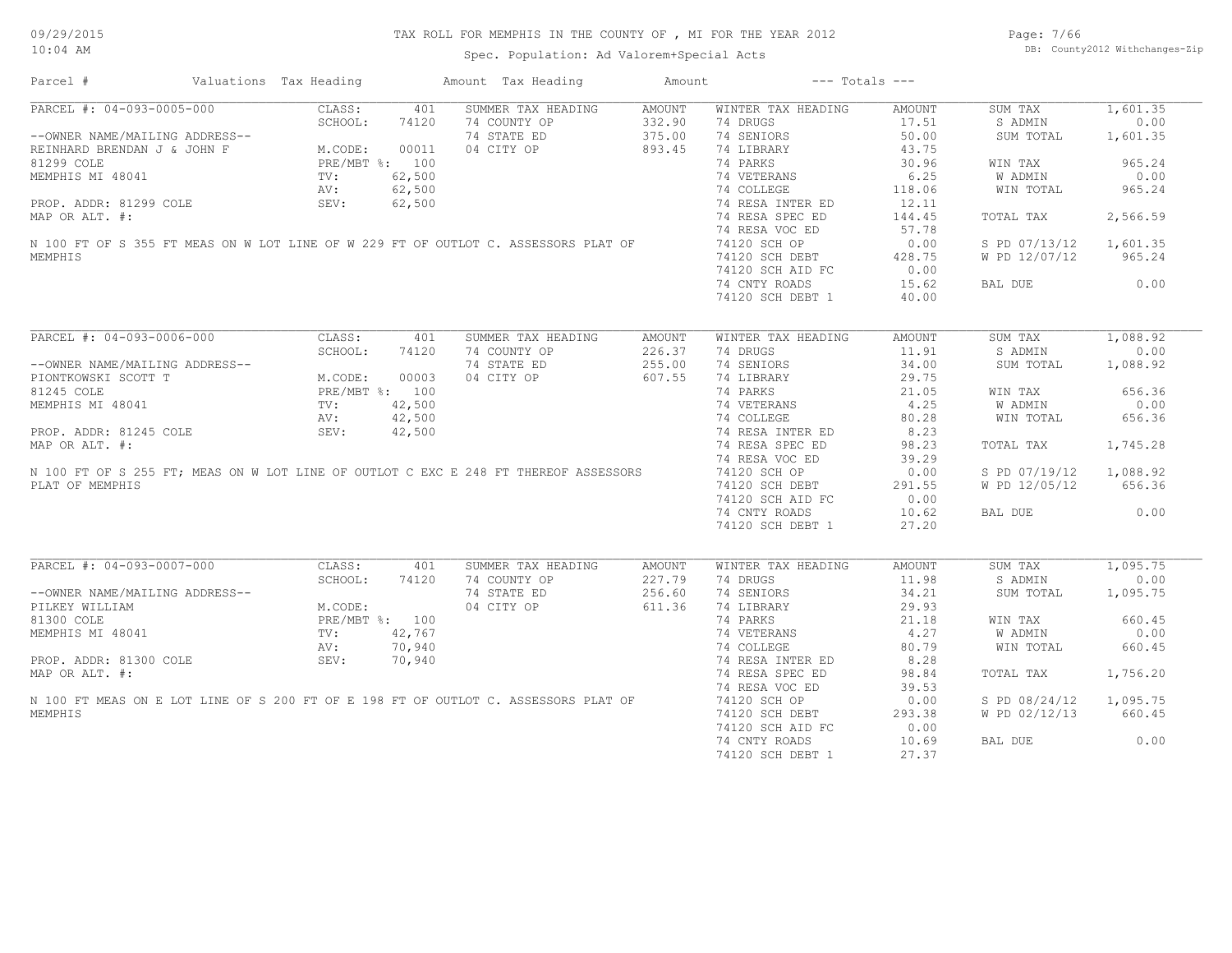Spec. Population: Ad Valorem+Special Acts

Page: 7/66 DB: County2012 Withchanges-Zip

| Parcel #                       | Valuations Tax Heading                                                                  |        | Amount Tax Heading                                                                  | Amount |                           | $---$ Totals $---$ |               |          |
|--------------------------------|-----------------------------------------------------------------------------------------|--------|-------------------------------------------------------------------------------------|--------|---------------------------|--------------------|---------------|----------|
|                                |                                                                                         |        | SUMMER TAX HEADING                                                                  | AMOUNT | WINTER TAX HEADING        | AMOUNT             | SUM TAX       | 1,601.35 |
|                                |                                                                                         |        | 74 COUNTY OP                                                                        | 332.90 | 74 DRUGS                  | 17.51              | S ADMIN       | 0.00     |
|                                |                                                                                         |        | 74 STATE ED                                                                         | 375.00 | 74 SENIORS                | 50.00              | SUM TOTAL     | 1,601.35 |
|                                |                                                                                         |        | 04 CITY OP                                                                          | 893.45 | 74 LIBRARY                | 43.75              |               |          |
|                                |                                                                                         |        |                                                                                     |        | 74 PARKS                  | 30.96              | WIN TAX       | 965.24   |
|                                |                                                                                         |        |                                                                                     |        | 74 VETERANS               | 6.25               | W ADMIN       | 0.00     |
|                                |                                                                                         |        |                                                                                     |        | 74 COLLEGE                | 118.06             | WIN TOTAL     | 965.24   |
|                                |                                                                                         |        |                                                                                     |        | 74 RESA INTER ED          | 12.11              |               |          |
|                                |                                                                                         |        |                                                                                     |        |                           |                    |               |          |
| MAP OR ALT. #:                 |                                                                                         |        |                                                                                     |        | 74 RESA SPEC ED           | 144.45             | TOTAL TAX     | 2,566.59 |
|                                |                                                                                         |        |                                                                                     |        | 74 RESA VOC ED            | 57.78              |               |          |
|                                |                                                                                         |        | N 100 FT OF S 355 FT MEAS ON W LOT LINE OF W 229 FT OF OUTLOT C. ASSESSORS PLAT OF  |        | 74120 SCH OP              | 0.00               | S PD 07/13/12 | 1,601.35 |
| MEMPHIS                        |                                                                                         |        |                                                                                     |        | 74120 SCH DEBT            | 428.75             | W PD 12/07/12 | 965.24   |
|                                |                                                                                         |        |                                                                                     |        | 74120 SCH AID FC          | 0.00               |               |          |
|                                |                                                                                         |        |                                                                                     |        | 74 CNTY ROADS             | 15.62              | BAL DUE       | 0.00     |
|                                |                                                                                         |        |                                                                                     |        | 74120 SCH DEBT 1          | 40.00              |               |          |
|                                |                                                                                         |        |                                                                                     |        |                           |                    |               |          |
| PARCEL #: 04-093-0006-000      | CLASS:                                                                                  | 401    | SUMMER TAX HEADING                                                                  | AMOUNT | WINTER TAX HEADING        | AMOUNT             | SUM TAX       | 1,088.92 |
|                                | SCHOOL:                                                                                 | 74120  | 74 COUNTY OP                                                                        | 226.37 | 74 DRUGS                  | 11.91              | S ADMIN       | 0.00     |
| --OWNER NAME/MAILING ADDRESS-- |                                                                                         |        | 74 STATE ED                                                                         | 255.00 | 74 SENIORS                | 34.00              | SUM TOTAL     | 1,088.92 |
| PIONTKOWSKI SCOTT T            | M.CODE: 000000<br>PRE/MBT %: 100<br>TV: 42,500<br>AV: 42,500<br>AV: 42,500<br>AV: 42,50 |        | 04 CITY OP                                                                          | 607.55 | 74 LIBRARY                | 29.75              |               |          |
|                                |                                                                                         |        |                                                                                     |        |                           |                    |               |          |
| 81245 COLE                     |                                                                                         |        |                                                                                     |        | 74 PARKS                  | 21.05              | WIN TAX       | 656.36   |
| MEMPHIS MI 48041               |                                                                                         |        |                                                                                     |        | 74 VETERANS<br>74 COLLEGE | 4.25               | W ADMIN       | 0.00     |
|                                |                                                                                         |        |                                                                                     |        |                           | 80.28              | WIN TOTAL     | 656.36   |
| PROP. ADDR: 81245 COLE         |                                                                                         |        |                                                                                     |        | 74 RESA INTER ED          | 8.23               |               |          |
| MAP OR ALT. #:                 |                                                                                         |        |                                                                                     |        | 74 RESA SPEC ED           | 98.23              | TOTAL TAX     | 1,745.28 |
|                                |                                                                                         |        |                                                                                     |        | 74 RESA VOC ED            | 39.29              |               |          |
|                                |                                                                                         |        | N 100 FT OF S 255 FT; MEAS ON W LOT LINE OF OUTLOT C EXC E 248 FT THEREOF ASSESSORS |        | 74120 SCH OP              | 0.00               | S PD 07/19/12 | 1,088.92 |
| PLAT OF MEMPHIS                |                                                                                         |        |                                                                                     |        | 74120 SCH DEBT            | 291.55             | W PD 12/05/12 | 656.36   |
|                                |                                                                                         |        |                                                                                     |        | 74120 SCH AID FC          | 0.00               |               |          |
|                                |                                                                                         |        |                                                                                     |        |                           |                    |               |          |
|                                |                                                                                         |        |                                                                                     |        | 74 CNTY ROADS             | 10.62              | BAL DUE       | 0.00     |
|                                |                                                                                         |        |                                                                                     |        | 74120 SCH DEBT 1          | 27.20              |               |          |
| PARCEL #: 04-093-0007-000      | CLASS:                                                                                  | 401    | SUMMER TAX HEADING                                                                  | AMOUNT | WINTER TAX HEADING        | AMOUNT             | SUM TAX       | 1,095.75 |
|                                | SCHOOL:                                                                                 | 74120  | 74 COUNTY OP                                                                        | 227.79 | 74 DRUGS                  | 11.98              | S ADMIN       | 0.00     |
|                                |                                                                                         |        |                                                                                     |        |                           |                    |               |          |
| --OWNER NAME/MAILING ADDRESS-- |                                                                                         |        | 74 STATE ED                                                                         | 256.60 | 74 SENIORS                | 34.21              | SUM TOTAL     | 1,095.75 |
| PILKEY WILLIAM                 | M.CODE:                                                                                 |        | 04 CITY OP                                                                          | 611.36 | 74 LIBRARY                | 29.93              |               |          |
| 81300 COLE                     | PRE/MBT %: 100<br>TV: 42,767                                                            |        |                                                                                     |        | 74 PARKS                  | 21.18              | WIN TAX       | 660.45   |
| MEMPHIS MI 48041               |                                                                                         |        |                                                                                     |        | 74 VETERANS               | 4.27               | W ADMIN       | 0.00     |
|                                | AV:                                                                                     | 70,940 |                                                                                     |        | 74 COLLEGE                | 80.79              | WIN TOTAL     | 660.45   |
| PROP. ADDR: 81300 COLE         | SEV:                                                                                    | 70,940 |                                                                                     |        | 74 RESA INTER ED          | 8.28               |               |          |
| MAP OR ALT. #:                 |                                                                                         |        |                                                                                     |        | 74 RESA SPEC ED           | 98.84              | TOTAL TAX     | 1,756.20 |
|                                |                                                                                         |        |                                                                                     |        | 74 RESA VOC ED            | 39.53              |               |          |
|                                |                                                                                         |        | N 100 FT MEAS ON E LOT LINE OF S 200 FT OF E 198 FT OF OUTLOT C. ASSESSORS PLAT OF  |        | 74120 SCH OP              | 0.00               | S PD 08/24/12 | 1,095.75 |
|                                |                                                                                         |        |                                                                                     |        |                           |                    |               |          |
| MEMPHIS                        |                                                                                         |        |                                                                                     |        | 74120 SCH DEBT            | 293.38             | W PD 02/12/13 | 660.45   |
|                                |                                                                                         |        |                                                                                     |        | 74120 SCH AID FC          | 0.00               |               |          |
|                                |                                                                                         |        |                                                                                     |        | 74 CNTY ROADS             | 10.69              | BAL DUE       | 0.00     |
|                                |                                                                                         |        |                                                                                     |        | 74120 SCH DEBT 1          | 27.37              |               |          |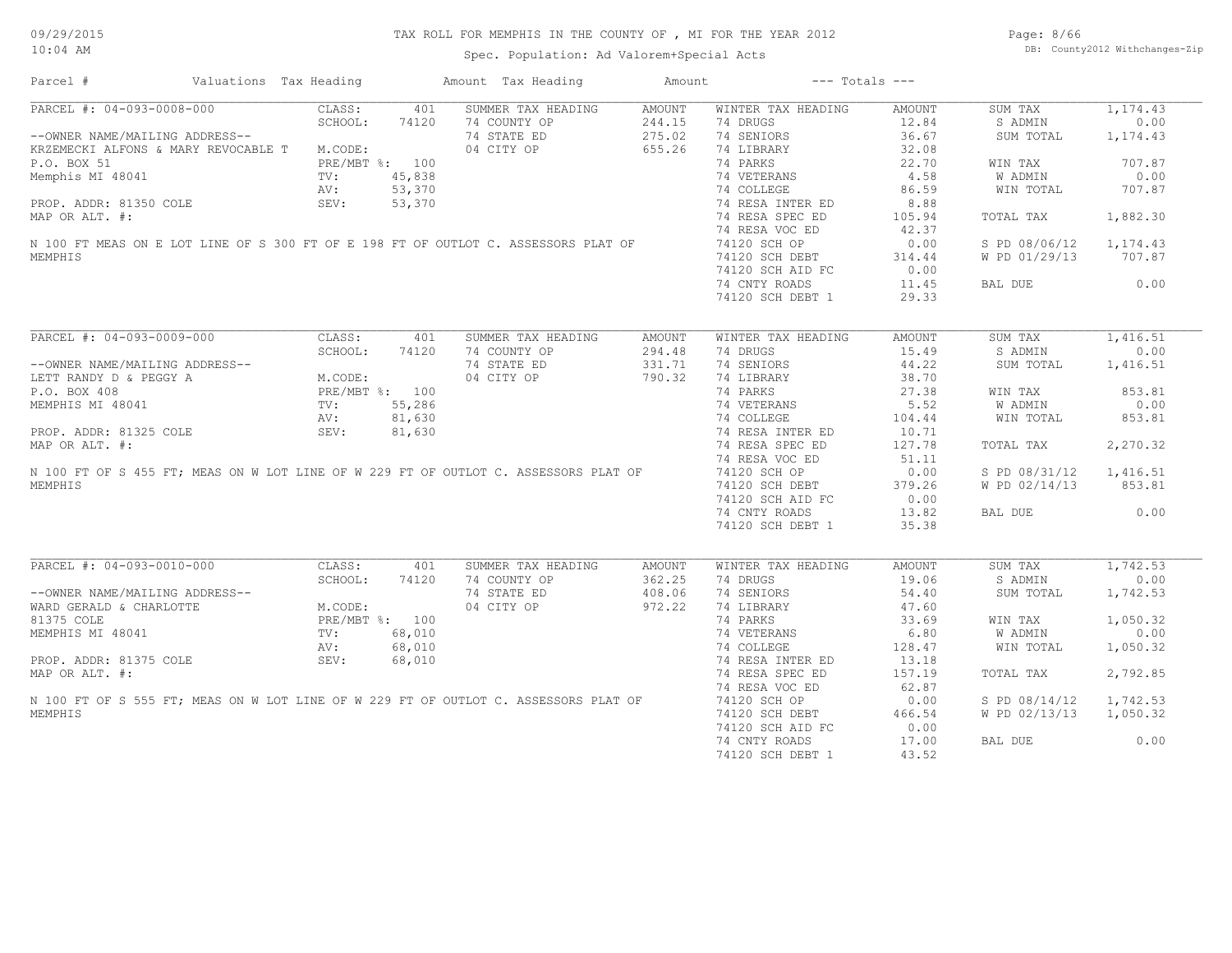Spec. Population: Ad Valorem+Special Acts

Page: 8/66 DB: County2012 Withchanges-Zip

| Parcel #                                    | Valuations Tax Heading                                                       |                |        | Amount Tax Heading                                                                  | Amount |                    | $---$ Totals $---$ |               |          |
|---------------------------------------------|------------------------------------------------------------------------------|----------------|--------|-------------------------------------------------------------------------------------|--------|--------------------|--------------------|---------------|----------|
| PARCEL #: 04-093-0008-000                   |                                                                              | CLASS:         | 401    | SUMMER TAX HEADING                                                                  | AMOUNT | WINTER TAX HEADING | AMOUNT             | SUM TAX       | 1,174.43 |
|                                             |                                                                              | SCHOOL:        | 74120  | 74 COUNTY OP                                                                        | 244.15 | 74 DRUGS           | 12.84              | S ADMIN       | 0.00     |
| --OWNER NAME/MAILING ADDRESS--              |                                                                              |                |        | 74 STATE ED                                                                         | 275.02 | 74 SENIORS         | 36.67              | SUM TOTAL     | 1,174.43 |
| KRZEMECKI ALFONS & MARY REVOCABLE T M.CODE: |                                                                              |                |        | 04 CITY OP                                                                          | 655.26 | 74 LIBRARY         | 32.08              |               |          |
| P.O. BOX 51                                 |                                                                              | PRE/MBT %: 100 |        |                                                                                     |        | 74 PARKS           | 22.70              | WIN TAX       | 707.87   |
| Memphis MI 48041                            |                                                                              | TV:            | 45,838 |                                                                                     |        | 74 VETERANS        | 4.58               | W ADMIN       | 0.00     |
|                                             |                                                                              | AV:            | 53,370 |                                                                                     |        | 74 COLLEGE         | 86.59              | WIN TOTAL     | 707.87   |
| PROP. ADDR: 81350 COLE                      |                                                                              | SEV:           | 53,370 |                                                                                     |        | 74 RESA INTER ED   | 8.88               |               |          |
|                                             |                                                                              |                |        |                                                                                     |        |                    |                    |               |          |
| MAP OR ALT. #:                              |                                                                              |                |        |                                                                                     |        | 74 RESA SPEC ED    | 105.94             | TOTAL TAX     | 1,882.30 |
|                                             |                                                                              |                |        |                                                                                     |        | 74 RESA VOC ED     | 42.37              |               |          |
|                                             |                                                                              |                |        | N 100 FT MEAS ON E LOT LINE OF S 300 FT OF E 198 FT OF OUTLOT C. ASSESSORS PLAT OF  |        | 74120 SCH OP       | 0.00               | S PD 08/06/12 | 1,174.43 |
| MEMPHIS                                     |                                                                              |                |        |                                                                                     |        | 74120 SCH DEBT     | 314.44             | W PD 01/29/13 | 707.87   |
|                                             |                                                                              |                |        |                                                                                     |        | 74120 SCH AID FC   | 0.00               |               |          |
|                                             |                                                                              |                |        |                                                                                     |        | 74 CNTY ROADS      | 11.45              | BAL DUE       | 0.00     |
|                                             |                                                                              |                |        |                                                                                     |        | 74120 SCH DEBT 1   | 29.33              |               |          |
|                                             |                                                                              |                |        |                                                                                     |        |                    |                    |               |          |
| PARCEL #: 04-093-0009-000                   |                                                                              | CLASS:         | 401    | SUMMER TAX HEADING                                                                  | AMOUNT | WINTER TAX HEADING | AMOUNT             | SUM TAX       | 1,416.51 |
|                                             |                                                                              | SCHOOL:        | 74120  | 74 COUNTY OP                                                                        | 294.48 | 74 DRUGS           | 15.49              | S ADMIN       | 0.00     |
| --OWNER NAME/MAILING ADDRESS--              |                                                                              |                |        | 74 STATE ED                                                                         | 331.71 | 74 SENIORS         | 44.22              | SUM TOTAL     | 1,416.51 |
| LETT RANDY D & PEGGY A                      | 3S--<br>M.CODE:<br>PRE/MBT %: 100<br>TV: 55,286<br>AV: 81,630<br>CEV: 81,63  |                |        | 04 CITY OP                                                                          | 790.32 | 74 LIBRARY         | 38.70              |               |          |
| P.O. BOX 408                                |                                                                              |                |        |                                                                                     |        | 74 PARKS           | 27.38              | WIN TAX       | 853.81   |
|                                             |                                                                              |                |        |                                                                                     |        |                    |                    |               |          |
| MEMPHIS MI 48041                            |                                                                              |                |        |                                                                                     |        | 74 VETERANS        | 5.52               | W ADMIN       | 0.00     |
|                                             |                                                                              |                |        |                                                                                     |        | 74 COLLEGE         | 104.44             | WIN TOTAL     | 853.81   |
| PROP. ADDR: 81325 COLE                      |                                                                              |                |        |                                                                                     |        | 74 RESA INTER ED   | 10.71              |               |          |
| MAP OR ALT. #:                              |                                                                              |                |        |                                                                                     |        | 74 RESA SPEC ED    | 127.78             | TOTAL TAX     | 2,270.32 |
|                                             |                                                                              |                |        |                                                                                     |        | 74 RESA VOC ED     | 51.11              |               |          |
|                                             |                                                                              |                |        | N 100 FT OF S 455 FT; MEAS ON W LOT LINE OF W 229 FT OF OUTLOT C. ASSESSORS PLAT OF |        | 74120 SCH OP       | 0.00               | S PD 08/31/12 | 1,416.51 |
| MEMPHIS                                     |                                                                              |                |        |                                                                                     |        | 74120 SCH DEBT     | 379.26             | W PD 02/14/13 | 853.81   |
|                                             |                                                                              |                |        |                                                                                     |        | 74120 SCH AID FC   | 0.00               |               |          |
|                                             |                                                                              |                |        |                                                                                     |        |                    | 13.82              |               | 0.00     |
|                                             |                                                                              |                |        |                                                                                     |        | 74 CNTY ROADS      |                    | BAL DUE       |          |
|                                             |                                                                              |                |        |                                                                                     |        | 74120 SCH DEBT 1   | 35.38              |               |          |
| PARCEL #: 04-093-0010-000                   |                                                                              | CLASS:         | 401    | SUMMER TAX HEADING                                                                  | AMOUNT | WINTER TAX HEADING | AMOUNT             | SUM TAX       | 1,742.53 |
|                                             |                                                                              | SCHOOL:        | 74120  | 74 COUNTY OP                                                                        | 362.25 | 74 DRUGS           | 19.06              | S ADMIN       | 0.00     |
|                                             | RESS--<br>M.CODE:<br>PRE/MBT %: 100<br>TV: 68,010<br>AV: 68,01/<br>AV: 68,01 |                |        |                                                                                     |        |                    |                    |               |          |
| --OWNER NAME/MAILING ADDRESS--              |                                                                              |                |        | 74 STATE ED                                                                         | 408.06 | 74 SENIORS         | 54.40              | SUM TOTAL     | 1,742.53 |
| WARD GERALD & CHARLOTTE                     |                                                                              |                |        | 04 CITY OP                                                                          | 972.22 | 74 LIBRARY         | 47.60              |               |          |
| 81375 COLE                                  |                                                                              |                |        |                                                                                     |        | 74 PARKS           | 33.69              | WIN TAX       | 1,050.32 |
| MEMPHIS MI 48041                            |                                                                              |                |        |                                                                                     |        | 74 VETERANS        | 6.80               | W ADMIN       | 0.00     |
|                                             |                                                                              |                |        |                                                                                     |        | 74 COLLEGE         | 128.47             | WIN TOTAL     | 1,050.32 |
| PROP. ADDR: 81375 COLE                      |                                                                              |                |        |                                                                                     |        | 74 RESA INTER ED   | 13.18              |               |          |
| MAP OR ALT. #:                              |                                                                              |                |        |                                                                                     |        | 74 RESA SPEC ED    | 157.19             | TOTAL TAX     | 2,792.85 |
|                                             |                                                                              |                |        |                                                                                     |        | 74 RESA VOC ED     | 62.87              |               |          |
|                                             |                                                                              |                |        | N 100 FT OF S 555 FT, MEAS ON W LOT LINE OF W 229 FT OF OUTLOT C. ASSESSORS PLAT OF |        | 74120 SCH OP       | 0.00               | S PD 08/14/12 | 1,742.53 |
|                                             |                                                                              |                |        |                                                                                     |        |                    |                    |               |          |
| MEMPHIS                                     |                                                                              |                |        |                                                                                     |        | 74120 SCH DEBT     | 466.54             | W PD 02/13/13 | 1,050.32 |
|                                             |                                                                              |                |        |                                                                                     |        | 74120 SCH AID FC   | 0.00               |               |          |
|                                             |                                                                              |                |        |                                                                                     |        | 74 CNTY ROADS      | 17.00              | BAL DUE       | 0.00     |
|                                             |                                                                              |                |        |                                                                                     |        | 74120 SCH DEBT 1   | 43.52              |               |          |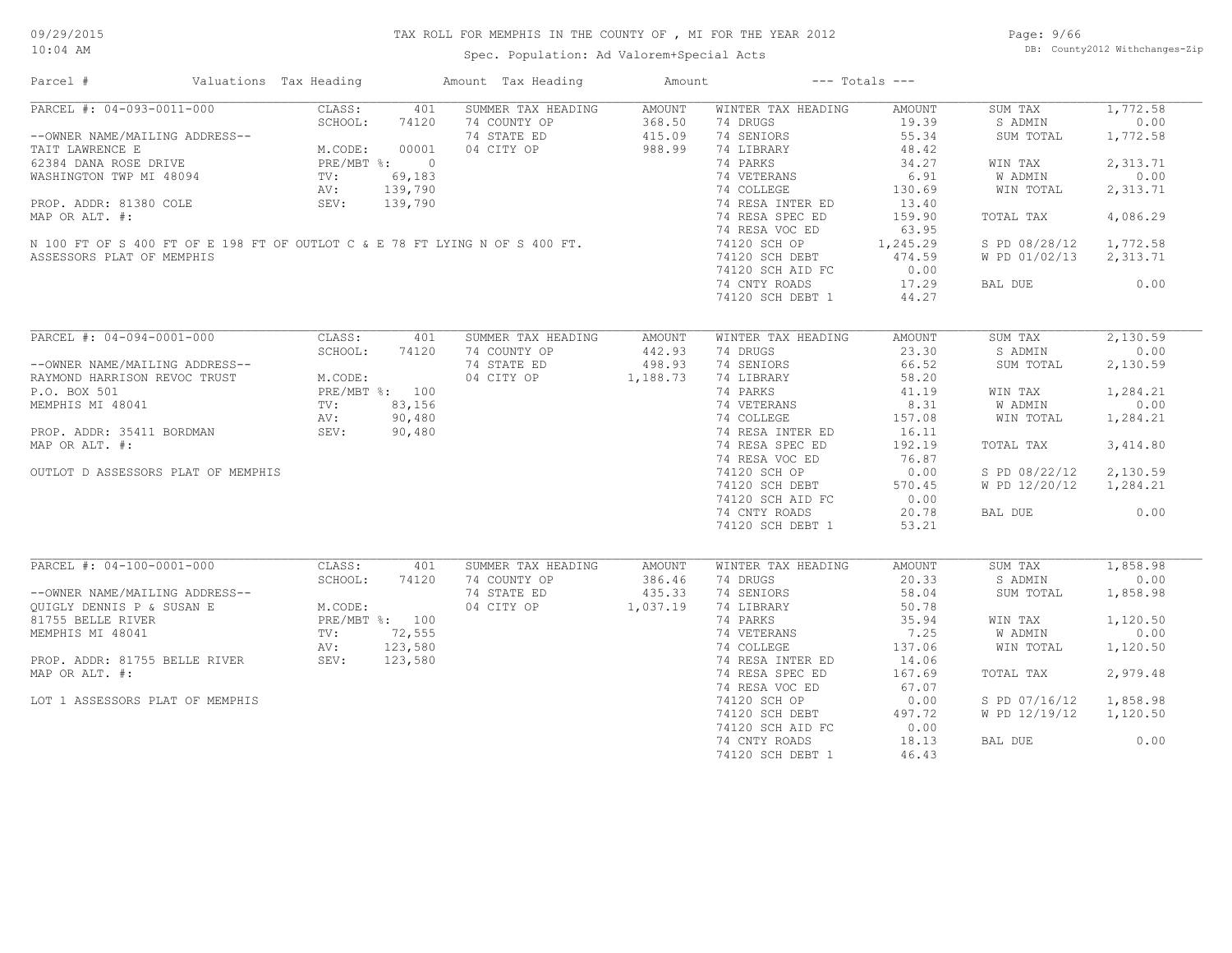Spec. Population: Ad Valorem+Special Acts

Page: 9/66 DB: County2012 Withchanges-Zip

| Parcel #                                                                                                                                                                          | Valuations Tax Heading |         | Amount Tax Heading                                           | Amount |                    | $---$ Totals $---$ |               |          |
|-----------------------------------------------------------------------------------------------------------------------------------------------------------------------------------|------------------------|---------|--------------------------------------------------------------|--------|--------------------|--------------------|---------------|----------|
| PARCEL #: 04-093-0011-000                                                                                                                                                         | CLASS:                 | 401     | SUMMER TAX HEADING                                           | AMOUNT | WINTER TAX HEADING | AMOUNT             | SUM TAX       | 1,772.58 |
|                                                                                                                                                                                   | SCHOOL:                | 74120   | 74 COUNTY OP                                                 | 368.50 | 74 DRUGS           | 19.39              | S ADMIN       | 0.00     |
|                                                                                                                                                                                   |                        |         | 74 STATE ED                                                  | 415.09 | 74 SENIORS         | 55.34              | SUM TOTAL     | 1,772.58 |
| --OWNER NAME/MAILING ADDRESS--<br>TAIT LAWRENCE E M.CODE: 00001<br>62384 DANA ROSE DRIVE PRE/MBT %: 0<br>WASHINGTON TWP MI 48094 TV: 69,183<br>NASHINGTON TWP MI 48094 TV: 69,183 |                        |         | 04 CITY OP                                                   | 988.99 | 74 LIBRARY         | 48.42              |               |          |
|                                                                                                                                                                                   |                        |         |                                                              |        | 74 PARKS           | 34.27              | WIN TAX       | 2,313.71 |
|                                                                                                                                                                                   |                        |         |                                                              |        | 74 VETERANS        | 6.91               | W ADMIN       | 0.00     |
|                                                                                                                                                                                   | AV:                    | 139,790 |                                                              |        | 74 COLLEGE         | 130.69             | WIN TOTAL     | 2,313.71 |
| PROP. ADDR: 81380 COLE                                                                                                                                                            | <b>SEV:</b>            | 139,790 |                                                              |        | 74 RESA INTER ED   | 13.40              |               |          |
| MAP OR ALT. #:                                                                                                                                                                    |                        |         |                                                              |        | 74 RESA SPEC ED    | 159.90             | TOTAL TAX     | 4,086.29 |
|                                                                                                                                                                                   |                        |         |                                                              |        |                    |                    |               |          |
| N 100 FT OF S 400 FT OF E 198 FT OF OUTLOT C & E 78 FT LYING N OF S 400 FT.                                                                                                       |                        |         |                                                              |        | 74 RESA VOC ED     | 63.95              |               |          |
|                                                                                                                                                                                   |                        |         |                                                              |        | 74120 SCH OP       | 1,245.29           | S PD 08/28/12 | 1,772.58 |
| ASSESSORS PLAT OF MEMPHIS                                                                                                                                                         |                        |         |                                                              |        | 74120 SCH DEBT     | 474.59             | W PD 01/02/13 | 2,313.71 |
|                                                                                                                                                                                   |                        |         |                                                              |        | 74120 SCH AID FC   | 0.00               |               |          |
|                                                                                                                                                                                   |                        |         |                                                              |        | 74 CNTY ROADS      | 17.29              | BAL DUE       | 0.00     |
|                                                                                                                                                                                   |                        |         |                                                              |        | 74120 SCH DEBT 1   | 44.27              |               |          |
|                                                                                                                                                                                   |                        |         |                                                              |        |                    |                    |               |          |
| PARCEL #: 04-094-0001-000                                                                                                                                                         | CLASS:                 | 401     | SUMMER TAX HEADING                                           | AMOUNT | WINTER TAX HEADING | <b>AMOUNT</b>      | SUM TAX       | 2,130.59 |
|                                                                                                                                                                                   | SCHOOL:                | 74120   | 74 COUNTY OP                                                 | 442.93 | 74 DRUGS           | 23.30              | S ADMIN       | 0.00     |
| --OWNER NAME/MAILING ADDRESS--                                                                                                                                                    |                        |         | 74 STATE ED                                                  | 498.93 | 74 SENIORS         | 66.52              | SUM TOTAL     | 2,130.59 |
| --OWNER MARRISON REVOC TRUST<br>RAYMOND HARRISON REVOC TRUST<br>P.O. BOX 501<br>MEMPHIS MI 48041<br>MEMPHIS MI 48041<br>TV: 83,156<br>AV: 90,480                                  |                        |         | 04 CITY OP 1,188.73                                          |        | 74 LIBRARY         | 58.20              |               |          |
|                                                                                                                                                                                   |                        |         | $\frac{8}{3}, \frac{100}{156}$<br>90,480<br>90,480<br>90,480 |        | 74 PARKS           | 41.19              | WIN TAX       | 1,284.21 |
|                                                                                                                                                                                   |                        |         |                                                              |        | 74 VETERANS        | 8.31               | W ADMIN       | 0.00     |
|                                                                                                                                                                                   |                        |         |                                                              |        | 74 COLLEGE         | 157.08             | WIN TOTAL     | 1,284.21 |
| PROP. ADDR: 35411 BORDMAN                                                                                                                                                         | SEV: 90,480            |         |                                                              |        | 74 RESA INTER ED   | 16.11              |               |          |
| MAP OR ALT. #:                                                                                                                                                                    |                        |         |                                                              |        | 74 RESA SPEC ED    | 192.19             | TOTAL TAX     | 3,414.80 |
|                                                                                                                                                                                   |                        |         |                                                              |        | 74 RESA VOC ED     | 76.87              |               |          |
|                                                                                                                                                                                   |                        |         |                                                              |        |                    |                    |               |          |
| OUTLOT D ASSESSORS PLAT OF MEMPHIS                                                                                                                                                |                        |         |                                                              |        | 74120 SCH OP       | 0.00               | S PD 08/22/12 | 2,130.59 |
|                                                                                                                                                                                   |                        |         |                                                              |        | 74120 SCH DEBT     | 570.45             | W PD 12/20/12 | 1,284.21 |
|                                                                                                                                                                                   |                        |         |                                                              |        | 74120 SCH AID FC   | 0.00               |               |          |
|                                                                                                                                                                                   |                        |         |                                                              |        | 74 CNTY ROADS      | 20.78              | BAL DUE       | 0.00     |
|                                                                                                                                                                                   |                        |         |                                                              |        | 74120 SCH DEBT 1   | 53.21              |               |          |
| PARCEL #: 04-100-0001-000                                                                                                                                                         | CLASS:                 | 401     | SUMMER TAX HEADING                                           | AMOUNT | WINTER TAX HEADING | <b>AMOUNT</b>      | SUM TAX       | 1,858.98 |
|                                                                                                                                                                                   | SCHOOL:                | 74120   | 74 COUNTY OP                                                 | 386.46 | 74 DRUGS           | 20.33              | S ADMIN       | 0.00     |
|                                                                                                                                                                                   |                        |         | 74 STATE ED                                                  | 435.33 | 74 SENIORS         | 58.04              | SUM TOTAL     | 1,858.98 |
|                                                                                                                                                                                   |                        |         |                                                              |        |                    |                    |               |          |
|                                                                                                                                                                                   |                        |         | 04 CITY OP 1,037.19                                          |        | 74 LIBRARY         | 50.78              |               |          |
|                                                                                                                                                                                   |                        |         |                                                              |        | 74 PARKS           | 35.94              | WIN TAX       | 1,120.50 |
|                                                                                                                                                                                   |                        |         |                                                              |        | 74 VETERANS        | 7.25               | W ADMIN       | 0.00     |
|                                                                                                                                                                                   |                        |         |                                                              |        | 74 COLLEGE         | 137.06             | WIN TOTAL     | 1,120.50 |
|                                                                                                                                                                                   |                        |         |                                                              |        | 74 RESA INTER ED   | 14.06              |               |          |
| MAP OR ALT. #:                                                                                                                                                                    |                        |         |                                                              |        | 74 RESA SPEC ED    | 167.69             | TOTAL TAX     | 2,979.48 |
|                                                                                                                                                                                   |                        |         |                                                              |        | 74 RESA VOC ED     | 67.07              |               |          |
| LOT 1 ASSESSORS PLAT OF MEMPHIS                                                                                                                                                   |                        |         |                                                              |        | 74120 SCH OP       | 0.00               | S PD 07/16/12 | 1,858.98 |
|                                                                                                                                                                                   |                        |         |                                                              |        | 74120 SCH DEBT     | 497.72             | W PD 12/19/12 | 1,120.50 |
|                                                                                                                                                                                   |                        |         |                                                              |        | 74120 SCH AID FC   | 0.00               |               |          |
|                                                                                                                                                                                   |                        |         |                                                              |        |                    |                    |               |          |
|                                                                                                                                                                                   |                        |         |                                                              |        | 74 CNTY ROADS      | 18.13              | BAL DUE       | 0.00     |
|                                                                                                                                                                                   |                        |         |                                                              |        | 74120 SCH DEBT 1   | 46.43              |               |          |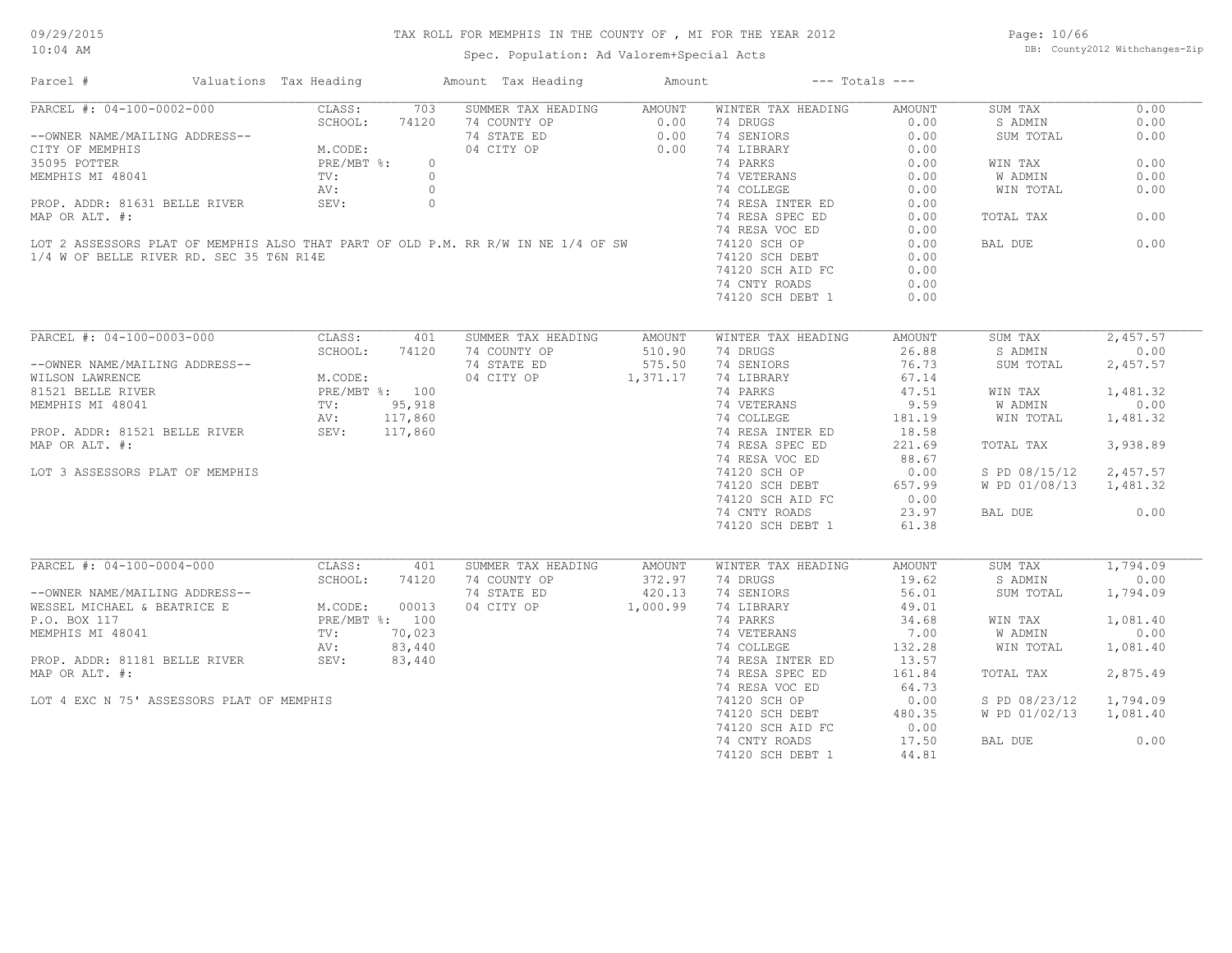Spec. Population: Ad Valorem+Special Acts

Page: 10/66 DB: County2012 Withchanges-Zip

| Parcel #                                                                          | Valuations Tax Heading |                | Amount Tax Heading | Amount        | $---$ Totals $---$ |               |                |          |
|-----------------------------------------------------------------------------------|------------------------|----------------|--------------------|---------------|--------------------|---------------|----------------|----------|
| PARCEL #: 04-100-0002-000                                                         | CLASS:                 | 703            | SUMMER TAX HEADING | <b>AMOUNT</b> | WINTER TAX HEADING | <b>AMOUNT</b> | SUM TAX        | 0.00     |
|                                                                                   | SCHOOL:                | 74120          | 74 COUNTY OP       | 0.00          | 74 DRUGS           | 0.00          | S ADMIN        | 0.00     |
| --OWNER NAME/MAILING ADDRESS--                                                    |                        |                | 74 STATE ED        | 0.00          | 74 SENIORS         | 0.00          | SUM TOTAL      | 0.00     |
| CITY OF MEMPHIS                                                                   | M.CODE:                |                | 04 CITY OP         | 0.00          | 74 LIBRARY         | 0.00          |                |          |
| 35095 POTTER                                                                      | PRE/MBT %:             | $\circ$        |                    |               | 74 PARKS           | 0.00          | WIN TAX        | 0.00     |
| MEMPHIS MI 48041                                                                  | TV:                    | $\circ$        |                    |               | 74 VETERANS        | 0.00          | <b>W ADMIN</b> | 0.00     |
|                                                                                   | AV:                    | $\circ$        |                    |               | 74 COLLEGE         | 0.00          | WIN TOTAL      | 0.00     |
| PROP. ADDR: 81631 BELLE RIVER                                                     | SEV:                   | $\circ$        |                    |               | 74 RESA INTER ED   | 0.00          |                |          |
| MAP OR ALT. #:                                                                    |                        |                |                    |               | 74 RESA SPEC ED    | 0.00          | TOTAL TAX      | 0.00     |
|                                                                                   |                        |                |                    |               | 74 RESA VOC ED     | 0.00          |                |          |
|                                                                                   |                        |                |                    |               |                    |               |                |          |
| LOT 2 ASSESSORS PLAT OF MEMPHIS ALSO THAT PART OF OLD P.M. RR R/W IN NE 1/4 OF SW |                        |                |                    |               | 74120 SCH OP       | 0.00          | BAL DUE        | 0.00     |
| 1/4 W OF BELLE RIVER RD. SEC 35 T6N R14E                                          |                        |                |                    |               | 74120 SCH DEBT     | 0.00          |                |          |
|                                                                                   |                        |                |                    |               | 74120 SCH AID FC   | 0.00          |                |          |
|                                                                                   |                        |                |                    |               | 74 CNTY ROADS      | 0.00          |                |          |
|                                                                                   |                        |                |                    |               | 74120 SCH DEBT 1   | 0.00          |                |          |
|                                                                                   |                        |                |                    |               |                    |               |                |          |
| PARCEL #: 04-100-0003-000                                                         | CLASS:                 | 401            | SUMMER TAX HEADING | <b>AMOUNT</b> | WINTER TAX HEADING | <b>AMOUNT</b> | SUM TAX        | 2,457.57 |
|                                                                                   | SCHOOL:                | 74120          | 74 COUNTY OP       | 510.90        | 74 DRUGS           | 26.88         | S ADMIN        | 0.00     |
| --OWNER NAME/MAILING ADDRESS--                                                    |                        |                | 74 STATE ED        | 575.50        | 74 SENIORS         | 76.73         | SUM TOTAL      | 2,457.57 |
| WILSON LAWRENCE                                                                   | M.CODE:                |                | 04 CITY OP         | 1,371.17      | 74 LIBRARY         | 67.14         |                |          |
| 81521 BELLE RIVER                                                                 |                        | PRE/MBT %: 100 |                    |               | 74 PARKS           | 47.51         | WIN TAX        | 1,481.32 |
| MEMPHIS MI 48041                                                                  | TV:                    | 95,918         |                    |               | 74 VETERANS        | 9.59          | <b>W ADMIN</b> | 0.00     |
|                                                                                   |                        | 117,860        |                    |               |                    | 181.19        | WIN TOTAL      |          |
|                                                                                   | AV:                    |                |                    |               | 74 COLLEGE         |               |                | 1,481.32 |
| PROP. ADDR: 81521 BELLE RIVER                                                     | SEV:                   | 117,860        |                    |               | 74 RESA INTER ED   | 18.58         |                |          |
| MAP OR ALT. #:                                                                    |                        |                |                    |               | 74 RESA SPEC ED    | 221.69        | TOTAL TAX      | 3,938.89 |
|                                                                                   |                        |                |                    |               | 74 RESA VOC ED     | 88.67         |                |          |
| LOT 3 ASSESSORS PLAT OF MEMPHIS                                                   |                        |                |                    |               | 74120 SCH OP       | 0.00          | S PD 08/15/12  | 2,457.57 |
|                                                                                   |                        |                |                    |               | 74120 SCH DEBT     | 657.99        | W PD 01/08/13  | 1,481.32 |
|                                                                                   |                        |                |                    |               | 74120 SCH AID FC   | 0.00          |                |          |
|                                                                                   |                        |                |                    |               | 74 CNTY ROADS      | 23.97         | BAL DUE        | 0.00     |
|                                                                                   |                        |                |                    |               | 74120 SCH DEBT 1   | 61.38         |                |          |
|                                                                                   |                        |                |                    |               |                    |               |                |          |
| PARCEL #: 04-100-0004-000                                                         | CLASS:                 | 401            | SUMMER TAX HEADING | AMOUNT        | WINTER TAX HEADING | <b>AMOUNT</b> | SUM TAX        | 1,794.09 |
|                                                                                   | SCHOOL:                | 74120          | 74 COUNTY OP       | 372.97        | 74 DRUGS           | 19.62         | S ADMIN        | 0.00     |
| --OWNER NAME/MAILING ADDRESS--                                                    |                        |                | 74 STATE ED        | 420.13        | 74 SENIORS         | 56.01         | SUM TOTAL      | 1,794.09 |
| WESSEL MICHAEL & BEATRICE E                                                       | M.CODE:                | 00013          | 04 CITY OP         | 1,000.99      | 74 LIBRARY         | 49.01         |                |          |
|                                                                                   |                        |                |                    |               |                    |               |                |          |
| P.O. BOX 117                                                                      |                        | PRE/MBT %: 100 |                    |               | 74 PARKS           | 34.68         | WIN TAX        | 1,081.40 |
| MEMPHIS MI 48041                                                                  | TV:                    | 70,023         |                    |               | 74 VETERANS        | 7.00          | W ADMIN        | 0.00     |
|                                                                                   | AV:                    | 83,440         |                    |               | 74 COLLEGE         | 132.28        | WIN TOTAL      | 1,081.40 |
| PROP. ADDR: 81181 BELLE RIVER                                                     | SEV:                   | 83,440         |                    |               | 74 RESA INTER ED   | 13.57         |                |          |
| MAP OR ALT. #:                                                                    |                        |                |                    |               | 74 RESA SPEC ED    | 161.84        | TOTAL TAX      | 2,875.49 |
|                                                                                   |                        |                |                    |               | 74 RESA VOC ED     | 64.73         |                |          |
| LOT 4 EXC N 75' ASSESSORS PLAT OF MEMPHIS                                         |                        |                |                    |               | 74120 SCH OP       | 0.00          | S PD 08/23/12  | 1,794.09 |
|                                                                                   |                        |                |                    |               | 74120 SCH DEBT     | 480.35        | W PD 01/02/13  | 1,081.40 |
|                                                                                   |                        |                |                    |               | 74120 SCH AID FC   | 0.00          |                |          |
|                                                                                   |                        |                |                    |               | 74 CNTY ROADS      | 17.50         | BAL DUE        | 0.00     |
|                                                                                   |                        |                |                    |               |                    |               |                |          |
|                                                                                   |                        |                |                    |               | 74120 SCH DEBT 1   | 44.81         |                |          |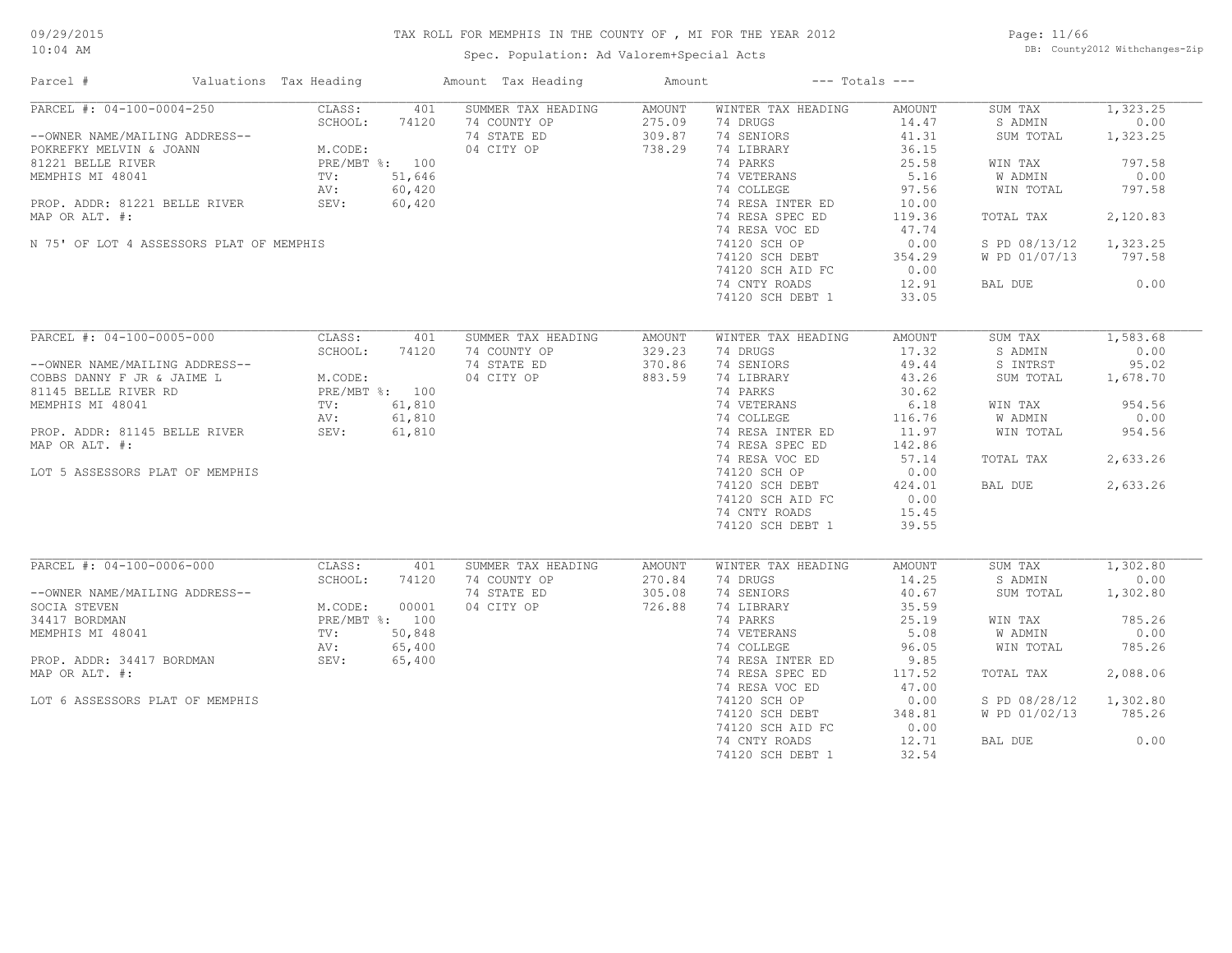Spec. Population: Ad Valorem+Special Acts

Page: 11/66 DB: County2012 Withchanges-Zip

| Parcel #                                                                                                                                                                                                                    | Valuations Tax Heading |                                                                      |                                                     | Amount Tax Heading                                              | Amount                                      |                                                                                                                                                                                                                                                         | $---$ Totals $---$                                                                                                                          |                                                                                                                              |                                                                                                    |
|-----------------------------------------------------------------------------------------------------------------------------------------------------------------------------------------------------------------------------|------------------------|----------------------------------------------------------------------|-----------------------------------------------------|-----------------------------------------------------------------|---------------------------------------------|---------------------------------------------------------------------------------------------------------------------------------------------------------------------------------------------------------------------------------------------------------|---------------------------------------------------------------------------------------------------------------------------------------------|------------------------------------------------------------------------------------------------------------------------------|----------------------------------------------------------------------------------------------------|
| PARCEL #: 04-100-0004-250<br>--OWNER NAME/MAILING ADDRESS--<br>POKREFKY MELVIN & JOANN<br>81221 BELLE RIVER<br>MEMPHIS MI 48041<br>PROP. ADDR: 81221 BELLE RIVER                                                            |                        | CLASS:<br>SCHOOL:<br>M.CODE:<br>PRE/MBT %: 100<br>TV:<br>AV:<br>SEV: | 401<br>74120<br>51,646<br>60,420<br>60,420          | SUMMER TAX HEADING<br>74 COUNTY OP<br>74 STATE ED<br>04 CITY OP | <b>AMOUNT</b><br>275.09<br>309.87<br>738.29 | WINTER TAX HEADING<br>74 DRUGS<br>74 SENIORS<br>74 LIBRARY<br>74 PARKS<br>74 VETERANS<br>74 COLLEGE<br>74 RESA INTER ED                                                                                                                                 | AMOUNT<br>14.47<br>41.31<br>36.15<br>25.58<br>5.16<br>97.56<br>10.00                                                                        | SUM TAX<br>S ADMIN<br>SUM TOTAL<br>WIN TAX<br>W ADMIN<br>WIN TOTAL                                                           | 1,323.25<br>0.00<br>1,323.25<br>797.58<br>0.00<br>797.58                                           |
| MAP OR ALT. #:<br>N 75' OF LOT 4 ASSESSORS PLAT OF MEMPHIS                                                                                                                                                                  |                        |                                                                      |                                                     |                                                                 |                                             | 74 RESA SPEC ED<br>74 RESA VOC ED<br>74120 SCH OP<br>74120 SCH DEBT<br>74120 SCH AID FC<br>74 CNTY ROADS<br>74120 SCH DEBT 1                                                                                                                            | 119.36<br>47.74<br>0.00<br>354.29<br>0.00<br>12.91<br>33.05                                                                                 | TOTAL TAX<br>S PD 08/13/12<br>W PD 01/07/13<br>BAL DUE                                                                       | 2,120.83<br>1,323.25<br>797.58<br>0.00                                                             |
| PARCEL #: 04-100-0005-000<br>--OWNER NAME/MAILING ADDRESS--<br>COBBS DANNY F JR & JAIME L<br>81145 BELLE RIVER RD<br>MEMPHIS MI 48041<br>PROP. ADDR: 81145 BELLE RIVER<br>MAP OR ALT. #:<br>LOT 5 ASSESSORS PLAT OF MEMPHIS |                        | CLASS:<br>SCHOOL:<br>M.CODE:<br>PRE/MBT %: 100<br>TV:<br>AV:<br>SEV: | 401<br>74120<br>61,810<br>61,810<br>61,810          | SUMMER TAX HEADING<br>74 COUNTY OP<br>74 STATE ED<br>04 CITY OP | <b>AMOUNT</b><br>329.23<br>370.86<br>883.59 | WINTER TAX HEADING<br>74 DRUGS<br>74 SENIORS<br>74 LIBRARY<br>74 PARKS<br>74 VETERANS<br>74 COLLEGE<br>74 RESA INTER ED<br>74 RESA SPEC ED<br>74 RESA VOC ED<br>74120 SCH OP<br>74120 SCH DEBT<br>74120 SCH AID FC<br>74 CNTY ROADS<br>74120 SCH DEBT 1 | <b>AMOUNT</b><br>17.32<br>49.44<br>43.26<br>30.62<br>6.18<br>116.76<br>11.97<br>142.86<br>57.14<br>0.00<br>424.01<br>0.00<br>15.45<br>39.55 | SUM TAX<br>S ADMIN<br>S INTRST<br>SUM TOTAL<br>WIN TAX<br>W ADMIN<br>WIN TOTAL<br>TOTAL TAX<br>BAL DUE                       | 1,583.68<br>0.00<br>95.02<br>1,678.70<br>954.56<br>0.00<br>954.56<br>2,633.26<br>2,633.26          |
| PARCEL #: 04-100-0006-000<br>--OWNER NAME/MAILING ADDRESS--<br>SOCIA STEVEN<br>34417 BORDMAN<br>MEMPHIS MI 48041<br>PROP. ADDR: 34417 BORDMAN<br>MAP OR ALT. #:<br>LOT 6 ASSESSORS PLAT OF MEMPHIS                          |                        | CLASS:<br>SCHOOL:<br>M.CODE:<br>PRE/MBT %: 100<br>TV:<br>AV:<br>SEV: | 401<br>74120<br>00001<br>50,848<br>65,400<br>65,400 | SUMMER TAX HEADING<br>74 COUNTY OP<br>74 STATE ED<br>04 CITY OP | <b>AMOUNT</b><br>270.84<br>305.08<br>726.88 | WINTER TAX HEADING<br>74 DRUGS<br>74 SENIORS<br>74 LIBRARY<br>74 PARKS<br>74 VETERANS<br>74 COLLEGE<br>74 RESA INTER ED<br>74 RESA SPEC ED<br>74 RESA VOC ED<br>74120 SCH OP<br>74120 SCH DEBT<br>74120 SCH AID FC<br>74 CNTY ROADS<br>74120 SCH DEBT 1 | AMOUNT<br>14.25<br>40.67<br>35.59<br>25.19<br>5.08<br>96.05<br>9.85<br>117.52<br>47.00<br>0.00<br>348.81<br>0.00<br>12.71<br>32.54          | SUM TAX<br>S ADMIN<br>SUM TOTAL<br>WIN TAX<br>W ADMIN<br>WIN TOTAL<br>TOTAL TAX<br>S PD 08/28/12<br>W PD 01/02/13<br>BAL DUE | 1,302.80<br>0.00<br>1,302.80<br>785.26<br>0.00<br>785.26<br>2,088.06<br>1,302.80<br>785.26<br>0.00 |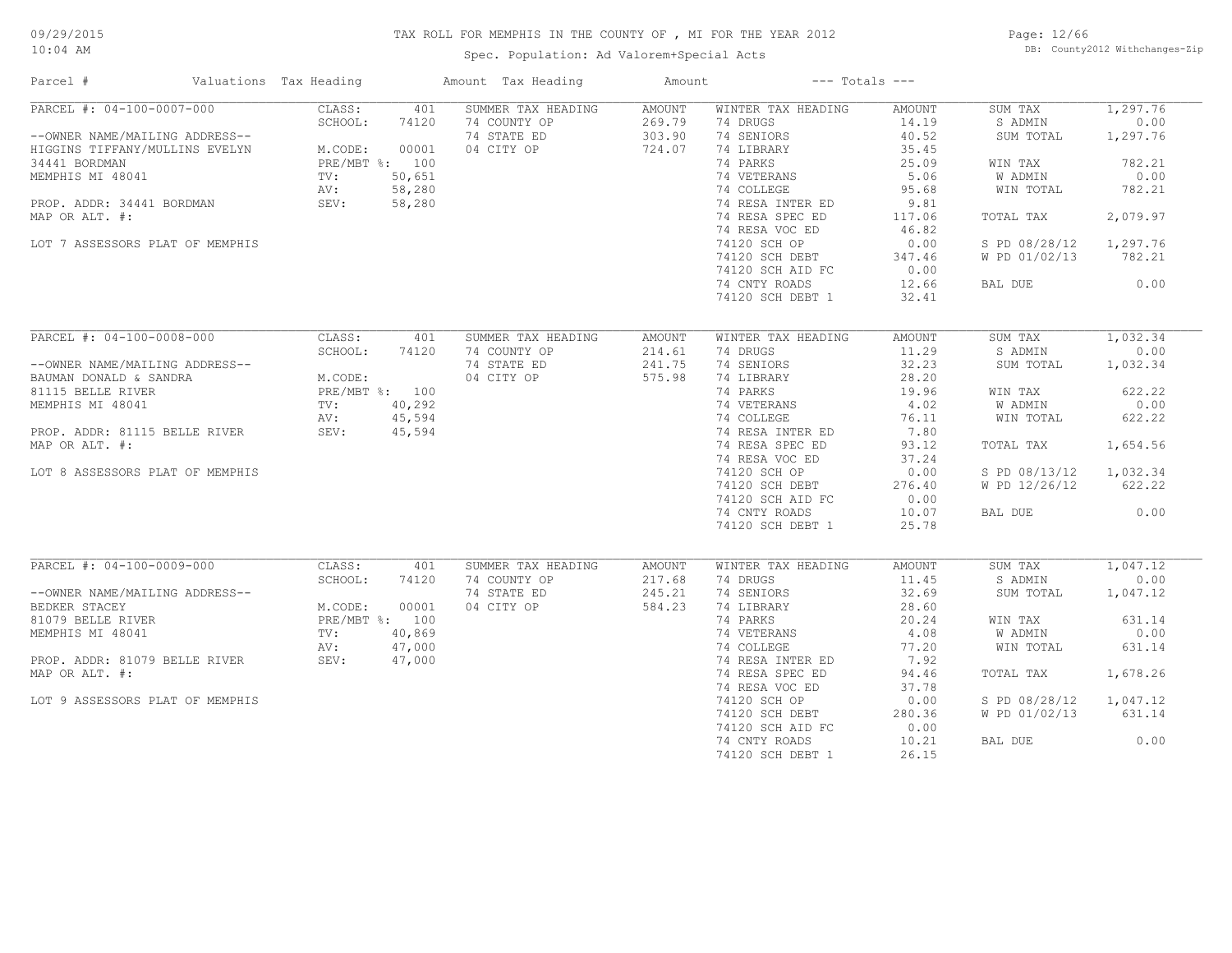Spec. Population: Ad Valorem+Special Acts

Page: 12/66 DB: County2012 Withchanges-Zip

| Parcel #                                                    | Valuations Tax Heading |              | Amount Tax Heading                                | Amount                     |                                              | $---$ Totals $---$              |                                 |                              |
|-------------------------------------------------------------|------------------------|--------------|---------------------------------------------------|----------------------------|----------------------------------------------|---------------------------------|---------------------------------|------------------------------|
| PARCEL #: 04-100-0007-000<br>--OWNER NAME/MAILING ADDRESS-- | CLASS:<br>SCHOOL:      | 401<br>74120 | SUMMER TAX HEADING<br>74 COUNTY OP<br>74 STATE ED | AMOUNT<br>269.79<br>303.90 | WINTER TAX HEADING<br>74 DRUGS<br>74 SENIORS | <b>AMOUNT</b><br>14.19<br>40.52 | SUM TAX<br>S ADMIN<br>SUM TOTAL | 1,297.76<br>0.00<br>1,297.76 |
| HIGGINS TIFFANY/MULLINS EVELYN                              | M.CODE:                | 00001        | 04 CITY OP                                        | 724.07                     | 74 LIBRARY                                   | 35.45                           |                                 |                              |
| 34441 BORDMAN                                               | PRE/MBT %: 100         |              |                                                   |                            | 74 PARKS                                     | 25.09                           | WIN TAX                         | 782.21                       |
| MEMPHIS MI 48041                                            | TV:                    | 50,651       |                                                   |                            | 74 VETERANS                                  | 5.06                            | W ADMIN                         | 0.00                         |
|                                                             | AV:                    | 58,280       |                                                   |                            | 74 COLLEGE                                   | 95.68                           | WIN TOTAL                       | 782.21                       |
| PROP. ADDR: 34441 BORDMAN                                   | SEV:                   | 58,280       |                                                   |                            | 74 RESA INTER ED<br>74 RESA SPEC ED          | 9.81                            | TOTAL TAX                       | 2,079.97                     |
| MAP OR ALT. #:                                              |                        |              |                                                   |                            |                                              | 117.06<br>46.82                 |                                 |                              |
|                                                             |                        |              |                                                   |                            | 74 RESA VOC ED                               |                                 |                                 | 1,297.76                     |
| LOT 7 ASSESSORS PLAT OF MEMPHIS                             |                        |              |                                                   |                            | 74120 SCH OP                                 | 0.00                            | S PD 08/28/12                   |                              |
|                                                             |                        |              |                                                   |                            | 74120 SCH DEBT                               | 347.46                          | W PD 01/02/13                   | 782.21                       |
|                                                             |                        |              |                                                   |                            | 74120 SCH AID FC                             | 0.00                            |                                 |                              |
|                                                             |                        |              |                                                   |                            | 74 CNTY ROADS                                | 12.66                           | BAL DUE                         | 0.00                         |
|                                                             |                        |              |                                                   |                            | 74120 SCH DEBT 1                             | 32.41                           |                                 |                              |
| PARCEL #: 04-100-0008-000                                   | CLASS:                 | 401          | SUMMER TAX HEADING                                | <b>AMOUNT</b>              | WINTER TAX HEADING                           | <b>AMOUNT</b>                   | SUM TAX                         | 1,032.34                     |
|                                                             | SCHOOL:                | 74120        | 74 COUNTY OP                                      | 214.61                     | 74 DRUGS                                     | 11.29                           | S ADMIN                         | 0.00                         |
| --OWNER NAME/MAILING ADDRESS--                              |                        |              | 74 STATE ED                                       | 241.75                     | 74 SENIORS                                   | 32.23                           | SUM TOTAL                       | 1,032.34                     |
| BAUMAN DONALD & SANDRA                                      | M.CODE:                |              | 04 CITY OP                                        | 575.98                     | 74 LIBRARY                                   | 28.20                           |                                 |                              |
| 81115 BELLE RIVER                                           | PRE/MBT %: 100         |              |                                                   |                            | 74 PARKS                                     | 19.96                           | WIN TAX                         | 622.22                       |
| MEMPHIS MI 48041                                            | TV:                    | 40,292       |                                                   |                            | 74 VETERANS                                  | 4.02                            | W ADMIN                         | 0.00                         |
|                                                             | AV:                    | 45,594       |                                                   |                            | 74 COLLEGE                                   | 76.11                           | WIN TOTAL                       | 622.22                       |
| PROP. ADDR: 81115 BELLE RIVER                               | SEV:                   | 45,594       |                                                   |                            | 74 RESA INTER ED                             | 7.80                            |                                 |                              |
| MAP OR ALT. #:                                              |                        |              |                                                   |                            | 74 RESA SPEC ED                              | 93.12                           | TOTAL TAX                       | 1,654.56                     |
|                                                             |                        |              |                                                   |                            | 74 RESA VOC ED                               | 37.24                           |                                 |                              |
| LOT 8 ASSESSORS PLAT OF MEMPHIS                             |                        |              |                                                   |                            | 74120 SCH OP                                 | 0.00                            | S PD 08/13/12                   | 1,032.34                     |
|                                                             |                        |              |                                                   |                            | 74120 SCH DEBT                               | 276.40                          | W PD 12/26/12                   | 622.22                       |
|                                                             |                        |              |                                                   |                            | 74120 SCH AID FC                             | 0.00                            |                                 |                              |
|                                                             |                        |              |                                                   |                            | 74 CNTY ROADS                                | 10.07                           | BAL DUE                         | 0.00                         |
|                                                             |                        |              |                                                   |                            | 74120 SCH DEBT 1                             | 25.78                           |                                 |                              |
|                                                             |                        |              |                                                   |                            |                                              |                                 |                                 |                              |
| PARCEL #: 04-100-0009-000                                   | CLASS:                 | 401          | SUMMER TAX HEADING                                | AMOUNT                     | WINTER TAX HEADING                           | <b>AMOUNT</b>                   | SUM TAX                         | 1,047.12                     |
|                                                             | SCHOOL:                | 74120        | 74 COUNTY OP                                      | 217.68                     | 74 DRUGS                                     | 11.45                           | S ADMIN                         | 0.00                         |
| --OWNER NAME/MAILING ADDRESS--                              |                        |              | 74 STATE ED                                       | 245.21                     | 74 SENIORS                                   | 32.69                           | SUM TOTAL                       | 1,047.12                     |
| BEDKER STACEY                                               | M.CODE:                | 00001        | 04 CITY OP                                        | 584.23                     | 74 LIBRARY                                   | 28.60                           |                                 |                              |
| 81079 BELLE RIVER                                           | PRE/MBT %: 100         |              |                                                   |                            | 74 PARKS                                     | 20.24                           | WIN TAX                         | 631.14                       |
| MEMPHIS MI 48041                                            | $\text{TV}$ :          | 40,869       |                                                   |                            | 74 VETERANS                                  | 4.08                            | W ADMIN                         | 0.00                         |
|                                                             | AV:                    | 47,000       |                                                   |                            | 74 COLLEGE                                   | 77.20                           | WIN TOTAL                       | 631.14                       |
| PROP. ADDR: 81079 BELLE RIVER                               | SEV:                   | 47,000       |                                                   |                            | 74 RESA INTER ED                             | 7.92                            |                                 |                              |
| MAP OR ALT. #:                                              |                        |              |                                                   |                            | 74 RESA SPEC ED                              | 94.46                           | TOTAL TAX                       | 1,678.26                     |
|                                                             |                        |              |                                                   |                            | 74 RESA VOC ED                               | 37.78                           |                                 |                              |
| LOT 9 ASSESSORS PLAT OF MEMPHIS                             |                        |              |                                                   |                            | 74120 SCH OP                                 | 0.00                            | S PD 08/28/12                   | 1,047.12                     |
|                                                             |                        |              |                                                   |                            | 74120 SCH DEBT                               | 280.36                          | W PD 01/02/13                   | 631.14                       |
|                                                             |                        |              |                                                   |                            | 74120 SCH AID FC                             | 0.00                            |                                 |                              |
|                                                             |                        |              |                                                   |                            | 74 CNTY ROADS                                | 10.21                           | BAL DUE                         | 0.00                         |
|                                                             |                        |              |                                                   |                            | 74120 SCH DEBT 1                             | 26.15                           |                                 |                              |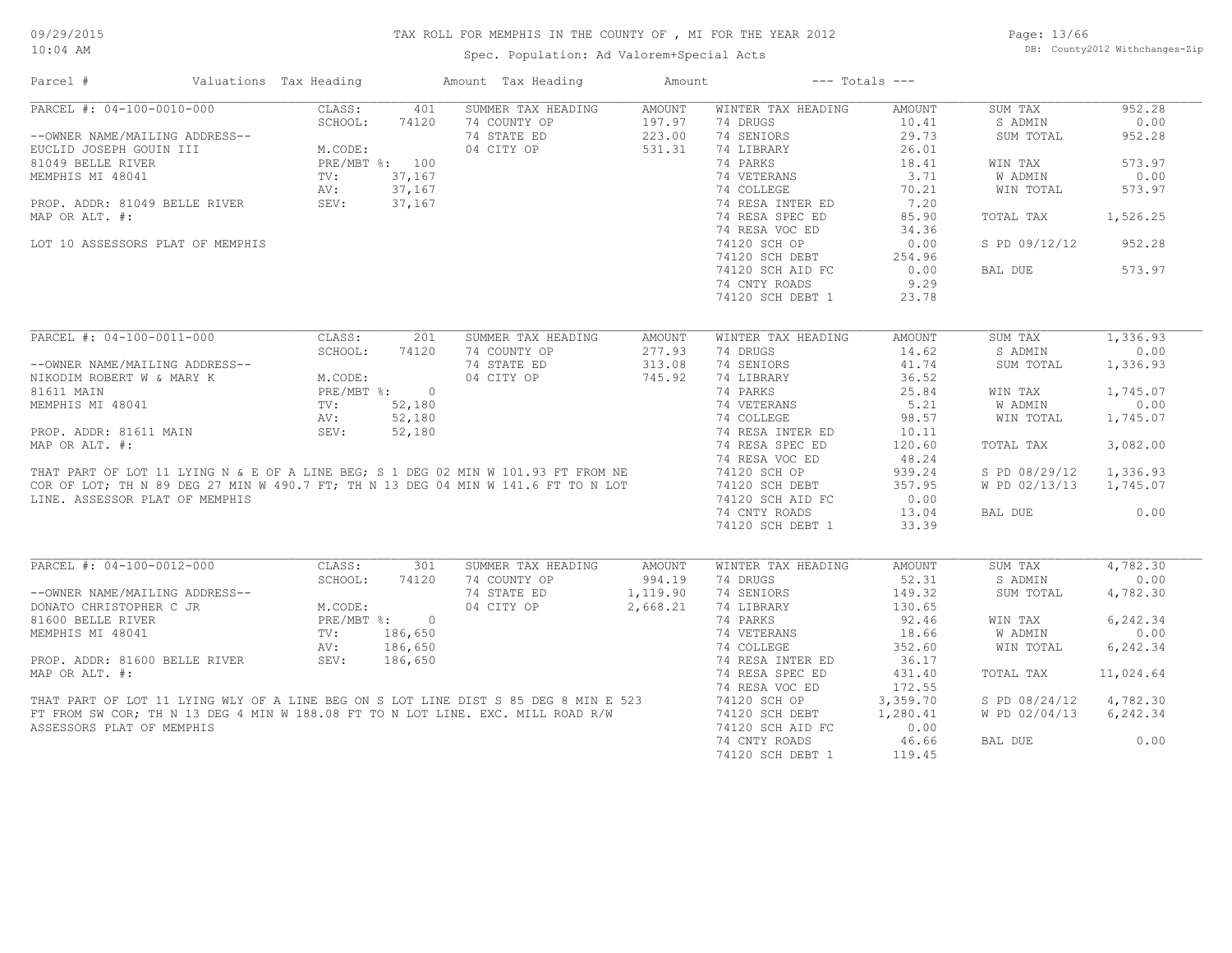Spec. Population: Ad Valorem+Special Acts

Page: 13/66 DB: County2012 Withchanges-Zip

| Parcel #                                                                                                                                                               | Valuations Tax Heading |                | Amount Tax Heading | Amount        |                    | $---$ Totals $---$ |               |           |
|------------------------------------------------------------------------------------------------------------------------------------------------------------------------|------------------------|----------------|--------------------|---------------|--------------------|--------------------|---------------|-----------|
| PARCEL #: 04-100-0010-000                                                                                                                                              | CLASS:                 | 401            | SUMMER TAX HEADING | <b>AMOUNT</b> | WINTER TAX HEADING | <b>AMOUNT</b>      | SUM TAX       | 952.28    |
|                                                                                                                                                                        | SCHOOL:                | 74120          | 74 COUNTY OP       | 197.97        | 74 DRUGS           | 10.41              | S ADMIN       | 0.00      |
| --OWNER NAME/MAILING ADDRESS--                                                                                                                                         |                        |                | 74 STATE ED        | 223.00        | 74 SENIORS         | 29.73              | SUM TOTAL     | 952.28    |
| EUCLID JOSEPH GOUIN III                                                                                                                                                | M.CODE:                |                | 04 CITY OP         | 531.31        | 74 LIBRARY         | 26.01              |               |           |
| 81049 BELLE RIVER                                                                                                                                                      |                        | PRE/MBT %: 100 |                    |               | 74 PARKS           | 18.41              | WIN TAX       | 573.97    |
| MEMPHIS MI 48041                                                                                                                                                       | TV:                    | 37,167         |                    |               | 74 VETERANS        | 3.71               | W ADMIN       | 0.00      |
|                                                                                                                                                                        | AV:                    | 37,167         |                    |               | 74 COLLEGE         | 70.21              | WIN TOTAL     | 573.97    |
| PROP. ADDR: 81049 BELLE RIVER                                                                                                                                          | AV:<br>SEV:            | 37,167         |                    |               | 74 RESA INTER ED   | 7.20               |               |           |
| MAP OR ALT. #:                                                                                                                                                         |                        |                |                    |               | 74 RESA SPEC ED    | 85.90              | TOTAL TAX     | 1,526.25  |
|                                                                                                                                                                        |                        |                |                    |               | 74 RESA VOC ED     | 34.36              |               |           |
| LOT 10 ASSESSORS PLAT OF MEMPHIS                                                                                                                                       |                        |                |                    |               | 74120 SCH OP       | 0.00               | S PD 09/12/12 | 952.28    |
|                                                                                                                                                                        |                        |                |                    |               |                    |                    |               |           |
|                                                                                                                                                                        |                        |                |                    |               | 74120 SCH DEBT     | 254.96             |               |           |
|                                                                                                                                                                        |                        |                |                    |               | 74120 SCH AID FC   | 0.00               | BAL DUE       | 573.97    |
|                                                                                                                                                                        |                        |                |                    |               | 74 CNTY ROADS      | 9.29               |               |           |
|                                                                                                                                                                        |                        |                |                    |               | 74120 SCH DEBT 1   | 23.78              |               |           |
|                                                                                                                                                                        |                        |                |                    |               |                    |                    |               |           |
| PARCEL #: 04-100-0011-000                                                                                                                                              | CLASS:                 | 201            | SUMMER TAX HEADING | <b>AMOUNT</b> | WINTER TAX HEADING | <b>AMOUNT</b>      | SUM TAX       | 1,336.93  |
|                                                                                                                                                                        | SCHOOL:                | 74120          | 74 COUNTY OP       | 277.93        | 74 DRUGS           | 14.62              | S ADMIN       | 0.00      |
| --OWNER NAME/MAILING ADDRESS--                                                                                                                                         |                        |                | 74 STATE ED        | 313.08        | 74 SENIORS         | 41.74              | SUM TOTAL     | 1,336.93  |
| NIKODIM ROBERT W & MARY K                                                                                                                                              | M.CODE:                |                | 04 CITY OP         | 745.92        | 74 LIBRARY         | 36.52              |               |           |
| 81611 MAIN                                                                                                                                                             | PRE/MBT %:             | $\overline{0}$ |                    |               | 74 PARKS           | 25.84              | WIN TAX       | 1,745.07  |
| MEMPHIS MI 48041                                                                                                                                                       | TV:                    | 52,180         |                    |               | 74 VETERANS        | 5.21               | W ADMIN       | 0.00      |
|                                                                                                                                                                        | AV:                    | 52,180         |                    |               | 74 COLLEGE         | 98.57              | WIN TOTAL     | 1,745.07  |
| PROP. ADDR: 81611 MAIN                                                                                                                                                 | SEV:                   | 52,180         |                    |               | 74 RESA INTER ED   | 10.11              |               |           |
| MAP OR ALT. #:                                                                                                                                                         |                        |                |                    |               | 74 RESA SPEC ED    | 120.60             | TOTAL TAX     | 3,082.00  |
|                                                                                                                                                                        |                        |                |                    |               | 74 RESA VOC ED     | 48.24              |               |           |
| THAT PART OF LOT 11 LYING N & E OF A LINE BEG; S 1 DEG 02 MIN W 101.93 FT FROM NE<br>COR OF LOT; TH N 89 DEG 27 MIN W 490.7 FT; TH N 13 DEG 04 MIN W 141.6 FT TO N LOT |                        |                |                    |               | 74120 SCH OP       | 939.24             | S PD 08/29/12 | 1,336.93  |
|                                                                                                                                                                        |                        |                |                    |               | 74120 SCH DEBT     | 357.95             | W PD 02/13/13 | 1,745.07  |
| LINE. ASSESSOR PLAT OF MEMPHIS                                                                                                                                         |                        |                |                    |               | 74120 SCH AID FC   | 0.00               |               |           |
|                                                                                                                                                                        |                        |                |                    |               |                    |                    |               |           |
|                                                                                                                                                                        |                        |                |                    |               | 74 CNTY ROADS      | 13.04              | BAL DUE       | 0.00      |
|                                                                                                                                                                        |                        |                |                    |               | 74120 SCH DEBT 1   | 33.39              |               |           |
|                                                                                                                                                                        |                        |                |                    |               |                    |                    |               |           |
| PARCEL #: 04-100-0012-000                                                                                                                                              | CLASS:                 | 301            | SUMMER TAX HEADING | AMOUNT        | WINTER TAX HEADING | <b>AMOUNT</b>      | SUM TAX       | 4,782.30  |
|                                                                                                                                                                        | SCHOOL:                | 74120          | 74 COUNTY OP       | 994.19        | 74 DRUGS           | 52.31              | S ADMIN       | 0.00      |
| --OWNER NAME/MAILING ADDRESS--                                                                                                                                         |                        |                | 74 STATE ED        | 1,119.90      | 74 SENIORS         | 149.32             | SUM TOTAL     | 4,782.30  |
| DONATO CHRISTOPHER C JR                                                                                                                                                | M.CODE:                |                | 04 CITY OP         | 2,668.21      | 74 LIBRARY         | 130.65             |               |           |
| 81600 BELLE RIVER                                                                                                                                                      |                        | PRE/MBT %: 0   |                    |               | 74 PARKS           | 92.46              | WIN TAX       | 6,242.34  |
| MEMPHIS MI 48041                                                                                                                                                       | TV:                    | 186,650        |                    |               | 74 VETERANS        | 18.66              | W ADMIN       | 0.00      |
|                                                                                                                                                                        | AV:                    | 186,650        |                    |               | 74 COLLEGE         | 352.60             | WIN TOTAL     | 6,242.34  |
| PROP. ADDR: 81600 BELLE RIVER                                                                                                                                          | SEV:                   | 186,650        |                    |               | 74 RESA INTER ED   | 36.17              |               |           |
| MAP OR ALT. #:                                                                                                                                                         |                        |                |                    |               | 74 RESA SPEC ED    | 431.40             | TOTAL TAX     | 11,024.64 |
|                                                                                                                                                                        |                        |                |                    |               | 74 RESA VOC ED     | 172.55             |               |           |
| THAT PART OF LOT 11 LYING WLY OF A LINE BEG ON S LOT LINE DIST S 85 DEG 8 MIN E 523                                                                                    |                        |                |                    |               | 74120 SCH OP       | 3,359.70           | S PD 08/24/12 | 4,782.30  |
| FT FROM SW COR; TH N 13 DEG 4 MIN W 188.08 FT TO N LOT LINE. EXC. MILL ROAD R/W                                                                                        |                        |                |                    |               | 74120 SCH DEBT     | 1,280.41           | W PD 02/04/13 | 6,242.34  |
| ASSESSORS PLAT OF MEMPHIS                                                                                                                                              |                        |                |                    |               | 74120 SCH AID FC   | 0.00               |               |           |
|                                                                                                                                                                        |                        |                |                    |               | 74 CNTY ROADS      | 46.66              | BAL DUE       | 0.00      |
|                                                                                                                                                                        |                        |                |                    |               | 74120 SCH DEBT 1   | 119.45             |               |           |
|                                                                                                                                                                        |                        |                |                    |               |                    |                    |               |           |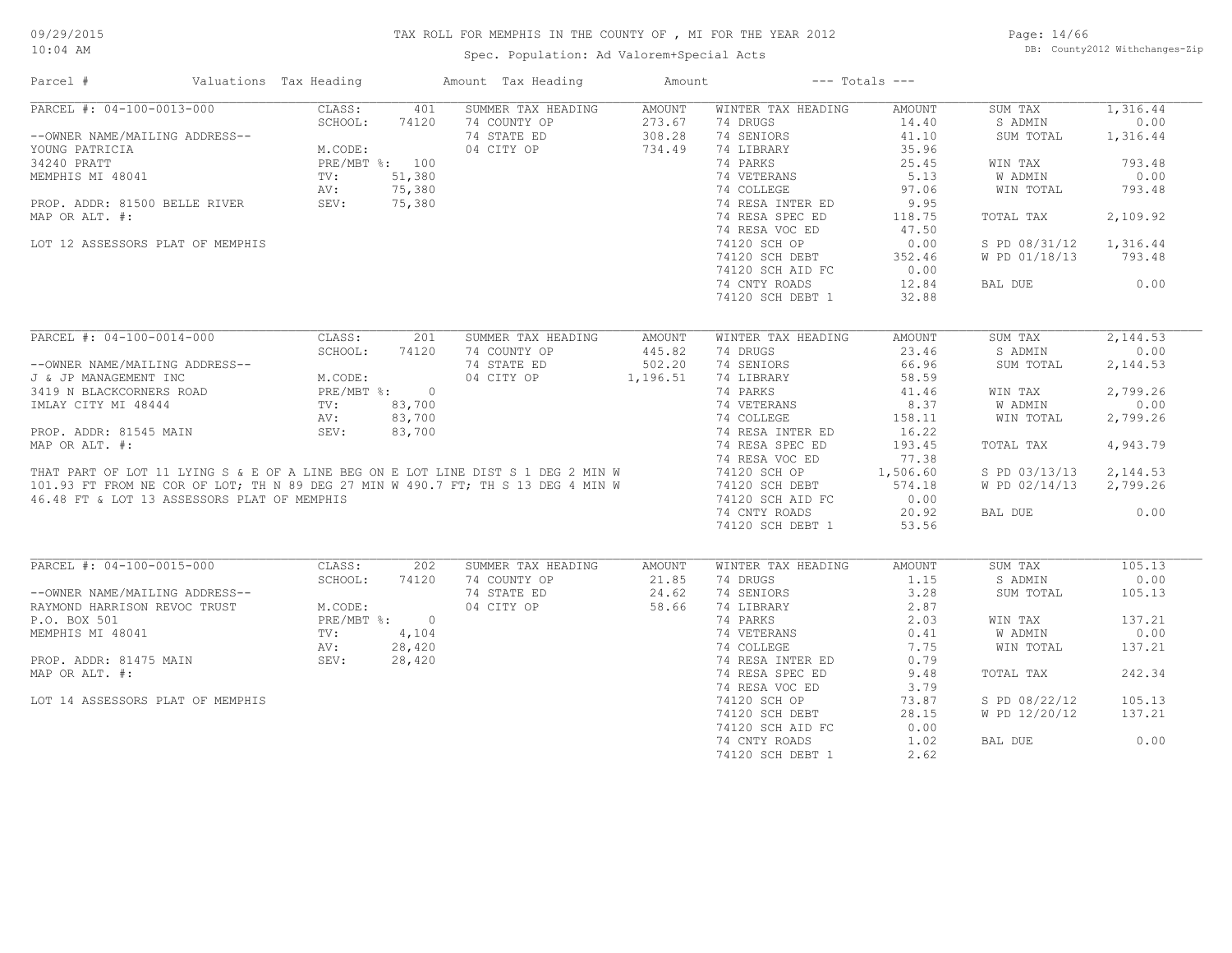Spec. Population: Ad Valorem+Special Acts

Page: 14/66 DB: County2012 Withchanges-Zip

| Parcel #<br>Valuations Tax Heading                                                                                                                                   |                                   |        | Amount Tax Heading                 | Amount          |                                | $---$ Totals $---$    |                    |          |
|----------------------------------------------------------------------------------------------------------------------------------------------------------------------|-----------------------------------|--------|------------------------------------|-----------------|--------------------------------|-----------------------|--------------------|----------|
| PARCEL #: 04-100-0013-000                                                                                                                                            | CLASS:                            | 401    | SUMMER TAX HEADING                 | AMOUNT          | WINTER TAX HEADING             | <b>AMOUNT</b>         | SUM TAX            | 1,316.44 |
|                                                                                                                                                                      | SCHOOL:                           | 74120  | 74 COUNTY OP                       | 273.67          | 74 DRUGS                       | 14.40                 | S ADMIN            | 0.00     |
| --OWNER NAME/MAILING ADDRESS--                                                                                                                                       |                                   |        | 74 STATE ED                        | 308.28          | 74 SENIORS                     | 41.10                 | SUM TOTAL          | 1,316.44 |
| YOUNG PATRICIA                                                                                                                                                       | M.CODE:                           |        | 04 CITY OP                         | 734.49          | 74 LIBRARY                     | 35.96                 |                    |          |
| 34240 PRATT                                                                                                                                                          | PRE/MBT %: 100                    |        |                                    |                 | 74 PARKS                       | 25.45                 | WIN TAX            | 793.48   |
| MEMPHIS MI 48041                                                                                                                                                     | TV:                               | 51,380 |                                    |                 | 74 VETERANS                    | 5.13                  | W ADMIN            | 0.00     |
|                                                                                                                                                                      | AV:                               | 75,380 |                                    |                 | 74 COLLEGE                     | 97.06                 | WIN TOTAL          | 793.48   |
| PROP. ADDR: 81500 BELLE RIVER                                                                                                                                        | AV:<br>SEV:                       | 75,380 |                                    |                 | 74 RESA INTER ED               | 9.95                  |                    |          |
| MAP OR ALT. #:                                                                                                                                                       |                                   |        |                                    |                 | 74 RESA SPEC ED                | 118.75                | TOTAL TAX          | 2,109.92 |
|                                                                                                                                                                      |                                   |        |                                    |                 | 74 RESA VOC ED                 | 47.50                 |                    |          |
| LOT 12 ASSESSORS PLAT OF MEMPHIS                                                                                                                                     |                                   |        |                                    |                 | 74120 SCH OP                   | 0.00                  | S PD 08/31/12      | 1,316.44 |
|                                                                                                                                                                      |                                   |        |                                    |                 | 74120 SCH DEBT                 | 352.46                | W PD 01/18/13      | 793.48   |
|                                                                                                                                                                      |                                   |        |                                    |                 | 74120 SCH AID FC               | 0.00                  |                    |          |
|                                                                                                                                                                      |                                   |        |                                    |                 | 74 CNTY ROADS                  | 12.84                 | BAL DUE            | 0.00     |
|                                                                                                                                                                      |                                   |        |                                    |                 |                                |                       |                    |          |
|                                                                                                                                                                      |                                   |        |                                    |                 | 74120 SCH DEBT 1               | 32.88                 |                    |          |
| PARCEL #: 04-100-0014-000                                                                                                                                            | CLASS:                            | 201    | SUMMER TAX HEADING                 | AMOUNT          | WINTER TAX HEADING             | <b>AMOUNT</b>         | SUM TAX            | 2,144.53 |
|                                                                                                                                                                      | SCHOOL:                           | 74120  | 74 COUNTY OP                       | 445.82          | 74 DRUGS                       | 23.46                 | S ADMIN            | 0.00     |
| --OWNER NAME/MAILING ADDRESS--                                                                                                                                       |                                   |        | 74 STATE ED                        | 502.20          | 74 SENIORS                     | 66.96                 | SUM TOTAL          | 2,144.53 |
| J & JP MANAGEMENT INC                                                                                                                                                |                                   |        | 04 CITY OP                         | 1,196.51        | 74 LIBRARY                     | 58.59                 |                    |          |
| 3419 N BLACKCORNERS ROAD                                                                                                                                             | M.CODE:<br>PRE/MBT %: 0<br>83.700 |        |                                    |                 | 74 PARKS                       | 41.46                 | WIN TAX            | 2,799.26 |
| IMLAY CITY MI 48444                                                                                                                                                  | TV:                               |        |                                    |                 | 74 VETERANS                    | 8.37                  | W ADMIN            | 0.00     |
|                                                                                                                                                                      |                                   | 83,700 |                                    |                 |                                |                       |                    |          |
|                                                                                                                                                                      | AV:                               | 83,700 |                                    |                 | 74 COLLEGE                     | 158.11                | WIN TOTAL          | 2,799.26 |
| PROP. ADDR: 81545 MAIN                                                                                                                                               | SEV:                              | 83,700 |                                    |                 | 74 RESA INTER ED               | 16.22                 |                    |          |
| MAP OR ALT. #:                                                                                                                                                       |                                   |        |                                    |                 | 74 RESA SPEC ED                | 193.45                | TOTAL TAX          | 4,943.79 |
|                                                                                                                                                                      |                                   |        |                                    |                 | 74 RESA VOC ED                 | 77.38                 |                    |          |
| THAT PART OF LOT 11 LYING S & E OF A LINE BEG ON E LOT LINE DIST S 1 DEG 2 MIN W<br>101.93 FT FROM NE COR OF LOT; TH N 89 DEG 27 MIN W 490.7 FT; TH S 13 DEG 4 MIN W |                                   |        |                                    |                 | 74120 SCH OP                   | 1,506.60              | S PD 03/13/13      | 2,144.53 |
|                                                                                                                                                                      |                                   |        |                                    |                 | 74120 SCH DEBT                 | 574.18                | W PD 02/14/13      | 2,799.26 |
| 46.48 FT & LOT 13 ASSESSORS PLAT OF MEMPHIS                                                                                                                          |                                   |        |                                    |                 | 74120 SCH AID FC               | 0.00                  |                    |          |
|                                                                                                                                                                      |                                   |        |                                    |                 | 74 CNTY ROADS                  | 20.92                 | BAL DUE            | 0.00     |
|                                                                                                                                                                      |                                   |        |                                    |                 | 74120 SCH DEBT 1               | 53.56                 |                    |          |
| PARCEL #: 04-100-0015-000                                                                                                                                            | CLASS:                            | 202    |                                    |                 |                                |                       |                    | 105.13   |
|                                                                                                                                                                      | SCHOOL:                           | 74120  | SUMMER TAX HEADING<br>74 COUNTY OP | AMOUNT<br>21.85 | WINTER TAX HEADING<br>74 DRUGS | <b>AMOUNT</b><br>1.15 | SUM TAX<br>S ADMIN | 0.00     |
|                                                                                                                                                                      |                                   |        |                                    |                 |                                |                       |                    |          |
| --OWNER NAME/MAILING ADDRESS--                                                                                                                                       |                                   |        | 74 STATE ED                        | 24.62           | 74 SENIORS                     | 3.28                  | SUM TOTAL          | 105.13   |
| RAYMOND HARRISON REVOC TRUST                                                                                                                                         | M.CODE:                           |        | 04 CITY OP                         | 58.66           | 74 LIBRARY                     | 2.87                  |                    |          |
| P.O. BOX 501                                                                                                                                                         | PRE/MBT %: 0                      |        |                                    |                 | 74 PARKS                       | 2.03                  | WIN TAX            | 137.21   |
| MEMPHIS MI 48041                                                                                                                                                     | TV:                               | 4,104  |                                    |                 | 74 VETERANS                    | 0.41                  | W ADMIN            | 0.00     |
|                                                                                                                                                                      | AV:                               | 28,420 |                                    |                 | 74 COLLEGE                     | 7.75                  | WIN TOTAL          | 137.21   |
| PROP. ADDR: 81475 MAIN                                                                                                                                               | SEV:                              | 28,420 |                                    |                 | 74 RESA INTER ED               | 0.79                  |                    |          |
| MAP OR ALT. #:                                                                                                                                                       |                                   |        |                                    |                 | 74 RESA SPEC ED                | 9.48                  | TOTAL TAX          | 242.34   |
|                                                                                                                                                                      |                                   |        |                                    |                 | 74 RESA VOC ED                 | 3.79                  |                    |          |
| LOT 14 ASSESSORS PLAT OF MEMPHIS                                                                                                                                     |                                   |        |                                    |                 | 74120 SCH OP                   | 73.87                 | S PD 08/22/12      | 105.13   |
|                                                                                                                                                                      |                                   |        |                                    |                 | 74120 SCH DEBT                 | 28.15                 | W PD 12/20/12      | 137.21   |
|                                                                                                                                                                      |                                   |        |                                    |                 | 74120 SCH AID FC               | 0.00                  |                    |          |
|                                                                                                                                                                      |                                   |        |                                    |                 | 74 CNTY ROADS                  | 1.02                  | BAL DUE            | 0.00     |
|                                                                                                                                                                      |                                   |        |                                    |                 | 74120 SCH DEBT 1               | 2.62                  |                    |          |
|                                                                                                                                                                      |                                   |        |                                    |                 |                                |                       |                    |          |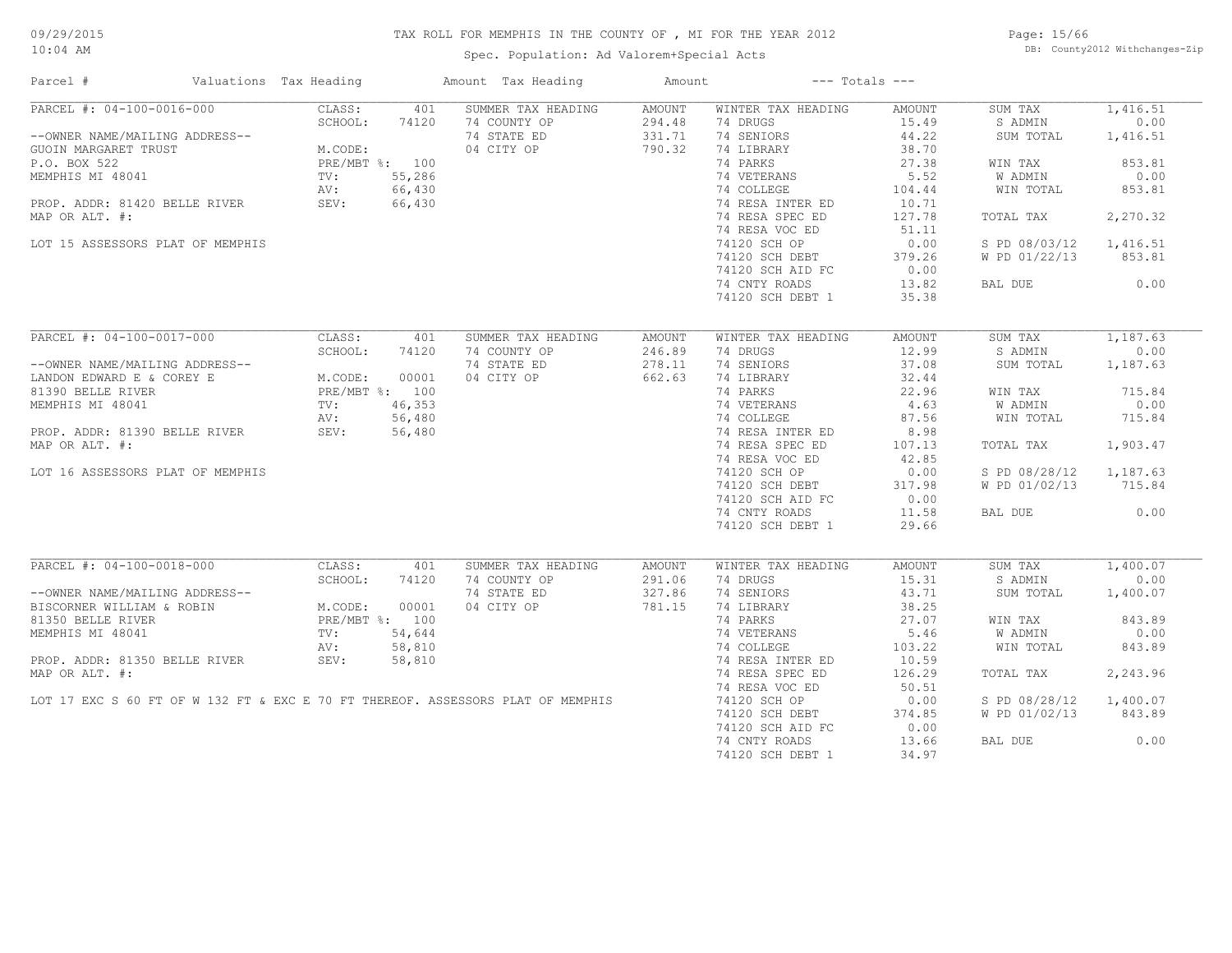Spec. Population: Ad Valorem+Special Acts

Page: 15/66 DB: County2012 Withchanges-Zip

| Parcel #                                                                        | Valuations Tax Heading |              | Amount Tax Heading                 | Amount                  |                                | $---$ Totals $---$ |                    |          |
|---------------------------------------------------------------------------------|------------------------|--------------|------------------------------------|-------------------------|--------------------------------|--------------------|--------------------|----------|
| PARCEL #: 04-100-0016-000                                                       | CLASS:                 | 401          | SUMMER TAX HEADING                 | <b>AMOUNT</b>           | WINTER TAX HEADING             | AMOUNT             | SUM TAX            | 1,416.51 |
|                                                                                 | SCHOOL:                | 74120        | 74 COUNTY OP                       | 294.48                  | 74 DRUGS                       | 15.49              | S ADMIN            | 0.00     |
| --OWNER NAME/MAILING ADDRESS--                                                  |                        |              | 74 STATE ED                        | 331.71                  | 74 SENIORS                     | 44.22              | SUM TOTAL          | 1,416.51 |
| GUOIN MARGARET TRUST                                                            | M.CODE:                |              | 04 CITY OP                         | 790.32                  | 74 LIBRARY                     | 38.70              |                    |          |
| P.O. BOX 522                                                                    | PRE/MBT %: 100         |              |                                    |                         | 74 PARKS                       | 27.38              | WIN TAX            | 853.81   |
| MEMPHIS MI 48041                                                                | TV:                    | 55,286       |                                    |                         | 74 VETERANS                    | 5.52               | W ADMIN            | 0.00     |
|                                                                                 | AV:                    | 66,430       |                                    |                         | 74 COLLEGE                     | 104.44             | WIN TOTAL          | 853.81   |
| PROP. ADDR: 81420 BELLE RIVER                                                   | SEV:                   | 66,430       |                                    |                         | 74 RESA INTER ED               | 10.71              |                    |          |
| MAP OR ALT. #:                                                                  |                        |              |                                    |                         | 74 RESA SPEC ED                | 127.78             | TOTAL TAX          | 2,270.32 |
|                                                                                 |                        |              |                                    |                         | 74 RESA VOC ED                 | 51.11              |                    |          |
| LOT 15 ASSESSORS PLAT OF MEMPHIS                                                |                        |              |                                    |                         | 74120 SCH OP                   | 0.00               | S PD 08/03/12      | 1,416.51 |
|                                                                                 |                        |              |                                    |                         | 74120 SCH DEBT                 | 379.26             | W PD 01/22/13      | 853.81   |
|                                                                                 |                        |              |                                    |                         |                                |                    |                    |          |
|                                                                                 |                        |              |                                    |                         | 74120 SCH AID FC               | 0.00               |                    |          |
|                                                                                 |                        |              |                                    |                         | 74 CNTY ROADS                  | 13.82              | BAL DUE            | 0.00     |
|                                                                                 |                        |              |                                    |                         | 74120 SCH DEBT 1               | 35.38              |                    |          |
|                                                                                 |                        |              |                                    |                         |                                |                    |                    |          |
| PARCEL #: 04-100-0017-000                                                       | CLASS:                 | 401          | SUMMER TAX HEADING                 | <b>AMOUNT</b>           | WINTER TAX HEADING             | AMOUNT             | SUM TAX            | 1,187.63 |
|                                                                                 | SCHOOL:                | 74120        | 74 COUNTY OP                       | 246.89                  | 74 DRUGS                       | 12.99              | S ADMIN            | 0.00     |
| --OWNER NAME/MAILING ADDRESS--                                                  |                        |              | 74 STATE ED                        | 278.11                  | 74 SENIORS                     | 37.08              | SUM TOTAL          | 1,187.63 |
| LANDON EDWARD E & COREY E                                                       | M.CODE:                | 00001        | 04 CITY OP                         | 662.63                  | 74 LIBRARY                     | 32.44              |                    |          |
| 81390 BELLE RIVER                                                               | PRE/MBT %: 100         |              |                                    |                         | 74 PARKS                       | 22.96              | WIN TAX            | 715.84   |
| MEMPHIS MI 48041                                                                | $\texttt{TV}$ :        | 46,353       |                                    |                         | 74 VETERANS                    | 4.63               | W ADMIN            | 0.00     |
|                                                                                 | AV:                    | 56,480       |                                    |                         | 74 COLLEGE                     | 87.56              | WIN TOTAL          | 715.84   |
| PROP. ADDR: 81390 BELLE RIVER                                                   | SEV:                   | 56,480       |                                    |                         | 74 RESA INTER ED               | 8.98               |                    |          |
| MAP OR ALT. #:                                                                  |                        |              |                                    |                         | 74 RESA SPEC ED                | 107.13             | TOTAL TAX          | 1,903.47 |
|                                                                                 |                        |              |                                    |                         | 74 RESA VOC ED                 | 42.85              |                    |          |
| LOT 16 ASSESSORS PLAT OF MEMPHIS                                                |                        |              |                                    |                         | 74120 SCH OP                   | 0.00               | S PD 08/28/12      | 1,187.63 |
|                                                                                 |                        |              |                                    |                         | 74120 SCH DEBT                 | 317.98             | W PD 01/02/13      | 715.84   |
|                                                                                 |                        |              |                                    |                         | 74120 SCH AID FC               | 0.00               |                    |          |
|                                                                                 |                        |              |                                    |                         | 74 CNTY ROADS                  | 11.58              | BAL DUE            | 0.00     |
|                                                                                 |                        |              |                                    |                         |                                |                    |                    |          |
|                                                                                 |                        |              |                                    |                         | 74120 SCH DEBT 1               | 29.66              |                    |          |
| PARCEL #: 04-100-0018-000                                                       |                        |              |                                    |                         |                                |                    |                    | 1,400.07 |
|                                                                                 | CLASS:<br>SCHOOL:      | 401<br>74120 | SUMMER TAX HEADING<br>74 COUNTY OP | <b>AMOUNT</b><br>291.06 | WINTER TAX HEADING<br>74 DRUGS | AMOUNT<br>15.31    | SUM TAX<br>S ADMIN | 0.00     |
| --OWNER NAME/MAILING ADDRESS--                                                  |                        |              | 74 STATE ED                        | 327.86                  | 74 SENIORS                     | 43.71              | SUM TOTAL          |          |
|                                                                                 |                        |              |                                    |                         |                                |                    |                    | 1,400.07 |
| BISCORNER WILLIAM & ROBIN                                                       | M.CODE:                | 00001        | 04 CITY OP                         | 781.15                  | 74 LIBRARY                     | 38.25              |                    |          |
| 81350 BELLE RIVER                                                               | PRE/MBT %: 100         |              |                                    |                         | 74 PARKS                       | 27.07              | WIN TAX            | 843.89   |
| MEMPHIS MI 48041                                                                | $\text{TV}$ :          | 54,644       |                                    |                         | 74 VETERANS                    | 5.46               | W ADMIN            | 0.00     |
|                                                                                 | AV:                    | 58,810       |                                    |                         | 74 COLLEGE                     | 103.22             | WIN TOTAL          | 843.89   |
| PROP. ADDR: 81350 BELLE RIVER                                                   | SEV:                   | 58,810       |                                    |                         | 74 RESA INTER ED               | 10.59              |                    |          |
| MAP OR ALT. #:                                                                  |                        |              |                                    |                         | 74 RESA SPEC ED                | 126.29             | TOTAL TAX          | 2,243.96 |
|                                                                                 |                        |              |                                    |                         | 74 RESA VOC ED                 | 50.51              |                    |          |
| LOT 17 EXC S 60 FT OF W 132 FT & EXC E 70 FT THEREOF. ASSESSORS PLAT OF MEMPHIS |                        |              |                                    |                         | 74120 SCH OP                   | 0.00               | S PD 08/28/12      | 1,400.07 |
|                                                                                 |                        |              |                                    |                         | 74120 SCH DEBT                 | 374.85             | W PD 01/02/13      | 843.89   |
|                                                                                 |                        |              |                                    |                         | 74120 SCH AID FC               | 0.00               |                    |          |
|                                                                                 |                        |              |                                    |                         | 74 CNTY ROADS                  | 13.66              | BAL DUE            | 0.00     |
|                                                                                 |                        |              |                                    |                         | 74120 SCH DEBT 1               | 34.97              |                    |          |
|                                                                                 |                        |              |                                    |                         |                                |                    |                    |          |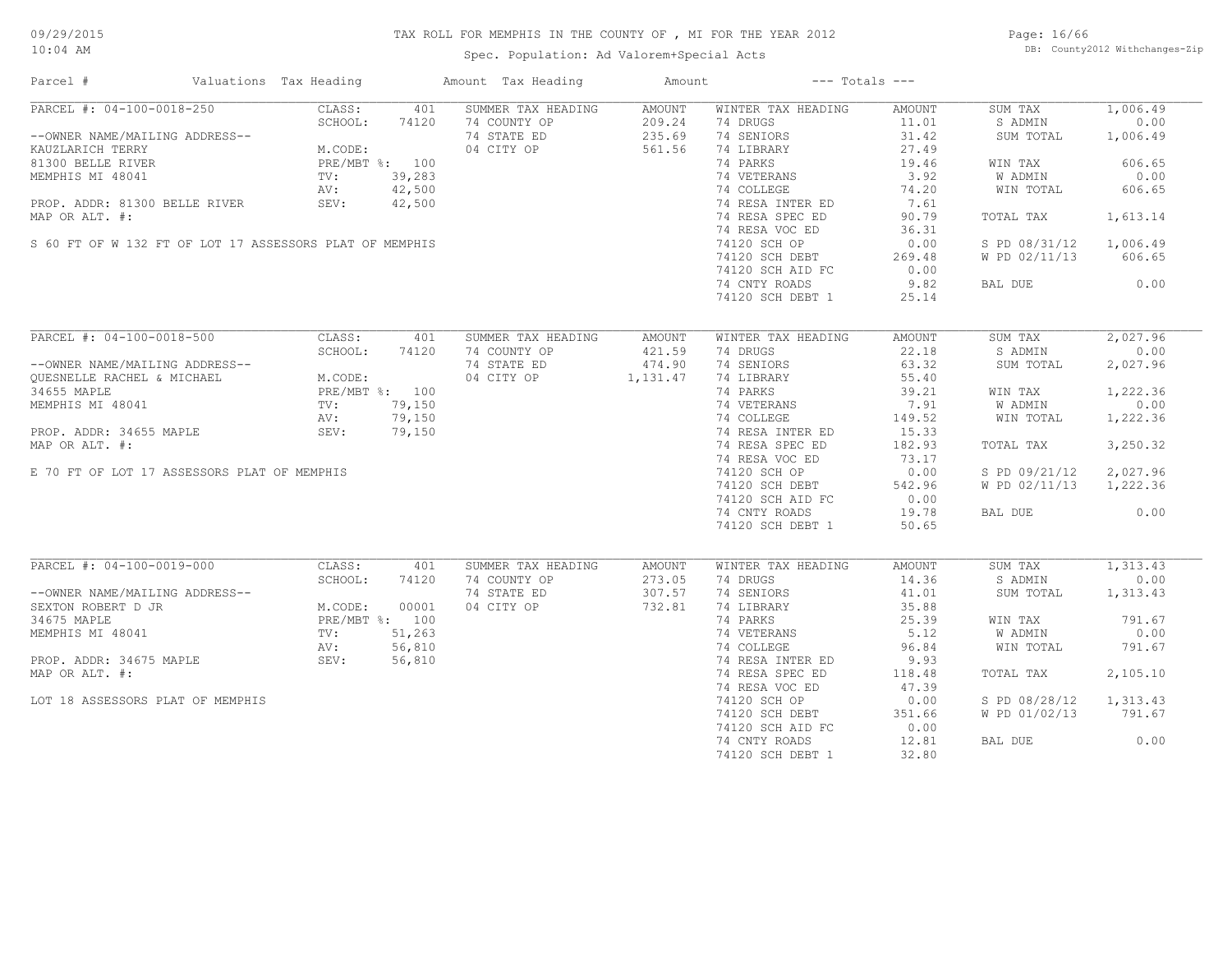Spec. Population: Ad Valorem+Special Acts

Page: 16/66 DB: County2012 Withchanges-Zip

| Parcel #                                                                                                                                                                                           | Valuations Tax Heading |                                         |        | Amount Tax Heading | Amount   |                    | $---$ Totals $---$ |                        |          |
|----------------------------------------------------------------------------------------------------------------------------------------------------------------------------------------------------|------------------------|-----------------------------------------|--------|--------------------|----------|--------------------|--------------------|------------------------|----------|
| PARCEL #: 04-100-0018-250                                                                                                                                                                          |                        | CLASS:                                  | 401    | SUMMER TAX HEADING | AMOUNT   | WINTER TAX HEADING | AMOUNT             | SUM TAX                | 1,006.49 |
|                                                                                                                                                                                                    |                        | SCHOOL:                                 | 74120  | 74 COUNTY OP       | 209.24   | 74 DRUGS           | 11.01              | S ADMIN                | 0.00     |
| --OWNER NAME/MAILING ADDRESS--                                                                                                                                                                     |                        |                                         |        | 74 STATE ED        | 235.69   | 74 SENIORS         | 31.42              | SUM TOTAL              | 1,006.49 |
| KAUZLARICH TERRY                                                                                                                                                                                   |                        | M.CODE:<br>PRE/MBT %: 100               |        | 04 CITY OP         | 561.56   | 74 LIBRARY         | 27.49              |                        |          |
| 81300 BELLE RIVER                                                                                                                                                                                  |                        |                                         |        |                    |          | 74 PARKS           | 19.46              | WIN TAX                | 606.65   |
| MEMPHIS MI 48041                                                                                                                                                                                   |                        | TV:                                     | 39,283 |                    |          | 74 VETERANS        | 3.92               | W ADMIN                | 0.00     |
|                                                                                                                                                                                                    |                        | $\frac{1}{N}$ :<br>AV:<br>$\frac{1}{N}$ | 42,500 |                    |          | 74 COLLEGE         | 74.20              | WIN TOTAL              | 606.65   |
| PROP. ADDR: 81300 BELLE RIVER                                                                                                                                                                      |                        |                                         | 42,500 |                    |          | 74 RESA INTER ED   | 7.61               |                        |          |
|                                                                                                                                                                                                    |                        | SEV:                                    |        |                    |          |                    |                    |                        |          |
| MAP OR ALT. #:                                                                                                                                                                                     |                        |                                         |        |                    |          | 74 RESA SPEC ED    | 90.79              | TOTAL TAX              | 1,613.14 |
|                                                                                                                                                                                                    |                        |                                         |        |                    |          | 74 RESA VOC ED     | 36.31              |                        |          |
| S 60 FT OF W 132 FT OF LOT 17 ASSESSORS PLAT OF MEMPHIS                                                                                                                                            |                        |                                         |        |                    |          | 74120 SCH OP       | 0.00               | S PD 08/31/12          | 1,006.49 |
|                                                                                                                                                                                                    |                        |                                         |        |                    |          | 74120 SCH DEBT     | 269.48             | W PD 02/11/13          | 606.65   |
|                                                                                                                                                                                                    |                        |                                         |        |                    |          | 74120 SCH AID FC   | 0.00               |                        |          |
|                                                                                                                                                                                                    |                        |                                         |        |                    |          | 74 CNTY ROADS      | 9.82               | BAL DUE                | 0.00     |
|                                                                                                                                                                                                    |                        |                                         |        |                    |          | 74120 SCH DEBT 1   | 25.14              |                        |          |
|                                                                                                                                                                                                    |                        |                                         |        |                    |          |                    |                    |                        |          |
| PARCEL #: 04-100-0018-500                                                                                                                                                                          |                        | CLASS:                                  | 401    | SUMMER TAX HEADING | AMOUNT   | WINTER TAX HEADING | AMOUNT             | SUM TAX                | 2,027.96 |
| ARCEL #: 03 - .<br>--OWNER NAME/MAILING ADDRESS--<br>QUESNELLE RACHEL & MICHAEL M.CODE:<br>34655 MAPLE PRE/MBT %: 100<br>--------- MI 48041 TV: 79,150<br>AV: 79,150<br>SEV: 79,156<br>SEV: 79,156 |                        |                                         |        | 74 COUNTY OP       | 421.59   | 74 DRUGS           | 22.18              | S ADMIN                | 0.00     |
|                                                                                                                                                                                                    |                        |                                         |        | 74 STATE ED        | 474.90   | 74 SENIORS         | 63.32              | SUM TOTAL              | 2,027.96 |
|                                                                                                                                                                                                    |                        |                                         |        | 04 CITY OP         |          | 74 LIBRARY         | 55.40              |                        |          |
|                                                                                                                                                                                                    |                        |                                         |        |                    | 1,131.47 |                    |                    |                        |          |
|                                                                                                                                                                                                    |                        |                                         |        |                    |          | 74 PARKS           | 39.21              | WIN TAX                | 1,222.36 |
|                                                                                                                                                                                                    |                        |                                         |        |                    |          | 74 VETERANS        | 7.91               | W ADMIN                | 0.00     |
|                                                                                                                                                                                                    |                        |                                         |        |                    |          | 74 COLLEGE         | 149.52             | WIN TOTAL              | 1,222.36 |
|                                                                                                                                                                                                    |                        |                                         |        |                    |          | 74 RESA INTER ED   | 15.33              |                        |          |
| MAP OR ALT. #:                                                                                                                                                                                     |                        |                                         |        |                    |          | 74 RESA SPEC ED    | 182.93             | TOTAL TAX              | 3,250.32 |
|                                                                                                                                                                                                    |                        |                                         |        |                    |          | 74 RESA VOC ED     | 73.17              |                        |          |
| E 70 FT OF LOT 17 ASSESSORS PLAT OF MEMPHIS                                                                                                                                                        |                        |                                         |        |                    |          | 74120 SCH OP       | 0.00               | S PD 09/21/12          | 2,027.96 |
|                                                                                                                                                                                                    |                        |                                         |        |                    |          | 74120 SCH DEBT     | 542.96             | W PD 02/11/13 1,222.36 |          |
|                                                                                                                                                                                                    |                        |                                         |        |                    |          | 74120 SCH AID FC   | 0.00               |                        |          |
|                                                                                                                                                                                                    |                        |                                         |        |                    |          |                    |                    |                        |          |
|                                                                                                                                                                                                    |                        |                                         |        |                    |          | 74 CNTY ROADS      | 19.78              | BAL DUE                | 0.00     |
|                                                                                                                                                                                                    |                        |                                         |        |                    |          | 74120 SCH DEBT 1   | 50.65              |                        |          |
|                                                                                                                                                                                                    |                        |                                         |        |                    |          |                    |                    |                        |          |
| PARCEL #: 04-100-0019-000                                                                                                                                                                          |                        | CLASS:                                  | 401    | SUMMER TAX HEADING | AMOUNT   | WINTER TAX HEADING | AMOUNT             | SUM TAX                | 1,313.43 |
|                                                                                                                                                                                                    |                        | SCHOOL:                                 | 74120  | 74 COUNTY OP       | 273.05   | 74 DRUGS           | 14.36              | S ADMIN                | 0.00     |
| --OWNER NAME/MAILING ADDRESS--                                                                                                                                                                     |                        |                                         |        | 74 STATE ED        | 307.57   | 74 SENIORS         | 41.01              | SUM TOTAL              | 1,313.43 |
| SEXTON ROBERT D JR                                                                                                                                                                                 |                        | M. CODE:                                | 00001  | 04 CITY OP         | 732.81   | 74 LIBRARY         | 35.88              |                        |          |
| 34675 MAPLE                                                                                                                                                                                        |                        | PRE/MBT %: 100                          |        |                    |          | 74 PARKS           | 25.39              | WIN TAX                | 791.67   |
| MEMPHIS MI 48041                                                                                                                                                                                   |                        | $\texttt{TV}$ :                         | 51,263 |                    |          | 74 VETERANS        | 5.12               | W ADMIN                | 0.00     |
|                                                                                                                                                                                                    |                        | AV:                                     | 56,810 |                    |          | 74 COLLEGE         | 96.84              | WIN TOTAL              | 791.67   |
| PROP. ADDR: 34675 MAPLE                                                                                                                                                                            |                        | SEV:                                    | 56,810 |                    |          | 74 RESA INTER ED   | 9.93               |                        |          |
| MAP OR ALT. #:                                                                                                                                                                                     |                        |                                         |        |                    |          | 74 RESA SPEC ED    | 118.48             | TOTAL TAX              | 2,105.10 |
|                                                                                                                                                                                                    |                        |                                         |        |                    |          |                    |                    |                        |          |
|                                                                                                                                                                                                    |                        |                                         |        |                    |          | 74 RESA VOC ED     | 47.39              |                        |          |
| LOT 18 ASSESSORS PLAT OF MEMPHIS                                                                                                                                                                   |                        |                                         |        |                    |          | 74120 SCH OP       | 0.00               | S PD 08/28/12          | 1,313.43 |
|                                                                                                                                                                                                    |                        |                                         |        |                    |          | 74120 SCH DEBT     | 351.66             | W PD 01/02/13          | 791.67   |
|                                                                                                                                                                                                    |                        |                                         |        |                    |          | 74120 SCH AID FC   | 0.00               |                        |          |
|                                                                                                                                                                                                    |                        |                                         |        |                    |          | 74 CNTY ROADS      | 12.81              | BAL DUE                | 0.00     |
|                                                                                                                                                                                                    |                        |                                         |        |                    |          | 74120 SCH DEBT 1   | 32.80              |                        |          |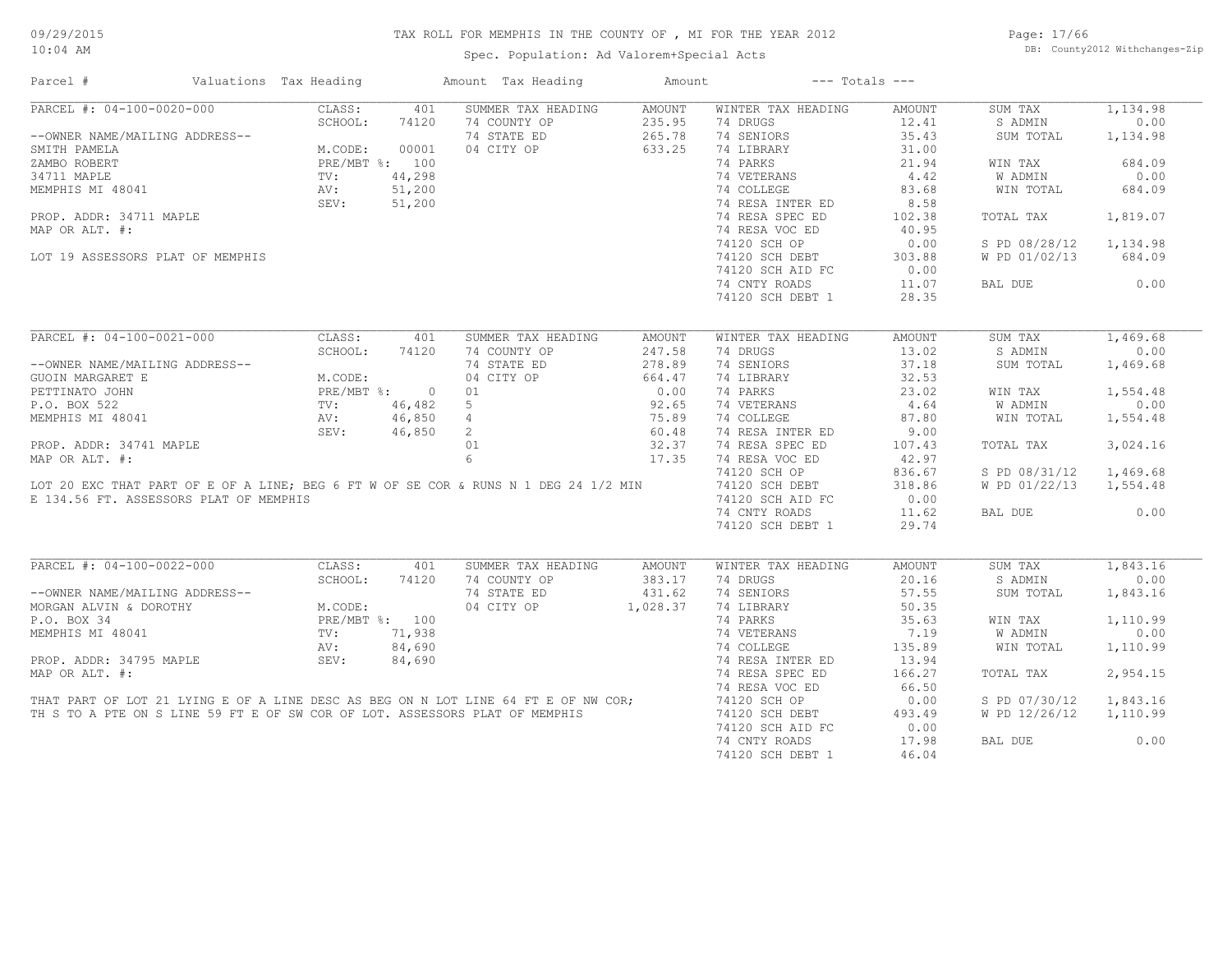Spec. Population: Ad Valorem+Special Acts

Page: 17/66 DB: County2012 Withchanges-Zip

| Parcel #                                                                            | Valuations Tax Heading | Amount Tax Heading        | Amount        | $---$ Totals $---$ |               |               |          |
|-------------------------------------------------------------------------------------|------------------------|---------------------------|---------------|--------------------|---------------|---------------|----------|
| PARCEL #: 04-100-0020-000                                                           | CLASS:                 | SUMMER TAX HEADING<br>401 | <b>AMOUNT</b> | WINTER TAX HEADING | <b>AMOUNT</b> | SUM TAX       | 1,134.98 |
|                                                                                     | SCHOOL:<br>74120       | 74 COUNTY OP              | 235.95        | 74 DRUGS           | 12.41         | S ADMIN       | 0.00     |
| --OWNER NAME/MAILING ADDRESS--                                                      |                        | 74 STATE ED               | 265.78        | 74 SENIORS         | 35.43         | SUM TOTAL     | 1,134.98 |
| SMITH PAMELA                                                                        | M.CODE:<br>00001       | 04 CITY OP                | 633.25        | 74 LIBRARY         | 31.00         |               |          |
| ZAMBO ROBERT                                                                        | PRE/MBT %: 100         |                           |               | 74 PARKS           | 21.94         | WIN TAX       | 684.09   |
| 34711 MAPLE                                                                         | 44,298<br>TV:          |                           |               | 74 VETERANS        | 4.42          | W ADMIN       | 0.00     |
| MEMPHIS MI 48041                                                                    | 51,200<br>AV:          |                           |               | 74 COLLEGE         | 83.68         | WIN TOTAL     | 684.09   |
|                                                                                     | SEV:<br>51,200         |                           |               | 74 RESA INTER ED   | 8.58          |               |          |
| PROP. ADDR: 34711 MAPLE                                                             |                        |                           |               | 74 RESA SPEC ED    | 102.38        | TOTAL TAX     | 1,819.07 |
| MAP OR ALT. #:                                                                      |                        |                           |               | 74 RESA VOC ED     | 40.95         |               |          |
|                                                                                     |                        |                           |               | 74120 SCH OP       | 0.00          | S PD 08/28/12 | 1,134.98 |
| LOT 19 ASSESSORS PLAT OF MEMPHIS                                                    |                        |                           |               | 74120 SCH DEBT     | 303.88        | W PD 01/02/13 | 684.09   |
|                                                                                     |                        |                           |               | 74120 SCH AID FC   | 0.00          |               |          |
|                                                                                     |                        |                           |               | 74 CNTY ROADS      | 11.07         | BAL DUE       | 0.00     |
|                                                                                     |                        |                           |               |                    | 28.35         |               |          |
|                                                                                     |                        |                           |               | 74120 SCH DEBT 1   |               |               |          |
| PARCEL #: 04-100-0021-000                                                           | CLASS:                 | 401<br>SUMMER TAX HEADING | <b>AMOUNT</b> | WINTER TAX HEADING | <b>AMOUNT</b> | SUM TAX       | 1,469.68 |
|                                                                                     | SCHOOL:<br>74120       | 74 COUNTY OP              | 247.58        | 74 DRUGS           | 13.02         | S ADMIN       | 0.00     |
| --OWNER NAME/MAILING ADDRESS--                                                      |                        | 74 STATE ED               | 278.89        | 74 SENIORS         | 37.18         | SUM TOTAL     | 1,469.68 |
| GUOIN MARGARET E                                                                    | M.CODE:                | 04 CITY OP                | 664.47        | 74 LIBRARY         | 32.53         |               |          |
| PETTINATO JOHN                                                                      | $PRE/MBT$ %:           | $\overline{0}$<br>01      | 0.00          | 74 PARKS           | 23.02         |               | 1,554.48 |
|                                                                                     |                        |                           |               |                    |               | WIN TAX       | 0.00     |
| P.O. BOX 522                                                                        | 46,482<br>TV:          | 5                         | 92.65         | 74 VETERANS        | 4.64          | W ADMIN       |          |
| MEMPHIS MI 48041                                                                    | 46,850<br>AV:          | 4                         | 75.89         | 74 COLLEGE         | 87.80         | WIN TOTAL     | 1,554.48 |
|                                                                                     | SEV:<br>46,850         | $2^{\circ}$               | 60.48         | 74 RESA INTER ED   | 9.00          |               |          |
| PROP. ADDR: 34741 MAPLE                                                             |                        | 01                        | 32.37         | 74 RESA SPEC ED    | 107.43        | TOTAL TAX     | 3,024.16 |
| MAP OR ALT. #:                                                                      |                        | 6                         | 17.35         | 74 RESA VOC ED     | 42.97         |               |          |
|                                                                                     |                        |                           |               | 74120 SCH OP       | 836.67        | S PD 08/31/12 | 1,469.68 |
| LOT 20 EXC THAT PART OF E OF A LINE; BEG 6 FT W OF SE COR & RUNS N 1 DEG 24 1/2 MIN |                        |                           |               | 74120 SCH DEBT     | 318.86        | W PD 01/22/13 | 1,554.48 |
| E 134.56 FT. ASSESSORS PLAT OF MEMPHIS                                              |                        |                           |               | 74120 SCH AID FC   | 0.00          |               |          |
|                                                                                     |                        |                           |               | 74 CNTY ROADS      | 11.62         | BAL DUE       | 0.00     |
|                                                                                     |                        |                           |               | 74120 SCH DEBT 1   | 29.74         |               |          |
|                                                                                     |                        |                           |               |                    |               |               |          |
| PARCEL #: 04-100-0022-000                                                           | CLASS:                 | 401<br>SUMMER TAX HEADING | AMOUNT        | WINTER TAX HEADING | <b>AMOUNT</b> | SUM TAX       | 1,843.16 |
|                                                                                     | SCHOOL:<br>74120       | 74 COUNTY OP              | 383.17        | 74 DRUGS           | 20.16         | S ADMIN       | 0.00     |
| --OWNER NAME/MAILING ADDRESS--                                                      |                        | 74 STATE ED               | 431.62        | 74 SENIORS         | 57.55         | SUM TOTAL     | 1,843.16 |
| MORGAN ALVIN & DOROTHY                                                              | M.CODE:                | 04 CITY OP                | 1,028.37      | 74 LIBRARY         | 50.35         |               |          |
| P.O. BOX 34                                                                         | PRE/MBT %: 100         |                           |               | 74 PARKS           | 35.63         | WIN TAX       | 1,110.99 |
| MEMPHIS MI 48041                                                                    | 71,938<br>TV:          |                           |               | 74 VETERANS        | 7.19          | W ADMIN       | 0.00     |
|                                                                                     | AV:<br>84,690          |                           |               | 74 COLLEGE         | 135.89        | WIN TOTAL     | 1,110.99 |
| PROP. ADDR: 34795 MAPLE                                                             | 84,690<br>SEV:         |                           |               | 74 RESA INTER ED   | 13.94         |               |          |
| MAP OR ALT. #:                                                                      |                        |                           |               | 74 RESA SPEC ED    | 166.27        | TOTAL TAX     | 2,954.15 |
|                                                                                     |                        |                           |               | 74 RESA VOC ED     | 66.50         |               |          |
| THAT PART OF LOT 21 LYING E OF A LINE DESC AS BEG ON N LOT LINE 64 FT E OF NW COR;  |                        |                           |               | 74120 SCH OP       | 0.00          | S PD 07/30/12 | 1,843.16 |
| TH S TO A PTE ON S LINE 59 FT E OF SW COR OF LOT. ASSESSORS PLAT OF MEMPHIS         |                        |                           |               | 74120 SCH DEBT     | 493.49        | W PD 12/26/12 | 1,110.99 |
|                                                                                     |                        |                           |               | 74120 SCH AID FC   | 0.00          |               |          |
|                                                                                     |                        |                           |               | 74 CNTY ROADS      | 17.98         | BAL DUE       | 0.00     |
|                                                                                     |                        |                           |               | 74120 SCH DEBT 1   | 46.04         |               |          |
|                                                                                     |                        |                           |               |                    |               |               |          |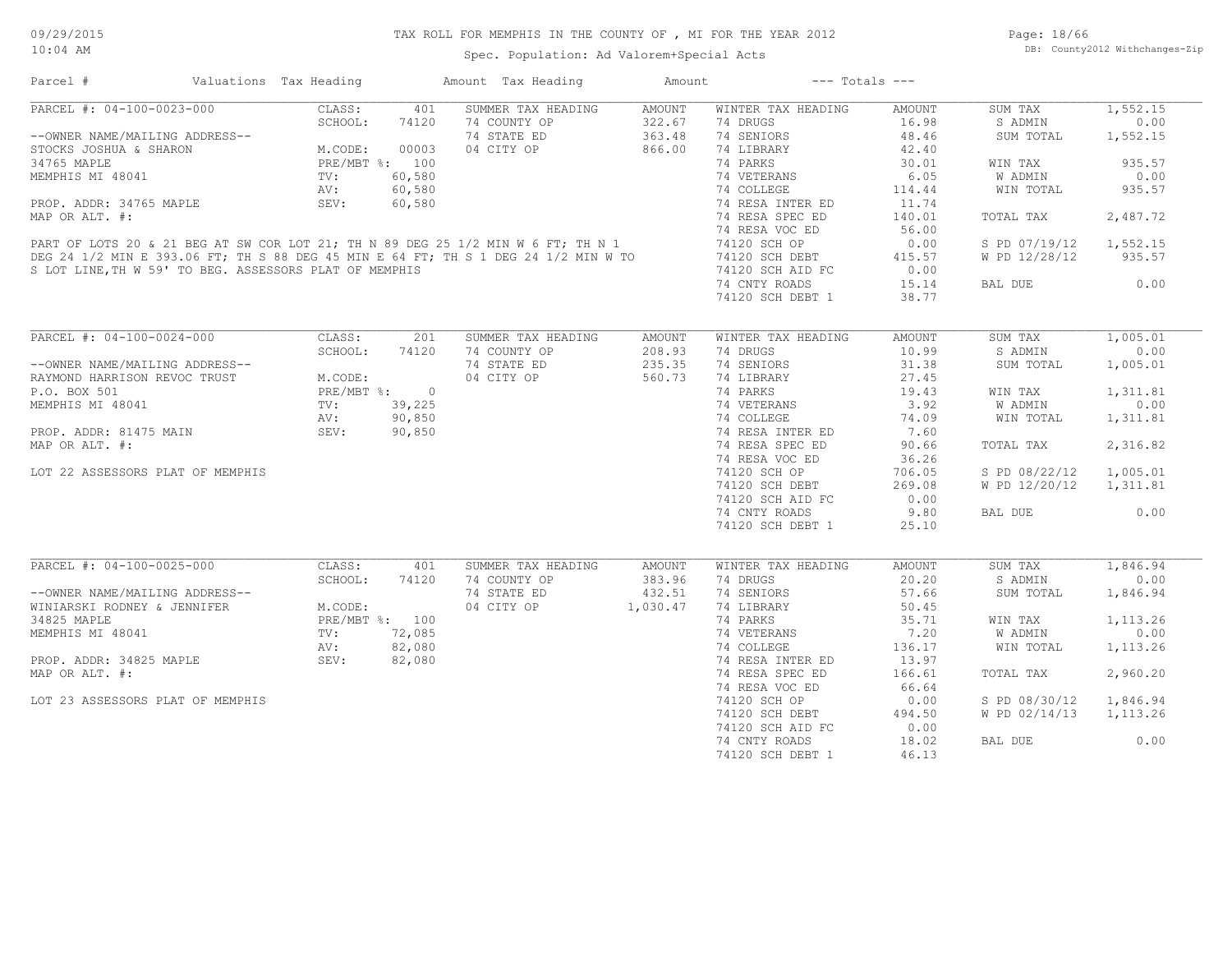Page: 18/66 DB: County2012 Withchanges-Zip

| Parcel #                                                                                                                                                                                                                                                  | Valuations Tax Heading |       | Amount Tax Heading         | Amount | $---$ Totals $---$        |        |                        |          |
|-----------------------------------------------------------------------------------------------------------------------------------------------------------------------------------------------------------------------------------------------------------|------------------------|-------|----------------------------|--------|---------------------------|--------|------------------------|----------|
| PARCEL #: 04-100-0023-000                                                                                                                                                                                                                                 | CLASS:                 | 401   | SUMMER TAX HEADING         | AMOUNT | WINTER TAX HEADING        | AMOUNT | SUM TAX                | 1,552.15 |
|                                                                                                                                                                                                                                                           |                        |       | 74 COUNTY OP               | 322.67 | 74 DRUGS                  | 16.98  | S ADMIN                | 0.00     |
| --OWNER NAME/MAILING ADDRESS--<br>SCHOOL: 74120<br>SCHOOL: 74120<br>SCHOOL: 74120<br>SCHOOL: 74120<br>SCHOOL: 74120<br>MEODE: 00003<br>34765<br>MAPHIS MI 48041<br>PRE/MBT %: 100<br>PROP. ADDR: 34765<br>MAPLE<br>MEOP. ADDR: 34765<br>MAPLE<br>MEOP AIT |                        |       | 74 STATE ED                | 363.48 | 74 SENIORS                | 48.46  | SUM TOTAL              | 1,552.15 |
|                                                                                                                                                                                                                                                           |                        |       | 04 CITY OP                 | 866.00 | 74 LIBRARY                | 42.40  |                        |          |
|                                                                                                                                                                                                                                                           |                        |       |                            |        | 74 PARKS                  | 30.01  | WIN TAX                | 935.57   |
|                                                                                                                                                                                                                                                           |                        |       |                            |        |                           | 6.05   | W ADMIN                | 0.00     |
|                                                                                                                                                                                                                                                           |                        |       |                            |        |                           |        |                        |          |
|                                                                                                                                                                                                                                                           |                        |       |                            |        |                           | 114.44 | WIN TOTAL              | 935.57   |
|                                                                                                                                                                                                                                                           |                        |       |                            |        |                           | 11.74  |                        |          |
|                                                                                                                                                                                                                                                           |                        |       |                            |        |                           | 140.01 | TOTAL TAX              | 2,487.72 |
|                                                                                                                                                                                                                                                           |                        |       |                            |        |                           | 56.00  |                        |          |
|                                                                                                                                                                                                                                                           |                        |       |                            |        |                           | 0.00   | S PD 07/19/12          | 1,552.15 |
|                                                                                                                                                                                                                                                           |                        |       |                            |        | 74120 SCH DEBT            | 415.57 | W PD 12/28/12          | 935.57   |
|                                                                                                                                                                                                                                                           |                        |       |                            |        |                           | 0.00   |                        |          |
|                                                                                                                                                                                                                                                           |                        |       |                            |        | 74 CNTY ROADS             | 15.14  | BAL DUE                | 0.00     |
|                                                                                                                                                                                                                                                           |                        |       |                            |        | 74120 SCH DEBT 1          | 38.77  |                        |          |
|                                                                                                                                                                                                                                                           |                        |       |                            |        |                           |        |                        |          |
| PARCEL #: 04-100-0024-000                                                                                                                                                                                                                                 | CLASS: 201             |       | SUMMER TAX HEADING         | AMOUNT | WINTER TAX HEADING        | AMOUNT | SUM TAX                | 1,005.01 |
|                                                                                                                                                                                                                                                           | SCHOOL:                | 74120 | 74 COUNTY OP               | 208.93 | 74 DRUGS                  | 10.99  | S ADMIN                | 0.00     |
|                                                                                                                                                                                                                                                           |                        |       | 74 STATE ED                | 235.35 | 74 SENIORS                | 31.38  | SUM TOTAL              | 1,005.01 |
| --OWNER NAME/MAILING ADDRESS--<br>RAYMOND HARRISON REVOC TRUST<br>P.O. BOX 501<br>MEMPHIS MI 48041<br>PROP. ADDR: 81475 MAIN<br>MEMPHIS MI 48041<br>MEMPHIS MI 48041<br>PROP. ADDR: 81475 MAIN<br>MAIN SEV: 90,850<br>MEMPION LIFT #                      |                        |       | 04 CITY OP                 | 560.73 | 74 LIBRARY                | 27.45  |                        |          |
|                                                                                                                                                                                                                                                           |                        |       |                            |        | 74 PARKS                  | 19.43  | WIN TAX                | 1,311.81 |
|                                                                                                                                                                                                                                                           |                        |       | $\frac{5}{50}$<br>50<br>50 |        |                           | 3.92   | W ADMIN                | 0.00     |
|                                                                                                                                                                                                                                                           |                        |       |                            |        | 74 VETERANS<br>74 COLLEGE |        |                        |          |
|                                                                                                                                                                                                                                                           |                        |       |                            |        |                           | 74.09  | WIN TOTAL              | 1,311.81 |
|                                                                                                                                                                                                                                                           |                        |       |                            |        | 74 RESA INTER ED          | 7.60   |                        |          |
| MAP OR ALT. #:                                                                                                                                                                                                                                            |                        |       |                            |        | 74 RESA SPEC ED           | 90.66  | TOTAL TAX              | 2,316.82 |
|                                                                                                                                                                                                                                                           |                        |       |                            |        | 74 RESA VOC ED            | 36.26  |                        |          |
| LOT 22 ASSESSORS PLAT OF MEMPHIS                                                                                                                                                                                                                          |                        |       |                            |        | 74120 SCH OP              | 706.05 | S PD 08/22/12          | 1,005.01 |
|                                                                                                                                                                                                                                                           |                        |       |                            |        | 74120 SCH DEBT            | 269.08 | W PD 12/20/12          | 1,311.81 |
|                                                                                                                                                                                                                                                           |                        |       |                            |        | 74120 SCH AID FC          | 0.00   |                        |          |
|                                                                                                                                                                                                                                                           |                        |       |                            |        | 74 CNTY ROADS             | 9.80   | BAL DUE                | 0.00     |
|                                                                                                                                                                                                                                                           |                        |       |                            |        | 74120 SCH DEBT 1          | 25.10  |                        |          |
|                                                                                                                                                                                                                                                           |                        |       |                            |        |                           |        |                        |          |
| PARCEL #: 04-100-0025-000                                                                                                                                                                                                                                 | CLASS:                 | 401   | SUMMER TAX HEADING         | AMOUNT | WINTER TAX HEADING        | AMOUNT | SUM TAX                | 1,846.94 |
|                                                                                                                                                                                                                                                           | SCHOOL:                | 74120 | 74 COUNTY OP               | 383.96 | 74 DRUGS                  | 20.20  | S ADMIN                | 0.00     |
| --OWNER NAME/MAILING ADDRESS--<br>WINIARSKI RODNEY & JENNIFER<br>34825 MAPLE<br>MEMPHIS MI 48041<br>PROP. ADDR: 34825 MAPLE<br>PROP. ADDR: 34825 MAPLE<br>MEMPHIS MI 48041<br>PROP. ADDR: 34825 MAPLE<br>NEW: 82,080<br>SEV: 82,080                       |                        |       | 74 STATE ED                | 432.51 | 74 SENIORS                | 57.66  | SUM TOTAL              | 1,846.94 |
|                                                                                                                                                                                                                                                           |                        |       | 04 CITY OP 1,030.47        |        | 74 LIBRARY                | 50.45  |                        |          |
|                                                                                                                                                                                                                                                           |                        |       |                            |        | 74 PARKS                  | 35.71  | WIN TAX                | 1,113.26 |
|                                                                                                                                                                                                                                                           |                        |       |                            |        |                           | 7.20   |                        | 0.00     |
|                                                                                                                                                                                                                                                           |                        |       |                            |        | 74 VETERANS               |        | W ADMIN                |          |
|                                                                                                                                                                                                                                                           |                        |       |                            |        | 74 COLLEGE                | 136.17 | WIN TOTAL              | 1,113.26 |
|                                                                                                                                                                                                                                                           |                        |       |                            |        | 74 RESA INTER ED          | 13.97  |                        |          |
| MAP OR ALT. #:                                                                                                                                                                                                                                            |                        |       |                            |        | 74 RESA SPEC ED           | 166.61 | TOTAL TAX              | 2,960.20 |
|                                                                                                                                                                                                                                                           |                        |       |                            |        | 74 RESA VOC ED            | 66.64  |                        |          |
| LOT 23 ASSESSORS PLAT OF MEMPHIS                                                                                                                                                                                                                          |                        |       |                            |        | 74120 SCH OP              | 0.00   | S PD 08/30/12          | 1,846.94 |
|                                                                                                                                                                                                                                                           |                        |       |                            |        | 74120 SCH DEBT            | 494.50 | W PD 02/14/13 1,113.26 |          |
|                                                                                                                                                                                                                                                           |                        |       |                            |        | 74120 SCH AID FC          | 0.00   |                        |          |
|                                                                                                                                                                                                                                                           |                        |       |                            |        | 74 CNTY ROADS             | 18.02  | BAL DUE                | 0.00     |
|                                                                                                                                                                                                                                                           |                        |       |                            |        |                           | 46.13  |                        |          |
|                                                                                                                                                                                                                                                           |                        |       |                            |        | 74120 SCH DEBT 1          |        |                        |          |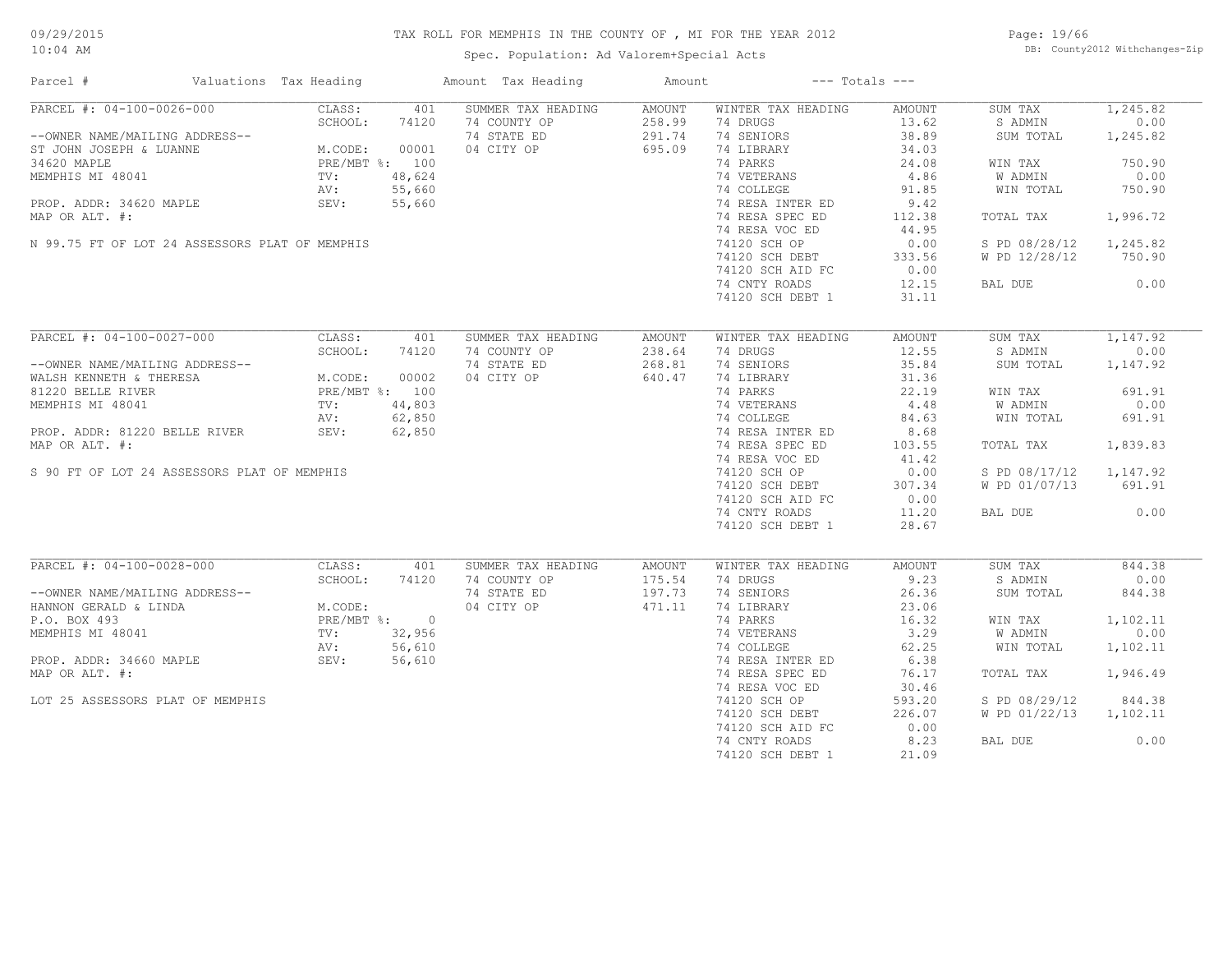Spec. Population: Ad Valorem+Special Acts

Page: 19/66 DB: County2012 Withchanges-Zip

| Parcel #                                       | Valuations Tax Heading                         |        | Amount Tax Heading | Amount |                    | $---$ Totals $---$ |               |          |
|------------------------------------------------|------------------------------------------------|--------|--------------------|--------|--------------------|--------------------|---------------|----------|
| PARCEL #: 04-100-0026-000                      | CLASS:                                         | 401    | SUMMER TAX HEADING | AMOUNT | WINTER TAX HEADING | AMOUNT             | SUM TAX       | 1,245.82 |
|                                                | SCHOOL:                                        | 74120  | 74 COUNTY OP       | 258.99 | 74 DRUGS           | 13.62              | S ADMIN       | 0.00     |
| --OWNER NAME/MAILING ADDRESS--                 | 7412<br>M.CODE: 00001<br>PRE/MBT %: 100<br>TV: |        | 74 STATE ED        | 291.74 | 74 SENIORS         | 38.89              | SUM TOTAL     | 1,245.82 |
| ST JOHN JOSEPH & LUANNE                        |                                                |        | 04 CITY OP         | 695.09 | 74 LIBRARY         | 34.03              |               |          |
| 34620 MAPLE                                    |                                                |        |                    |        | 74 PARKS           | 24.08              | WIN TAX       | 750.90   |
| MEMPHIS MI 48041                               |                                                |        |                    |        | 74 VETERANS        | 4.86               | W ADMIN       | 0.00     |
|                                                | AV:                                            | 55,660 |                    |        | 74 COLLEGE         | 91.85              | WIN TOTAL     | 750.90   |
| PROP. ADDR: 34620 MAPLE                        | SEV:                                           | 55,660 |                    |        | 74 RESA INTER ED   | 9.42               |               |          |
| MAP OR ALT. #:                                 |                                                |        |                    |        | 74 RESA SPEC ED    | 112.38             | TOTAL TAX     | 1,996.72 |
|                                                |                                                |        |                    |        | 74 RESA VOC ED     | 44.95              |               |          |
| N 99.75 FT OF LOT 24 ASSESSORS PLAT OF MEMPHIS |                                                |        |                    |        | 74120 SCH OP       | 0.00               | S PD 08/28/12 | 1,245.82 |
|                                                |                                                |        |                    |        |                    |                    |               |          |
|                                                |                                                |        |                    |        | 74120 SCH DEBT     | 333.56             | W PD 12/28/12 | 750.90   |
|                                                |                                                |        |                    |        | 74120 SCH AID FC   | 0.00               |               |          |
|                                                |                                                |        |                    |        | 74 CNTY ROADS      | 12.15              | BAL DUE       | 0.00     |
|                                                |                                                |        |                    |        | 74120 SCH DEBT 1   | 31.11              |               |          |
|                                                |                                                |        |                    |        |                    |                    |               |          |
| PARCEL #: 04-100-0027-000                      | CLASS:                                         | 401    | SUMMER TAX HEADING | AMOUNT | WINTER TAX HEADING | AMOUNT             | SUM TAX       | 1,147.92 |
|                                                | SCHOOL:                                        | 74120  | 74 COUNTY OP       | 238.64 | 74 DRUGS           | 12.55              | S ADMIN       | 0.00     |
| --OWNER NAME/MAILING ADDRESS--                 |                                                |        | 74 STATE ED        | 268.81 | 74 SENIORS         | 35.84              | SUM TOTAL     | 1,147.92 |
| WALSH KENNETH & THERESA                        | M.CODE: UUUUZ<br>PRE/MBT %: 100                |        | 04 CITY OP         | 640.47 | 74 LIBRARY         | 31.36              |               |          |
| 81220 BELLE RIVER                              |                                                |        |                    |        | 74 PARKS           | 22.19              | WIN TAX       | 691.91   |
| MEMPHIS MI 48041                               | TV:                                            | 44,803 |                    |        | 74 VETERANS        | 4.48               | W ADMIN       | 0.00     |
|                                                | AV:                                            | 62,850 |                    |        | 74 COLLEGE         | 84.63              | WIN TOTAL     | 691.91   |
| PROP. ADDR: 81220 BELLE RIVER                  | SEV:                                           | 62,850 |                    |        | 74 RESA INTER ED   | 8.68               |               |          |
| MAP OR ALT. #:                                 |                                                |        |                    |        | 74 RESA SPEC ED    | 103.55             | TOTAL TAX     | 1,839.83 |
|                                                |                                                |        |                    |        | 74 RESA VOC ED     | 41.42              |               |          |
|                                                |                                                |        |                    |        |                    |                    |               |          |
| S 90 FT OF LOT 24 ASSESSORS PLAT OF MEMPHIS    |                                                |        |                    |        | 74120 SCH OP       | 0.00               | S PD 08/17/12 | 1,147.92 |
|                                                |                                                |        |                    |        | 74120 SCH DEBT     | 307.34             | W PD 01/07/13 | 691.91   |
|                                                |                                                |        |                    |        | 74120 SCH AID FC   | 0.00               |               |          |
|                                                |                                                |        |                    |        | 74 CNTY ROADS      | 11.20              | BAL DUE       | 0.00     |
|                                                |                                                |        |                    |        | 74120 SCH DEBT 1   | 28.67              |               |          |
|                                                |                                                |        |                    |        |                    |                    |               |          |
| PARCEL #: 04-100-0028-000                      | CLASS:                                         | 401    | SUMMER TAX HEADING | AMOUNT | WINTER TAX HEADING | AMOUNT             | SUM TAX       | 844.38   |
|                                                | SCHOOL:                                        | 74120  | 74 COUNTY OP       | 175.54 | 74 DRUGS           | 9.23               | S ADMIN       | 0.00     |
| --OWNER NAME/MAILING ADDRESS--                 |                                                |        | 74 STATE ED        | 197.73 | 74 SENIORS         | 26.36              | SUM TOTAL     | 844.38   |
| HANNON GERALD & LINDA                          | M.CODE:<br>PRE/MBT %: 0                        |        | 04 CITY OP         | 471.11 | 74 LIBRARY         | 23.06              |               |          |
| P.O. BOX 493                                   |                                                |        |                    |        | 74 PARKS           | 16.32              | WIN TAX       | 1,102.11 |
| MEMPHIS MI 48041                               | TV:                                            | 32,956 |                    |        | 74 VETERANS        | 3.29               | W ADMIN       | 0.00     |
|                                                | AV:                                            | 56,610 |                    |        | 74 COLLEGE         | 62.25              | WIN TOTAL     | 1,102.11 |
| PROP. ADDR: 34660 MAPLE                        | SEV:                                           | 56,610 |                    |        | 74 RESA INTER ED   | 6.38               |               |          |
| MAP OR ALT. #:                                 |                                                |        |                    |        | 74 RESA SPEC ED    | 76.17              | TOTAL TAX     | 1,946.49 |
|                                                |                                                |        |                    |        | 74 RESA VOC ED     | 30.46              |               |          |
| LOT 25 ASSESSORS PLAT OF MEMPHIS               |                                                |        |                    |        | 74120 SCH OP       | 593.20             | S PD 08/29/12 | 844.38   |
|                                                |                                                |        |                    |        | 74120 SCH DEBT     | 226.07             | W PD 01/22/13 | 1,102.11 |
|                                                |                                                |        |                    |        |                    |                    |               |          |
|                                                |                                                |        |                    |        | 74120 SCH AID FC   | 0.00               |               |          |
|                                                |                                                |        |                    |        | 74 CNTY ROADS      | 8.23               | BAL DUE       | 0.00     |
|                                                |                                                |        |                    |        | 74120 SCH DEBT 1   | 21.09              |               |          |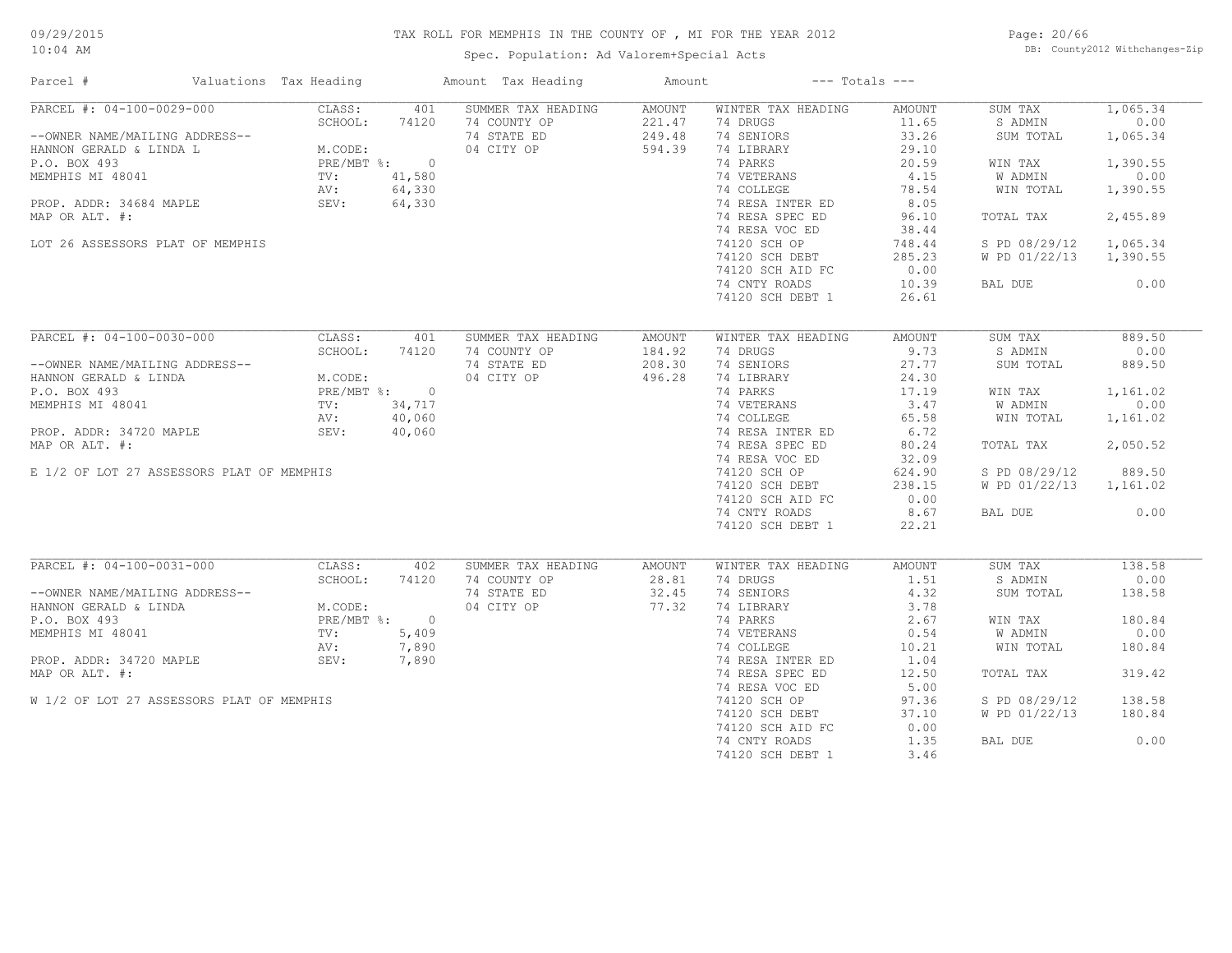Spec. Population: Ad Valorem+Special Acts

Page: 20/66 DB: County2012 Withchanges-Zip

| Parcel #                                                                                                                                                                                                                 | Valuations Tax Heading |                                            |        | Amount Tax Heading | Amount        |                    | $---$ Totals $---$ |               |          |
|--------------------------------------------------------------------------------------------------------------------------------------------------------------------------------------------------------------------------|------------------------|--------------------------------------------|--------|--------------------|---------------|--------------------|--------------------|---------------|----------|
| PARCEL #: 04-100-0029-000                                                                                                                                                                                                |                        | CLASS:                                     | 401    | SUMMER TAX HEADING | AMOUNT        | WINTER TAX HEADING | AMOUNT             | SUM TAX       | 1,065.34 |
|                                                                                                                                                                                                                          |                        | SCHOOL:                                    | 74120  | 74 COUNTY OP       | 221.47        | 74 DRUGS           | 11.65              | S ADMIN       | 0.00     |
| --OWNER NAME/MAILING ADDRESS--<br>HANNON GERALD & LINDA L<br>P.O. BOX 493<br>MEMPHIS MI 48041<br>PROP. ADDR: 34684 MAPLE<br>PROP. ADDR: 34684 MAPLE<br>PROP. ADDR: 34684 MAPLE<br>PROP. ADDR: 34684 MAPLE<br>SEV: 64,330 |                        |                                            |        | 74 STATE ED        | 249.48        | 74 SENIORS         | 33.26              | SUM TOTAL     | 1,065.34 |
|                                                                                                                                                                                                                          |                        |                                            |        | 04 CITY OP         | 594.39        | 74 LIBRARY         | 29.10              |               |          |
|                                                                                                                                                                                                                          |                        |                                            |        |                    |               | 74 PARKS           | 20.59              | WIN TAX       | 1,390.55 |
|                                                                                                                                                                                                                          |                        |                                            |        |                    |               | 74 VETERANS        | 4.15               | W ADMIN       | 0.00     |
|                                                                                                                                                                                                                          |                        |                                            |        |                    |               | 74 COLLEGE         | 78.54              | WIN TOTAL     | 1,390.55 |
|                                                                                                                                                                                                                          |                        |                                            |        |                    |               | 74 RESA INTER ED   | 8.05               |               |          |
| MAP OR ALT. #:                                                                                                                                                                                                           |                        |                                            |        |                    |               | 74 RESA SPEC ED    | 96.10              | TOTAL TAX     | 2,455.89 |
|                                                                                                                                                                                                                          |                        |                                            |        |                    |               | 74 RESA VOC ED     | 38.44              |               |          |
| LOT 26 ASSESSORS PLAT OF MEMPHIS                                                                                                                                                                                         |                        |                                            |        |                    |               | 74120 SCH OP       | 748.44             | S PD 08/29/12 | 1,065.34 |
|                                                                                                                                                                                                                          |                        |                                            |        |                    |               | 74120 SCH DEBT     | 285.23             | W PD 01/22/13 | 1,390.55 |
|                                                                                                                                                                                                                          |                        |                                            |        |                    |               | 74120 SCH AID FC   | 0.00               |               |          |
|                                                                                                                                                                                                                          |                        |                                            |        |                    |               | 74 CNTY ROADS      | 10.39              | BAL DUE       | 0.00     |
|                                                                                                                                                                                                                          |                        |                                            |        |                    |               | 74120 SCH DEBT 1   | 26.61              |               |          |
|                                                                                                                                                                                                                          |                        |                                            |        |                    |               |                    |                    |               |          |
| PARCEL #: 04-100-0030-000                                                                                                                                                                                                |                        | CLASS:                                     | 401    | SUMMER TAX HEADING | <b>AMOUNT</b> | WINTER TAX HEADING | <b>AMOUNT</b>      | SUM TAX       | 889.50   |
|                                                                                                                                                                                                                          |                        | SCHOOL:                                    | 74120  | 74 COUNTY OP       | 184.92        | 74 DRUGS           | 9.73               | S ADMIN       | 0.00     |
| --OWNER NAME/MAILING ADDRESS--                                                                                                                                                                                           |                        |                                            |        | 74 STATE ED        | 208.30        | 74 SENIORS         | 27.77              | SUM TOTAL     | 889.50   |
| HANNON GERALD & LINDA                                                                                                                                                                                                    |                        | M.CODE:<br>PRE/MBT %: 0<br>T: 34,717<br>-- |        | 04 CITY OP         | 496.28        | 74 LIBRARY         | 24.30              |               |          |
| P.O. BOX 493                                                                                                                                                                                                             |                        |                                            |        |                    |               | 74 PARKS           | 17.19              | WIN TAX       | 1,161.02 |
| MEMPHIS MI 48041                                                                                                                                                                                                         |                        |                                            |        |                    |               | 74 VETERANS        | 3.47               | W ADMIN       | 0.00     |
|                                                                                                                                                                                                                          |                        | AV:                                        | 40,060 |                    |               | 74 COLLEGE         | 65.58              | WIN TOTAL     | 1,161.02 |
| PROP. ADDR: 34720 MAPLE                                                                                                                                                                                                  |                        | SEV:                                       | 40,060 |                    |               | 74 RESA INTER ED   | 6.72               |               |          |
| MAP OR ALT. #:                                                                                                                                                                                                           |                        |                                            |        |                    |               | 74 RESA SPEC ED    | 80.24              | TOTAL TAX     | 2,050.52 |
|                                                                                                                                                                                                                          |                        |                                            |        |                    |               | 74 RESA VOC ED     | 32.09              |               |          |
| E 1/2 OF LOT 27 ASSESSORS PLAT OF MEMPHIS                                                                                                                                                                                |                        |                                            |        |                    |               | 74120 SCH OP       | 624.90             | S PD 08/29/12 | 889.50   |
|                                                                                                                                                                                                                          |                        |                                            |        |                    |               | 74120 SCH DEBT     | 238.15             | W PD 01/22/13 | 1,161.02 |
|                                                                                                                                                                                                                          |                        |                                            |        |                    |               |                    | 0.00               |               |          |
|                                                                                                                                                                                                                          |                        |                                            |        |                    |               | 74120 SCH AID FC   |                    |               |          |
|                                                                                                                                                                                                                          |                        |                                            |        |                    |               | 74 CNTY ROADS      | 8.67               | BAL DUE       | 0.00     |
|                                                                                                                                                                                                                          |                        |                                            |        |                    |               | 74120 SCH DEBT 1   | 22.21              |               |          |
| PARCEL #: 04-100-0031-000                                                                                                                                                                                                |                        | CLASS:                                     | 402    | SUMMER TAX HEADING | AMOUNT        | WINTER TAX HEADING | <b>AMOUNT</b>      | SUM TAX       | 138.58   |
|                                                                                                                                                                                                                          |                        | SCHOOL:                                    | 74120  | 74 COUNTY OP       | 28.81         | 74 DRUGS           | 1.51               | S ADMIN       | 0.00     |
| --OWNER NAME/MAILING ADDRESS--                                                                                                                                                                                           |                        |                                            |        | 74 STATE ED        | 32.45         | 74 SENIORS         | 4.32               | SUM TOTAL     | 138.58   |
| HANNON GERALD & LINDA                                                                                                                                                                                                    |                        | M.CODE:                                    |        | 04 CITY OP         | 77.32         | 74 LIBRARY         | 3.78               |               |          |
| P.O. BOX 493                                                                                                                                                                                                             |                        | PRE/MBT %: 0                               |        |                    |               | 74 PARKS           | 2.67               | WIN TAX       | 180.84   |
|                                                                                                                                                                                                                          |                        | TV:                                        | 5,409  |                    |               | 74 VETERANS        | 0.54               | W ADMIN       | 0.00     |
| MEMPHIS MI 48041                                                                                                                                                                                                         |                        |                                            |        |                    |               |                    |                    |               |          |
|                                                                                                                                                                                                                          |                        | AV:                                        | 7,890  |                    |               | 74 COLLEGE         | 10.21              | WIN TOTAL     | 180.84   |
| PROP. ADDR: 34720 MAPLE                                                                                                                                                                                                  |                        | SEV:                                       | 7,890  |                    |               | 74 RESA INTER ED   | 1.04               |               |          |
| MAP OR ALT. #:                                                                                                                                                                                                           |                        |                                            |        |                    |               | 74 RESA SPEC ED    | 12.50              | TOTAL TAX     | 319.42   |
|                                                                                                                                                                                                                          |                        |                                            |        |                    |               | 74 RESA VOC ED     | 5.00               |               |          |
| W 1/2 OF LOT 27 ASSESSORS PLAT OF MEMPHIS                                                                                                                                                                                |                        |                                            |        |                    |               | 74120 SCH OP       | 97.36              | S PD 08/29/12 | 138.58   |
|                                                                                                                                                                                                                          |                        |                                            |        |                    |               | 74120 SCH DEBT     | 37.10              | W PD 01/22/13 | 180.84   |
|                                                                                                                                                                                                                          |                        |                                            |        |                    |               | 74120 SCH AID FC   | 0.00               |               |          |
|                                                                                                                                                                                                                          |                        |                                            |        |                    |               | 74 CNTY ROADS      | 1.35               | BAL DUE       | 0.00     |
|                                                                                                                                                                                                                          |                        |                                            |        |                    |               | 74120 SCH DEBT 1   | 3.46               |               |          |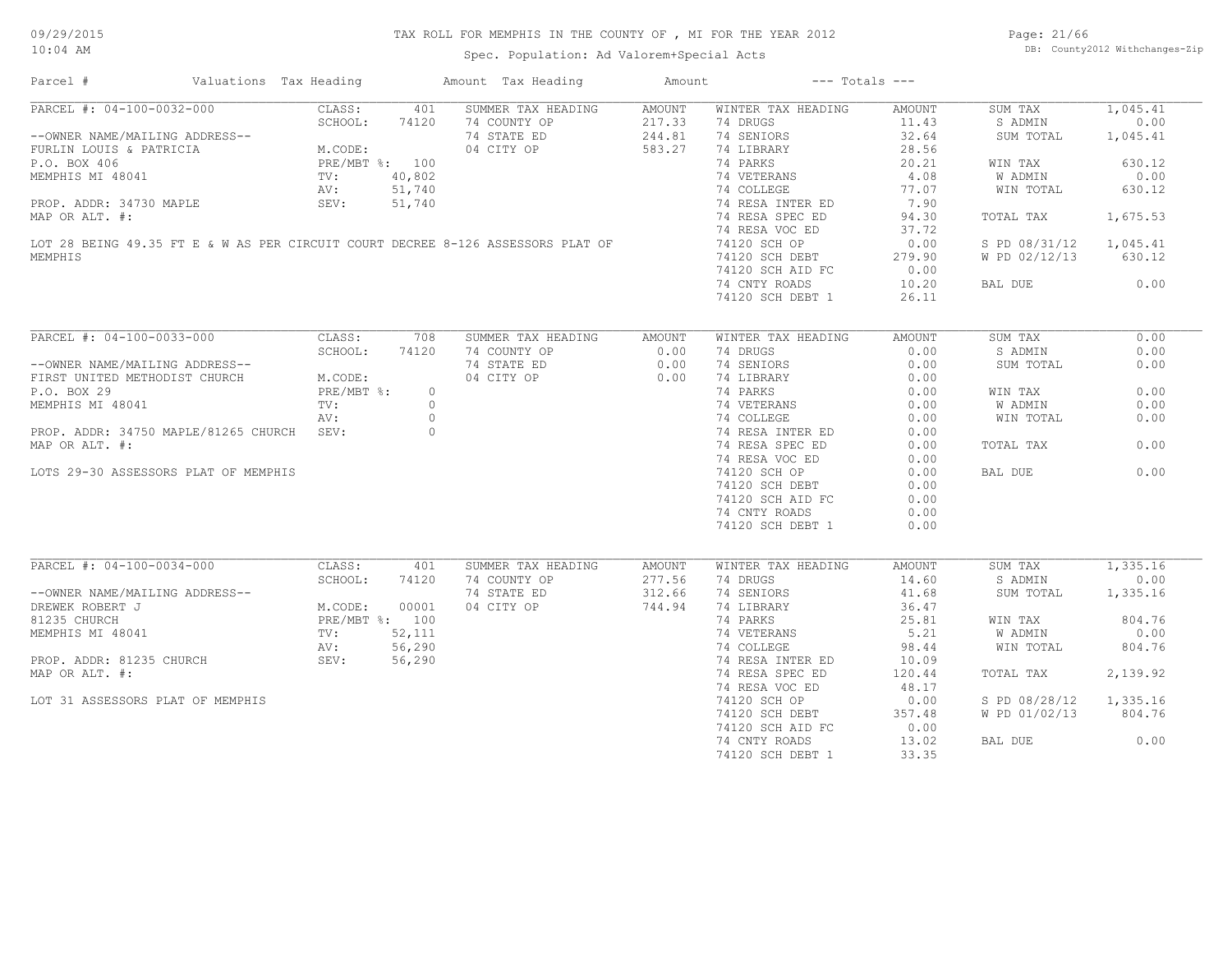Spec. Population: Ad Valorem+Special Acts

Page: 21/66 DB: County2012 Withchanges-Zip

| Parcel #                                                                                                                                                                                                                     | Valuations Tax Heading |            |         | Amount Tax Heading | Amount               | $---$ Totals $---$                                   |               |                        |          |
|------------------------------------------------------------------------------------------------------------------------------------------------------------------------------------------------------------------------------|------------------------|------------|---------|--------------------|----------------------|------------------------------------------------------|---------------|------------------------|----------|
| PARCEL #: 04-100-0032-000                                                                                                                                                                                                    |                        | CLASS:     | 401     | SUMMER TAX HEADING | AMOUNT               | WINTER TAX HEADING                                   | AMOUNT        | SUM TAX                | 1,045.41 |
| --OWNER NAME/MAILING ADDRESS--<br>TURLIN LOUIS & PATRICIA<br>P.O. BOX 406<br>MEMPHIS MI 48041<br>PROP. ADDR: 34730 MAPLE<br>MAP OP AIT *.<br>MAP OP AIT *.<br>MAP OP AIT *.<br>MAP OP AIT *.<br>SEV: 51,740<br>MAP OP AIT *. |                        |            |         | 74 COUNTY OP       |                      | 74 DRUGS                                             | 11.43         | S ADMIN                | 0.00     |
|                                                                                                                                                                                                                              |                        |            |         | 74 STATE ED        | $217.33$<br>$244.81$ | 74 SENIORS                                           | 32.64         | SUM TOTAL              | 1,045.41 |
|                                                                                                                                                                                                                              |                        |            |         | 04 CITY OP         | 583.27               | 74 LIBRARY                                           | 28.56         |                        |          |
|                                                                                                                                                                                                                              |                        |            |         |                    |                      | 74 PARKS                                             | 20.21         | WIN TAX                | 630.12   |
|                                                                                                                                                                                                                              |                        |            |         |                    |                      |                                                      | 4.08          | W ADMIN                | 0.00     |
|                                                                                                                                                                                                                              |                        |            |         |                    |                      | 74 VETERANS<br>74 COLLEGE                            | 77.07         | WIN TOTAL              | 630.12   |
|                                                                                                                                                                                                                              |                        |            |         |                    |                      |                                                      |               |                        |          |
|                                                                                                                                                                                                                              |                        |            |         |                    |                      | 74 RESA INTER ED                                     | 7.90          |                        |          |
| MAP OR ALT. #:                                                                                                                                                                                                               |                        |            |         |                    |                      | 74 RESA SPEC ED                                      | 94.30         | TOTAL TAX              | 1,675.53 |
|                                                                                                                                                                                                                              |                        |            |         |                    |                      | 74 RESA VOC ED                                       | 37.72         |                        |          |
| LOT 28 BEING 49.35 FT E & W AS PER CIRCUIT COURT DECREE 8-126 ASSESSORS PLAT OF                                                                                                                                              |                        |            |         |                    |                      | 74120 SCH OP                                         | 0.00          | S PD 08/31/12 1,045.41 |          |
| MEMPHIS                                                                                                                                                                                                                      |                        |            |         |                    |                      | 74120 SCH DEBT<br>74120 SCH AID FC                   | 279.90        | W PD 02/12/13          | 630.12   |
|                                                                                                                                                                                                                              |                        |            |         |                    |                      |                                                      | 0.00          |                        |          |
|                                                                                                                                                                                                                              |                        |            |         |                    |                      | 74 CNTY ROADS                                        | 10.20         | BAL DUE                | 0.00     |
|                                                                                                                                                                                                                              |                        |            |         |                    |                      | 74120 SCH DEBT 1                                     | 26.11         |                        |          |
|                                                                                                                                                                                                                              |                        |            |         |                    |                      |                                                      |               |                        |          |
| PARCEL #: 04-100-0033-000                                                                                                                                                                                                    |                        | CLASS:     | 708     | SUMMER TAX HEADING | AMOUNT               | WINTER TAX HEADING                                   | <b>AMOUNT</b> | SUM TAX                | 0.00     |
| --OWNER NAME/MAILING ADDRESS--<br>FIRST UNITED METHODIST CHURCH M.CODE:<br>PRE/MBT                                                                                                                                           |                        |            | 74120   | 74 COUNTY OP       | 0.00                 | 74 DRUGS                                             | 0.00          | S ADMIN                | 0.00     |
|                                                                                                                                                                                                                              |                        |            |         | 74 STATE ED        | 0.00                 | 74 SENIORS                                           | 0.00          | SUM TOTAL              | 0.00     |
|                                                                                                                                                                                                                              |                        |            |         | 04 CITY OP         | 0.00                 | 74 LIBRARY                                           | 0.00          |                        |          |
|                                                                                                                                                                                                                              |                        | PRE/MBT %: | $\circ$ |                    |                      | 74 LIBRARY<br>74 PARKS                               |               | WIN TAX                | 0.00     |
| MEMPHIS MI 48041                                                                                                                                                                                                             |                        | TV:        | $\circ$ |                    |                      | 74 PARKS 0.00<br>74 VETERANS 0.00<br>74 COLLEGE 0.00 |               | W ADMIN                | 0.00     |
|                                                                                                                                                                                                                              |                        | AV:        | $\circ$ |                    |                      |                                                      |               | WIN TOTAL              | 0.00     |
| PROP. ADDR: 34750 MAPLE/81265 CHURCH SEV:                                                                                                                                                                                    |                        |            | $\circ$ |                    |                      |                                                      |               |                        |          |
|                                                                                                                                                                                                                              |                        |            |         |                    |                      | 74 RESA INTER ED<br>74 RESA SPEC ED                  | 0.00          |                        |          |
| MAP OR ALT. #:                                                                                                                                                                                                               |                        |            |         |                    |                      |                                                      | 0.00          | TOTAL TAX              | 0.00     |
|                                                                                                                                                                                                                              |                        |            |         |                    |                      | 74 RESA VOC ED                                       | 0.00          |                        |          |
| LOTS 29-30 ASSESSORS PLAT OF MEMPHIS                                                                                                                                                                                         |                        |            |         |                    |                      | 74120 SCH OP                                         | 0.00          | BAL DUE                | 0.00     |
|                                                                                                                                                                                                                              |                        |            |         |                    |                      | 74120 SCH DEBT                                       | 0.00          |                        |          |
|                                                                                                                                                                                                                              |                        |            |         |                    |                      | 74120 SCH AID FC                                     | 0.00          |                        |          |
|                                                                                                                                                                                                                              |                        |            |         |                    |                      | 74 CNTY ROADS                                        | 0.00          |                        |          |
|                                                                                                                                                                                                                              |                        |            |         |                    |                      | 74120 SCH DEBT 1                                     | 0.00          |                        |          |
|                                                                                                                                                                                                                              |                        |            |         |                    |                      |                                                      |               |                        |          |
| PARCEL #: 04-100-0034-000                                                                                                                                                                                                    |                        | CLASS:     | 401     | SUMMER TAX HEADING | AMOUNT               | WINTER TAX HEADING                                   | AMOUNT        | SUM TAX                | 1,335.16 |
|                                                                                                                                                                                                                              |                        | SCHOOL:    | 74120   | 74 COUNTY OP       | 277.56               | 74 DRUGS                                             | 14.60         | S ADMIN                | 0.00     |
|                                                                                                                                                                                                                              |                        |            |         | 74 STATE ED        | 312.66               | 74 SENIORS                                           | 41.68         | SUM TOTAL              | 1,335.16 |
| --OWNER NAME/MAILING ADDRESS--<br>DREWEK ROBERT J<br>81235 CHURCH<br>MEMPHIS MI 48041<br>PROP. ADDR: 81235 CHURCH<br>PROP. ADDR: 81235 CHURCH<br>PROP. ADDR: 81235 CHURCH<br>SEV: 56,290<br>SEV: 56,290                      |                        |            |         | 04 CITY OP         | 744.94               | 74 LIBRARY                                           | 36.47         |                        |          |
|                                                                                                                                                                                                                              |                        |            |         |                    |                      | 74 PARKS                                             | 25.81         | WIN TAX                | 804.76   |
|                                                                                                                                                                                                                              |                        |            |         |                    |                      | 74 VETERANS                                          | 5.21          | W ADMIN                | 0.00     |
|                                                                                                                                                                                                                              |                        |            |         |                    |                      | 74 COLLEGE                                           | 98.44         | WIN TOTAL              | 804.76   |
|                                                                                                                                                                                                                              |                        |            |         |                    |                      | 74 RESA INTER ED                                     | 10.09         |                        |          |
| MAP OR ALT. #:                                                                                                                                                                                                               |                        |            |         |                    |                      | 74 RESA SPEC ED                                      | 120.44        | TOTAL TAX              | 2,139.92 |
|                                                                                                                                                                                                                              |                        |            |         |                    |                      |                                                      |               |                        |          |
|                                                                                                                                                                                                                              |                        |            |         |                    |                      | 74 RESA VOC ED                                       | 48.17         |                        |          |
| LOT 31 ASSESSORS PLAT OF MEMPHIS                                                                                                                                                                                             |                        |            |         |                    |                      | 74120 SCH OP                                         | 0.00          | S PD 08/28/12          | 1,335.16 |
|                                                                                                                                                                                                                              |                        |            |         |                    |                      | 74120 SCH DEBT                                       | 357.48        | W PD 01/02/13 804.76   |          |
|                                                                                                                                                                                                                              |                        |            |         |                    |                      | 74120 SCH AID FC                                     | 0.00          |                        |          |
|                                                                                                                                                                                                                              |                        |            |         |                    |                      | 74 CNTY ROADS                                        | 13.02         | BAL DUE                | 0.00     |
|                                                                                                                                                                                                                              |                        |            |         |                    |                      | 74120 SCH DEBT 1                                     | 33.35         |                        |          |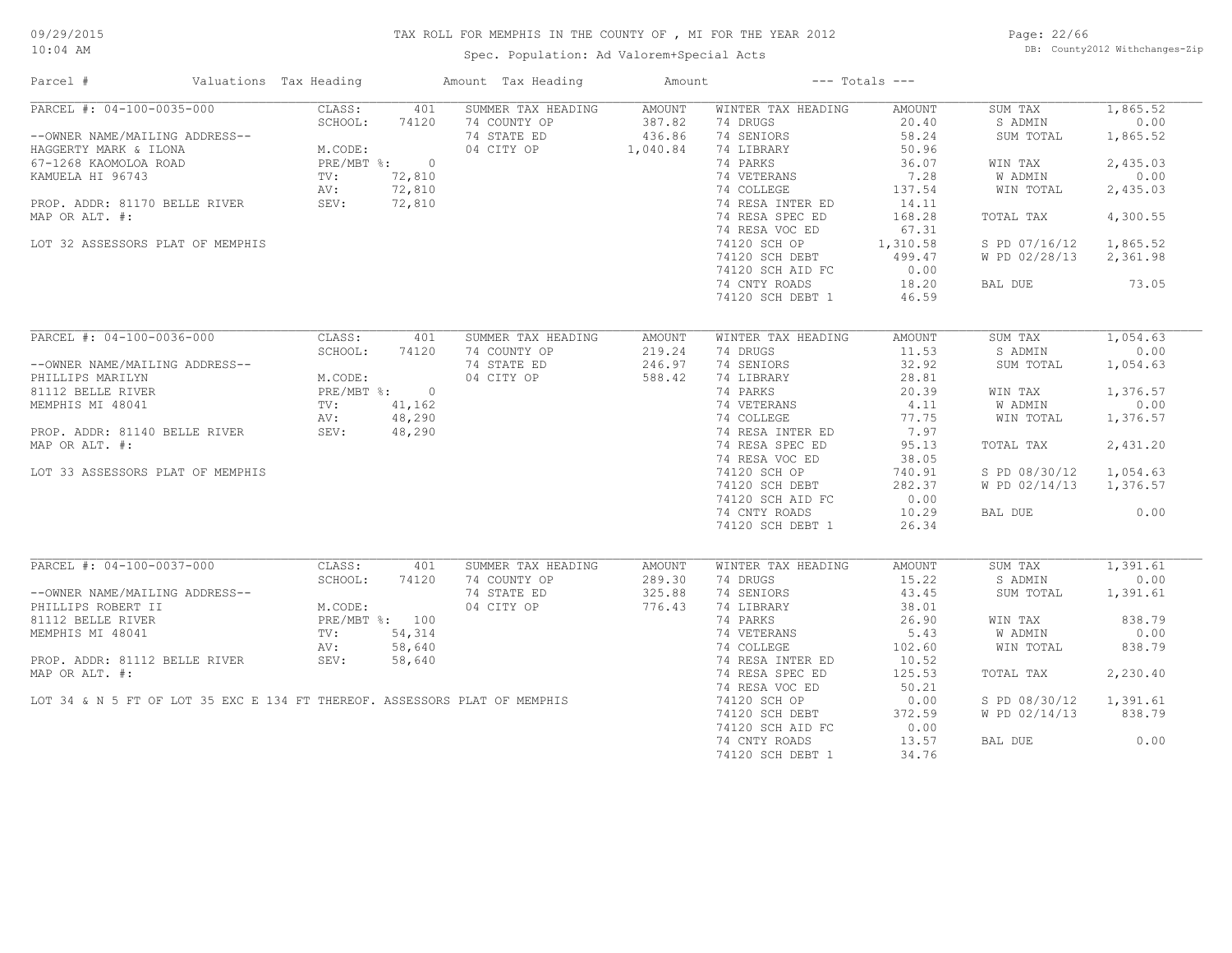Spec. Population: Ad Valorem+Special Acts

Page: 22/66 DB: County2012 Withchanges-Zip

| Parcel #                                                                  | Valuations Tax Heading  |        | Amount Tax Heading | Amount   |                           | $---$ Totals $---$ |               |          |
|---------------------------------------------------------------------------|-------------------------|--------|--------------------|----------|---------------------------|--------------------|---------------|----------|
| PARCEL #: 04-100-0035-000                                                 | CLASS:                  | 401    | SUMMER TAX HEADING | AMOUNT   | WINTER TAX HEADING        | AMOUNT             | SUM TAX       | 1,865.52 |
|                                                                           | SCHOOL:                 | 74120  | 74 COUNTY OP       | 387.82   | 74 DRUGS                  | 20.40              | S ADMIN       | 0.00     |
| --OWNER NAME/MAILING ADDRESS--                                            |                         |        | 74 STATE ED        | 436.86   | 74 SENIORS                | 58.24              | SUM TOTAL     | 1,865.52 |
| HAGGERTY MARK & ILONA                                                     | M.CODE:<br>PRE/MBT %: 0 |        | 04 CITY OP         | 1,040.84 | 74 LIBRARY                | 50.96              |               |          |
| 67-1268 KAOMOLOA ROAD                                                     |                         |        |                    |          | 74 PARKS                  | 36.07              | WIN TAX       | 2,435.03 |
|                                                                           |                         | 72,810 |                    |          | 74 VETERANS               | 7.28               | W ADMIN       | 0.00     |
| EXAMUELA HI 96743 TV:<br>PROP. ADDR: 81170 BELLE RIVER SEV: SEV:          |                         | 72,810 |                    |          | 74 COLLEGE                | 137.54             | WIN TOTAL     | 2,435.03 |
|                                                                           |                         | 72,810 |                    |          | 74 RESA INTER ED          | 14.11              |               |          |
| MAP OR ALT. #:                                                            |                         |        |                    |          | 74 RESA SPEC ED           | 168.28             | TOTAL TAX     | 4,300.55 |
|                                                                           |                         |        |                    |          | 74 RESA VOC ED            | 67.31              |               |          |
| LOT 32 ASSESSORS PLAT OF MEMPHIS                                          |                         |        |                    |          | 74120 SCH OP              | 1,310.58           | S PD 07/16/12 | 1,865.52 |
|                                                                           |                         |        |                    |          | 74120 SCH DEBT            | 499.47             | W PD 02/28/13 | 2,361.98 |
|                                                                           |                         |        |                    |          | 74120 SCH AID FC          | 0.00               |               |          |
|                                                                           |                         |        |                    |          | 74 CNTY ROADS             | 18.20              | BAL DUE       | 73.05    |
|                                                                           |                         |        |                    |          | 74120 SCH DEBT 1          | 46.59              |               |          |
|                                                                           |                         |        |                    |          |                           |                    |               |          |
| PARCEL #: 04-100-0036-000                                                 | CLASS:                  | 401    | SUMMER TAX HEADING | AMOUNT   | WINTER TAX HEADING        | <b>AMOUNT</b>      | SUM TAX       | 1,054.63 |
|                                                                           | SCHOOL:                 | 74120  | 74 COUNTY OP       | 219.24   | 74 DRUGS                  | 11.53              | S ADMIN       | 0.00     |
| --OWNER NAME/MAILING ADDRESS--                                            |                         |        | 74 STATE ED        | 246.97   | 74 SENIORS                | 32.92              | SUM TOTAL     | 1,054.63 |
| PHILLIPS MARILYN                                                          | M.CODE:                 |        | 04 CITY OP         | 588.42   | 74 LIBRARY                | 28.81              |               |          |
| 81112 BELLE RIVER                                                         | PRE/MBT %: 0            |        |                    |          | 74 PARKS                  | 20.39              | WIN TAX       | 1,376.57 |
|                                                                           | TV:                     |        |                    |          |                           | 4.11               |               | 0.00     |
| MEMPHIS MI 48041                                                          |                         | 41,162 |                    |          | 74 VETERANS<br>74 COLLEGE | 77.75              | W ADMIN       |          |
|                                                                           | AV:                     | 48,290 |                    |          |                           |                    | WIN TOTAL     | 1,376.57 |
| PROP. ADDR: 81140 BELLE RIVER                                             | SEV:                    | 48,290 |                    |          | 74 RESA INTER ED          | 7.97               |               |          |
| MAP OR ALT. #:                                                            |                         |        |                    |          | 74 RESA SPEC ED           | 95.13              | TOTAL TAX     | 2,431.20 |
|                                                                           |                         |        |                    |          | 74 RESA VOC ED            | 38.05              |               |          |
| LOT 33 ASSESSORS PLAT OF MEMPHIS                                          |                         |        |                    |          | 74120 SCH OP              | 740.91             | S PD 08/30/12 | 1,054.63 |
|                                                                           |                         |        |                    |          | 74120 SCH DEBT            | 282.37             | W PD 02/14/13 | 1,376.57 |
|                                                                           |                         |        |                    |          | 74120 SCH AID FC          | 0.00               |               |          |
|                                                                           |                         |        |                    |          | 74 CNTY ROADS             | 10.29              | BAL DUE       | 0.00     |
|                                                                           |                         |        |                    |          | 74120 SCH DEBT 1          | 26.34              |               |          |
|                                                                           |                         |        |                    |          |                           |                    |               |          |
| PARCEL #: 04-100-0037-000                                                 | CLASS:                  | 401    | SUMMER TAX HEADING | AMOUNT   | WINTER TAX HEADING        | AMOUNT             | SUM TAX       | 1,391.61 |
|                                                                           | SCHOOL:                 | 74120  | 74 COUNTY OP       | 289.30   | 74 DRUGS                  | 15.22              | S ADMIN       | 0.00     |
| --OWNER NAME/MAILING ADDRESS--                                            |                         |        | 74 STATE ED        | 325.88   | 74 SENIORS                | 43.45              | SUM TOTAL     | 1,391.61 |
| PHILLIPS ROBERT II                                                        | M.CODE:                 |        | 04 CITY OP         | 776.43   | 74 LIBRARY                | 38.01              |               |          |
| 81112 BELLE RIVER                                                         | PRE/MBT %: 100          |        |                    |          | 74 PARKS                  | 26.90              | WIN TAX       | 838.79   |
| MEMPHIS MI 48041                                                          | TV:                     | 54,314 |                    |          | 74 VETERANS               | 5.43               | W ADMIN       | 0.00     |
|                                                                           | AV:                     | 58,640 |                    |          | 74 COLLEGE                | 102.60             | WIN TOTAL     | 838.79   |
| PROP. ADDR: 81112 BELLE RIVER                                             | AV:<br>SEV:             | 58,640 |                    |          | 74 RESA INTER ED          | 10.52              |               |          |
| MAP OR ALT. #:                                                            |                         |        |                    |          | 74 RESA SPEC ED           | 125.53             | TOTAL TAX     | 2,230.40 |
|                                                                           |                         |        |                    |          | 74 RESA VOC ED            | 50.21              |               |          |
| LOT 34 & N 5 FT OF LOT 35 EXC E 134 FT THEREOF. ASSESSORS PLAT OF MEMPHIS |                         |        |                    |          | 74120 SCH OP              | 0.00               | S PD 08/30/12 | 1,391.61 |
|                                                                           |                         |        |                    |          | 74120 SCH DEBT            | 372.59             | W PD 02/14/13 | 838.79   |
|                                                                           |                         |        |                    |          | 74120 SCH AID FC          | 0.00               |               |          |
|                                                                           |                         |        |                    |          | 74 CNTY ROADS             | 13.57              | BAL DUE       | 0.00     |
|                                                                           |                         |        |                    |          | 74120 SCH DEBT 1          | 34.76              |               |          |
|                                                                           |                         |        |                    |          |                           |                    |               |          |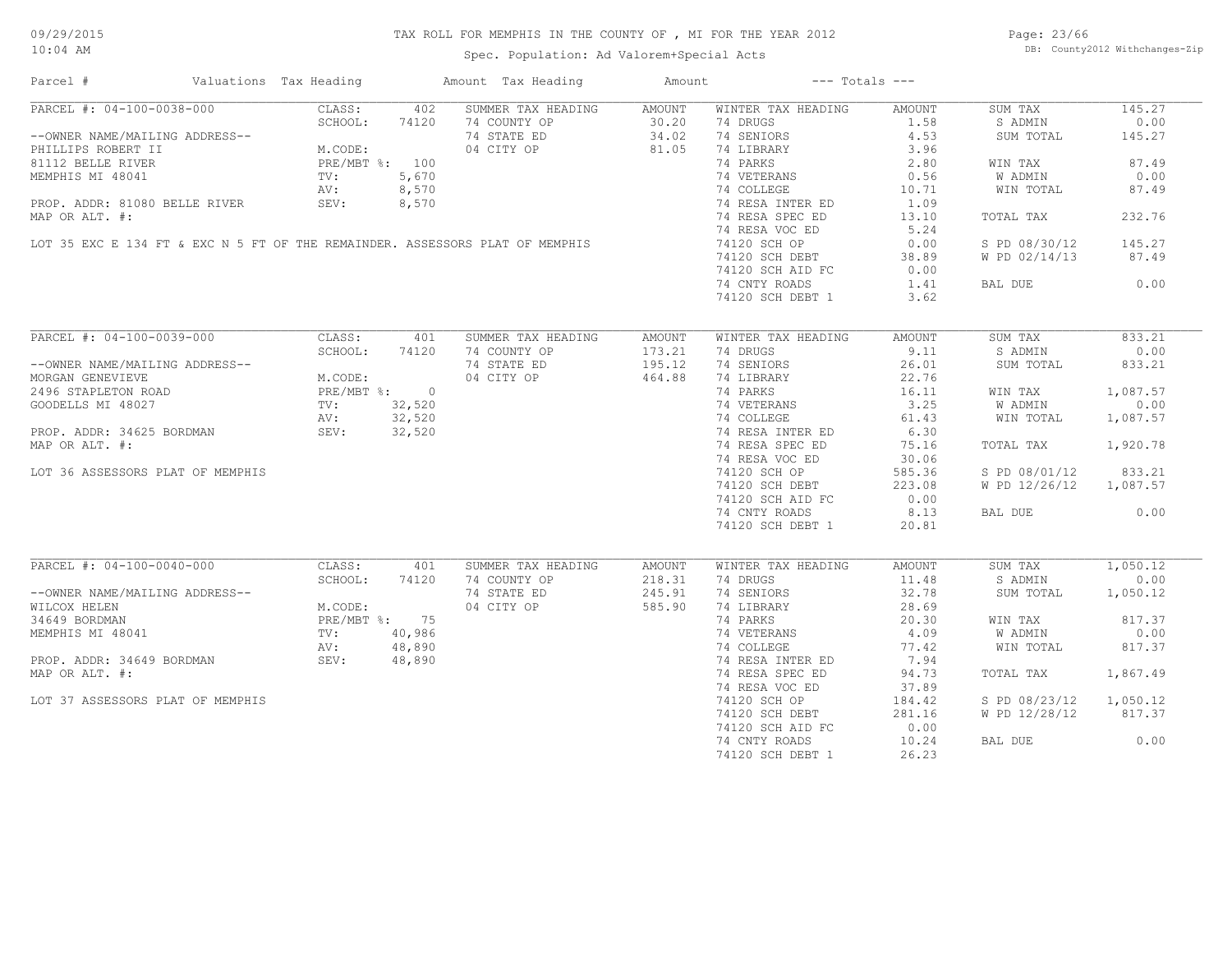Spec. Population: Ad Valorem+Special Acts

Page: 23/66 DB: County2012 Withchanges-Zip

| Parcel #                                                                                                                                                                                                                                   | Valuations Tax Heading |         |       | Amount Tax Heading                                                           | Amount |                           | $---$ Totals $---$ |                        |          |
|--------------------------------------------------------------------------------------------------------------------------------------------------------------------------------------------------------------------------------------------|------------------------|---------|-------|------------------------------------------------------------------------------|--------|---------------------------|--------------------|------------------------|----------|
| PARCEL #: 04-100-0038-000                                                                                                                                                                                                                  |                        | CLASS:  | 402   | SUMMER TAX HEADING                                                           | AMOUNT | WINTER TAX HEADING        | AMOUNT             | SUM TAX                | 145.27   |
|                                                                                                                                                                                                                                            |                        |         |       |                                                                              |        | 74 DRUGS                  | 1.58               | S ADMIN                | 0.00     |
| --OWNER NAME/MAILING ADDRESS--<br>PHILLIPS ROBERT II M.CODE:<br>81112 BELLE RIVER PRE/MBT %: 100<br>MEMPHIS MI 48041 TV: 5,670<br>PROP. ADDR: 81080 BELLE RIVER SEV: 8,570<br>PROP. ADDR: 81080 BELLE RIVER SEV: 8,570<br>PROP. ADDR: 4108 |                        |         |       | 20.20<br>74 STATE ED 34.02<br>74 STATE ED 34.02<br>04 CITY OP 81.05          |        | 74 SENIORS                | 4.53               | SUM TOTAL              | 145.27   |
|                                                                                                                                                                                                                                            |                        |         |       |                                                                              |        | 74 LIBRARY                | 3.96               |                        |          |
|                                                                                                                                                                                                                                            |                        |         |       |                                                                              |        | 74 PARKS                  | 2.80               | WIN TAX                | 87.49    |
|                                                                                                                                                                                                                                            |                        |         |       |                                                                              |        | 74 VETERANS               | 0.56               | W ADMIN                | 0.00     |
|                                                                                                                                                                                                                                            |                        |         |       |                                                                              |        | 74 COLLEGE                | 10.71              | WIN TOTAL              | 87.49    |
|                                                                                                                                                                                                                                            |                        |         |       |                                                                              |        | 74 RESA INTER ED          | 1.09               |                        |          |
| MAP OR ALT. #:                                                                                                                                                                                                                             |                        |         |       |                                                                              |        | 74 RESA SPEC ED           | 13.10              | TOTAL TAX              | 232.76   |
|                                                                                                                                                                                                                                            |                        |         |       |                                                                              |        |                           |                    |                        |          |
|                                                                                                                                                                                                                                            |                        |         |       |                                                                              |        | 74 RESA VOC ED            | 5.24               |                        |          |
|                                                                                                                                                                                                                                            |                        |         |       | LOT 35 EXC E 134 FT & EXC N 5 FT OF THE REMAINDER. ASSESSORS PLAT OF MEMPHIS |        | 74120 SCH OP              | 0.00               | S PD 08/30/12          | 145.27   |
|                                                                                                                                                                                                                                            |                        |         |       |                                                                              |        | 74120 SCH DEBT            | 38.89              | W PD 02/14/13          | 87.49    |
|                                                                                                                                                                                                                                            |                        |         |       |                                                                              |        | 74120 SCH AID FC          | 0.00               |                        |          |
|                                                                                                                                                                                                                                            |                        |         |       |                                                                              |        | 74 CNTY ROADS             | 1.41               | BAL DUE                | 0.00     |
|                                                                                                                                                                                                                                            |                        |         |       |                                                                              |        | 74120 SCH DEBT 1          | 3.62               |                        |          |
|                                                                                                                                                                                                                                            |                        |         |       |                                                                              |        |                           |                    |                        |          |
| PARCEL #: 04-100-0039-000                                                                                                                                                                                                                  |                        | CLASS:  | 401   | SUMMER TAX HEADING                                                           | AMOUNT | WINTER TAX HEADING        | AMOUNT             | SUM TAX                | 833.21   |
|                                                                                                                                                                                                                                            |                        | SCHOOL: | 74120 | 74 COUNTY OP                                                                 | 173.21 | 74 DRUGS                  | 9.11               | S ADMIN                | 0.00     |
| --OWNER NAME/MAILING ADDRESS--                                                                                                                                                                                                             |                        |         |       | 74 STATE ED                                                                  | 195.12 | 74 SENIORS                | 26.01              | SUM TOTAL              | 833.21   |
| --OWNER NAME/MAILING ADDRESS--<br>MORGAN GENEVIEVE M.CODE:<br>2496 STAPLETON ROAD PRE/MBT %: 0<br>GOODELLS MI 48027 TV: 32,520<br>PRE /MBT %: 0<br>AV: 32,520                                                                              |                        |         |       | 04 CITY OP                                                                   | 464.88 | 74 LIBRARY                | 22.76              |                        |          |
|                                                                                                                                                                                                                                            |                        |         |       |                                                                              |        | 74 PARKS                  | 16.11              | WIN TAX                | 1,087.57 |
|                                                                                                                                                                                                                                            |                        |         |       | $\begin{array}{c} 0 \\ 0 \\ 20 \\ 20 \end{array}$                            |        | 74 VETERANS<br>74 COLLEGE | 3.25               | W ADMIN                | 0.00     |
|                                                                                                                                                                                                                                            |                        |         |       |                                                                              |        |                           | 61.43              | WIN TOTAL              | 1,087.57 |
| PROP. ADDR: 34625 BORDMAN SEV: 32,520                                                                                                                                                                                                      |                        |         |       |                                                                              |        | 74 RESA INTER ED          | 6.30               |                        |          |
| MAP OR ALT. #:                                                                                                                                                                                                                             |                        |         |       |                                                                              |        | 74 RESA SPEC ED           | 75.16              |                        | 1,920.78 |
|                                                                                                                                                                                                                                            |                        |         |       |                                                                              |        |                           |                    | TOTAL TAX              |          |
|                                                                                                                                                                                                                                            |                        |         |       |                                                                              |        | 74 RESA VOC ED            | 30.06              |                        |          |
| LOT 36 ASSESSORS PLAT OF MEMPHIS                                                                                                                                                                                                           |                        |         |       |                                                                              |        | 74120 SCH OP              | 585.36             | S PD 08/01/12          | 833.21   |
|                                                                                                                                                                                                                                            |                        |         |       |                                                                              |        | 74120 SCH DEBT            | 223.08             | W PD 12/26/12 1,087.57 |          |
|                                                                                                                                                                                                                                            |                        |         |       |                                                                              |        | 74120 SCH AID FC          | 0.00               |                        |          |
|                                                                                                                                                                                                                                            |                        |         |       |                                                                              |        | 74 CNTY ROADS             | 8.13               | BAL DUE                | 0.00     |
|                                                                                                                                                                                                                                            |                        |         |       |                                                                              |        | 74120 SCH DEBT 1          | 20.81              |                        |          |
|                                                                                                                                                                                                                                            |                        |         |       |                                                                              |        |                           |                    |                        |          |
| PARCEL #: 04-100-0040-000                                                                                                                                                                                                                  |                        | CLASS:  | 401   | SUMMER TAX HEADING                                                           | AMOUNT | WINTER TAX HEADING        | AMOUNT             | SUM TAX                | 1,050.12 |
|                                                                                                                                                                                                                                            |                        | SCHOOL: | 74120 | 74 COUNTY OP                                                                 | 218.31 | 74 DRUGS                  | 11.48              | S ADMIN                | 0.00     |
| --OWNER NAME/MAILING ADDRESS--                                                                                                                                                                                                             |                        |         |       | 74 STATE ED                                                                  | 245.91 | 74 SENIORS                | 32.78              | SUM TOTAL              | 1,050.12 |
|                                                                                                                                                                                                                                            |                        |         |       | 04 CITY OP                                                                   | 585.90 | 74 LIBRARY                | 28.69              |                        |          |
|                                                                                                                                                                                                                                            |                        |         |       |                                                                              |        | 74 PARKS                  | 20.30              | WIN TAX                | 817.37   |
|                                                                                                                                                                                                                                            |                        |         |       |                                                                              |        | 74 VETERANS<br>74 COLLEGE | 4.09               | W ADMIN                | 0.00     |
| --UNNER NAME/MAILING ADDRESS--<br>WILCOX HELEN<br>34649 BORDMAN<br>MEMPHIS MI 48041<br>PROP. ADDR: 34649 BORDMAN<br>PROP. ADDR: 34649 BORDMAN<br>PROP. ADDR: 34649 BORDMAN<br>SEV: 48,890                                                  |                        |         |       |                                                                              |        |                           | 77.42              | WIN TOTAL              | 817.37   |
|                                                                                                                                                                                                                                            |                        |         |       |                                                                              |        | 74 RESA INTER ED          | 7.94               |                        |          |
| MAP OR ALT. #:                                                                                                                                                                                                                             |                        |         |       |                                                                              |        | 74 RESA SPEC ED           | 94.73              | TOTAL TAX              | 1,867.49 |
|                                                                                                                                                                                                                                            |                        |         |       |                                                                              |        |                           |                    |                        |          |
|                                                                                                                                                                                                                                            |                        |         |       |                                                                              |        | 74 RESA VOC ED            | 37.89              |                        |          |
| LOT 37 ASSESSORS PLAT OF MEMPHIS                                                                                                                                                                                                           |                        |         |       |                                                                              |        | 74120 SCH OP              | 184.42             | S PD 08/23/12 1,050.12 |          |
|                                                                                                                                                                                                                                            |                        |         |       |                                                                              |        | 74120 SCH DEBT            | 281.16             | W PD 12/28/12 817.37   |          |
|                                                                                                                                                                                                                                            |                        |         |       |                                                                              |        | 74120 SCH AID FC          | 0.00               |                        |          |
|                                                                                                                                                                                                                                            |                        |         |       |                                                                              |        | 74 CNTY ROADS             | 10.24              | BAL DUE                | 0.00     |
|                                                                                                                                                                                                                                            |                        |         |       |                                                                              |        | 74120 SCH DEBT 1          | 26.23              |                        |          |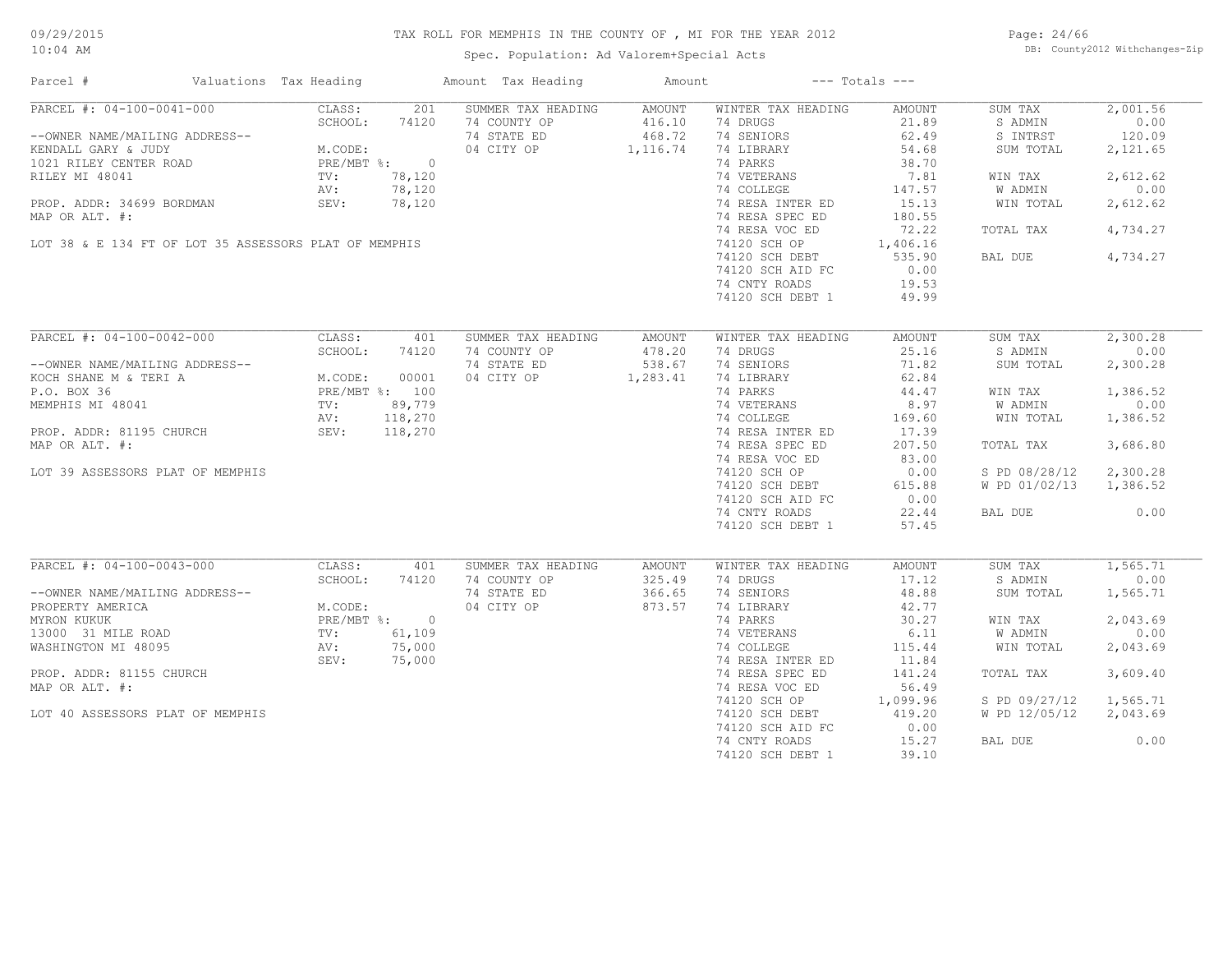Spec. Population: Ad Valorem+Special Acts

Page: 24/66 DB: County2012 Withchanges-Zip

| Parcel #                                              | Valuations Tax Heading |                                                              |        | Amount Tax Heading        | Amount           |                    | $---$ Totals $---$ |                        |          |
|-------------------------------------------------------|------------------------|--------------------------------------------------------------|--------|---------------------------|------------------|--------------------|--------------------|------------------------|----------|
| PARCEL #: 04-100-0041-000                             |                        | CLASS:                                                       | 201    | SUMMER TAX HEADING AMOUNT |                  | WINTER TAX HEADING | AMOUNT             | SUM TAX                | 2,001.56 |
|                                                       |                        | SCHOOL:                                                      | 74120  | 74 COUNTY OP              |                  | 74 DRUGS           | 21.89              | S ADMIN                | 0.00     |
| --OWNER NAME/MAILING ADDRESS--                        |                        | M.CODE:<br>PRE/MBT %: 0<br>TV: 78,120<br>AV: 78,120          |        | 74 STATE ED               | 416.10<br>468.72 | 74 SENIORS         | 62.49              | S INTRST               | 120.09   |
| KENDALL GARY & JUDY                                   |                        |                                                              |        | 04 CITY OP 1, 116.74      |                  | 74 LIBRARY         | 54.68              | SUM TOTAL              | 2,121.65 |
| 1021 RILEY CENTER ROAD                                |                        |                                                              |        |                           |                  | 74 PARKS           | 38.70              |                        |          |
| RILEY MI 48041                                        |                        |                                                              |        |                           |                  | 74 VETERANS        | 7.81               | WIN TAX                | 2,612.62 |
|                                                       |                        |                                                              |        |                           |                  | 74 COLLEGE         | 147.57             | W ADMIN                | 0.00     |
| PROP. ADDR: 34699 BORDMAN SEV:                        |                        |                                                              | 78,120 |                           |                  | 74 RESA INTER ED   | 15.13              | WIN TOTAL              | 2,612.62 |
| MAP OR ALT. #:                                        |                        |                                                              |        |                           |                  | 74 RESA SPEC ED    | 180.55             |                        |          |
|                                                       |                        |                                                              |        |                           |                  | 74 RESA VOC ED     | 72.22              | TOTAL TAX              | 4,734.27 |
|                                                       |                        |                                                              |        |                           |                  |                    |                    |                        |          |
| LOT 38 & E 134 FT OF LOT 35 ASSESSORS PLAT OF MEMPHIS |                        |                                                              |        |                           |                  | 74120 SCH OP       | 1,406.16           |                        |          |
|                                                       |                        |                                                              |        |                           |                  | 74120 SCH DEBT     | 535.90             | BAL DUE                | 4,734.27 |
|                                                       |                        |                                                              |        |                           |                  | 74120 SCH AID FC   | 0.00               |                        |          |
|                                                       |                        |                                                              |        |                           |                  | 74 CNTY ROADS      | 19.53              |                        |          |
|                                                       |                        |                                                              |        |                           |                  | 74120 SCH DEBT 1   | 49.99              |                        |          |
|                                                       |                        |                                                              |        |                           |                  |                    |                    |                        |          |
| PARCEL #: 04-100-0042-000                             |                        | CLASS:                                                       | 401    | SUMMER TAX HEADING        | AMOUNT           | WINTER TAX HEADING | AMOUNT             | SUM TAX                | 2,300.28 |
|                                                       |                        | SCHOOL:                                                      | 74120  | 74 COUNTY OP              | 478.20           | 74 DRUGS           | 25.16              | S ADMIN                | 0.00     |
| --OWNER NAME/MAILING ADDRESS--                        |                        |                                                              |        | 74 STATE ED               | 538.67           | 74 SENIORS         | 71.82              | SUM TOTAL              | 2,300.28 |
| KOCH SHANE M & TERI A                                 |                        | M.CODE: 00001<br>PRE/MBT %: 100<br>TV: 89,779<br>AV: 118,270 |        | 04 CITY OP 1,283.41       |                  | 74 LIBRARY         | 62.84              |                        |          |
| P.O. BOX 36                                           |                        |                                                              |        |                           |                  | 74 PARKS           | 44.47              | WIN TAX                | 1,386.52 |
| MEMPHIS MI 48041                                      |                        |                                                              |        |                           |                  | 74 VETERANS        | 8.97               | W ADMIN                | 0.00     |
|                                                       |                        |                                                              |        |                           |                  | 74 COLLEGE         | 169.60             | WIN TOTAL              | 1,386.52 |
| PROP. ADDR: 81195 CHURCH                              |                        |                                                              |        |                           |                  | 74 RESA INTER ED   | 17.39              |                        |          |
|                                                       |                        | SEV: 118,270                                                 |        |                           |                  |                    |                    |                        |          |
| MAP OR ALT. #:                                        |                        |                                                              |        |                           |                  | 74 RESA SPEC ED    | 207.50             | TOTAL TAX              | 3,686.80 |
|                                                       |                        |                                                              |        |                           |                  | 74 RESA VOC ED     | 83.00              |                        |          |
| LOT 39 ASSESSORS PLAT OF MEMPHIS                      |                        |                                                              |        |                           |                  | 74120 SCH OP       | 0.00               | S PD 08/28/12          | 2,300.28 |
|                                                       |                        |                                                              |        |                           |                  | 74120 SCH DEBT     | 615.88             | W PD 01/02/13 1,386.52 |          |
|                                                       |                        |                                                              |        |                           |                  | 74120 SCH AID FC   | 0.00               |                        |          |
|                                                       |                        |                                                              |        |                           |                  | 74 CNTY ROADS      | 22.44              | BAL DUE                | 0.00     |
|                                                       |                        |                                                              |        |                           |                  | 74120 SCH DEBT 1   | 57.45              |                        |          |
|                                                       |                        |                                                              |        |                           |                  |                    |                    |                        |          |
| PARCEL #: 04-100-0043-000                             |                        | CLASS:                                                       | 401    | SUMMER TAX HEADING        | AMOUNT           | WINTER TAX HEADING | AMOUNT             | SUM TAX                | 1,565.71 |
|                                                       |                        | SCHOOL:                                                      | 74120  | 74 COUNTY OP              | 325.49           | 74 DRUGS           | 17.12              | S ADMIN                | 0.00     |
| --OWNER NAME/MAILING ADDRESS--                        |                        |                                                              |        | 74 STATE ED               | 366.65           | 74 SENIORS         | 48.88              | SUM TOTAL              | 1,565.71 |
|                                                       |                        |                                                              |        | 04 CITY OP                | 873.57           | 74 LIBRARY         | 42.77              |                        |          |
|                                                       |                        |                                                              |        |                           |                  | 74 PARKS           | 30.27              | WIN TAX                | 2,043.69 |
|                                                       |                        |                                                              |        |                           |                  | 74 VETERANS        | 6.11               | W ADMIN                | 0.00     |
|                                                       |                        |                                                              |        |                           |                  | 74 COLLEGE         | 115.44             | WIN TOTAL              | 2,043.69 |
|                                                       |                        | SEV:                                                         | 75,000 |                           |                  | 74 RESA INTER ED   | 11.84              |                        |          |
| PROP. ADDR: 81155 CHURCH                              |                        |                                                              |        |                           |                  | 74 RESA SPEC ED    | 141.24             | TOTAL TAX              | 3,609.40 |
| MAP OR ALT. #:                                        |                        |                                                              |        |                           |                  | 74 RESA VOC ED     | 56.49              |                        |          |
|                                                       |                        |                                                              |        |                           |                  | 74120 SCH OP       | 1,099.96           | S PD 09/27/12          | 1,565.71 |
| LOT 40 ASSESSORS PLAT OF MEMPHIS                      |                        |                                                              |        |                           |                  | 74120 SCH DEBT     | 419.20             | W PD 12/05/12          | 2,043.69 |
|                                                       |                        |                                                              |        |                           |                  | 74120 SCH AID FC   | 0.00               |                        |          |
|                                                       |                        |                                                              |        |                           |                  |                    |                    |                        | 0.00     |
|                                                       |                        |                                                              |        |                           |                  | 74 CNTY ROADS      | 15.27              | BAL DUE                |          |
|                                                       |                        |                                                              |        |                           |                  | 74120 SCH DEBT 1   | 39.10              |                        |          |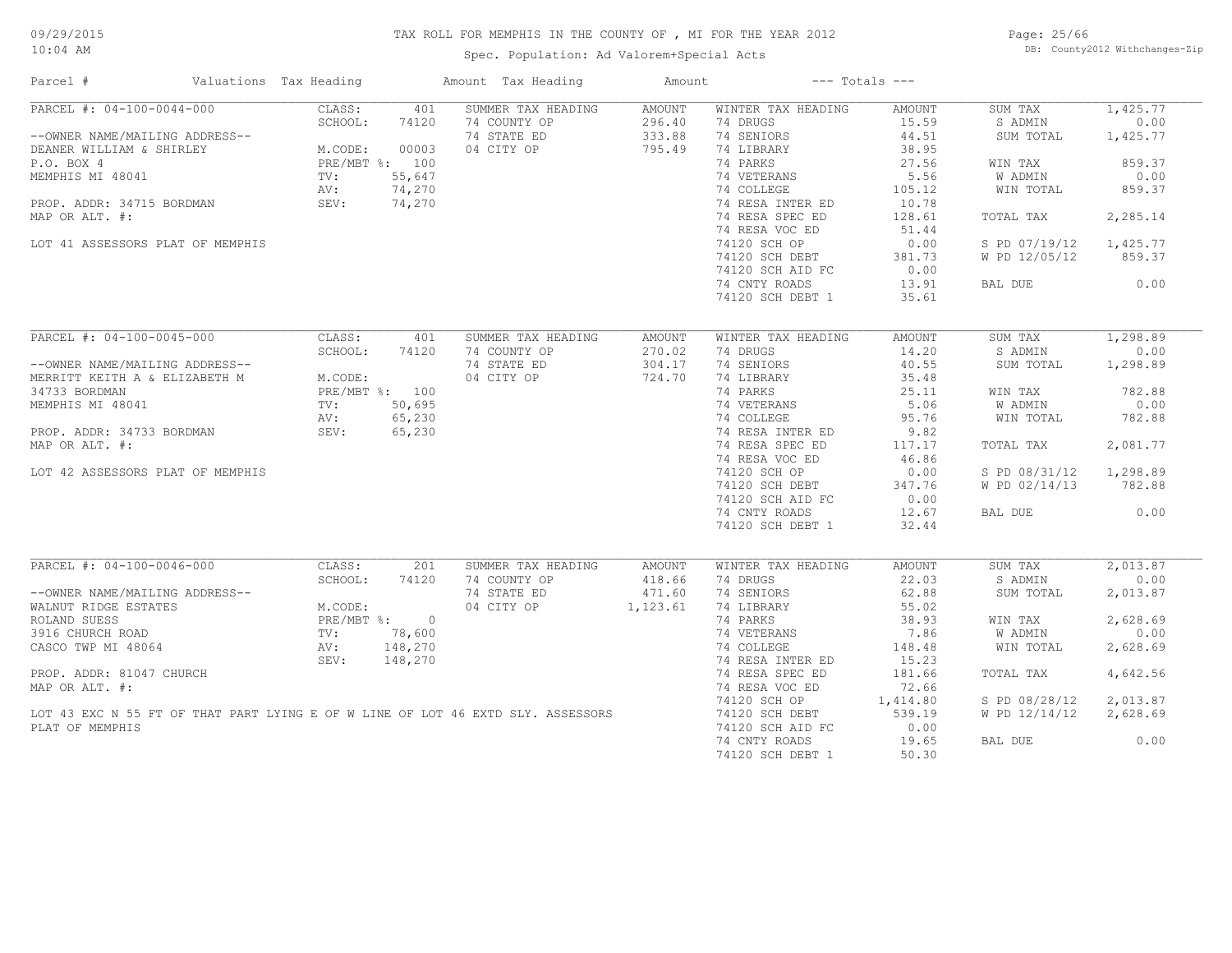Spec. Population: Ad Valorem+Special Acts

Page: 25/66 DB: County2012 Withchanges-Zip

| Parcel #                                                                        | Valuations Tax Heading               | Amount Tax Heading | Amount        |                    | $---$ Totals $---$ |               |          |
|---------------------------------------------------------------------------------|--------------------------------------|--------------------|---------------|--------------------|--------------------|---------------|----------|
| PARCEL #: 04-100-0044-000                                                       | CLASS:<br>401                        | SUMMER TAX HEADING | <b>AMOUNT</b> | WINTER TAX HEADING | AMOUNT             | SUM TAX       | 1,425.77 |
|                                                                                 | SCHOOL:<br>74120                     | 74 COUNTY OP       | 296.40        | 74 DRUGS           | 15.59              | S ADMIN       | 0.00     |
| --OWNER NAME/MAILING ADDRESS--                                                  |                                      | 74 STATE ED        | 333.88        | 74 SENIORS         | 44.51              | SUM TOTAL     | 1,425.77 |
| DEANER WILLIAM & SHIRLEY                                                        | $M. CODE: 00003$<br>$PRE/MBT *: 100$ | 04 CITY OP         | 795.49        | 74 LIBRARY         | 38.95              |               |          |
| P.O. BOX 4                                                                      |                                      |                    |               | 74 PARKS           | 27.56              | WIN TAX       | 859.37   |
| MEMPHIS MI 48041                                                                | 55,647<br>TV:                        |                    |               | 74 VETERANS        | 5.56               | W ADMIN       | 0.00     |
|                                                                                 | 74,270<br>AV:                        |                    |               | 74 COLLEGE         | 105.12             | WIN TOTAL     | 859.37   |
| PROP. ADDR: 34715 BORDMAN                                                       | 74,270<br>SEV:                       |                    |               | 74 RESA INTER ED   | 10.78              |               |          |
| MAP OR ALT. #:                                                                  |                                      |                    |               | 74 RESA SPEC ED    | 128.61             | TOTAL TAX     | 2,285.14 |
|                                                                                 |                                      |                    |               | 74 RESA VOC ED     | 51.44              |               |          |
| LOT 41 ASSESSORS PLAT OF MEMPHIS                                                |                                      |                    |               | 74120 SCH OP       | 0.00               | S PD 07/19/12 | 1,425.77 |
|                                                                                 |                                      |                    |               | 74120 SCH DEBT     | 381.73             | W PD 12/05/12 | 859.37   |
|                                                                                 |                                      |                    |               |                    |                    |               |          |
|                                                                                 |                                      |                    |               | 74120 SCH AID FC   | 0.00               |               |          |
|                                                                                 |                                      |                    |               | 74 CNTY ROADS      | 13.91              | BAL DUE       | 0.00     |
|                                                                                 |                                      |                    |               | 74120 SCH DEBT 1   | 35.61              |               |          |
|                                                                                 |                                      |                    |               |                    |                    |               |          |
| PARCEL #: 04-100-0045-000                                                       | CLASS:<br>401                        | SUMMER TAX HEADING | AMOUNT        | WINTER TAX HEADING | AMOUNT             | SUM TAX       | 1,298.89 |
|                                                                                 | SCHOOL:<br>74120                     | 74 COUNTY OP       | 270.02        | 74 DRUGS           | 14.20              | S ADMIN       | 0.00     |
| --OWNER NAME/MAILING ADDRESS--                                                  |                                      | 74 STATE ED        | 304.17        | 74 SENIORS         | 40.55              | SUM TOTAL     | 1,298.89 |
| MERRITT KEITH A & ELIZABETH M                                                   | M.CODE:                              | 04 CITY OP         | 724.70        | 74 LIBRARY         | 35.48              |               |          |
| 34733 BORDMAN                                                                   | PRE/MBT %: 100                       |                    |               | 74 PARKS           | 25.11              | WIN TAX       | 782.88   |
| MEMPHIS MI 48041                                                                | 50,695<br>TV:                        |                    |               | 74 VETERANS        | 5.06               | W ADMIN       | 0.00     |
|                                                                                 | 65,230<br>AV:                        |                    |               | 74 COLLEGE         | 95.76              | WIN TOTAL     | 782.88   |
| PROP. ADDR: 34733 BORDMAN                                                       | SEV:<br>65,230                       |                    |               | 74 RESA INTER ED   | 9.82               |               |          |
| MAP OR ALT. #:                                                                  |                                      |                    |               | 74 RESA SPEC ED    | 117.17             | TOTAL TAX     | 2,081.77 |
|                                                                                 |                                      |                    |               | 74 RESA VOC ED     | 46.86              |               |          |
| LOT 42 ASSESSORS PLAT OF MEMPHIS                                                |                                      |                    |               | 74120 SCH OP       | 0.00               | S PD 08/31/12 | 1,298.89 |
|                                                                                 |                                      |                    |               | 74120 SCH DEBT     | 347.76             | W PD 02/14/13 | 782.88   |
|                                                                                 |                                      |                    |               | 74120 SCH AID FC   | 0.00               |               |          |
|                                                                                 |                                      |                    |               |                    |                    |               | 0.00     |
|                                                                                 |                                      |                    |               | 74 CNTY ROADS      | 12.67              | BAL DUE       |          |
|                                                                                 |                                      |                    |               | 74120 SCH DEBT 1   | 32.44              |               |          |
|                                                                                 |                                      |                    |               |                    |                    |               |          |
| PARCEL #: 04-100-0046-000                                                       | CLASS:<br>201                        | SUMMER TAX HEADING | AMOUNT        | WINTER TAX HEADING | AMOUNT             | SUM TAX       | 2,013.87 |
|                                                                                 | SCHOOL:<br>74120                     | 74 COUNTY OP       | 418.66        | 74 DRUGS           | 22.03              | S ADMIN       | 0.00     |
| --OWNER NAME/MAILING ADDRESS--                                                  |                                      | 74 STATE ED        | 471.60        | 74 SENIORS         | 62.88              | SUM TOTAL     | 2,013.87 |
| WALNUT RIDGE ESTATES                                                            | M.CODE:                              | 04 CITY OP         | 1,123.61      | 74 LIBRARY         | 55.02              |               |          |
| ROLAND SUESS                                                                    | PRE/MBT %: 0                         |                    |               | 74 PARKS           | 38.93              | WIN TAX       | 2,628.69 |
| 3916 CHURCH ROAD                                                                | 78,600<br>TV:                        |                    |               | 74 VETERANS        | 7.86               | W ADMIN       | 0.00     |
| CASCO TWP MI 48064                                                              | 148,270<br>AV:                       |                    |               | 74 COLLEGE         | 148.48             | WIN TOTAL     | 2,628.69 |
|                                                                                 | 148,270<br>SEV:                      |                    |               | 74 RESA INTER ED   | 15.23              |               |          |
| PROP. ADDR: 81047 CHURCH                                                        |                                      |                    |               | 74 RESA SPEC ED    | 181.66             | TOTAL TAX     | 4,642.56 |
| MAP OR ALT. #:                                                                  |                                      |                    |               | 74 RESA VOC ED     | 72.66              |               |          |
|                                                                                 |                                      |                    |               | 74120 SCH OP       | 1,414.80           | S PD 08/28/12 | 2,013.87 |
| LOT 43 EXC N 55 FT OF THAT PART LYING E OF W LINE OF LOT 46 EXTD SLY. ASSESSORS |                                      |                    |               | 74120 SCH DEBT     | 539.19             | W PD 12/14/12 | 2,628.69 |
| PLAT OF MEMPHIS                                                                 |                                      |                    |               | 74120 SCH AID FC   | 0.00               |               |          |
|                                                                                 |                                      |                    |               | 74 CNTY ROADS      | 19.65              | BAL DUE       | 0.00     |
|                                                                                 |                                      |                    |               | 74120 SCH DEBT 1   | 50.30              |               |          |
|                                                                                 |                                      |                    |               |                    |                    |               |          |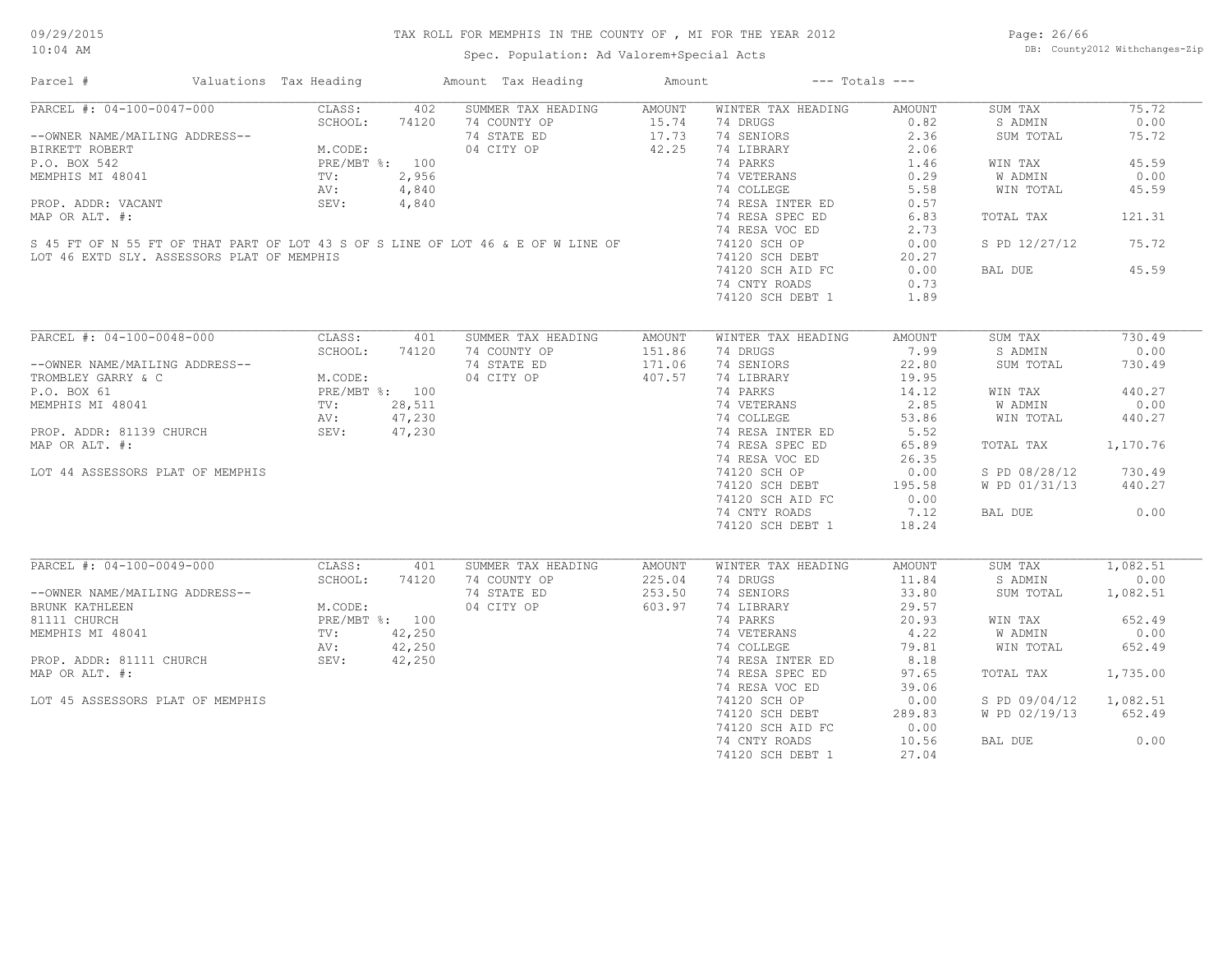Spec. Population: Ad Valorem+Special Acts

Page: 26/66 DB: County2012 Withchanges-Zip

| Parcel #                                                                                                                                                                                                                                             | Valuations Tax Heading |            | Amount Tax Heading                                                               | Amount           | $---$ Totals $---$                            |        |                        |          |
|------------------------------------------------------------------------------------------------------------------------------------------------------------------------------------------------------------------------------------------------------|------------------------|------------|----------------------------------------------------------------------------------|------------------|-----------------------------------------------|--------|------------------------|----------|
| PARCEL #: 04-100-0047-000                                                                                                                                                                                                                            |                        |            | CLASS: 402 SUMMER TAX HEADING AMOUNT                                             |                  | WINTER TAX HEADING                            | AMOUNT | SUM TAX                | 75.72    |
|                                                                                                                                                                                                                                                      |                        |            | 74 COUNTY OP                                                                     |                  |                                               | 0.82   | S ADMIN                | 0.00     |
| --OWNER NAME/MAILING ADDRESS--<br>BIRKETT ROBERT<br>P.O. BOX 542<br>MEMPHIS MI 48041<br>MEMPHIS MI 48041<br>PROP. ADDR: VACANT<br>PROP. ADDR: WACANT<br>PROP. ADDR: WACANT<br>PROP. ADDR: WACANT<br>PROP. ADDR: MICONETY: 4,840<br>PROP. ADDR: MIC   |                        |            | 74 STATE ED                                                                      |                  | 15.74 74 DRUGS<br>17.73 74 SENIORS            | 2.36   | SUM TOTAL              | 75.72    |
|                                                                                                                                                                                                                                                      |                        |            | 04 CITY OP 42.25                                                                 |                  | 74 LIBRARY                                    | 2.06   |                        |          |
|                                                                                                                                                                                                                                                      |                        |            |                                                                                  |                  | 74 PARKS                                      | 1.46   | WIN TAX                | 45.59    |
|                                                                                                                                                                                                                                                      |                        |            |                                                                                  |                  |                                               | 0.29   | W ADMIN                | 0.00     |
|                                                                                                                                                                                                                                                      |                        |            |                                                                                  |                  | 74 VETERANS<br>74 COLLEGE                     | 5.58   | WIN TOTAL              | 45.59    |
|                                                                                                                                                                                                                                                      |                        |            |                                                                                  |                  | 74 RESA INTER ED                              | 0.57   |                        |          |
|                                                                                                                                                                                                                                                      |                        |            |                                                                                  |                  | 74 RESA SPEC ED                               |        |                        | 121.31   |
| MAP OR ALT. #:                                                                                                                                                                                                                                       |                        |            |                                                                                  |                  |                                               | 6.83   | TOTAL TAX              |          |
|                                                                                                                                                                                                                                                      |                        |            |                                                                                  |                  | 74 RESA VOC ED                                | 2.73   |                        |          |
|                                                                                                                                                                                                                                                      |                        |            | S 45 FT OF N 55 FT OF THAT PART OF LOT 43 S OF S LINE OF LOT 46 & E OF W LINE OF |                  | 74120 SCH OP                                  | 0.00   | S PD 12/27/12          | 75.72    |
| LOT 46 EXTD SLY. ASSESSORS PLAT OF MEMPHIS                                                                                                                                                                                                           |                        |            |                                                                                  |                  | 74120 SCH DEBT                                | 20.27  |                        |          |
|                                                                                                                                                                                                                                                      |                        |            |                                                                                  |                  | 74120 SCH AID FC                              | 0.00   | BAL DUE                | 45.59    |
|                                                                                                                                                                                                                                                      |                        |            |                                                                                  |                  | 74 CNTY ROADS                                 | 0.73   |                        |          |
|                                                                                                                                                                                                                                                      |                        |            |                                                                                  |                  | 74120 SCH DEBT 1                              | 1.89   |                        |          |
|                                                                                                                                                                                                                                                      |                        |            |                                                                                  |                  |                                               |        |                        |          |
| PARCEL #: 04-100-0048-000                                                                                                                                                                                                                            |                        | CLASS: 401 | SUMMER TAX HEADING                                                               | AMOUNT           | WINTER TAX HEADING                            | AMOUNT | SUM TAX                | 730.49   |
|                                                                                                                                                                                                                                                      | SCHOOL:                | 74120      | 74 COUNTY OP                                                                     |                  | 74 DRUGS                                      | 7.99   | S ADMIN                | 0.00     |
| --OWNER NAME/MAILING ADDRESS--<br>TROMBLEY GARRY & C<br>P.O. BOX 61<br>MEMPHIS MI 48041<br>PROP. ADDR: 81139 CHURCH<br>MEMPHIS MI 48041<br>PROP. ADDR: 81139 CHURCH<br>MARLOR ATL 47,230<br>MARLOR ATL 47,230                                        |                        |            | 74 STATE ED                                                                      | 151.86<br>171.06 | 74 SENIORS                                    | 22.80  | SUM TOTAL              | 730.49   |
|                                                                                                                                                                                                                                                      |                        |            | 04 CITY OP                                                                       | 407.57           | 74 LIBRARY                                    | 19.95  |                        |          |
|                                                                                                                                                                                                                                                      |                        |            |                                                                                  |                  | 74 PARKS                                      | 14.12  | WIN TAX                | 440.27   |
|                                                                                                                                                                                                                                                      |                        |            |                                                                                  |                  |                                               | 2.85   | W ADMIN                | 0.00     |
|                                                                                                                                                                                                                                                      |                        |            |                                                                                  |                  | 74 VETERANS<br>74 COLLEGE<br>74 RESA INTER ED | 53.86  | WIN TOTAL              | 440.27   |
|                                                                                                                                                                                                                                                      |                        |            |                                                                                  |                  |                                               | 5.52   |                        |          |
|                                                                                                                                                                                                                                                      |                        |            |                                                                                  |                  | 74 RESA SPEC ED                               |        |                        |          |
| MAP OR ALT. #:                                                                                                                                                                                                                                       |                        |            |                                                                                  |                  |                                               | 65.89  | TOTAL TAX              | 1,170.76 |
|                                                                                                                                                                                                                                                      |                        |            |                                                                                  |                  | 74 RESA VOC ED                                | 26.35  |                        |          |
| LOT 44 ASSESSORS PLAT OF MEMPHIS                                                                                                                                                                                                                     |                        |            |                                                                                  |                  | 74120 SCH OP                                  | 0.00   | S PD 08/28/12          | 730.49   |
|                                                                                                                                                                                                                                                      |                        |            | $\frac{1}{11}$<br>230<br>230<br>230                                              |                  | 74120 SCH DEBT                                | 195.58 | W PD 01/31/13 440.27   |          |
|                                                                                                                                                                                                                                                      |                        |            |                                                                                  |                  | 74120 SCH AID FC                              | 0.00   |                        |          |
|                                                                                                                                                                                                                                                      |                        |            |                                                                                  |                  | 74 CNTY ROADS                                 | 7.12   | BAL DUE                | 0.00     |
|                                                                                                                                                                                                                                                      |                        |            |                                                                                  |                  | 74120 SCH DEBT 1                              | 18.24  |                        |          |
|                                                                                                                                                                                                                                                      |                        |            |                                                                                  |                  |                                               |        |                        |          |
| PARCEL #: 04-100-0049-000                                                                                                                                                                                                                            | CLASS:                 | 401        | SUMMER TAX HEADING                                                               | AMOUNT           | WINTER TAX HEADING                            | AMOUNT | SUM TAX                | 1,082.51 |
|                                                                                                                                                                                                                                                      | SCHOOL:                | 74120      | 74 COUNTY OP                                                                     | 225.04           | 74 DRUGS                                      | 11.84  | S ADMIN                | 0.00     |
| --OWNER NAME/MAILING ADDRESS--<br>BRUNK KATHLEEN<br>81111 CHURCH<br>MEMPHIS MI 48041<br>PROP. ADDR: 81111 CHURCH<br>MEMPHIS MI 48041<br>PROP. ADDR: 81111 CHURCH<br>MEMPHIS MI 48041<br>PROP. ADDR: 81111 CHURCH<br>NEW: 42,250<br>NEW: 42,250<br>NE |                        |            |                                                                                  | 253.50           | 74 SENIORS                                    | 33.80  | SUM TOTAL              | 1,082.51 |
|                                                                                                                                                                                                                                                      |                        |            | 74 COUNTY OP<br>74 STATE ED<br>04 CITY OP                                        | 603.97           | 74 LIBRARY                                    | 29.57  |                        |          |
|                                                                                                                                                                                                                                                      |                        |            |                                                                                  |                  | 74 PARKS                                      | 20.93  | WIN TAX                | 652.49   |
|                                                                                                                                                                                                                                                      |                        |            |                                                                                  |                  |                                               | 4.22   | W ADMIN                | 0.00     |
|                                                                                                                                                                                                                                                      |                        |            |                                                                                  |                  | 74 VETERANS<br>74 COLLEGE<br>74 RESA INTER ED | 79.81  | WIN TOTAL              | 652.49   |
|                                                                                                                                                                                                                                                      |                        |            |                                                                                  |                  |                                               | 8.18   |                        |          |
| MAP OR ALT. #:                                                                                                                                                                                                                                       |                        |            |                                                                                  |                  | 74 RESA SPEC ED                               | 97.65  | TOTAL TAX              | 1,735.00 |
|                                                                                                                                                                                                                                                      |                        |            |                                                                                  |                  | 74 RESA VOC ED                                | 39.06  |                        |          |
|                                                                                                                                                                                                                                                      |                        |            |                                                                                  |                  |                                               |        |                        |          |
| LOT 45 ASSESSORS PLAT OF MEMPHIS                                                                                                                                                                                                                     |                        |            |                                                                                  |                  | 74120 SCH OP                                  | 0.00   | S PD 09/04/12 1,082.51 |          |
|                                                                                                                                                                                                                                                      |                        |            |                                                                                  |                  | 74120 SCH DEBT                                | 289.83 | W PD 02/19/13 652.49   |          |
|                                                                                                                                                                                                                                                      |                        |            |                                                                                  |                  | 74120 SCH AID FC                              | 0.00   |                        |          |
|                                                                                                                                                                                                                                                      |                        |            |                                                                                  |                  | 74 CNTY ROADS                                 | 10.56  | BAL DUE                | 0.00     |
|                                                                                                                                                                                                                                                      |                        |            |                                                                                  |                  | 74120 SCH DEBT 1                              | 27.04  |                        |          |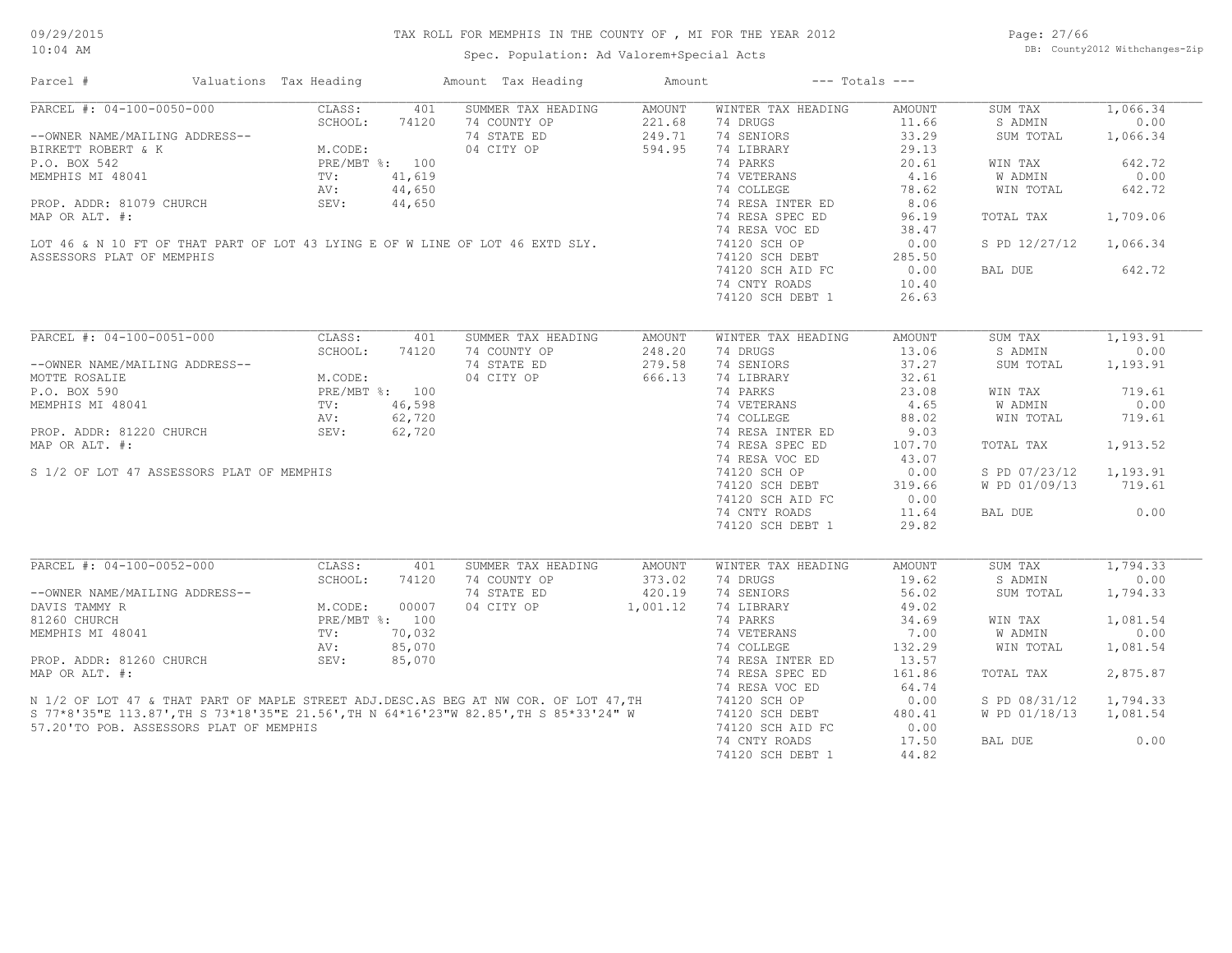Spec. Population: Ad Valorem+Special Acts

Page: 27/66 DB: County2012 Withchanges-Zip

| Parcel #                                                                                                                                                                   | Valuations Tax Heading                                                             |        | Amount Tax Heading                                                   | Amount   | $---$ Totals $---$ |               |               |          |
|----------------------------------------------------------------------------------------------------------------------------------------------------------------------------|------------------------------------------------------------------------------------|--------|----------------------------------------------------------------------|----------|--------------------|---------------|---------------|----------|
| PARCEL #: 04-100-0050-000                                                                                                                                                  | CLASS:                                                                             | 401    | SUMMER TAX HEADING                                                   | AMOUNT   | WINTER TAX HEADING | AMOUNT        | SUM TAX       | 1,066.34 |
|                                                                                                                                                                            | SCHOOL:                                                                            | 74120  | 74 COUNTY OP                                                         | 221.68   | 74 DRUGS           | 11.66         | S ADMIN       | 0.00     |
| --OWNER NAME/MAILING ADDRESS--                                                                                                                                             | M.CODE: 74120<br>M.CODE: PRE/MBT %: 100<br>TV: 41,619<br>AV: 44,650<br>CTY: 44,650 |        | 74 STATE ED                                                          | 249.71   | 74 SENIORS         | 33.29         | SUM TOTAL     | 1,066.34 |
| BIRKETT ROBERT & K                                                                                                                                                         |                                                                                    |        | 04 CITY OP                                                           | 594.95   | 74 LIBRARY         | 29.13         |               |          |
| P.O. BOX 542                                                                                                                                                               |                                                                                    |        |                                                                      |          | 74 PARKS           | 20.61         | WIN TAX       | 642.72   |
| MEMPHIS MI 48041                                                                                                                                                           |                                                                                    |        |                                                                      |          | 74 VETERANS        | 4.16          | W ADMIN       | 0.00     |
|                                                                                                                                                                            |                                                                                    |        |                                                                      |          | 74 COLLEGE         | 78.62         | WIN TOTAL     | 642.72   |
| PROP. ADDR: 81079 CHURCH                                                                                                                                                   | SEV:                                                                               | 44,650 |                                                                      |          | 74 RESA INTER ED   | 8.06          |               |          |
| MAP OR ALT. #:                                                                                                                                                             |                                                                                    |        |                                                                      |          | 74 RESA SPEC ED    | 96.19         | TOTAL TAX     | 1,709.06 |
|                                                                                                                                                                            |                                                                                    |        |                                                                      |          | 74 RESA VOC ED     | 38.47         |               |          |
| LOT 46 & N 10 FT OF THAT PART OF LOT 43 LYING E OF W LINE OF LOT 46 EXTD SLY.                                                                                              |                                                                                    |        |                                                                      |          | 74120 SCH OP       | 0.00          | S PD 12/27/12 | 1,066.34 |
|                                                                                                                                                                            |                                                                                    |        |                                                                      |          |                    |               |               |          |
| ASSESSORS PLAT OF MEMPHIS                                                                                                                                                  |                                                                                    |        |                                                                      |          | 74120 SCH DEBT     | 285.50        |               |          |
|                                                                                                                                                                            |                                                                                    |        |                                                                      |          | 74120 SCH AID FC   | 0.00          | BAL DUE       | 642.72   |
|                                                                                                                                                                            |                                                                                    |        |                                                                      |          | 74 CNTY ROADS      | 10.40         |               |          |
|                                                                                                                                                                            |                                                                                    |        |                                                                      |          | 74120 SCH DEBT 1   | 26.63         |               |          |
|                                                                                                                                                                            |                                                                                    |        |                                                                      |          |                    |               |               |          |
| PARCEL #: 04-100-0051-000                                                                                                                                                  | CLASS:                                                                             | 401    | SUMMER TAX HEADING                                                   | AMOUNT   | WINTER TAX HEADING | <b>AMOUNT</b> | SUM TAX       | 1,193.91 |
|                                                                                                                                                                            | SCHOOL:                                                                            | 74120  | 74 COUNTY OP                                                         | 248.20   | 74 DRUGS           | 13.06         | S ADMIN       | 0.00     |
| --OWNER NAME/MAILING ADDRESS--                                                                                                                                             |                                                                                    |        | 74 STATE ED                                                          | 279.58   | 74 SENIORS         | 37.27         | SUM TOTAL     | 1,193.91 |
| MOTTE ROSALIE                                                                                                                                                              | M.CODE:<br>PRE/MBT %: 100<br>TV: 46,598<br>AV: 62,720                              |        | 04 CITY OP                                                           | 666.13   | 74 LIBRARY         | 32.61         |               |          |
| P.O. BOX 590                                                                                                                                                               |                                                                                    |        |                                                                      |          | 74 PARKS           | 23.08         | WIN TAX       | 719.61   |
| MEMPHIS MI 48041                                                                                                                                                           |                                                                                    |        | $\begin{array}{l} . & 100 \\ 46,598 \\ 62,720 \\ 62,720 \end{array}$ |          | 74 VETERANS        | 4.65          | W ADMIN       | 0.00     |
|                                                                                                                                                                            |                                                                                    |        |                                                                      |          | 74 COLLEGE         | 88.02         | WIN TOTAL     | 719.61   |
| PROP. ADDR: 81220 CHURCH                                                                                                                                                   | SEV:                                                                               |        |                                                                      |          | 74 RESA INTER ED   | 9.03          |               |          |
| MAP OR ALT. #:                                                                                                                                                             |                                                                                    |        |                                                                      |          | 74 RESA SPEC ED    | 107.70        | TOTAL TAX     | 1,913.52 |
|                                                                                                                                                                            |                                                                                    |        |                                                                      |          | 74 RESA VOC ED     | 43.07         |               |          |
|                                                                                                                                                                            |                                                                                    |        |                                                                      |          |                    |               |               |          |
| S 1/2 OF LOT 47 ASSESSORS PLAT OF MEMPHIS                                                                                                                                  |                                                                                    |        |                                                                      |          | 74120 SCH OP       | 0.00          | S PD 07/23/12 | 1,193.91 |
|                                                                                                                                                                            |                                                                                    |        |                                                                      |          | 74120 SCH DEBT     | 319.66        | W PD 01/09/13 | 719.61   |
|                                                                                                                                                                            |                                                                                    |        |                                                                      |          | 74120 SCH AID FC   | 0.00          |               |          |
|                                                                                                                                                                            |                                                                                    |        |                                                                      |          | 74 CNTY ROADS      | 11.64         | BAL DUE       | 0.00     |
|                                                                                                                                                                            |                                                                                    |        |                                                                      |          | 74120 SCH DEBT 1   | 29.82         |               |          |
|                                                                                                                                                                            |                                                                                    |        |                                                                      |          |                    |               |               |          |
| PARCEL #: 04-100-0052-000                                                                                                                                                  | CLASS:                                                                             | 401    | SUMMER TAX HEADING                                                   | AMOUNT   | WINTER TAX HEADING | AMOUNT        | SUM TAX       | 1,794.33 |
|                                                                                                                                                                            | SCHOOL:                                                                            | 74120  | 74 COUNTY OP                                                         | 373.02   | 74 DRUGS           | 19.62         | S ADMIN       | 0.00     |
| --OWNER NAME/MAILING ADDRESS--                                                                                                                                             |                                                                                    |        | 74 STATE ED                                                          | 420.19   | 74 SENIORS         | 56.02         | SUM TOTAL     | 1,794.33 |
| DAVIS TAMMY R                                                                                                                                                              | M.CODE:                                                                            | 00007  | 04 CITY OP                                                           | 1,001.12 | 74 LIBRARY         | 49.02         |               |          |
| 81260 CHURCH                                                                                                                                                               | PRE/MBT %: 100                                                                     |        |                                                                      |          | 74 PARKS           | 34.69         | WIN TAX       | 1,081.54 |
| MEMPHIS MI 48041                                                                                                                                                           | TV:                                                                                | 70,032 |                                                                      |          | 74 VETERANS        | 7.00          | W ADMIN       | 0.00     |
|                                                                                                                                                                            | AV:                                                                                | 85,070 |                                                                      |          | 74 COLLEGE         | 132.29        | WIN TOTAL     | 1,081.54 |
| PROP. ADDR: 81260 CHURCH                                                                                                                                                   | SEV:                                                                               | 85,070 |                                                                      |          | 74 RESA INTER ED   | 13.57         |               |          |
| MAP OR ALT. #:                                                                                                                                                             |                                                                                    |        |                                                                      |          | 74 RESA SPEC ED    | 161.86        | TOTAL TAX     | 2,875.87 |
|                                                                                                                                                                            |                                                                                    |        |                                                                      |          | 74 RESA VOC ED     | 64.74         |               |          |
|                                                                                                                                                                            |                                                                                    |        |                                                                      |          | 74120 SCH OP       | 0.00          | S PD 08/31/12 | 1,794.33 |
| N 1/2 OF LOT 47 & THAT PART OF MAPLE STREET ADJ.DESC.AS BEG AT NW COR. OF LOT 47, TH S 77*8'35"E 113.87', TH S 73*18'35"E 21.56', TH N 64*16'23"W 82.85', TH S 85*33'24" W |                                                                                    |        |                                                                      |          | 74120 SCH DEBT     | 480.41        | W PD 01/18/13 | 1,081.54 |
|                                                                                                                                                                            |                                                                                    |        |                                                                      |          |                    |               |               |          |
| 57.20'TO POB. ASSESSORS PLAT OF MEMPHIS                                                                                                                                    |                                                                                    |        |                                                                      |          | 74120 SCH AID FC   | 0.00          |               |          |
|                                                                                                                                                                            |                                                                                    |        |                                                                      |          | 74 CNTY ROADS      | 17.50         | BAL DUE       | 0.00     |
|                                                                                                                                                                            |                                                                                    |        |                                                                      |          | 74120 SCH DEBT 1   | 44.82         |               |          |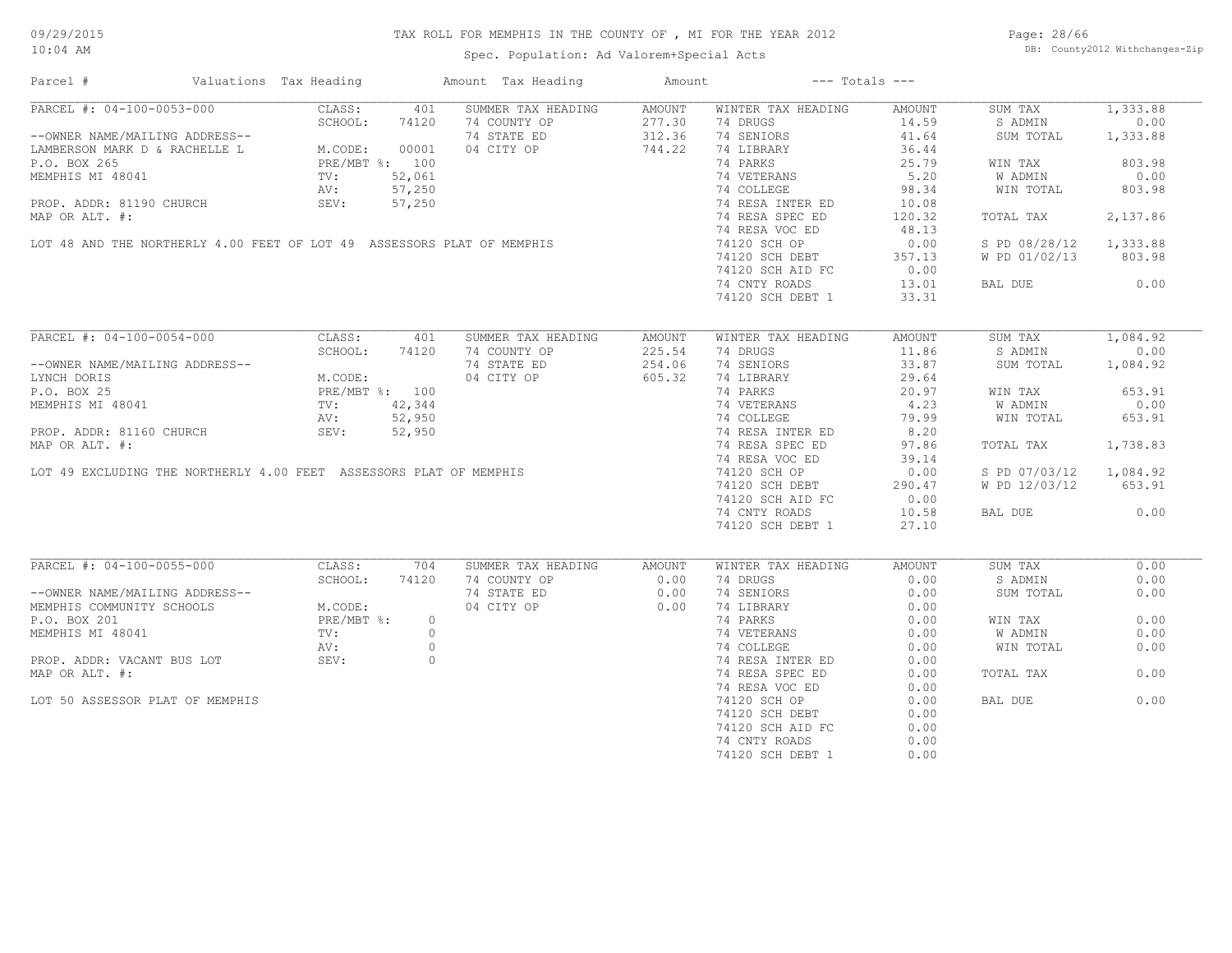Spec. Population: Ad Valorem+Special Acts

Page: 28/66 DB: County2012 Withchanges-Zip

| Parcel #                                                                                                                                                                                                                                       | Valuations Tax Heading |     | Amount Tax Heading                                                                                                                                                                                                                   | Amount | $---$ Totals $---$                                                                               |                    |                        |          |
|------------------------------------------------------------------------------------------------------------------------------------------------------------------------------------------------------------------------------------------------|------------------------|-----|--------------------------------------------------------------------------------------------------------------------------------------------------------------------------------------------------------------------------------------|--------|--------------------------------------------------------------------------------------------------|--------------------|------------------------|----------|
| PARCEL #: 04-100-0053-000                                                                                                                                                                                                                      | CLASS: 401             |     | SUMMER TAX HEADING                                                                                                                                                                                                                   | AMOUNT | WINTER TAX HEADING                                                                               | AMOUNT             | SUM TAX                | 1,333.88 |
| PARCEL #: 04-100-0053-000<br>--OWNER NAME/MAILING ADDRESS--<br>LAMBERSON MARK D & RACHELLE L<br>P.O. BOX 265<br>MEMPHIS MI 48041<br>PROP. ADDR: 81190 CHURCH<br>PROP. ADDR: 81190 CHURCH<br>PROP. ADDR: 81190 CHURCH<br>PROP. ADDR: 81190 CHUR |                        |     | 74 COUNTY OP<br>74 STATE ED<br>74 STATE ED<br>744.22<br>74 LIBRARY                                                                                                                                                                   |        |                                                                                                  |                    | S ADMIN 0.00           |          |
|                                                                                                                                                                                                                                                |                        |     |                                                                                                                                                                                                                                      |        |                                                                                                  | $14.59$<br>$41.64$ | SUM TOTAL              | 1,333.88 |
|                                                                                                                                                                                                                                                |                        |     |                                                                                                                                                                                                                                      |        | 74 LIBRARY                                                                                       | 36.44              |                        |          |
|                                                                                                                                                                                                                                                |                        |     | EREAS AND THE NORTHERLY 4.00 FEET OF LOT 49 ASSESSORS PLAT OF MEMPHIS<br>LOT 48 AND THE NORTHERLY 4.00 FEET OF LOT 49 ASSESSORS PLAT OF MEMPHIS<br>LOT 48 AND THE NORTHERLY 4.00 FEET OF LOT 49 ASSESSORS PLAT OF MEMPHIS<br>TAND TH |        |                                                                                                  | 25.79              | WIN TAX                | 803.98   |
|                                                                                                                                                                                                                                                |                        |     |                                                                                                                                                                                                                                      |        | 14 VETERANS 5.20<br>74 COLLEGE 98.34<br>74 RESA INTER ED 10.08<br>74 RESA SPEC ED 120.32         |                    | W ADMIN                | 0.00     |
|                                                                                                                                                                                                                                                |                        |     |                                                                                                                                                                                                                                      |        |                                                                                                  |                    |                        |          |
|                                                                                                                                                                                                                                                |                        |     |                                                                                                                                                                                                                                      |        |                                                                                                  |                    | WIN TOTAL              | 803.98   |
|                                                                                                                                                                                                                                                |                        |     |                                                                                                                                                                                                                                      |        |                                                                                                  |                    |                        |          |
|                                                                                                                                                                                                                                                |                        |     |                                                                                                                                                                                                                                      |        |                                                                                                  |                    | TOTAL TAX              | 2,137.86 |
|                                                                                                                                                                                                                                                |                        |     |                                                                                                                                                                                                                                      |        |                                                                                                  | 48.13              |                        |          |
|                                                                                                                                                                                                                                                |                        |     |                                                                                                                                                                                                                                      |        |                                                                                                  | 0.00               | S PD 08/28/12 1,333.88 |          |
|                                                                                                                                                                                                                                                |                        |     |                                                                                                                                                                                                                                      |        |                                                                                                  |                    | W PD 01/02/13 803.98   |          |
|                                                                                                                                                                                                                                                |                        |     |                                                                                                                                                                                                                                      |        | 74120 SCH DEBT 357.13<br>74120 SCH AID FC 0.00                                                   |                    |                        |          |
|                                                                                                                                                                                                                                                |                        |     |                                                                                                                                                                                                                                      |        | 74 CNTY ROADS                                                                                    | 13.01              | BAL DUE 0.00           |          |
|                                                                                                                                                                                                                                                |                        |     |                                                                                                                                                                                                                                      |        | 74120 SCH DEBT 1                                                                                 | 33.31              |                        |          |
|                                                                                                                                                                                                                                                |                        |     |                                                                                                                                                                                                                                      |        |                                                                                                  |                    |                        |          |
| PARCEL #: 04-100-0054-000                                                                                                                                                                                                                      | CLASS: 401             |     | SUMMER TAX HEADING                                                                                                                                                                                                                   | AMOUNT | WINTER TAX HEADING                                                                               | AMOUNT             | SUM TAX                | 1,084.92 |
|                                                                                                                                                                                                                                                | SCHOOL: 74120          |     |                                                                                                                                                                                                                                      |        | 74 DRUGS                                                                                         | 11.86              | S ADMIN                | 0.00     |
|                                                                                                                                                                                                                                                |                        |     | 74 COUNTY OP<br>74 STATE ED<br>04 CITY OP<br>805.32                                                                                                                                                                                  |        | 74 SENIORS                                                                                       | 33.87              | SUM TOTAL 1,084.92     |          |
|                                                                                                                                                                                                                                                |                        |     |                                                                                                                                                                                                                                      |        |                                                                                                  |                    |                        |          |
|                                                                                                                                                                                                                                                |                        |     |                                                                                                                                                                                                                                      |        |                                                                                                  |                    |                        |          |
|                                                                                                                                                                                                                                                |                        |     |                                                                                                                                                                                                                                      |        |                                                                                                  |                    | WIN TAX                | 653.91   |
| --OWNER NAME/MAILING ADDRESS--<br>LYNCH DORIS<br>P.O. BOX 25<br>MEMPHIS MI 48041<br>PROP. ADDR: 81160 CHURCH<br>MAR OR ATHE 42,344<br>MAR OR ATHE 42,350<br>MAR OR ATHE 42,350<br>MAR OR ATHE 42,950                                           |                        |     |                                                                                                                                                                                                                                      |        |                                                                                                  |                    | W ADMIN                | 0.00     |
|                                                                                                                                                                                                                                                |                        |     |                                                                                                                                                                                                                                      |        |                                                                                                  |                    | WIN TOTAL              | 653.91   |
|                                                                                                                                                                                                                                                |                        |     |                                                                                                                                                                                                                                      |        |                                                                                                  |                    |                        |          |
|                                                                                                                                                                                                                                                |                        |     |                                                                                                                                                                                                                                      |        |                                                                                                  |                    | TOTAL TAX              | 1,738.83 |
|                                                                                                                                                                                                                                                |                        |     |                                                                                                                                                                                                                                      |        |                                                                                                  |                    |                        |          |
|                                                                                                                                                                                                                                                |                        |     |                                                                                                                                                                                                                                      |        |                                                                                                  |                    | S PD 07/03/12 1,084.92 |          |
|                                                                                                                                                                                                                                                |                        |     |                                                                                                                                                                                                                                      |        |                                                                                                  |                    | W PD 12/03/12 653.91   |          |
|                                                                                                                                                                                                                                                |                        |     |                                                                                                                                                                                                                                      |        |                                                                                                  |                    |                        |          |
|                                                                                                                                                                                                                                                |                        |     |                                                                                                                                                                                                                                      |        |                                                                                                  |                    |                        |          |
|                                                                                                                                                                                                                                                |                        |     |                                                                                                                                                                                                                                      |        |                                                                                                  |                    | BAL DUE 0.00           |          |
|                                                                                                                                                                                                                                                |                        |     |                                                                                                                                                                                                                                      |        |                                                                                                  |                    |                        |          |
| PARCEL #: 04-100-0055-000 CLASS:                                                                                                                                                                                                               |                        | 704 | SUMMER TAX HEADING AMOUNT                                                                                                                                                                                                            |        | WINTER TAX HEADING                                                                               | AMOUNT             | SUM TAX                | 0.00     |
|                                                                                                                                                                                                                                                |                        |     |                                                                                                                                                                                                                                      |        |                                                                                                  |                    |                        |          |
|                                                                                                                                                                                                                                                |                        |     |                                                                                                                                                                                                                                      |        | 74 DRUGS                                                                                         | 0.00               | S ADMIN                | 0.00     |
|                                                                                                                                                                                                                                                |                        |     |                                                                                                                                                                                                                                      |        | 74 SENIORS                                                                                       | 0.00               | SUM TOTAL              | 0.00     |
|                                                                                                                                                                                                                                                |                        |     | 74 COUNTY OP 0.00<br>74 STATE ED 0.00<br>04 CITY OP 0.00                                                                                                                                                                             |        | 74 LIBRARY 0.00<br>74 PARKS 0.00<br>74 VETERANS 0.00<br>74 COLLEGE 0.00<br>74 RESA INTER ED 0.00 |                    |                        |          |
|                                                                                                                                                                                                                                                |                        |     |                                                                                                                                                                                                                                      |        |                                                                                                  |                    | WIN TAX                | 0.00     |
|                                                                                                                                                                                                                                                |                        |     |                                                                                                                                                                                                                                      |        |                                                                                                  |                    | W ADMIN                | 0.00     |
|                                                                                                                                                                                                                                                |                        |     |                                                                                                                                                                                                                                      |        |                                                                                                  |                    | WIN TOTAL              | 0.00     |
| --OWNER NAME/MAILING ADDRESS--<br>MEMPHIS COMMUNITY SCHOOLS<br>P.O. BOX 201<br>MEMPHIS MI 48041<br>PROP. ADDR: VACANT BUS LOT<br>PROP. ADDR: VACANT BUS LOT<br>PROP. ADDR: VACANT BUS LOT<br>PROP. ADDR: VACANT BUS LOT<br>PROP. ADDR: VACANT  |                        |     |                                                                                                                                                                                                                                      |        |                                                                                                  |                    |                        |          |
| MAP OR ALT. #:                                                                                                                                                                                                                                 |                        |     |                                                                                                                                                                                                                                      |        | 74 RESA SPEC ED                                                                                  | 0.00               | TOTAL TAX              | 0.00     |
|                                                                                                                                                                                                                                                |                        |     |                                                                                                                                                                                                                                      |        | 74 RESA VOC ED                                                                                   | 0.00               |                        |          |
| LOT 50 ASSESSOR PLAT OF MEMPHIS                                                                                                                                                                                                                |                        |     |                                                                                                                                                                                                                                      |        |                                                                                                  | 0.00               | BAL DUE                | 0.00     |
|                                                                                                                                                                                                                                                |                        |     |                                                                                                                                                                                                                                      |        | 74120 SCH OP                                                                                     |                    |                        |          |
|                                                                                                                                                                                                                                                |                        |     |                                                                                                                                                                                                                                      |        | 74120 SCH DEBT                                                                                   | 0.00               |                        |          |
|                                                                                                                                                                                                                                                |                        |     |                                                                                                                                                                                                                                      |        | 74120 SCH AID FC                                                                                 | 0.00               |                        |          |
|                                                                                                                                                                                                                                                |                        |     |                                                                                                                                                                                                                                      |        | 74 CNTY ROADS                                                                                    | 0.00               |                        |          |
|                                                                                                                                                                                                                                                |                        |     |                                                                                                                                                                                                                                      |        | 74120 SCH DEBT 1                                                                                 | 0.00               |                        |          |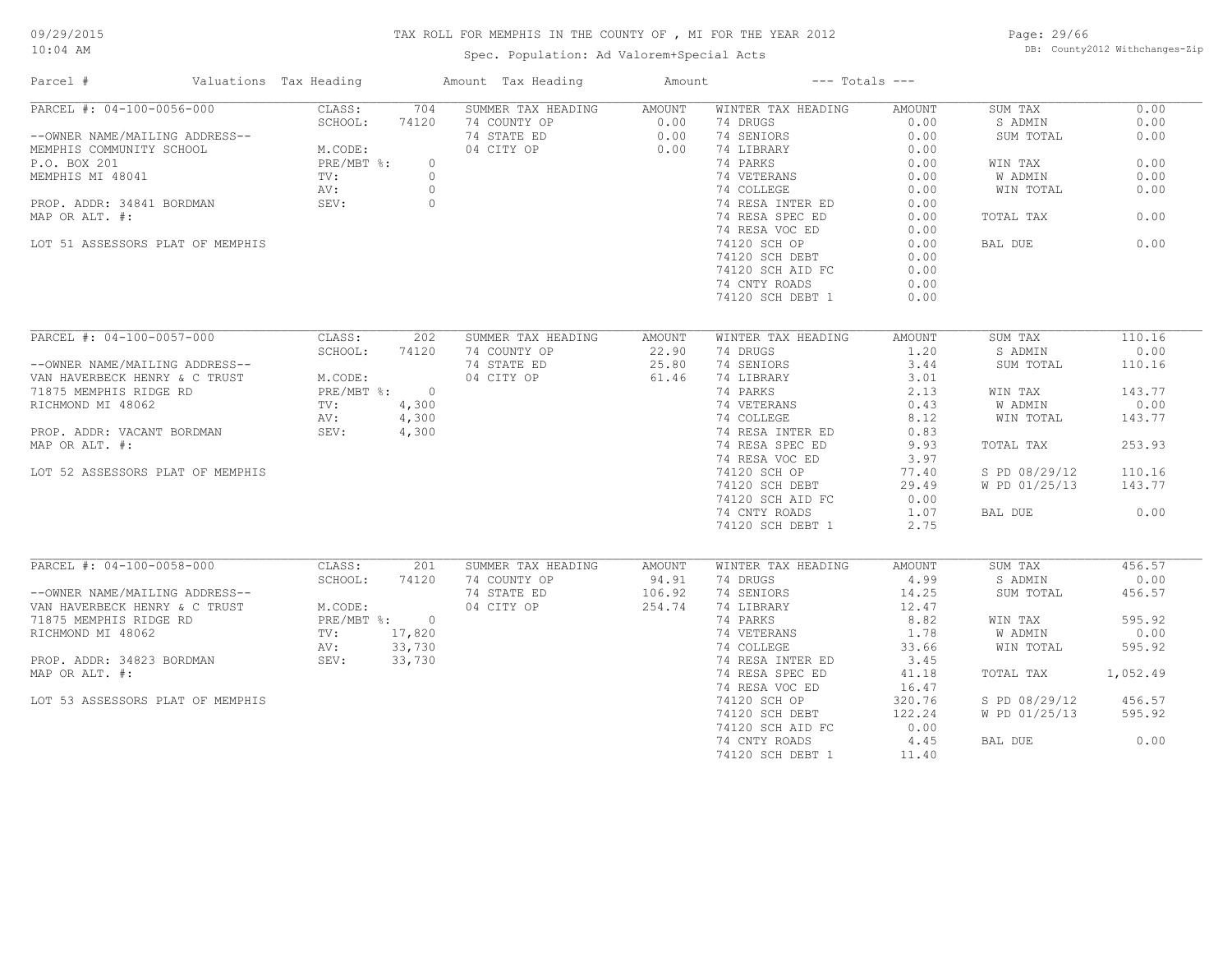Spec. Population: Ad Valorem+Special Acts

Page: 29/66 DB: County2012 Withchanges-Zip

| Parcel #                         | Valuations Tax Heading |         | Amount Tax Heading                 | Amount |                                | $---$ Totals $---$ |               |                |
|----------------------------------|------------------------|---------|------------------------------------|--------|--------------------------------|--------------------|---------------|----------------|
| PARCEL #: 04-100-0056-000        | CLASS:                 | 704     | SUMMER TAX HEADING                 | AMOUNT | WINTER TAX HEADING             | AMOUNT             | SUM TAX       | 0.00           |
|                                  | SCHOOL:                | 74120   | 74 COUNTY OP                       | 0.00   | 74 DRUGS                       | 0.00               | S ADMIN       | 0.00           |
| --OWNER NAME/MAILING ADDRESS--   |                        |         | 74 STATE ED                        | 0.00   | 74 SENIORS                     | 0.00               | SUM TOTAL     | 0.00           |
| MEMPHIS COMMUNITY SCHOOL         | M.CODE:<br>PRE/MBT %:  |         | 04 CITY OP                         | 0.00   | 74 LIBRARY                     | 0.00               |               |                |
| P.O. BOX 201                     |                        | $\circ$ |                                    |        | 74 PARKS                       | 0.00               | WIN TAX       | 0.00           |
| MEMPHIS MI 48041                 | TV:                    | $\circ$ |                                    |        | 74 VETERANS                    | 0.00               | W ADMIN       | 0.00           |
|                                  | AV:                    | $\circ$ |                                    |        | 74 COLLEGE                     | 0.00               | WIN TOTAL     | 0.00           |
| PROP. ADDR: 34841 BORDMAN        | SEV:                   | $\circ$ |                                    |        | 74 RESA INTER ED               | 0.00               |               |                |
| MAP OR ALT. #:                   |                        |         |                                    |        | 74 RESA SPEC ED                | 0.00               | TOTAL TAX     | 0.00           |
|                                  |                        |         |                                    |        | 74 RESA VOC ED                 | 0.00               |               |                |
| LOT 51 ASSESSORS PLAT OF MEMPHIS |                        |         |                                    |        | 74120 SCH OP                   | 0.00               | BAL DUE       | 0.00           |
|                                  |                        |         |                                    |        | 74120 SCH DEBT                 | 0.00               |               |                |
|                                  |                        |         |                                    |        | 74120 SCH AID FC               | 0.00               |               |                |
|                                  |                        |         |                                    |        | 74 CNTY ROADS                  | 0.00               |               |                |
|                                  |                        |         |                                    |        | 74120 SCH DEBT 1               | 0.00               |               |                |
|                                  |                        |         |                                    |        |                                |                    |               |                |
| PARCEL #: 04-100-0057-000        | CLASS:                 | 202     | SUMMER TAX HEADING                 | AMOUNT | WINTER TAX HEADING             | AMOUNT             | SUM TAX       | 110.16         |
|                                  | SCHOOL:                | 74120   | 74 COUNTY OP                       | 22.90  | 74 DRUGS                       | 1,20               | S ADMIN       | 0.00           |
| --OWNER NAME/MAILING ADDRESS--   |                        |         | 74 STATE ED                        | 25.80  | 74 SENIORS                     | 3.44               | SUM TOTAL     | 110.16         |
| VAN HAVERBECK HENRY & C TRUST    | M.CODE:                |         | 04 CITY OP                         | 61.46  | 74 LIBRARY                     | 3.01               |               |                |
| 71875 MEMPHIS RIDGE RD           | PRE/MBT %: 0           |         |                                    |        | 74 PARKS                       | 2.13               | WIN TAX       | 143.77         |
|                                  |                        |         |                                    |        |                                |                    |               |                |
| RICHMOND MI 48062                | TV:                    | 4,300   |                                    |        | 74 VETERANS                    | 0.43               | W ADMIN       | 0.00           |
|                                  | AV:                    | 4,300   |                                    |        | 74 COLLEGE                     | 8.12               | WIN TOTAL     | 143.77         |
| PROP. ADDR: VACANT BORDMAN       | SEV:                   | 4,300   |                                    |        | 74 RESA INTER ED               | 0.83               |               |                |
| MAP OR ALT. #:                   |                        |         |                                    |        | 74 RESA SPEC ED                | 9.93               | TOTAL TAX     | 253.93         |
|                                  |                        |         |                                    |        | 74 RESA VOC ED                 | 3.97               |               |                |
| LOT 52 ASSESSORS PLAT OF MEMPHIS |                        |         |                                    |        | 74120 SCH OP                   | 77.40              | S PD 08/29/12 | 110.16         |
|                                  |                        |         |                                    |        | 74120 SCH DEBT                 | 29.49              | W PD 01/25/13 | 143.77         |
|                                  |                        |         |                                    |        | 74120 SCH AID FC               | 0.00               |               |                |
|                                  |                        |         |                                    |        | 74 CNTY ROADS                  | 1.07               | BAL DUE       | 0.00           |
|                                  |                        |         |                                    |        | 74120 SCH DEBT 1               | 2.75               |               |                |
|                                  |                        |         |                                    |        |                                |                    |               |                |
| PARCEL #: 04-100-0058-000        | CLASS:<br>SCHOOL:      | 201     | SUMMER TAX HEADING<br>74 COUNTY OP | AMOUNT | WINTER TAX HEADING<br>74 DRUGS | AMOUNT<br>4.99     | SUM TAX       | 456.57<br>0.00 |
|                                  |                        | 74120   |                                    | 94.91  |                                |                    | S ADMIN       |                |
| --OWNER NAME/MAILING ADDRESS--   |                        |         | 74 STATE ED                        | 106.92 | 74 SENIORS                     | 14.25              | SUM TOTAL     | 456.57         |
| VAN HAVERBECK HENRY & C TRUST    | M.CODE:                |         | 04 CITY OP                         | 254.74 | 74 LIBRARY                     | 12.47              |               |                |
| 71875 MEMPHIS RIDGE RD           | PRE/MBT %: 0           |         |                                    |        | 74 PARKS                       | 8.82               | WIN TAX       | 595.92         |
| RICHMOND MI 48062                | 17,820<br>TV:          |         |                                    |        | 74 VETERANS                    | 1.78               | W ADMIN       | 0.00           |
|                                  | 33,730<br>AV:          |         |                                    |        | 74 COLLEGE                     | 33.66              | WIN TOTAL     | 595.92         |
| PROP. ADDR: 34823 BORDMAN        | SEV:<br>33,730         |         |                                    |        | 74 RESA INTER ED               | 3.45               |               |                |
| MAP OR ALT. #:                   |                        |         |                                    |        | 74 RESA SPEC ED                | 41.18              | TOTAL TAX     | 1,052.49       |
|                                  |                        |         |                                    |        | 74 RESA VOC ED                 | 16.47              |               |                |
| LOT 53 ASSESSORS PLAT OF MEMPHIS |                        |         |                                    |        | 74120 SCH OP                   | 320.76             | S PD 08/29/12 | 456.57         |
|                                  |                        |         |                                    |        | 74120 SCH DEBT                 | 122.24             | W PD 01/25/13 | 595.92         |
|                                  |                        |         |                                    |        | 74120 SCH AID FC               | 0.00               |               |                |
|                                  |                        |         |                                    |        | 74 CNTY ROADS                  | 4.45               | BAL DUE       | 0.00           |
|                                  |                        |         |                                    |        | 74120 SCH DEBT 1               | 11.40              |               |                |
|                                  |                        |         |                                    |        |                                |                    |               |                |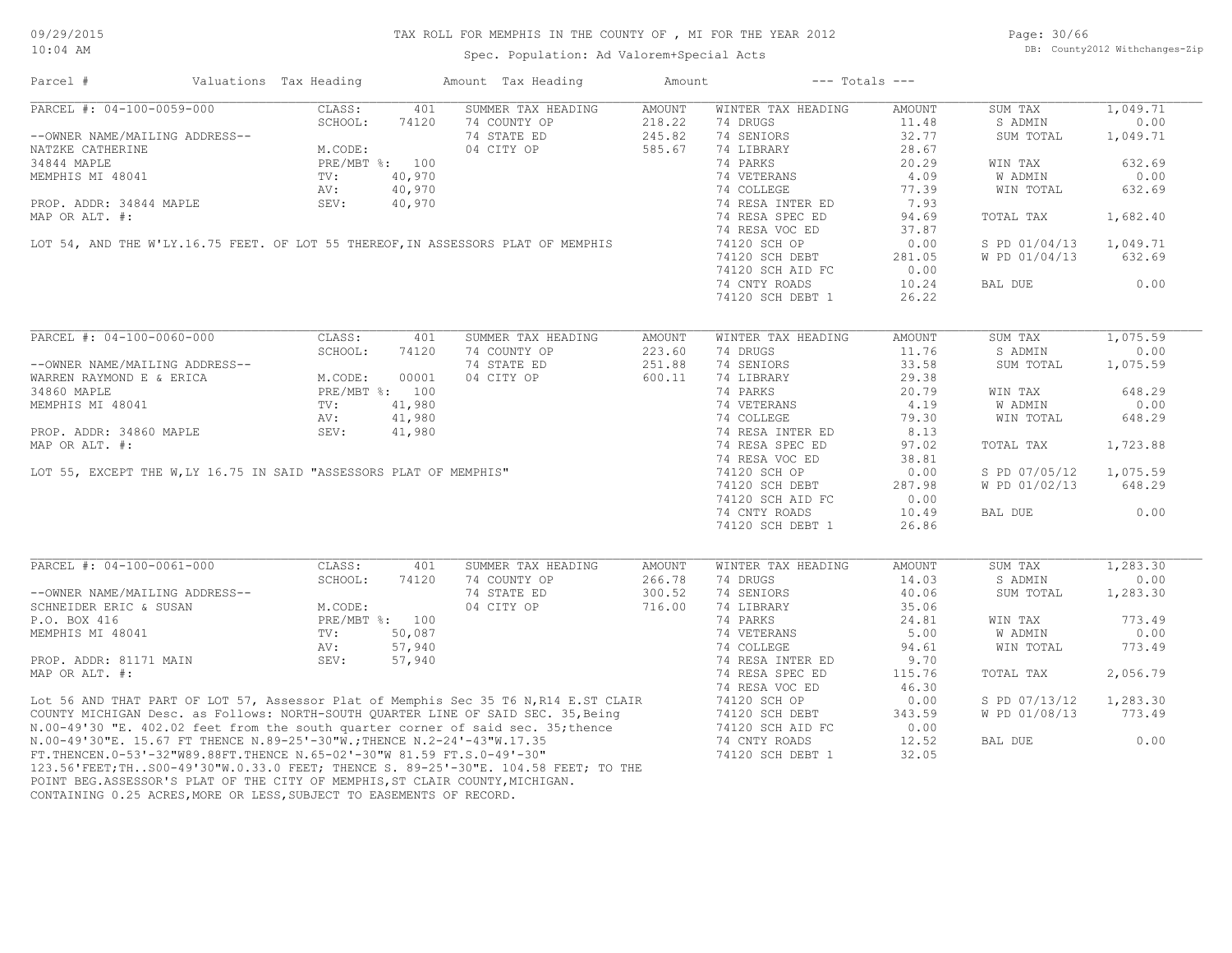Spec. Population: Ad Valorem+Special Acts

Page: 30/66 DB: County2012 Withchanges-Zip

| Parcel #                       | Valuations Tax Heading                                                        |        | Amount Tax Heading                                                                                                                                                                                                                   | Amount | $---$ Totals $---$             |        |               |          |
|--------------------------------|-------------------------------------------------------------------------------|--------|--------------------------------------------------------------------------------------------------------------------------------------------------------------------------------------------------------------------------------------|--------|--------------------------------|--------|---------------|----------|
| PARCEL #: 04-100-0059-000      | CLASS:                                                                        | 401    | SUMMER TAX HEADING                                                                                                                                                                                                                   | AMOUNT | WINTER TAX HEADING             | AMOUNT | SUM TAX       | 1,049.71 |
|                                |                                                                               |        | 74 COUNTY OP                                                                                                                                                                                                                         | 218.22 | 74 DRUGS                       | 11.48  | S ADMIN       | 0.00     |
| --OWNER NAME/MAILING ADDRESS-- |                                                                               |        | 74 STATE ED                                                                                                                                                                                                                          | 245.82 | 74 SENIORS                     | 32.77  | SUM TOTAL     | 1,049.71 |
| NATZKE CATHERINE               | $\cup$ - $\cup$ - $\cup$ ODE: 7412<br>M.CODE:<br>PRE/MBT %: 100<br>TV: 40.076 |        | 04 CITY OP                                                                                                                                                                                                                           | 585.67 | 74 LIBRARY                     | 28.67  |               |          |
| 34844 MAPLE                    |                                                                               |        |                                                                                                                                                                                                                                      |        | 74 PARKS                       | 20.29  | WIN TAX       | 632.69   |
| MEMPHIS MI 48041               |                                                                               |        |                                                                                                                                                                                                                                      |        | 74 VETERANS                    | 4.09   | W ADMIN       | 0.00     |
|                                | AV:                                                                           | 40,970 |                                                                                                                                                                                                                                      |        | 74 COLLEGE                     | 77.39  | WIN TOTAL     | 632.69   |
| PROP. ADDR: 34844 MAPLE        | SEV:                                                                          | 40,970 |                                                                                                                                                                                                                                      |        | 74 RESA INTER ED               | 7.93   |               |          |
| MAP OR ALT. #:                 |                                                                               |        |                                                                                                                                                                                                                                      |        | 74 RESA SPEC ED                | 94.69  | TOTAL TAX     | 1,682.40 |
|                                |                                                                               |        |                                                                                                                                                                                                                                      |        | 74 RESA VOC ED                 | 37.87  |               |          |
|                                |                                                                               |        | LOT 54, AND THE W'LY.16.75 FEET. OF LOT 55 THEREOF, IN ASSESSORS PLAT OF MEMPHIS                                                                                                                                                     |        | 74120 SCH OP                   | 0.00   | S PD 01/04/13 | 1,049.71 |
|                                |                                                                               |        |                                                                                                                                                                                                                                      |        |                                |        |               |          |
|                                |                                                                               |        |                                                                                                                                                                                                                                      |        | 74120 SCH DEBT                 | 281.05 | W PD 01/04/13 | 632.69   |
|                                |                                                                               |        |                                                                                                                                                                                                                                      |        | 74120 SCH AID FC               | 0.00   |               |          |
|                                |                                                                               |        |                                                                                                                                                                                                                                      |        | 74 CNTY ROADS                  | 10.24  | BAL DUE       | 0.00     |
|                                |                                                                               |        |                                                                                                                                                                                                                                      |        | 74120 SCH DEBT 1               | 26.22  |               |          |
|                                |                                                                               |        |                                                                                                                                                                                                                                      |        |                                |        |               |          |
| PARCEL #: 04-100-0060-000      | CLASS:                                                                        | 401    | SUMMER TAX HEADING                                                                                                                                                                                                                   | AMOUNT | WINTER TAX HEADING             | AMOUNT | SUM TAX       | 1,075.59 |
|                                | SCHOOL:                                                                       | 74120  | 74 COUNTY OP                                                                                                                                                                                                                         | 223.60 | 74 DRUGS                       | 11.76  | S ADMIN       | 0.00     |
| --OWNER NAME/MAILING ADDRESS-- |                                                                               |        | 74 STATE ED                                                                                                                                                                                                                          | 251.88 | 74 SENIORS                     | 33.58  | SUM TOTAL     | 1,075.59 |
| WARREN RAYMOND E & ERICA       | M.CODE:                                                                       | 00001  | 04 CITY OP                                                                                                                                                                                                                           | 600.11 | 74 LIBRARY                     | 29.38  |               |          |
| 34860 MAPLE                    | PRE/MBT %: 100                                                                |        |                                                                                                                                                                                                                                      |        | 74 PARKS                       | 20.79  | WIN TAX       | 648.29   |
|                                | PRE/<br>TV:                                                                   |        | MEMPHIS MI 48041<br>TV: 41,980<br>PROP. ADDR: 34860 MAPLE<br>MAP OR ALT. #:<br>LOT 55, EXCEPT THE W,LY 16.75 IN SAID "ASSESSORS PLAT OF MEMPHIS"                                                                                     |        | 74 VETERANS                    | 4.19   | W ADMIN       | 0.00     |
|                                |                                                                               |        |                                                                                                                                                                                                                                      |        | 74 COLLEGE                     | 79.30  | WIN TOTAL     | 648.29   |
|                                |                                                                               |        |                                                                                                                                                                                                                                      |        | 74 RESA INTER ED               | 8.13   |               |          |
|                                |                                                                               |        |                                                                                                                                                                                                                                      |        | 74 RESA SPEC ED                | 97.02  | TOTAL TAX     | 1,723.88 |
|                                |                                                                               |        |                                                                                                                                                                                                                                      |        |                                | 38.81  |               |          |
|                                |                                                                               |        |                                                                                                                                                                                                                                      |        | 74 RESA VOC ED<br>74120 SCH OP | 0.00   | S PD 07/05/12 | 1,075.59 |
|                                |                                                                               |        |                                                                                                                                                                                                                                      |        |                                |        |               |          |
|                                |                                                                               |        |                                                                                                                                                                                                                                      |        | 74120 SCH DEBT                 | 287.98 | W PD 01/02/13 | 648.29   |
|                                |                                                                               |        |                                                                                                                                                                                                                                      |        | 74120 SCH AID FC               | 0.00   |               |          |
|                                |                                                                               |        |                                                                                                                                                                                                                                      |        | 74 CNTY ROADS                  | 10.49  | BAL DUE       | 0.00     |
|                                |                                                                               |        |                                                                                                                                                                                                                                      |        | 74120 SCH DEBT 1               | 26.86  |               |          |
|                                |                                                                               |        |                                                                                                                                                                                                                                      |        |                                |        |               |          |
| PARCEL #: 04-100-0061-000      | CLASS:                                                                        | 401    | SUMMER TAX HEADING                                                                                                                                                                                                                   | AMOUNT | WINTER TAX HEADING             | AMOUNT | SUM TAX       | 1,283.30 |
|                                | SCHOOL:                                                                       | 74120  | 74 COUNTY OP                                                                                                                                                                                                                         | 266.78 | 74 DRUGS                       | 14.03  | S ADMIN       | 0.00     |
| --OWNER NAME/MAILING ADDRESS-- |                                                                               |        | 74 STATE ED                                                                                                                                                                                                                          | 300.52 | 74 SENIORS                     | 40.06  | SUM TOTAL     | 1,283.30 |
| SCHNEIDER ERIC & SUSAN         |                                                                               |        | 04 CITY OP                                                                                                                                                                                                                           | 716.00 | 74 LIBRARY                     | 35.06  |               |          |
| P.O. BOX 416                   | RESS--<br>M.CODE:<br>PRE/MBT %: 100<br>TV: 50,087<br>AV: 57,944<br>57,96      |        |                                                                                                                                                                                                                                      |        | 74 PARKS                       | 24.81  | WIN TAX       | 773.49   |
| MEMPHIS MI 48041               |                                                                               |        |                                                                                                                                                                                                                                      |        | 74 VETERANS                    | 5.00   | W ADMIN       | 0.00     |
|                                |                                                                               |        |                                                                                                                                                                                                                                      |        | 74 COLLEGE                     | 94.61  | WIN TOTAL     | 773.49   |
| PROP. ADDR: 81171 MAIN         |                                                                               |        |                                                                                                                                                                                                                                      |        | 74 RESA INTER ED               | 9.70   |               |          |
| MAP OR ALT. #:                 |                                                                               |        |                                                                                                                                                                                                                                      |        | 74 RESA SPEC ED                | 115.76 | TOTAL TAX     | 2,056.79 |
|                                |                                                                               |        |                                                                                                                                                                                                                                      |        | 74 RESA VOC ED                 | 46.30  |               |          |
|                                |                                                                               |        |                                                                                                                                                                                                                                      |        | 74120 SCH OP                   | 0.00   | S PD 07/13/12 | 1,283.30 |
|                                |                                                                               |        |                                                                                                                                                                                                                                      |        | 74120 SCH DEBT                 | 343.59 | W PD 01/08/13 | 773.49   |
|                                |                                                                               |        |                                                                                                                                                                                                                                      |        | 74120 SCH AID FC               | 0.00   |               |          |
|                                |                                                                               |        |                                                                                                                                                                                                                                      |        | 74 CNTY ROADS                  | 12.52  | BAL DUE       | 0.00     |
|                                |                                                                               |        |                                                                                                                                                                                                                                      |        | 74120 SCH DEBT 1               | 32.05  |               |          |
|                                |                                                                               |        | Lot 56 AND THAT PART OF LOT 57, Assessor Plat of Memphis Sec 35 T6 N, R14 E.ST CLAIR<br>COUNTY MICHIGAN Desc. as Follows: NORTH-SOUTH QUARTER LINE OF SAID SEC. 35, Being<br>N.00-49'30 "E. 402.02 feet from the south quarter corne |        |                                |        |               |          |
|                                |                                                                               |        |                                                                                                                                                                                                                                      |        |                                |        |               |          |

CONTAINING 0.25 ACRES,MORE OR LESS,SUBJECT TO EASEMENTS OF RECORD. POINT BEG.ASSESSOR'S PLAT OF THE CITY OF MEMPHIS, ST CLAIR COUNTY, MICHIGAN.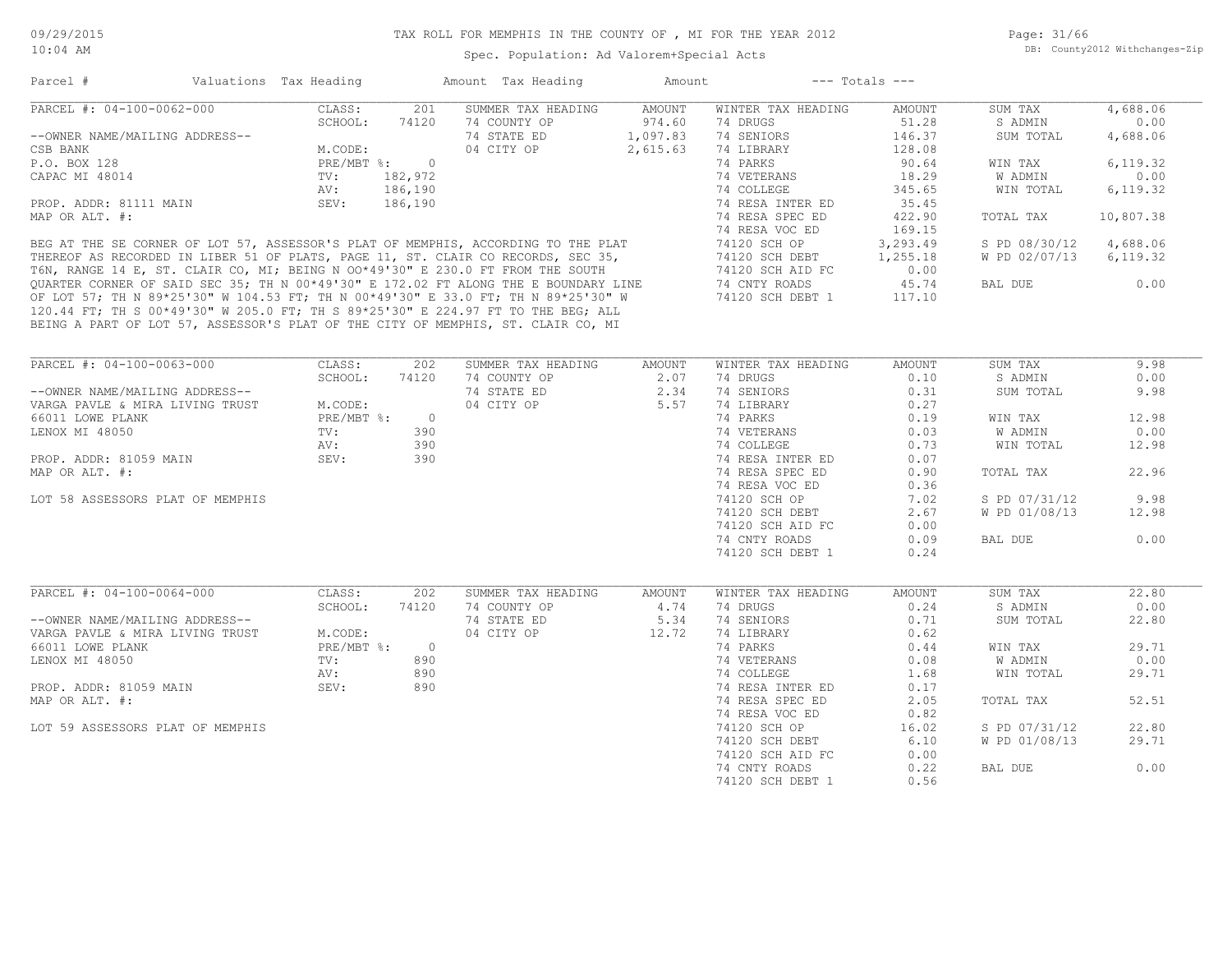Page: 31/66 DB: County2012 Withchanges-Zip

| Parcel #                       | Valuations Tax Heading |         | Amount Tax Heading                                                                  | Amount   |                    | $---$ Totals $---$ |               |           |
|--------------------------------|------------------------|---------|-------------------------------------------------------------------------------------|----------|--------------------|--------------------|---------------|-----------|
| PARCEL #: 04-100-0062-000      | CLASS:                 | 201     | SUMMER TAX HEADING                                                                  | AMOUNT   | WINTER TAX HEADING | AMOUNT             | SUM TAX       | 4,688.06  |
|                                | SCHOOL:                | 74120   | 74 COUNTY OP                                                                        | 974.60   | 74 DRUGS           | 51.28              | S ADMIN       | 0.00      |
| --OWNER NAME/MAILING ADDRESS-- |                        |         | 74 STATE ED                                                                         | 1,097.83 | 74 SENIORS         | 146.37             | SUM TOTAL     | 4,688.06  |
| CSB BANK                       | M.CODE:                |         | 04 CITY OP                                                                          | 2,615.63 | 74 LIBRARY         | 128.08             |               |           |
| P.O. BOX 128                   | $PRE/MBT$ %:           | - 0     |                                                                                     |          | 74 PARKS           | 90.64              | WIN TAX       | 6,119.32  |
| CAPAC MI 48014                 | TV:                    | 182,972 |                                                                                     |          | 74 VETERANS        | 18.29              | W ADMIN       | 0.00      |
|                                | AV:                    | 186,190 |                                                                                     |          | 74 COLLEGE         | 345.65             | WIN TOTAL     | 6,119.32  |
| PROP. ADDR: 81111 MAIN         | SEV:                   | 186,190 |                                                                                     |          | 74 RESA INTER ED   | 35.45              |               |           |
| MAP OR ALT. #:                 |                        |         |                                                                                     |          | 74 RESA SPEC ED    | 422.90             | TOTAL TAX     | 10,807.38 |
|                                |                        |         |                                                                                     |          | 74 RESA VOC ED     | 169.15             |               |           |
|                                |                        |         | BEG AT THE SE CORNER OF LOT 57, ASSESSOR'S PLAT OF MEMPHIS, ACCORDING TO THE PLAT   |          | 74120 SCH OP       | 3,293.49           | S PD 08/30/12 | 4,688.06  |
|                                |                        |         | THEREOF AS RECORDED IN LIBER 51 OF PLATS, PAGE 11, ST. CLAIR CO RECORDS, SEC 35,    |          | 74120 SCH DEBT     | 1,255.18           | W PD 02/07/13 | 6,119.32  |
|                                |                        |         | T6N, RANGE 14 E, ST. CLAIR CO, MI; BEING N 00*49'30" E 230.0 FT FROM THE SOUTH      |          | 74120 SCH AID FC   | 0.00               |               |           |
|                                |                        |         | OUARTER CORNER OF SAID SEC 35; TH N 00*49'30" E 172.02 FT ALONG THE E BOUNDARY LINE |          | 74 CNTY ROADS      | 45.74              | BAL DUE       | 0.00      |
|                                |                        |         | OF LOT 57; TH N 89*25'30" W 104.53 FT; TH N 00*49'30" E 33.0 FT; TH N 89*25'30" W   |          | 74120 SCH DEBT 1   | 117.10             |               |           |
|                                |                        |         | 120 44 FT: TH S 00*49'30" W 205 0 FT: TH S 89*25'30" E 224 97 FT TO THE BEG: ALL    |          |                    |                    |               |           |

BEING A PART OF LOT 57, ASSESSOR'S PLAT OF THE CITY OF MEMPHIS, ST. CLAIR CO, MI 120.44 FT; TH S 00\*49'30" W 205.0 FT; TH S 89\*25'30" E 224.97 FT TO THE BEG; ALL

| PARCEL #: 04-100-0063-000        | CLASS:     | 202            | SUMMER TAX HEADING | AMOUNT | WINTER TAX HEADING | AMOUNT | SUM TAX       | 9.98  |
|----------------------------------|------------|----------------|--------------------|--------|--------------------|--------|---------------|-------|
|                                  | SCHOOL:    | 74120          | 74 COUNTY OP       | 2.07   | 74 DRUGS           | 0.10   | S ADMIN       | 0.00  |
| --OWNER NAME/MAILING ADDRESS--   |            |                | 74 STATE ED        | 2.34   | 74 SENIORS         | 0.31   | SUM TOTAL     | 9.98  |
| VARGA PAVLE & MIRA LIVING TRUST  | M.CODE:    |                | 04 CITY OP         | 5.57   | 74 LIBRARY         | 0.27   |               |       |
| 66011 LOWE PLANK                 | PRE/MBT %: | $\overline{0}$ |                    |        | 74 PARKS           | 0.19   | WIN TAX       | 12.98 |
| LENOX MI 48050                   | TV:        | 390            |                    |        | 74 VETERANS        | 0.03   | W ADMIN       | 0.00  |
|                                  | AV:        | 390            |                    |        | 74 COLLEGE         | 0.73   | WIN TOTAL     | 12.98 |
| PROP. ADDR: 81059 MAIN           | SEV:       | 390            |                    |        | 74 RESA INTER ED   | 0.07   |               |       |
| MAP OR ALT. #:                   |            |                |                    |        | 74 RESA SPEC ED    | 0.90   | TOTAL TAX     | 22.96 |
|                                  |            |                |                    |        | 74 RESA VOC ED     | 0.36   |               |       |
| LOT 58 ASSESSORS PLAT OF MEMPHIS |            |                |                    |        | 74120 SCH OP       | 7.02   | S PD 07/31/12 | 9.98  |
|                                  |            |                |                    |        | 74120 SCH DEBT     | 2.67   | W PD 01/08/13 | 12.98 |
|                                  |            |                |                    |        | 74120 SCH AID FC   | 0.00   |               |       |
|                                  |            |                |                    |        | 74 CNTY ROADS      | 0.09   | BAL DUE       | 0.00  |
|                                  |            |                |                    |        | 74120 SCH DEBT 1   | 0.24   |               |       |
|                                  |            |                |                    |        |                    |        |               |       |
|                                  |            |                |                    |        |                    |        |               |       |
| PARCEL #: 04-100-0064-000        | CLASS:     | 202            | SUMMER TAX HEADING | AMOUNT | WINTER TAX HEADING | AMOUNT | SUM TAX       | 22.80 |
|                                  | SCHOOL:    | 74120          | 74 COUNTY OP       | 4.74   | 74 DRUGS           | 0.24   | S ADMIN       | 0.00  |
| --OWNER NAME/MAILING ADDRESS--   |            |                | 74 STATE ED        | 5.34   | 74 SENIORS         | 0.71   | SUM TOTAL     | 22.80 |
| VARGA PAVLE & MIRA LIVING TRUST  | M.CODE:    |                | 04 CITY OP         | 12.72  | 74 LIBRARY         | 0.62   |               |       |
| 66011 LOWE PLANK                 | PRE/MBT %: | $\overline{0}$ |                    |        | 74 PARKS           | 0.44   | WIN TAX       | 29.71 |
| LENOX MI 48050                   | TV:        | 890            |                    |        | 74 VETERANS        | 0.08   | W ADMIN       | 0.00  |
|                                  | AV:        | 890            |                    |        | 74 COLLEGE         | 1.68   | WIN TOTAL     | 29.71 |
| PROP. ADDR: 81059 MAIN           | SEV:       | 890            |                    |        | 74 RESA INTER ED   | 0.17   |               |       |
| MAP OR ALT. #:                   |            |                |                    |        | 74 RESA SPEC ED    | 2.05   | TOTAL TAX     | 52.51 |
|                                  |            |                |                    |        | 74 RESA VOC ED     | 0.82   |               |       |
| LOT 59 ASSESSORS PLAT OF MEMPHIS |            |                |                    |        | 74120 SCH OP       | 16.02  | S PD 07/31/12 | 22.80 |
|                                  |            |                |                    |        | 74120 SCH DEBT     | 6.10   | W PD 01/08/13 | 29.71 |
|                                  |            |                |                    |        | 74120 SCH AID FC   | 0.00   |               |       |
|                                  |            |                |                    |        | 74 CNTY ROADS      | 0.22   | BAL DUE       | 0.00  |

74 CNTY ROADS 0.22 BAL DUE 0.00

74120 SCH DEBT 1 0.56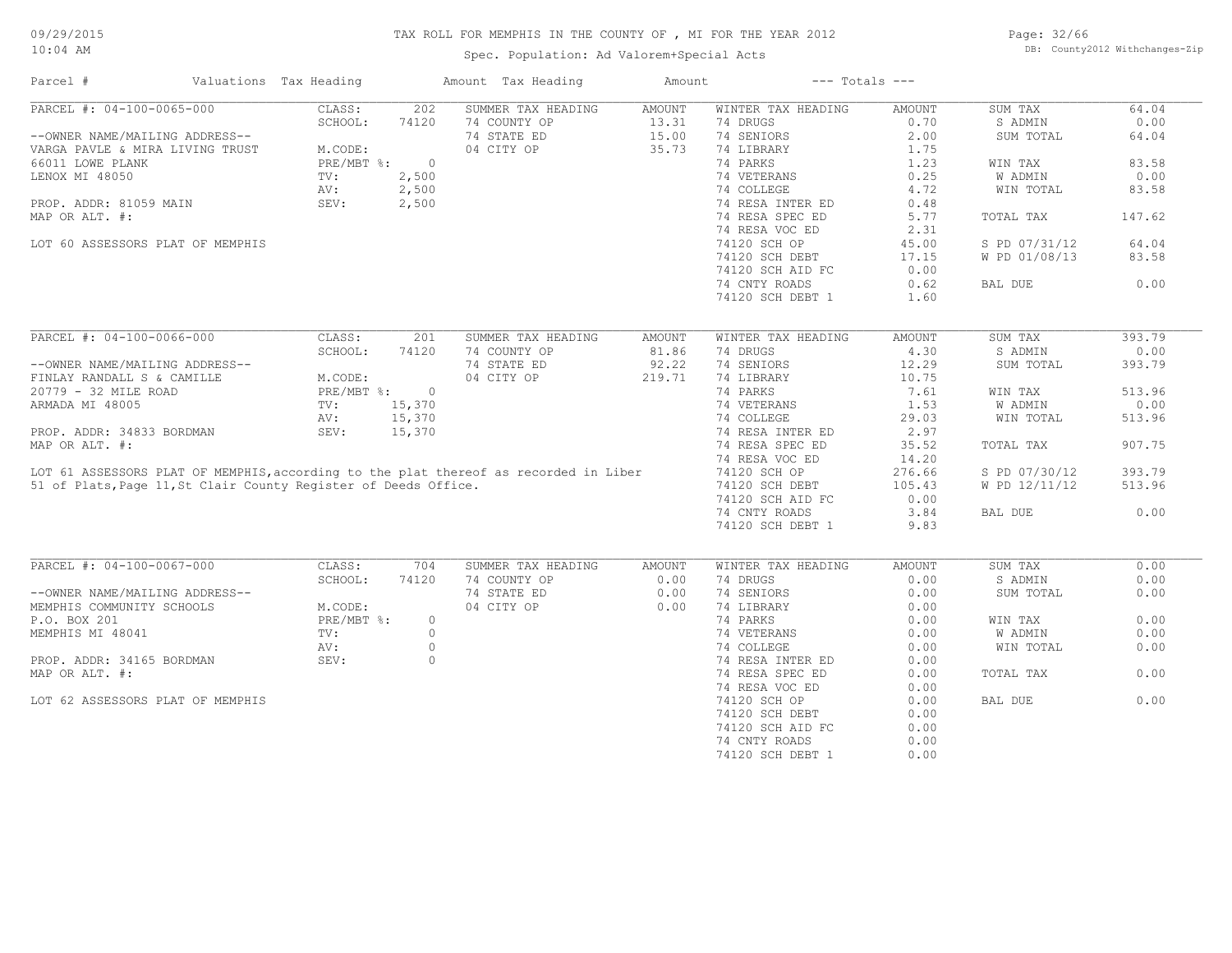Spec. Population: Ad Valorem+Special Acts

Page: 32/66 DB: County2012 Withchanges-Zip

| Parcel #                                                                             | Valuations Tax Heading |         | Amount Tax Heading | Amount        |                    | $---$ Totals $---$ |               |        |
|--------------------------------------------------------------------------------------|------------------------|---------|--------------------|---------------|--------------------|--------------------|---------------|--------|
| PARCEL #: 04-100-0065-000                                                            | CLASS:                 | 202     | SUMMER TAX HEADING | AMOUNT        | WINTER TAX HEADING | AMOUNT             | SUM TAX       | 64.04  |
|                                                                                      | SCHOOL:                | 74120   | 74 COUNTY OP       | 13.31         | 74 DRUGS           | 0.70               | S ADMIN       | 0.00   |
| --OWNER NAME/MAILING ADDRESS--                                                       |                        |         | 74 STATE ED        | 15.00         | 74 SENIORS         | 2.00               | SUM TOTAL     | 64.04  |
| VARGA PAVLE & MIRA LIVING TRUST                                                      | M.CODE:                |         | 04 CITY OP         | 35.73         | 74 LIBRARY         | 1.75               |               |        |
| 66011 LOWE PLANK                                                                     | $PRE/MBT$ %:           | $\circ$ |                    |               | 74 PARKS           | 1.23               | WIN TAX       | 83.58  |
| LENOX MI 48050                                                                       | TV:                    | 2,500   |                    |               | 74 VETERANS        | 0.25               | W ADMIN       | 0.00   |
|                                                                                      | AV:                    | 2,500   |                    |               | 74 COLLEGE         | 4.72               | WIN TOTAL     | 83.58  |
| PROP. ADDR: 81059 MAIN                                                               | SEV:                   | 2,500   |                    |               | 74 RESA INTER ED   | 0.48               |               |        |
| MAP OR ALT. #:                                                                       |                        |         |                    |               | 74 RESA SPEC ED    | 5.77               | TOTAL TAX     | 147.62 |
|                                                                                      |                        |         |                    |               | 74 RESA VOC ED     | 2.31               |               |        |
|                                                                                      |                        |         |                    |               |                    |                    |               |        |
| LOT 60 ASSESSORS PLAT OF MEMPHIS                                                     |                        |         |                    |               | 74120 SCH OP       | 45.00              | S PD 07/31/12 | 64.04  |
|                                                                                      |                        |         |                    |               | 74120 SCH DEBT     | 17.15              | W PD 01/08/13 | 83.58  |
|                                                                                      |                        |         |                    |               | 74120 SCH AID FC   | 0.00               |               |        |
|                                                                                      |                        |         |                    |               | 74 CNTY ROADS      | 0.62               | BAL DUE       | 0.00   |
|                                                                                      |                        |         |                    |               | 74120 SCH DEBT 1   | 1.60               |               |        |
|                                                                                      |                        |         |                    |               |                    |                    |               |        |
| PARCEL #: 04-100-0066-000                                                            | CLASS:                 | 201     | SUMMER TAX HEADING | <b>AMOUNT</b> | WINTER TAX HEADING | AMOUNT             | SUM TAX       | 393.79 |
|                                                                                      | SCHOOL:                | 74120   | 74 COUNTY OP       | 81.86         | 74 DRUGS           | 4.30               | S ADMIN       | 0.00   |
| --OWNER NAME/MAILING ADDRESS--                                                       |                        |         | 74 STATE ED        | 92.22         | 74 SENIORS         | 12.29              | SUM TOTAL     | 393.79 |
| FINLAY RANDALL S & CAMILLE                                                           | M.CODE:                |         | 04 CITY OP         | 219.71        | 74 LIBRARY         | 10.75              |               |        |
| 20779 - 32 MILE ROAD                                                                 | $PRE/MBT$ %:           | $\circ$ |                    |               | 74 PARKS           | 7.61               | WIN TAX       | 513.96 |
| ARMADA MI 48005                                                                      | TV:                    | 15,370  |                    |               | 74 VETERANS        | 1.53               | W ADMIN       | 0.00   |
|                                                                                      | AV:                    | 15,370  |                    |               | 74 COLLEGE         | 29.03              | WIN TOTAL     | 513.96 |
|                                                                                      |                        |         |                    |               |                    |                    |               |        |
| PROP. ADDR: 34833 BORDMAN                                                            | SEV:                   | 15,370  |                    |               | 74 RESA INTER ED   | 2.97               |               |        |
| MAP OR ALT. #:                                                                       |                        |         |                    |               | 74 RESA SPEC ED    | 35.52              | TOTAL TAX     | 907.75 |
|                                                                                      |                        |         |                    |               | 74 RESA VOC ED     | 14.20              |               |        |
| LOT 61 ASSESSORS PLAT OF MEMPHIS, according to the plat thereof as recorded in Liber |                        |         |                    |               | 74120 SCH OP       | 276.66             | S PD 07/30/12 | 393.79 |
| 51 of Plats, Page 11, St Clair County Register of Deeds Office.                      |                        |         |                    |               | 74120 SCH DEBT     | 105.43             | W PD 12/11/12 | 513.96 |
|                                                                                      |                        |         |                    |               | 74120 SCH AID FC   | 0.00               |               |        |
|                                                                                      |                        |         |                    |               | 74 CNTY ROADS      | 3.84               | BAL DUE       | 0.00   |
|                                                                                      |                        |         |                    |               | 74120 SCH DEBT 1   | 9.83               |               |        |
|                                                                                      |                        |         |                    |               |                    |                    |               |        |
| PARCEL #: 04-100-0067-000                                                            | CLASS:                 | 704     | SUMMER TAX HEADING | AMOUNT        | WINTER TAX HEADING | AMOUNT             | SUM TAX       | 0.00   |
|                                                                                      | SCHOOL:                | 74120   | 74 COUNTY OP       | 0.00          | 74 DRUGS           | 0.00               | S ADMIN       | 0.00   |
| --OWNER NAME/MAILING ADDRESS--                                                       |                        |         | 74 STATE ED        | 0.00          | 74 SENIORS         | 0.00               | SUM TOTAL     | 0.00   |
| MEMPHIS COMMUNITY SCHOOLS                                                            | M.CODE:                |         | 04 CITY OP         | 0.00          | 74 LIBRARY         | 0.00               |               |        |
| P.O. BOX 201                                                                         | PRE/MBT %:             | $\circ$ |                    |               | 74 PARKS           | 0.00               | WIN TAX       | 0.00   |
| MEMPHIS MI 48041                                                                     | TV:                    | $\circ$ |                    |               | 74 VETERANS        | 0.00               | W ADMIN       | 0.00   |
|                                                                                      | AV:                    | $\circ$ |                    |               | 74 COLLEGE         | 0.00               | WIN TOTAL     | 0.00   |
|                                                                                      |                        |         |                    |               |                    |                    |               |        |
| PROP. ADDR: 34165 BORDMAN                                                            | SEV:                   | $\circ$ |                    |               | 74 RESA INTER ED   | 0.00               |               |        |
| MAP OR ALT. #:                                                                       |                        |         |                    |               | 74 RESA SPEC ED    | 0.00               | TOTAL TAX     | 0.00   |
|                                                                                      |                        |         |                    |               | 74 RESA VOC ED     | 0.00               |               |        |
| LOT 62 ASSESSORS PLAT OF MEMPHIS                                                     |                        |         |                    |               | 74120 SCH OP       | 0.00               | BAL DUE       | 0.00   |
|                                                                                      |                        |         |                    |               | 74120 SCH DEBT     | 0.00               |               |        |
|                                                                                      |                        |         |                    |               | 74120 SCH AID FC   | 0.00               |               |        |
|                                                                                      |                        |         |                    |               | 74 CNTY ROADS      | 0.00               |               |        |
|                                                                                      |                        |         |                    |               | 74120 SCH DEBT 1   | 0.00               |               |        |
|                                                                                      |                        |         |                    |               |                    |                    |               |        |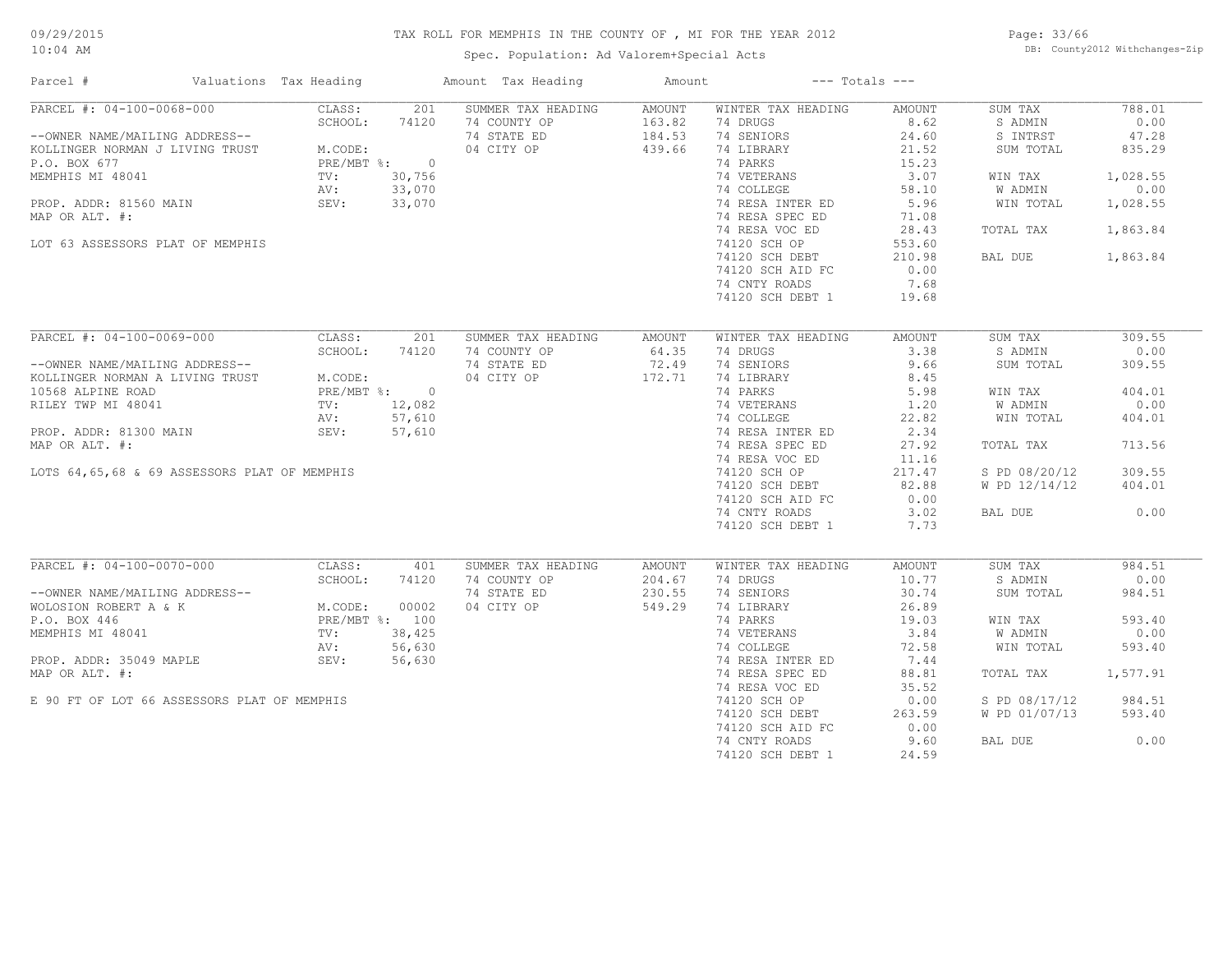Spec. Population: Ad Valorem+Special Acts

Page: 33/66 DB: County2012 Withchanges-Zip

| Parcel #                                     | Valuations Tax Heading | Amount Tax Heading    |                    | Amount        |                    | $---$ Totals $---$ |               |          |
|----------------------------------------------|------------------------|-----------------------|--------------------|---------------|--------------------|--------------------|---------------|----------|
| PARCEL #: 04-100-0068-000                    | CLASS:                 | 201                   | SUMMER TAX HEADING | AMOUNT        | WINTER TAX HEADING | AMOUNT             | SUM TAX       | 788.01   |
|                                              | SCHOOL:                | 74120<br>74 COUNTY OP |                    | 163.82        | 74 DRUGS           | 8.62               | S ADMIN       | 0.00     |
| --OWNER NAME/MAILING ADDRESS--               |                        | 74 STATE ED           |                    | 184.53        | 74 SENIORS         | 24.60              | S INTRST      | 47.28    |
| KOLLINGER NORMAN J LIVING TRUST              | M.CODE:                | 04 CITY OP            |                    | 439.66        | 74 LIBRARY         | 21.52              | SUM TOTAL     | 835.29   |
| P.O. BOX 677                                 | PRE/MBT %: 0           |                       |                    |               | 74 PARKS           | 15.23              |               |          |
| MEMPHIS MI 48041                             | 30,756<br>TV:          |                       |                    |               | 74 VETERANS        | 3.07               | WIN TAX       | 1,028.55 |
|                                              | 33,070<br>AV:          |                       |                    |               | 74 COLLEGE         | 58.10              | W ADMIN       | 0.00     |
| PROP. ADDR: 81560 MAIN                       | 33,070<br>SEV:         |                       |                    |               | 74 RESA INTER ED   | 5.96               | WIN TOTAL     | 1,028.55 |
| MAP OR ALT. #:                               |                        |                       |                    |               | 74 RESA SPEC ED    | 71.08              |               |          |
|                                              |                        |                       |                    |               | 74 RESA VOC ED     | 28.43              | TOTAL TAX     | 1,863.84 |
|                                              |                        |                       |                    |               | 74120 SCH OP       |                    |               |          |
| LOT 63 ASSESSORS PLAT OF MEMPHIS             |                        |                       |                    |               |                    | 553.60             |               |          |
|                                              |                        |                       |                    |               | 74120 SCH DEBT     | 210.98             | BAL DUE       | 1,863.84 |
|                                              |                        |                       |                    |               | 74120 SCH AID FC   | 0.00               |               |          |
|                                              |                        |                       |                    |               | 74 CNTY ROADS      | 7.68               |               |          |
|                                              |                        |                       |                    |               | 74120 SCH DEBT 1   | 19.68              |               |          |
| PARCEL #: 04-100-0069-000                    | CLASS:                 | 201                   | SUMMER TAX HEADING |               |                    |                    |               | 309.55   |
|                                              |                        |                       |                    | <b>AMOUNT</b> | WINTER TAX HEADING | AMOUNT             | SUM TAX       |          |
|                                              | SCHOOL:                | 74 COUNTY OP<br>74120 |                    | 64.35         | 74 DRUGS           | 3.38               | S ADMIN       | 0.00     |
| --OWNER NAME/MAILING ADDRESS--               |                        | 74 STATE ED           |                    | 72.49         | 74 SENIORS         | 9.66               | SUM TOTAL     | 309.55   |
| KOLLINGER NORMAN A LIVING TRUST              | M.CODE:                | 04 CITY OP            |                    | 172.71        | 74 LIBRARY         | 8.45               |               |          |
| 10568 ALPINE ROAD                            | PRE/MBT %: 0           |                       |                    |               | 74 PARKS           | 5.98               | WIN TAX       | 404.01   |
| RILEY TWP MI 48041                           | TV: 12,082             |                       |                    |               | 74 VETERANS        | 1,20               | W ADMIN       | 0.00     |
|                                              | 57,610<br>AV:          |                       |                    |               | 74 COLLEGE         | 22.82              | WIN TOTAL     | 404.01   |
| PROP. ADDR: 81300 MAIN                       | SEV:<br>57,610         |                       |                    |               | 74 RESA INTER ED   | 2.34               |               |          |
| MAP OR ALT. #:                               |                        |                       |                    |               | 74 RESA SPEC ED    | 27.92              | TOTAL TAX     | 713.56   |
|                                              |                        |                       |                    |               | 74 RESA VOC ED     | 11.16              |               |          |
| LOTS 64,65,68 & 69 ASSESSORS PLAT OF MEMPHIS |                        |                       |                    |               | 74120 SCH OP       | 217.47             | S PD 08/20/12 | 309.55   |
|                                              |                        |                       |                    |               | 74120 SCH DEBT     | 82.88              | W PD 12/14/12 | 404.01   |
|                                              |                        |                       |                    |               | 74120 SCH AID FC   | 0.00               |               |          |
|                                              |                        |                       |                    |               |                    | 3.02               |               | 0.00     |
|                                              |                        |                       |                    |               | 74 CNTY ROADS      |                    | BAL DUE       |          |
|                                              |                        |                       |                    |               | 74120 SCH DEBT 1   | 7.73               |               |          |
| PARCEL #: 04-100-0070-000                    | CLASS:                 | 401                   | SUMMER TAX HEADING | <b>AMOUNT</b> | WINTER TAX HEADING | AMOUNT             | SUM TAX       | 984.51   |
|                                              | SCHOOL:                | 74 COUNTY OP<br>74120 |                    | 204.67        | 74 DRUGS           | 10.77              | S ADMIN       | 0.00     |
| --OWNER NAME/MAILING ADDRESS--               |                        | 74 STATE ED           |                    | 230.55        | 74 SENIORS         | 30.74              | SUM TOTAL     | 984.51   |
| WOLOSION ROBERT A & K                        | M.CODE:                | 04 CITY OP<br>00002   |                    | 549.29        | 74 LIBRARY         | 26.89              |               |          |
| P.O. BOX 446                                 | PRE/MBT %: 100         |                       |                    |               | 74 PARKS           | 19.03              | WIN TAX       | 593.40   |
|                                              |                        |                       |                    |               |                    |                    |               |          |
| MEMPHIS MI 48041                             | 38,425<br>TV:          |                       |                    |               | 74 VETERANS        | 3.84               | W ADMIN       | 0.00     |
|                                              | 56,630<br>AV:          |                       |                    |               | 74 COLLEGE         | 72.58              | WIN TOTAL     | 593.40   |
| PROP. ADDR: 35049 MAPLE                      | 56,630<br>SEV:         |                       |                    |               | 74 RESA INTER ED   | 7.44               |               |          |
| MAP OR ALT. #:                               |                        |                       |                    |               | 74 RESA SPEC ED    | 88.81              | TOTAL TAX     | 1,577.91 |
|                                              |                        |                       |                    |               | 74 RESA VOC ED     | 35.52              |               |          |
| E 90 FT OF LOT 66 ASSESSORS PLAT OF MEMPHIS  |                        |                       |                    |               | 74120 SCH OP       | 0.00               | S PD 08/17/12 | 984.51   |
|                                              |                        |                       |                    |               | 74120 SCH DEBT     | 263.59             | W PD 01/07/13 | 593.40   |
|                                              |                        |                       |                    |               | 74120 SCH AID FC   | 0.00               |               |          |
|                                              |                        |                       |                    |               | 74 CNTY ROADS      | 9.60               | BAL DUE       | 0.00     |
|                                              |                        |                       |                    |               | 74120 SCH DEBT 1   | 24.59              |               |          |
|                                              |                        |                       |                    |               |                    |                    |               |          |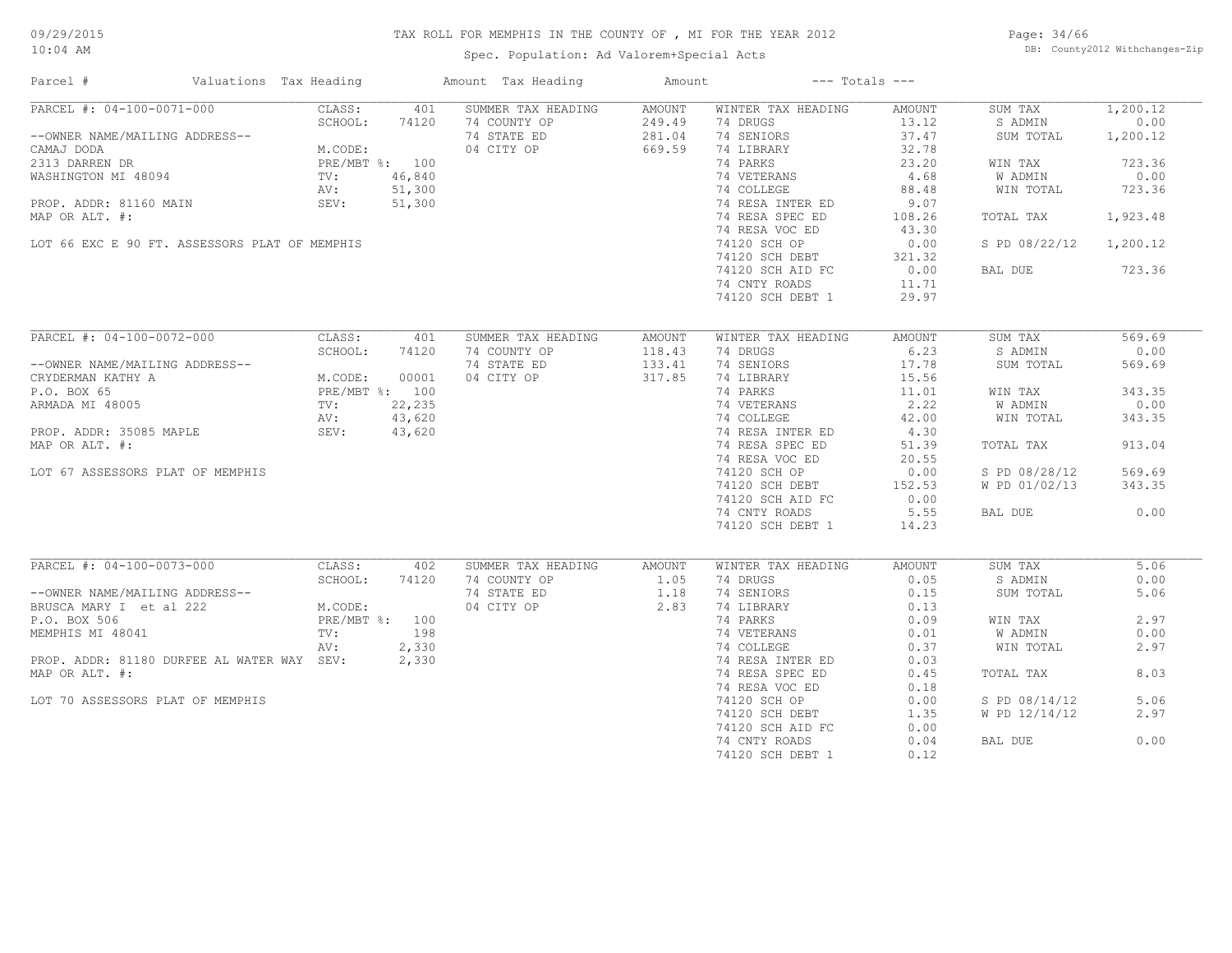Spec. Population: Ad Valorem+Special Acts

Page: 34/66 DB: County2012 Withchanges-Zip

| Parcel #                                      | Valuations Tax Heading |                   |              | Amount Tax Heading                 | Amount         |                                | $---$ Totals $---$ |                    |              |
|-----------------------------------------------|------------------------|-------------------|--------------|------------------------------------|----------------|--------------------------------|--------------------|--------------------|--------------|
| PARCEL #: 04-100-0071-000                     |                        | CLASS:            | 401          | SUMMER TAX HEADING                 | AMOUNT         | WINTER TAX HEADING             | AMOUNT             | SUM TAX            | 1,200.12     |
|                                               |                        | SCHOOL:           | 74120        | 74 COUNTY OP                       | 249.49         | 74 DRUGS                       | 13.12              | S ADMIN            | 0.00         |
| --OWNER NAME/MAILING ADDRESS--                |                        |                   |              | 74 STATE ED                        | 281.04         | 74 SENIORS                     | 37.47              | SUM TOTAL          | 1,200.12     |
| CAMAJ DODA                                    |                        | M.CODE:           |              | 04 CITY OP                         | 669.59         | 74 LIBRARY                     | 32.78              |                    |              |
| 2313 DARREN DR                                |                        | PRE/MBT %: 100    |              |                                    |                | 74 PARKS                       | 23.20              | WIN TAX            | 723.36       |
| WASHINGTON MI 48094                           |                        | TV:               | 46,840       |                                    |                | 74 VETERANS                    | 4.68               | W ADMIN            | 0.00         |
|                                               |                        | AV:               | 51,300       |                                    |                | 74 COLLEGE                     | 88.48              | WIN TOTAL          | 723.36       |
| PROP. ADDR: 81160 MAIN                        |                        | SEV:              | 51,300       |                                    |                | 74 RESA INTER ED               | 9.07               |                    |              |
| MAP OR ALT. #:                                |                        |                   |              |                                    |                | 74 RESA SPEC ED                | 108.26             | TOTAL TAX          | 1,923.48     |
|                                               |                        |                   |              |                                    |                | 74 RESA VOC ED                 | 43.30              |                    |              |
| LOT 66 EXC E 90 FT. ASSESSORS PLAT OF MEMPHIS |                        |                   |              |                                    |                | 74120 SCH OP                   | 0.00               | S PD 08/22/12      | 1,200.12     |
|                                               |                        |                   |              |                                    |                | 74120 SCH DEBT                 | 321.32             |                    |              |
|                                               |                        |                   |              |                                    |                | 74120 SCH AID FC               | 0.00               | BAL DUE            | 723.36       |
|                                               |                        |                   |              |                                    |                | 74 CNTY ROADS                  | 11.71              |                    |              |
|                                               |                        |                   |              |                                    |                | 74120 SCH DEBT 1               | 29.97              |                    |              |
|                                               |                        |                   |              |                                    |                |                                |                    |                    |              |
| PARCEL #: 04-100-0072-000                     |                        | CLASS:            | 401          | SUMMER TAX HEADING                 | AMOUNT         | WINTER TAX HEADING             | AMOUNT             | SUM TAX            | 569.69       |
|                                               |                        | SCHOOL:           | 74120        | 74 COUNTY OP                       | 118.43         | 74 DRUGS                       | 6.23               | S ADMIN            | 0.00         |
| --OWNER NAME/MAILING ADDRESS--                |                        |                   |              | 74 STATE ED                        | 133.41         | 74 SENIORS                     | 17.78              | SUM TOTAL          | 569.69       |
| CRYDERMAN KATHY A                             |                        | M.CODE:           | 00001        | 04 CITY OP                         | 317.85         | 74 LIBRARY                     | 15.56              |                    |              |
|                                               |                        |                   |              |                                    |                | 74 PARKS                       |                    |                    |              |
| P.O. BOX 65                                   |                        | PRE/MBT %: 100    |              |                                    |                |                                | 11.01              | WIN TAX            | 343.35       |
| ARMADA MI 48005                               |                        | $\text{TV}$ :     | 22,235       |                                    |                | 74 VETERANS                    | 2.22               | W ADMIN            | 0.00         |
|                                               |                        | AV:               | 43,620       |                                    |                | 74 COLLEGE                     | 42.00              | WIN TOTAL          | 343.35       |
| PROP. ADDR: 35085 MAPLE                       |                        | SEV:              | 43,620       |                                    |                | 74 RESA INTER ED               | 4.30               |                    |              |
| MAP OR ALT. #:                                |                        |                   |              |                                    |                | 74 RESA SPEC ED                | 51.39              | TOTAL TAX          | 913.04       |
|                                               |                        |                   |              |                                    |                | 74 RESA VOC ED                 | 20.55              |                    |              |
| LOT 67 ASSESSORS PLAT OF MEMPHIS              |                        |                   |              |                                    |                | 74120 SCH OP                   | 0.00               | S PD 08/28/12      | 569.69       |
|                                               |                        |                   |              |                                    |                | 74120 SCH DEBT                 | 152.53             | W PD 01/02/13      | 343.35       |
|                                               |                        |                   |              |                                    |                | 74120 SCH AID FC               | 0.00               |                    |              |
|                                               |                        |                   |              |                                    |                | 74 CNTY ROADS                  | 5.55               | BAL DUE            | 0.00         |
|                                               |                        |                   |              |                                    |                | 74120 SCH DEBT 1               | 14.23              |                    |              |
|                                               |                        |                   |              |                                    |                |                                |                    |                    |              |
| PARCEL #: 04-100-0073-000                     |                        | CLASS:<br>SCHOOL: | 402<br>74120 | SUMMER TAX HEADING<br>74 COUNTY OP | AMOUNT<br>1.05 | WINTER TAX HEADING<br>74 DRUGS | AMOUNT<br>0.05     | SUM TAX<br>S ADMIN | 5.06<br>0.00 |
| --OWNER NAME/MAILING ADDRESS--                |                        |                   |              | 74 STATE ED                        | 1.18           | 74 SENIORS                     | 0.15               | SUM TOTAL          | 5.06         |
|                                               |                        |                   |              |                                    |                |                                |                    |                    |              |
| BRUSCA MARY I et al 222                       |                        | M.CODE:           |              | 04 CITY OP                         | 2.83           | 74 LIBRARY                     | 0.13               |                    |              |
| P.O. BOX 506                                  |                        | PRE/MBT %: 100    |              |                                    |                | 74 PARKS                       | 0.09               | WIN TAX            | 2.97         |
| MEMPHIS MI 48041                              |                        | TV:               | 198          |                                    |                | 74 VETERANS                    | 0.01               | W ADMIN            | 0.00         |
|                                               |                        | AV:               | 2,330        |                                    |                | 74 COLLEGE                     | 0.37               | WIN TOTAL          | 2.97         |
| PROP. ADDR: 81180 DURFEE AL WATER WAY SEV:    |                        |                   | 2,330        |                                    |                | 74 RESA INTER ED               | 0.03               |                    |              |
| MAP OR ALT. #:                                |                        |                   |              |                                    |                | 74 RESA SPEC ED                | 0.45               | TOTAL TAX          | 8.03         |
|                                               |                        |                   |              |                                    |                | 74 RESA VOC ED                 | 0.18               |                    |              |
| LOT 70 ASSESSORS PLAT OF MEMPHIS              |                        |                   |              |                                    |                | 74120 SCH OP                   | 0.00               | S PD 08/14/12      | 5.06         |
|                                               |                        |                   |              |                                    |                | 74120 SCH DEBT                 | 1.35               | W PD 12/14/12      | 2.97         |
|                                               |                        |                   |              |                                    |                | 74120 SCH AID FC               | 0.00               |                    |              |
|                                               |                        |                   |              |                                    |                | 74 CNTY ROADS                  | 0.04               | BAL DUE            | 0.00         |
|                                               |                        |                   |              |                                    |                | 74120 SCH DEBT 1               | 0.12               |                    |              |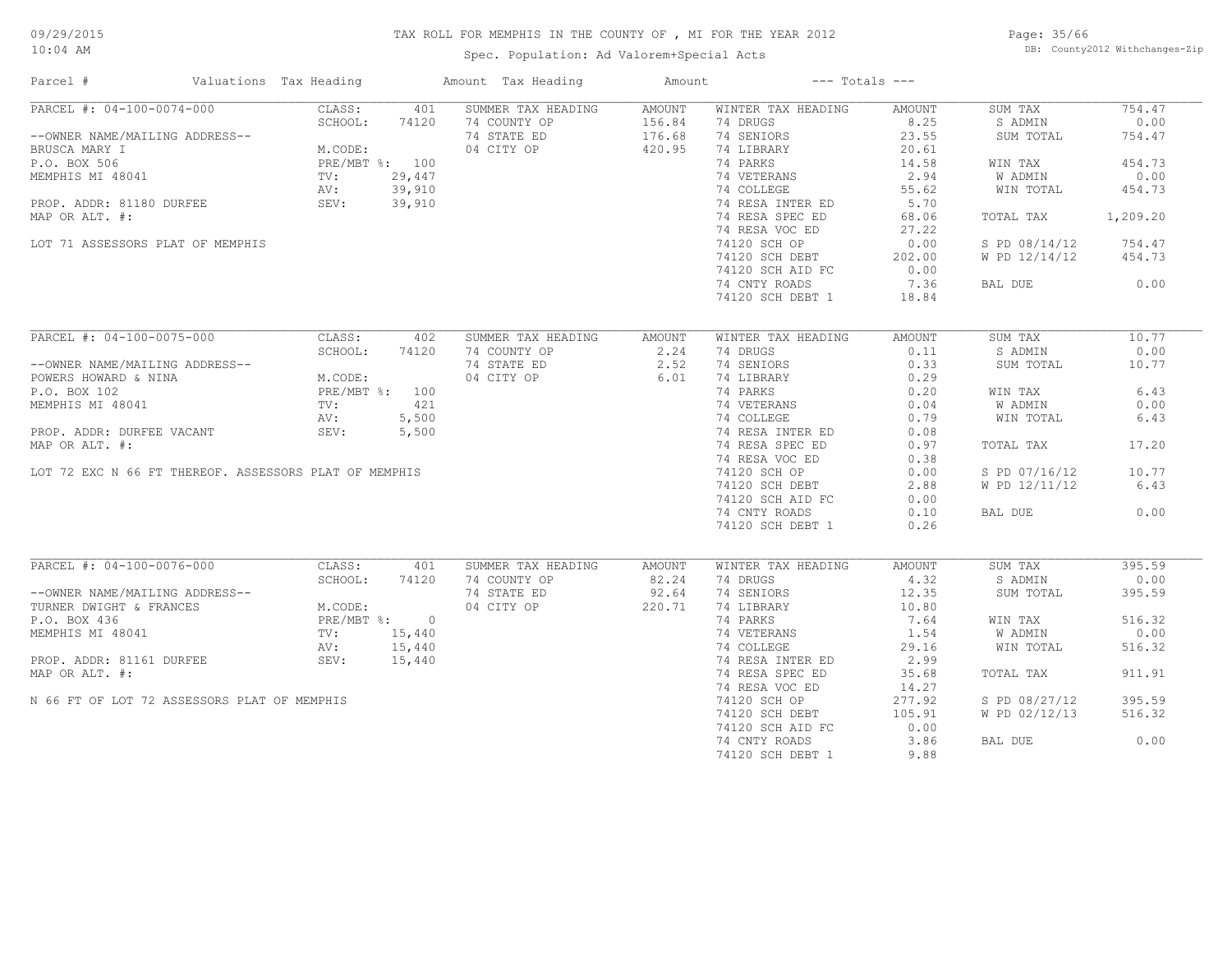Spec. Population: Ad Valorem+Special Acts

Page: 35/66 DB: County2012 Withchanges-Zip

| Parcel #                                              | Valuations Tax Heading |                                                                              |        | Amount Tax Heading | Amount |                           | $---$ Totals $---$ |               |          |
|-------------------------------------------------------|------------------------|------------------------------------------------------------------------------|--------|--------------------|--------|---------------------------|--------------------|---------------|----------|
| PARCEL #: 04-100-0074-000                             |                        | CLASS:                                                                       | 401    | SUMMER TAX HEADING | AMOUNT | WINTER TAX HEADING        | AMOUNT             | SUM TAX       | 754.47   |
|                                                       |                        | SCHOOL:                                                                      | 74120  | 74 COUNTY OP       | 156.84 | 74 DRUGS                  | 8.25               | S ADMIN       | 0.00     |
| --OWNER NAME/MAILING ADDRESS--                        |                        |                                                                              |        | 74 STATE ED        | 176.68 | 74 SENIORS                | 23.55              | SUM TOTAL     | 754.47   |
| BRUSCA MARY I                                         |                        | M.CODE:                                                                      |        | 04 CITY OP         | 420.95 | 74 LIBRARY                | 20.61              |               |          |
| P.O. BOX 506                                          |                        | PRE/MBT %: 100                                                               |        |                    |        | 74 PARKS                  | 14.58              | WIN TAX       | 454.73   |
| MEMPHIS MI 48041                                      |                        | TV:                                                                          | 29,447 |                    |        | 74 VETERANS               | 2.94               | W ADMIN       | 0.00     |
|                                                       |                        |                                                                              | 39,910 |                    |        | 74 COLLEGE                | 55.62              | WIN TOTAL     | 454.73   |
|                                                       |                        |                                                                              | 39,910 |                    |        | 74 RESA INTER ED          | 5.70               |               |          |
| MAP OR ALT. #:                                        |                        |                                                                              |        |                    |        | 74 RESA SPEC ED           | 68.06              | TOTAL TAX     | 1,209.20 |
|                                                       |                        |                                                                              |        |                    |        | 74 RESA VOC ED            | 27.22              |               |          |
| LOT 71 ASSESSORS PLAT OF MEMPHIS                      |                        |                                                                              |        |                    |        | 74120 SCH OP              | 0.00               | S PD 08/14/12 | 754.47   |
|                                                       |                        |                                                                              |        |                    |        |                           |                    |               |          |
|                                                       |                        |                                                                              |        |                    |        | 74120 SCH DEBT            | 202.00             | W PD 12/14/12 | 454.73   |
|                                                       |                        |                                                                              |        |                    |        | 74120 SCH AID FC          | 0.00               |               |          |
|                                                       |                        |                                                                              |        |                    |        | 74 CNTY ROADS             | 7.36               | BAL DUE       | 0.00     |
|                                                       |                        |                                                                              |        |                    |        | 74120 SCH DEBT 1          | 18.84              |               |          |
| PARCEL #: 04-100-0075-000                             |                        | CLASS:                                                                       | 402    | SUMMER TAX HEADING | AMOUNT | WINTER TAX HEADING        | AMOUNT             | SUM TAX       | 10.77    |
|                                                       |                        |                                                                              |        |                    |        | 74 DRUGS                  |                    |               |          |
|                                                       |                        | SCHOOL:                                                                      | 74120  | 74 COUNTY OP       | 2.24   |                           | 0.11               | S ADMIN       | 0.00     |
| --OWNER NAME/MAILING ADDRESS--                        |                        |                                                                              |        | 74 STATE ED        | 2.52   | 74 SENIORS                | 0.33               | SUM TOTAL     | 10.77    |
| POWERS HOWARD & NINA                                  |                        | M.CODE:<br>PRE/MBT %: 100                                                    |        | 04 CITY OP         | 6.01   | 74 LIBRARY                | 0.29               |               |          |
| P.O. BOX 102                                          |                        |                                                                              |        |                    |        | 74 PARKS                  | 0.20               | WIN TAX       | 6.43     |
| MEMPHIS MI 48041                                      |                        | $\text{TV}$ :                                                                | 421    |                    |        |                           | 0.04               | W ADMIN       | 0.00     |
|                                                       |                        | AV:                                                                          | 5,500  |                    |        | 74 VETERANS<br>74 COLLEGE | 0.79               | WIN TOTAL     | 6.43     |
| PROP. ADDR: DURFEE VACANT                             |                        | SEV:                                                                         | 5,500  |                    |        | 74 RESA INTER ED          | 0.08               |               |          |
| MAP OR ALT. #:                                        |                        |                                                                              |        |                    |        | 74 RESA SPEC ED           | 0.97               | TOTAL TAX     | 17.20    |
|                                                       |                        |                                                                              |        |                    |        | 74 RESA VOC ED            | 0.38               |               |          |
| LOT 72 EXC N 66 FT THEREOF. ASSESSORS PLAT OF MEMPHIS |                        |                                                                              |        |                    |        | 74120 SCH OP              | 0.00               | S PD 07/16/12 | 10.77    |
|                                                       |                        |                                                                              |        |                    |        | 74120 SCH DEBT            | 2.88               | W PD 12/11/12 | 6.43     |
|                                                       |                        |                                                                              |        |                    |        | 74120 SCH AID FC          | 0.00               |               |          |
|                                                       |                        |                                                                              |        |                    |        | 74 CNTY ROADS             | 0.10               | BAL DUE       | 0.00     |
|                                                       |                        |                                                                              |        |                    |        |                           | 0.26               |               |          |
|                                                       |                        |                                                                              |        |                    |        | 74120 SCH DEBT 1          |                    |               |          |
| PARCEL #: 04-100-0076-000                             |                        | CLASS:                                                                       | 401    | SUMMER TAX HEADING | AMOUNT | WINTER TAX HEADING        | AMOUNT             | SUM TAX       | 395.59   |
|                                                       |                        | RESS--<br>M.CODE:<br>PRE/MBT %: 0<br>TV: 15,440<br>AV: 15,44<br>15,4<br>15,4 |        | 74 COUNTY OP       | 82.24  | 74 DRUGS                  | 4.32               | S ADMIN       | 0.00     |
| --OWNER NAME/MAILING ADDRESS--                        |                        |                                                                              |        | 74 STATE ED        | 92.64  | 74 SENIORS                | 12.35              | SUM TOTAL     | 395.59   |
| TURNER DWIGHT & FRANCES                               |                        |                                                                              |        | 04 CITY OP         | 220.71 | 74 LIBRARY                | 10.80              |               |          |
| P.O. BOX 436                                          |                        |                                                                              |        |                    |        | 74 PARKS                  | 7.64               | WIN TAX       | 516.32   |
| MEMPHIS MI 48041                                      |                        |                                                                              |        |                    |        | 74 VETERANS               | 1.54               | W ADMIN       | 0.00     |
|                                                       |                        |                                                                              |        |                    |        | 74 COLLEGE                | 29.16              | WIN TOTAL     | 516.32   |
| PROP. ADDR: 81161 DURFEE                              |                        |                                                                              |        |                    |        | 74 RESA INTER ED          | 2.99               |               |          |
|                                                       |                        |                                                                              |        |                    |        |                           |                    |               |          |
| MAP OR ALT. #:                                        |                        |                                                                              |        |                    |        | 74 RESA SPEC ED           | 35.68              | TOTAL TAX     | 911.91   |
|                                                       |                        |                                                                              |        |                    |        | 74 RESA VOC ED            | 14.27              |               |          |
| N 66 FT OF LOT 72 ASSESSORS PLAT OF MEMPHIS           |                        |                                                                              |        |                    |        | 74120 SCH OP              | 277.92             | S PD 08/27/12 | 395.59   |
|                                                       |                        |                                                                              |        |                    |        | 74120 SCH DEBT            | 105.91             | W PD 02/12/13 | 516.32   |
|                                                       |                        |                                                                              |        |                    |        | 74120 SCH AID FC          | 0.00               |               |          |
|                                                       |                        |                                                                              |        |                    |        | 74 CNTY ROADS             | 3.86               | BAL DUE       | 0.00     |
|                                                       |                        |                                                                              |        |                    |        | 74120 SCH DEBT 1          | 9.88               |               |          |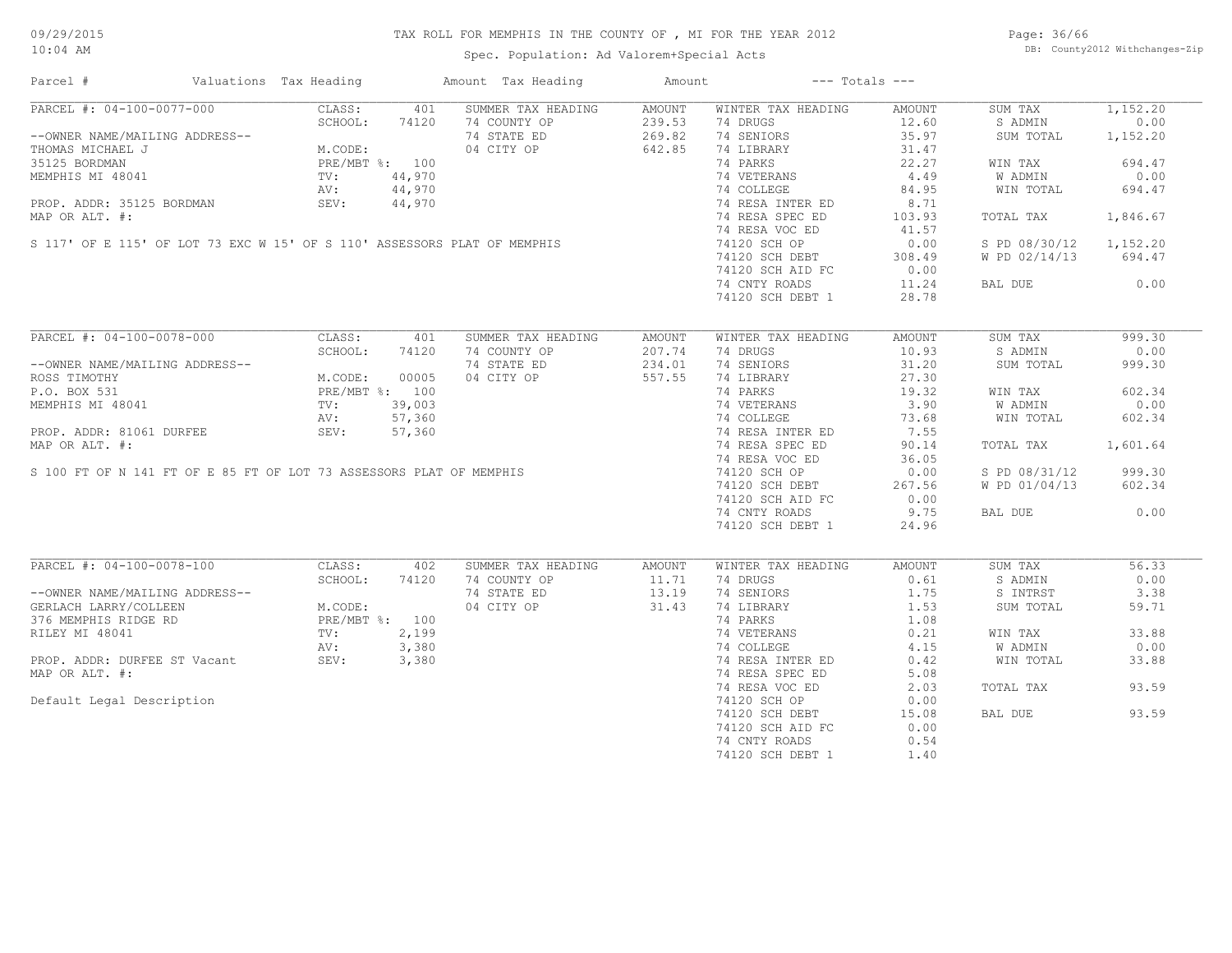Spec. Population: Ad Valorem+Special Acts

Page: 36/66 DB: County2012 Withchanges-Zip

| Parcel #                                                                                                                                                                                                                                                                                               | Valuations Tax Heading                                      |       | Amount Tax Heading                   | Amount                         | $---$ Totals $---$                                                              |        |                        |          |
|--------------------------------------------------------------------------------------------------------------------------------------------------------------------------------------------------------------------------------------------------------------------------------------------------------|-------------------------------------------------------------|-------|--------------------------------------|--------------------------------|---------------------------------------------------------------------------------|--------|------------------------|----------|
| PARCEL #: 04-100-0077-000                                                                                                                                                                                                                                                                              |                                                             |       | CLASS: 401 SUMMER TAX HEADING AMOUNT |                                | WINTER TAX HEADING                                                              | AMOUNT | SUM TAX                | 1,152.20 |
| --OWNER NAME/MAILING ADDRESS--<br>THOMAS MICHAEL J<br>35125 BORDMAN<br>MEMPHIS MI 48041<br>PROP. ADDR: 35125 BORDMAN<br>PROP. ADDR: 35125 BORDMAN<br>PROP. ADDR: 35125 BORDMAN<br>PROP. ADDR: 35125 BORDMAN<br>PROP. ADDR: 35125 BORDMAN<br>PROP                                                       |                                                             |       | 74 COUNTY OP                         | 239.53                         | 74 DRUGS                                                                        | 12.60  | S ADMIN                | 0.00     |
|                                                                                                                                                                                                                                                                                                        |                                                             |       | 74 STATE ED                          | 239.53<br>269.82               | 74 SENIORS                                                                      | 35.97  | SUM TOTAL              | 1,152.20 |
|                                                                                                                                                                                                                                                                                                        |                                                             |       | 04 CITY OP 642.85                    |                                | 74 LIBRARY                                                                      | 31.47  |                        |          |
|                                                                                                                                                                                                                                                                                                        |                                                             |       |                                      |                                | 74 PARKS                                                                        | 22.27  | WIN TAX                | 694.47   |
| $\begin{tabular}{lllllllllll} 35125&BORDMAN\quad & PRE/MBT &\text{\$:} & 100\\ MEMPHIS MI & 48041 & TV: & 44,970\\ PROP. ADDR: & 35125&BORDMAN & SEV: & 44,970\\ MAP OR ALT. & \text{\#:} & & & & & \\ \text{S 117' OF E 115' OF LOT 73 EXC W 15' OF S 110' ASSESSORS PLAT OF MEMPHIS\\ \end{tabular}$ |                                                             |       |                                      |                                |                                                                                 | 4.49   | W ADMIN                | 0.00     |
|                                                                                                                                                                                                                                                                                                        |                                                             |       |                                      |                                | 74 VETERANS<br>74 COLLEGE                                                       |        |                        |          |
|                                                                                                                                                                                                                                                                                                        |                                                             |       |                                      |                                |                                                                                 | 84.95  | WIN TOTAL              | 694.47   |
|                                                                                                                                                                                                                                                                                                        |                                                             |       |                                      |                                | 74 RESA INTER ED                                                                | 8.71   |                        |          |
|                                                                                                                                                                                                                                                                                                        |                                                             |       |                                      |                                | 74 RESA SPEC ED                                                                 | 103.93 | TOTAL TAX              | 1,846.67 |
|                                                                                                                                                                                                                                                                                                        |                                                             |       |                                      |                                | 74 RESA VOC ED                                                                  | 41.57  |                        |          |
|                                                                                                                                                                                                                                                                                                        |                                                             |       |                                      |                                | 74120 SCH OP                                                                    | 0.00   | S PD 08/30/12 1,152.20 |          |
|                                                                                                                                                                                                                                                                                                        |                                                             |       |                                      |                                | 74120 SCH DEBT                                                                  | 308.49 | W PD 02/14/13 694.47   |          |
|                                                                                                                                                                                                                                                                                                        |                                                             |       |                                      |                                | 74120 SCH AID FC                                                                | 0.00   |                        |          |
|                                                                                                                                                                                                                                                                                                        |                                                             |       |                                      |                                | 74 CNTY ROADS                                                                   | 11.24  | BAL DUE 0.00           |          |
|                                                                                                                                                                                                                                                                                                        |                                                             |       |                                      |                                | 74120 SCH DEBT 1                                                                | 28.78  |                        |          |
|                                                                                                                                                                                                                                                                                                        |                                                             |       |                                      |                                |                                                                                 |        |                        |          |
| PARCEL #: 04-100-0078-000                                                                                                                                                                                                                                                                              | CLASS:                                                      | 401   | SUMMER TAX HEADING                   | AMOUNT                         | WINTER TAX HEADING                                                              | AMOUNT | SUM TAX                | 999.30   |
|                                                                                                                                                                                                                                                                                                        | SCHOOL:                                                     | 74120 | 74 COUNTY OP                         | 207.74                         | 74 DRUGS                                                                        | 10.93  | S ADMIN                | 0.00     |
| --OWNER NAME/MAILING ADDRESS--                                                                                                                                                                                                                                                                         |                                                             |       | 74 STATE ED                          | 234.01                         | 74 SENIORS                                                                      | 31.20  | SUM TOTAL              | 999.30   |
| ROSS TIMOTHY                                                                                                                                                                                                                                                                                           | M.CODE: 00005<br>PRE/MBT %: 100<br>TV: 39,003<br>AV: 57,360 |       | 04 CITY OP                           | 557.55                         | 74 LIBRARY                                                                      | 27.30  |                        |          |
|                                                                                                                                                                                                                                                                                                        |                                                             |       |                                      |                                | 74 PARKS                                                                        | 19.32  |                        | 602.34   |
|                                                                                                                                                                                                                                                                                                        |                                                             |       |                                      |                                | 74 PARKS 19.32<br>74 VETERANS 3.90<br>74 COLLEGE 73.68<br>74 RESA INTER ED 7.55 |        | WIN TAX                |          |
|                                                                                                                                                                                                                                                                                                        |                                                             |       |                                      |                                |                                                                                 |        | W ADMIN                | 0.00     |
|                                                                                                                                                                                                                                                                                                        |                                                             |       |                                      |                                |                                                                                 |        | WIN TOTAL              | 602.34   |
|                                                                                                                                                                                                                                                                                                        |                                                             |       |                                      |                                |                                                                                 |        |                        |          |
|                                                                                                                                                                                                                                                                                                        |                                                             |       |                                      |                                | 74 RESA SPEC ED                                                                 | 90.14  | TOTAL TAX              | 1,601.64 |
|                                                                                                                                                                                                                                                                                                        |                                                             |       |                                      |                                | 74 RESA VOC ED                                                                  | 36.05  |                        |          |
|                                                                                                                                                                                                                                                                                                        |                                                             |       |                                      |                                | 74120 SCH OP                                                                    | 0.00   | S PD 08/31/12          | 999.30   |
|                                                                                                                                                                                                                                                                                                        |                                                             |       |                                      |                                | 74120 SCH DEBT                                                                  | 267.56 | W PD 01/04/13          | 602.34   |
|                                                                                                                                                                                                                                                                                                        |                                                             |       |                                      |                                | 74120 SCH AID FC                                                                | 0.00   |                        |          |
|                                                                                                                                                                                                                                                                                                        |                                                             |       |                                      |                                | 74 CNTY ROADS                                                                   | 9.75   | BAL DUE                | 0.00     |
|                                                                                                                                                                                                                                                                                                        |                                                             |       |                                      |                                |                                                                                 | 24.96  |                        |          |
| PROP. ADDR: 81061 DURFEE<br>MAP OR ALT. #:<br>S 100 FT OF N 141 FT OF E 85 FT OF LOT 73 ASSESSORS PLAT OF MEMPHIS                                                                                                                                                                                      |                                                             |       |                                      |                                | 74120 SCH DEBT 1                                                                |        |                        |          |
| PARCEL #: 04-100-0078-100                                                                                                                                                                                                                                                                              | CLASS:                                                      | 402   | SUMMER TAX HEADING                   | AMOUNT                         | WINTER TAX HEADING                                                              | AMOUNT | SUM TAX                | 56.33    |
|                                                                                                                                                                                                                                                                                                        | SCHOOL:                                                     | 74120 | 74 COUNTY OP                         | 11.71                          | 74 DRUGS                                                                        | 0.61   | S ADMIN                | 0.00     |
|                                                                                                                                                                                                                                                                                                        |                                                             |       | 74 STATE ED                          |                                | 74 SENIORS                                                                      | 1.75   | S INTRST               | 3.38     |
| --OWNER NAME/MAILING ADDRESS--<br>GERLACH LARRY/COLLEEN M.CODE:<br>376 MEMPHIS RIDGE RD PRE/MBT %: 100<br>RILEY MI 48041 TV: 2,199<br>PROP. ADDR: DURFEE ST Vacant SEV: 3,380<br>MAR OR ATT #.                                                                                                         |                                                             |       | 04 CITY OP                           | $\frac{11.71}{13.19}$<br>31.43 | 74 LIBRARY                                                                      | 1.53   | SUM TOTAL              | 59.71    |
|                                                                                                                                                                                                                                                                                                        |                                                             |       |                                      |                                | 74 PARKS                                                                        | 1.08   |                        |          |
|                                                                                                                                                                                                                                                                                                        |                                                             |       |                                      |                                |                                                                                 |        |                        |          |
|                                                                                                                                                                                                                                                                                                        |                                                             |       |                                      |                                | 74 VETERANS 0.21<br>74 COLLEGE 4.15<br>74 RESA INTER ED 0.42                    |        | WIN TAX                | 33.88    |
|                                                                                                                                                                                                                                                                                                        |                                                             |       |                                      |                                |                                                                                 |        | <b>W ADMIN</b>         | 0.00     |
|                                                                                                                                                                                                                                                                                                        |                                                             |       |                                      |                                |                                                                                 |        | WIN TOTAL              | 33.88    |
| MAP OR ALT. #:                                                                                                                                                                                                                                                                                         |                                                             |       |                                      |                                | 74 RESA SPEC ED                                                                 | 5.08   |                        |          |
|                                                                                                                                                                                                                                                                                                        |                                                             |       |                                      |                                | 74 RESA VOC ED                                                                  | 2.03   | TOTAL TAX              | 93.59    |
| Default Legal Description                                                                                                                                                                                                                                                                              |                                                             |       |                                      |                                | 74120 SCH OP                                                                    | 0.00   |                        |          |
|                                                                                                                                                                                                                                                                                                        |                                                             |       |                                      |                                | 74120 SCH DEBT                                                                  | 15.08  | BAL DUE                | 93.59    |
|                                                                                                                                                                                                                                                                                                        |                                                             |       |                                      |                                | 74120 SCH AID FC                                                                | 0.00   |                        |          |
|                                                                                                                                                                                                                                                                                                        |                                                             |       |                                      |                                | 74 CNTY ROADS                                                                   | 0.54   |                        |          |
|                                                                                                                                                                                                                                                                                                        |                                                             |       |                                      |                                | 74120 SCH DEBT 1                                                                | 1.40   |                        |          |
|                                                                                                                                                                                                                                                                                                        |                                                             |       |                                      |                                |                                                                                 |        |                        |          |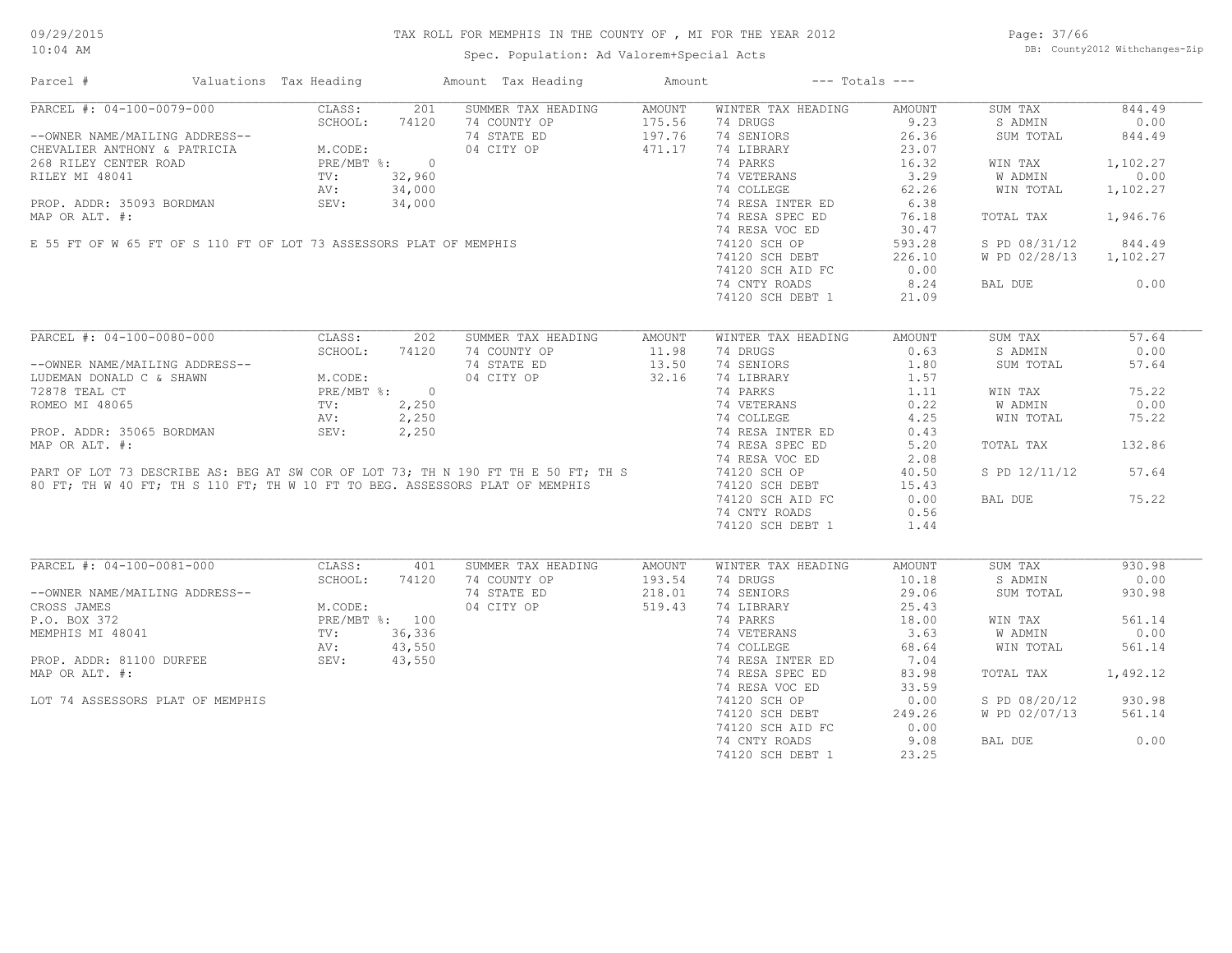Spec. Population: Ad Valorem+Special Acts

Page: 37/66 DB: County2012 Withchanges-Zip

| Parcel #                                                                                                                                                                                                                | Valuations Tax Heading |       | Amount Tax Heading         | Amount | $---$ Totals $---$                   |        |                        |          |
|-------------------------------------------------------------------------------------------------------------------------------------------------------------------------------------------------------------------------|------------------------|-------|----------------------------|--------|--------------------------------------|--------|------------------------|----------|
| PARCEL #: 04-100-0079-000                                                                                                                                                                                               | CLASS:                 | 201   | SUMMER TAX HEADING         | AMOUNT | WINTER TAX HEADING                   | AMOUNT | SUM TAX                | 844.49   |
| --OWNER NAME/MAILING ADDRESS--<br>CHEVALIER ANTHONY & PATRICIA M.CODE:<br>268 RILEY CENTER ROAD PRE/MBT %: 0<br>RILEY MI 48041 TV: 32,960<br>PROP. ADDR: 35093 BORDMAN SEV: 34,000<br>MAR OR PATRE 4.                   |                        |       | 74 COUNTY OP               |        | 175.56 74 DRUGS<br>197.76 74 SENIORS | 9.23   | S ADMIN                | 0.00     |
|                                                                                                                                                                                                                         |                        |       | 74 STATE ED                |        |                                      | 26.36  | SUM TOTAL              | 844.49   |
|                                                                                                                                                                                                                         |                        |       | 04 CITY OP                 | 471.17 | 74 LIBRARY                           | 23.07  |                        |          |
|                                                                                                                                                                                                                         |                        |       |                            |        | 74 PARKS                             | 16.32  | WIN TAX                | 1,102.27 |
|                                                                                                                                                                                                                         |                        |       |                            |        | 74 VETERANS                          | 3.29   | W ADMIN                | 0.00     |
|                                                                                                                                                                                                                         |                        |       |                            |        | 74 COLLEGE                           | 62.26  | WIN TOTAL              | 1,102.27 |
|                                                                                                                                                                                                                         |                        |       |                            |        |                                      | 6.38   |                        |          |
|                                                                                                                                                                                                                         |                        |       |                            |        | 74 RESA INTER ED                     |        |                        |          |
|                                                                                                                                                                                                                         |                        |       |                            |        | 74 RESA SPEC ED                      | 76.18  | TOTAL TAX              | 1,946.76 |
| RILEY MI 48041<br>RILEY MI 48041<br>TV: 32,960<br>AV: 34,000<br>PROP. ADDR: 35093 BORDMAN<br>MAP OR ALT. #:<br>E 55 FT OF W 65 FT OF S 110 FT OF LOT 73 ASSESSORS PLAT OF MEMPHIS                                       |                        |       |                            |        | 74 RESA VOC ED                       | 30.47  |                        |          |
|                                                                                                                                                                                                                         |                        |       |                            |        | 74120 SCH OP                         | 593.28 | S PD 08/31/12          | 844.49   |
|                                                                                                                                                                                                                         |                        |       |                            |        | 74120 SCH DEBT                       | 226.10 | W PD 02/28/13 1,102.27 |          |
|                                                                                                                                                                                                                         |                        |       |                            |        | 74120 SCH AID FC                     | 0.00   |                        |          |
|                                                                                                                                                                                                                         |                        |       |                            |        | 74 CNTY ROADS                        | 8.24   | BAL DUE                | 0.00     |
|                                                                                                                                                                                                                         |                        |       |                            |        | 74120 SCH DEBT 1                     | 21.09  |                        |          |
|                                                                                                                                                                                                                         |                        |       |                            |        |                                      |        |                        |          |
| PARCEL #: 04-100-0080-000                                                                                                                                                                                               | CLASS:                 | 202   | SUMMER TAX HEADING         | AMOUNT | WINTER TAX HEADING                   | AMOUNT | SUM TAX                | 57.64    |
|                                                                                                                                                                                                                         | SCHOOL:                | 74120 | 74 COUNTY OP               | 11.98  | 74 DRUGS                             | 0.63   | S ADMIN                | 0.00     |
| --OWNER NAME/MAILING ADDRESS--                                                                                                                                                                                          |                        |       | 74 STATE ED                | 13.50  | 74 SENIORS                           | 1.80   | SUM TOTAL              | 57.64    |
| LUDEMAN DONALD C & SHAWN                                                                                                                                                                                                |                        |       | 04 CITY OP 32.16           |        | 74 LIBRARY                           | 1.57   |                        |          |
| 72878 TEAL CT                                                                                                                                                                                                           |                        |       |                            |        | 74 PARKS                             | 1.11   | WIN TAX                | 75.22    |
| ROMEO MI 48065                                                                                                                                                                                                          |                        |       |                            |        |                                      |        | W ADMIN                | 0.00     |
|                                                                                                                                                                                                                         |                        |       |                            |        | 74 VETERANS 0.22<br>74 COLLEGE 4.25  |        | WIN TOTAL              | 75.22    |
|                                                                                                                                                                                                                         |                        |       |                            |        |                                      |        |                        |          |
| PROP. ADDR: 35065 BORDMAN                                                                                                                                                                                               |                        |       |                            |        | 74 RESA INTER ED                     | 0.43   |                        |          |
| MAP OR ALT. #:                                                                                                                                                                                                          |                        |       |                            |        | 74 RESA SPEC ED                      | 5.20   | TOTAL TAX              | 132.86   |
|                                                                                                                                                                                                                         |                        |       |                            |        | 74 RESA VOC ED                       | 2.08   |                        |          |
|                                                                                                                                                                                                                         |                        |       |                            |        |                                      | 40.50  | S PD 12/11/12 57.64    |          |
| PART OF LOT 73 DESCRIBE AS: BEG AT SW COR OF LOT 73; TH N 190 FT TH E 50 FT; TH S 74120 SCH OP<br>80 FT; TH W 40 FT; TH S 110 FT; TH W 10 FT TO BEG. ASSESSORS PLAT OF MEMPHIS 74120 SCH DEBT                           |                        |       |                            |        |                                      | 15.43  |                        |          |
|                                                                                                                                                                                                                         |                        |       |                            |        | 74120 SCH AID FC                     | 0.00   | BAL DUE                | 75.22    |
|                                                                                                                                                                                                                         |                        |       |                            |        | 74 CNTY ROADS                        | 0.56   |                        |          |
|                                                                                                                                                                                                                         |                        |       |                            |        | 74120 SCH DEBT 1                     | 1.44   |                        |          |
|                                                                                                                                                                                                                         |                        |       |                            |        |                                      |        |                        |          |
| PARCEL #: 04-100-0081-000                                                                                                                                                                                               | CLASS:                 | 401   | SUMMER TAX HEADING         | AMOUNT | WINTER TAX HEADING                   | AMOUNT | SUM TAX                | 930.98   |
|                                                                                                                                                                                                                         | SCHOOL:                | 74120 | 74 COUNTY OP               | 193.54 | 74 DRUGS                             | 10.18  | S ADMIN                | 0.00     |
| --OWNER NAME/MAILING ADDRESS--                                                                                                                                                                                          |                        |       | 74 STATE ED                | 218.01 | 74 SENIORS                           | 29.06  | SUM TOTAL              | 930.98   |
|                                                                                                                                                                                                                         |                        |       | 04 CITY OP                 | 519.43 | 74 LIBRARY                           | 25.43  |                        |          |
|                                                                                                                                                                                                                         |                        |       |                            |        | 74 PARKS                             | 18.00  | WIN TAX                | 561.14   |
|                                                                                                                                                                                                                         |                        |       |                            |        |                                      | 3.63   |                        | 0.00     |
|                                                                                                                                                                                                                         |                        |       |                            |        | 74 VETERANS<br>74 COLLEGE            |        | W ADMIN                |          |
|                                                                                                                                                                                                                         |                        |       |                            |        |                                      | 68.64  | WIN TOTAL              | 561.14   |
| --OWNER NAME/MAILING ADDRESS--<br>CROSS JAMES<br>P.O. BOX 372<br>MEMPHIS MI 48041<br>MEMPHIS MI 48041<br>PROP. ADDR: 81100 DURFEE<br>PROP. ADDR: 81100 DURFEE<br>SEV: 43,550<br>PROP. ADDR: 81100 DURFEE<br>SEV: 43,550 |                        |       | $0$<br>6<br>50<br>50<br>50 |        | 74 RESA INTER ED                     | 7.04   |                        |          |
| MAP OR ALT. #:                                                                                                                                                                                                          |                        |       |                            |        | 74 RESA SPEC ED                      | 83.98  | TOTAL TAX              | 1,492.12 |
|                                                                                                                                                                                                                         |                        |       |                            |        | 74 RESA VOC ED                       | 33.59  |                        |          |
| LOT 74 ASSESSORS PLAT OF MEMPHIS                                                                                                                                                                                        |                        |       |                            |        | 74120 SCH OP                         | 0.00   | S PD 08/20/12          | 930.98   |
|                                                                                                                                                                                                                         |                        |       |                            |        | 74120 SCH DEBT                       | 249.26 | W PD 02/07/13          | 561.14   |
|                                                                                                                                                                                                                         |                        |       |                            |        | 74120 SCH AID FC                     | 0.00   |                        |          |
|                                                                                                                                                                                                                         |                        |       |                            |        | 74 CNTY ROADS                        | 9.08   | BAL DUE                | 0.00     |
|                                                                                                                                                                                                                         |                        |       |                            |        | 74120 SCH DEBT 1                     | 23.25  |                        |          |
|                                                                                                                                                                                                                         |                        |       |                            |        |                                      |        |                        |          |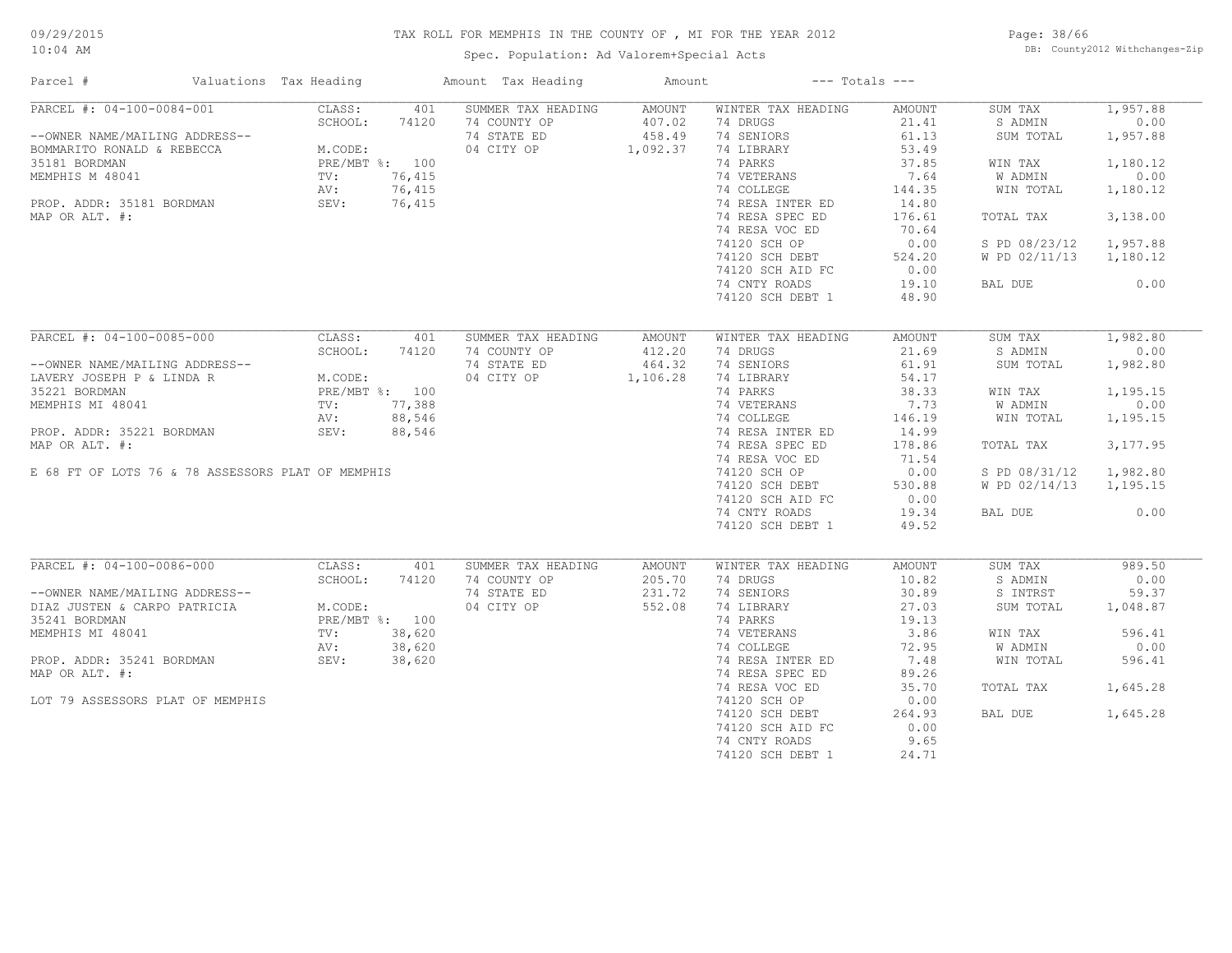Spec. Population: Ad Valorem+Special Acts

Page: 38/66 DB: County2012 Withchanges-Zip

| Parcel #                                          | Valuations Tax Heading | Amount Tax Heading        | Amount        |                    | $---$ Totals $---$ |               |          |
|---------------------------------------------------|------------------------|---------------------------|---------------|--------------------|--------------------|---------------|----------|
| PARCEL #: 04-100-0084-001                         | CLASS:                 | SUMMER TAX HEADING<br>401 | AMOUNT        | WINTER TAX HEADING | <b>AMOUNT</b>      | SUM TAX       | 1,957.88 |
|                                                   | SCHOOL:<br>74120       | 74 COUNTY OP              | 407.02        | 74 DRUGS           | 21.41              | S ADMIN       | 0.00     |
| --OWNER NAME/MAILING ADDRESS--                    |                        | 74 STATE ED               | 458.49        | 74 SENIORS         | 61.13              | SUM TOTAL     | 1,957.88 |
| BOMMARITO RONALD & REBECCA                        | M.CODE:                | 04 CITY OP                | 1,092.37      | 74 LIBRARY         | 53.49              |               |          |
| 35181 BORDMAN                                     | PRE/MBT %: 100         |                           |               | 74 PARKS           | 37.85              | WIN TAX       | 1,180.12 |
| MEMPHIS M 48041                                   | 76,415<br>TV:          |                           |               | 74 VETERANS        | 7.64               | W ADMIN       | 0.00     |
|                                                   | AV:<br>76,415          |                           |               | 74 COLLEGE         | 144.35             | WIN TOTAL     | 1,180.12 |
| PROP. ADDR: 35181 BORDMAN                         | 76,415<br>SEV:         |                           |               | 74 RESA INTER ED   | 14.80              |               |          |
| MAP OR ALT. #:                                    |                        |                           |               | 74 RESA SPEC ED    | 176.61             | TOTAL TAX     | 3,138.00 |
|                                                   |                        |                           |               | 74 RESA VOC ED     | 70.64              |               |          |
|                                                   |                        |                           |               | 74120 SCH OP       | 0.00               | S PD 08/23/12 | 1,957.88 |
|                                                   |                        |                           |               | 74120 SCH DEBT     | 524.20             | W PD 02/11/13 | 1,180.12 |
|                                                   |                        |                           |               | 74120 SCH AID FC   | 0.00               |               |          |
|                                                   |                        |                           |               | 74 CNTY ROADS      | 19.10              | BAL DUE       | 0.00     |
|                                                   |                        |                           |               | 74120 SCH DEBT 1   | 48.90              |               |          |
|                                                   |                        |                           |               |                    |                    |               |          |
| PARCEL #: 04-100-0085-000                         | CLASS:                 | SUMMER TAX HEADING<br>401 | <b>AMOUNT</b> | WINTER TAX HEADING | AMOUNT             | SUM TAX       | 1,982.80 |
|                                                   | SCHOOL:<br>74120       | 74 COUNTY OP              | 412.20        | 74 DRUGS           | 21.69              | S ADMIN       | 0.00     |
| --OWNER NAME/MAILING ADDRESS--                    |                        | 74 STATE ED               | 464.32        | 74 SENIORS         | 61.91              | SUM TOTAL     | 1,982.80 |
| LAVERY JOSEPH P & LINDA R                         | M.CODE:                | 04 CITY OP                | 1,106.28      | 74 LIBRARY         | 54.17              |               |          |
| 35221 BORDMAN                                     | PRE/MBT %: 100         |                           |               | 74 PARKS           | 38.33              | WIN TAX       | 1,195.15 |
| MEMPHIS MI 48041                                  | 77,388<br>TV:          |                           |               | 74 VETERANS        | 7.73               | W ADMIN       | 0.00     |
|                                                   | 88,546<br>AV:          |                           |               | 74 COLLEGE         | 146.19             | WIN TOTAL     | 1,195.15 |
| PROP. ADDR: 35221 BORDMAN                         | SEV:<br>88,546         |                           |               | 74 RESA INTER ED   | 14.99              |               |          |
| MAP OR ALT. #:                                    |                        |                           |               | 74 RESA SPEC ED    | 178.86             | TOTAL TAX     | 3,177.95 |
|                                                   |                        |                           |               | 74 RESA VOC ED     | 71.54              |               |          |
| E 68 FT OF LOTS 76 & 78 ASSESSORS PLAT OF MEMPHIS |                        |                           |               | 74120 SCH OP       | 0.00               | S PD 08/31/12 | 1,982.80 |
|                                                   |                        |                           |               | 74120 SCH DEBT     | 530.88             | W PD 02/14/13 | 1,195.15 |
|                                                   |                        |                           |               | 74120 SCH AID FC   | 0.00               |               |          |
|                                                   |                        |                           |               |                    |                    |               | 0.00     |
|                                                   |                        |                           |               | 74 CNTY ROADS      | 19.34              | BAL DUE       |          |
|                                                   |                        |                           |               | 74120 SCH DEBT 1   | 49.52              |               |          |
| PARCEL #: 04-100-0086-000                         | CLASS:                 | 401<br>SUMMER TAX HEADING | AMOUNT        | WINTER TAX HEADING | <b>AMOUNT</b>      | SUM TAX       | 989.50   |
|                                                   | SCHOOL:<br>74120       | 74 COUNTY OP              | 205.70        | 74 DRUGS           | 10.82              | S ADMIN       | 0.00     |
| --OWNER NAME/MAILING ADDRESS--                    |                        | 74 STATE ED               | 231.72        | 74 SENIORS         | 30.89              | S INTRST      | 59.37    |
| DIAZ JUSTEN & CARPO PATRICIA                      | M.CODE:                | 04 CITY OP                | 552.08        | 74 LIBRARY         | 27.03              | SUM TOTAL     | 1,048.87 |
| 35241 BORDMAN                                     | PRE/MBT %: 100         |                           |               | 74 PARKS           | 19.13              |               |          |
| MEMPHIS MI 48041                                  | TV:<br>38,620          |                           |               | 74 VETERANS        | 3.86               | WIN TAX       | 596.41   |
|                                                   | AV:<br>38,620          |                           |               | 74 COLLEGE         | 72.95              | W ADMIN       | 0.00     |
| PROP. ADDR: 35241 BORDMAN                         | 38,620<br>SEV:         |                           |               | 74 RESA INTER ED   | 7.48               | WIN TOTAL     | 596.41   |
|                                                   |                        |                           |               |                    |                    |               |          |
| MAP OR ALT. #:                                    |                        |                           |               | 74 RESA SPEC ED    | 89.26              |               |          |
|                                                   |                        |                           |               | 74 RESA VOC ED     | 35.70              | TOTAL TAX     | 1,645.28 |
| LOT 79 ASSESSORS PLAT OF MEMPHIS                  |                        |                           |               | 74120 SCH OP       | 0.00               |               |          |
|                                                   |                        |                           |               | 74120 SCH DEBT     | 264.93             | BAL DUE       | 1,645.28 |
|                                                   |                        |                           |               | 74120 SCH AID FC   | 0.00               |               |          |
|                                                   |                        |                           |               | 74 CNTY ROADS      | 9.65               |               |          |
|                                                   |                        |                           |               | 74120 SCH DEBT 1   | 24.71              |               |          |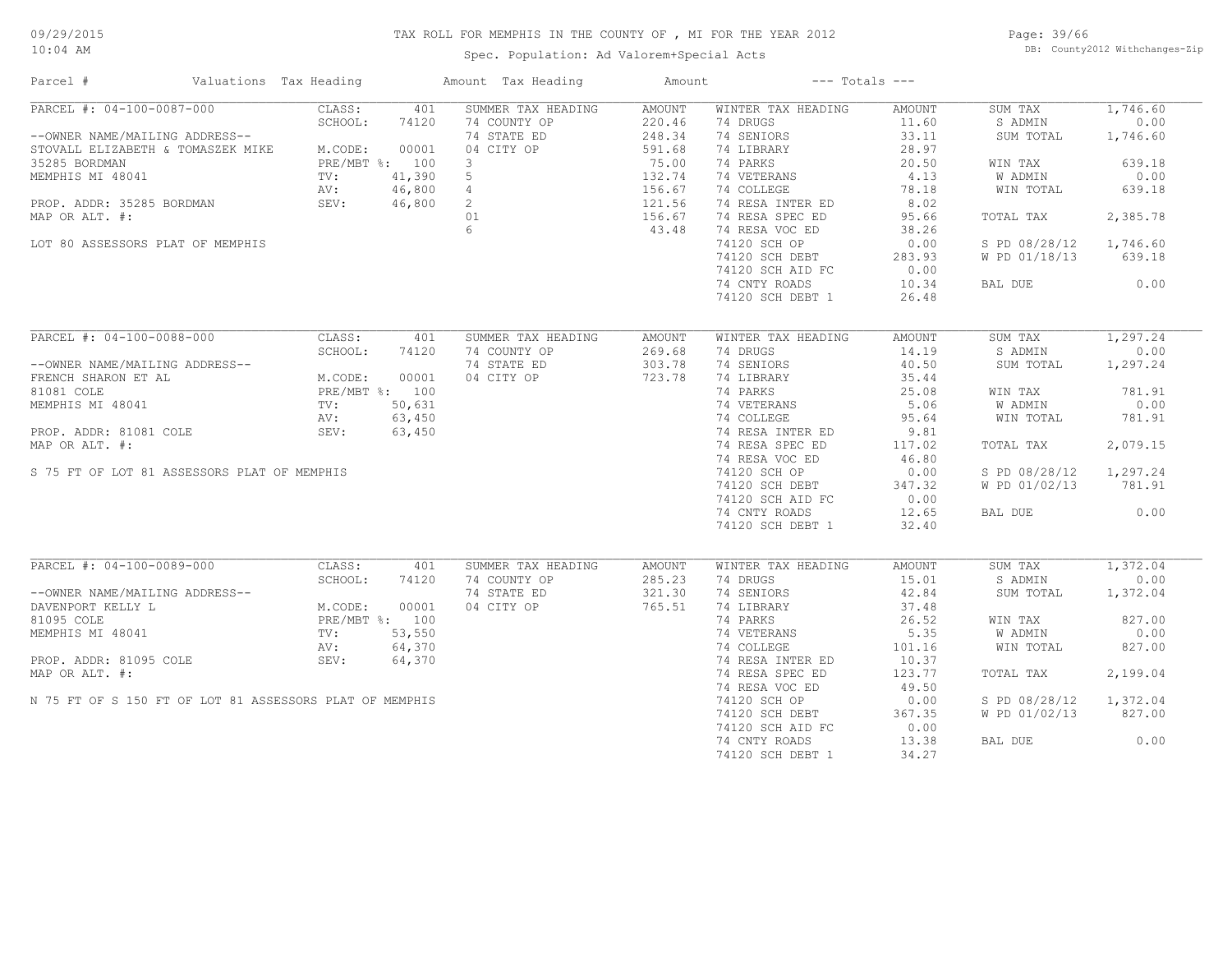Spec. Population: Ad Valorem+Special Acts

Page: 39/66 DB: County2012 Withchanges-Zip

| Parcel #                                                | Valuations Tax Heading |                   |              | Amount Tax Heading                     | Amount           |                                | $---$ Totals $---$     |                    |                  |
|---------------------------------------------------------|------------------------|-------------------|--------------|----------------------------------------|------------------|--------------------------------|------------------------|--------------------|------------------|
| PARCEL #: 04-100-0087-000                               |                        | CLASS:            | 401          | SUMMER TAX HEADING                     | AMOUNT           | WINTER TAX HEADING             | AMOUNT                 | SUM TAX            | 1,746.60         |
|                                                         |                        | SCHOOL:           | 74120        | 74 COUNTY OP                           | 220.46           | 74 DRUGS                       | 11.60                  | S ADMIN            | 0.00             |
| --OWNER NAME/MAILING ADDRESS--                          |                        |                   |              | 74 STATE ED                            | 248.34           | 74 SENIORS                     | 33.11                  | SUM TOTAL          | 1,746.60         |
| STOVALL ELIZABETH & TOMASZEK MIKE M.CODE:               |                        |                   | 00001        | 04 CITY OP                             | 591.68           | 74 LIBRARY                     | 28.97                  |                    |                  |
| 35285 BORDMAN                                           |                        | PRE/MBT %: 100    |              | $\mathbf{3}$                           | 75.00            | 74 PARKS                       | 20.50                  | WIN TAX            | 639.18           |
| MEMPHIS MI 48041                                        |                        | TV:               | 41,390       | 5                                      | 132.74           | 74 VETERANS                    | 4.13                   | W ADMIN            | 0.00             |
|                                                         |                        | AV:               | 46,800       | $4\degree$                             | 156.67           | 74 COLLEGE                     | 78.18                  | WIN TOTAL          | 639.18           |
| PROP. ADDR: 35285 BORDMAN                               |                        | SEV:              | 46,800       |                                        | 121.56           | 74 RESA INTER ED               | 8.02                   |                    |                  |
| MAP OR ALT. #:                                          |                        |                   |              | $\begin{array}{c} 2 \\ 01 \end{array}$ | 156.67           | 74 RESA SPEC ED                | 95.66                  | TOTAL TAX          | 2,385.78         |
|                                                         |                        |                   |              | 6                                      | 43.48            | 74 RESA VOC ED                 | 38.26                  |                    |                  |
| LOT 80 ASSESSORS PLAT OF MEMPHIS                        |                        |                   |              |                                        |                  | 74120 SCH OP                   | 0.00                   | S PD 08/28/12      | 1,746.60         |
|                                                         |                        |                   |              |                                        |                  | 74120 SCH DEBT                 | 283.93                 | W PD 01/18/13      | 639.18           |
|                                                         |                        |                   |              |                                        |                  | 74120 SCH AID FC               | 0.00                   |                    |                  |
|                                                         |                        |                   |              |                                        |                  | 74 CNTY ROADS                  | 10.34                  | BAL DUE            | 0.00             |
|                                                         |                        |                   |              |                                        |                  | 74120 SCH DEBT 1               | 26.48                  |                    |                  |
|                                                         |                        |                   |              |                                        |                  |                                |                        |                    |                  |
| PARCEL #: 04-100-0088-000                               |                        | CLASS:            | 401          | SUMMER TAX HEADING                     | <b>AMOUNT</b>    | WINTER TAX HEADING             | AMOUNT                 | SUM TAX            | 1,297.24         |
|                                                         |                        | SCHOOL:           | 74120        | 74 COUNTY OP                           | 269.68           | 74 DRUGS                       | 14.19                  | S ADMIN            | 0.00             |
| --OWNER NAME/MAILING ADDRESS--                          |                        |                   |              | 74 STATE ED                            | 303.78           | 74 SENIORS                     | 40.50                  | SUM TOTAL          | 1,297.24         |
| FRENCH SHARON ET AL                                     |                        | M.CODE:           | 00001        | 04 CITY OP                             | 723.78           | 74 LIBRARY                     | 35.44                  |                    |                  |
| 81081 COLE                                              |                        | PRE/MBT %: 100    |              |                                        |                  | 74 PARKS                       | 25.08                  | WIN TAX            | 781.91           |
| MEMPHIS MI 48041                                        |                        | TV:               | 50,631       |                                        |                  | 74 VETERANS                    | 5.06                   | W ADMIN            | 0.00             |
|                                                         |                        | AV:               | 63,450       |                                        |                  | 74 COLLEGE                     | 95.64                  | WIN TOTAL          | 781.91           |
| PROP. ADDR: 81081 COLE                                  |                        | SEV:              | 63,450       |                                        |                  | 74 RESA INTER ED               | 9.81                   |                    |                  |
| MAP OR ALT. #:                                          |                        |                   |              |                                        |                  | 74 RESA SPEC ED                | 117.02                 | TOTAL TAX          | 2,079.15         |
|                                                         |                        |                   |              |                                        |                  | 74 RESA VOC ED                 | 46.80                  |                    |                  |
| S 75 FT OF LOT 81 ASSESSORS PLAT OF MEMPHIS             |                        |                   |              |                                        |                  | 74120 SCH OP                   | 0.00                   | S PD 08/28/12      | 1,297.24         |
|                                                         |                        |                   |              |                                        |                  | 74120 SCH DEBT                 | 347.32                 | W PD 01/02/13      | 781.91           |
|                                                         |                        |                   |              |                                        |                  | 74120 SCH AID FC               | 0.00                   |                    |                  |
|                                                         |                        |                   |              |                                        |                  | 74 CNTY ROADS                  | 12.65                  | BAL DUE            | 0.00             |
|                                                         |                        |                   |              |                                        |                  | 74120 SCH DEBT 1               | 32.40                  |                    |                  |
|                                                         |                        |                   |              |                                        |                  |                                |                        |                    |                  |
| PARCEL #: 04-100-0089-000                               |                        | CLASS:<br>SCHOOL: | 401<br>74120 | SUMMER TAX HEADING<br>74 COUNTY OP     | AMOUNT<br>285.23 | WINTER TAX HEADING<br>74 DRUGS | <b>AMOUNT</b><br>15.01 | SUM TAX<br>S ADMIN | 1,372.04<br>0.00 |
|                                                         |                        |                   |              |                                        |                  |                                |                        |                    |                  |
| --OWNER NAME/MAILING ADDRESS--                          |                        |                   |              | 74 STATE ED                            | 321.30           | 74 SENIORS                     | 42.84                  | SUM TOTAL          | 1,372.04         |
| DAVENPORT KELLY L                                       |                        | M.CODE:           | 00001        | 04 CITY OP                             | 765.51           | 74 LIBRARY                     | 37.48                  |                    |                  |
| 81095 COLE                                              |                        | PRE/MBT %: 100    |              |                                        |                  | 74 PARKS                       | 26.52                  | WIN TAX            | 827.00           |
| MEMPHIS MI 48041                                        |                        | $\text{TV}$ :     | 53,550       |                                        |                  | 74 VETERANS                    | 5.35                   | W ADMIN            | 0.00             |
|                                                         |                        | AV:               | 64,370       |                                        |                  | 74 COLLEGE                     | 101.16                 | WIN TOTAL          | 827.00           |
| PROP. ADDR: 81095 COLE                                  |                        | SEV:              | 64,370       |                                        |                  | 74 RESA INTER ED               | 10.37                  |                    |                  |
| MAP OR ALT. #:                                          |                        |                   |              |                                        |                  | 74 RESA SPEC ED                | 123.77                 | TOTAL TAX          | 2,199.04         |
|                                                         |                        |                   |              |                                        |                  | 74 RESA VOC ED                 | 49.50                  |                    |                  |
| N 75 FT OF S 150 FT OF LOT 81 ASSESSORS PLAT OF MEMPHIS |                        |                   |              |                                        |                  | 74120 SCH OP                   | 0.00                   | S PD 08/28/12      | 1,372.04         |
|                                                         |                        |                   |              |                                        |                  | 74120 SCH DEBT                 | 367.35                 | W PD 01/02/13      | 827.00           |
|                                                         |                        |                   |              |                                        |                  | 74120 SCH AID FC               | 0.00                   |                    |                  |
|                                                         |                        |                   |              |                                        |                  | 74 CNTY ROADS                  | 13.38                  | BAL DUE            | 0.00             |
|                                                         |                        |                   |              |                                        |                  | 74120 SCH DEBT 1               | 34.27                  |                    |                  |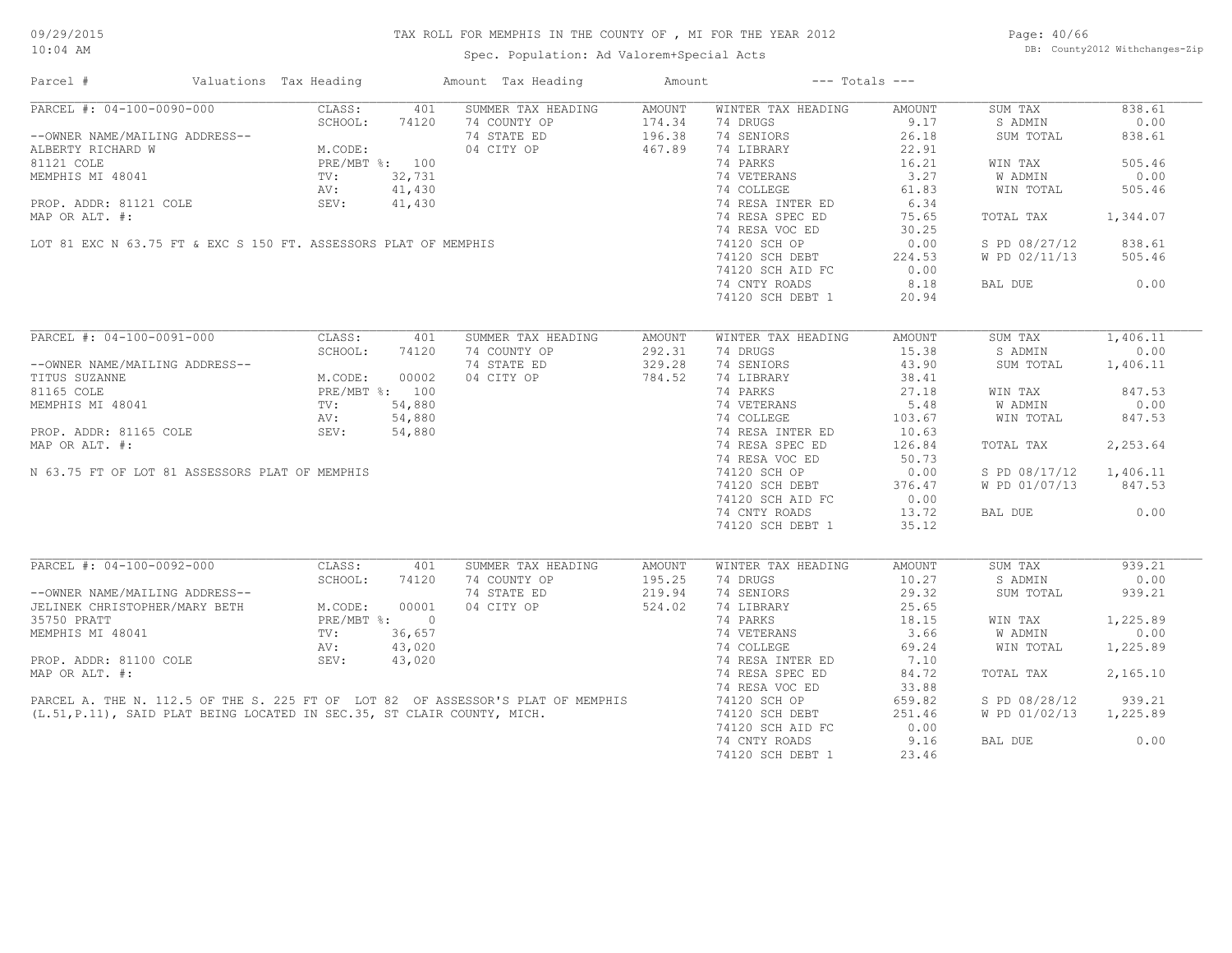Spec. Population: Ad Valorem+Special Acts

Page: 40/66 DB: County2012 Withchanges-Zip

| PARCEL #: 04-100-0090-000<br>CLASS:<br>401<br>SUMMER TAX HEADING<br>WINTER TAX HEADING<br>AMOUNT<br>AMOUNT<br>SUM TAX<br>SCHOOL:<br>74120<br>9.17<br>74 COUNTY OP<br>174.34<br>74 DRUGS<br>S ADMIN<br>174.34<br>196.38<br>--OWNER NAME/MAILING ADDRESS--<br>ALBERTY RICHARD W M.CODE:<br>81121 COLE PRE/MBT %: 100<br>MEMPHIS MI 48041 TV: 32,731<br>PROP. ADDR: 81121 COLE SEV: 41,430<br>PROP. ADDR: "121 COLE SEV: 41,430<br>74 STATE ED<br>74 SENIORS<br>26.18<br>838.61<br>SUM TOTAL<br>04 CITY OP<br>467.89<br>74 LIBRARY<br>22.91<br>74 PARKS<br>16.21<br>505.46<br>WIN TAX<br>3.27<br>0.00<br>74 VETERANS<br>W ADMIN<br>MEMPHIS MI 48041<br>TV: 32,731<br>AV: 41,430<br>AV: 41,430<br>MAP OR ALT. #:<br>LOT 81 EXC N 63.75 FT & EXC S 150 FT. ASSESSORS PLAT OF MEMPHIS<br>74 COLLEGE<br>61.83<br>WIN TOTAL<br>505.46<br>6.34<br>74 RESA INTER ED<br>74 RESA SPEC ED<br>75.65<br>TOTAL TAX<br>1,344.07<br>74 RESA VOC ED<br>30.25<br>74120 SCH OP<br>0.00<br>S PD 08/27/12<br>838.61<br>W PD 02/11/13 505.46<br>74120 SCH DEBT<br>224.53<br>74120 SCH AID FC<br>0.00<br>8.18<br>0.00<br>74 CNTY ROADS<br>BAL DUE<br>74120 SCH DEBT 1<br>20.94<br>PARCEL #: 04-100-0091-000<br>CLASS:<br>401<br>SUMMER TAX HEADING<br>AMOUNT<br>WINTER TAX HEADING<br>AMOUNT<br>SUM TAX<br>SCHOOL:<br>15.38<br>S ADMIN<br>74120<br>74 COUNTY OP<br>292.31<br>74 DRUGS<br>--OWNER NAME/MAILING ADDRESS--<br>74 STATE ED<br>329.28<br>74 SENIORS<br>43.90<br>SUM TOTAL<br>1,406.11<br>M.CODE: 00002<br>PRE/MBT %: 100<br>TV: 54,880<br>AV: 54,880<br>04 CITY OP<br>784.52<br>74 LIBRARY<br>38.41<br>TITUS SUZANNE<br>74 PARKS<br>27.18<br>81165 COLE<br>WIN TAX<br>847.53<br>$02$<br>$100$<br>$880$<br>$680$<br>$\downarrow$ , 880<br>5.48<br>0.00<br>MEMPHIS MI 48041<br>74 VETERANS<br>W ADMIN<br>WIN TOTAL<br>74 COLLEGE<br>103.67<br>847.53<br>74 RESA INTER ED<br>PROP. ADDR: 81165 COLE 54,880<br>10.63<br>2,253.64<br>74 RESA SPEC ED<br>126.84<br>TOTAL TAX<br>74 RESA VOC ED<br>50.73<br>N 63.75 FT OF LOT 81 ASSESSORS PLAT OF MEMPHIS<br>74120 SCH OP<br>0.00<br>S PD 08/17/12 1,406.11<br>74120 SCH DEBT<br>376.47<br>W PD 01/07/13 847.53<br>0.00<br>74120 SCH AID FC<br>13.72<br>0.00<br>74 CNTY ROADS<br>BAL DUE<br>74120 SCH DEBT 1<br>35.12<br>PARCEL #: 04-100-0092-000<br>939.21<br>CLASS:<br>401<br>SUMMER TAX HEADING<br>SUM TAX<br>AMOUNT<br>WINTER TAX HEADING<br>AMOUNT<br>74 COUNTY OP<br>74 DRUGS<br>10.27<br>S ADMIN<br>195.25<br>--OWNER NAME/MAILING ADDRESS--<br>JELINEK CHRISTOPHER/MARY BETH M.CODE: 00001<br>35750 PRATT PRE/MBT *: 0<br>MEMPHIS MI 48041 TV: 36,657<br>PROP. IDC.<br>29.32<br>939.21<br>74 STATE ED<br>219.94<br>74 SENIORS<br>SUM TOTAL<br>04 CITY OP<br>524.02<br>74 LIBRARY<br>25.65<br>74 PARKS<br>18.15<br>1,225.89<br>WIN TAX<br>74 VETERANS<br>74 COLLEGE<br>3.66<br>W ADMIN<br>0.00<br>69.24<br>WIN TOTAL<br>1,225.89<br>PROP. ADDR: 81100 COLE SEV:<br>43,020<br>74 RESA INTER ED<br>7.10<br>2,165.10<br>MAP OR ALT. #:<br>74 RESA SPEC ED<br>84.72<br>TOTAL TAX<br>74 RESA VOC ED<br>33.88<br>PARCEL A. THE N. 112.5 OF THE S. 225 FT OF LOT 82 OF ASSESSOR'S PLAT OF MEMPHIS<br>(L.51,P.11), SAID PLAT BEING LOCATED IN SEC.35, ST CLAIR COUNTY, MICH.<br>659.82<br>939.21<br>74120 SCH OP<br>74120 sch debt<br>S PD 08/28/12<br>74120 SCH DEBT<br>251.46<br>W PD 01/02/13 1,225.89<br>74120 SCH AID FC<br>0.00<br>74 CNTY ROADS<br>9.16<br>0.00<br>BAL DUE<br>74120 SCH DEBT 1<br>23.46 | Parcel #       | Valuations Tax Heading |  | Amount Tax Heading | Amount | $---$ Totals $---$ |        |
|--------------------------------------------------------------------------------------------------------------------------------------------------------------------------------------------------------------------------------------------------------------------------------------------------------------------------------------------------------------------------------------------------------------------------------------------------------------------------------------------------------------------------------------------------------------------------------------------------------------------------------------------------------------------------------------------------------------------------------------------------------------------------------------------------------------------------------------------------------------------------------------------------------------------------------------------------------------------------------------------------------------------------------------------------------------------------------------------------------------------------------------------------------------------------------------------------------------------------------------------------------------------------------------------------------------------------------------------------------------------------------------------------------------------------------------------------------------------------------------------------------------------------------------------------------------------------------------------------------------------------------------------------------------------------------------------------------------------------------------------------------------------------------------------------------------------------------------------------------------------------------------------------------------------------------------------------------------------------------------------------------------------------------------------------------------------------------------------------------------------------------------------------------------------------------------------------------------------------------------------------------------------------------------------------------------------------------------------------------------------------------------------------------------------------------------------------------------------------------------------------------------------------------------------------------------------------------------------------------------------------------------------------------------------------------------------------------------------------------------------------------------------------------------------------------------------------------------------------------------------------------------------------------------------------------------------------------------------------------------------------------------------------------------------------------------------------------------------------------------------------------------------------------------------------------------------------------------------------------------------------------------------------------------------------------------------------------------------------------------------------------------------------------------------------------------------|----------------|------------------------|--|--------------------|--------|--------------------|--------|
| 0.00<br>1,406.11<br>0.00<br>0.00                                                                                                                                                                                                                                                                                                                                                                                                                                                                                                                                                                                                                                                                                                                                                                                                                                                                                                                                                                                                                                                                                                                                                                                                                                                                                                                                                                                                                                                                                                                                                                                                                                                                                                                                                                                                                                                                                                                                                                                                                                                                                                                                                                                                                                                                                                                                                                                                                                                                                                                                                                                                                                                                                                                                                                                                                                                                                                                                                                                                                                                                                                                                                                                                                                                                                                                                                                                                           |                |                        |  |                    |        |                    | 838.61 |
|                                                                                                                                                                                                                                                                                                                                                                                                                                                                                                                                                                                                                                                                                                                                                                                                                                                                                                                                                                                                                                                                                                                                                                                                                                                                                                                                                                                                                                                                                                                                                                                                                                                                                                                                                                                                                                                                                                                                                                                                                                                                                                                                                                                                                                                                                                                                                                                                                                                                                                                                                                                                                                                                                                                                                                                                                                                                                                                                                                                                                                                                                                                                                                                                                                                                                                                                                                                                                                            |                |                        |  |                    |        |                    |        |
|                                                                                                                                                                                                                                                                                                                                                                                                                                                                                                                                                                                                                                                                                                                                                                                                                                                                                                                                                                                                                                                                                                                                                                                                                                                                                                                                                                                                                                                                                                                                                                                                                                                                                                                                                                                                                                                                                                                                                                                                                                                                                                                                                                                                                                                                                                                                                                                                                                                                                                                                                                                                                                                                                                                                                                                                                                                                                                                                                                                                                                                                                                                                                                                                                                                                                                                                                                                                                                            |                |                        |  |                    |        |                    |        |
|                                                                                                                                                                                                                                                                                                                                                                                                                                                                                                                                                                                                                                                                                                                                                                                                                                                                                                                                                                                                                                                                                                                                                                                                                                                                                                                                                                                                                                                                                                                                                                                                                                                                                                                                                                                                                                                                                                                                                                                                                                                                                                                                                                                                                                                                                                                                                                                                                                                                                                                                                                                                                                                                                                                                                                                                                                                                                                                                                                                                                                                                                                                                                                                                                                                                                                                                                                                                                                            |                |                        |  |                    |        |                    |        |
|                                                                                                                                                                                                                                                                                                                                                                                                                                                                                                                                                                                                                                                                                                                                                                                                                                                                                                                                                                                                                                                                                                                                                                                                                                                                                                                                                                                                                                                                                                                                                                                                                                                                                                                                                                                                                                                                                                                                                                                                                                                                                                                                                                                                                                                                                                                                                                                                                                                                                                                                                                                                                                                                                                                                                                                                                                                                                                                                                                                                                                                                                                                                                                                                                                                                                                                                                                                                                                            |                |                        |  |                    |        |                    |        |
|                                                                                                                                                                                                                                                                                                                                                                                                                                                                                                                                                                                                                                                                                                                                                                                                                                                                                                                                                                                                                                                                                                                                                                                                                                                                                                                                                                                                                                                                                                                                                                                                                                                                                                                                                                                                                                                                                                                                                                                                                                                                                                                                                                                                                                                                                                                                                                                                                                                                                                                                                                                                                                                                                                                                                                                                                                                                                                                                                                                                                                                                                                                                                                                                                                                                                                                                                                                                                                            |                |                        |  |                    |        |                    |        |
|                                                                                                                                                                                                                                                                                                                                                                                                                                                                                                                                                                                                                                                                                                                                                                                                                                                                                                                                                                                                                                                                                                                                                                                                                                                                                                                                                                                                                                                                                                                                                                                                                                                                                                                                                                                                                                                                                                                                                                                                                                                                                                                                                                                                                                                                                                                                                                                                                                                                                                                                                                                                                                                                                                                                                                                                                                                                                                                                                                                                                                                                                                                                                                                                                                                                                                                                                                                                                                            |                |                        |  |                    |        |                    |        |
|                                                                                                                                                                                                                                                                                                                                                                                                                                                                                                                                                                                                                                                                                                                                                                                                                                                                                                                                                                                                                                                                                                                                                                                                                                                                                                                                                                                                                                                                                                                                                                                                                                                                                                                                                                                                                                                                                                                                                                                                                                                                                                                                                                                                                                                                                                                                                                                                                                                                                                                                                                                                                                                                                                                                                                                                                                                                                                                                                                                                                                                                                                                                                                                                                                                                                                                                                                                                                                            |                |                        |  |                    |        |                    |        |
|                                                                                                                                                                                                                                                                                                                                                                                                                                                                                                                                                                                                                                                                                                                                                                                                                                                                                                                                                                                                                                                                                                                                                                                                                                                                                                                                                                                                                                                                                                                                                                                                                                                                                                                                                                                                                                                                                                                                                                                                                                                                                                                                                                                                                                                                                                                                                                                                                                                                                                                                                                                                                                                                                                                                                                                                                                                                                                                                                                                                                                                                                                                                                                                                                                                                                                                                                                                                                                            |                |                        |  |                    |        |                    |        |
|                                                                                                                                                                                                                                                                                                                                                                                                                                                                                                                                                                                                                                                                                                                                                                                                                                                                                                                                                                                                                                                                                                                                                                                                                                                                                                                                                                                                                                                                                                                                                                                                                                                                                                                                                                                                                                                                                                                                                                                                                                                                                                                                                                                                                                                                                                                                                                                                                                                                                                                                                                                                                                                                                                                                                                                                                                                                                                                                                                                                                                                                                                                                                                                                                                                                                                                                                                                                                                            |                |                        |  |                    |        |                    |        |
|                                                                                                                                                                                                                                                                                                                                                                                                                                                                                                                                                                                                                                                                                                                                                                                                                                                                                                                                                                                                                                                                                                                                                                                                                                                                                                                                                                                                                                                                                                                                                                                                                                                                                                                                                                                                                                                                                                                                                                                                                                                                                                                                                                                                                                                                                                                                                                                                                                                                                                                                                                                                                                                                                                                                                                                                                                                                                                                                                                                                                                                                                                                                                                                                                                                                                                                                                                                                                                            |                |                        |  |                    |        |                    |        |
|                                                                                                                                                                                                                                                                                                                                                                                                                                                                                                                                                                                                                                                                                                                                                                                                                                                                                                                                                                                                                                                                                                                                                                                                                                                                                                                                                                                                                                                                                                                                                                                                                                                                                                                                                                                                                                                                                                                                                                                                                                                                                                                                                                                                                                                                                                                                                                                                                                                                                                                                                                                                                                                                                                                                                                                                                                                                                                                                                                                                                                                                                                                                                                                                                                                                                                                                                                                                                                            |                |                        |  |                    |        |                    |        |
|                                                                                                                                                                                                                                                                                                                                                                                                                                                                                                                                                                                                                                                                                                                                                                                                                                                                                                                                                                                                                                                                                                                                                                                                                                                                                                                                                                                                                                                                                                                                                                                                                                                                                                                                                                                                                                                                                                                                                                                                                                                                                                                                                                                                                                                                                                                                                                                                                                                                                                                                                                                                                                                                                                                                                                                                                                                                                                                                                                                                                                                                                                                                                                                                                                                                                                                                                                                                                                            |                |                        |  |                    |        |                    |        |
|                                                                                                                                                                                                                                                                                                                                                                                                                                                                                                                                                                                                                                                                                                                                                                                                                                                                                                                                                                                                                                                                                                                                                                                                                                                                                                                                                                                                                                                                                                                                                                                                                                                                                                                                                                                                                                                                                                                                                                                                                                                                                                                                                                                                                                                                                                                                                                                                                                                                                                                                                                                                                                                                                                                                                                                                                                                                                                                                                                                                                                                                                                                                                                                                                                                                                                                                                                                                                                            |                |                        |  |                    |        |                    |        |
|                                                                                                                                                                                                                                                                                                                                                                                                                                                                                                                                                                                                                                                                                                                                                                                                                                                                                                                                                                                                                                                                                                                                                                                                                                                                                                                                                                                                                                                                                                                                                                                                                                                                                                                                                                                                                                                                                                                                                                                                                                                                                                                                                                                                                                                                                                                                                                                                                                                                                                                                                                                                                                                                                                                                                                                                                                                                                                                                                                                                                                                                                                                                                                                                                                                                                                                                                                                                                                            |                |                        |  |                    |        |                    |        |
|                                                                                                                                                                                                                                                                                                                                                                                                                                                                                                                                                                                                                                                                                                                                                                                                                                                                                                                                                                                                                                                                                                                                                                                                                                                                                                                                                                                                                                                                                                                                                                                                                                                                                                                                                                                                                                                                                                                                                                                                                                                                                                                                                                                                                                                                                                                                                                                                                                                                                                                                                                                                                                                                                                                                                                                                                                                                                                                                                                                                                                                                                                                                                                                                                                                                                                                                                                                                                                            |                |                        |  |                    |        |                    |        |
|                                                                                                                                                                                                                                                                                                                                                                                                                                                                                                                                                                                                                                                                                                                                                                                                                                                                                                                                                                                                                                                                                                                                                                                                                                                                                                                                                                                                                                                                                                                                                                                                                                                                                                                                                                                                                                                                                                                                                                                                                                                                                                                                                                                                                                                                                                                                                                                                                                                                                                                                                                                                                                                                                                                                                                                                                                                                                                                                                                                                                                                                                                                                                                                                                                                                                                                                                                                                                                            |                |                        |  |                    |        |                    |        |
|                                                                                                                                                                                                                                                                                                                                                                                                                                                                                                                                                                                                                                                                                                                                                                                                                                                                                                                                                                                                                                                                                                                                                                                                                                                                                                                                                                                                                                                                                                                                                                                                                                                                                                                                                                                                                                                                                                                                                                                                                                                                                                                                                                                                                                                                                                                                                                                                                                                                                                                                                                                                                                                                                                                                                                                                                                                                                                                                                                                                                                                                                                                                                                                                                                                                                                                                                                                                                                            |                |                        |  |                    |        |                    |        |
|                                                                                                                                                                                                                                                                                                                                                                                                                                                                                                                                                                                                                                                                                                                                                                                                                                                                                                                                                                                                                                                                                                                                                                                                                                                                                                                                                                                                                                                                                                                                                                                                                                                                                                                                                                                                                                                                                                                                                                                                                                                                                                                                                                                                                                                                                                                                                                                                                                                                                                                                                                                                                                                                                                                                                                                                                                                                                                                                                                                                                                                                                                                                                                                                                                                                                                                                                                                                                                            |                |                        |  |                    |        |                    |        |
|                                                                                                                                                                                                                                                                                                                                                                                                                                                                                                                                                                                                                                                                                                                                                                                                                                                                                                                                                                                                                                                                                                                                                                                                                                                                                                                                                                                                                                                                                                                                                                                                                                                                                                                                                                                                                                                                                                                                                                                                                                                                                                                                                                                                                                                                                                                                                                                                                                                                                                                                                                                                                                                                                                                                                                                                                                                                                                                                                                                                                                                                                                                                                                                                                                                                                                                                                                                                                                            |                |                        |  |                    |        |                    |        |
|                                                                                                                                                                                                                                                                                                                                                                                                                                                                                                                                                                                                                                                                                                                                                                                                                                                                                                                                                                                                                                                                                                                                                                                                                                                                                                                                                                                                                                                                                                                                                                                                                                                                                                                                                                                                                                                                                                                                                                                                                                                                                                                                                                                                                                                                                                                                                                                                                                                                                                                                                                                                                                                                                                                                                                                                                                                                                                                                                                                                                                                                                                                                                                                                                                                                                                                                                                                                                                            |                |                        |  |                    |        |                    |        |
|                                                                                                                                                                                                                                                                                                                                                                                                                                                                                                                                                                                                                                                                                                                                                                                                                                                                                                                                                                                                                                                                                                                                                                                                                                                                                                                                                                                                                                                                                                                                                                                                                                                                                                                                                                                                                                                                                                                                                                                                                                                                                                                                                                                                                                                                                                                                                                                                                                                                                                                                                                                                                                                                                                                                                                                                                                                                                                                                                                                                                                                                                                                                                                                                                                                                                                                                                                                                                                            |                |                        |  |                    |        |                    |        |
|                                                                                                                                                                                                                                                                                                                                                                                                                                                                                                                                                                                                                                                                                                                                                                                                                                                                                                                                                                                                                                                                                                                                                                                                                                                                                                                                                                                                                                                                                                                                                                                                                                                                                                                                                                                                                                                                                                                                                                                                                                                                                                                                                                                                                                                                                                                                                                                                                                                                                                                                                                                                                                                                                                                                                                                                                                                                                                                                                                                                                                                                                                                                                                                                                                                                                                                                                                                                                                            |                |                        |  |                    |        |                    |        |
|                                                                                                                                                                                                                                                                                                                                                                                                                                                                                                                                                                                                                                                                                                                                                                                                                                                                                                                                                                                                                                                                                                                                                                                                                                                                                                                                                                                                                                                                                                                                                                                                                                                                                                                                                                                                                                                                                                                                                                                                                                                                                                                                                                                                                                                                                                                                                                                                                                                                                                                                                                                                                                                                                                                                                                                                                                                                                                                                                                                                                                                                                                                                                                                                                                                                                                                                                                                                                                            |                |                        |  |                    |        |                    |        |
|                                                                                                                                                                                                                                                                                                                                                                                                                                                                                                                                                                                                                                                                                                                                                                                                                                                                                                                                                                                                                                                                                                                                                                                                                                                                                                                                                                                                                                                                                                                                                                                                                                                                                                                                                                                                                                                                                                                                                                                                                                                                                                                                                                                                                                                                                                                                                                                                                                                                                                                                                                                                                                                                                                                                                                                                                                                                                                                                                                                                                                                                                                                                                                                                                                                                                                                                                                                                                                            |                |                        |  |                    |        |                    |        |
|                                                                                                                                                                                                                                                                                                                                                                                                                                                                                                                                                                                                                                                                                                                                                                                                                                                                                                                                                                                                                                                                                                                                                                                                                                                                                                                                                                                                                                                                                                                                                                                                                                                                                                                                                                                                                                                                                                                                                                                                                                                                                                                                                                                                                                                                                                                                                                                                                                                                                                                                                                                                                                                                                                                                                                                                                                                                                                                                                                                                                                                                                                                                                                                                                                                                                                                                                                                                                                            |                |                        |  |                    |        |                    |        |
|                                                                                                                                                                                                                                                                                                                                                                                                                                                                                                                                                                                                                                                                                                                                                                                                                                                                                                                                                                                                                                                                                                                                                                                                                                                                                                                                                                                                                                                                                                                                                                                                                                                                                                                                                                                                                                                                                                                                                                                                                                                                                                                                                                                                                                                                                                                                                                                                                                                                                                                                                                                                                                                                                                                                                                                                                                                                                                                                                                                                                                                                                                                                                                                                                                                                                                                                                                                                                                            | MAP OR ALT. #: |                        |  |                    |        |                    |        |
|                                                                                                                                                                                                                                                                                                                                                                                                                                                                                                                                                                                                                                                                                                                                                                                                                                                                                                                                                                                                                                                                                                                                                                                                                                                                                                                                                                                                                                                                                                                                                                                                                                                                                                                                                                                                                                                                                                                                                                                                                                                                                                                                                                                                                                                                                                                                                                                                                                                                                                                                                                                                                                                                                                                                                                                                                                                                                                                                                                                                                                                                                                                                                                                                                                                                                                                                                                                                                                            |                |                        |  |                    |        |                    |        |
|                                                                                                                                                                                                                                                                                                                                                                                                                                                                                                                                                                                                                                                                                                                                                                                                                                                                                                                                                                                                                                                                                                                                                                                                                                                                                                                                                                                                                                                                                                                                                                                                                                                                                                                                                                                                                                                                                                                                                                                                                                                                                                                                                                                                                                                                                                                                                                                                                                                                                                                                                                                                                                                                                                                                                                                                                                                                                                                                                                                                                                                                                                                                                                                                                                                                                                                                                                                                                                            |                |                        |  |                    |        |                    |        |
|                                                                                                                                                                                                                                                                                                                                                                                                                                                                                                                                                                                                                                                                                                                                                                                                                                                                                                                                                                                                                                                                                                                                                                                                                                                                                                                                                                                                                                                                                                                                                                                                                                                                                                                                                                                                                                                                                                                                                                                                                                                                                                                                                                                                                                                                                                                                                                                                                                                                                                                                                                                                                                                                                                                                                                                                                                                                                                                                                                                                                                                                                                                                                                                                                                                                                                                                                                                                                                            |                |                        |  |                    |        |                    |        |
|                                                                                                                                                                                                                                                                                                                                                                                                                                                                                                                                                                                                                                                                                                                                                                                                                                                                                                                                                                                                                                                                                                                                                                                                                                                                                                                                                                                                                                                                                                                                                                                                                                                                                                                                                                                                                                                                                                                                                                                                                                                                                                                                                                                                                                                                                                                                                                                                                                                                                                                                                                                                                                                                                                                                                                                                                                                                                                                                                                                                                                                                                                                                                                                                                                                                                                                                                                                                                                            |                |                        |  |                    |        |                    |        |
|                                                                                                                                                                                                                                                                                                                                                                                                                                                                                                                                                                                                                                                                                                                                                                                                                                                                                                                                                                                                                                                                                                                                                                                                                                                                                                                                                                                                                                                                                                                                                                                                                                                                                                                                                                                                                                                                                                                                                                                                                                                                                                                                                                                                                                                                                                                                                                                                                                                                                                                                                                                                                                                                                                                                                                                                                                                                                                                                                                                                                                                                                                                                                                                                                                                                                                                                                                                                                                            |                |                        |  |                    |        |                    |        |
|                                                                                                                                                                                                                                                                                                                                                                                                                                                                                                                                                                                                                                                                                                                                                                                                                                                                                                                                                                                                                                                                                                                                                                                                                                                                                                                                                                                                                                                                                                                                                                                                                                                                                                                                                                                                                                                                                                                                                                                                                                                                                                                                                                                                                                                                                                                                                                                                                                                                                                                                                                                                                                                                                                                                                                                                                                                                                                                                                                                                                                                                                                                                                                                                                                                                                                                                                                                                                                            |                |                        |  |                    |        |                    |        |
|                                                                                                                                                                                                                                                                                                                                                                                                                                                                                                                                                                                                                                                                                                                                                                                                                                                                                                                                                                                                                                                                                                                                                                                                                                                                                                                                                                                                                                                                                                                                                                                                                                                                                                                                                                                                                                                                                                                                                                                                                                                                                                                                                                                                                                                                                                                                                                                                                                                                                                                                                                                                                                                                                                                                                                                                                                                                                                                                                                                                                                                                                                                                                                                                                                                                                                                                                                                                                                            |                |                        |  |                    |        |                    |        |
|                                                                                                                                                                                                                                                                                                                                                                                                                                                                                                                                                                                                                                                                                                                                                                                                                                                                                                                                                                                                                                                                                                                                                                                                                                                                                                                                                                                                                                                                                                                                                                                                                                                                                                                                                                                                                                                                                                                                                                                                                                                                                                                                                                                                                                                                                                                                                                                                                                                                                                                                                                                                                                                                                                                                                                                                                                                                                                                                                                                                                                                                                                                                                                                                                                                                                                                                                                                                                                            |                |                        |  |                    |        |                    |        |
|                                                                                                                                                                                                                                                                                                                                                                                                                                                                                                                                                                                                                                                                                                                                                                                                                                                                                                                                                                                                                                                                                                                                                                                                                                                                                                                                                                                                                                                                                                                                                                                                                                                                                                                                                                                                                                                                                                                                                                                                                                                                                                                                                                                                                                                                                                                                                                                                                                                                                                                                                                                                                                                                                                                                                                                                                                                                                                                                                                                                                                                                                                                                                                                                                                                                                                                                                                                                                                            |                |                        |  |                    |        |                    |        |
|                                                                                                                                                                                                                                                                                                                                                                                                                                                                                                                                                                                                                                                                                                                                                                                                                                                                                                                                                                                                                                                                                                                                                                                                                                                                                                                                                                                                                                                                                                                                                                                                                                                                                                                                                                                                                                                                                                                                                                                                                                                                                                                                                                                                                                                                                                                                                                                                                                                                                                                                                                                                                                                                                                                                                                                                                                                                                                                                                                                                                                                                                                                                                                                                                                                                                                                                                                                                                                            |                |                        |  |                    |        |                    |        |
|                                                                                                                                                                                                                                                                                                                                                                                                                                                                                                                                                                                                                                                                                                                                                                                                                                                                                                                                                                                                                                                                                                                                                                                                                                                                                                                                                                                                                                                                                                                                                                                                                                                                                                                                                                                                                                                                                                                                                                                                                                                                                                                                                                                                                                                                                                                                                                                                                                                                                                                                                                                                                                                                                                                                                                                                                                                                                                                                                                                                                                                                                                                                                                                                                                                                                                                                                                                                                                            |                |                        |  |                    |        |                    |        |
|                                                                                                                                                                                                                                                                                                                                                                                                                                                                                                                                                                                                                                                                                                                                                                                                                                                                                                                                                                                                                                                                                                                                                                                                                                                                                                                                                                                                                                                                                                                                                                                                                                                                                                                                                                                                                                                                                                                                                                                                                                                                                                                                                                                                                                                                                                                                                                                                                                                                                                                                                                                                                                                                                                                                                                                                                                                                                                                                                                                                                                                                                                                                                                                                                                                                                                                                                                                                                                            |                |                        |  |                    |        |                    |        |
|                                                                                                                                                                                                                                                                                                                                                                                                                                                                                                                                                                                                                                                                                                                                                                                                                                                                                                                                                                                                                                                                                                                                                                                                                                                                                                                                                                                                                                                                                                                                                                                                                                                                                                                                                                                                                                                                                                                                                                                                                                                                                                                                                                                                                                                                                                                                                                                                                                                                                                                                                                                                                                                                                                                                                                                                                                                                                                                                                                                                                                                                                                                                                                                                                                                                                                                                                                                                                                            |                |                        |  |                    |        |                    |        |
|                                                                                                                                                                                                                                                                                                                                                                                                                                                                                                                                                                                                                                                                                                                                                                                                                                                                                                                                                                                                                                                                                                                                                                                                                                                                                                                                                                                                                                                                                                                                                                                                                                                                                                                                                                                                                                                                                                                                                                                                                                                                                                                                                                                                                                                                                                                                                                                                                                                                                                                                                                                                                                                                                                                                                                                                                                                                                                                                                                                                                                                                                                                                                                                                                                                                                                                                                                                                                                            |                |                        |  |                    |        |                    |        |
|                                                                                                                                                                                                                                                                                                                                                                                                                                                                                                                                                                                                                                                                                                                                                                                                                                                                                                                                                                                                                                                                                                                                                                                                                                                                                                                                                                                                                                                                                                                                                                                                                                                                                                                                                                                                                                                                                                                                                                                                                                                                                                                                                                                                                                                                                                                                                                                                                                                                                                                                                                                                                                                                                                                                                                                                                                                                                                                                                                                                                                                                                                                                                                                                                                                                                                                                                                                                                                            |                |                        |  |                    |        |                    |        |
|                                                                                                                                                                                                                                                                                                                                                                                                                                                                                                                                                                                                                                                                                                                                                                                                                                                                                                                                                                                                                                                                                                                                                                                                                                                                                                                                                                                                                                                                                                                                                                                                                                                                                                                                                                                                                                                                                                                                                                                                                                                                                                                                                                                                                                                                                                                                                                                                                                                                                                                                                                                                                                                                                                                                                                                                                                                                                                                                                                                                                                                                                                                                                                                                                                                                                                                                                                                                                                            |                |                        |  |                    |        |                    |        |
|                                                                                                                                                                                                                                                                                                                                                                                                                                                                                                                                                                                                                                                                                                                                                                                                                                                                                                                                                                                                                                                                                                                                                                                                                                                                                                                                                                                                                                                                                                                                                                                                                                                                                                                                                                                                                                                                                                                                                                                                                                                                                                                                                                                                                                                                                                                                                                                                                                                                                                                                                                                                                                                                                                                                                                                                                                                                                                                                                                                                                                                                                                                                                                                                                                                                                                                                                                                                                                            |                |                        |  |                    |        |                    |        |
|                                                                                                                                                                                                                                                                                                                                                                                                                                                                                                                                                                                                                                                                                                                                                                                                                                                                                                                                                                                                                                                                                                                                                                                                                                                                                                                                                                                                                                                                                                                                                                                                                                                                                                                                                                                                                                                                                                                                                                                                                                                                                                                                                                                                                                                                                                                                                                                                                                                                                                                                                                                                                                                                                                                                                                                                                                                                                                                                                                                                                                                                                                                                                                                                                                                                                                                                                                                                                                            |                |                        |  |                    |        |                    |        |
|                                                                                                                                                                                                                                                                                                                                                                                                                                                                                                                                                                                                                                                                                                                                                                                                                                                                                                                                                                                                                                                                                                                                                                                                                                                                                                                                                                                                                                                                                                                                                                                                                                                                                                                                                                                                                                                                                                                                                                                                                                                                                                                                                                                                                                                                                                                                                                                                                                                                                                                                                                                                                                                                                                                                                                                                                                                                                                                                                                                                                                                                                                                                                                                                                                                                                                                                                                                                                                            |                |                        |  |                    |        |                    |        |
|                                                                                                                                                                                                                                                                                                                                                                                                                                                                                                                                                                                                                                                                                                                                                                                                                                                                                                                                                                                                                                                                                                                                                                                                                                                                                                                                                                                                                                                                                                                                                                                                                                                                                                                                                                                                                                                                                                                                                                                                                                                                                                                                                                                                                                                                                                                                                                                                                                                                                                                                                                                                                                                                                                                                                                                                                                                                                                                                                                                                                                                                                                                                                                                                                                                                                                                                                                                                                                            |                |                        |  |                    |        |                    |        |
|                                                                                                                                                                                                                                                                                                                                                                                                                                                                                                                                                                                                                                                                                                                                                                                                                                                                                                                                                                                                                                                                                                                                                                                                                                                                                                                                                                                                                                                                                                                                                                                                                                                                                                                                                                                                                                                                                                                                                                                                                                                                                                                                                                                                                                                                                                                                                                                                                                                                                                                                                                                                                                                                                                                                                                                                                                                                                                                                                                                                                                                                                                                                                                                                                                                                                                                                                                                                                                            |                |                        |  |                    |        |                    |        |
|                                                                                                                                                                                                                                                                                                                                                                                                                                                                                                                                                                                                                                                                                                                                                                                                                                                                                                                                                                                                                                                                                                                                                                                                                                                                                                                                                                                                                                                                                                                                                                                                                                                                                                                                                                                                                                                                                                                                                                                                                                                                                                                                                                                                                                                                                                                                                                                                                                                                                                                                                                                                                                                                                                                                                                                                                                                                                                                                                                                                                                                                                                                                                                                                                                                                                                                                                                                                                                            |                |                        |  |                    |        |                    |        |
|                                                                                                                                                                                                                                                                                                                                                                                                                                                                                                                                                                                                                                                                                                                                                                                                                                                                                                                                                                                                                                                                                                                                                                                                                                                                                                                                                                                                                                                                                                                                                                                                                                                                                                                                                                                                                                                                                                                                                                                                                                                                                                                                                                                                                                                                                                                                                                                                                                                                                                                                                                                                                                                                                                                                                                                                                                                                                                                                                                                                                                                                                                                                                                                                                                                                                                                                                                                                                                            |                |                        |  |                    |        |                    |        |
|                                                                                                                                                                                                                                                                                                                                                                                                                                                                                                                                                                                                                                                                                                                                                                                                                                                                                                                                                                                                                                                                                                                                                                                                                                                                                                                                                                                                                                                                                                                                                                                                                                                                                                                                                                                                                                                                                                                                                                                                                                                                                                                                                                                                                                                                                                                                                                                                                                                                                                                                                                                                                                                                                                                                                                                                                                                                                                                                                                                                                                                                                                                                                                                                                                                                                                                                                                                                                                            |                |                        |  |                    |        |                    |        |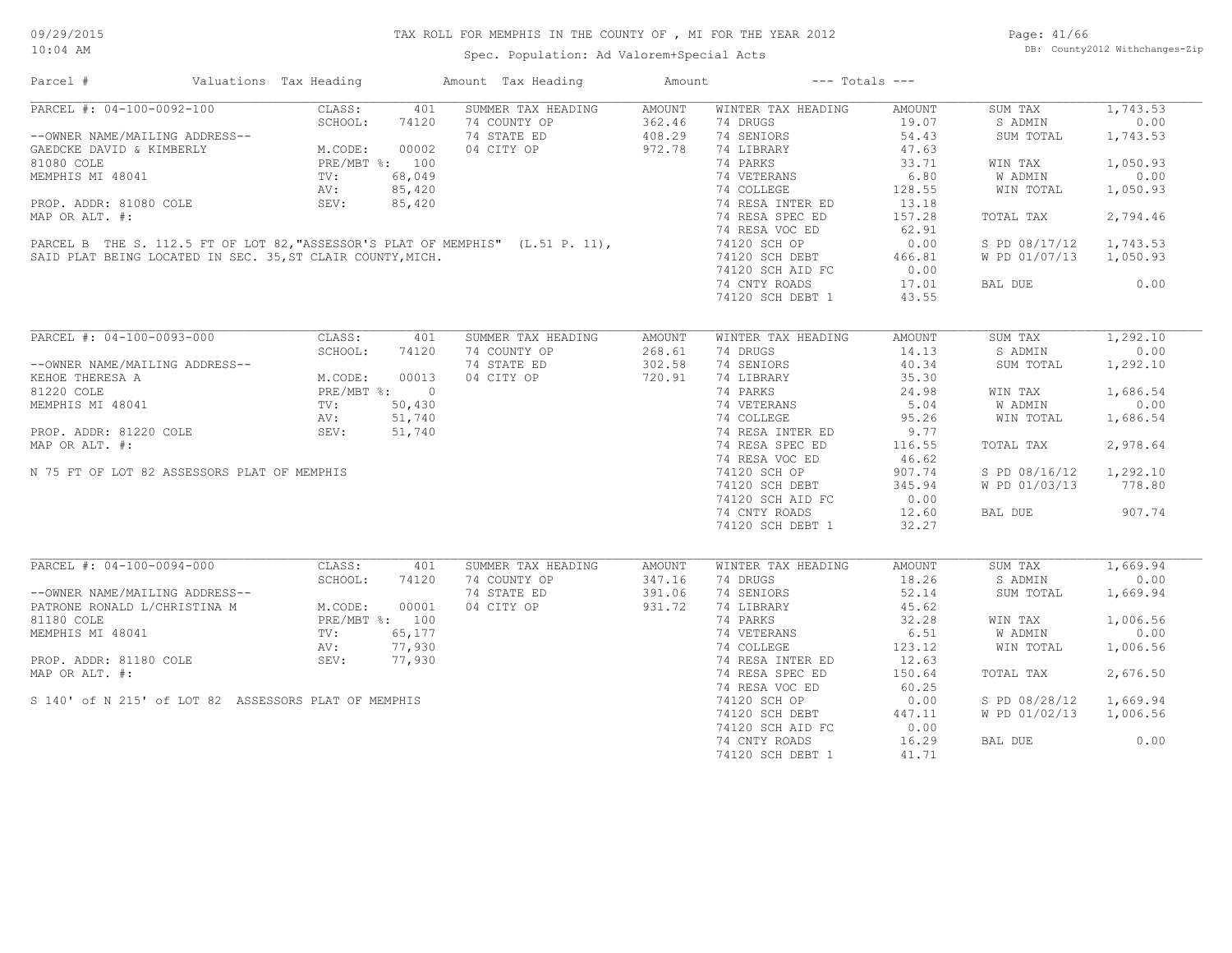Spec. Population: Ad Valorem+Special Acts

Page: 41/66 DB: County2012 Withchanges-Zip

| Parcel #                                                                                                                                                                  | Valuations Tax Heading                                                    |        | Amount Tax Heading                                                             | Amount |                    | $---$ Totals $---$ |                        |          |
|---------------------------------------------------------------------------------------------------------------------------------------------------------------------------|---------------------------------------------------------------------------|--------|--------------------------------------------------------------------------------|--------|--------------------|--------------------|------------------------|----------|
| PARCEL #: 04-100-0092-100                                                                                                                                                 | CLASS:                                                                    | 401    | SUMMER TAX HEADING                                                             | AMOUNT | WINTER TAX HEADING | AMOUNT             | SUM TAX                | 1,743.53 |
|                                                                                                                                                                           | SCHOOL:                                                                   | 74120  | 74 COUNTY OP                                                                   | 362.46 | 74 DRUGS           | 19.07              | S ADMIN                | 0.00     |
| --OWNER NAME/MAILING ADDRESS--<br>GAEDCKE DAVID & KIMBERLY<br>81080 COLE<br>M.CODE: 00002<br>81080 COLE<br>PRE/MBT %: 100<br>MEMPHIS MI 48041<br>TV: 68,049<br>AV: 85,420 |                                                                           |        | 74 STATE ED                                                                    | 408.29 | 74 SENIORS         | 54.43              | SUM TOTAL              | 1,743.53 |
|                                                                                                                                                                           |                                                                           |        | 04 CITY OP                                                                     | 972.78 | 74 LIBRARY         | 47.63              |                        |          |
|                                                                                                                                                                           |                                                                           |        |                                                                                |        | 74 PARKS           | 33.71              | WIN TAX                | 1,050.93 |
|                                                                                                                                                                           |                                                                           |        |                                                                                |        | 74 VETERANS        | 6.80               | W ADMIN                | 0.00     |
|                                                                                                                                                                           |                                                                           |        |                                                                                |        | 74 COLLEGE         | 128.55             | WIN TOTAL              | 1,050.93 |
| PROP. ADDR: 81080 COLE SEV:                                                                                                                                               |                                                                           |        |                                                                                |        |                    |                    |                        |          |
|                                                                                                                                                                           |                                                                           | 85,420 |                                                                                |        | 74 RESA INTER ED   | 13.18              |                        |          |
| MAP OR ALT. #:                                                                                                                                                            |                                                                           |        |                                                                                |        | 74 RESA SPEC ED    | 157.28             | TOTAL TAX              | 2,794.46 |
|                                                                                                                                                                           |                                                                           |        | PARCEL B THE S. 112.5 FT OF LOT 82, "ASSESSOR'S PLAT OF MEMPHIS" (L.51 P. 11), |        | 74 RESA VOC ED     | 62.91              |                        |          |
|                                                                                                                                                                           |                                                                           |        |                                                                                |        | 74120 SCH OP       | 0.00               | S PD 08/17/12          | 1,743.53 |
| SAID PLAT BEING LOCATED IN SEC. 35, ST CLAIR COUNTY, MICH.                                                                                                                |                                                                           |        |                                                                                |        | 74120 SCH DEBT     | 466.81             | W PD 01/07/13 1,050.93 |          |
|                                                                                                                                                                           |                                                                           |        |                                                                                |        | 74120 SCH AID FC   | 0.00               |                        |          |
|                                                                                                                                                                           |                                                                           |        |                                                                                |        | 74 CNTY ROADS      | 17.01              | BAL DUE                | 0.00     |
|                                                                                                                                                                           |                                                                           |        |                                                                                |        | 74120 SCH DEBT 1   | 43.55              |                        |          |
|                                                                                                                                                                           |                                                                           |        |                                                                                |        |                    |                    |                        |          |
| PARCEL #: 04-100-0093-000                                                                                                                                                 | CLASS:                                                                    | 401    | SUMMER TAX HEADING                                                             | AMOUNT | WINTER TAX HEADING | AMOUNT             | SUM TAX                | 1,292.10 |
|                                                                                                                                                                           | SCHOOL:                                                                   | 74120  | 74 COUNTY OP                                                                   | 268.61 | 74 DRUGS           | 14.13              | S ADMIN                | 0.00     |
| --OWNER NAME/MAILING ADDRESS--                                                                                                                                            |                                                                           |        | 74 STATE ED                                                                    | 302.58 | 74 SENIORS         | 40.34              | SUM TOTAL              | 1,292.10 |
| KEHOE THERESA A                                                                                                                                                           | NG ADDRESS--<br>M.CODE: 00013<br>PRE/MBT %: 0<br>TV: 50,430<br>AV: 51,740 |        | 04 CITY OP                                                                     | 720.91 | 74 LIBRARY         | 35.30              |                        |          |
|                                                                                                                                                                           |                                                                           |        |                                                                                |        |                    |                    |                        |          |
| 81220 COLE                                                                                                                                                                |                                                                           |        | $\begin{array}{c} 0 \\ 50,430 \\ 51,740 \\ 51,740 \end{array}$                 |        | 74 PARKS           | 24.98              | WIN TAX                | 1,686.54 |
| MEMPHIS MI 48041                                                                                                                                                          |                                                                           |        |                                                                                |        | 74 VETERANS        | 5.04               | W ADMIN                | 0.00     |
|                                                                                                                                                                           |                                                                           |        |                                                                                |        | 74 COLLEGE         | 95.26              | WIN TOTAL              | 1,686.54 |
| PROP. ADDR: 81220 COLE                                                                                                                                                    | SEV:                                                                      |        |                                                                                |        | 74 RESA INTER ED   | 9.77               |                        |          |
| MAP OR ALT. #:                                                                                                                                                            |                                                                           |        |                                                                                |        | 74 RESA SPEC ED    | 116.55             | TOTAL TAX              | 2,978.64 |
|                                                                                                                                                                           |                                                                           |        |                                                                                |        | 74 RESA VOC ED     | 46.62              |                        |          |
| N 75 FT OF LOT 82 ASSESSORS PLAT OF MEMPHIS                                                                                                                               |                                                                           |        |                                                                                |        | 74120 SCH OP       | 907.74             | S PD 08/16/12 1,292.10 |          |
|                                                                                                                                                                           |                                                                           |        |                                                                                |        | 74120 SCH DEBT     | 345.94             | W PD 01/03/13 778.80   |          |
|                                                                                                                                                                           |                                                                           |        |                                                                                |        | 74120 SCH AID FC   | 0.00               |                        |          |
|                                                                                                                                                                           |                                                                           |        |                                                                                |        |                    | 12.60              | BAL DUE                | 907.74   |
|                                                                                                                                                                           |                                                                           |        |                                                                                |        | 74 CNTY ROADS      |                    |                        |          |
|                                                                                                                                                                           |                                                                           |        |                                                                                |        | 74120 SCH DEBT 1   | 32.27              |                        |          |
| PARCEL #: 04-100-0094-000                                                                                                                                                 |                                                                           |        |                                                                                |        |                    |                    |                        | 1,669.94 |
|                                                                                                                                                                           | CLASS:                                                                    | 401    | SUMMER TAX HEADING                                                             | AMOUNT | WINTER TAX HEADING | <b>AMOUNT</b>      | SUM TAX                |          |
| --OWNER NAME/MAILING ADDRESS--<br>PATRONE RONALD L/CHRISTINA M M.CODE: 00001<br>PRE/MBT %: 100<br>$\begin{array}{ccc}\n & \text{PRE/MBT}\n\end{array}$                    | SCHOOL:                                                                   | 74120  | 74 COUNTY OP                                                                   | 347.16 | 74 DRUGS           | 18.26              | S ADMIN                | 0.00     |
|                                                                                                                                                                           |                                                                           |        | 74 STATE ED                                                                    | 391.06 | 74 SENIORS         | 52.14              | SUM TOTAL              | 1,669.94 |
|                                                                                                                                                                           |                                                                           |        | 04 CITY OP                                                                     | 931.72 | 74 LIBRARY         | 45.62              |                        |          |
|                                                                                                                                                                           |                                                                           |        |                                                                                |        | 74 PARKS           | 32.28              | WIN TAX                | 1,006.56 |
| MEMPHIS MI 48041                                                                                                                                                          | TV:                                                                       | 65,177 |                                                                                |        | 74 VETERANS        | 6.51               | W ADMIN                | 0.00     |
|                                                                                                                                                                           | AV:                                                                       | 77,930 |                                                                                |        | 74 COLLEGE         | 123.12             | WIN TOTAL              | 1,006.56 |
| PROP. ADDR: 81180 COLE                                                                                                                                                    | SEV:                                                                      | 77,930 |                                                                                |        | 74 RESA INTER ED   | 12.63              |                        |          |
| MAP OR ALT. #:                                                                                                                                                            |                                                                           |        |                                                                                |        | 74 RESA SPEC ED    | 150.64             | TOTAL TAX              | 2,676.50 |
|                                                                                                                                                                           |                                                                           |        |                                                                                |        | 74 RESA VOC ED     | 60.25              |                        |          |
|                                                                                                                                                                           |                                                                           |        |                                                                                |        |                    |                    |                        |          |
| S 140' of N 215' of LOT 82 ASSESSORS PLAT OF MEMPHIS                                                                                                                      |                                                                           |        |                                                                                |        | 74120 SCH OP       | 0.00               | S PD 08/28/12          | 1,669.94 |
|                                                                                                                                                                           |                                                                           |        |                                                                                |        | 74120 SCH DEBT     | 447.11             | W PD 01/02/13          | 1,006.56 |
|                                                                                                                                                                           |                                                                           |        |                                                                                |        | 74120 SCH AID FC   | 0.00               |                        |          |
|                                                                                                                                                                           |                                                                           |        |                                                                                |        | 74 CNTY ROADS      | 16.29              | BAL DUE                | 0.00     |
|                                                                                                                                                                           |                                                                           |        |                                                                                |        | 74120 SCH DEBT 1   | 41.71              |                        |          |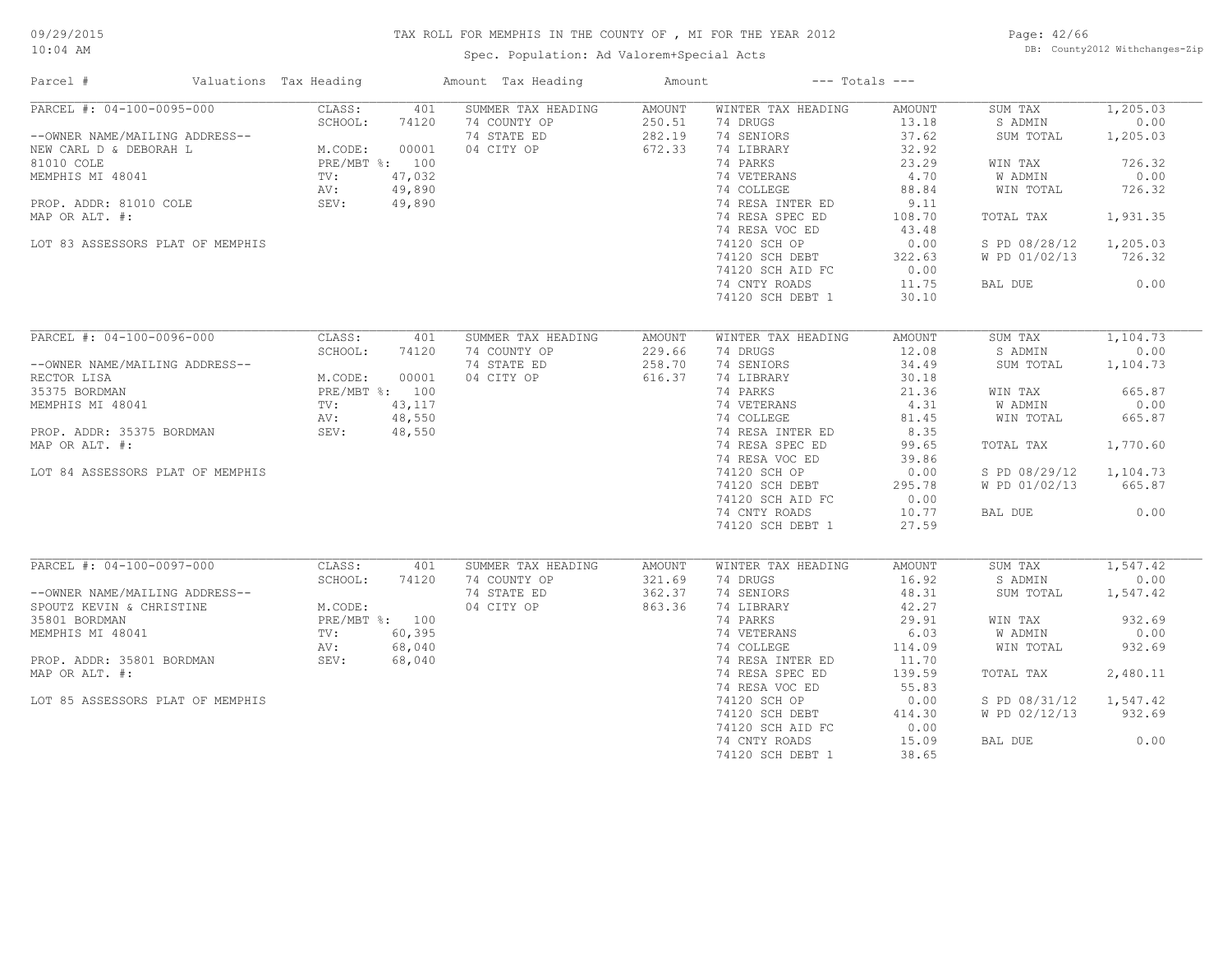Spec. Population: Ad Valorem+Special Acts

Page: 42/66 DB: County2012 Withchanges-Zip

| Parcel #                         | Valuations Tax Heading | Amount Tax Heading | Amount        | $---$ Totals $---$ |               |               |          |
|----------------------------------|------------------------|--------------------|---------------|--------------------|---------------|---------------|----------|
| PARCEL #: 04-100-0095-000        | CLASS:<br>401          | SUMMER TAX HEADING | AMOUNT        | WINTER TAX HEADING | <b>AMOUNT</b> | SUM TAX       | 1,205.03 |
|                                  | SCHOOL:<br>74120       | 74 COUNTY OP       | 250.51        | 74 DRUGS           | 13.18         | S ADMIN       | 0.00     |
| --OWNER NAME/MAILING ADDRESS--   |                        | 74 STATE ED        | 282.19        | 74 SENIORS         | 37.62         | SUM TOTAL     | 1,205.03 |
| NEW CARL D & DEBORAH L           | M.CODE:<br>00001       | 04 CITY OP         | 672.33        | 74 LIBRARY         | 32.92         |               |          |
| 81010 COLE                       | PRE/MBT %: 100         |                    |               | 74 PARKS           | 23.29         | WIN TAX       | 726.32   |
| MEMPHIS MI 48041                 | 47,032<br>TV:          |                    |               | 74 VETERANS        | 4.70          | W ADMIN       | 0.00     |
|                                  | 49,890<br>AV:          |                    |               | 74 COLLEGE         | 88.84         | WIN TOTAL     | 726.32   |
| PROP. ADDR: 81010 COLE           | SEV:<br>49,890         |                    |               | 74 RESA INTER ED   | 9.11          |               |          |
| MAP OR ALT. #:                   |                        |                    |               | 74 RESA SPEC ED    | 108.70        | TOTAL TAX     | 1,931.35 |
|                                  |                        |                    |               | 74 RESA VOC ED     | 43.48         |               |          |
| LOT 83 ASSESSORS PLAT OF MEMPHIS |                        |                    |               | 74120 SCH OP       | 0.00          | S PD 08/28/12 | 1,205.03 |
|                                  |                        |                    |               |                    |               |               |          |
|                                  |                        |                    |               | 74120 SCH DEBT     | 322.63        | W PD 01/02/13 | 726.32   |
|                                  |                        |                    |               | 74120 SCH AID FC   | 0.00          |               |          |
|                                  |                        |                    |               | 74 CNTY ROADS      | 11.75         | BAL DUE       | 0.00     |
|                                  |                        |                    |               | 74120 SCH DEBT 1   | 30.10         |               |          |
|                                  |                        |                    |               |                    |               |               |          |
| PARCEL #: 04-100-0096-000        | CLASS:<br>401          | SUMMER TAX HEADING | <b>AMOUNT</b> | WINTER TAX HEADING | <b>AMOUNT</b> | SUM TAX       | 1,104.73 |
|                                  | SCHOOL:<br>74120       | 74 COUNTY OP       | 229.66        | 74 DRUGS           | 12.08         | S ADMIN       | 0.00     |
| --OWNER NAME/MAILING ADDRESS--   |                        | 74 STATE ED        | 258.70        | 74 SENIORS         | 34.49         | SUM TOTAL     | 1,104.73 |
| RECTOR LISA                      | M.CODE:<br>00001       | 04 CITY OP         | 616.37        | 74 LIBRARY         | 30.18         |               |          |
| 35375 BORDMAN                    | PRE/MBT %: 100         |                    |               | 74 PARKS           | 21.36         | WIN TAX       | 665.87   |
| MEMPHIS MI 48041                 | TV:<br>43,117          |                    |               | 74 VETERANS        | 4.31          | W ADMIN       | 0.00     |
|                                  | 48,550<br>AV:          |                    |               | 74 COLLEGE         | 81.45         | WIN TOTAL     | 665.87   |
| PROP. ADDR: 35375 BORDMAN        | 48,550<br>SEV:         |                    |               | 74 RESA INTER ED   | 8.35          |               |          |
| MAP OR ALT. #:                   |                        |                    |               | 74 RESA SPEC ED    | 99.65         | TOTAL TAX     | 1,770.60 |
|                                  |                        |                    |               | 74 RESA VOC ED     | 39.86         |               |          |
|                                  |                        |                    |               |                    |               |               |          |
| LOT 84 ASSESSORS PLAT OF MEMPHIS |                        |                    |               | 74120 SCH OP       | 0.00          | S PD 08/29/12 | 1,104.73 |
|                                  |                        |                    |               | 74120 SCH DEBT     | 295.78        | W PD 01/02/13 | 665.87   |
|                                  |                        |                    |               | 74120 SCH AID FC   | 0.00          |               |          |
|                                  |                        |                    |               | 74 CNTY ROADS      | 10.77         | BAL DUE       | 0.00     |
|                                  |                        |                    |               | 74120 SCH DEBT 1   | 27.59         |               |          |
|                                  |                        |                    |               |                    |               |               |          |
| PARCEL #: 04-100-0097-000        | CLASS:<br>401          | SUMMER TAX HEADING | AMOUNT        | WINTER TAX HEADING | AMOUNT        | SUM TAX       | 1,547.42 |
|                                  | SCHOOL:<br>74120       | 74 COUNTY OP       | 321.69        | 74 DRUGS           | 16.92         | S ADMIN       | 0.00     |
| --OWNER NAME/MAILING ADDRESS--   |                        | 74 STATE ED        | 362.37        | 74 SENIORS         | 48.31         | SUM TOTAL     | 1,547.42 |
| SPOUTZ KEVIN & CHRISTINE         | M.CODE:                | 04 CITY OP         | 863.36        | 74 LIBRARY         | 42.27         |               |          |
| 35801 BORDMAN                    | PRE/MBT %: 100         |                    |               | 74 PARKS           | 29.91         | WIN TAX       | 932.69   |
| MEMPHIS MI 48041                 | 60,395<br>TV:          |                    |               | 74 VETERANS        | 6.03          | W ADMIN       | 0.00     |
|                                  | AV:<br>68,040          |                    |               | 74 COLLEGE         | 114.09        | WIN TOTAL     | 932.69   |
| PROP. ADDR: 35801 BORDMAN        | SEV:<br>68,040         |                    |               | 74 RESA INTER ED   | 11.70         |               |          |
| MAP OR ALT. #:                   |                        |                    |               | 74 RESA SPEC ED    | 139.59        | TOTAL TAX     | 2,480.11 |
|                                  |                        |                    |               | 74 RESA VOC ED     | 55.83         |               |          |
| LOT 85 ASSESSORS PLAT OF MEMPHIS |                        |                    |               | 74120 SCH OP       | 0.00          | S PD 08/31/12 | 1,547.42 |
|                                  |                        |                    |               | 74120 SCH DEBT     | 414.30        | W PD 02/12/13 | 932.69   |
|                                  |                        |                    |               |                    | 0.00          |               |          |
|                                  |                        |                    |               | 74120 SCH AID FC   |               |               |          |
|                                  |                        |                    |               | 74 CNTY ROADS      | 15.09         | BAL DUE       | 0.00     |
|                                  |                        |                    |               | 74120 SCH DEBT 1   | 38.65         |               |          |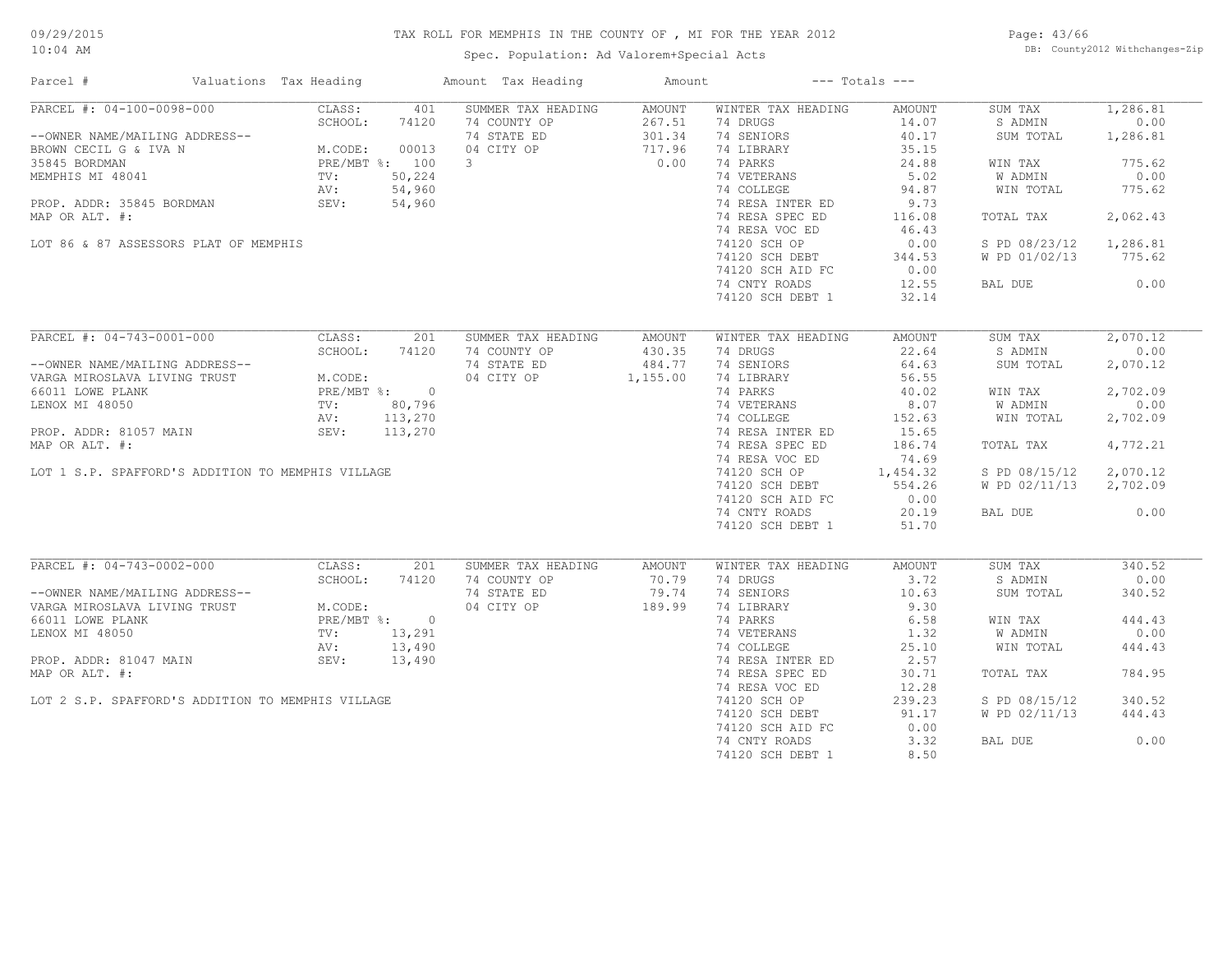Spec. Population: Ad Valorem+Special Acts

Page: 43/66 DB: County2012 Withchanges-Zip

| Parcel #<br>Valuations Tax Heading                              |                                                | Amount Tax Heading | Amount          |                    | $---$ Totals $---$ |               |          |
|-----------------------------------------------------------------|------------------------------------------------|--------------------|-----------------|--------------------|--------------------|---------------|----------|
| PARCEL #: 04-100-0098-000                                       | CLASS:<br>401                                  | SUMMER TAX HEADING | AMOUNT          | WINTER TAX HEADING | AMOUNT             | SUM TAX       | 1,286.81 |
|                                                                 | SCHOOL:<br>74120                               | 74 COUNTY OP       | 267.51          | 74 DRUGS           | 14.07              | S ADMIN       | 0.00     |
| --OWNER NAME/MAILING ADDRESS--                                  |                                                | 74 STATE ED        | 301.34          | 74 SENIORS         | 40.17              | SUM TOTAL     | 1,286.81 |
| BROWN CECIL G & IVA N                                           | M.CODE: $00013$<br>PRE/MBT $\frac{1}{6}$ : 100 | 04 CITY OP         | 717.96          | 74 LIBRARY         | 35.15              |               |          |
| 35845 BORDMAN                                                   |                                                | $\overline{3}$     | 0.00            | 74 PARKS           | 24.88              | WIN TAX       | 775.62   |
| MEMPHIS MI 48041                                                | 50,224<br>TV:                                  |                    |                 | 74 VETERANS        | 5.02               | W ADMIN       | 0.00     |
|                                                                 | AV:<br>54,960                                  |                    |                 | 74 COLLEGE         | 94.87              | WIN TOTAL     | 775.62   |
| PROP. ADDR: 35845 BORDMAN                                       | SEV:<br>54,960                                 |                    |                 | 74 RESA INTER ED   | 9.73               |               |          |
| MAP OR ALT. #:                                                  |                                                |                    |                 | 74 RESA SPEC ED    | 116.08             | TOTAL TAX     | 2,062.43 |
|                                                                 |                                                |                    |                 | 74 RESA VOC ED     | 46.43              |               |          |
| LOT 86 & 87 ASSESSORS PLAT OF MEMPHIS                           |                                                |                    |                 | 74120 SCH OP       | 0.00               | S PD 08/23/12 | 1,286.81 |
|                                                                 |                                                |                    |                 | 74120 SCH DEBT     | 344.53             | W PD 01/02/13 | 775.62   |
|                                                                 |                                                |                    |                 |                    | 0.00               |               |          |
|                                                                 |                                                |                    |                 | 74120 SCH AID FC   |                    |               |          |
|                                                                 |                                                |                    |                 | 74 CNTY ROADS      | 12.55              | BAL DUE       | 0.00     |
|                                                                 |                                                |                    |                 | 74120 SCH DEBT 1   | 32.14              |               |          |
| PARCEL #: 04-743-0001-000                                       | CLASS:<br>201                                  | SUMMER TAX HEADING | AMOUNT          | WINTER TAX HEADING | AMOUNT             | SUM TAX       | 2,070.12 |
|                                                                 | SCHOOL:<br>74120                               | 74 COUNTY OP       | 430.35          | 74 DRUGS           | 22.64              | S ADMIN       | 0.00     |
| --OWNER NAME/MAILING ADDRESS--                                  |                                                | 74 STATE ED        | 484.77          | 74 SENIORS         | 64.63              | SUM TOTAL     | 2,070.12 |
| VARGA MIROSLAVA LIVING TRUST                                    | M.CODE:                                        | 04 CITY OP         | 1,155.00        | 74 LIBRARY         | 56.55              |               |          |
| 66011 LOWE PLANK                                                | PRE/MBT %: 0                                   |                    |                 | 74 PARKS           | 40.02              | WIN TAX       | 2,702.09 |
| LENOX MI 48050                                                  | 80,796<br>$\text{TV}$ :                        |                    |                 | 74 VETERANS        | 8.07               | W ADMIN       | 0.00     |
|                                                                 | 113,270                                        |                    |                 | 74 COLLEGE         |                    | WIN TOTAL     | 2,702.09 |
|                                                                 | AV:                                            |                    |                 |                    | 152.63             |               |          |
| PROP. ADDR: 81057 MAIN                                          | SEV:<br>113,270                                |                    |                 | 74 RESA INTER ED   | 15.65              |               |          |
| MAP OR ALT. #:                                                  |                                                |                    |                 | 74 RESA SPEC ED    | 186.74             | TOTAL TAX     | 4,772.21 |
|                                                                 |                                                |                    |                 | 74 RESA VOC ED     | 74.69              |               |          |
| LOT 1 S.P. SPAFFORD'S ADDITION TO MEMPHIS VILLAGE               |                                                |                    |                 | 74120 SCH OP       | 1,454.32           | S PD 08/15/12 | 2,070.12 |
|                                                                 |                                                |                    |                 | 74120 SCH DEBT     | 554.26             | W PD 02/11/13 | 2,702.09 |
|                                                                 |                                                |                    |                 | 74120 SCH AID FC   | 0.00               |               |          |
|                                                                 |                                                |                    |                 | 74 CNTY ROADS      | 20.19              | BAL DUE       | 0.00     |
|                                                                 |                                                |                    |                 | 74120 SCH DEBT 1   | 51.70              |               |          |
| PARCEL #: 04-743-0002-000                                       | CLASS:<br>201                                  | SUMMER TAX HEADING |                 | WINTER TAX HEADING | AMOUNT             | SUM TAX       | 340.52   |
|                                                                 | SCHOOL:<br>74120                               | 74 COUNTY OP       | AMOUNT<br>70.79 | 74 DRUGS           | 3.72               | S ADMIN       | 0.00     |
|                                                                 |                                                |                    |                 |                    |                    |               |          |
| --OWNER NAME/MAILING ADDRESS--                                  |                                                | 74 STATE ED        | 79.74           | 74 SENIORS         | 10.63              | SUM TOTAL     | 340.52   |
| -- UNNER NAME/MAILING ADDRESS--<br>VARGA MIROSLAVA LIVING TRUST | M.CODE:                                        | 04 CITY OP         | 189.99          | 74 LIBRARY         | 9.30               |               |          |
| 66011 LOWE PLANK                                                | PRE/MBT %: 0                                   |                    |                 | 74 PARKS           | 6.58               | WIN TAX       | 444.43   |
| LENOX MI 48050                                                  | 13,291<br>TV:                                  |                    |                 | 74 VETERANS        | 1.32               | W ADMIN       | 0.00     |
|                                                                 | AV:<br>13,490                                  |                    |                 | 74 COLLEGE         | 25.10              | WIN TOTAL     | 444.43   |
| PROP. ADDR: 81047 MAIN                                          | SEV:<br>13,490                                 |                    |                 | 74 RESA INTER ED   | 2.57               |               |          |
| MAP OR ALT. #:                                                  |                                                |                    |                 | 74 RESA SPEC ED    | 30.71              | TOTAL TAX     | 784.95   |
|                                                                 |                                                |                    |                 | 74 RESA VOC ED     | 12.28              |               |          |
| LOT 2 S.P. SPAFFORD'S ADDITION TO MEMPHIS VILLAGE               |                                                |                    |                 | 74120 SCH OP       | 239.23             | S PD 08/15/12 | 340.52   |
|                                                                 |                                                |                    |                 | 74120 SCH DEBT     | 91.17              | W PD 02/11/13 | 444.43   |
|                                                                 |                                                |                    |                 | 74120 SCH AID FC   | 0.00               |               |          |
|                                                                 |                                                |                    |                 | 74 CNTY ROADS      | 3.32               | BAL DUE       | 0.00     |
|                                                                 |                                                |                    |                 | 74120 SCH DEBT 1   | 8.50               |               |          |
|                                                                 |                                                |                    |                 |                    |                    |               |          |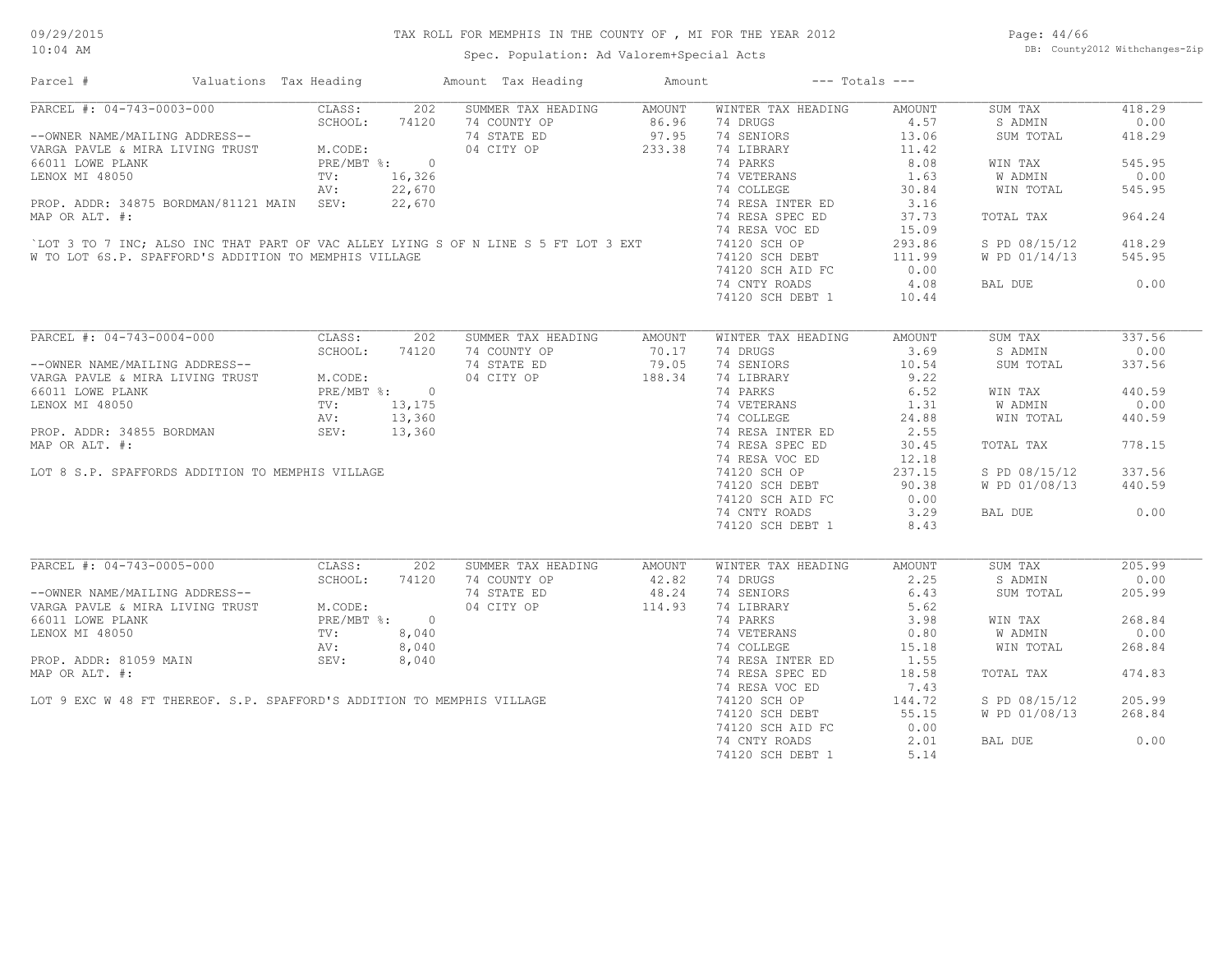Spec. Population: Ad Valorem+Special Acts

Page: 44/66 DB: County2012 Withchanges-Zip

| Parcel #                                                                                                                                                                                                                                                                                      | Valuations Tax Heading |            |        | Amount Tax Heading                                                                          | Amount | $---$ Totals $---$                                                             |        |               |        |
|-----------------------------------------------------------------------------------------------------------------------------------------------------------------------------------------------------------------------------------------------------------------------------------------------|------------------------|------------|--------|---------------------------------------------------------------------------------------------|--------|--------------------------------------------------------------------------------|--------|---------------|--------|
| PARCEL #: 04-743-0003-000 CLASS: 202<br>--OWNER NAME/MAILING ADDRESS--<br>VARGA PAVLE & MIRA LIVING TRUST<br>66011 LOWE PLANK<br>LENOX MI 48050<br>PRE/MBT %: 0<br>PRE/MBT %: 0<br>PRE/MBT %: 0<br>PRE/MBT %: 0<br>PRE/MBT %: 0<br>PRE/MBT %: 0<br>PRE/MBT %: 0<br>PRE/MBT %: 0<br>PRE/MBT %: |                        |            |        | SUMMER TAX HEADING AMOUNT                                                                   |        | WINTER TAX HEADING                                                             | AMOUNT | SUM TAX       | 418.29 |
|                                                                                                                                                                                                                                                                                               |                        |            |        | 14 COUNTY OP 36.96 74 DRUGS<br>14 STATE ED 37.95 74 SENIORS<br>14 CITY OP 233.38 74 LIBRARY |        |                                                                                | 4.57   | S ADMIN       | 0.00   |
|                                                                                                                                                                                                                                                                                               |                        |            |        |                                                                                             |        |                                                                                | 13.06  | SUM TOTAL     | 418.29 |
|                                                                                                                                                                                                                                                                                               |                        |            |        |                                                                                             |        |                                                                                | 11.42  |               |        |
|                                                                                                                                                                                                                                                                                               |                        |            |        |                                                                                             |        | 74 PARKS                                                                       | 8.08   | WIN TAX       | 545.95 |
|                                                                                                                                                                                                                                                                                               |                        |            |        |                                                                                             |        | 74 VETERANS                                                                    | 1.63   | W ADMIN       | 0.00   |
|                                                                                                                                                                                                                                                                                               |                        |            |        |                                                                                             |        | 74 COLLEGE                                                                     | 30.84  | WIN TOTAL     | 545.95 |
| PROP. ADDR: 34875 BORDMAN/81121 MAIN SEV:                                                                                                                                                                                                                                                     |                        |            | 22,670 |                                                                                             |        | 74 RESA INTER ED                                                               | 3.16   |               |        |
| MAP OR ALT. #:                                                                                                                                                                                                                                                                                |                        |            |        |                                                                                             |        | 74 RESA SPEC ED                                                                | 37.73  | TOTAL TAX     | 964.24 |
|                                                                                                                                                                                                                                                                                               |                        |            |        |                                                                                             |        | 74 RESA VOC ED                                                                 | 15.09  |               |        |
| LOT 3 TO 7 INC; ALSO INC THAT PART OF VAC ALLEY LYING S OF N LINE S 5 FT LOT 3 EXT                                                                                                                                                                                                            |                        |            |        |                                                                                             |        |                                                                                |        |               |        |
|                                                                                                                                                                                                                                                                                               |                        |            |        |                                                                                             |        | 74120 SCH OP<br>74120 SCH DEBT                                                 | 293.86 | S PD 08/15/12 | 418.29 |
| W TO LOT 6S.P. SPAFFORD'S ADDITION TO MEMPHIS VILLAGE                                                                                                                                                                                                                                         |                        |            |        |                                                                                             |        | 74120 SCH DEBT                                                                 | 111.99 | W PD 01/14/13 | 545.95 |
|                                                                                                                                                                                                                                                                                               |                        |            |        |                                                                                             |        | 74120 SCH AID FC                                                               | 0.00   |               |        |
|                                                                                                                                                                                                                                                                                               |                        |            |        |                                                                                             |        | 74 CNTY ROADS                                                                  | 4.08   | BAL DUE       | 0.00   |
|                                                                                                                                                                                                                                                                                               |                        |            |        |                                                                                             |        | 74120 SCH DEBT 1                                                               | 10.44  |               |        |
|                                                                                                                                                                                                                                                                                               |                        |            |        |                                                                                             |        |                                                                                |        |               |        |
| PARCEL #: 04-743-0004-000                                                                                                                                                                                                                                                                     |                        | CLASS: 202 |        | SUMMER TAX HEADING                                                                          | AMOUNT | WINTER TAX HEADING                                                             | AMOUNT | SUM TAX       | 337.56 |
|                                                                                                                                                                                                                                                                                               |                        |            |        | 74 COUNTY OP                                                                                | 70.17  | 74 DRUGS                                                                       | 3.69   | S ADMIN       | 0.00   |
|                                                                                                                                                                                                                                                                                               |                        |            |        | 74 STATE ED                                                                                 | 79.05  | 74 SENIORS                                                                     | 10.54  | SUM TOTAL     | 337.56 |
| --OWNER NAME/MAILING ADDRESS--<br>VARGA PAVLE & MIRA LIVING TRUST<br>66011 LOWE PLANK<br>LENOX MI 48050<br>PRE/MBT *: 0<br>PRE/MBT *: 0<br>PRE/MBT *: 0<br>PRE/MBT *: 0<br>PROP. ADDR: 34855 BORDMAN<br>NI: 13,360<br>NI: 13,360<br>NI: 13,360<br>NI:                                         |                        |            |        | 04 CITY OP                                                                                  | 188.34 | 74 LIBRARY                                                                     | 9.22   |               |        |
|                                                                                                                                                                                                                                                                                               |                        |            |        |                                                                                             |        | 74 PARKS                                                                       |        | WIN TAX       | 440.59 |
|                                                                                                                                                                                                                                                                                               |                        |            |        |                                                                                             |        | 74 PARKS 6.52<br>74 VETERANS 1.31<br>74 COLLEGE 24.88<br>74 RESA INTER ED 2.55 |        | W ADMIN       | 0.00   |
|                                                                                                                                                                                                                                                                                               |                        |            |        |                                                                                             |        |                                                                                |        |               |        |
|                                                                                                                                                                                                                                                                                               |                        |            |        |                                                                                             |        |                                                                                |        | WIN TOTAL     | 440.59 |
|                                                                                                                                                                                                                                                                                               |                        |            |        |                                                                                             |        |                                                                                |        |               |        |
| MAP OR ALT. #:                                                                                                                                                                                                                                                                                |                        |            |        |                                                                                             |        | 74 RESA SPEC ED                                                                | 30.45  | TOTAL TAX     | 778.15 |
|                                                                                                                                                                                                                                                                                               |                        |            |        |                                                                                             |        | 74 RESA VOC ED                                                                 | 12.18  |               |        |
| LOT 8 S.P. SPAFFORDS ADDITION TO MEMPHIS VILLAGE                                                                                                                                                                                                                                              |                        |            |        |                                                                                             |        | 74120 SCH OP                                                                   | 237.15 | S PD 08/15/12 | 337.56 |
|                                                                                                                                                                                                                                                                                               |                        |            |        |                                                                                             |        | 74120 SCH DEBT                                                                 | 90.38  | W PD 01/08/13 | 440.59 |
|                                                                                                                                                                                                                                                                                               |                        |            |        |                                                                                             |        | 74120 SCH AID FC                                                               | 0.00   |               |        |
|                                                                                                                                                                                                                                                                                               |                        |            |        |                                                                                             |        | 74 CNTY ROADS                                                                  | 3.29   | BAL DUE       | 0.00   |
|                                                                                                                                                                                                                                                                                               |                        |            |        |                                                                                             |        | 74120 SCH DEBT 1                                                               | 8.43   |               |        |
|                                                                                                                                                                                                                                                                                               |                        |            |        | $0, 175$<br>3, 360<br>3, 360                                                                |        |                                                                                |        |               |        |
|                                                                                                                                                                                                                                                                                               |                        |            |        | SUMMER TAX HEADING                                                                          | AMOUNT | WINTER TAX HEADING                                                             | AMOUNT | SUM TAX       | 205.99 |
|                                                                                                                                                                                                                                                                                               |                        |            |        | 74 COUNTY OP                                                                                | 42.82  | 74 DRUGS                                                                       | 2.25   | S ADMIN       | 0.00   |
|                                                                                                                                                                                                                                                                                               |                        |            |        |                                                                                             |        | 74 SENIORS                                                                     | 6.43   | SUM TOTAL     | 205.99 |
|                                                                                                                                                                                                                                                                                               |                        |            |        | 74 STATE ED 48.24<br>04 CITY OP 114.93                                                      |        | 74 LIBRARY                                                                     | 5.62   |               |        |
|                                                                                                                                                                                                                                                                                               |                        |            |        |                                                                                             |        | 74 PARKS                                                                       | 3.98   |               | 268.84 |
|                                                                                                                                                                                                                                                                                               |                        |            |        |                                                                                             |        |                                                                                |        | WIN TAX       |        |
|                                                                                                                                                                                                                                                                                               |                        |            |        |                                                                                             |        | 74 VETERANS                                                                    | 0.80   | W ADMIN       | 0.00   |
|                                                                                                                                                                                                                                                                                               |                        |            |        |                                                                                             |        | 74 COLLEGE                                                                     | 15.18  | WIN TOTAL     | 268.84 |
|                                                                                                                                                                                                                                                                                               |                        |            |        |                                                                                             |        | 74 RESA INTER ED                                                               | 1.55   |               |        |
| LENOX MI 48050<br>PROP. ADDR: 81059 MAIN AV: 8,040<br>AV: 8,040<br>MAP OR ALT. #:<br>LOT 9 EXC W 48 FT THEREOF. S.P. SPAFFORD'S ADDITION TO MEMPHIS VILLAGE                                                                                                                                   |                        |            |        |                                                                                             |        | 74 RESA SPEC ED                                                                | 18.58  | TOTAL TAX     | 474.83 |
|                                                                                                                                                                                                                                                                                               |                        |            |        |                                                                                             |        | 74 RESA VOC ED                                                                 | 7.43   |               |        |
|                                                                                                                                                                                                                                                                                               |                        |            |        |                                                                                             |        | 74120 SCH OP                                                                   | 144.72 | S PD 08/15/12 | 205.99 |
|                                                                                                                                                                                                                                                                                               |                        |            |        |                                                                                             |        | 74120 SCH DEBT                                                                 | 55.15  | W PD 01/08/13 | 268.84 |
|                                                                                                                                                                                                                                                                                               |                        |            |        |                                                                                             |        | 74120 SCH AID FC                                                               | 0.00   |               |        |
|                                                                                                                                                                                                                                                                                               |                        |            |        |                                                                                             |        | 74 CNTY ROADS                                                                  | 2.01   | BAL DUE       | 0.00   |
|                                                                                                                                                                                                                                                                                               |                        |            |        |                                                                                             |        | 74120 SCH DEBT 1                                                               | 5.14   |               |        |
|                                                                                                                                                                                                                                                                                               |                        |            |        |                                                                                             |        |                                                                                |        |               |        |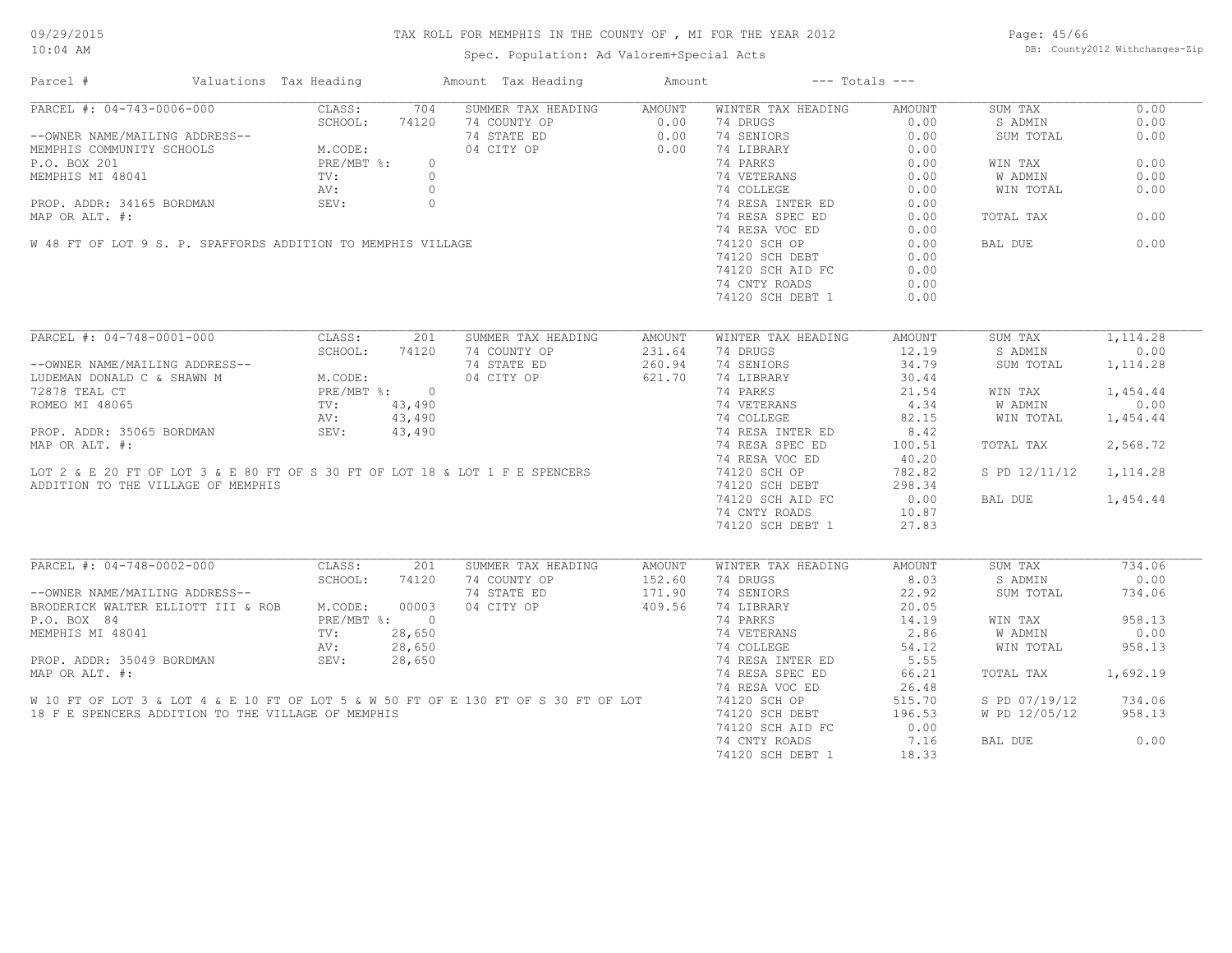Spec. Population: Ad Valorem+Special Acts

Page: 45/66 DB: County2012 Withchanges-Zip

| Parcel #                                                                                                                                        | Valuations Tax Heading                                     |         | Amount Tax Heading | Amount        | $---$ Totals $---$ |               |                         |          |
|-------------------------------------------------------------------------------------------------------------------------------------------------|------------------------------------------------------------|---------|--------------------|---------------|--------------------|---------------|-------------------------|----------|
| PARCEL #: 04-743-0006-000                                                                                                                       | CLASS:                                                     | 704     | SUMMER TAX HEADING | AMOUNT        | WINTER TAX HEADING | AMOUNT        | SUM TAX                 | 0.00     |
|                                                                                                                                                 | SCHOOL:                                                    | 74120   | 74 COUNTY OP       | 0.00          | 74 DRUGS           | 0.00          | S ADMIN                 | 0.00     |
| --OWNER NAME/MAILING ADDRESS--                                                                                                                  |                                                            |         | 74 STATE ED        | 0.00          | 74 SENIORS         | 0.00          | SUM TOTAL               | 0.00     |
| MEMPHIS COMMUNITY SCHOOLS                                                                                                                       | SS--<br>M.CODE:<br>PRE/MBT %:                              |         | 04 CITY OP         | 0.00          | 74 LIBRARY         | 0.00          |                         |          |
| P.O. BOX 201                                                                                                                                    |                                                            | $\circ$ |                    |               | 74 PARKS           | 0.00          | WIN TAX                 | 0.00     |
| P.O. BOX 201<br>MEMPHIS MI 48041<br>PROP. ADDR: 34165 BORDMAN<br>MAP OR ALT. #:<br>W 48 FT OF LOT 9 S. P. SPAFFORDS ADDITION TO MEMPHIS VILLAGE |                                                            |         |                    |               | 74 VETERANS        | 0.00          | W ADMIN                 | 0.00     |
|                                                                                                                                                 |                                                            |         |                    |               | 74 COLLEGE         | 0.00          | WIN TOTAL               | 0.00     |
|                                                                                                                                                 |                                                            |         |                    |               | 74 RESA INTER ED   | 0.00          |                         |          |
|                                                                                                                                                 |                                                            |         |                    |               | 74 RESA SPEC ED    | 0.00          | TOTAL TAX               | 0.00     |
|                                                                                                                                                 |                                                            |         |                    |               |                    |               |                         |          |
|                                                                                                                                                 |                                                            |         |                    |               | 74 RESA VOC ED     | 0.00          |                         |          |
|                                                                                                                                                 |                                                            |         |                    |               | 74120 SCH OP       | 0.00          | BAL DUE                 | 0.00     |
|                                                                                                                                                 |                                                            |         |                    |               | 74120 SCH DEBT     | 0.00          |                         |          |
|                                                                                                                                                 |                                                            |         |                    |               | 74120 SCH AID FC   | 0.00          |                         |          |
|                                                                                                                                                 |                                                            |         |                    |               | 74 CNTY ROADS      | 0.00          |                         |          |
|                                                                                                                                                 |                                                            |         |                    |               | 74120 SCH DEBT 1   | 0.00          |                         |          |
|                                                                                                                                                 |                                                            |         |                    |               |                    |               |                         |          |
| PARCEL #: 04-748-0001-000                                                                                                                       | CLASS:                                                     | 201     | SUMMER TAX HEADING | <b>AMOUNT</b> | WINTER TAX HEADING | AMOUNT        | SUM TAX                 | 1,114.28 |
|                                                                                                                                                 | SCHOOL:                                                    | 74120   | 74 COUNTY OP       | 231.64        | 74 DRUGS           | 12.19         | S ADMIN                 | 0.00     |
| --OWNER NAME/MAILING ADDRESS--                                                                                                                  |                                                            |         | 74 STATE ED        | 260.94        | 74 SENIORS         | 34.79         | SUM TOTAL               | 1,114.28 |
| LUDEMAN DONALD C & SHAWN M                                                                                                                      |                                                            |         | 04 CITY OP         | 621.70        | 74 LIBRARY         | 30.44         |                         |          |
| 72878 TEAL CT                                                                                                                                   |                                                            |         |                    |               | 74 PARKS           | 21.54         | WIN TAX                 | 1,454.44 |
| ROMEO MI 48065                                                                                                                                  | S--<br>M.CODE:<br>PRE/MBT %: 0<br>TV: 43,490<br>AV: 43.490 |         |                    |               | 74 VETERANS        | 4.34          | W ADMIN                 | 0.00     |
|                                                                                                                                                 | AV:                                                        | 43,490  |                    |               | 74 COLLEGE         | 82.15         | WIN TOTAL               | 1,454.44 |
| PROP. ADDR: 35065 BORDMAN                                                                                                                       | SEV:                                                       | 43,490  |                    |               | 74 RESA INTER ED   | 8.42          |                         |          |
|                                                                                                                                                 |                                                            |         |                    |               |                    |               |                         |          |
| MAP OR ALT. #:                                                                                                                                  |                                                            |         |                    |               | 74 RESA SPEC ED    | 100.51        | TOTAL TAX               | 2,568.72 |
|                                                                                                                                                 |                                                            |         |                    |               | 74 RESA VOC ED     | 40.20         |                         |          |
| LOT 2 & E 20 FT OF LOT 3 & E 80 FT OF S 30 FT OF LOT 18 & LOT 1 F E SPENCERS                                                                    |                                                            |         |                    |               | 74120 SCH OP       | 782.82        | S PD 12/11/12 1, 114.28 |          |
| ADDITION TO THE VILLAGE OF MEMPHIS                                                                                                              |                                                            |         |                    |               | 74120 SCH DEBT     | 298.34        |                         |          |
|                                                                                                                                                 |                                                            |         |                    |               | 74120 SCH AID FC   | 0.00          | BAL DUE                 | 1,454.44 |
|                                                                                                                                                 |                                                            |         |                    |               | 74 CNTY ROADS      | 10.87         |                         |          |
|                                                                                                                                                 |                                                            |         |                    |               | 74120 SCH DEBT 1   | 27.83         |                         |          |
|                                                                                                                                                 |                                                            |         |                    |               |                    |               |                         |          |
| PARCEL #: 04-748-0002-000                                                                                                                       | CLASS:                                                     | 201     | SUMMER TAX HEADING | <b>AMOUNT</b> | WINTER TAX HEADING | <b>AMOUNT</b> | SUM TAX                 | 734.06   |
|                                                                                                                                                 | SCHOOL:                                                    | 74120   | 74 COUNTY OP       | 152.60        | 74 DRUGS           | 8.03          | S ADMIN                 | 0.00     |
| --OWNER NAME/MAILING ADDRESS--                                                                                                                  |                                                            |         | 74 STATE ED        | 171.90        | 74 SENIORS         | 22.92         | SUM TOTAL               | 734.06   |
| BRODERICK WALTER ELLIOTT III & ROB M.CODE:                                                                                                      |                                                            | 00003   | 04 CITY OP         | 409.56        | 74 LIBRARY         | 20.05         |                         |          |
| P.O. BOX 84                                                                                                                                     | PRE/MBT %: 0                                               |         |                    |               | 74 PARKS           | 14.19         | WIN TAX                 | 958.13   |
| MEMPHIS MI 48041                                                                                                                                | TV:                                                        | 28,650  |                    |               | 74 VETERANS        | 2.86          | W ADMIN                 | 0.00     |
|                                                                                                                                                 | AV:                                                        | 28,650  |                    |               | 74 COLLEGE         | 54.12         | WIN TOTAL               | 958.13   |
| PROP. ADDR: 35049 BORDMAN                                                                                                                       | SEV:                                                       | 28,650  |                    |               | 74 RESA INTER ED   | 5.55          |                         |          |
|                                                                                                                                                 |                                                            |         |                    |               |                    |               |                         |          |
| MAP OR ALT. #:                                                                                                                                  |                                                            |         |                    |               | 74 RESA SPEC ED    | 66.21         | TOTAL TAX               | 1,692.19 |
|                                                                                                                                                 |                                                            |         |                    |               | 74 RESA VOC ED     | 26.48         |                         |          |
| W 10 FT OF LOT 3 & LOT 4 & E 10 FT OF LOT 5 & W 50 FT OF E 130 FT OF S 30 FT OF LOT                                                             |                                                            |         |                    |               | 74120 SCH OP       | 515.70        | S PD 07/19/12           | 734.06   |
| 18 F E SPENCERS ADDITION TO THE VILLAGE OF MEMPHIS                                                                                              |                                                            |         |                    |               | 74120 SCH DEBT     | 196.53        | W PD 12/05/12           | 958.13   |
|                                                                                                                                                 |                                                            |         |                    |               | 74120 SCH AID FC   | 0.00          |                         |          |
|                                                                                                                                                 |                                                            |         |                    |               | 74 CNTY ROADS      | 7.16          | BAL DUE                 | 0.00     |
|                                                                                                                                                 |                                                            |         |                    |               | 74120 SCH DEBT 1   | 18.33         |                         |          |
|                                                                                                                                                 |                                                            |         |                    |               |                    |               |                         |          |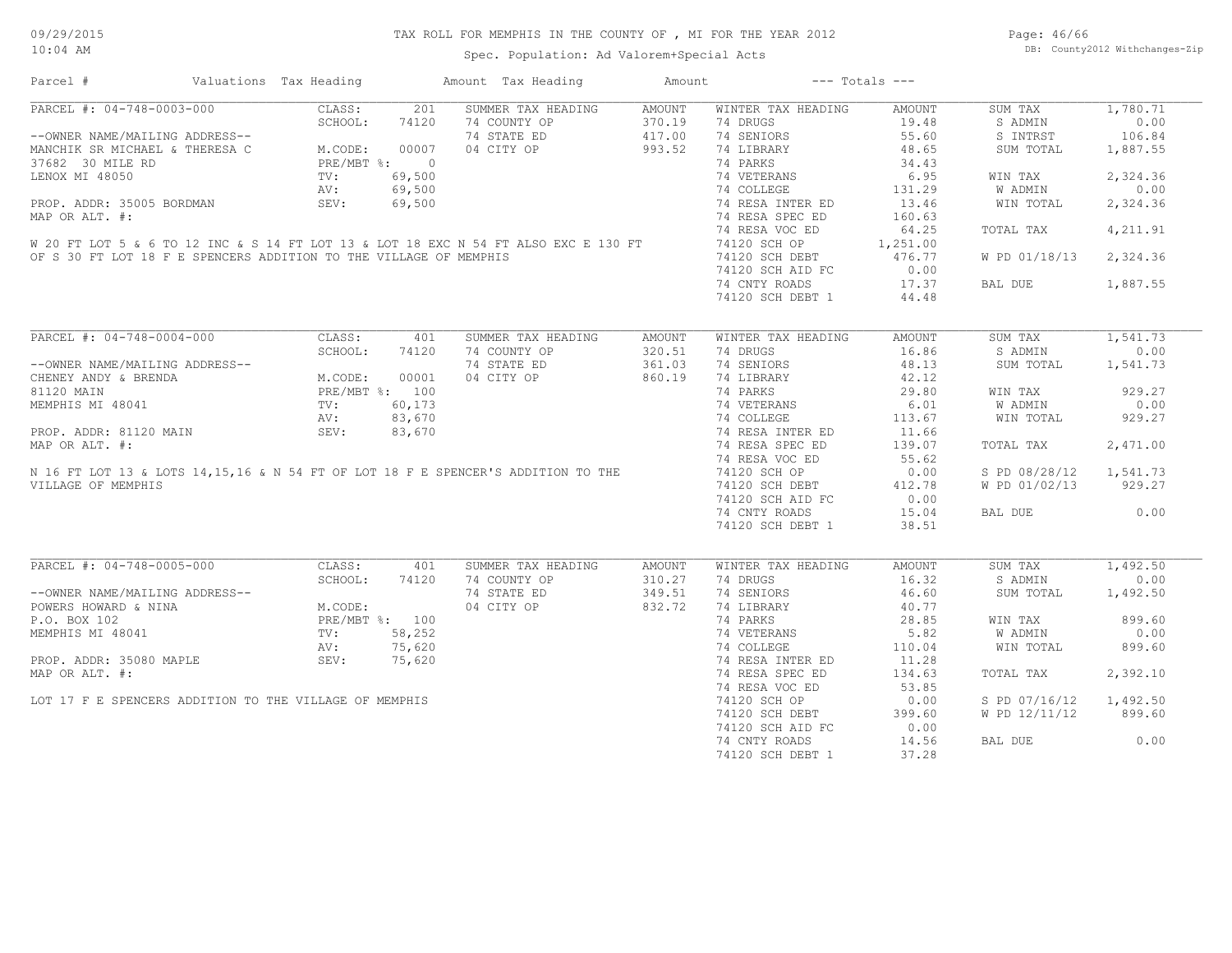Spec. Population: Ad Valorem+Special Acts

Page: 46/66 DB: County2012 Withchanges-Zip

| Parcel #                                                                            | Valuations Tax Heading                        |        | Amount Tax Heading | Amount |                    | $---$ Totals $---$ |               |          |
|-------------------------------------------------------------------------------------|-----------------------------------------------|--------|--------------------|--------|--------------------|--------------------|---------------|----------|
| PARCEL #: 04-748-0003-000                                                           | CLASS:                                        | 201    | SUMMER TAX HEADING | AMOUNT | WINTER TAX HEADING | AMOUNT             | SUM TAX       | 1,780.71 |
|                                                                                     | SCHOOL:                                       | 74120  | 74 COUNTY OP       | 370.19 | 74 DRUGS           | 19.48              | S ADMIN       | 0.00     |
| --OWNER NAME/MAILING ADDRESS--                                                      |                                               |        | 74 STATE ED        | 417.00 | 74 SENIORS         | 55.60              | S INTRST      | 106.84   |
| MANCHIK SR MICHAEL & THERESA C                                                      | M.CODE: 00007<br>PRE/MBT %: 0                 |        | 04 CITY OP         | 993.52 | 74 LIBRARY         | 48.65              | SUM TOTAL     | 1,887.55 |
| 37682 30 MILE RD                                                                    |                                               |        |                    |        | 74 PARKS           | 34.43              |               |          |
| LENOX MI 48050                                                                      | TV:                                           | 69,500 |                    |        | 74 VETERANS        | 6.95               | WIN TAX       | 2,324.36 |
|                                                                                     | AV:                                           | 69,500 |                    |        | 74 COLLEGE         | 131.29             | W ADMIN       | 0.00     |
| PROP. ADDR: 35005 BORDMAN                                                           | SEV:                                          | 69,500 |                    |        | 74 RESA INTER ED   | 13.46              | WIN TOTAL     | 2,324.36 |
| MAP OR ALT. #:                                                                      |                                               |        |                    |        | 74 RESA SPEC ED    | 160.63             |               |          |
|                                                                                     |                                               |        |                    |        | 74 RESA VOC ED     | 64.25              | TOTAL TAX     | 4,211.91 |
| W 20 FT LOT 5 & 6 TO 12 INC & S 14 FT LOT 13 & LOT 18 EXC N 54 FT ALSO EXC E 130 FT |                                               |        |                    |        |                    |                    |               |          |
|                                                                                     |                                               |        |                    |        | 74120 SCH OP       | 1,251.00           |               |          |
| OF S 30 FT LOT 18 F E SPENCERS ADDITION TO THE VILLAGE OF MEMPHIS                   |                                               |        |                    |        | 74120 SCH DEBT     | 476.77             | W PD 01/18/13 | 2,324.36 |
|                                                                                     |                                               |        |                    |        | 74120 SCH AID FC   | 0.00               |               |          |
|                                                                                     |                                               |        |                    |        | 74 CNTY ROADS      | 17.37              | BAL DUE       | 1,887.55 |
|                                                                                     |                                               |        |                    |        | 74120 SCH DEBT 1   | 44.48              |               |          |
|                                                                                     |                                               |        |                    |        |                    |                    |               |          |
| PARCEL #: 04-748-0004-000                                                           | CLASS:                                        | 401    | SUMMER TAX HEADING | AMOUNT | WINTER TAX HEADING | AMOUNT             | SUM TAX       | 1,541.73 |
|                                                                                     | SCHOOL:                                       | 74120  | 74 COUNTY OP       | 320.51 | 74 DRUGS           | 16.86              | S ADMIN       | 0.00     |
| --OWNER NAME/MAILING ADDRESS--                                                      |                                               |        | 74 STATE ED        | 361.03 | 74 SENIORS         | 48.13              | SUM TOTAL     | 1,541.73 |
| CHENEY ANDY & BRENDA                                                                | M.CODE: 00001<br>PRE/MBT %: 100<br>TV: 60,173 |        | 04 CITY OP         | 860.19 | 74 LIBRARY         | 42.12              |               |          |
| 81120 MAIN                                                                          |                                               |        |                    |        | 74 PARKS           | 29.80              | WIN TAX       | 929.27   |
| MEMPHIS MI 48041                                                                    |                                               |        |                    |        | 74 VETERANS        | 6.01               | W ADMIN       | 0.00     |
|                                                                                     | AV:                                           | 83,670 |                    |        | 74 COLLEGE         | 113.67             | WIN TOTAL     | 929.27   |
| PROP. ADDR: 81120 MAIN                                                              | SEV:                                          | 83,670 |                    |        | 74 RESA INTER ED   | 11.66              |               |          |
| MAP OR ALT. #:                                                                      |                                               |        |                    |        | 74 RESA SPEC ED    | 139.07             | TOTAL TAX     | 2,471.00 |
|                                                                                     |                                               |        |                    |        |                    |                    |               |          |
| N 16 FT LOT 13 & LOTS 14, 15, 16 & N 54 FT OF LOT 18 F E SPENCER'S ADDITION TO THE  |                                               |        |                    |        | 74 RESA VOC ED     | 55.62              |               |          |
|                                                                                     |                                               |        |                    |        | 74120 SCH OP       | 0.00               | S PD 08/28/12 | 1,541.73 |
| VILLAGE OF MEMPHIS                                                                  |                                               |        |                    |        | 74120 SCH DEBT     | 412.78             | W PD 01/02/13 | 929.27   |
|                                                                                     |                                               |        |                    |        | 74120 SCH AID FC   | 0.00               |               |          |
|                                                                                     |                                               |        |                    |        | 74 CNTY ROADS      | 15.04              | BAL DUE       | 0.00     |
|                                                                                     |                                               |        |                    |        | 74120 SCH DEBT 1   | 38.51              |               |          |
|                                                                                     |                                               |        |                    |        |                    |                    |               |          |
| PARCEL #: 04-748-0005-000                                                           | CLASS:                                        | 401    | SUMMER TAX HEADING | AMOUNT | WINTER TAX HEADING | AMOUNT             | SUM TAX       | 1,492.50 |
|                                                                                     | SCHOOL:                                       | 74120  | 74 COUNTY OP       | 310.27 | 74 DRUGS           | 16.32              | S ADMIN       | 0.00     |
| --OWNER NAME/MAILING ADDRESS--                                                      |                                               |        | 74 STATE ED        | 349.51 | 74 SENIORS         | 46.60              | SUM TOTAL     | 1,492.50 |
| POWERS HOWARD & NINA                                                                | M.CODE:<br>PRE/MBT %: 100<br>58,252           |        | 04 CITY OP         | 832.72 | 74 LIBRARY         | 40.77              |               |          |
| P.O. BOX 102                                                                        |                                               |        |                    |        | 74 PARKS           | 28.85              | WIN TAX       | 899.60   |
| MEMPHIS MI 48041                                                                    |                                               |        |                    |        | 74 VETERANS        | 5.82               | W ADMIN       | 0.00     |
|                                                                                     | AV:                                           | 75,620 |                    |        | 74 COLLEGE         | 110.04             | WIN TOTAL     | 899.60   |
| PROP. ADDR: 35080 MAPLE                                                             | SEV:                                          | 75,620 |                    |        | 74 RESA INTER ED   | 11.28              |               |          |
| MAP OR ALT. #:                                                                      |                                               |        |                    |        | 74 RESA SPEC ED    | 134.63             | TOTAL TAX     | 2,392.10 |
|                                                                                     |                                               |        |                    |        | 74 RESA VOC ED     | 53.85              |               |          |
| LOT 17 F E SPENCERS ADDITION TO THE VILLAGE OF MEMPHIS                              |                                               |        |                    |        | 74120 SCH OP       | 0.00               | S PD 07/16/12 |          |
|                                                                                     |                                               |        |                    |        |                    |                    |               | 1,492.50 |
|                                                                                     |                                               |        |                    |        | 74120 SCH DEBT     | 399.60             | W PD 12/11/12 | 899.60   |
|                                                                                     |                                               |        |                    |        | 74120 SCH AID FC   | 0.00               |               |          |
|                                                                                     |                                               |        |                    |        | 74 CNTY ROADS      | 14.56              | BAL DUE       | 0.00     |
|                                                                                     |                                               |        |                    |        | 74120 SCH DEBT 1   | 37.28              |               |          |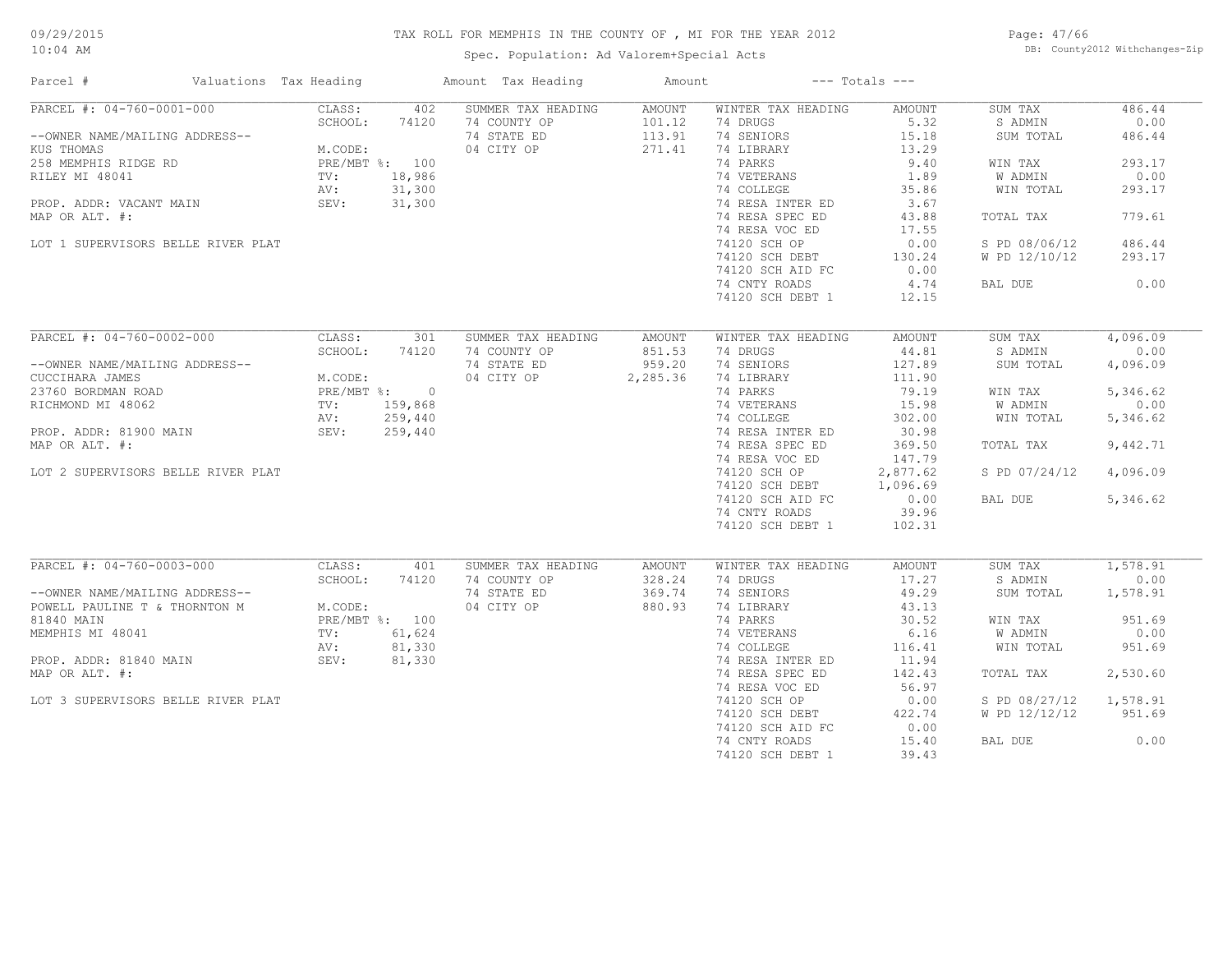Spec. Population: Ad Valorem+Special Acts

Page: 47/66 DB: County2012 Withchanges-Zip

| Parcel #                                                                                                            | Valuations Tax Heading                                                          | Amount Tax Heading                                              | Amount                                      |                                                                                       | $---$ Totals $---$                               |                                                              |                                            |
|---------------------------------------------------------------------------------------------------------------------|---------------------------------------------------------------------------------|-----------------------------------------------------------------|---------------------------------------------|---------------------------------------------------------------------------------------|--------------------------------------------------|--------------------------------------------------------------|--------------------------------------------|
| PARCEL #: 04-760-0001-000<br>--OWNER NAME/MAILING ADDRESS--<br>KUS THOMAS<br>258 MEMPHIS RIDGE RD<br>RILEY MI 48041 | CLASS:<br>402<br>SCHOOL:<br>74120<br>M.CODE:<br>PRE/MBT %: 100<br>TV:<br>18,986 | SUMMER TAX HEADING<br>74 COUNTY OP<br>74 STATE ED<br>04 CITY OP | <b>AMOUNT</b><br>101.12<br>113.91<br>271.41 | WINTER TAX HEADING<br>74 DRUGS<br>74 SENIORS<br>74 LIBRARY<br>74 PARKS<br>74 VETERANS | AMOUNT<br>5.32<br>15.18<br>13.29<br>9.40<br>1.89 | SUM TAX<br>S ADMIN<br>SUM TOTAL<br>WIN TAX<br><b>W ADMIN</b> | 486.44<br>0.00<br>486.44<br>293.17<br>0.00 |
| PROP. ADDR: VACANT MAIN<br>MAP OR ALT. #:                                                                           | 31,300<br>AV:<br>SEV:<br>31,300                                                 |                                                                 |                                             | 74 COLLEGE<br>74 RESA INTER ED<br>74 RESA SPEC ED                                     | 35.86<br>3.67<br>43.88                           | WIN TOTAL<br>TOTAL TAX                                       | 293.17<br>779.61                           |
| LOT 1 SUPERVISORS BELLE RIVER PLAT                                                                                  |                                                                                 |                                                                 |                                             | 74 RESA VOC ED<br>74120 SCH OP<br>74120 SCH DEBT                                      | 17.55<br>0.00<br>130.24                          | S PD 08/06/12<br>W PD 12/10/12                               | 486.44<br>293.17                           |
|                                                                                                                     |                                                                                 |                                                                 |                                             | 74120 SCH AID FC<br>74 CNTY ROADS<br>74120 SCH DEBT 1                                 | 0.00<br>4.74<br>12.15                            | BAL DUE                                                      | 0.00                                       |
| $\overline{\text{PARCH}}$ #: 04-760-0002-000                                                                        | CLASS:<br>301                                                                   | SUMMER TAX HEADING                                              | <b>AMOUNT</b>                               | WINTER TAX HEADING                                                                    | <b>AMOUNT</b>                                    | SUM TAX                                                      | 4,096.09                                   |
| --OWNER NAME/MAILING ADDRESS--<br>CUCCIHARA JAMES                                                                   | SCHOOL:<br>74120<br>M.CODE:                                                     | 74 COUNTY OP<br>74 STATE ED<br>04 CITY OP                       | 851.53<br>959.20<br>2,285.36                | 74 DRUGS<br>74 SENIORS<br>74 LIBRARY                                                  | 44.81<br>127.89<br>111.90                        | S ADMIN<br>SUM TOTAL                                         | 0.00<br>4,096.09                           |
| 23760 BORDMAN ROAD<br>RICHMOND MI 48062                                                                             | PRE/MBT %:<br>$\overline{0}$<br>TV:<br>159,868<br>AV:<br>259,440                |                                                                 |                                             | 74 PARKS<br>74 VETERANS<br>74 COLLEGE                                                 | 79.19<br>15.98<br>302.00                         | WIN TAX<br>W ADMIN<br>WIN TOTAL                              | 5,346.62<br>0.00<br>5,346.62               |
| PROP. ADDR: 81900 MAIN<br>MAP OR ALT. #:                                                                            | SEV:<br>259,440                                                                 |                                                                 |                                             | 74 RESA INTER ED<br>74 RESA SPEC ED                                                   | 30.98<br>369.50                                  | TOTAL TAX                                                    | 9,442.71                                   |
| LOT 2 SUPERVISORS BELLE RIVER PLAT                                                                                  |                                                                                 |                                                                 |                                             | 74 RESA VOC ED<br>74120 SCH OP<br>74120 SCH DEBT                                      | 147.79<br>2,877.62<br>1,096.69                   | S PD 07/24/12                                                | 4,096.09                                   |
|                                                                                                                     |                                                                                 |                                                                 |                                             | 74120 SCH AID FC<br>74 CNTY ROADS<br>74120 SCH DEBT 1                                 | 0.00<br>39.96<br>102.31                          | BAL DUE                                                      | 5,346.62                                   |
| PARCEL #: 04-760-0003-000                                                                                           | CLASS:<br>401                                                                   | SUMMER TAX HEADING                                              | <b>AMOUNT</b>                               | WINTER TAX HEADING                                                                    | <b>AMOUNT</b>                                    | SUM TAX                                                      | 1,578.91                                   |
| --OWNER NAME/MAILING ADDRESS--<br>POWELL PAULINE T & THORNTON M                                                     | SCHOOL:<br>74120<br>M.CODE:                                                     | 74 COUNTY OP<br>74 STATE ED<br>04 CITY OP                       | 328.24<br>369.74<br>880.93                  | 74 DRUGS<br>74 SENIORS<br>74 LIBRARY                                                  | 17.27<br>49.29<br>43.13                          | S ADMIN<br>SUM TOTAL                                         | 0.00<br>1,578.91                           |
| 81840 MAIN<br>MEMPHIS MI 48041                                                                                      | PRE/MBT %: 100<br>61,624<br>TV:                                                 |                                                                 |                                             | 74 PARKS<br>74 VETERANS<br>74 COLLEGE                                                 | 30.52<br>6.16                                    | WIN TAX<br>W ADMIN<br>WIN TOTAL                              | 951.69<br>0.00<br>951.69                   |
| PROP. ADDR: 81840 MAIN<br>MAP OR ALT. #:                                                                            | 81,330<br>AV:<br>SEV:<br>81,330                                                 |                                                                 |                                             | 74 RESA INTER ED<br>74 RESA SPEC ED                                                   | 116.41<br>11.94<br>142.43                        | TOTAL TAX                                                    | 2,530.60                                   |
| LOT 3 SUPERVISORS BELLE RIVER PLAT                                                                                  |                                                                                 |                                                                 |                                             | 74 RESA VOC ED<br>74120 SCH OP                                                        | 56.97<br>0.00                                    | S PD 08/27/12                                                | 1,578.91                                   |
|                                                                                                                     |                                                                                 |                                                                 |                                             | 74120 SCH DEBT<br>74120 SCH AID FC                                                    | 422.74<br>0.00                                   | W PD 12/12/12                                                | 951.69                                     |
|                                                                                                                     |                                                                                 |                                                                 |                                             | 74 CNTY ROADS<br>74120 SCH DEBT 1                                                     | 15.40<br>39.43                                   | BAL DUE                                                      | 0.00                                       |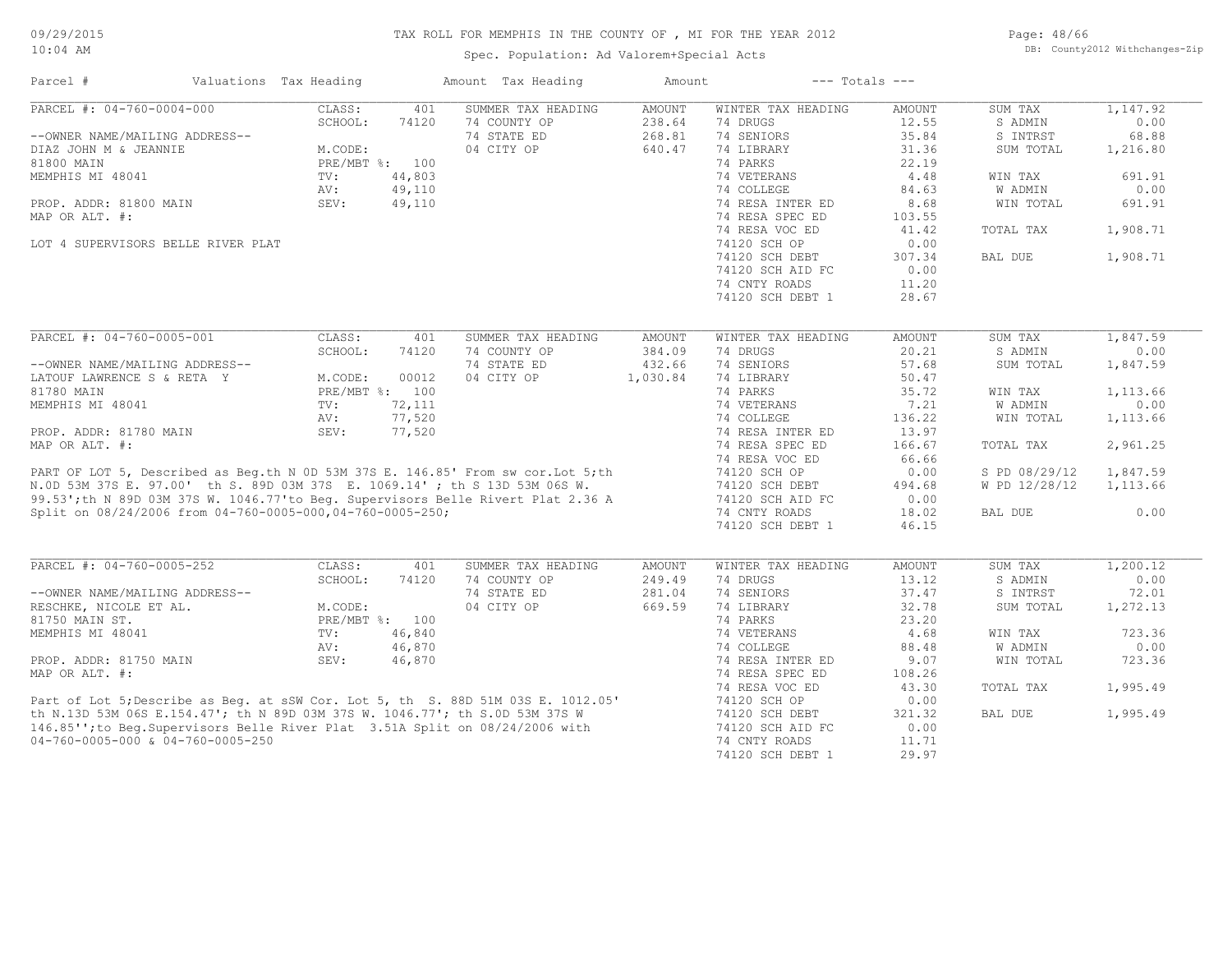Spec. Population: Ad Valorem+Special Acts

Page: 48/66 DB: County2012 Withchanges-Zip

| PARCEL #: 04-760-0004-000<br>CLASS:<br>401<br>SUMMER TAX HEADING<br><b>AMOUNT</b><br>WINTER TAX HEADING<br>1,147.92<br>AMOUNT<br>SUM TAX<br>74 COUNTY OP<br>74 DRUGS<br>12.55<br>0.00<br>SCHOOL:<br>74120<br>238.64<br>S ADMIN<br>35.84<br>74 STATE ED<br>268.81<br>74 SENIORS<br>S INTRST<br>68.88<br>--OWNER NAME/MAILING ADDRESS--<br>M.CODE:<br>04 CITY OP<br>640.47<br>74 LIBRARY<br>31.36<br>DIAZ JOHN M & JEANNIE<br>SUM TOTAL<br>1,216.80<br>74 PARKS<br>22.19<br>PRE/MBT %: 100<br>TV:<br>44,803<br>74 VETERANS<br>4.48<br>691.91<br>WIN TAX<br>49,110<br>74 COLLEGE<br>W ADMIN<br>AV:<br>84.63<br>0.00<br>PROP. ADDR: 81800 MAIN<br>SEV:<br>49,110<br>74 RESA INTER ED<br>8.68<br>WIN TOTAL<br>691.91<br>MAP OR ALT. #:<br>74 RESA SPEC ED<br>103.55<br>74 RESA VOC ED<br>41.42<br>1,908.71<br>TOTAL TAX<br>LOT 4 SUPERVISORS BELLE RIVER PLAT<br>74120 SCH OP<br>0.00<br>74120 SCH DEBT<br>307.34<br>BAL DUE<br>1,908.71<br>0.00<br>74120 SCH AID FC<br>74 CNTY ROADS<br>11.20<br>74120 SCH DEBT 1<br>28.67<br>PARCEL #: 04-760-0005-001<br>1,847.59<br>CLASS:<br>401<br>SUMMER TAX HEADING<br><b>AMOUNT</b><br>SUM TAX<br><b>AMOUNT</b><br>WINTER TAX HEADING<br>SCHOOL:<br>20.21<br>0.00<br>74120<br>74 COUNTY OP<br>384.09<br>74 DRUGS<br>S ADMIN<br>74 SENIORS<br>74 STATE ED<br>432.66<br>57.68<br>SUM TOTAL<br>1,847.59<br>--OWNER NAME/MAILING ADDRESS--<br>04 CITY OP<br>74 LIBRARY<br>50.47<br>M.CODE:<br>00012<br>1,030.84<br>LATOUF LAWRENCE S & RETA Y<br>81780 MAIN<br>PRE/MBT %: 100<br>74 PARKS<br>35.72<br>1,113.66<br>WIN TAX<br>MEMPHIS MI 48041<br>72,111<br>74 VETERANS<br>7.21<br>W ADMIN<br>0.00<br>TV:<br>AV:<br>77,520<br>74 COLLEGE<br>136.22<br>WIN TOTAL<br>1,113.66<br>74 RESA INTER ED<br>13.97<br>PROP. ADDR: 81780 MAIN<br>SEV:<br>77,520<br>2,961.25<br>MAP OR ALT. #:<br>74 RESA SPEC ED<br>166.67<br>TOTAL TAX<br>74 RESA VOC ED<br>66.66<br>PART OF LOT 5, Described as Beg.th N 0D 53M 37S E. 146.85' From sw cor.Lot 5;th<br>N.OD 53M 37S E. 97.00' th S. 89D 03M 37S E. 1069.14' ; th S 13D 53M 06S W.<br>99.53';th N 89D 03M 37S W. 1046.77'to Beg. Supervisors Belle Rivert<br>1,847.59<br>74120 SCH OP<br>0.00<br>S PD 08/29/12<br>74120 SCH DEBT<br>W PD 12/28/12<br>494.68<br>1,113.66<br>74120 SCH AID FC<br>0.00<br>Split on 08/24/2006 from 04-760-0005-000,04-760-0005-250;<br>74 CNTY ROADS<br>18.02<br>0.00<br>BAL DUE<br>74120 SCH DEBT 1<br>46.15<br>PARCEL #: 04-760-0005-252<br>CLASS:<br>1,200.12<br>401<br>SUMMER TAX HEADING<br>AMOUNT<br>WINTER TAX HEADING<br><b>AMOUNT</b><br>SUM TAX<br>0.00<br>SCHOOL:<br>74120<br>74 COUNTY OP<br>249.49<br>74 DRUGS<br>13.12<br>S ADMIN<br>74 STATE ED<br>74 SENIORS<br>--OWNER NAME/MAILING ADDRESS--<br>281.04<br>37.47<br>S INTRST<br>72.01<br>04 CITY OP<br>669.59<br>74 LIBRARY<br>32.78<br>SUM TOTAL<br>1,272.13<br>RESCHKE, NICOLE ET AL.<br>M.CODE:<br>74 PARKS<br>81750 MAIN ST.<br>PRE/MBT %: 100<br>23.20<br>TV:<br>46,840<br>74 VETERANS<br>4.68<br>723.36<br>MEMPHIS MI 48041<br>WIN TAX<br>88.48<br>0.00<br>AV:<br>46,870<br>74 COLLEGE<br>W ADMIN<br>723.36<br>PROP. ADDR: 81750 MAIN<br>SEV:<br>46,870<br>9.07<br>74 RESA INTER ED<br>WIN TOTAL<br>108.26<br>74 RESA SPEC ED<br>74 RESA VOC ED<br>43.30<br>TOTAL TAX<br>1,995.49<br>Part of Lot 5; Describe as Beg. at sSW Cor. Lot 5, th S. 88D 51M 03S E. 1012.05'<br>th N.13D 53M 06S E.154.47'; th N 89D 03M 37S W. 1046.77'; th S.0D 53M 37S W<br>146.85''; to Beg.Supervisors Belle River Plat 3.51A Split on 08/2<br>74120 SCH OP<br>0.00<br>321.32<br>1,995.49<br>74120 SCH DEBT<br>BAL DUE<br>74120 SCH AID FC<br>0.00<br>04-760-0005-000 & 04-760-0005-250<br>74 CNTY ROADS<br>11.71 | Parcel #         | Valuations Tax Heading |  | Amount Tax Heading | Amount |                  | $---$ Totals $---$ |  |
|--------------------------------------------------------------------------------------------------------------------------------------------------------------------------------------------------------------------------------------------------------------------------------------------------------------------------------------------------------------------------------------------------------------------------------------------------------------------------------------------------------------------------------------------------------------------------------------------------------------------------------------------------------------------------------------------------------------------------------------------------------------------------------------------------------------------------------------------------------------------------------------------------------------------------------------------------------------------------------------------------------------------------------------------------------------------------------------------------------------------------------------------------------------------------------------------------------------------------------------------------------------------------------------------------------------------------------------------------------------------------------------------------------------------------------------------------------------------------------------------------------------------------------------------------------------------------------------------------------------------------------------------------------------------------------------------------------------------------------------------------------------------------------------------------------------------------------------------------------------------------------------------------------------------------------------------------------------------------------------------------------------------------------------------------------------------------------------------------------------------------------------------------------------------------------------------------------------------------------------------------------------------------------------------------------------------------------------------------------------------------------------------------------------------------------------------------------------------------------------------------------------------------------------------------------------------------------------------------------------------------------------------------------------------------------------------------------------------------------------------------------------------------------------------------------------------------------------------------------------------------------------------------------------------------------------------------------------------------------------------------------------------------------------------------------------------------------------------------------------------------------------------------------------------------------------------------------------------------------------------------------------------------------------------------------------------------------------------------------------------------------------------------------------------------------------------------------------------------------------------------------------------------------------------------------------------------------------------------------------------------------------------------------------------------|------------------|------------------------|--|--------------------|--------|------------------|--------------------|--|
|                                                                                                                                                                                                                                                                                                                                                                                                                                                                                                                                                                                                                                                                                                                                                                                                                                                                                                                                                                                                                                                                                                                                                                                                                                                                                                                                                                                                                                                                                                                                                                                                                                                                                                                                                                                                                                                                                                                                                                                                                                                                                                                                                                                                                                                                                                                                                                                                                                                                                                                                                                                                                                                                                                                                                                                                                                                                                                                                                                                                                                                                                                                                                                                                                                                                                                                                                                                                                                                                                                                                                                                                                                                                          |                  |                        |  |                    |        |                  |                    |  |
|                                                                                                                                                                                                                                                                                                                                                                                                                                                                                                                                                                                                                                                                                                                                                                                                                                                                                                                                                                                                                                                                                                                                                                                                                                                                                                                                                                                                                                                                                                                                                                                                                                                                                                                                                                                                                                                                                                                                                                                                                                                                                                                                                                                                                                                                                                                                                                                                                                                                                                                                                                                                                                                                                                                                                                                                                                                                                                                                                                                                                                                                                                                                                                                                                                                                                                                                                                                                                                                                                                                                                                                                                                                                          |                  |                        |  |                    |        |                  |                    |  |
|                                                                                                                                                                                                                                                                                                                                                                                                                                                                                                                                                                                                                                                                                                                                                                                                                                                                                                                                                                                                                                                                                                                                                                                                                                                                                                                                                                                                                                                                                                                                                                                                                                                                                                                                                                                                                                                                                                                                                                                                                                                                                                                                                                                                                                                                                                                                                                                                                                                                                                                                                                                                                                                                                                                                                                                                                                                                                                                                                                                                                                                                                                                                                                                                                                                                                                                                                                                                                                                                                                                                                                                                                                                                          |                  |                        |  |                    |        |                  |                    |  |
|                                                                                                                                                                                                                                                                                                                                                                                                                                                                                                                                                                                                                                                                                                                                                                                                                                                                                                                                                                                                                                                                                                                                                                                                                                                                                                                                                                                                                                                                                                                                                                                                                                                                                                                                                                                                                                                                                                                                                                                                                                                                                                                                                                                                                                                                                                                                                                                                                                                                                                                                                                                                                                                                                                                                                                                                                                                                                                                                                                                                                                                                                                                                                                                                                                                                                                                                                                                                                                                                                                                                                                                                                                                                          |                  |                        |  |                    |        |                  |                    |  |
|                                                                                                                                                                                                                                                                                                                                                                                                                                                                                                                                                                                                                                                                                                                                                                                                                                                                                                                                                                                                                                                                                                                                                                                                                                                                                                                                                                                                                                                                                                                                                                                                                                                                                                                                                                                                                                                                                                                                                                                                                                                                                                                                                                                                                                                                                                                                                                                                                                                                                                                                                                                                                                                                                                                                                                                                                                                                                                                                                                                                                                                                                                                                                                                                                                                                                                                                                                                                                                                                                                                                                                                                                                                                          | 81800 MAIN       |                        |  |                    |        |                  |                    |  |
|                                                                                                                                                                                                                                                                                                                                                                                                                                                                                                                                                                                                                                                                                                                                                                                                                                                                                                                                                                                                                                                                                                                                                                                                                                                                                                                                                                                                                                                                                                                                                                                                                                                                                                                                                                                                                                                                                                                                                                                                                                                                                                                                                                                                                                                                                                                                                                                                                                                                                                                                                                                                                                                                                                                                                                                                                                                                                                                                                                                                                                                                                                                                                                                                                                                                                                                                                                                                                                                                                                                                                                                                                                                                          | MEMPHIS MI 48041 |                        |  |                    |        |                  |                    |  |
|                                                                                                                                                                                                                                                                                                                                                                                                                                                                                                                                                                                                                                                                                                                                                                                                                                                                                                                                                                                                                                                                                                                                                                                                                                                                                                                                                                                                                                                                                                                                                                                                                                                                                                                                                                                                                                                                                                                                                                                                                                                                                                                                                                                                                                                                                                                                                                                                                                                                                                                                                                                                                                                                                                                                                                                                                                                                                                                                                                                                                                                                                                                                                                                                                                                                                                                                                                                                                                                                                                                                                                                                                                                                          |                  |                        |  |                    |        |                  |                    |  |
|                                                                                                                                                                                                                                                                                                                                                                                                                                                                                                                                                                                                                                                                                                                                                                                                                                                                                                                                                                                                                                                                                                                                                                                                                                                                                                                                                                                                                                                                                                                                                                                                                                                                                                                                                                                                                                                                                                                                                                                                                                                                                                                                                                                                                                                                                                                                                                                                                                                                                                                                                                                                                                                                                                                                                                                                                                                                                                                                                                                                                                                                                                                                                                                                                                                                                                                                                                                                                                                                                                                                                                                                                                                                          |                  |                        |  |                    |        |                  |                    |  |
|                                                                                                                                                                                                                                                                                                                                                                                                                                                                                                                                                                                                                                                                                                                                                                                                                                                                                                                                                                                                                                                                                                                                                                                                                                                                                                                                                                                                                                                                                                                                                                                                                                                                                                                                                                                                                                                                                                                                                                                                                                                                                                                                                                                                                                                                                                                                                                                                                                                                                                                                                                                                                                                                                                                                                                                                                                                                                                                                                                                                                                                                                                                                                                                                                                                                                                                                                                                                                                                                                                                                                                                                                                                                          |                  |                        |  |                    |        |                  |                    |  |
|                                                                                                                                                                                                                                                                                                                                                                                                                                                                                                                                                                                                                                                                                                                                                                                                                                                                                                                                                                                                                                                                                                                                                                                                                                                                                                                                                                                                                                                                                                                                                                                                                                                                                                                                                                                                                                                                                                                                                                                                                                                                                                                                                                                                                                                                                                                                                                                                                                                                                                                                                                                                                                                                                                                                                                                                                                                                                                                                                                                                                                                                                                                                                                                                                                                                                                                                                                                                                                                                                                                                                                                                                                                                          |                  |                        |  |                    |        |                  |                    |  |
|                                                                                                                                                                                                                                                                                                                                                                                                                                                                                                                                                                                                                                                                                                                                                                                                                                                                                                                                                                                                                                                                                                                                                                                                                                                                                                                                                                                                                                                                                                                                                                                                                                                                                                                                                                                                                                                                                                                                                                                                                                                                                                                                                                                                                                                                                                                                                                                                                                                                                                                                                                                                                                                                                                                                                                                                                                                                                                                                                                                                                                                                                                                                                                                                                                                                                                                                                                                                                                                                                                                                                                                                                                                                          |                  |                        |  |                    |        |                  |                    |  |
|                                                                                                                                                                                                                                                                                                                                                                                                                                                                                                                                                                                                                                                                                                                                                                                                                                                                                                                                                                                                                                                                                                                                                                                                                                                                                                                                                                                                                                                                                                                                                                                                                                                                                                                                                                                                                                                                                                                                                                                                                                                                                                                                                                                                                                                                                                                                                                                                                                                                                                                                                                                                                                                                                                                                                                                                                                                                                                                                                                                                                                                                                                                                                                                                                                                                                                                                                                                                                                                                                                                                                                                                                                                                          |                  |                        |  |                    |        |                  |                    |  |
|                                                                                                                                                                                                                                                                                                                                                                                                                                                                                                                                                                                                                                                                                                                                                                                                                                                                                                                                                                                                                                                                                                                                                                                                                                                                                                                                                                                                                                                                                                                                                                                                                                                                                                                                                                                                                                                                                                                                                                                                                                                                                                                                                                                                                                                                                                                                                                                                                                                                                                                                                                                                                                                                                                                                                                                                                                                                                                                                                                                                                                                                                                                                                                                                                                                                                                                                                                                                                                                                                                                                                                                                                                                                          |                  |                        |  |                    |        |                  |                    |  |
|                                                                                                                                                                                                                                                                                                                                                                                                                                                                                                                                                                                                                                                                                                                                                                                                                                                                                                                                                                                                                                                                                                                                                                                                                                                                                                                                                                                                                                                                                                                                                                                                                                                                                                                                                                                                                                                                                                                                                                                                                                                                                                                                                                                                                                                                                                                                                                                                                                                                                                                                                                                                                                                                                                                                                                                                                                                                                                                                                                                                                                                                                                                                                                                                                                                                                                                                                                                                                                                                                                                                                                                                                                                                          |                  |                        |  |                    |        |                  |                    |  |
|                                                                                                                                                                                                                                                                                                                                                                                                                                                                                                                                                                                                                                                                                                                                                                                                                                                                                                                                                                                                                                                                                                                                                                                                                                                                                                                                                                                                                                                                                                                                                                                                                                                                                                                                                                                                                                                                                                                                                                                                                                                                                                                                                                                                                                                                                                                                                                                                                                                                                                                                                                                                                                                                                                                                                                                                                                                                                                                                                                                                                                                                                                                                                                                                                                                                                                                                                                                                                                                                                                                                                                                                                                                                          |                  |                        |  |                    |        |                  |                    |  |
|                                                                                                                                                                                                                                                                                                                                                                                                                                                                                                                                                                                                                                                                                                                                                                                                                                                                                                                                                                                                                                                                                                                                                                                                                                                                                                                                                                                                                                                                                                                                                                                                                                                                                                                                                                                                                                                                                                                                                                                                                                                                                                                                                                                                                                                                                                                                                                                                                                                                                                                                                                                                                                                                                                                                                                                                                                                                                                                                                                                                                                                                                                                                                                                                                                                                                                                                                                                                                                                                                                                                                                                                                                                                          |                  |                        |  |                    |        |                  |                    |  |
|                                                                                                                                                                                                                                                                                                                                                                                                                                                                                                                                                                                                                                                                                                                                                                                                                                                                                                                                                                                                                                                                                                                                                                                                                                                                                                                                                                                                                                                                                                                                                                                                                                                                                                                                                                                                                                                                                                                                                                                                                                                                                                                                                                                                                                                                                                                                                                                                                                                                                                                                                                                                                                                                                                                                                                                                                                                                                                                                                                                                                                                                                                                                                                                                                                                                                                                                                                                                                                                                                                                                                                                                                                                                          |                  |                        |  |                    |        |                  |                    |  |
|                                                                                                                                                                                                                                                                                                                                                                                                                                                                                                                                                                                                                                                                                                                                                                                                                                                                                                                                                                                                                                                                                                                                                                                                                                                                                                                                                                                                                                                                                                                                                                                                                                                                                                                                                                                                                                                                                                                                                                                                                                                                                                                                                                                                                                                                                                                                                                                                                                                                                                                                                                                                                                                                                                                                                                                                                                                                                                                                                                                                                                                                                                                                                                                                                                                                                                                                                                                                                                                                                                                                                                                                                                                                          |                  |                        |  |                    |        |                  |                    |  |
|                                                                                                                                                                                                                                                                                                                                                                                                                                                                                                                                                                                                                                                                                                                                                                                                                                                                                                                                                                                                                                                                                                                                                                                                                                                                                                                                                                                                                                                                                                                                                                                                                                                                                                                                                                                                                                                                                                                                                                                                                                                                                                                                                                                                                                                                                                                                                                                                                                                                                                                                                                                                                                                                                                                                                                                                                                                                                                                                                                                                                                                                                                                                                                                                                                                                                                                                                                                                                                                                                                                                                                                                                                                                          |                  |                        |  |                    |        |                  |                    |  |
|                                                                                                                                                                                                                                                                                                                                                                                                                                                                                                                                                                                                                                                                                                                                                                                                                                                                                                                                                                                                                                                                                                                                                                                                                                                                                                                                                                                                                                                                                                                                                                                                                                                                                                                                                                                                                                                                                                                                                                                                                                                                                                                                                                                                                                                                                                                                                                                                                                                                                                                                                                                                                                                                                                                                                                                                                                                                                                                                                                                                                                                                                                                                                                                                                                                                                                                                                                                                                                                                                                                                                                                                                                                                          |                  |                        |  |                    |        |                  |                    |  |
|                                                                                                                                                                                                                                                                                                                                                                                                                                                                                                                                                                                                                                                                                                                                                                                                                                                                                                                                                                                                                                                                                                                                                                                                                                                                                                                                                                                                                                                                                                                                                                                                                                                                                                                                                                                                                                                                                                                                                                                                                                                                                                                                                                                                                                                                                                                                                                                                                                                                                                                                                                                                                                                                                                                                                                                                                                                                                                                                                                                                                                                                                                                                                                                                                                                                                                                                                                                                                                                                                                                                                                                                                                                                          |                  |                        |  |                    |        |                  |                    |  |
|                                                                                                                                                                                                                                                                                                                                                                                                                                                                                                                                                                                                                                                                                                                                                                                                                                                                                                                                                                                                                                                                                                                                                                                                                                                                                                                                                                                                                                                                                                                                                                                                                                                                                                                                                                                                                                                                                                                                                                                                                                                                                                                                                                                                                                                                                                                                                                                                                                                                                                                                                                                                                                                                                                                                                                                                                                                                                                                                                                                                                                                                                                                                                                                                                                                                                                                                                                                                                                                                                                                                                                                                                                                                          |                  |                        |  |                    |        |                  |                    |  |
|                                                                                                                                                                                                                                                                                                                                                                                                                                                                                                                                                                                                                                                                                                                                                                                                                                                                                                                                                                                                                                                                                                                                                                                                                                                                                                                                                                                                                                                                                                                                                                                                                                                                                                                                                                                                                                                                                                                                                                                                                                                                                                                                                                                                                                                                                                                                                                                                                                                                                                                                                                                                                                                                                                                                                                                                                                                                                                                                                                                                                                                                                                                                                                                                                                                                                                                                                                                                                                                                                                                                                                                                                                                                          |                  |                        |  |                    |        |                  |                    |  |
|                                                                                                                                                                                                                                                                                                                                                                                                                                                                                                                                                                                                                                                                                                                                                                                                                                                                                                                                                                                                                                                                                                                                                                                                                                                                                                                                                                                                                                                                                                                                                                                                                                                                                                                                                                                                                                                                                                                                                                                                                                                                                                                                                                                                                                                                                                                                                                                                                                                                                                                                                                                                                                                                                                                                                                                                                                                                                                                                                                                                                                                                                                                                                                                                                                                                                                                                                                                                                                                                                                                                                                                                                                                                          |                  |                        |  |                    |        |                  |                    |  |
|                                                                                                                                                                                                                                                                                                                                                                                                                                                                                                                                                                                                                                                                                                                                                                                                                                                                                                                                                                                                                                                                                                                                                                                                                                                                                                                                                                                                                                                                                                                                                                                                                                                                                                                                                                                                                                                                                                                                                                                                                                                                                                                                                                                                                                                                                                                                                                                                                                                                                                                                                                                                                                                                                                                                                                                                                                                                                                                                                                                                                                                                                                                                                                                                                                                                                                                                                                                                                                                                                                                                                                                                                                                                          |                  |                        |  |                    |        |                  |                    |  |
|                                                                                                                                                                                                                                                                                                                                                                                                                                                                                                                                                                                                                                                                                                                                                                                                                                                                                                                                                                                                                                                                                                                                                                                                                                                                                                                                                                                                                                                                                                                                                                                                                                                                                                                                                                                                                                                                                                                                                                                                                                                                                                                                                                                                                                                                                                                                                                                                                                                                                                                                                                                                                                                                                                                                                                                                                                                                                                                                                                                                                                                                                                                                                                                                                                                                                                                                                                                                                                                                                                                                                                                                                                                                          |                  |                        |  |                    |        |                  |                    |  |
|                                                                                                                                                                                                                                                                                                                                                                                                                                                                                                                                                                                                                                                                                                                                                                                                                                                                                                                                                                                                                                                                                                                                                                                                                                                                                                                                                                                                                                                                                                                                                                                                                                                                                                                                                                                                                                                                                                                                                                                                                                                                                                                                                                                                                                                                                                                                                                                                                                                                                                                                                                                                                                                                                                                                                                                                                                                                                                                                                                                                                                                                                                                                                                                                                                                                                                                                                                                                                                                                                                                                                                                                                                                                          |                  |                        |  |                    |        |                  |                    |  |
|                                                                                                                                                                                                                                                                                                                                                                                                                                                                                                                                                                                                                                                                                                                                                                                                                                                                                                                                                                                                                                                                                                                                                                                                                                                                                                                                                                                                                                                                                                                                                                                                                                                                                                                                                                                                                                                                                                                                                                                                                                                                                                                                                                                                                                                                                                                                                                                                                                                                                                                                                                                                                                                                                                                                                                                                                                                                                                                                                                                                                                                                                                                                                                                                                                                                                                                                                                                                                                                                                                                                                                                                                                                                          |                  |                        |  |                    |        |                  |                    |  |
|                                                                                                                                                                                                                                                                                                                                                                                                                                                                                                                                                                                                                                                                                                                                                                                                                                                                                                                                                                                                                                                                                                                                                                                                                                                                                                                                                                                                                                                                                                                                                                                                                                                                                                                                                                                                                                                                                                                                                                                                                                                                                                                                                                                                                                                                                                                                                                                                                                                                                                                                                                                                                                                                                                                                                                                                                                                                                                                                                                                                                                                                                                                                                                                                                                                                                                                                                                                                                                                                                                                                                                                                                                                                          |                  |                        |  |                    |        |                  |                    |  |
|                                                                                                                                                                                                                                                                                                                                                                                                                                                                                                                                                                                                                                                                                                                                                                                                                                                                                                                                                                                                                                                                                                                                                                                                                                                                                                                                                                                                                                                                                                                                                                                                                                                                                                                                                                                                                                                                                                                                                                                                                                                                                                                                                                                                                                                                                                                                                                                                                                                                                                                                                                                                                                                                                                                                                                                                                                                                                                                                                                                                                                                                                                                                                                                                                                                                                                                                                                                                                                                                                                                                                                                                                                                                          |                  |                        |  |                    |        |                  |                    |  |
|                                                                                                                                                                                                                                                                                                                                                                                                                                                                                                                                                                                                                                                                                                                                                                                                                                                                                                                                                                                                                                                                                                                                                                                                                                                                                                                                                                                                                                                                                                                                                                                                                                                                                                                                                                                                                                                                                                                                                                                                                                                                                                                                                                                                                                                                                                                                                                                                                                                                                                                                                                                                                                                                                                                                                                                                                                                                                                                                                                                                                                                                                                                                                                                                                                                                                                                                                                                                                                                                                                                                                                                                                                                                          |                  |                        |  |                    |        |                  |                    |  |
|                                                                                                                                                                                                                                                                                                                                                                                                                                                                                                                                                                                                                                                                                                                                                                                                                                                                                                                                                                                                                                                                                                                                                                                                                                                                                                                                                                                                                                                                                                                                                                                                                                                                                                                                                                                                                                                                                                                                                                                                                                                                                                                                                                                                                                                                                                                                                                                                                                                                                                                                                                                                                                                                                                                                                                                                                                                                                                                                                                                                                                                                                                                                                                                                                                                                                                                                                                                                                                                                                                                                                                                                                                                                          |                  |                        |  |                    |        |                  |                    |  |
|                                                                                                                                                                                                                                                                                                                                                                                                                                                                                                                                                                                                                                                                                                                                                                                                                                                                                                                                                                                                                                                                                                                                                                                                                                                                                                                                                                                                                                                                                                                                                                                                                                                                                                                                                                                                                                                                                                                                                                                                                                                                                                                                                                                                                                                                                                                                                                                                                                                                                                                                                                                                                                                                                                                                                                                                                                                                                                                                                                                                                                                                                                                                                                                                                                                                                                                                                                                                                                                                                                                                                                                                                                                                          |                  |                        |  |                    |        |                  |                    |  |
|                                                                                                                                                                                                                                                                                                                                                                                                                                                                                                                                                                                                                                                                                                                                                                                                                                                                                                                                                                                                                                                                                                                                                                                                                                                                                                                                                                                                                                                                                                                                                                                                                                                                                                                                                                                                                                                                                                                                                                                                                                                                                                                                                                                                                                                                                                                                                                                                                                                                                                                                                                                                                                                                                                                                                                                                                                                                                                                                                                                                                                                                                                                                                                                                                                                                                                                                                                                                                                                                                                                                                                                                                                                                          |                  |                        |  |                    |        |                  |                    |  |
|                                                                                                                                                                                                                                                                                                                                                                                                                                                                                                                                                                                                                                                                                                                                                                                                                                                                                                                                                                                                                                                                                                                                                                                                                                                                                                                                                                                                                                                                                                                                                                                                                                                                                                                                                                                                                                                                                                                                                                                                                                                                                                                                                                                                                                                                                                                                                                                                                                                                                                                                                                                                                                                                                                                                                                                                                                                                                                                                                                                                                                                                                                                                                                                                                                                                                                                                                                                                                                                                                                                                                                                                                                                                          |                  |                        |  |                    |        |                  |                    |  |
|                                                                                                                                                                                                                                                                                                                                                                                                                                                                                                                                                                                                                                                                                                                                                                                                                                                                                                                                                                                                                                                                                                                                                                                                                                                                                                                                                                                                                                                                                                                                                                                                                                                                                                                                                                                                                                                                                                                                                                                                                                                                                                                                                                                                                                                                                                                                                                                                                                                                                                                                                                                                                                                                                                                                                                                                                                                                                                                                                                                                                                                                                                                                                                                                                                                                                                                                                                                                                                                                                                                                                                                                                                                                          |                  |                        |  |                    |        |                  |                    |  |
|                                                                                                                                                                                                                                                                                                                                                                                                                                                                                                                                                                                                                                                                                                                                                                                                                                                                                                                                                                                                                                                                                                                                                                                                                                                                                                                                                                                                                                                                                                                                                                                                                                                                                                                                                                                                                                                                                                                                                                                                                                                                                                                                                                                                                                                                                                                                                                                                                                                                                                                                                                                                                                                                                                                                                                                                                                                                                                                                                                                                                                                                                                                                                                                                                                                                                                                                                                                                                                                                                                                                                                                                                                                                          |                  |                        |  |                    |        |                  |                    |  |
|                                                                                                                                                                                                                                                                                                                                                                                                                                                                                                                                                                                                                                                                                                                                                                                                                                                                                                                                                                                                                                                                                                                                                                                                                                                                                                                                                                                                                                                                                                                                                                                                                                                                                                                                                                                                                                                                                                                                                                                                                                                                                                                                                                                                                                                                                                                                                                                                                                                                                                                                                                                                                                                                                                                                                                                                                                                                                                                                                                                                                                                                                                                                                                                                                                                                                                                                                                                                                                                                                                                                                                                                                                                                          |                  |                        |  |                    |        |                  |                    |  |
|                                                                                                                                                                                                                                                                                                                                                                                                                                                                                                                                                                                                                                                                                                                                                                                                                                                                                                                                                                                                                                                                                                                                                                                                                                                                                                                                                                                                                                                                                                                                                                                                                                                                                                                                                                                                                                                                                                                                                                                                                                                                                                                                                                                                                                                                                                                                                                                                                                                                                                                                                                                                                                                                                                                                                                                                                                                                                                                                                                                                                                                                                                                                                                                                                                                                                                                                                                                                                                                                                                                                                                                                                                                                          |                  |                        |  |                    |        |                  |                    |  |
|                                                                                                                                                                                                                                                                                                                                                                                                                                                                                                                                                                                                                                                                                                                                                                                                                                                                                                                                                                                                                                                                                                                                                                                                                                                                                                                                                                                                                                                                                                                                                                                                                                                                                                                                                                                                                                                                                                                                                                                                                                                                                                                                                                                                                                                                                                                                                                                                                                                                                                                                                                                                                                                                                                                                                                                                                                                                                                                                                                                                                                                                                                                                                                                                                                                                                                                                                                                                                                                                                                                                                                                                                                                                          |                  |                        |  |                    |        |                  |                    |  |
|                                                                                                                                                                                                                                                                                                                                                                                                                                                                                                                                                                                                                                                                                                                                                                                                                                                                                                                                                                                                                                                                                                                                                                                                                                                                                                                                                                                                                                                                                                                                                                                                                                                                                                                                                                                                                                                                                                                                                                                                                                                                                                                                                                                                                                                                                                                                                                                                                                                                                                                                                                                                                                                                                                                                                                                                                                                                                                                                                                                                                                                                                                                                                                                                                                                                                                                                                                                                                                                                                                                                                                                                                                                                          |                  |                        |  |                    |        |                  |                    |  |
|                                                                                                                                                                                                                                                                                                                                                                                                                                                                                                                                                                                                                                                                                                                                                                                                                                                                                                                                                                                                                                                                                                                                                                                                                                                                                                                                                                                                                                                                                                                                                                                                                                                                                                                                                                                                                                                                                                                                                                                                                                                                                                                                                                                                                                                                                                                                                                                                                                                                                                                                                                                                                                                                                                                                                                                                                                                                                                                                                                                                                                                                                                                                                                                                                                                                                                                                                                                                                                                                                                                                                                                                                                                                          | MAP OR ALT. #:   |                        |  |                    |        |                  |                    |  |
|                                                                                                                                                                                                                                                                                                                                                                                                                                                                                                                                                                                                                                                                                                                                                                                                                                                                                                                                                                                                                                                                                                                                                                                                                                                                                                                                                                                                                                                                                                                                                                                                                                                                                                                                                                                                                                                                                                                                                                                                                                                                                                                                                                                                                                                                                                                                                                                                                                                                                                                                                                                                                                                                                                                                                                                                                                                                                                                                                                                                                                                                                                                                                                                                                                                                                                                                                                                                                                                                                                                                                                                                                                                                          |                  |                        |  |                    |        |                  |                    |  |
|                                                                                                                                                                                                                                                                                                                                                                                                                                                                                                                                                                                                                                                                                                                                                                                                                                                                                                                                                                                                                                                                                                                                                                                                                                                                                                                                                                                                                                                                                                                                                                                                                                                                                                                                                                                                                                                                                                                                                                                                                                                                                                                                                                                                                                                                                                                                                                                                                                                                                                                                                                                                                                                                                                                                                                                                                                                                                                                                                                                                                                                                                                                                                                                                                                                                                                                                                                                                                                                                                                                                                                                                                                                                          |                  |                        |  |                    |        |                  |                    |  |
|                                                                                                                                                                                                                                                                                                                                                                                                                                                                                                                                                                                                                                                                                                                                                                                                                                                                                                                                                                                                                                                                                                                                                                                                                                                                                                                                                                                                                                                                                                                                                                                                                                                                                                                                                                                                                                                                                                                                                                                                                                                                                                                                                                                                                                                                                                                                                                                                                                                                                                                                                                                                                                                                                                                                                                                                                                                                                                                                                                                                                                                                                                                                                                                                                                                                                                                                                                                                                                                                                                                                                                                                                                                                          |                  |                        |  |                    |        |                  |                    |  |
|                                                                                                                                                                                                                                                                                                                                                                                                                                                                                                                                                                                                                                                                                                                                                                                                                                                                                                                                                                                                                                                                                                                                                                                                                                                                                                                                                                                                                                                                                                                                                                                                                                                                                                                                                                                                                                                                                                                                                                                                                                                                                                                                                                                                                                                                                                                                                                                                                                                                                                                                                                                                                                                                                                                                                                                                                                                                                                                                                                                                                                                                                                                                                                                                                                                                                                                                                                                                                                                                                                                                                                                                                                                                          |                  |                        |  |                    |        |                  |                    |  |
|                                                                                                                                                                                                                                                                                                                                                                                                                                                                                                                                                                                                                                                                                                                                                                                                                                                                                                                                                                                                                                                                                                                                                                                                                                                                                                                                                                                                                                                                                                                                                                                                                                                                                                                                                                                                                                                                                                                                                                                                                                                                                                                                                                                                                                                                                                                                                                                                                                                                                                                                                                                                                                                                                                                                                                                                                                                                                                                                                                                                                                                                                                                                                                                                                                                                                                                                                                                                                                                                                                                                                                                                                                                                          |                  |                        |  |                    |        |                  |                    |  |
|                                                                                                                                                                                                                                                                                                                                                                                                                                                                                                                                                                                                                                                                                                                                                                                                                                                                                                                                                                                                                                                                                                                                                                                                                                                                                                                                                                                                                                                                                                                                                                                                                                                                                                                                                                                                                                                                                                                                                                                                                                                                                                                                                                                                                                                                                                                                                                                                                                                                                                                                                                                                                                                                                                                                                                                                                                                                                                                                                                                                                                                                                                                                                                                                                                                                                                                                                                                                                                                                                                                                                                                                                                                                          |                  |                        |  |                    |        | 74120 SCH DEBT 1 | 29.97              |  |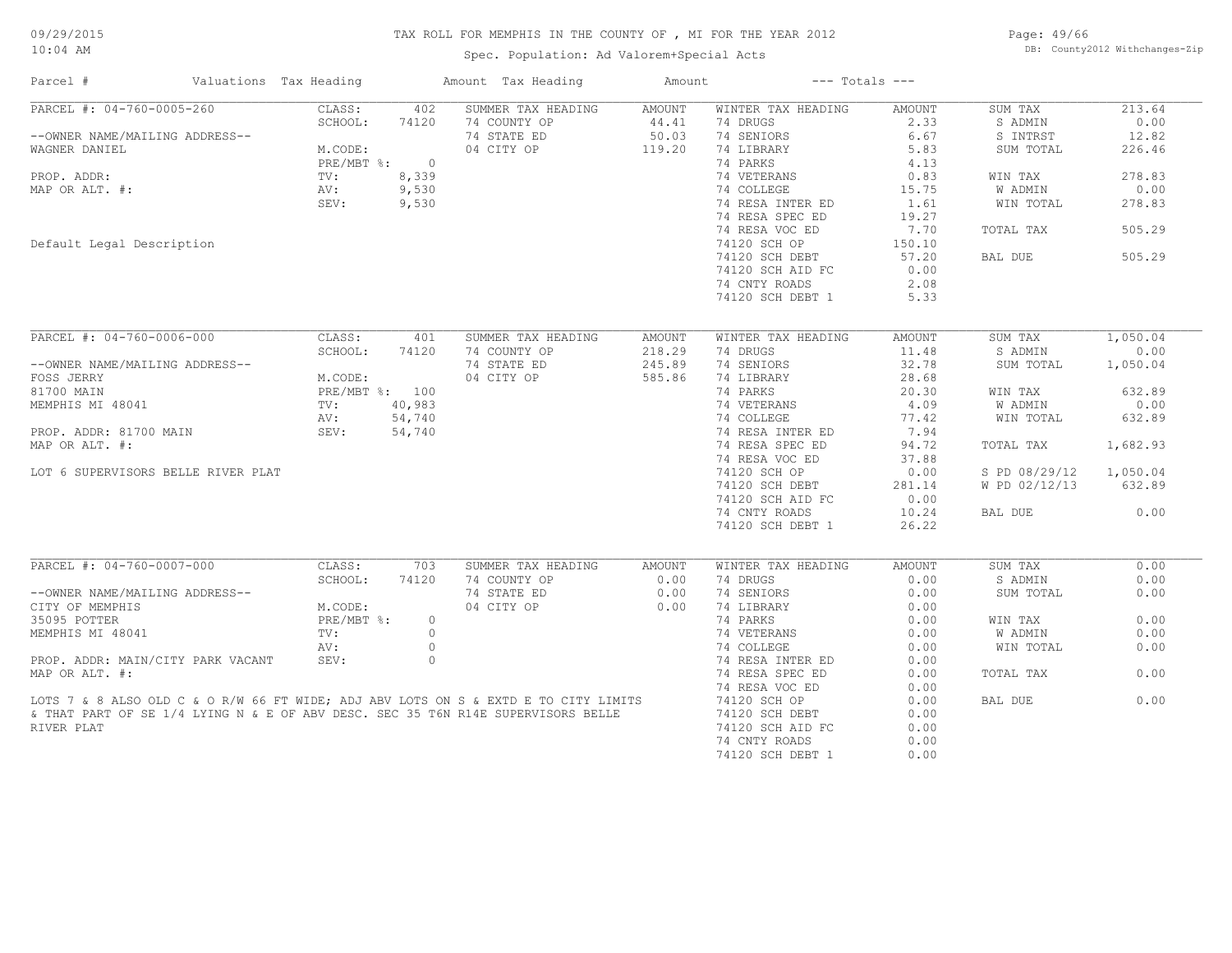Spec. Population: Ad Valorem+Special Acts

Page: 49/66 DB: County2012 Withchanges-Zip

| Parcel #<br>Valuations Tax Heading                                                  |                |          | Amount Tax Heading | Amount        | $---$ Totals $---$ |               |               |          |
|-------------------------------------------------------------------------------------|----------------|----------|--------------------|---------------|--------------------|---------------|---------------|----------|
| PARCEL #: 04-760-0005-260                                                           | CLASS:         | 402      | SUMMER TAX HEADING | AMOUNT        | WINTER TAX HEADING | <b>AMOUNT</b> | SUM TAX       | 213.64   |
|                                                                                     | SCHOOL:        | 74120    | 74 COUNTY OP       | 44.41         | 74 DRUGS           | 2.33          | S ADMIN       | 0.00     |
| --OWNER NAME/MAILING ADDRESS--                                                      |                |          | 74 STATE ED        | 50.03         | 74 SENIORS         | 6.67          | S INTRST      | 12.82    |
| WAGNER DANIEL                                                                       | M.CODE:        |          | 04 CITY OP         | 119.20        | 74 LIBRARY         | 5.83          | SUM TOTAL     | 226.46   |
|                                                                                     | $PRE/MBT$ %:   | $\Omega$ |                    |               | 74 PARKS           | 4.13          |               |          |
| PROP. ADDR:                                                                         | TV:            | 8,339    |                    |               | 74 VETERANS        | 0.83          | WIN TAX       | 278.83   |
| MAP OR ALT. #:                                                                      | AV:            | 9,530    |                    |               | 74 COLLEGE         | 15.75         | W ADMIN       | 0.00     |
|                                                                                     | SEV:           | 9,530    |                    |               | 74 RESA INTER ED   | 1.61          | WIN TOTAL     | 278.83   |
|                                                                                     |                |          |                    |               | 74 RESA SPEC ED    | 19.27         |               |          |
|                                                                                     |                |          |                    |               | 74 RESA VOC ED     | 7.70          | TOTAL TAX     | 505.29   |
| Default Legal Description                                                           |                |          |                    |               | 74120 SCH OP       | 150.10        |               |          |
|                                                                                     |                |          |                    |               | 74120 SCH DEBT     | 57.20         | BAL DUE       | 505.29   |
|                                                                                     |                |          |                    |               |                    |               |               |          |
|                                                                                     |                |          |                    |               | 74120 SCH AID FC   | 0.00          |               |          |
|                                                                                     |                |          |                    |               | 74 CNTY ROADS      | 2.08          |               |          |
|                                                                                     |                |          |                    |               | 74120 SCH DEBT 1   | 5.33          |               |          |
|                                                                                     |                |          |                    |               |                    |               |               |          |
| PARCEL #: 04-760-0006-000                                                           | CLASS:         | 401      | SUMMER TAX HEADING | <b>AMOUNT</b> | WINTER TAX HEADING | <b>AMOUNT</b> | SUM TAX       | 1,050.04 |
|                                                                                     | SCHOOL:        | 74120    | 74 COUNTY OP       | 218.29        | 74 DRUGS           | 11.48         | S ADMIN       | 0.00     |
| --OWNER NAME/MAILING ADDRESS--                                                      |                |          | 74 STATE ED        | 245.89        | 74 SENIORS         | 32.78         | SUM TOTAL     | 1,050.04 |
| FOSS JERRY                                                                          | M.CODE:        |          | 04 CITY OP         | 585.86        | 74 LIBRARY         | 28.68         |               |          |
| 81700 MAIN                                                                          | PRE/MBT %: 100 |          |                    |               | 74 PARKS           | 20.30         | WIN TAX       | 632.89   |
| MEMPHIS MI 48041                                                                    | TV:            | 40,983   |                    |               | 74 VETERANS        | 4.09          | W ADMIN       | 0.00     |
|                                                                                     | AV:            | 54,740   |                    |               | 74 COLLEGE         | 77.42         | WIN TOTAL     | 632.89   |
| PROP. ADDR: 81700 MAIN                                                              | SEV:           | 54,740   |                    |               | 74 RESA INTER ED   | 7.94          |               |          |
| MAP OR ALT. #:                                                                      |                |          |                    |               | 74 RESA SPEC ED    | 94.72         | TOTAL TAX     | 1,682.93 |
|                                                                                     |                |          |                    |               | 74 RESA VOC ED     | 37.88         |               |          |
| LOT 6 SUPERVISORS BELLE RIVER PLAT                                                  |                |          |                    |               | 74120 SCH OP       | 0.00          | S PD 08/29/12 | 1,050.04 |
|                                                                                     |                |          |                    |               | 74120 SCH DEBT     | 281.14        | W PD 02/12/13 | 632.89   |
|                                                                                     |                |          |                    |               |                    |               |               |          |
|                                                                                     |                |          |                    |               | 74120 SCH AID FC   | 0.00          |               |          |
|                                                                                     |                |          |                    |               | 74 CNTY ROADS      | 10.24         | BAL DUE       | 0.00     |
|                                                                                     |                |          |                    |               | 74120 SCH DEBT 1   | 26.22         |               |          |
|                                                                                     |                |          |                    |               |                    |               |               |          |
| PARCEL #: 04-760-0007-000                                                           | CLASS:         | 703      | SUMMER TAX HEADING | <b>AMOUNT</b> | WINTER TAX HEADING | <b>AMOUNT</b> | SUM TAX       | 0.00     |
|                                                                                     | SCHOOL:        | 74120    | 74 COUNTY OP       | 0.00          | 74 DRUGS           | 0.00          | S ADMIN       | 0.00     |
| --OWNER NAME/MAILING ADDRESS--                                                      |                |          | 74 STATE ED        | 0.00          | 74 SENIORS         | 0.00          | SUM TOTAL     | 0.00     |
| CITY OF MEMPHIS                                                                     | M.CODE:        |          | 04 CITY OP         | 0.00          | 74 LIBRARY         | 0.00          |               |          |
| 35095 POTTER                                                                        | PRE/MBT %:     | $\circ$  |                    |               | 74 PARKS           | 0.00          | WIN TAX       | 0.00     |
| MEMPHIS MI 48041                                                                    | TV:            | $\circ$  |                    |               | 74 VETERANS        | 0.00          | W ADMIN       | 0.00     |
|                                                                                     | AV:            | $\circ$  |                    |               | 74 COLLEGE         | 0.00          | WIN TOTAL     | 0.00     |
| PROP. ADDR: MAIN/CITY PARK VACANT                                                   | SEV:           | $\circ$  |                    |               | 74 RESA INTER ED   | 0.00          |               |          |
| MAP OR ALT. #:                                                                      |                |          |                    |               | 74 RESA SPEC ED    | 0.00          | TOTAL TAX     | 0.00     |
|                                                                                     |                |          |                    |               | 74 RESA VOC ED     | 0.00          |               |          |
| LOTS 7 & 8 ALSO OLD C & O R/W 66 FT WIDE; ADJ ABV LOTS ON S & EXTD E TO CITY LIMITS |                |          |                    |               | 74120 SCH OP       | 0.00          | BAL DUE       | 0.00     |
| & THAT PART OF SE 1/4 LYING N & E OF ABV DESC. SEC 35 T6N R14E SUPERVISORS BELLE    |                |          |                    |               | 74120 SCH DEBT     | 0.00          |               |          |
| RIVER PLAT                                                                          |                |          |                    |               | 74120 SCH AID FC   | 0.00          |               |          |
|                                                                                     |                |          |                    |               | 74 CNTY ROADS      | 0.00          |               |          |
|                                                                                     |                |          |                    |               | 74120 SCH DEBT 1   | 0.00          |               |          |
|                                                                                     |                |          |                    |               |                    |               |               |          |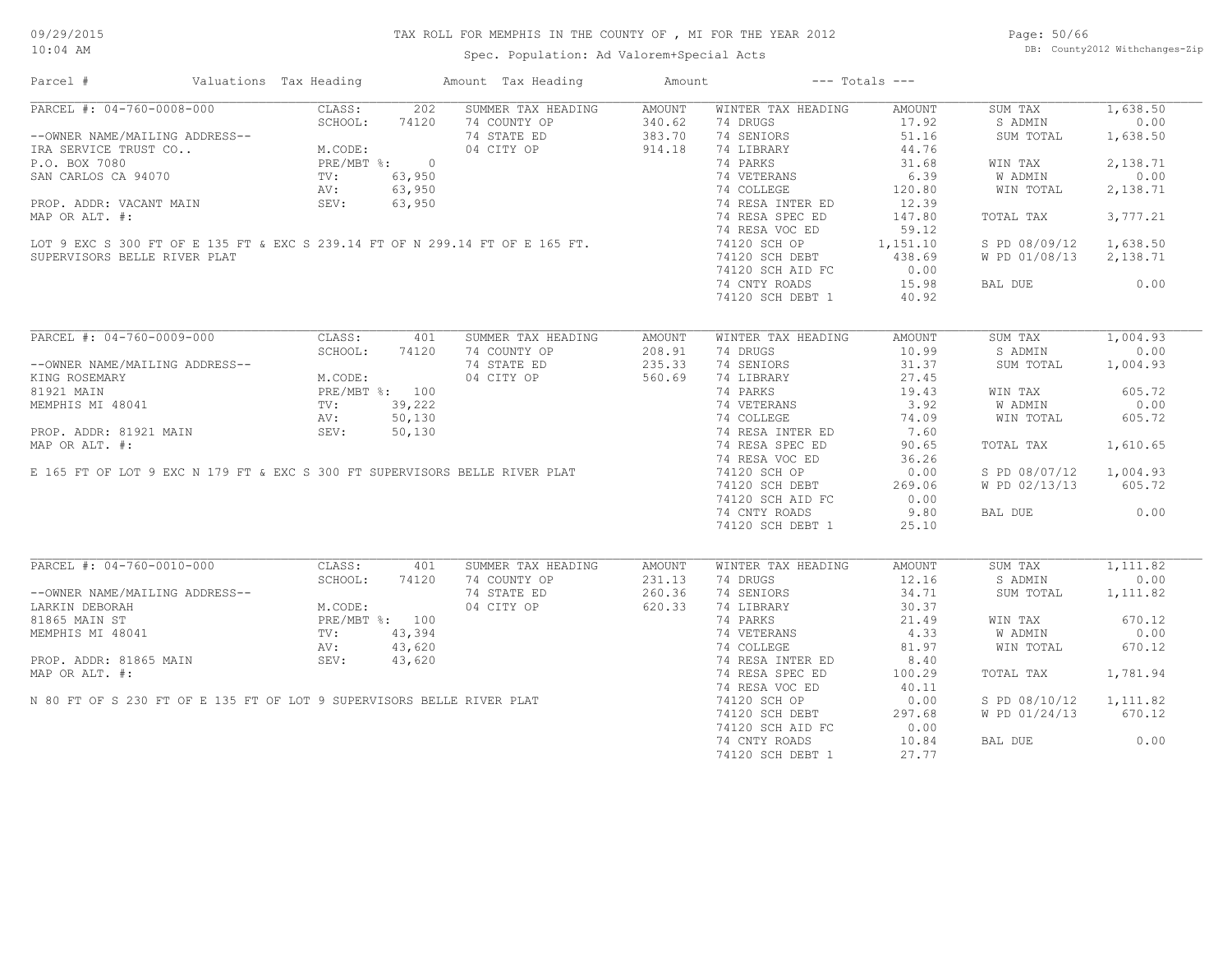Spec. Population: Ad Valorem+Special Acts

Page: 50/66 DB: County2012 Withchanges-Zip

| SUMMER TAX HEADING<br>AMOUNT<br>WINTER TAX HEADING<br>SUM TAX<br>1,638.50<br>AMOUNT<br>340.62<br>74 DRUGS<br>17.92<br>0.00<br>74 COUNTY OP<br>S ADMIN<br>$\frac{1 \text{ #}}{1 \text{ .CEL + : 04-760-0008-000}}$<br>-OWNER NAME/MAILING ADDRESS--<br>TRA SERVICE TRUST CO M.CODE:<br>PRE/MBT %: 0<br>CA 94070<br>PRE/MBT %: 0<br>NV: 63,950<br>NV: 63,95<br>SEV: 63,9<br>SEV: 63,9<br>SEV: 63,9<br>PRE/MBT %: 0<br>NV: 63,95<br><br>74 STATE ED<br>383.70<br>74 SENIORS<br>51.16<br>1,638.50<br>SUM TOTAL<br>04 CITY OP<br>914.18<br>74 LIBRARY<br>44.76<br>74 PARKS<br>31.68<br>2,138.71<br>WIN TAX<br>6.39<br>0.00<br>74 VETERANS<br>W ADMIN<br>74 COLLEGE<br>120.80<br>WIN TOTAL<br>2,138.71<br>74 RESA INTER ED<br>12.39<br>74 RESA SPEC ED<br>147.80<br>3,777.21<br>TOTAL TAX<br>74 RESA VOC ED<br>59.12<br>LOT 9 EXC S 300 FT OF E 135 FT & EXC S 239.14 FT OF N 299.14 FT OF E 165 FT.<br>1,638.50<br>74120 SCH OP<br>1,151.10<br>S PD 08/09/12<br>74120 SCH DEBT<br>438.69<br>W PD 01/08/13<br>2,138.71<br>SUPERVISORS BELLE RIVER PLAT<br>0.00<br>74120 SCH AID FC<br>15.98<br>0.00<br>74 CNTY ROADS<br>BAL DUE<br>74120 SCH DEBT 1<br>40.92<br>PARCEL #: 04-760-0009-000<br>1,004.93<br>CLASS:<br>401<br>SUMMER TAX HEADING<br>SUM TAX<br>AMOUNT<br>WINTER TAX HEADING<br>AMOUNT<br>SCHOOL:<br>74 COUNTY OP<br>10.99<br>0.00<br>74120<br>208.91<br>74 DRUGS<br>S ADMIN<br>235.33<br>74 SENIORS<br>31.37<br>74 STATE ED<br>SUM TOTAL<br>1,004.93<br>--OWNER NAME/MAILING ADDRESS--<br>M.CODE:<br>PRE/MBT %: 100<br>TV: 39,222<br>AV: 50,130<br>04 CITY OP<br>74 LIBRARY<br>27.45<br>KING ROSEMARY<br>560.69<br>19.43<br>605.72<br>81921 MAIN<br>74 PARKS<br>WIN TAX<br>3.92<br>MEMPHIS MI 48041<br>74 VETERANS<br>W ADMIN<br>0.00<br>MEMPHIS MI 48041<br>PROP. ADDR: 81921 MAIN<br>MAP OR ALT. #:<br>E 165 FT OF LOT 9 EXC N 179 FT & EXC S 300 FT SUPERVISORS BELLE RIVER PLAT<br>74 COLLEGE<br>74.09<br>605.72<br>WIN TOTAL<br>7.60<br>74 RESA INTER ED<br>1,610.65<br>74 RESA SPEC ED<br>90.65<br>TOTAL TAX<br>74 RESA VOC ED<br>36.26<br>74120 SCH OP<br>0.00<br>S PD 08/07/12<br>1,004.93<br>74120 SCH DEBT<br>269.06<br>W PD 02/13/13<br>605.72<br>74120 SCH AID FC<br>0.00<br>9.80<br>0.00<br>74 CNTY ROADS<br>BAL DUE<br>74120 SCH DEBT 1<br>25.10<br>PARCEL #: 04-760-0010-000<br>CLASS:<br>1,111.82<br>401<br>SUMMER TAX HEADING<br>WINTER TAX HEADING<br><b>AMOUNT</b><br>SUM TAX<br>AMOUNT<br>SCHOOL:<br>74 COUNTY OP<br>231.13<br>74 DRUGS<br>12.16<br>0.00<br>74120<br>S ADMIN<br>--OWNER NAME/MAILING ADDRESS--<br>74 STATE ED<br>260.36<br>74 SENIORS<br>34.71<br>SUM TOTAL<br>1,111.82<br>04 CITY OP<br>620.33<br>74 LIBRARY<br>30.37<br>LARKIN DEBORAH<br>M.CODE:<br>670.12<br>81865 MAIN ST<br>PRE/MBT %: 100<br>74 PARKS<br>21.49<br>WIN TAX<br>4.33<br>W ADMIN<br>0.00<br>74 VETERANS<br>NEMPHIS MI 48041<br>PROP. ADDR: 81865 MAIN<br>MAP OR ALT. #:<br>N 80 FT OF S 230 FT OF E 135 FT OF LOT 9 SUPERVISORS BELLE RIVER PLAT<br>74 COLLEGE<br>81.97<br>WIN TOTAL<br>670.12<br>8.40<br>74 RESA INTER ED<br>100.29<br>1,781.94<br>74 RESA SPEC ED<br>TOTAL TAX<br>74 RESA VOC ED<br>40.11<br>0.00<br>1,111.82<br>74120 SCH OP<br>S PD 08/10/12<br>74120 SCH DEBT<br>297.68<br>W PD 01/24/13<br>670.12<br>74120 SCH AID FC<br>0.00<br>74 CNTY ROADS<br>10.84<br>BAL DUE<br>0.00<br>74120 SCH DEBT 1<br>27.77 |  | Amount Tax Heading | Amount | $---$ Totals $---$ |  |
|--------------------------------------------------------------------------------------------------------------------------------------------------------------------------------------------------------------------------------------------------------------------------------------------------------------------------------------------------------------------------------------------------------------------------------------------------------------------------------------------------------------------------------------------------------------------------------------------------------------------------------------------------------------------------------------------------------------------------------------------------------------------------------------------------------------------------------------------------------------------------------------------------------------------------------------------------------------------------------------------------------------------------------------------------------------------------------------------------------------------------------------------------------------------------------------------------------------------------------------------------------------------------------------------------------------------------------------------------------------------------------------------------------------------------------------------------------------------------------------------------------------------------------------------------------------------------------------------------------------------------------------------------------------------------------------------------------------------------------------------------------------------------------------------------------------------------------------------------------------------------------------------------------------------------------------------------------------------------------------------------------------------------------------------------------------------------------------------------------------------------------------------------------------------------------------------------------------------------------------------------------------------------------------------------------------------------------------------------------------------------------------------------------------------------------------------------------------------------------------------------------------------------------------------------------------------------------------------------------------------------------------------------------------------------------------------------------------------------------------------------------------------------------------------------------------------------------------------------------------------------------------------------------------------------------------------------------------------------------------------------------------------------------------------------------------------------------------------------------------------------------------------------------------------------------------------------------------------------------------------------------------------------------------------------------------------------------------------|--|--------------------|--------|--------------------|--|
|                                                                                                                                                                                                                                                                                                                                                                                                                                                                                                                                                                                                                                                                                                                                                                                                                                                                                                                                                                                                                                                                                                                                                                                                                                                                                                                                                                                                                                                                                                                                                                                                                                                                                                                                                                                                                                                                                                                                                                                                                                                                                                                                                                                                                                                                                                                                                                                                                                                                                                                                                                                                                                                                                                                                                                                                                                                                                                                                                                                                                                                                                                                                                                                                                                                                                                                                            |  |                    |        |                    |  |
|                                                                                                                                                                                                                                                                                                                                                                                                                                                                                                                                                                                                                                                                                                                                                                                                                                                                                                                                                                                                                                                                                                                                                                                                                                                                                                                                                                                                                                                                                                                                                                                                                                                                                                                                                                                                                                                                                                                                                                                                                                                                                                                                                                                                                                                                                                                                                                                                                                                                                                                                                                                                                                                                                                                                                                                                                                                                                                                                                                                                                                                                                                                                                                                                                                                                                                                                            |  |                    |        |                    |  |
|                                                                                                                                                                                                                                                                                                                                                                                                                                                                                                                                                                                                                                                                                                                                                                                                                                                                                                                                                                                                                                                                                                                                                                                                                                                                                                                                                                                                                                                                                                                                                                                                                                                                                                                                                                                                                                                                                                                                                                                                                                                                                                                                                                                                                                                                                                                                                                                                                                                                                                                                                                                                                                                                                                                                                                                                                                                                                                                                                                                                                                                                                                                                                                                                                                                                                                                                            |  |                    |        |                    |  |
|                                                                                                                                                                                                                                                                                                                                                                                                                                                                                                                                                                                                                                                                                                                                                                                                                                                                                                                                                                                                                                                                                                                                                                                                                                                                                                                                                                                                                                                                                                                                                                                                                                                                                                                                                                                                                                                                                                                                                                                                                                                                                                                                                                                                                                                                                                                                                                                                                                                                                                                                                                                                                                                                                                                                                                                                                                                                                                                                                                                                                                                                                                                                                                                                                                                                                                                                            |  |                    |        |                    |  |
|                                                                                                                                                                                                                                                                                                                                                                                                                                                                                                                                                                                                                                                                                                                                                                                                                                                                                                                                                                                                                                                                                                                                                                                                                                                                                                                                                                                                                                                                                                                                                                                                                                                                                                                                                                                                                                                                                                                                                                                                                                                                                                                                                                                                                                                                                                                                                                                                                                                                                                                                                                                                                                                                                                                                                                                                                                                                                                                                                                                                                                                                                                                                                                                                                                                                                                                                            |  |                    |        |                    |  |
|                                                                                                                                                                                                                                                                                                                                                                                                                                                                                                                                                                                                                                                                                                                                                                                                                                                                                                                                                                                                                                                                                                                                                                                                                                                                                                                                                                                                                                                                                                                                                                                                                                                                                                                                                                                                                                                                                                                                                                                                                                                                                                                                                                                                                                                                                                                                                                                                                                                                                                                                                                                                                                                                                                                                                                                                                                                                                                                                                                                                                                                                                                                                                                                                                                                                                                                                            |  |                    |        |                    |  |
|                                                                                                                                                                                                                                                                                                                                                                                                                                                                                                                                                                                                                                                                                                                                                                                                                                                                                                                                                                                                                                                                                                                                                                                                                                                                                                                                                                                                                                                                                                                                                                                                                                                                                                                                                                                                                                                                                                                                                                                                                                                                                                                                                                                                                                                                                                                                                                                                                                                                                                                                                                                                                                                                                                                                                                                                                                                                                                                                                                                                                                                                                                                                                                                                                                                                                                                                            |  |                    |        |                    |  |
|                                                                                                                                                                                                                                                                                                                                                                                                                                                                                                                                                                                                                                                                                                                                                                                                                                                                                                                                                                                                                                                                                                                                                                                                                                                                                                                                                                                                                                                                                                                                                                                                                                                                                                                                                                                                                                                                                                                                                                                                                                                                                                                                                                                                                                                                                                                                                                                                                                                                                                                                                                                                                                                                                                                                                                                                                                                                                                                                                                                                                                                                                                                                                                                                                                                                                                                                            |  |                    |        |                    |  |
|                                                                                                                                                                                                                                                                                                                                                                                                                                                                                                                                                                                                                                                                                                                                                                                                                                                                                                                                                                                                                                                                                                                                                                                                                                                                                                                                                                                                                                                                                                                                                                                                                                                                                                                                                                                                                                                                                                                                                                                                                                                                                                                                                                                                                                                                                                                                                                                                                                                                                                                                                                                                                                                                                                                                                                                                                                                                                                                                                                                                                                                                                                                                                                                                                                                                                                                                            |  |                    |        |                    |  |
|                                                                                                                                                                                                                                                                                                                                                                                                                                                                                                                                                                                                                                                                                                                                                                                                                                                                                                                                                                                                                                                                                                                                                                                                                                                                                                                                                                                                                                                                                                                                                                                                                                                                                                                                                                                                                                                                                                                                                                                                                                                                                                                                                                                                                                                                                                                                                                                                                                                                                                                                                                                                                                                                                                                                                                                                                                                                                                                                                                                                                                                                                                                                                                                                                                                                                                                                            |  |                    |        |                    |  |
|                                                                                                                                                                                                                                                                                                                                                                                                                                                                                                                                                                                                                                                                                                                                                                                                                                                                                                                                                                                                                                                                                                                                                                                                                                                                                                                                                                                                                                                                                                                                                                                                                                                                                                                                                                                                                                                                                                                                                                                                                                                                                                                                                                                                                                                                                                                                                                                                                                                                                                                                                                                                                                                                                                                                                                                                                                                                                                                                                                                                                                                                                                                                                                                                                                                                                                                                            |  |                    |        |                    |  |
|                                                                                                                                                                                                                                                                                                                                                                                                                                                                                                                                                                                                                                                                                                                                                                                                                                                                                                                                                                                                                                                                                                                                                                                                                                                                                                                                                                                                                                                                                                                                                                                                                                                                                                                                                                                                                                                                                                                                                                                                                                                                                                                                                                                                                                                                                                                                                                                                                                                                                                                                                                                                                                                                                                                                                                                                                                                                                                                                                                                                                                                                                                                                                                                                                                                                                                                                            |  |                    |        |                    |  |
|                                                                                                                                                                                                                                                                                                                                                                                                                                                                                                                                                                                                                                                                                                                                                                                                                                                                                                                                                                                                                                                                                                                                                                                                                                                                                                                                                                                                                                                                                                                                                                                                                                                                                                                                                                                                                                                                                                                                                                                                                                                                                                                                                                                                                                                                                                                                                                                                                                                                                                                                                                                                                                                                                                                                                                                                                                                                                                                                                                                                                                                                                                                                                                                                                                                                                                                                            |  |                    |        |                    |  |
|                                                                                                                                                                                                                                                                                                                                                                                                                                                                                                                                                                                                                                                                                                                                                                                                                                                                                                                                                                                                                                                                                                                                                                                                                                                                                                                                                                                                                                                                                                                                                                                                                                                                                                                                                                                                                                                                                                                                                                                                                                                                                                                                                                                                                                                                                                                                                                                                                                                                                                                                                                                                                                                                                                                                                                                                                                                                                                                                                                                                                                                                                                                                                                                                                                                                                                                                            |  |                    |        |                    |  |
|                                                                                                                                                                                                                                                                                                                                                                                                                                                                                                                                                                                                                                                                                                                                                                                                                                                                                                                                                                                                                                                                                                                                                                                                                                                                                                                                                                                                                                                                                                                                                                                                                                                                                                                                                                                                                                                                                                                                                                                                                                                                                                                                                                                                                                                                                                                                                                                                                                                                                                                                                                                                                                                                                                                                                                                                                                                                                                                                                                                                                                                                                                                                                                                                                                                                                                                                            |  |                    |        |                    |  |
|                                                                                                                                                                                                                                                                                                                                                                                                                                                                                                                                                                                                                                                                                                                                                                                                                                                                                                                                                                                                                                                                                                                                                                                                                                                                                                                                                                                                                                                                                                                                                                                                                                                                                                                                                                                                                                                                                                                                                                                                                                                                                                                                                                                                                                                                                                                                                                                                                                                                                                                                                                                                                                                                                                                                                                                                                                                                                                                                                                                                                                                                                                                                                                                                                                                                                                                                            |  |                    |        |                    |  |
|                                                                                                                                                                                                                                                                                                                                                                                                                                                                                                                                                                                                                                                                                                                                                                                                                                                                                                                                                                                                                                                                                                                                                                                                                                                                                                                                                                                                                                                                                                                                                                                                                                                                                                                                                                                                                                                                                                                                                                                                                                                                                                                                                                                                                                                                                                                                                                                                                                                                                                                                                                                                                                                                                                                                                                                                                                                                                                                                                                                                                                                                                                                                                                                                                                                                                                                                            |  |                    |        |                    |  |
|                                                                                                                                                                                                                                                                                                                                                                                                                                                                                                                                                                                                                                                                                                                                                                                                                                                                                                                                                                                                                                                                                                                                                                                                                                                                                                                                                                                                                                                                                                                                                                                                                                                                                                                                                                                                                                                                                                                                                                                                                                                                                                                                                                                                                                                                                                                                                                                                                                                                                                                                                                                                                                                                                                                                                                                                                                                                                                                                                                                                                                                                                                                                                                                                                                                                                                                                            |  |                    |        |                    |  |
|                                                                                                                                                                                                                                                                                                                                                                                                                                                                                                                                                                                                                                                                                                                                                                                                                                                                                                                                                                                                                                                                                                                                                                                                                                                                                                                                                                                                                                                                                                                                                                                                                                                                                                                                                                                                                                                                                                                                                                                                                                                                                                                                                                                                                                                                                                                                                                                                                                                                                                                                                                                                                                                                                                                                                                                                                                                                                                                                                                                                                                                                                                                                                                                                                                                                                                                                            |  |                    |        |                    |  |
|                                                                                                                                                                                                                                                                                                                                                                                                                                                                                                                                                                                                                                                                                                                                                                                                                                                                                                                                                                                                                                                                                                                                                                                                                                                                                                                                                                                                                                                                                                                                                                                                                                                                                                                                                                                                                                                                                                                                                                                                                                                                                                                                                                                                                                                                                                                                                                                                                                                                                                                                                                                                                                                                                                                                                                                                                                                                                                                                                                                                                                                                                                                                                                                                                                                                                                                                            |  |                    |        |                    |  |
|                                                                                                                                                                                                                                                                                                                                                                                                                                                                                                                                                                                                                                                                                                                                                                                                                                                                                                                                                                                                                                                                                                                                                                                                                                                                                                                                                                                                                                                                                                                                                                                                                                                                                                                                                                                                                                                                                                                                                                                                                                                                                                                                                                                                                                                                                                                                                                                                                                                                                                                                                                                                                                                                                                                                                                                                                                                                                                                                                                                                                                                                                                                                                                                                                                                                                                                                            |  |                    |        |                    |  |
|                                                                                                                                                                                                                                                                                                                                                                                                                                                                                                                                                                                                                                                                                                                                                                                                                                                                                                                                                                                                                                                                                                                                                                                                                                                                                                                                                                                                                                                                                                                                                                                                                                                                                                                                                                                                                                                                                                                                                                                                                                                                                                                                                                                                                                                                                                                                                                                                                                                                                                                                                                                                                                                                                                                                                                                                                                                                                                                                                                                                                                                                                                                                                                                                                                                                                                                                            |  |                    |        |                    |  |
|                                                                                                                                                                                                                                                                                                                                                                                                                                                                                                                                                                                                                                                                                                                                                                                                                                                                                                                                                                                                                                                                                                                                                                                                                                                                                                                                                                                                                                                                                                                                                                                                                                                                                                                                                                                                                                                                                                                                                                                                                                                                                                                                                                                                                                                                                                                                                                                                                                                                                                                                                                                                                                                                                                                                                                                                                                                                                                                                                                                                                                                                                                                                                                                                                                                                                                                                            |  |                    |        |                    |  |
|                                                                                                                                                                                                                                                                                                                                                                                                                                                                                                                                                                                                                                                                                                                                                                                                                                                                                                                                                                                                                                                                                                                                                                                                                                                                                                                                                                                                                                                                                                                                                                                                                                                                                                                                                                                                                                                                                                                                                                                                                                                                                                                                                                                                                                                                                                                                                                                                                                                                                                                                                                                                                                                                                                                                                                                                                                                                                                                                                                                                                                                                                                                                                                                                                                                                                                                                            |  |                    |        |                    |  |
|                                                                                                                                                                                                                                                                                                                                                                                                                                                                                                                                                                                                                                                                                                                                                                                                                                                                                                                                                                                                                                                                                                                                                                                                                                                                                                                                                                                                                                                                                                                                                                                                                                                                                                                                                                                                                                                                                                                                                                                                                                                                                                                                                                                                                                                                                                                                                                                                                                                                                                                                                                                                                                                                                                                                                                                                                                                                                                                                                                                                                                                                                                                                                                                                                                                                                                                                            |  |                    |        |                    |  |
|                                                                                                                                                                                                                                                                                                                                                                                                                                                                                                                                                                                                                                                                                                                                                                                                                                                                                                                                                                                                                                                                                                                                                                                                                                                                                                                                                                                                                                                                                                                                                                                                                                                                                                                                                                                                                                                                                                                                                                                                                                                                                                                                                                                                                                                                                                                                                                                                                                                                                                                                                                                                                                                                                                                                                                                                                                                                                                                                                                                                                                                                                                                                                                                                                                                                                                                                            |  |                    |        |                    |  |
|                                                                                                                                                                                                                                                                                                                                                                                                                                                                                                                                                                                                                                                                                                                                                                                                                                                                                                                                                                                                                                                                                                                                                                                                                                                                                                                                                                                                                                                                                                                                                                                                                                                                                                                                                                                                                                                                                                                                                                                                                                                                                                                                                                                                                                                                                                                                                                                                                                                                                                                                                                                                                                                                                                                                                                                                                                                                                                                                                                                                                                                                                                                                                                                                                                                                                                                                            |  |                    |        |                    |  |
|                                                                                                                                                                                                                                                                                                                                                                                                                                                                                                                                                                                                                                                                                                                                                                                                                                                                                                                                                                                                                                                                                                                                                                                                                                                                                                                                                                                                                                                                                                                                                                                                                                                                                                                                                                                                                                                                                                                                                                                                                                                                                                                                                                                                                                                                                                                                                                                                                                                                                                                                                                                                                                                                                                                                                                                                                                                                                                                                                                                                                                                                                                                                                                                                                                                                                                                                            |  |                    |        |                    |  |
|                                                                                                                                                                                                                                                                                                                                                                                                                                                                                                                                                                                                                                                                                                                                                                                                                                                                                                                                                                                                                                                                                                                                                                                                                                                                                                                                                                                                                                                                                                                                                                                                                                                                                                                                                                                                                                                                                                                                                                                                                                                                                                                                                                                                                                                                                                                                                                                                                                                                                                                                                                                                                                                                                                                                                                                                                                                                                                                                                                                                                                                                                                                                                                                                                                                                                                                                            |  |                    |        |                    |  |
|                                                                                                                                                                                                                                                                                                                                                                                                                                                                                                                                                                                                                                                                                                                                                                                                                                                                                                                                                                                                                                                                                                                                                                                                                                                                                                                                                                                                                                                                                                                                                                                                                                                                                                                                                                                                                                                                                                                                                                                                                                                                                                                                                                                                                                                                                                                                                                                                                                                                                                                                                                                                                                                                                                                                                                                                                                                                                                                                                                                                                                                                                                                                                                                                                                                                                                                                            |  |                    |        |                    |  |
|                                                                                                                                                                                                                                                                                                                                                                                                                                                                                                                                                                                                                                                                                                                                                                                                                                                                                                                                                                                                                                                                                                                                                                                                                                                                                                                                                                                                                                                                                                                                                                                                                                                                                                                                                                                                                                                                                                                                                                                                                                                                                                                                                                                                                                                                                                                                                                                                                                                                                                                                                                                                                                                                                                                                                                                                                                                                                                                                                                                                                                                                                                                                                                                                                                                                                                                                            |  |                    |        |                    |  |
|                                                                                                                                                                                                                                                                                                                                                                                                                                                                                                                                                                                                                                                                                                                                                                                                                                                                                                                                                                                                                                                                                                                                                                                                                                                                                                                                                                                                                                                                                                                                                                                                                                                                                                                                                                                                                                                                                                                                                                                                                                                                                                                                                                                                                                                                                                                                                                                                                                                                                                                                                                                                                                                                                                                                                                                                                                                                                                                                                                                                                                                                                                                                                                                                                                                                                                                                            |  |                    |        |                    |  |
|                                                                                                                                                                                                                                                                                                                                                                                                                                                                                                                                                                                                                                                                                                                                                                                                                                                                                                                                                                                                                                                                                                                                                                                                                                                                                                                                                                                                                                                                                                                                                                                                                                                                                                                                                                                                                                                                                                                                                                                                                                                                                                                                                                                                                                                                                                                                                                                                                                                                                                                                                                                                                                                                                                                                                                                                                                                                                                                                                                                                                                                                                                                                                                                                                                                                                                                                            |  |                    |        |                    |  |
|                                                                                                                                                                                                                                                                                                                                                                                                                                                                                                                                                                                                                                                                                                                                                                                                                                                                                                                                                                                                                                                                                                                                                                                                                                                                                                                                                                                                                                                                                                                                                                                                                                                                                                                                                                                                                                                                                                                                                                                                                                                                                                                                                                                                                                                                                                                                                                                                                                                                                                                                                                                                                                                                                                                                                                                                                                                                                                                                                                                                                                                                                                                                                                                                                                                                                                                                            |  |                    |        |                    |  |
|                                                                                                                                                                                                                                                                                                                                                                                                                                                                                                                                                                                                                                                                                                                                                                                                                                                                                                                                                                                                                                                                                                                                                                                                                                                                                                                                                                                                                                                                                                                                                                                                                                                                                                                                                                                                                                                                                                                                                                                                                                                                                                                                                                                                                                                                                                                                                                                                                                                                                                                                                                                                                                                                                                                                                                                                                                                                                                                                                                                                                                                                                                                                                                                                                                                                                                                                            |  |                    |        |                    |  |
|                                                                                                                                                                                                                                                                                                                                                                                                                                                                                                                                                                                                                                                                                                                                                                                                                                                                                                                                                                                                                                                                                                                                                                                                                                                                                                                                                                                                                                                                                                                                                                                                                                                                                                                                                                                                                                                                                                                                                                                                                                                                                                                                                                                                                                                                                                                                                                                                                                                                                                                                                                                                                                                                                                                                                                                                                                                                                                                                                                                                                                                                                                                                                                                                                                                                                                                                            |  |                    |        |                    |  |
|                                                                                                                                                                                                                                                                                                                                                                                                                                                                                                                                                                                                                                                                                                                                                                                                                                                                                                                                                                                                                                                                                                                                                                                                                                                                                                                                                                                                                                                                                                                                                                                                                                                                                                                                                                                                                                                                                                                                                                                                                                                                                                                                                                                                                                                                                                                                                                                                                                                                                                                                                                                                                                                                                                                                                                                                                                                                                                                                                                                                                                                                                                                                                                                                                                                                                                                                            |  |                    |        |                    |  |
|                                                                                                                                                                                                                                                                                                                                                                                                                                                                                                                                                                                                                                                                                                                                                                                                                                                                                                                                                                                                                                                                                                                                                                                                                                                                                                                                                                                                                                                                                                                                                                                                                                                                                                                                                                                                                                                                                                                                                                                                                                                                                                                                                                                                                                                                                                                                                                                                                                                                                                                                                                                                                                                                                                                                                                                                                                                                                                                                                                                                                                                                                                                                                                                                                                                                                                                                            |  |                    |        |                    |  |
|                                                                                                                                                                                                                                                                                                                                                                                                                                                                                                                                                                                                                                                                                                                                                                                                                                                                                                                                                                                                                                                                                                                                                                                                                                                                                                                                                                                                                                                                                                                                                                                                                                                                                                                                                                                                                                                                                                                                                                                                                                                                                                                                                                                                                                                                                                                                                                                                                                                                                                                                                                                                                                                                                                                                                                                                                                                                                                                                                                                                                                                                                                                                                                                                                                                                                                                                            |  |                    |        |                    |  |
|                                                                                                                                                                                                                                                                                                                                                                                                                                                                                                                                                                                                                                                                                                                                                                                                                                                                                                                                                                                                                                                                                                                                                                                                                                                                                                                                                                                                                                                                                                                                                                                                                                                                                                                                                                                                                                                                                                                                                                                                                                                                                                                                                                                                                                                                                                                                                                                                                                                                                                                                                                                                                                                                                                                                                                                                                                                                                                                                                                                                                                                                                                                                                                                                                                                                                                                                            |  |                    |        |                    |  |
|                                                                                                                                                                                                                                                                                                                                                                                                                                                                                                                                                                                                                                                                                                                                                                                                                                                                                                                                                                                                                                                                                                                                                                                                                                                                                                                                                                                                                                                                                                                                                                                                                                                                                                                                                                                                                                                                                                                                                                                                                                                                                                                                                                                                                                                                                                                                                                                                                                                                                                                                                                                                                                                                                                                                                                                                                                                                                                                                                                                                                                                                                                                                                                                                                                                                                                                                            |  |                    |        |                    |  |
|                                                                                                                                                                                                                                                                                                                                                                                                                                                                                                                                                                                                                                                                                                                                                                                                                                                                                                                                                                                                                                                                                                                                                                                                                                                                                                                                                                                                                                                                                                                                                                                                                                                                                                                                                                                                                                                                                                                                                                                                                                                                                                                                                                                                                                                                                                                                                                                                                                                                                                                                                                                                                                                                                                                                                                                                                                                                                                                                                                                                                                                                                                                                                                                                                                                                                                                                            |  |                    |        |                    |  |
|                                                                                                                                                                                                                                                                                                                                                                                                                                                                                                                                                                                                                                                                                                                                                                                                                                                                                                                                                                                                                                                                                                                                                                                                                                                                                                                                                                                                                                                                                                                                                                                                                                                                                                                                                                                                                                                                                                                                                                                                                                                                                                                                                                                                                                                                                                                                                                                                                                                                                                                                                                                                                                                                                                                                                                                                                                                                                                                                                                                                                                                                                                                                                                                                                                                                                                                                            |  |                    |        |                    |  |
|                                                                                                                                                                                                                                                                                                                                                                                                                                                                                                                                                                                                                                                                                                                                                                                                                                                                                                                                                                                                                                                                                                                                                                                                                                                                                                                                                                                                                                                                                                                                                                                                                                                                                                                                                                                                                                                                                                                                                                                                                                                                                                                                                                                                                                                                                                                                                                                                                                                                                                                                                                                                                                                                                                                                                                                                                                                                                                                                                                                                                                                                                                                                                                                                                                                                                                                                            |  |                    |        |                    |  |
|                                                                                                                                                                                                                                                                                                                                                                                                                                                                                                                                                                                                                                                                                                                                                                                                                                                                                                                                                                                                                                                                                                                                                                                                                                                                                                                                                                                                                                                                                                                                                                                                                                                                                                                                                                                                                                                                                                                                                                                                                                                                                                                                                                                                                                                                                                                                                                                                                                                                                                                                                                                                                                                                                                                                                                                                                                                                                                                                                                                                                                                                                                                                                                                                                                                                                                                                            |  |                    |        |                    |  |
|                                                                                                                                                                                                                                                                                                                                                                                                                                                                                                                                                                                                                                                                                                                                                                                                                                                                                                                                                                                                                                                                                                                                                                                                                                                                                                                                                                                                                                                                                                                                                                                                                                                                                                                                                                                                                                                                                                                                                                                                                                                                                                                                                                                                                                                                                                                                                                                                                                                                                                                                                                                                                                                                                                                                                                                                                                                                                                                                                                                                                                                                                                                                                                                                                                                                                                                                            |  |                    |        |                    |  |
|                                                                                                                                                                                                                                                                                                                                                                                                                                                                                                                                                                                                                                                                                                                                                                                                                                                                                                                                                                                                                                                                                                                                                                                                                                                                                                                                                                                                                                                                                                                                                                                                                                                                                                                                                                                                                                                                                                                                                                                                                                                                                                                                                                                                                                                                                                                                                                                                                                                                                                                                                                                                                                                                                                                                                                                                                                                                                                                                                                                                                                                                                                                                                                                                                                                                                                                                            |  |                    |        |                    |  |
|                                                                                                                                                                                                                                                                                                                                                                                                                                                                                                                                                                                                                                                                                                                                                                                                                                                                                                                                                                                                                                                                                                                                                                                                                                                                                                                                                                                                                                                                                                                                                                                                                                                                                                                                                                                                                                                                                                                                                                                                                                                                                                                                                                                                                                                                                                                                                                                                                                                                                                                                                                                                                                                                                                                                                                                                                                                                                                                                                                                                                                                                                                                                                                                                                                                                                                                                            |  |                    |        |                    |  |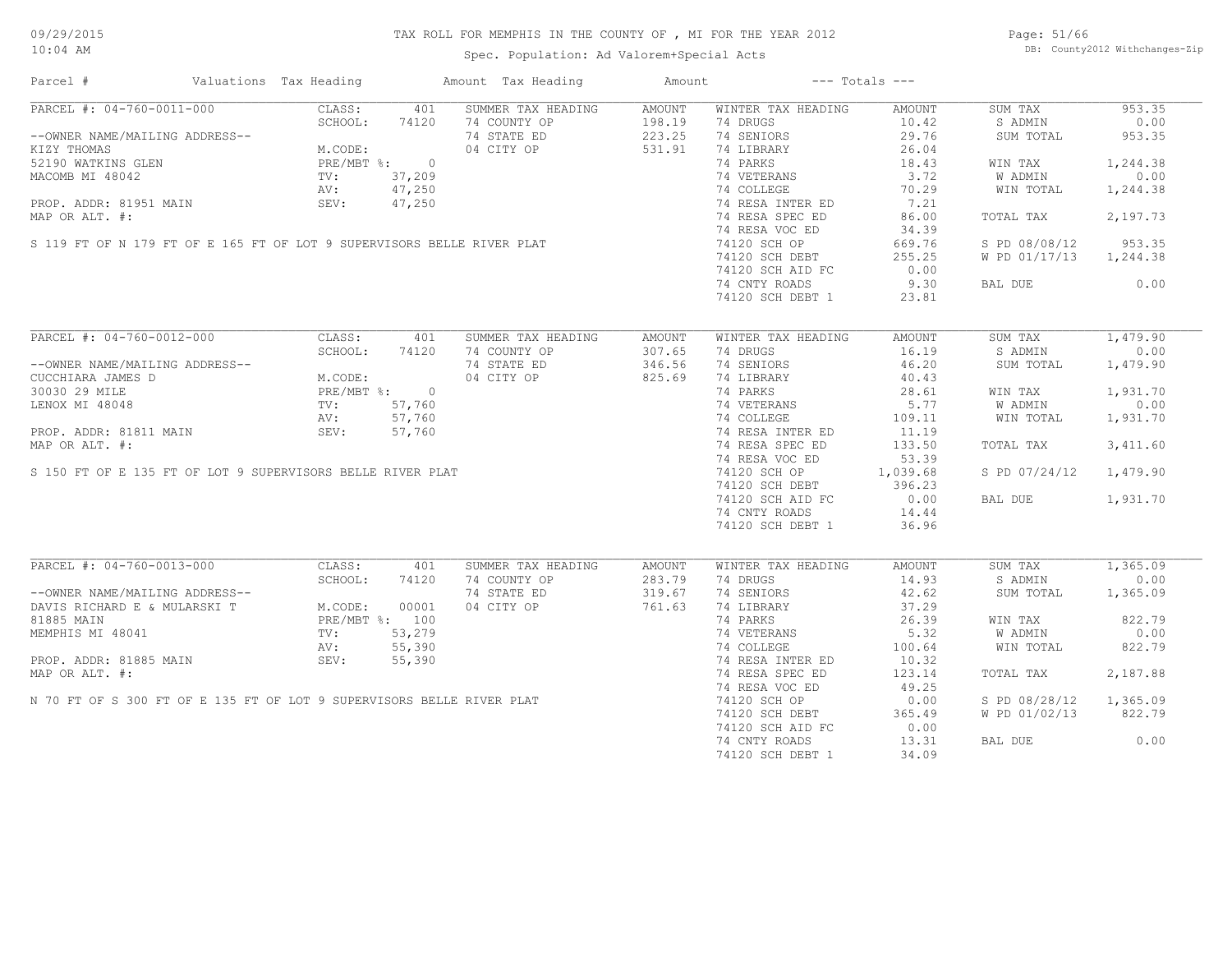Spec. Population: Ad Valorem+Special Acts

Page: 51/66 DB: County2012 Withchanges-Zip

| Parcel #                                                                                                                                                                                                                                                                                                                                                                                                                                    | Valuations Tax Heading |       | Amount Tax Heading                                             | Amount           | $---$ Totals $---$                                                                          |                    |                             |          |
|---------------------------------------------------------------------------------------------------------------------------------------------------------------------------------------------------------------------------------------------------------------------------------------------------------------------------------------------------------------------------------------------------------------------------------------------|------------------------|-------|----------------------------------------------------------------|------------------|---------------------------------------------------------------------------------------------|--------------------|-----------------------------|----------|
| PARCEL #: 04-760-0011-000                                                                                                                                                                                                                                                                                                                                                                                                                   |                        |       | CLASS: 401 SUMMER TAX HEADING                                  | AMOUNT           | WINTER TAX HEADING                                                                          | AMOUNT             | SUM TAX                     | 953.35   |
| --OWNER NAME/MAILING ADDRESS--<br>--OWNER NAME/MAILING ADDRESS--<br>KIZY THOMAS<br>52190 WATKINS GLEN<br>MACOMB MI 48042<br>PROP. ADDR: 81951 MAIN<br>PROP. ADDR: 81951 MAIN<br>PROP. ADDR: 81951 MAIN<br>PROP. ADDR: 81951 MAIN<br>PROP. ADDR:                                                                                                                                                                                             |                        |       | 74 COUNTY OP 198.19<br>74 STATE ED 223.25<br>04 CITY OP 531.91 |                  | 74 DRUGS                                                                                    | 10.42              | S ADMIN                     | 0.00     |
|                                                                                                                                                                                                                                                                                                                                                                                                                                             |                        |       |                                                                |                  | 74 SENIORS                                                                                  | 29.76              | SUM TOTAL                   | 953.35   |
| $\begin{array}{lllllllllllllllllllll} \texttt{KIZY THOMAS} & \texttt{M.CODE:} & 04 \texttt{CITY OP} & \texttt{52190 WATKINS GLEN} & \texttt{PRE/MBT} & 0 & 04 \texttt{CITY OP} & \texttt{52190 WATKINS GLEN} & \texttt{PRE/MBT} & 0 & 04 \texttt{CITY OP} & \texttt{52190 WATKINS GLEN} & \texttt{PRE/MBT} & 0 & 04 \texttt{CITY OP} & \texttt{52190 WATKINS GLEN} & \texttt{TVC} & 37,209 & \texttt{AV:$                                   |                        |       |                                                                |                  | 74 LIBRARY                                                                                  | 26.04              |                             |          |
|                                                                                                                                                                                                                                                                                                                                                                                                                                             |                        |       |                                                                |                  | 74 PARKS                                                                                    | 18.43              | WIN TAX                     | 1,244.38 |
|                                                                                                                                                                                                                                                                                                                                                                                                                                             |                        |       |                                                                |                  | 18.43<br>74 VETERANS<br>74 COLLEGE 10.29<br>74 RESA INTER ED 7.21<br>74 RESA SPEC ED 86.00  |                    | W ADMIN                     | 0.00     |
|                                                                                                                                                                                                                                                                                                                                                                                                                                             |                        |       |                                                                |                  |                                                                                             |                    |                             |          |
|                                                                                                                                                                                                                                                                                                                                                                                                                                             |                        |       |                                                                |                  |                                                                                             |                    | WIN TOTAL                   | 1,244.38 |
|                                                                                                                                                                                                                                                                                                                                                                                                                                             |                        |       |                                                                |                  |                                                                                             |                    |                             |          |
|                                                                                                                                                                                                                                                                                                                                                                                                                                             |                        |       |                                                                |                  |                                                                                             |                    | TOTAL TAX                   | 2,197.73 |
|                                                                                                                                                                                                                                                                                                                                                                                                                                             |                        |       |                                                                |                  | 74 RESA VOC ED                                                                              | 34.39              |                             |          |
|                                                                                                                                                                                                                                                                                                                                                                                                                                             |                        |       |                                                                |                  | 74 120 SCH OP<br>74120 SCH DEBT<br>74120 SCH DEBT<br>7420 SCH AID FC<br>74.2 NJW SCH AID FC |                    | S PD 08/08/12 953.35        |          |
|                                                                                                                                                                                                                                                                                                                                                                                                                                             |                        |       |                                                                |                  |                                                                                             |                    | W PD 01/17/13 1,244.38      |          |
|                                                                                                                                                                                                                                                                                                                                                                                                                                             |                        |       |                                                                |                  |                                                                                             |                    |                             |          |
|                                                                                                                                                                                                                                                                                                                                                                                                                                             |                        |       |                                                                |                  | 74 CNTY ROADS                                                                               | 9.30               | BAL DUE 0.00                |          |
|                                                                                                                                                                                                                                                                                                                                                                                                                                             |                        |       |                                                                |                  | 74120 SCH DEBT 1                                                                            | 23.81              |                             |          |
|                                                                                                                                                                                                                                                                                                                                                                                                                                             |                        |       |                                                                |                  |                                                                                             |                    |                             |          |
| PARCEL #: 04-760-0012-000                                                                                                                                                                                                                                                                                                                                                                                                                   | CLASS:                 | 401   | SUMMER TAX HEADING                                             | AMOUNT           | WINTER TAX HEADING                                                                          | AMOUNT             | SUM TAX                     | 1,479.90 |
|                                                                                                                                                                                                                                                                                                                                                                                                                                             | SCHOOL:                | 74120 |                                                                |                  | 74 DRUGS                                                                                    | 16.19              | S ADMIN                     | 0.00     |
|                                                                                                                                                                                                                                                                                                                                                                                                                                             |                        |       | 74 COUNTY OP 307.65<br>74 STATE ED 346.56<br>04 CITY OP 825.69 |                  |                                                                                             |                    |                             |          |
|                                                                                                                                                                                                                                                                                                                                                                                                                                             |                        |       |                                                                |                  | 74 SENIORS                                                                                  | 46.20              | SUM TOTAL                   | 1,479.90 |
| --OWNER NAME/MAILING ADDRESS--<br>CUCCHIARA JAMES D<br>30030 29 MILE PRE/MBT %: 0<br>LENOX MI 48048 TV: 57,760<br>PROP. ADDR: 81811 MAIN SEV: 57,760<br>NROP. ADDR: 81811 MAIN SEV: 57,760                                                                                                                                                                                                                                                  |                        |       |                                                                |                  | 74 LIBRARY                                                                                  | 40.43              |                             |          |
|                                                                                                                                                                                                                                                                                                                                                                                                                                             |                        |       |                                                                |                  | 14 PARKS<br>14 PARKS<br>28.61<br>29.61<br>29.61<br>24 RESA INTER ED<br>11.19                |                    | WIN TAX                     | 1,931.70 |
|                                                                                                                                                                                                                                                                                                                                                                                                                                             |                        |       |                                                                |                  |                                                                                             |                    | W ADMIN                     | 0.00     |
|                                                                                                                                                                                                                                                                                                                                                                                                                                             |                        |       |                                                                |                  |                                                                                             |                    | WIN TOTAL                   | 1,931.70 |
|                                                                                                                                                                                                                                                                                                                                                                                                                                             |                        |       |                                                                |                  |                                                                                             |                    |                             |          |
|                                                                                                                                                                                                                                                                                                                                                                                                                                             |                        |       |                                                                |                  | 74 RESA SPEC ED                                                                             | 133.50             | TOTAL TAX                   | 3,411.60 |
|                                                                                                                                                                                                                                                                                                                                                                                                                                             |                        |       |                                                                |                  | 74 RESA VOC ED                                                                              | 53.39              |                             |          |
|                                                                                                                                                                                                                                                                                                                                                                                                                                             |                        |       |                                                                |                  | 74 RESA VOC ED 33.39<br>74120 SCH OP 1,039.68 74120 SCH DEBT 396.23                         |                    | S PD 07/24/12 1,479.90      |          |
|                                                                                                                                                                                                                                                                                                                                                                                                                                             |                        |       |                                                                |                  |                                                                                             |                    |                             |          |
|                                                                                                                                                                                                                                                                                                                                                                                                                                             |                        |       |                                                                |                  |                                                                                             |                    |                             |          |
|                                                                                                                                                                                                                                                                                                                                                                                                                                             |                        |       |                                                                |                  | 74120 SCH AID FC 0.00<br>74 CNTY ROADS 14.44                                                |                    | BAL DUE 1,931.70            |          |
|                                                                                                                                                                                                                                                                                                                                                                                                                                             |                        |       |                                                                |                  |                                                                                             |                    |                             |          |
| $\begin{tabular}{lllllllllll} \multicolumn{2}{c l} \multicolumn{2}{c l} \multicolumn{2}{c l} \multicolumn{2}{c l} \multicolumn{2}{c l} \multicolumn{2}{c l} \multicolumn{2}{c l} \multicolumn{2}{c l} \multicolumn{2}{c l} \multicolumn{2}{c l} \multicolumn{2}{c l} \multicolumn{2}{c l} \multicolumn{2}{c l} \multicolumn{2}{c l} \multicolumn{2}{c l} \multicolumn{2}{c l} \multicolumn{2}{c l} \multicolumn{2}{c l} \multicolumn{2}{c $ |                        |       |                                                                |                  | 74120 SCH DEBT 1                                                                            | 36.96              |                             |          |
|                                                                                                                                                                                                                                                                                                                                                                                                                                             |                        |       |                                                                |                  |                                                                                             |                    |                             |          |
| PARCEL #: 04-760-0013-000                                                                                                                                                                                                                                                                                                                                                                                                                   | CLASS:                 | 401   | SUMMER TAX HEADING<br>74 COUNTY OP                             | AMOUNT<br>283.79 | WINTER TAX HEADING<br>74 DRUGS                                                              | AMOUNT<br>14.93    | SUM TAX 1,365.09<br>S ADMIN | 0.00     |
|                                                                                                                                                                                                                                                                                                                                                                                                                                             |                        |       |                                                                |                  |                                                                                             |                    |                             |          |
|                                                                                                                                                                                                                                                                                                                                                                                                                                             |                        |       | 74 STATE ED 319.67<br>04 CITY OP 761.63                        |                  | 74 SENIORS                                                                                  | 42.62              | SUM TOTAL                   | 1,365.09 |
| --OWNER NAME/MAILING ADDRESS--<br>DAVIS RICHARD E & MULARSKI T<br>8CHOOL: 74120<br>81885 MAIN<br>MEMPHIS MI 48041<br>PROP. ADDR: 81885 MAIN<br>PROP. ADDR: 81885 MAIN<br>PROP. ADDR: 81885 MAIN<br>PROP. ADDR: 81885 MAIN<br>PROP. ADDR: 81885 M                                                                                                                                                                                            |                        |       |                                                                |                  | 74 LIBRARY                                                                                  | 37.29              |                             |          |
|                                                                                                                                                                                                                                                                                                                                                                                                                                             |                        |       |                                                                |                  | 74 PARKS                                                                                    | $\frac{201}{5.32}$ | WIN TAX                     | 822.79   |
|                                                                                                                                                                                                                                                                                                                                                                                                                                             |                        |       |                                                                |                  | 74 VETERANS                                                                                 |                    | <b>W ADMIN</b>              | 0.00     |
|                                                                                                                                                                                                                                                                                                                                                                                                                                             |                        |       |                                                                |                  | 74 COLLEGE 100.64<br>74 RESA INTER ED 10.32                                                 |                    | WIN TOTAL                   | 822.79   |
|                                                                                                                                                                                                                                                                                                                                                                                                                                             |                        |       |                                                                |                  |                                                                                             |                    |                             |          |
|                                                                                                                                                                                                                                                                                                                                                                                                                                             |                        |       |                                                                |                  | 74 RESA SPEC ED                                                                             | 123.14             | TOTAL TAX                   | 2,187.88 |
|                                                                                                                                                                                                                                                                                                                                                                                                                                             |                        |       |                                                                |                  | 74 RESA VOC ED                                                                              | 49.25              |                             |          |
| PROP. ADDR: 81885 MAIN<br>NEMPHIS MI 48041<br>NEMPHIS MI 48041<br>NEMPHIS MI 48041<br>NO PROP. ADDR: 81885 MAIN<br>NAP OR ALT. #:<br>N 70 FT OF S 300 FT OF E 135 FT OF LOT 9 SUPERVISORS BELLE RIVER PLAT                                                                                                                                                                                                                                  |                        |       |                                                                |                  | 74120 SCH OP                                                                                | 0.00               | S PD 08/28/12 1,365.09      |          |
|                                                                                                                                                                                                                                                                                                                                                                                                                                             |                        |       |                                                                |                  | $74120$ SCH DEBT                                                                            |                    |                             |          |
|                                                                                                                                                                                                                                                                                                                                                                                                                                             |                        |       |                                                                |                  |                                                                                             | 365.49             | W PD 01/02/13 822.79        |          |
|                                                                                                                                                                                                                                                                                                                                                                                                                                             |                        |       |                                                                |                  | 74120 SCH AID FC                                                                            | 0.00               |                             |          |
|                                                                                                                                                                                                                                                                                                                                                                                                                                             |                        |       |                                                                |                  | 74 CNTY ROADS 13.31                                                                         |                    | BAL DUE                     | 0.00     |
|                                                                                                                                                                                                                                                                                                                                                                                                                                             |                        |       |                                                                |                  | 74120 SCH DEBT 1                                                                            | 34.09              |                             |          |
|                                                                                                                                                                                                                                                                                                                                                                                                                                             |                        |       |                                                                |                  |                                                                                             |                    |                             |          |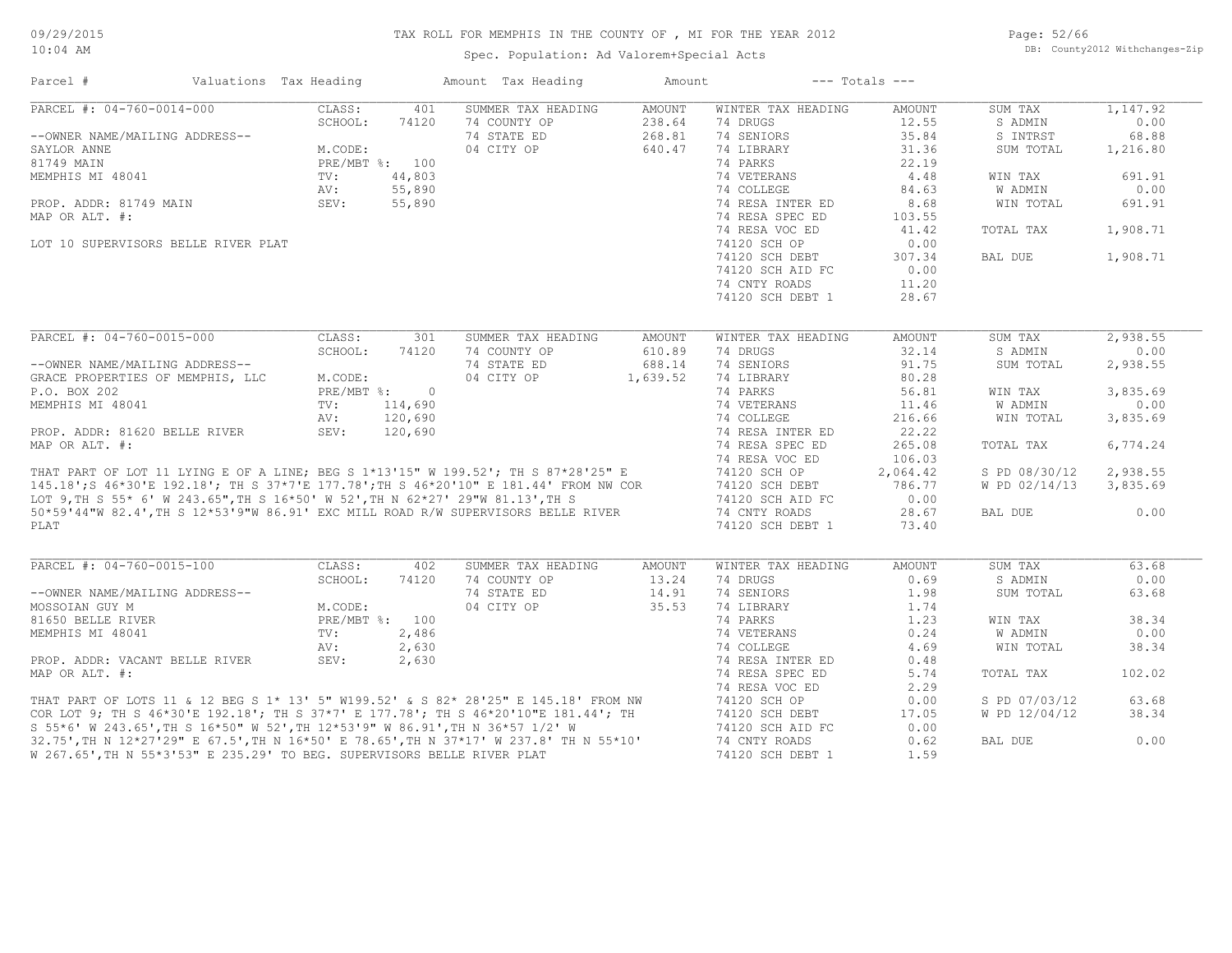Spec. Population: Ad Valorem+Special Acts

Page: 52/66 DB: County2012 Withchanges-Zip

| Parcel #                                                                                                                                                                                                                             | Valuations Tax Heading |                | Amount Tax Heading         | Amount        |                    | $---$ Totals $---$ |               |          |
|--------------------------------------------------------------------------------------------------------------------------------------------------------------------------------------------------------------------------------------|------------------------|----------------|----------------------------|---------------|--------------------|--------------------|---------------|----------|
| PARCEL #: 04-760-0014-000                                                                                                                                                                                                            | CLASS:                 | 401            | SUMMER TAX HEADING         | <b>AMOUNT</b> | WINTER TAX HEADING | AMOUNT             | SUM TAX       | 1,147.92 |
|                                                                                                                                                                                                                                      | SCHOOL:                | 74120          | 74 COUNTY OP               | 238.64        | 74 DRUGS           | 12.55              | S ADMIN       | 0.00     |
| --OWNER NAME/MAILING ADDRESS--                                                                                                                                                                                                       |                        |                | 74 STATE ED                | 268.81        | 74 SENIORS         | 35.84              | S INTRST      | 68.88    |
| SAYLOR ANNE                                                                                                                                                                                                                          | M.CODE:                |                | 04 CITY OP                 | 640.47        | 74 LIBRARY         | 31.36              | SUM TOTAL     | 1,216.80 |
| 81749 MAIN                                                                                                                                                                                                                           |                        | PRE/MBT %: 100 |                            |               | 74 PARKS           | 22.19              |               |          |
| MEMPHIS MI 48041                                                                                                                                                                                                                     | TV:                    | 44,803         |                            |               | 74 VETERANS        | 4.48               | WIN TAX       | 691.91   |
|                                                                                                                                                                                                                                      | AV:                    |                | 44,803<br>55,890<br>55,890 |               | 74 COLLEGE         | 84.63              | W ADMIN       | 0.00     |
| PROP. ADDR: 81749 MAIN                                                                                                                                                                                                               | SEV:                   |                |                            |               | 74 RESA INTER ED   | 8.68               | WIN TOTAL     | 691.91   |
| MAP OR ALT. #:                                                                                                                                                                                                                       |                        |                |                            |               | 74 RESA SPEC ED    | 103.55             |               |          |
|                                                                                                                                                                                                                                      |                        |                |                            |               | 74 RESA VOC ED     | 41.42              | TOTAL TAX     | 1,908.71 |
| LOT 10 SUPERVISORS BELLE RIVER PLAT                                                                                                                                                                                                  |                        |                |                            |               | 74120 SCH OP       | 0.00               |               |          |
|                                                                                                                                                                                                                                      |                        |                |                            |               | 74120 SCH DEBT     | 307.34             | BAL DUE       | 1,908.71 |
|                                                                                                                                                                                                                                      |                        |                |                            |               | 74120 SCH AID FC   | 0.00               |               |          |
|                                                                                                                                                                                                                                      |                        |                |                            |               | 74 CNTY ROADS      | 11.20              |               |          |
|                                                                                                                                                                                                                                      |                        |                |                            |               | 74120 SCH DEBT 1   | 28.67              |               |          |
|                                                                                                                                                                                                                                      |                        |                |                            |               |                    |                    |               |          |
| PARCEL #: 04-760-0015-000                                                                                                                                                                                                            | CLASS:                 | 301            | SUMMER TAX HEADING         | <b>AMOUNT</b> | WINTER TAX HEADING | <b>AMOUNT</b>      | SUM TAX       | 2,938.55 |
|                                                                                                                                                                                                                                      | SCHOOL:                | 74120          | 74 COUNTY OP               | 610.89        | 74 DRUGS           | 32.14              | S ADMIN       | 0.00     |
| --OWNER NAME/MAILING ADDRESS--                                                                                                                                                                                                       |                        |                | 74 STATE ED                | 688.14        | 74 SENIORS         | 91.75              | SUM TOTAL     | 2,938.55 |
| GRACE PROPERTIES OF MEMPHIS, LLC                                                                                                                                                                                                     | M.CODE:                |                | 04 CITY OP                 | 1,639.52      | 74 LIBRARY         | 80.28              |               |          |
| P.O. BOX 202                                                                                                                                                                                                                         | PRE/MBT %:             | $\overline{0}$ |                            |               | 74 PARKS           | 56.81              | WIN TAX       | 3,835.69 |
| MEMPHIS MI 48041                                                                                                                                                                                                                     | TV:                    | 114,690        |                            |               | 74 VETERANS        | 11.46              | W ADMIN       | 0.00     |
|                                                                                                                                                                                                                                      | AV:                    | 120,690        |                            |               | 74 COLLEGE         | 216.66             | WIN TOTAL     | 3,835.69 |
| PROP. ADDR: 81620 BELLE RIVER                                                                                                                                                                                                        | SEV:                   | 120,690        |                            |               | 74 RESA INTER ED   | 22.22              |               |          |
|                                                                                                                                                                                                                                      |                        |                |                            |               |                    |                    |               |          |
| MAP OR ALT. #:                                                                                                                                                                                                                       |                        |                |                            |               | 74 RESA SPEC ED    | 265.08             | TOTAL TAX     | 6,774.24 |
| THAT PART OF LOT 11 LYING E OF A LINE; BEG S 1*13'15" W 199.52'; TH S 87*28'25" E                                                                                                                                                    |                        |                |                            |               | 74 RESA VOC ED     | 106.03             |               |          |
|                                                                                                                                                                                                                                      |                        |                |                            |               | 74120 SCH OP       | 2,064.42           | S PD 08/30/12 | 2,938.55 |
| 145.18'; S 46*30'E 192.18'; TH S 37*7'E 177.78'; TH S 46*20'10" E 181.44' FROM NW COR<br>LOT 9,TH S 55* 6' W 243.65",TH S 16*50' W 52',TH N 62*27' 29"W 81.13',TH S                                                                  |                        |                |                            |               | 74120 SCH DEBT     | 786.77             | W PD 02/14/13 | 3,835.69 |
|                                                                                                                                                                                                                                      |                        |                |                            |               | 74120 SCH AID FC   | 0.00               |               |          |
| 50*59'44"W 82.4', TH S 12*53'9"W 86.91' EXC MILL ROAD R/W SUPERVISORS BELLE RIVER                                                                                                                                                    |                        |                |                            |               | 74 CNTY ROADS      | 28.67              | BAL DUE       | 0.00     |
| PLAT                                                                                                                                                                                                                                 |                        |                |                            |               | 74120 SCH DEBT 1   | 73.40              |               |          |
|                                                                                                                                                                                                                                      |                        |                |                            |               |                    |                    |               |          |
| PARCEL #: 04-760-0015-100                                                                                                                                                                                                            | CLASS:                 | 402            | SUMMER TAX HEADING         | <b>AMOUNT</b> | WINTER TAX HEADING | <b>AMOUNT</b>      | SUM TAX       | 63.68    |
|                                                                                                                                                                                                                                      | SCHOOL:                | 74120          | 74 COUNTY OP               | 13.24         | 74 DRUGS           | 0.69               | S ADMIN       | 0.00     |
| --OWNER NAME/MAILING ADDRESS--                                                                                                                                                                                                       |                        |                | 74 STATE ED                | 14.91         | 74 SENIORS         | 1.98               | SUM TOTAL     | 63.68    |
| MOSSOIAN GUY M                                                                                                                                                                                                                       | M.CODE:                |                | 04 CITY OP                 | 35.53         | 74 LIBRARY         | 1.74               |               |          |
| 81650 BELLE RIVER                                                                                                                                                                                                                    |                        | PRE/MBT %: 100 |                            |               | 74 PARKS           | 1.23               | WIN TAX       | 38.34    |
| MEMPHIS MI 48041                                                                                                                                                                                                                     | TV:                    | 2,486          |                            |               | 74 VETERANS        | 0.24               | W ADMIN       | 0.00     |
|                                                                                                                                                                                                                                      | AV:                    | 2,630          |                            |               | 74 COLLEGE         | 4.69               | WIN TOTAL     | 38.34    |
| PROP. ADDR: VACANT BELLE RIVER                                                                                                                                                                                                       | SEV:                   | 2,630          |                            |               | 74 RESA INTER ED   | 0.48               |               |          |
| MAP OR ALT. #:                                                                                                                                                                                                                       |                        |                |                            |               | 74 RESA SPEC ED    | 5.74               | TOTAL TAX     | 102.02   |
|                                                                                                                                                                                                                                      |                        |                |                            |               | 74 RESA VOC ED     | 2.29               |               |          |
|                                                                                                                                                                                                                                      |                        |                |                            |               | 74120 SCH OP       | 0.00               | S PD 07/03/12 | 63.68    |
| THAT PART OF LOTS 11 & 12 BEG S 1* 13' 5" W199.52' & S 82* 28'25" E 145.18' FROM NW<br>COR LOT 9; TH S 46*30'E 192.18'; TH S 37*7' E 177.78'; TH S 46*20'10"E 181.44'; TH<br>S 55*6' W 243.65',TH S 16*50" W 52',TH 12*53'9" W 86.91 |                        |                |                            |               | 74120 SCH DEBT     | 17.05              | W PD 12/04/12 | 38.34    |
|                                                                                                                                                                                                                                      |                        |                |                            |               | 74120 SCH AID FC   | 0.00               |               |          |
| 32.75', TH N 12*27'29" E 67.5', TH N 16*50' E 78.65', TH N 37*17' W 237.8' TH N 55*10'                                                                                                                                               |                        |                |                            |               | 74 CNTY ROADS      | 0.62               | BAL DUE       | 0.00     |
| W 267.65', TH N 55*3'53" E 235.29' TO BEG. SUPERVISORS BELLE RIVER PLAT                                                                                                                                                              |                        |                |                            |               | 74120 SCH DEBT 1   | 1.59               |               |          |
|                                                                                                                                                                                                                                      |                        |                |                            |               |                    |                    |               |          |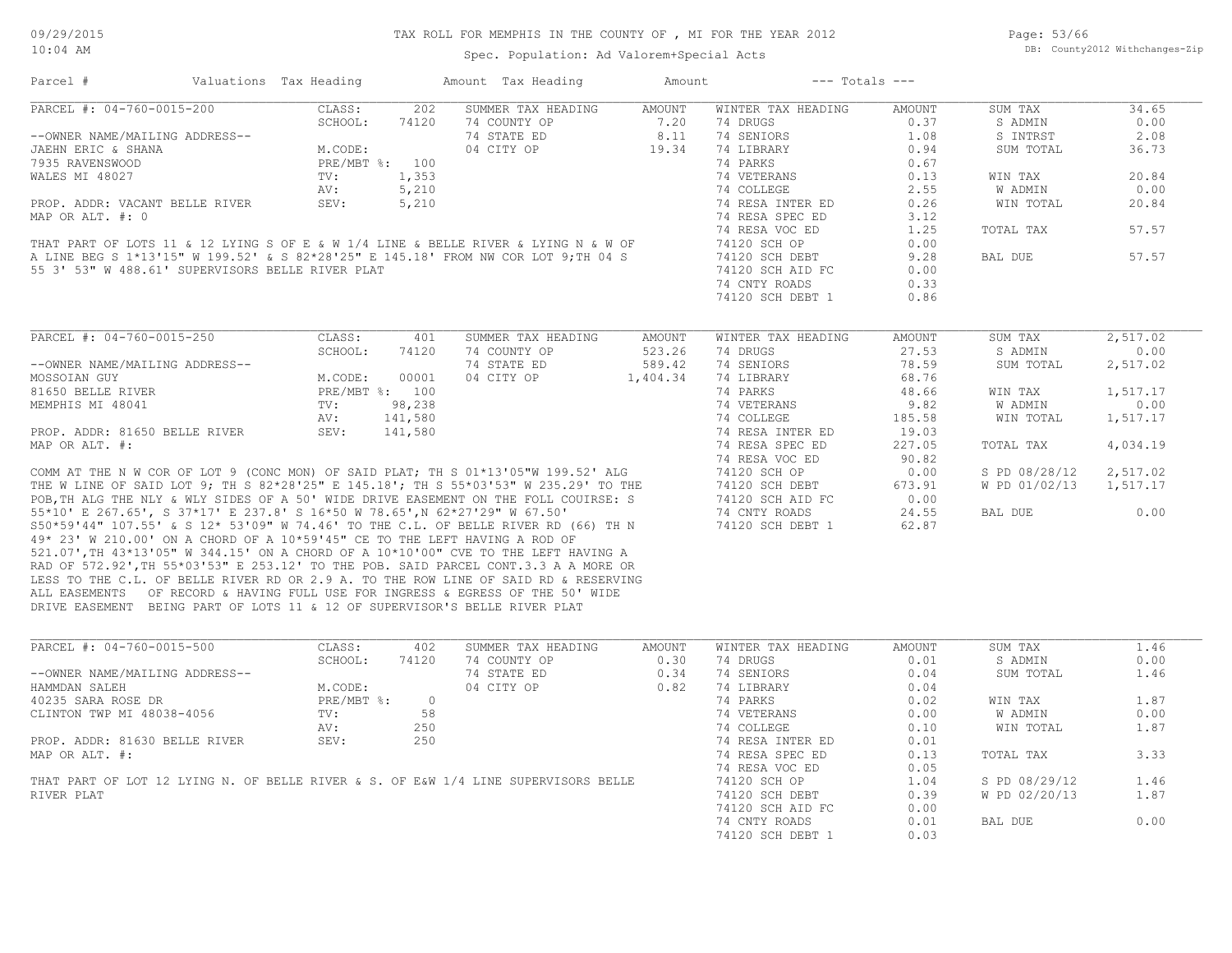Page: 53/66 DB: County2012 Withchanges-Zip

| Parcel #                                                                                                                                                               | Valuations Tax Heading |                |         | Amount Tax Heading | Amount   | $---$ Totals $---$ |        |               |          |
|------------------------------------------------------------------------------------------------------------------------------------------------------------------------|------------------------|----------------|---------|--------------------|----------|--------------------|--------|---------------|----------|
| PARCEL #: 04-760-0015-200                                                                                                                                              |                        | CLASS:         | 202     | SUMMER TAX HEADING | AMOUNT   | WINTER TAX HEADING | AMOUNT | SUM TAX       | 34.65    |
|                                                                                                                                                                        |                        | SCHOOL:        | 74120   | 74 COUNTY OP       | 7.20     | 74 DRUGS           | 0.37   | S ADMIN       | 0.00     |
| --OWNER NAME/MAILING ADDRESS--                                                                                                                                         |                        |                |         | 74 STATE ED        | 8.11     | 74 SENIORS         | 1.08   | S INTRST      | 2.08     |
| JAEHN ERIC & SHANA                                                                                                                                                     |                        | M.CODE:        |         | 04 CITY OP         | 19.34    | 74 LIBRARY         | 0.94   | SUM TOTAL     | 36.73    |
| 7935 RAVENSWOOD                                                                                                                                                        |                        | PRE/MBT %: 100 |         |                    |          | 74 PARKS           | 0.67   |               |          |
| WALES MI 48027                                                                                                                                                         |                        | TV:            | 1,353   |                    |          | 74 VETERANS        | 0.13   | WIN TAX       | 20.84    |
|                                                                                                                                                                        |                        | AV:            | 5,210   |                    |          | 74 COLLEGE         | 2.55   | W ADMIN       | 0.00     |
| PROP. ADDR: VACANT BELLE RIVER                                                                                                                                         |                        | SEV:           | 5,210   |                    |          | 74 RESA INTER ED   | 0.26   | WIN TOTAL     | 20.84    |
| MAP OR ALT. #: 0                                                                                                                                                       |                        |                |         |                    |          | 74 RESA SPEC ED    | 3.12   |               |          |
|                                                                                                                                                                        |                        |                |         |                    |          | 74 RESA VOC ED     | 1.25   | TOTAL TAX     | 57.57    |
| THAT PART OF LOTS 11 & 12 LYING S OF E & W 1/4 LINE & BELLE RIVER & LYING N & W OF                                                                                     |                        |                |         |                    |          | 74120 SCH OP       | 0.00   |               |          |
| A LINE BEG S 1*13'15" W 199.52' & S 82*28'25" E 145.18' FROM NW COR LOT 9; TH 04 S                                                                                     |                        |                |         |                    |          | 74120 SCH DEBT     | 9.28   | BAL DUE       | 57.57    |
| 55 3' 53" W 488.61' SUPERVISORS BELLE RIVER PLAT                                                                                                                       |                        |                |         |                    |          | 74120 SCH AID FC   | 0.00   |               |          |
|                                                                                                                                                                        |                        |                |         |                    |          | 74 CNTY ROADS      | 0.33   |               |          |
|                                                                                                                                                                        |                        |                |         |                    |          | 74120 SCH DEBT 1   | 0.86   |               |          |
|                                                                                                                                                                        |                        |                |         |                    |          |                    |        |               |          |
| PARCEL #: 04-760-0015-250                                                                                                                                              |                        | CLASS:         | 401     | SUMMER TAX HEADING | AMOUNT   | WINTER TAX HEADING | AMOUNT | SUM TAX       | 2,517.02 |
|                                                                                                                                                                        |                        | SCHOOL:        | 74120   | 74 COUNTY OP       | 523.26   | 74 DRUGS           | 27.53  | S ADMIN       | 0.00     |
| --OWNER NAME/MAILING ADDRESS--                                                                                                                                         |                        |                |         | 74 STATE ED        | 589.42   | 74 SENIORS         | 78.59  | SUM TOTAL     | 2,517.02 |
| MOSSOIAN GUY                                                                                                                                                           |                        | M.CODE:        | 00001   | 04 CITY OP         | 1,404.34 | 74 LIBRARY         | 68.76  |               |          |
| 81650 BELLE RIVER                                                                                                                                                      |                        | PRE/MBT %: 100 |         |                    |          | 74 PARKS           | 48.66  | WIN TAX       | 1,517.17 |
| MEMPHIS MI 48041                                                                                                                                                       |                        | TV:            | 98,238  |                    |          | 74 VETERANS        | 9.82   | W ADMIN       | 0.00     |
|                                                                                                                                                                        |                        | AV:            | 141,580 |                    |          | 74 COLLEGE         | 185.58 | WIN TOTAL     | 1,517.17 |
| PROP. ADDR: 81650 BELLE RIVER                                                                                                                                          |                        | SEV:           |         |                    |          | 74 RESA INTER ED   | 19.03  |               |          |
|                                                                                                                                                                        |                        |                | 141,580 |                    |          |                    |        |               |          |
| MAP OR ALT. #:                                                                                                                                                         |                        |                |         |                    |          | 74 RESA SPEC ED    | 227.05 | TOTAL TAX     | 4,034.19 |
|                                                                                                                                                                        |                        |                |         |                    |          | 74 RESA VOC ED     | 90.82  |               |          |
| COMM AT THE N W COR OF LOT 9 (CONC MON) OF SAID PLAT, TH S 01*13'05"W 199.52' ALG<br>COMM AT THE N W COR OF LOT 3 00100105" F 145 181, TH S 55*03'53" W 235.29' TO THE |                        |                |         |                    |          | 74120 SCH OP       | 0.00   | S PD 08/28/12 | 2,517.02 |
|                                                                                                                                                                        |                        |                |         |                    |          | 74120 SCH DEBT     | 673.91 | W PD 01/02/13 | 1,517.17 |
| POB, TH ALG THE NLY & WLY SIDES OF A 50' WIDE DRIVE EASEMENT ON THE FOLL COUIRSE: S                                                                                    |                        |                |         |                    |          | 74120 SCH AID FC   | 0.00   |               |          |
| 55*10' E 267.65', S 37*17' E 237.8' S 16*50 W 78.65', N 62*27'29" W 67.50'                                                                                             |                        |                |         |                    |          | 74 CNTY ROADS      | 24.55  | BAL DUE       | 0.00     |
| S50*59'44" 107.55' & S 12* 53'09" W 74.46' TO THE C.L. OF BELLE RIVER RD (66) TH N                                                                                     |                        |                |         |                    |          | 74120 SCH DEBT 1   | 62.87  |               |          |
| 49* 23' W 210.00' ON A CHORD OF A 10*59'45" CE TO THE LEFT HAVING A ROD OF                                                                                             |                        |                |         |                    |          |                    |        |               |          |
| 521.07', TH 43*13'05" W 344.15' ON A CHORD OF A 10*10'00" CVE TO THE LEFT HAVING A                                                                                     |                        |                |         |                    |          |                    |        |               |          |
| RAD OF 572.92', TH 55*03'53" E 253.12' TO THE POB. SAID PARCEL CONT.3.3 A A MORE OR                                                                                    |                        |                |         |                    |          |                    |        |               |          |
| LESS TO THE C.L. OF BELLE RIVER RD OR 2.9 A. TO THE ROW LINE OF SAID RD & RESERVING                                                                                    |                        |                |         |                    |          |                    |        |               |          |
| ALL EASEMENTS OF RECORD & HAVING FULL USE FOR INGRESS & EGRESS OF THE 50' WIDE                                                                                         |                        |                |         |                    |          |                    |        |               |          |
| DRIVE EASEMENT BEING PART OF LOTS 11 & 12 OF SUPERVISOR'S BELLE RIVER PLAT                                                                                             |                        |                |         |                    |          |                    |        |               |          |
|                                                                                                                                                                        |                        |                |         |                    |          |                    |        |               |          |
| PARCEL #: 04-760-0015-500                                                                                                                                              |                        | CLASS:         | 402     | SUMMER TAX HEADING | AMOUNT   | WINTER TAX HEADING | AMOUNT | SUM TAX       | 1.46     |
|                                                                                                                                                                        |                        | SCHOOL:        | 74120   | 74 COUNTY OP       | 0.30     | 74 DRUGS           | 0.01   | S ADMIN       | 0.00     |
| --OWNER NAME/MAILING ADDRESS--                                                                                                                                         |                        |                |         | 74 STATE ED        | 0.34     | 74 SENIORS         | 0.04   | SUM TOTAL     | 1.46     |
| HAMMDAN SALEH                                                                                                                                                          |                        | M.CODE:        |         | 04 CITY OP         | 0.82     | 74 LIBRARY         | 0.04   |               |          |
| 40235 SARA ROSE DR                                                                                                                                                     |                        | PRE/MBT %:     | $\circ$ |                    |          | 74 PARKS           | 0.02   | WIN TAX       | 1.87     |
| CLINTON TWP MI 48038-4056                                                                                                                                              |                        | TV:            | 58      |                    |          | 74 VETERANS        | 0.00   | W ADMIN       | 0.00     |
|                                                                                                                                                                        |                        | AV:            | 250     |                    |          | 74 COLLEGE         | 0.10   | WIN TOTAL     | 1.87     |
| PROP. ADDR: 81630 BELLE RIVER                                                                                                                                          |                        | SEV:           | 250     |                    |          | 74 RESA INTER ED   | 0.01   |               |          |
|                                                                                                                                                                        |                        |                |         |                    |          |                    |        |               |          |

74 CNTY ROADS 0.01 BAL DUE 0.00

74 RESA VOC ED 0.05

74120 SCH DEBT 1 0.03

74120 SCH AID FC 0.00<br>74 CNTY ROADS 0.01

MAP OR ALT.  $\#$ :  $\begin{array}{ccc} 3.33 \\ -74 \\ \hline 74 \\ \hline \end{array}$  MAP OR ALT.  $\#$ :  $\begin{array}{ccc} 74 \\ -0.13 \\ -0.05 \end{array}$  TOTAL TAX  $\begin{array}{ccc} 3.33 \\ -3.33 \\ \hline \end{array}$ 

RIVER PLAT 74120 SCH DEBT 0.39 W PD 02/20/13 1.87 THAT PART OF LOT 12 LYING N. OF BELLE RIVER & S. OF E&W 1/4 LINE SUPERVISORS BELLE 74120 SCH OP 1.04 S PD 08/29/12 1.46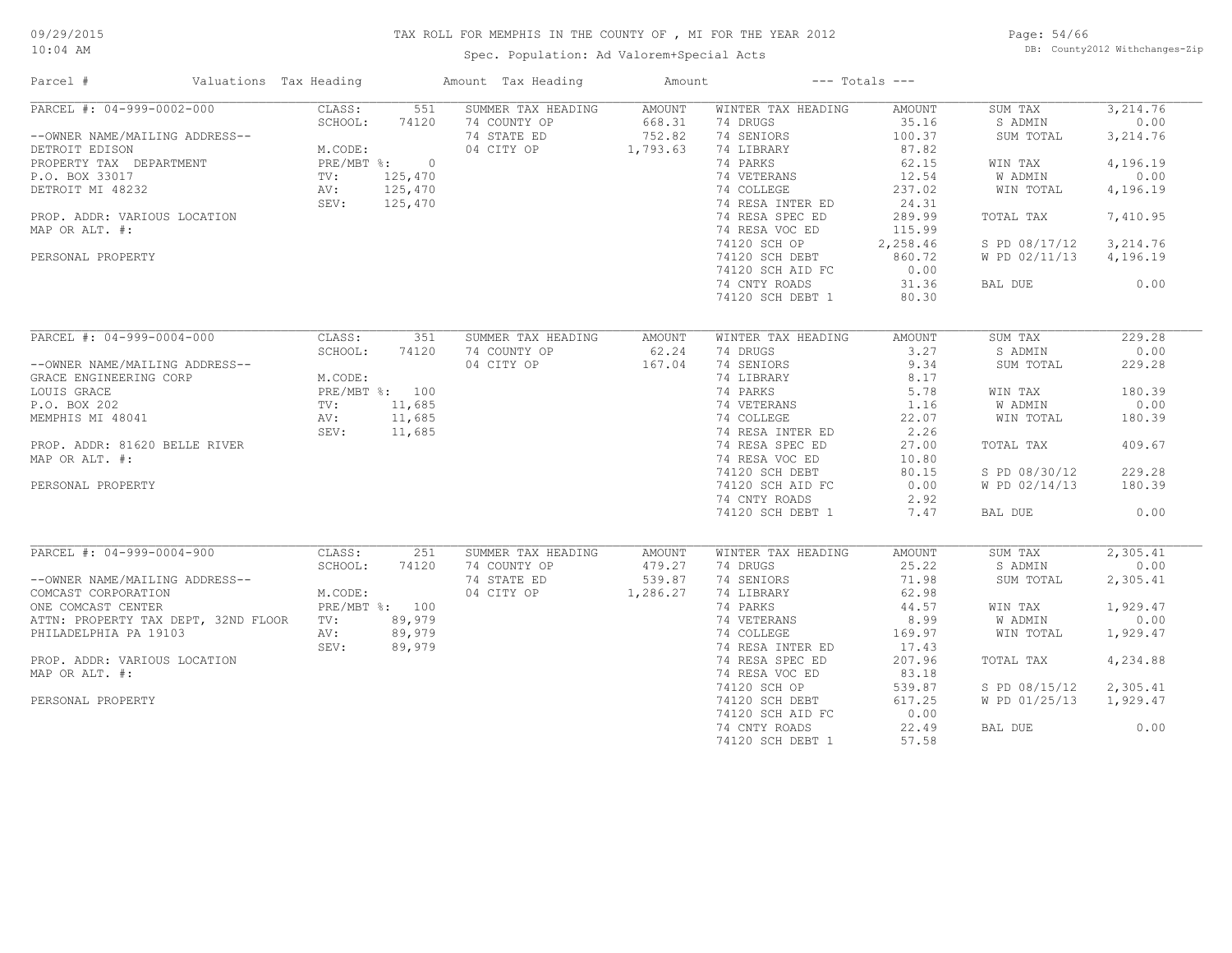Spec. Population: Ad Valorem+Special Acts

Page: 54/66 DB: County2012 Withchanges-Zip

| Parcel #<br>Valuations Tax Heading             |                                          |                | Amount Tax Heading  | Amount |                    | $---$ Totals $---$ |               |           |
|------------------------------------------------|------------------------------------------|----------------|---------------------|--------|--------------------|--------------------|---------------|-----------|
| PARCEL #: 04-999-0002-000                      | CLASS:                                   | 551            | SUMMER TAX HEADING  | AMOUNT | WINTER TAX HEADING | AMOUNT             | SUM TAX       | 3,214.76  |
|                                                | SCHOOL:                                  | 74120          | 74 COUNTY OP        | 668.31 | 74 DRUGS           | 35.16              | S ADMIN       | 0.00      |
| --OWNER NAME/MAILING ADDRESS--                 |                                          |                | 74 STATE ED         | 752.82 | 74 SENIORS         | 100.37             | SUM TOTAL     | 3, 214.76 |
| DETROIT EDISON                                 | M.CODE:                                  |                | 04 CITY OP 1,793.63 |        | 74 LIBRARY         | 87.82              |               |           |
| PROPERTY TAX DEPARTMENT                        | M.CODE:<br>PRE/MBT %: 0                  |                |                     |        | 74 PARKS           | 62.15              | WIN TAX       | 4,196.19  |
| P.O. BOX 33017                                 | TV:                                      | 125,470        |                     |        | 74 VETERANS        | 12.54              | W ADMIN       | 0.00      |
| DETROIT MI 48232                               | $\frac{1}{N}$                            | 125,470        |                     |        | 74 COLLEGE         | 237.02             | WIN TOTAL     | 4,196.19  |
|                                                | SEV:                                     | 125,470        |                     |        | 74 RESA INTER ED   | 24.31              |               |           |
| PROP. ADDR: VARIOUS LOCATION                   |                                          |                |                     |        | 74 RESA SPEC ED    | 289.99             | TOTAL TAX     | 7,410.95  |
| MAP OR ALT. #:                                 |                                          |                |                     |        | 74 RESA VOC ED     | 115.99             |               |           |
|                                                |                                          |                |                     |        | 74120 SCH OP       | 2,258.46           | S PD 08/17/12 | 3,214.76  |
| PERSONAL PROPERTY                              |                                          |                |                     |        | 74120 SCH DEBT     | 860.72             | W PD 02/11/13 | 4,196.19  |
|                                                |                                          |                |                     |        | 74120 SCH AID FC   | 0.00               |               |           |
|                                                |                                          |                |                     |        | 74 CNTY ROADS      | 31.36              | BAL DUE       | 0.00      |
|                                                |                                          |                |                     |        | 74120 SCH DEBT 1   | 80.30              |               |           |
|                                                |                                          |                |                     |        |                    |                    |               |           |
| PARCEL #: 04-999-0004-000                      | CLASS:                                   | 351            | SUMMER TAX HEADING  | AMOUNT | WINTER TAX HEADING | AMOUNT             | SUM TAX       | 229.28    |
|                                                | SCHOOL:                                  | 74120          | 74 COUNTY OP        | 62.24  | 74 DRUGS           | 3.27               | S ADMIN       | 0.00      |
| --OWNER NAME/MAILING ADDRESS--                 |                                          |                | 04 CITY OP          | 167.04 | 74 SENIORS         | 9.34               | SUM TOTAL     | 229.28    |
| GRACE ENGINEERING CORP                         | M.CODE:                                  |                |                     |        | 74 LIBRARY         | 8.17               |               |           |
| LOUIS GRACE                                    |                                          |                |                     |        | 74 PARKS           | 5.78               | WIN TAX       | 180.39    |
| P.O. BOX 202                                   | PRE/MBT %: 100<br>TV: 11 685<br>TV:      | 11,685         |                     |        | 74 VETERANS        | 1.16               | W ADMIN       | 0.00      |
| MEMPHIS MI 48041                               | $\mathbb{A}\vee$ :<br>$\mathbb{A}\vee$ : | 11,685         |                     |        | 74 COLLEGE         | 22.07              | WIN TOTAL     | 180.39    |
|                                                | SEV:                                     | 11,685         |                     |        | 74 RESA INTER ED   | 2.26               |               |           |
| PROP. ADDR: 81620 BELLE RIVER                  |                                          |                |                     |        | 74 RESA SPEC ED    | 27.00              | TOTAL TAX     | 409.67    |
| MAP OR ALT. #:                                 |                                          |                |                     |        | 74 RESA VOC ED     | 10.80              |               |           |
|                                                |                                          |                |                     |        | 74120 SCH DEBT     | 80.15              | S PD 08/30/12 | 229.28    |
| PERSONAL PROPERTY                              |                                          |                |                     |        | 74120 SCH AID FC   | 0.00               | W PD 02/14/13 | 180.39    |
|                                                |                                          |                |                     |        | 74 CNTY ROADS      | 2.92               |               |           |
|                                                |                                          |                |                     |        | 74120 SCH DEBT 1   | 7.47               | BAL DUE       | 0.00      |
|                                                |                                          |                |                     |        |                    |                    |               |           |
| PARCEL #: 04-999-0004-900                      | CLASS:                                   | 251            | SUMMER TAX HEADING  | AMOUNT | WINTER TAX HEADING | AMOUNT             | SUM TAX       | 2,305.41  |
|                                                | SCHOOL:                                  | 74120          | 74 COUNTY OP        | 479.27 | 74 DRUGS           | 25.22              | S ADMIN       | 0.00      |
| --OWNER NAME/MAILING ADDRESS--                 |                                          |                | 74 STATE ED         | 539.87 | 74 SENIORS         | 71.98              | SUM TOTAL     | 2,305.41  |
| COMCAST CORPORATION                            | M.CODE:                                  |                | 04 CITY OP 1,286.27 |        | 74 LIBRARY         | 62.98              |               |           |
| ONE COMCAST CENTER                             |                                          | PRE/MBT %: 100 |                     |        | 74 PARKS           | 44.57              | WIN TAX       | 1,929.47  |
| ATTN: PROPERTY TAX DEPT, 32ND FLOOR TV: 89,979 |                                          |                |                     |        | 74 VETERANS        | 8.99               | W ADMIN       | 0.00      |
| PHILADELPHIA PA 19103                          | AV:                                      | 89,979         |                     |        | 74 COLLEGE         | 169.97             | WIN TOTAL     | 1,929.47  |
|                                                | SEV:                                     | 89,979         |                     |        | 74 RESA INTER ED   | 17.43              |               |           |
| PROP. ADDR: VARIOUS LOCATION                   |                                          |                |                     |        | 74 RESA SPEC ED    | 207.96             | TOTAL TAX     | 4,234.88  |
| MAP OR ALT. #:                                 |                                          |                |                     |        | 74 RESA VOC ED     | 83.18              |               |           |
|                                                |                                          |                |                     |        | 74120 SCH OP       | 539.87             | S PD 08/15/12 | 2,305.41  |
| PERSONAL PROPERTY                              |                                          |                |                     |        | 74120 SCH DEBT     | 617.25             | W PD 01/25/13 | 1,929.47  |
|                                                |                                          |                |                     |        | 74120 SCH AID FC   | 0.00               |               |           |
|                                                |                                          |                |                     |        | 74 CNTY ROADS      | 22.49              | BAL DUE       | 0.00      |
|                                                |                                          |                |                     |        |                    |                    |               |           |

74120 SCH DEBT 1 57.58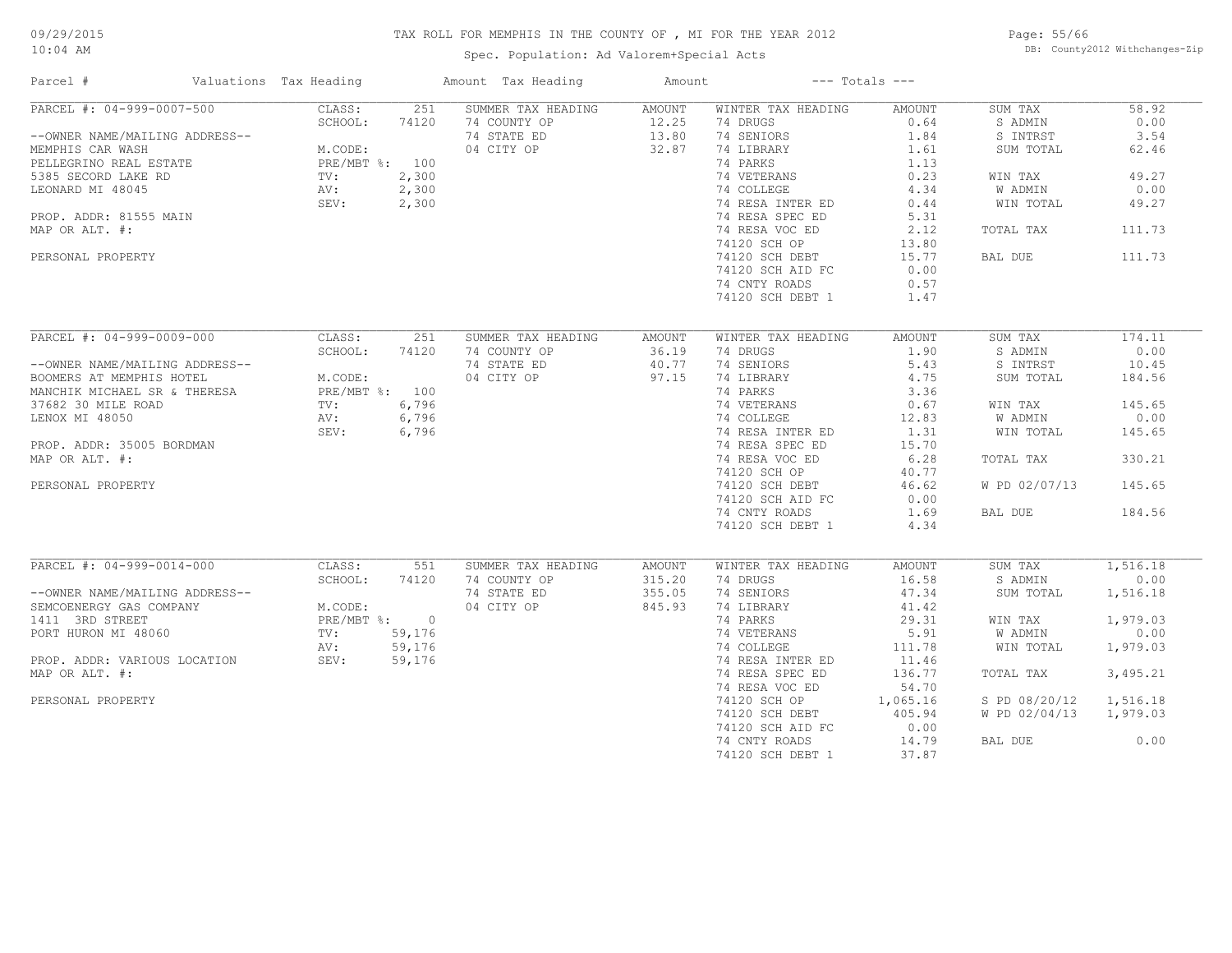Spec. Population: Ad Valorem+Special Acts

Page: 55/66 DB: County2012 Withchanges-Zip

| Parcel #                          | Valuations Tax Heading    |        | Amount Tax Heading | Amount |                    | $---$ Totals $---$ |               |          |
|-----------------------------------|---------------------------|--------|--------------------|--------|--------------------|--------------------|---------------|----------|
| PARCEL #: 04-999-0007-500         | CLASS:                    | 251    | SUMMER TAX HEADING | AMOUNT | WINTER TAX HEADING | AMOUNT             | SUM TAX       | 58.92    |
|                                   | SCHOOL:                   | 74120  | 74 COUNTY OP       | 12.25  | 74 DRUGS           | 0.64               | S ADMIN       | 0.00     |
| --OWNER NAME/MAILING ADDRESS--    |                           |        | 74 STATE ED        | 13.80  | 74 SENIORS         | 1.84               | S INTRST      | 3.54     |
| MEMPHIS CAR WASH                  | M.CODE:                   |        | 04 CITY OP         | 32.87  | 74 LIBRARY         | 1.61               | SUM TOTAL     | 62.46    |
| PELLEGRINO REAL ESTATE            | PRE/MBT %: 100            |        |                    |        | 74 PARKS           | 1.13               |               |          |
| 5385 SECORD LAKE RD               | TV:                       | 2,300  |                    |        | 74 VETERANS        | 0.23               | WIN TAX       | 49.27    |
| LEONARD MI 48045                  | AV:                       | 2,300  |                    |        | 74 COLLEGE         | 4.34               | W ADMIN       | 0.00     |
|                                   | SEV:                      | 2,300  |                    |        | 74 RESA INTER ED   | 0.44               | WIN TOTAL     | 49.27    |
| PROP. ADDR: 81555 MAIN            |                           |        |                    |        | 74 RESA SPEC ED    | 5.31               |               |          |
| MAP OR ALT. #:                    |                           |        |                    |        | 74 RESA VOC ED     | 2.12               | TOTAL TAX     | 111.73   |
|                                   |                           |        |                    |        | 74120 SCH OP       | 13.80              |               |          |
| PERSONAL PROPERTY                 |                           |        |                    |        | 74120 SCH DEBT     | 15.77              | BAL DUE       | 111.73   |
|                                   |                           |        |                    |        | 74120 SCH AID FC   | 0.00               |               |          |
|                                   |                           |        |                    |        | 74 CNTY ROADS      | 0.57               |               |          |
|                                   |                           |        |                    |        | 74120 SCH DEBT 1   | 1.47               |               |          |
|                                   |                           |        |                    |        |                    |                    |               |          |
| PARCEL #: 04-999-0009-000         | CLASS:                    | 251    | SUMMER TAX HEADING | AMOUNT | WINTER TAX HEADING | <b>AMOUNT</b>      | SUM TAX       | 174.11   |
|                                   | SCHOOL:                   | 74120  | 74 COUNTY OP       | 36.19  | 74 DRUGS           | 1.90               | S ADMIN       | 0.00     |
| --OWNER NAME/MAILING ADDRESS--    |                           |        | 74 STATE ED        | 40.77  | 74 SENIORS         | 5.43               | S INTRST      | 10.45    |
| BOOMERS AT MEMPHIS HOTEL          | M.CODE:                   |        | 04 CITY OP         | 97.15  | 74 LIBRARY         | 4.75               | SUM TOTAL     | 184.56   |
| MANCHIK MICHAEL SR & THERESA      | M.CODE:<br>PRE/MBT %: 100 |        |                    |        | 74 PARKS           | 3.36               |               |          |
| 37682 30 MILE ROAD                | TV:                       | 6,796  |                    |        | 74 VETERANS        | 0.67               | WIN TAX       | 145.65   |
|                                   |                           |        |                    |        |                    |                    |               | 0.00     |
| LENOX MI 48050                    | AV:                       | 6,796  |                    |        | 74 COLLEGE         | 12.83              | W ADMIN       |          |
|                                   | SEV:                      | 6,796  |                    |        | 74 RESA INTER ED   | 1.31               | WIN TOTAL     | 145.65   |
| PROP. ADDR: 35005 BORDMAN         |                           |        |                    |        | 74 RESA SPEC ED    | 15.70              |               |          |
| MAP OR ALT. #:                    |                           |        |                    |        | 74 RESA VOC ED     | 6.28               | TOTAL TAX     | 330.21   |
|                                   |                           |        |                    |        | 74120 SCH OP       | 40.77              |               |          |
| PERSONAL PROPERTY                 |                           |        |                    |        | 74120 SCH DEBT     | 46.62              | W PD 02/07/13 | 145.65   |
|                                   |                           |        |                    |        | 74120 SCH AID FC   | 0.00               |               |          |
|                                   |                           |        |                    |        | 74 CNTY ROADS      | 1.69               | BAL DUE       | 184.56   |
|                                   |                           |        |                    |        | 74120 SCH DEBT 1   | 4.34               |               |          |
|                                   |                           |        |                    |        |                    |                    |               |          |
| PARCEL #: 04-999-0014-000         | CLASS:                    | 551    | SUMMER TAX HEADING | AMOUNT | WINTER TAX HEADING | AMOUNT             | SUM TAX       | 1,516.18 |
|                                   | SCHOOL:                   | 74120  | 74 COUNTY OP       | 315.20 | 74 DRUGS           | 16.58              | S ADMIN       | 0.00     |
| --OWNER NAME/MAILING ADDRESS--    |                           |        | 74 STATE ED        | 355.05 | 74 SENIORS         | 47.34              | SUM TOTAL     | 1,516.18 |
| SEMCOENERGY GAS COMPANY           | M.CODE:                   |        | 04 CITY OP         | 845.93 | 74 LIBRARY         | 41.42              |               |          |
| 1411 3RD STREET                   | PRE/MBT %: 0              |        |                    |        | 74 PARKS           | 29.31              | WIN TAX       | 1,979.03 |
| PORT HURON MI 48060               | TV:                       | 59,176 |                    |        | 74 VETERANS        | 5.91               | W ADMIN       | 0.00     |
|                                   | AV:                       | 59,176 |                    |        | 74 COLLEGE         | 111.78             | WIN TOTAL     | 1,979.03 |
| PROP. ADDR: VARIOUS LOCATION SEV: |                           | 59,176 |                    |        | 74 RESA INTER ED   | 11.46              |               |          |
| MAP OR ALT. #:                    |                           |        |                    |        | 74 RESA SPEC ED    | 136.77             | TOTAL TAX     | 3,495.21 |
|                                   |                           |        |                    |        | 74 RESA VOC ED     | 54.70              |               |          |
| PERSONAL PROPERTY                 |                           |        |                    |        | 74120 SCH OP       | 1,065.16           | S PD 08/20/12 | 1,516.18 |
|                                   |                           |        |                    |        | 74120 SCH DEBT     | 405.94             | W PD 02/04/13 | 1,979.03 |
|                                   |                           |        |                    |        | 74120 SCH AID FC   | 0.00               |               |          |
|                                   |                           |        |                    |        | 74 CNTY ROADS      | 14.79              | BAL DUE       | 0.00     |
|                                   |                           |        |                    |        | 74120 SCH DEBT 1   | 37.87              |               |          |
|                                   |                           |        |                    |        |                    |                    |               |          |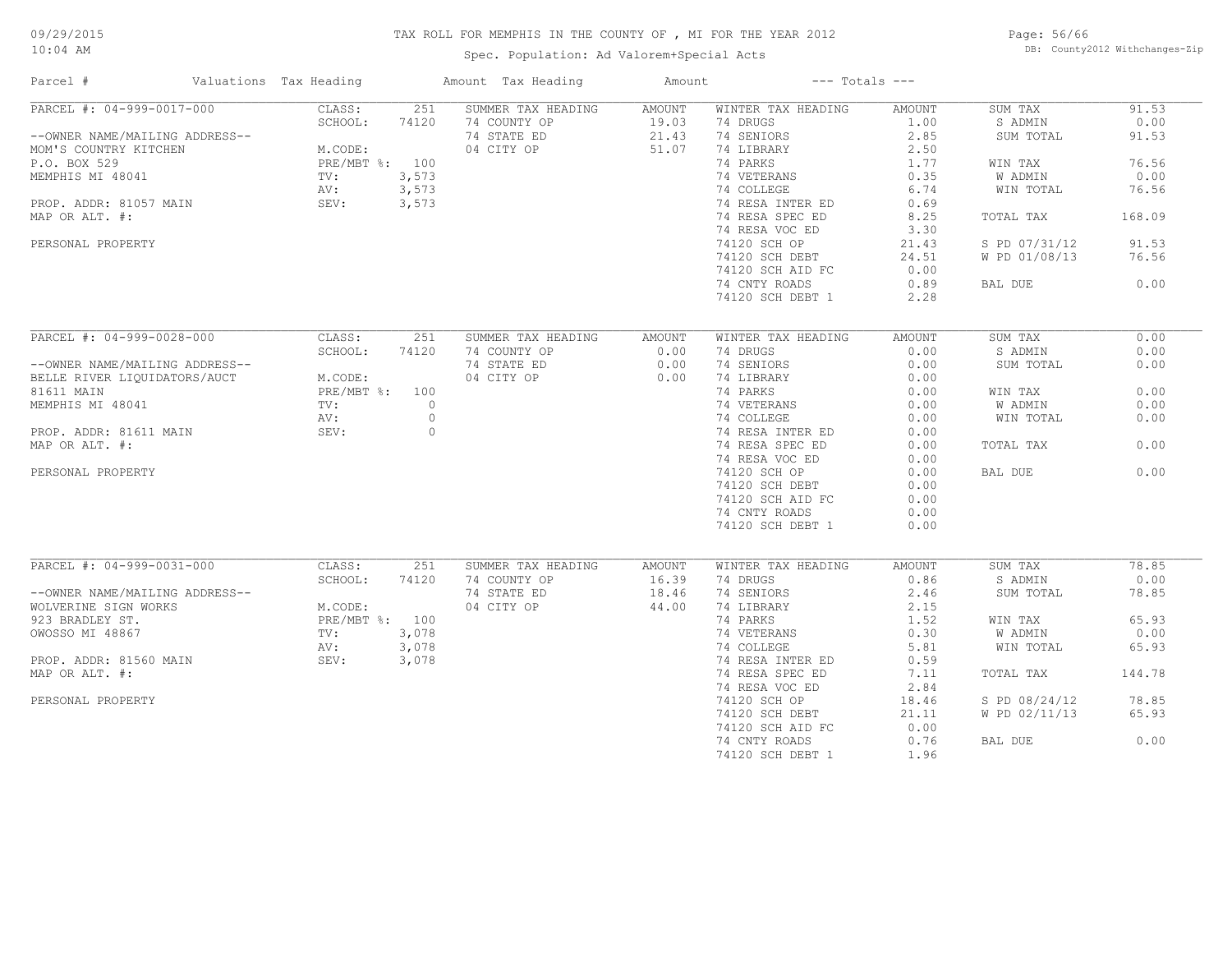Spec. Population: Ad Valorem+Special Acts

Page: 56/66 DB: County2012 Withchanges-Zip

| Parcel #                       | Valuations Tax Heading |         | Amount Tax Heading | Amount |                    | $---$ Totals $---$ |               |        |
|--------------------------------|------------------------|---------|--------------------|--------|--------------------|--------------------|---------------|--------|
| PARCEL #: 04-999-0017-000      | CLASS:                 | 251     | SUMMER TAX HEADING | AMOUNT | WINTER TAX HEADING | <b>AMOUNT</b>      | SUM TAX       | 91.53  |
|                                | SCHOOL:                | 74120   | 74 COUNTY OP       | 19.03  | 74 DRUGS           | 1.00               | S ADMIN       | 0.00   |
| --OWNER NAME/MAILING ADDRESS-- |                        |         | 74 STATE ED        | 21.43  | 74 SENIORS         | 2.85               | SUM TOTAL     | 91.53  |
| MOM'S COUNTRY KITCHEN          | M.CODE:                |         | 04 CITY OP         | 51.07  | 74 LIBRARY         | 2.50               |               |        |
| P.O. BOX 529                   | PRE/MBT %: 100         |         |                    |        | 74 PARKS           | 1.77               | WIN TAX       | 76.56  |
| MEMPHIS MI 48041               | TV:                    | 3,573   |                    |        | 74 VETERANS        | 0.35               | W ADMIN       | 0.00   |
|                                | AV:                    | 3,573   |                    |        | 74 COLLEGE         | 6.74               | WIN TOTAL     | 76.56  |
| PROP. ADDR: 81057 MAIN         | SEV:                   | 3,573   |                    |        | 74 RESA INTER ED   | 0.69               |               |        |
| MAP OR ALT. #:                 |                        |         |                    |        | 74 RESA SPEC ED    | 8.25               | TOTAL TAX     | 168.09 |
|                                |                        |         |                    |        | 74 RESA VOC ED     | 3.30               |               |        |
| PERSONAL PROPERTY              |                        |         |                    |        | 74120 SCH OP       | 21.43              | S PD 07/31/12 | 91.53  |
|                                |                        |         |                    |        | 74120 SCH DEBT     | 24.51              | W PD 01/08/13 | 76.56  |
|                                |                        |         |                    |        | 74120 SCH AID FC   | 0.00               |               |        |
|                                |                        |         |                    |        | 74 CNTY ROADS      | 0.89               | BAL DUE       | 0.00   |
|                                |                        |         |                    |        |                    |                    |               |        |
|                                |                        |         |                    |        | 74120 SCH DEBT 1   | 2.28               |               |        |
|                                |                        |         |                    |        |                    |                    |               |        |
| PARCEL #: 04-999-0028-000      | CLASS:                 | 251     | SUMMER TAX HEADING | AMOUNT | WINTER TAX HEADING | AMOUNT             | SUM TAX       | 0.00   |
|                                | SCHOOL:                | 74120   | 74 COUNTY OP       | 0.00   | 74 DRUGS           | 0.00               | S ADMIN       | 0.00   |
| --OWNER NAME/MAILING ADDRESS-- |                        |         | 74 STATE ED        | 0.00   | 74 SENIORS         | 0.00               | SUM TOTAL     | 0.00   |
| BELLE RIVER LIQUIDATORS/AUCT   | M.CODE:                |         | 04 CITY OP         | 0.00   | 74 LIBRARY         | 0.00               |               |        |
| 81611 MAIN                     | PRE/MBT %: 100         |         |                    |        | 74 PARKS           | 0.00               | WIN TAX       | 0.00   |
| MEMPHIS MI 48041               | TV:                    | $\circ$ |                    |        | 74 VETERANS        | 0.00               | W ADMIN       | 0.00   |
|                                | AV:                    | $\circ$ |                    |        | 74 COLLEGE         | 0.00               | WIN TOTAL     | 0.00   |
| PROP. ADDR: 81611 MAIN         | SEV:                   | $\circ$ |                    |        | 74 RESA INTER ED   | 0.00               |               |        |
| MAP OR ALT. #:                 |                        |         |                    |        | 74 RESA SPEC ED    | 0.00               | TOTAL TAX     | 0.00   |
|                                |                        |         |                    |        | 74 RESA VOC ED     | 0.00               |               |        |
| PERSONAL PROPERTY              |                        |         |                    |        | 74120 SCH OP       | 0.00               | BAL DUE       | 0.00   |
|                                |                        |         |                    |        | 74120 SCH DEBT     | 0.00               |               |        |
|                                |                        |         |                    |        | 74120 SCH AID FC   | 0.00               |               |        |
|                                |                        |         |                    |        | 74 CNTY ROADS      | 0.00               |               |        |
|                                |                        |         |                    |        | 74120 SCH DEBT 1   | 0.00               |               |        |
|                                |                        |         |                    |        |                    |                    |               |        |
| PARCEL #: 04-999-0031-000      | CLASS:                 | 251     | SUMMER TAX HEADING | AMOUNT | WINTER TAX HEADING | AMOUNT             | SUM TAX       | 78.85  |
|                                | SCHOOL:                | 74120   | 74 COUNTY OP       | 16.39  | 74 DRUGS           | 0.86               | S ADMIN       | 0.00   |
| --OWNER NAME/MAILING ADDRESS-- |                        |         | 74 STATE ED        | 18.46  | 74 SENIORS         | 2.46               | SUM TOTAL     | 78.85  |
| WOLVERINE SIGN WORKS           | M.CODE:                |         | 04 CITY OP         | 44.00  | 74 LIBRARY         | 2.15               |               |        |
| 923 BRADLEY ST.                | PRE/MBT %: 100         |         |                    |        | 74 PARKS           | 1.52               | WIN TAX       | 65.93  |
|                                |                        |         |                    |        | 74 VETERANS        |                    | W ADMIN       | 0.00   |
| OWOSSO MI 48867                | TV:                    | 3,078   |                    |        |                    | 0.30               |               |        |
|                                | AV:                    | 3,078   |                    |        | 74 COLLEGE         | 5.81               | WIN TOTAL     | 65.93  |
| PROP. ADDR: 81560 MAIN         | SEV:                   | 3,078   |                    |        | 74 RESA INTER ED   | 0.59               |               |        |
| MAP OR ALT. #:                 |                        |         |                    |        | 74 RESA SPEC ED    | 7.11               | TOTAL TAX     | 144.78 |
|                                |                        |         |                    |        | 74 RESA VOC ED     | 2.84               |               |        |
| PERSONAL PROPERTY              |                        |         |                    |        | 74120 SCH OP       | 18.46              | S PD 08/24/12 | 78.85  |
|                                |                        |         |                    |        | 74120 SCH DEBT     | 21.11              | W PD 02/11/13 | 65.93  |
|                                |                        |         |                    |        | 74120 SCH AID FC   | 0.00               |               |        |
|                                |                        |         |                    |        | 74 CNTY ROADS      | 0.76               | BAL DUE       | 0.00   |
|                                |                        |         |                    |        | 74120 SCH DEBT 1   | 1.96               |               |        |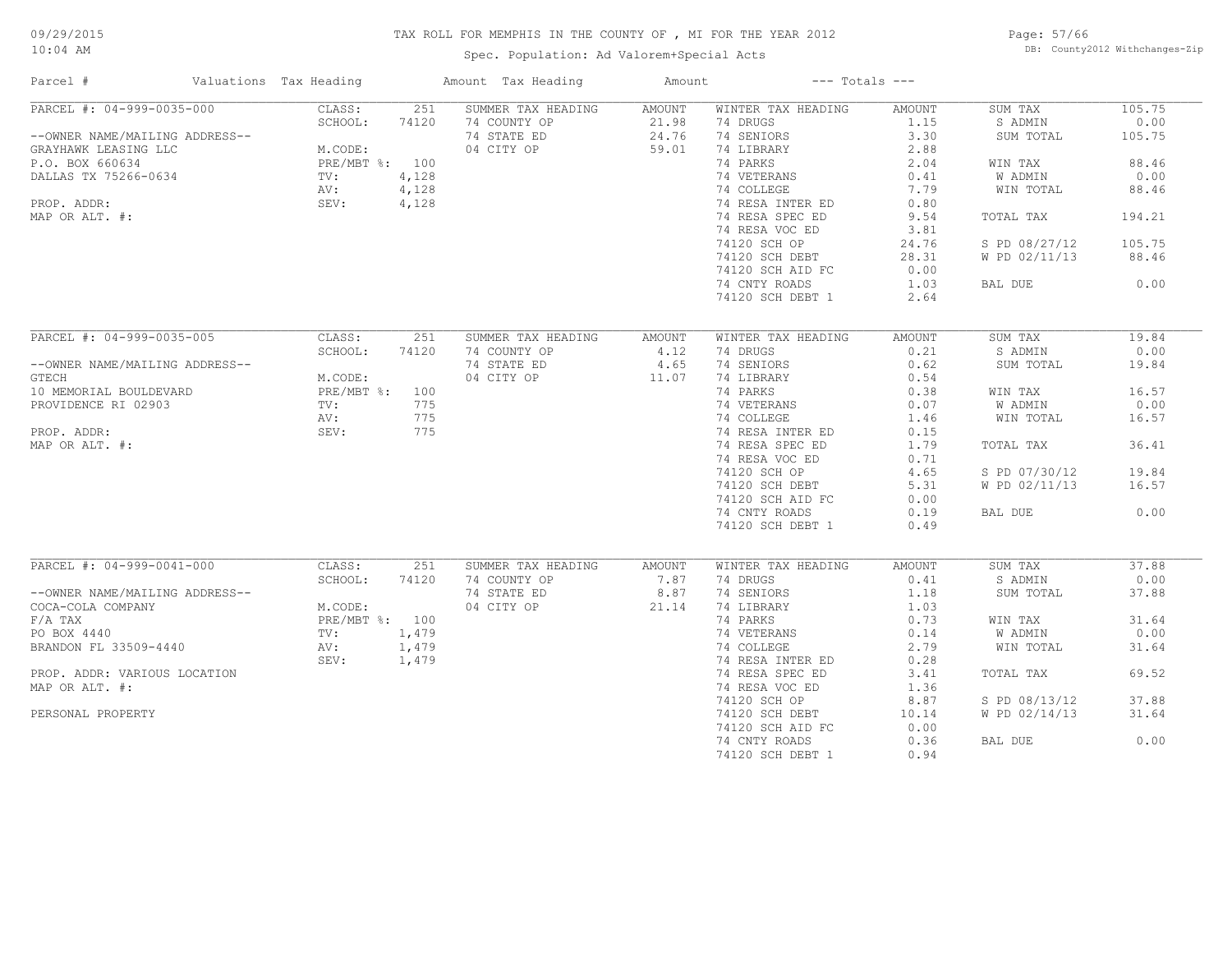Spec. Population: Ad Valorem+Special Acts

Page: 57/66 DB: County2012 Withchanges-Zip

| Parcel #                       | Valuations Tax Heading |       | Amount Tax Heading | Amount | $---$ Totals $---$ |               |                |        |
|--------------------------------|------------------------|-------|--------------------|--------|--------------------|---------------|----------------|--------|
| PARCEL #: 04-999-0035-000      | CLASS:                 | 251   | SUMMER TAX HEADING | AMOUNT | WINTER TAX HEADING | <b>AMOUNT</b> | SUM TAX        | 105.75 |
|                                | SCHOOL:                | 74120 | 74 COUNTY OP       | 21.98  | 74 DRUGS           | 1.15          | S ADMIN        | 0.00   |
| --OWNER NAME/MAILING ADDRESS-- |                        |       | 74 STATE ED        | 24.76  | 74 SENIORS         | 3.30          | SUM TOTAL      | 105.75 |
| GRAYHAWK LEASING LLC           | M.CODE:                |       | 04 CITY OP         | 59.01  | 74 LIBRARY         | 2.88          |                |        |
| P.O. BOX 660634                | PRE/MBT %: 100         |       |                    |        | 74 PARKS           | 2.04          | WIN TAX        | 88.46  |
| DALLAS TX 75266-0634           | TV:                    | 4,128 |                    |        | 74 VETERANS        | 0.41          | W ADMIN        | 0.00   |
|                                | AV:                    | 4,128 |                    |        | 74 COLLEGE         | 7.79          | WIN TOTAL      | 88.46  |
| PROP. ADDR:                    | SEV:                   | 4,128 |                    |        | 74 RESA INTER ED   | 0.80          |                |        |
| MAP OR ALT. #:                 |                        |       |                    |        | 74 RESA SPEC ED    | 9.54          | TOTAL TAX      | 194.21 |
|                                |                        |       |                    |        | 74 RESA VOC ED     | 3.81          |                |        |
|                                |                        |       |                    |        | 74120 SCH OP       | 24.76         | S PD 08/27/12  | 105.75 |
|                                |                        |       |                    |        | 74120 SCH DEBT     | 28.31         | W PD 02/11/13  | 88.46  |
|                                |                        |       |                    |        | 74120 SCH AID FC   | 0.00          |                |        |
|                                |                        |       |                    |        | 74 CNTY ROADS      | 1.03          | BAL DUE        | 0.00   |
|                                |                        |       |                    |        | 74120 SCH DEBT 1   | 2.64          |                |        |
|                                |                        |       |                    |        |                    |               |                |        |
| PARCEL #: 04-999-0035-005      | CLASS:                 | 251   | SUMMER TAX HEADING | AMOUNT | WINTER TAX HEADING | AMOUNT        | SUM TAX        | 19.84  |
|                                | SCHOOL:                | 74120 | 74 COUNTY OP       | 4.12   | 74 DRUGS           | 0.21          | S ADMIN        | 0.00   |
| --OWNER NAME/MAILING ADDRESS-- |                        |       | 74 STATE ED        | 4.65   | 74 SENIORS         | 0.62          | SUM TOTAL      | 19.84  |
| GTECH                          | M.CODE:                |       | 04 CITY OP         | 11.07  | 74 LIBRARY         | 0.54          |                |        |
| 10 MEMORIAL BOULDEVARD         | PRE/MBT %: 100         |       |                    |        | 74 PARKS           | 0.38          | WIN TAX        | 16.57  |
| PROVIDENCE RI 02903            | TV:                    | 775   |                    |        | 74 VETERANS        | 0.07          | <b>W ADMIN</b> | 0.00   |
|                                | AV:                    | 775   |                    |        | 74 COLLEGE         | 1.46          | WIN TOTAL      | 16.57  |
| PROP. ADDR:                    | SEV:                   | 775   |                    |        | 74 RESA INTER ED   | 0.15          |                |        |
| MAP OR ALT. #:                 |                        |       |                    |        | 74 RESA SPEC ED    | 1.79          | TOTAL TAX      | 36.41  |
|                                |                        |       |                    |        | 74 RESA VOC ED     | 0.71          |                |        |
|                                |                        |       |                    |        | 74120 SCH OP       | 4.65          | S PD 07/30/12  | 19.84  |
|                                |                        |       |                    |        | 74120 SCH DEBT     | 5.31          | W PD 02/11/13  | 16.57  |
|                                |                        |       |                    |        |                    | 0.00          |                |        |
|                                |                        |       |                    |        | 74120 SCH AID FC   |               |                | 0.00   |
|                                |                        |       |                    |        | 74 CNTY ROADS      | 0.19          | BAL DUE        |        |
|                                |                        |       |                    |        | 74120 SCH DEBT 1   | 0.49          |                |        |
| PARCEL #: 04-999-0041-000      | CLASS:                 | 251   | SUMMER TAX HEADING | AMOUNT | WINTER TAX HEADING | AMOUNT        | SUM TAX        | 37.88  |
|                                | SCHOOL:                | 74120 | 74 COUNTY OP       | 7.87   | 74 DRUGS           | 0.41          | S ADMIN        | 0.00   |
| --OWNER NAME/MAILING ADDRESS-- |                        |       | 74 STATE ED        | 8.87   | 74 SENIORS         | 1.18          | SUM TOTAL      | 37.88  |
| COCA-COLA COMPANY              | M.CODE:                |       | 04 CITY OP         | 21.14  | 74 LIBRARY         | 1.03          |                |        |
| $F/A$ TAX                      | PRE/MBT %: 100         |       |                    |        | 74 PARKS           | 0.73          | WIN TAX        | 31.64  |
| PO BOX 4440                    | TV:                    | 1,479 |                    |        | 74 VETERANS        | 0.14          | W ADMIN        | 0.00   |
| BRANDON FL 33509-4440          | AV:                    | 1,479 |                    |        | 74 COLLEGE         | 2.79          | WIN TOTAL      | 31.64  |
|                                | SEV:                   | 1,479 |                    |        | 74 RESA INTER ED   | 0.28          |                |        |
| PROP. ADDR: VARIOUS LOCATION   |                        |       |                    |        | 74 RESA SPEC ED    | 3.41          | TOTAL TAX      | 69.52  |
|                                |                        |       |                    |        |                    |               |                |        |
| MAP OR ALT. #:                 |                        |       |                    |        | 74 RESA VOC ED     | 1.36          |                |        |
|                                |                        |       |                    |        | 74120 SCH OP       | 8.87          | S PD 08/13/12  | 37.88  |
| PERSONAL PROPERTY              |                        |       |                    |        | 74120 SCH DEBT     | 10.14         | W PD 02/14/13  | 31.64  |
|                                |                        |       |                    |        | 74120 SCH AID FC   | 0.00          |                |        |
|                                |                        |       |                    |        | 74 CNTY ROADS      | 0.36          | BAL DUE        | 0.00   |
|                                |                        |       |                    |        | 74120 SCH DEBT 1   | 0.94          |                |        |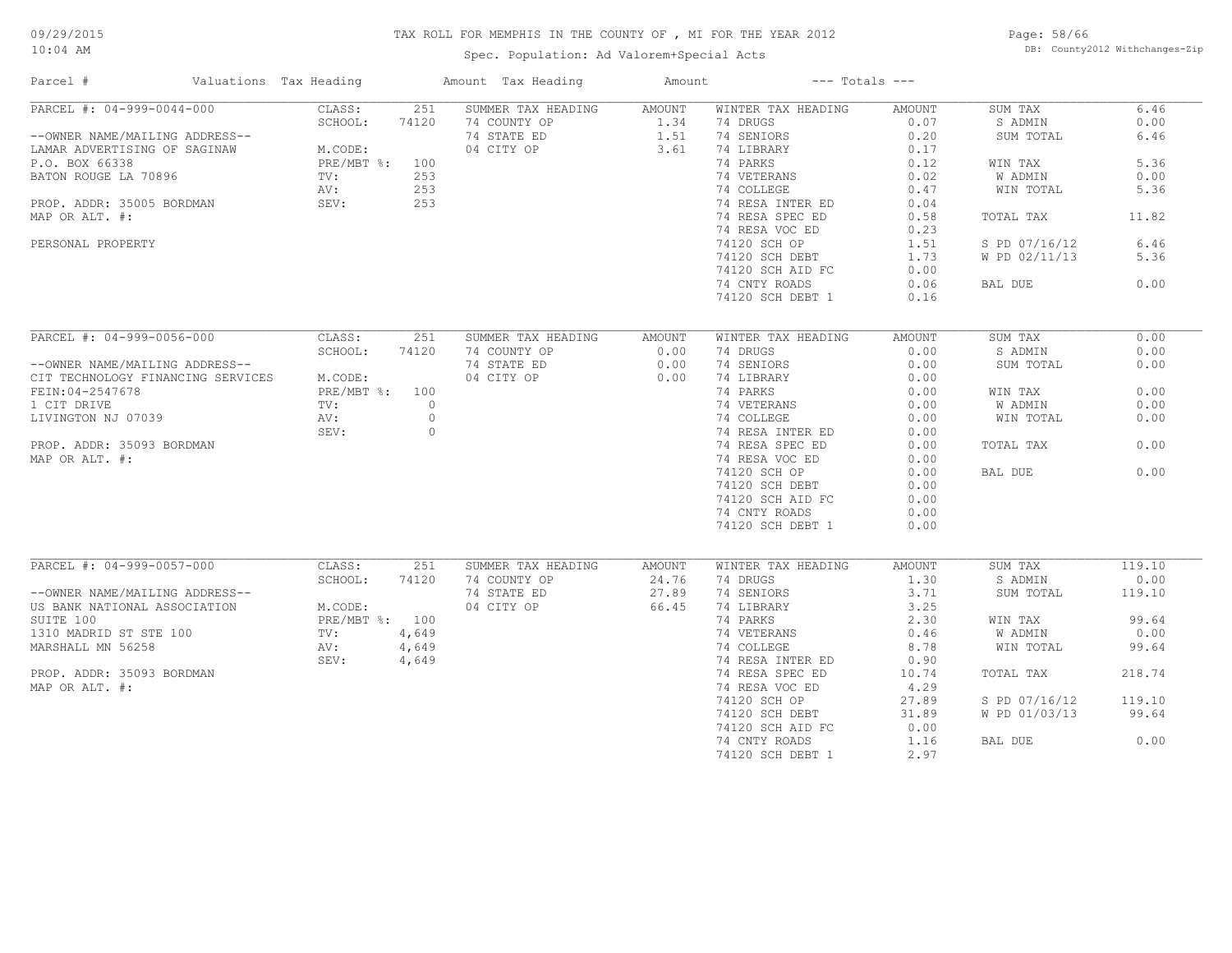Spec. Population: Ad Valorem+Special Acts

Page: 58/66 DB: County2012 Withchanges-Zip

| Parcel #                                                                                                                                                                                                  | Valuations Tax Heading                                               |                                               | Amount Tax Heading                                              | Amount                                |                                                                                                                                                                                                                                                         | $---$ Totals $---$                                                                                                            |                                                                                                                              |                                                                                         |
|-----------------------------------------------------------------------------------------------------------------------------------------------------------------------------------------------------------|----------------------------------------------------------------------|-----------------------------------------------|-----------------------------------------------------------------|---------------------------------------|---------------------------------------------------------------------------------------------------------------------------------------------------------------------------------------------------------------------------------------------------------|-------------------------------------------------------------------------------------------------------------------------------|------------------------------------------------------------------------------------------------------------------------------|-----------------------------------------------------------------------------------------|
| PARCEL #: 04-999-0044-000<br>--OWNER NAME/MAILING ADDRESS--<br>LAMAR ADVERTISING OF SAGINAW<br>P.O. BOX 66338<br>BATON ROUGE LA 70896<br>PROP. ADDR: 35005 BORDMAN<br>MAP OR ALT. #:<br>PERSONAL PROPERTY | CLASS:<br>SCHOOL:<br>M.CODE:<br>PRE/MBT %: 100<br>TV:<br>AV:<br>SEV: | 251<br>74120<br>253<br>253<br>253             | SUMMER TAX HEADING<br>74 COUNTY OP<br>74 STATE ED<br>04 CITY OP | <b>AMOUNT</b><br>1.34<br>1.51<br>3.61 | WINTER TAX HEADING<br>74 DRUGS<br>74 SENIORS<br>74 LIBRARY<br>74 PARKS<br>74 VETERANS<br>74 COLLEGE<br>74 RESA INTER ED<br>74 RESA SPEC ED<br>74 RESA VOC ED<br>74120 SCH OP<br>74120 SCH DEBT<br>74120 SCH AID FC<br>74 CNTY ROADS<br>74120 SCH DEBT 1 | <b>AMOUNT</b><br>0.07<br>0.20<br>0.17<br>0.12<br>0.02<br>0.47<br>0.04<br>0.58<br>0.23<br>1.51<br>1.73<br>0.00<br>0.06<br>0.16 | SUM TAX<br>S ADMIN<br>SUM TOTAL<br>WIN TAX<br>W ADMIN<br>WIN TOTAL<br>TOTAL TAX<br>S PD 07/16/12<br>W PD 02/11/13<br>BAL DUE | 6.46<br>0.00<br>6.46<br>5.36<br>0.00<br>5.36<br>11.82<br>6.46<br>5.36<br>0.00           |
| PARCEL #: 04-999-0056-000<br>--OWNER NAME/MAILING ADDRESS--<br>CIT TECHNOLOGY FINANCING SERVICES<br>FEIN: 04-2547678<br>1 CIT DRIVE<br>LIVINGTON NJ 07039<br>PROP. ADDR: 35093 BORDMAN<br>MAP OR ALT. #:  | CLASS:<br>SCHOOL:<br>M.CODE:<br>PRE/MBT %: 100<br>TV:<br>AV:<br>SEV: | 251<br>74120<br>$\circ$<br>$\circ$<br>$\circ$ | SUMMER TAX HEADING<br>74 COUNTY OP<br>74 STATE ED<br>04 CITY OP | <b>AMOUNT</b><br>0.00<br>0.00<br>0.00 | WINTER TAX HEADING<br>74 DRUGS<br>74 SENIORS<br>74 LIBRARY<br>74 PARKS<br>74 VETERANS<br>74 COLLEGE<br>74 RESA INTER ED<br>74 RESA SPEC ED<br>74 RESA VOC ED<br>74120 SCH OP<br>74120 SCH DEBT<br>74120 SCH AID FC<br>74 CNTY ROADS<br>74120 SCH DEBT 1 | <b>AMOUNT</b><br>0.00<br>0.00<br>0.00<br>0.00<br>0.00<br>0.00<br>0.00<br>0.00<br>0.00<br>0.00<br>0.00<br>0.00<br>0.00<br>0.00 | SUM TAX<br>S ADMIN<br>SUM TOTAL<br>WIN TAX<br>W ADMIN<br>WIN TOTAL<br>TOTAL TAX<br>BAL DUE                                   | 0.00<br>0.00<br>0.00<br>0.00<br>0.00<br>0.00<br>0.00<br>0.00                            |
| PARCEL #: 04-999-0057-000<br>--OWNER NAME/MAILING ADDRESS--<br>US BANK NATIONAL ASSOCIATION<br>SUITE 100<br>1310 MADRID ST STE 100<br>MARSHALL MN 56258<br>PROP. ADDR: 35093 BORDMAN<br>MAP OR ALT. #:    | CLASS:<br>SCHOOL:<br>M.CODE:<br>PRE/MBT %: 100<br>TV:<br>AV:<br>SEV: | 251<br>74120<br>4,649<br>4,649<br>4,649       | SUMMER TAX HEADING<br>74 COUNTY OP<br>74 STATE ED<br>04 CITY OP | AMOUNT<br>24.76<br>27.89<br>66.45     | WINTER TAX HEADING<br>74 DRUGS<br>74 SENIORS<br>74 LIBRARY<br>74 PARKS<br>74 VETERANS<br>74 COLLEGE<br>74 RESA INTER ED<br>74 RESA SPEC ED<br>74 RESA VOC ED<br>74120 SCH OP<br>74120 SCH DEBT<br>74120 SCH AID FC<br>74 CNTY ROADS<br>74120 SCH DEBT 1 | AMOUNT<br>1.30<br>3.71<br>3.25<br>2.30<br>0.46<br>8.78<br>0.90<br>10.74<br>4.29<br>27.89<br>31.89<br>0.00<br>1.16<br>2.97     | SUM TAX<br>S ADMIN<br>SUM TOTAL<br>WIN TAX<br>W ADMIN<br>WIN TOTAL<br>TOTAL TAX<br>S PD 07/16/12<br>W PD 01/03/13<br>BAL DUE | 119.10<br>0.00<br>119.10<br>99.64<br>0.00<br>99.64<br>218.74<br>119.10<br>99.64<br>0.00 |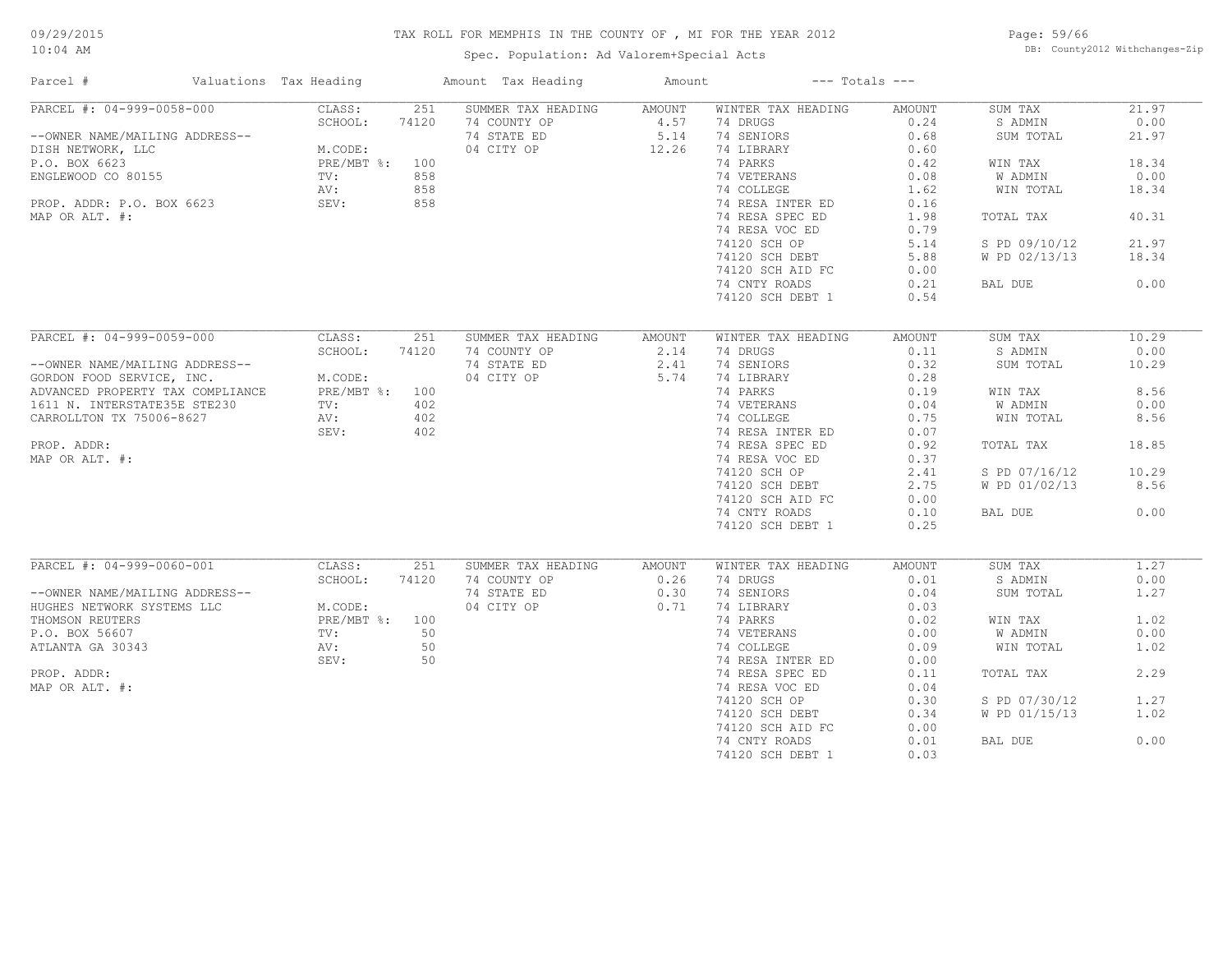#### 09/29/2015 10:04 AM

## TAX ROLL FOR MEMPHIS IN THE COUNTY OF , MI FOR THE YEAR 2012

Spec. Population: Ad Valorem+Special Acts

Page: 59/66 DB: County2012 Withchanges-Zip

| Parcel #                         | Valuations Tax Heading |       | Amount Tax Heading | Amount |                    | $---$ Totals $---$ |               |       |
|----------------------------------|------------------------|-------|--------------------|--------|--------------------|--------------------|---------------|-------|
| PARCEL #: 04-999-0058-000        | CLASS:                 | 251   | SUMMER TAX HEADING | AMOUNT | WINTER TAX HEADING | AMOUNT             | SUM TAX       | 21.97 |
|                                  | SCHOOL:                | 74120 | 74 COUNTY OP       | 4.57   | 74 DRUGS           | 0.24               | S ADMIN       | 0.00  |
| --OWNER NAME/MAILING ADDRESS--   |                        |       | 74 STATE ED        | 5.14   | 74 SENIORS         | 0.68               | SUM TOTAL     | 21.97 |
| DISH NETWORK, LLC                | M.CODE:                |       | 04 CITY OP         | 12.26  | 74 LIBRARY         | 0.60               |               |       |
| P.O. BOX 6623                    | PRE/MBT %: 100         |       |                    |        | 74 PARKS           | 0.42               | WIN TAX       | 18.34 |
| ENGLEWOOD CO 80155               | TV:                    | 858   |                    |        | 74 VETERANS        | 0.08               | W ADMIN       | 0.00  |
|                                  | AV:                    | 858   |                    |        | 74 COLLEGE         | 1.62               | WIN TOTAL     | 18.34 |
| PROP. ADDR: P.O. BOX 6623        | SEV:                   | 858   |                    |        | 74 RESA INTER ED   | 0.16               |               |       |
| MAP OR ALT. #:                   |                        |       |                    |        | 74 RESA SPEC ED    | 1.98               | TOTAL TAX     | 40.31 |
|                                  |                        |       |                    |        | 74 RESA VOC ED     | 0.79               |               |       |
|                                  |                        |       |                    |        | 74120 SCH OP       | 5.14               | S PD 09/10/12 | 21.97 |
|                                  |                        |       |                    |        | 74120 SCH DEBT     | 5.88               | W PD 02/13/13 | 18.34 |
|                                  |                        |       |                    |        | 74120 SCH AID FC   | 0.00               |               |       |
|                                  |                        |       |                    |        | 74 CNTY ROADS      | 0.21               | BAL DUE       | 0.00  |
|                                  |                        |       |                    |        | 74120 SCH DEBT 1   | 0.54               |               |       |
|                                  |                        |       |                    |        |                    |                    |               |       |
|                                  |                        |       |                    |        |                    |                    |               |       |
| PARCEL #: 04-999-0059-000        | CLASS:                 | 251   | SUMMER TAX HEADING | AMOUNT | WINTER TAX HEADING | AMOUNT             | SUM TAX       | 10.29 |
|                                  | SCHOOL:                | 74120 | 74 COUNTY OP       | 2.14   | 74 DRUGS           | 0.11               | S ADMIN       | 0.00  |
| --OWNER NAME/MAILING ADDRESS--   |                        |       | 74 STATE ED        | 2.41   | 74 SENIORS         | 0.32               | SUM TOTAL     | 10.29 |
| GORDON FOOD SERVICE, INC.        | M.CODE:                |       | 04 CITY OP         | 5.74   | 74 LIBRARY         | 0.28               |               |       |
| ADVANCED PROPERTY TAX COMPLIANCE | PRE/MBT %: 100         |       |                    |        | 74 PARKS           | 0.19               | WIN TAX       | 8.56  |
| 1611 N. INTERSTATE35E STE230     | TV:                    | 402   |                    |        | 74 VETERANS        | 0.04               | W ADMIN       | 0.00  |
| CARROLLTON TX 75006-8627         | AV:                    | 402   |                    |        | 74 COLLEGE         | 0.75               | WIN TOTAL     | 8.56  |
|                                  | SEV:                   | 402   |                    |        | 74 RESA INTER ED   | 0.07               |               |       |
| PROP. ADDR:                      |                        |       |                    |        | 74 RESA SPEC ED    | 0.92               | TOTAL TAX     | 18.85 |
| MAP OR ALT. #:                   |                        |       |                    |        | 74 RESA VOC ED     | 0.37               |               |       |
|                                  |                        |       |                    |        | 74120 SCH OP       | 2.41               | S PD 07/16/12 | 10.29 |
|                                  |                        |       |                    |        | 74120 SCH DEBT     | 2.75               | W PD 01/02/13 | 8.56  |
|                                  |                        |       |                    |        | 74120 SCH AID FC   | 0.00               |               |       |
|                                  |                        |       |                    |        | 74 CNTY ROADS      | 0.10               | BAL DUE       | 0.00  |
|                                  |                        |       |                    |        | 74120 SCH DEBT 1   | 0.25               |               |       |
|                                  |                        |       |                    |        |                    |                    |               |       |
| PARCEL #: 04-999-0060-001        | CLASS:                 | 251   | SUMMER TAX HEADING | AMOUNT | WINTER TAX HEADING | AMOUNT             | SUM TAX       | 1.27  |
|                                  | SCHOOL:                | 74120 | 74 COUNTY OP       | 0.26   | 74 DRUGS           | 0.01               | S ADMIN       | 0.00  |
| --OWNER NAME/MAILING ADDRESS--   |                        |       | 74 STATE ED        | 0.30   | 74 SENIORS         | 0.04               | SUM TOTAL     | 1.27  |
| HUGHES NETWORK SYSTEMS LLC       | M.CODE:                |       | 04 CITY OP         | 0.71   | 74 LIBRARY         | 0.03               |               |       |
| THOMSON REUTERS                  | PRE/MBT %: 100         |       |                    |        | 74 PARKS           | 0.02               | WIN TAX       | 1.02  |
| P.O. BOX 56607                   | TV:                    | 50    |                    |        | 74 VETERANS        | 0.00               | W ADMIN       | 0.00  |
| ATLANTA GA 30343                 | AV:                    | 50    |                    |        | 74 COLLEGE         | 0.09               | WIN TOTAL     | 1.02  |
|                                  | SEV:                   | 50    |                    |        | 74 RESA INTER ED   | 0.00               |               |       |
| PROP. ADDR:                      |                        |       |                    |        | 74 RESA SPEC ED    | 0.11               | TOTAL TAX     | 2.29  |
| MAP OR ALT. #:                   |                        |       |                    |        | 74 RESA VOC ED     | 0.04               |               |       |
|                                  |                        |       |                    |        |                    | 0.30               |               | 1.27  |
|                                  |                        |       |                    |        | 74120 SCH OP       |                    | S PD 07/30/12 |       |
|                                  |                        |       |                    |        | 74120 SCH DEBT     | 0.34               | W PD 01/15/13 | 1.02  |
|                                  |                        |       |                    |        | 74120 SCH AID FC   | 0.00               |               |       |
|                                  |                        |       |                    |        | 74 CNTY ROADS      | 0.01               | BAL DUE       | 0.00  |
|                                  |                        |       |                    |        | 74120 SCH DEBT 1   | 0.03               |               |       |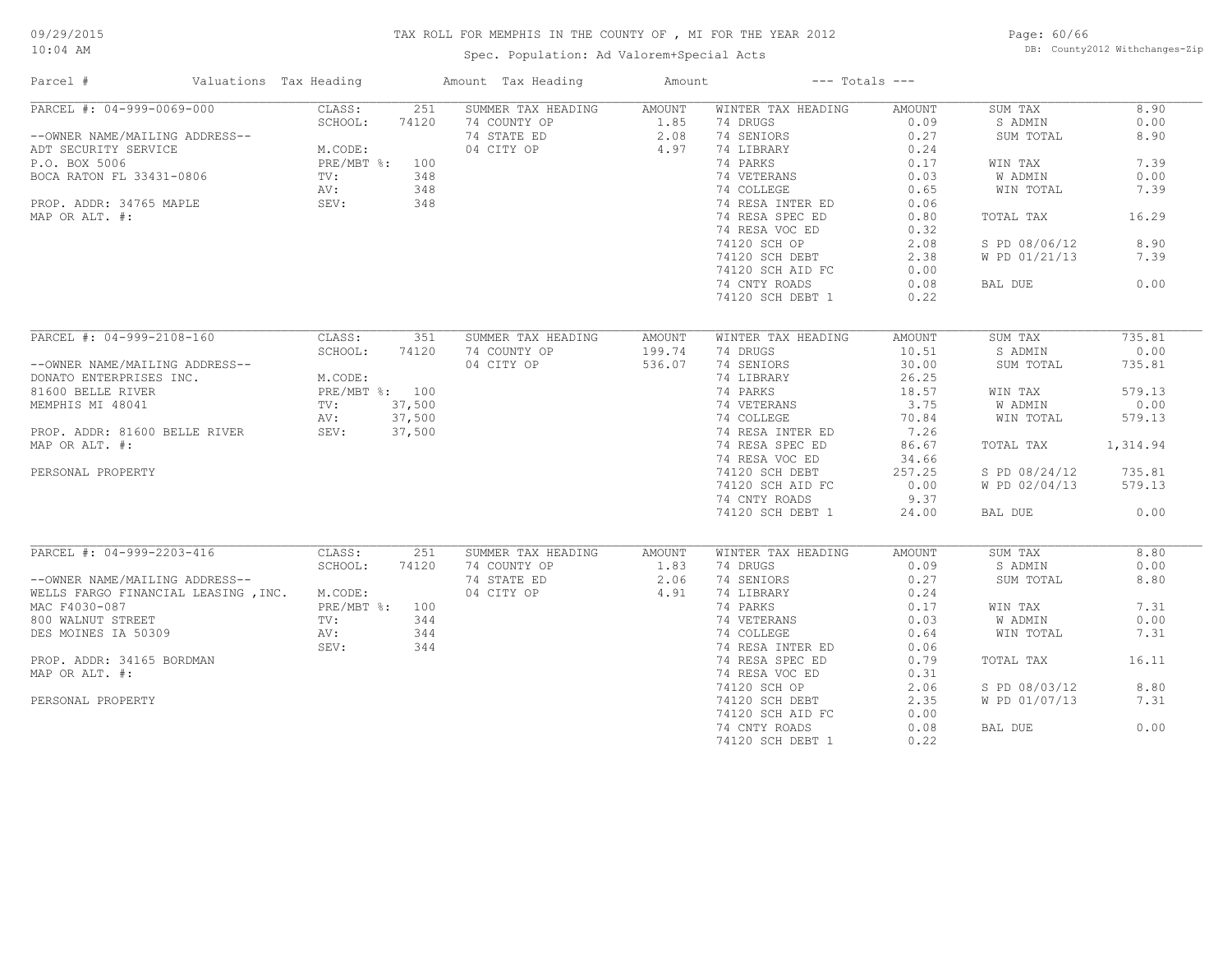## 09/29/2015 10:04 AM

## TAX ROLL FOR MEMPHIS IN THE COUNTY OF , MI FOR THE YEAR 2012

Spec. Population: Ad Valorem+Special Acts

Page: 60/66 DB: County2012 Withchanges-Zip

| Parcel #                                                                                                        | Valuations Tax Heading    |                | Amount Tax Heading        | Amount           | $---$ Totals $---$ |        |               |          |
|-----------------------------------------------------------------------------------------------------------------|---------------------------|----------------|---------------------------|------------------|--------------------|--------|---------------|----------|
| PARCEL #: 04-999-0069-000                                                                                       | CLASS:                    | 251            | SUMMER TAX HEADING AMOUNT |                  | WINTER TAX HEADING | AMOUNT | SUM TAX       | 8.90     |
|                                                                                                                 | SCHOOL:                   | 74120          | 74 COUNTY OP              |                  | 74 DRUGS           | 0.09   | S ADMIN       | 0.00     |
| --OWNER NAME/MAILING ADDRESS--                                                                                  | M.CODE:<br>PRE/MBT %: 100 |                | 74 STATE ED               | $1.85$<br>$2.08$ | 74 SENIORS         | 0.27   | SUM TOTAL     | 8.90     |
| ADT SECURITY SERVICE M.COD<br>P.O. BOX 5006 PRE/M<br>BOCA RATON FL 33431-0806 TV:                               |                           |                | 04 CITY OP                | 4.97             | 74 LIBRARY         | 0.24   |               |          |
|                                                                                                                 |                           |                |                           |                  | 74 PARKS           | 0.17   | WIN TAX       | 7.39     |
|                                                                                                                 |                           | 348            |                           |                  | 74 VETERANS        | 0.03   | W ADMIN       | 0.00     |
|                                                                                                                 | AV:                       | 348            |                           |                  | 74 COLLEGE         | 0.65   | WIN TOTAL     | 7.39     |
| PROP. ADDR: 34765 MAPLE                                                                                         | SEV:                      | 348            |                           |                  | 74 RESA INTER ED   | 0.06   |               |          |
| MAP OR ALT. #:                                                                                                  |                           |                |                           |                  | 74 RESA SPEC ED    | 0.80   | TOTAL TAX     | 16.29    |
|                                                                                                                 |                           |                |                           |                  | 74 RESA VOC ED     | 0.32   |               |          |
|                                                                                                                 |                           |                |                           |                  | 74120 SCH OP       | 2.08   | S PD 08/06/12 | 8.90     |
|                                                                                                                 |                           |                |                           |                  | 74120 SCH DEBT     | 2.38   | W PD 01/21/13 | 7.39     |
|                                                                                                                 |                           |                |                           |                  |                    |        |               |          |
|                                                                                                                 |                           |                |                           |                  | 74120 SCH AID FC   | 0.00   |               |          |
|                                                                                                                 |                           |                |                           |                  | 74 CNTY ROADS      | 0.08   | BAL DUE       | 0.00     |
|                                                                                                                 |                           |                |                           |                  | 74120 SCH DEBT 1   | 0.22   |               |          |
| PARCEL #: 04-999-2108-160                                                                                       | CLASS:                    | 351            |                           |                  |                    |        |               | 735.81   |
| --OWNER NAME/MAILING ADDRESS--<br>DONATO ENTERPRISES INC.<br>CODE:<br>CODETTE RIVER<br>TV: 37,500<br>TV: 37,500 |                           |                | SUMMER TAX HEADING        | AMOUNT           | WINTER TAX HEADING | AMOUNT | SUM TAX       |          |
|                                                                                                                 |                           |                | 74 COUNTY OP              | 199.74           | 74 DRUGS           | 10.51  | S ADMIN       | 0.00     |
|                                                                                                                 |                           |                | 04 CITY OP                | 536.07           | 74 SENIORS         | 30.00  | SUM TOTAL     | 735.81   |
|                                                                                                                 |                           |                |                           |                  | 74 LIBRARY         | 26.25  |               |          |
|                                                                                                                 |                           |                |                           |                  | 74 PARKS           | 18.57  | WIN TAX       | 579.13   |
|                                                                                                                 |                           |                |                           |                  | 74 VETERANS        | 3.75   | W ADMIN       | 0.00     |
|                                                                                                                 | AV:                       | 37,500         |                           |                  | 74 COLLEGE         | 70.84  | WIN TOTAL     | 579.13   |
| PROP. ADDR: 81600 BELLE RIVER                                                                                   | Av: 37,500<br>SEV: 37,500 |                |                           |                  | 74 RESA INTER ED   | 7.26   |               |          |
| MAP OR ALT. #:                                                                                                  |                           |                |                           |                  | 74 RESA SPEC ED    | 86.67  | TOTAL TAX     | 1,314.94 |
|                                                                                                                 |                           |                |                           |                  | 74 RESA VOC ED     | 34.66  |               |          |
| PERSONAL PROPERTY                                                                                               |                           |                |                           |                  | 74120 SCH DEBT     | 257.25 | S PD 08/24/12 | 735.81   |
|                                                                                                                 |                           |                |                           |                  | 74120 SCH AID FC   | 0.00   | W PD 02/04/13 | 579.13   |
|                                                                                                                 |                           |                |                           |                  | 74 CNTY ROADS      | 9.37   |               |          |
|                                                                                                                 |                           |                |                           |                  | 74120 SCH DEBT 1   | 24.00  | BAL DUE       | 0.00     |
|                                                                                                                 |                           |                |                           |                  |                    |        |               |          |
| PARCEL #: 04-999-2203-416                                                                                       | CLASS:                    | 251            | SUMMER TAX HEADING        | AMOUNT           | WINTER TAX HEADING | AMOUNT | SUM TAX       | 8.80     |
|                                                                                                                 | SCHOOL:                   | 74120          | 74 COUNTY OP              | 1.83             | 74 DRUGS           | 0.09   | S ADMIN       | 0.00     |
| --OWNER NAME/MAILING ADDRESS--                                                                                  |                           |                | 74 STATE ED               | 2.06             | 74 SENIORS         | 0.27   | SUM TOTAL     | 8.80     |
| WELLS FARGO FINANCIAL LEASING , INC. M.CODE:                                                                    |                           |                | 04 CITY OP                | 4.91             | 74 LIBRARY         | 0.24   |               |          |
| MAC F4030-087                                                                                                   |                           | PRE/MBT %: 100 |                           |                  | 74 PARKS           | 0.17   | WIN TAX       | 7.31     |
| 800 WALNUT STREET                                                                                               | TV:                       | 344            |                           |                  | 74 VETERANS        | 0.03   | W ADMIN       | 0.00     |
| DES MOINES IA 50309                                                                                             | AV:                       | 344            |                           |                  | 74 COLLEGE         | 0.64   | WIN TOTAL     | 7.31     |
|                                                                                                                 | SEV:                      | 344            |                           |                  | 74 RESA INTER ED   | 0.06   |               |          |
| PROP. ADDR: 34165 BORDMAN                                                                                       |                           |                |                           |                  | 74 RESA SPEC ED    | 0.79   | TOTAL TAX     | 16.11    |
|                                                                                                                 |                           |                |                           |                  |                    |        |               |          |
| MAP OR ALT. #:                                                                                                  |                           |                |                           |                  | 74 RESA VOC ED     | 0.31   |               |          |
|                                                                                                                 |                           |                |                           |                  | 74120 SCH OP       | 2.06   | S PD 08/03/12 | 8.80     |
| PERSONAL PROPERTY                                                                                               |                           |                |                           |                  | 74120 SCH DEBT     | 2.35   | W PD 01/07/13 | 7.31     |
|                                                                                                                 |                           |                |                           |                  | 74120 SCH AID FC   | 0.00   |               |          |
|                                                                                                                 |                           |                |                           |                  | 74 CNTY ROADS      | 0.08   | BAL DUE       | 0.00     |
|                                                                                                                 |                           |                |                           |                  | 74120 SCH DEBT 1   | 0.22   |               |          |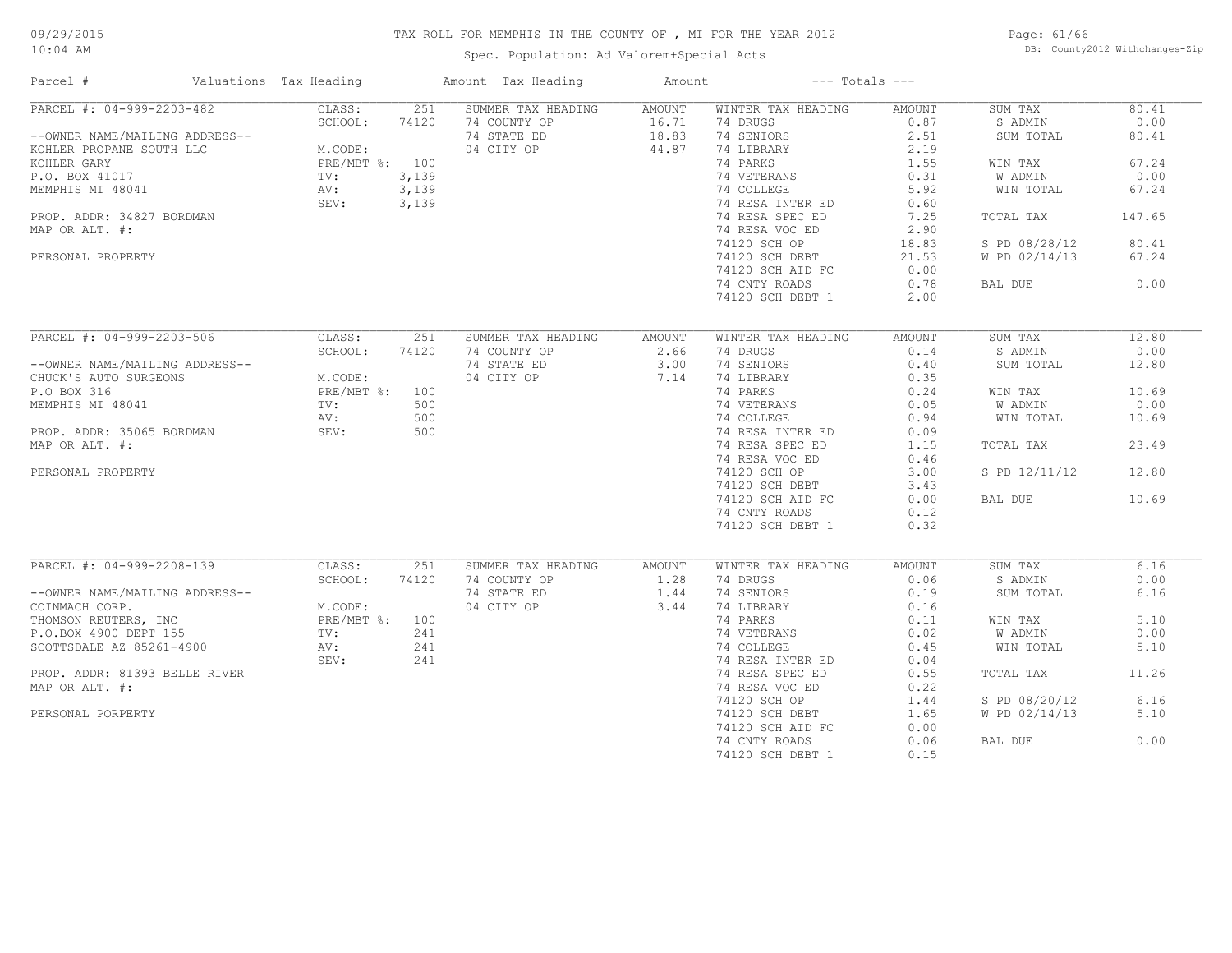Spec. Population: Ad Valorem+Special Acts

Page: 61/66 DB: County2012 Withchanges-Zip

| Parcel #                       | Valuations Tax Heading   |       | Amount Tax Heading | Amount        | $---$ Totals $---$ |               |               |        |
|--------------------------------|--------------------------|-------|--------------------|---------------|--------------------|---------------|---------------|--------|
| PARCEL #: 04-999-2203-482      | CLASS:                   | 251   | SUMMER TAX HEADING | AMOUNT        | WINTER TAX HEADING | AMOUNT        | SUM TAX       | 80.41  |
|                                | SCHOOL:<br>74120         |       | 74 COUNTY OP       | 16.71         | 74 DRUGS           | 0.87          | S ADMIN       | 0.00   |
| --OWNER NAME/MAILING ADDRESS-- |                          |       | 74 STATE ED        | 18.83         | 74 SENIORS         | 2.51          | SUM TOTAL     | 80.41  |
| KOHLER PROPANE SOUTH LLC       | M.CODE:                  |       | 04 CITY OP         | 44.87         | 74 LIBRARY         | 2.19          |               |        |
| KOHLER GARY                    | PRE/MBT %: 100           |       |                    |               | 74 PARKS           | 1.55          | WIN TAX       | 67.24  |
| P.O. BOX 41017                 | 3,139<br>$\texttt{TV}$ : |       |                    |               | 74 VETERANS        | 0.31          | W ADMIN       | 0.00   |
| MEMPHIS MI 48041               | 3,139<br>AV:             |       |                    |               | 74 COLLEGE         | 5.92          | WIN TOTAL     | 67.24  |
|                                | 3,139<br>SEV:            |       |                    |               | 74 RESA INTER ED   | 0.60          |               |        |
| PROP. ADDR: 34827 BORDMAN      |                          |       |                    |               | 74 RESA SPEC ED    | 7.25          | TOTAL TAX     | 147.65 |
| MAP OR ALT. #:                 |                          |       |                    |               | 74 RESA VOC ED     | 2.90          |               |        |
|                                |                          |       |                    |               | 74120 SCH OP       | 18.83         | S PD 08/28/12 | 80.41  |
| PERSONAL PROPERTY              |                          |       |                    |               | 74120 SCH DEBT     | 21.53         | W PD 02/14/13 | 67.24  |
|                                |                          |       |                    |               | 74120 SCH AID FC   | 0.00          |               |        |
|                                |                          |       |                    |               | 74 CNTY ROADS      | 0.78          | BAL DUE       | 0.00   |
|                                |                          |       |                    |               | 74120 SCH DEBT 1   | 2.00          |               |        |
|                                |                          |       |                    |               |                    |               |               |        |
| PARCEL #: 04-999-2203-506      | CLASS:                   | 251   | SUMMER TAX HEADING | <b>AMOUNT</b> | WINTER TAX HEADING | <b>AMOUNT</b> | SUM TAX       | 12.80  |
|                                | SCHOOL:<br>74120         |       | 74 COUNTY OP       | 2.66          | 74 DRUGS           | 0.14          | S ADMIN       | 0.00   |
| --OWNER NAME/MAILING ADDRESS-- |                          |       | 74 STATE ED        | 3.00          | 74 SENIORS         | 0.40          | SUM TOTAL     | 12.80  |
| CHUCK'S AUTO SURGEONS          | M.CODE:                  |       | 04 CITY OP         | 7.14          | 74 LIBRARY         | 0.35          |               |        |
| P.O BOX 316                    | PRE/MBT %: 100           |       |                    |               | 74 PARKS           | 0.24          | WIN TAX       | 10.69  |
| MEMPHIS MI 48041               | TV:                      | 500   |                    |               | 74 VETERANS        | 0.05          | W ADMIN       | 0.00   |
|                                |                          |       |                    |               |                    |               |               |        |
|                                | AV:                      | 500   |                    |               | 74 COLLEGE         | 0.94          | WIN TOTAL     | 10.69  |
| PROP. ADDR: 35065 BORDMAN      | SEV:                     | 500   |                    |               | 74 RESA INTER ED   | 0.09          |               |        |
| MAP OR ALT. #:                 |                          |       |                    |               | 74 RESA SPEC ED    | 1.15          | TOTAL TAX     | 23.49  |
|                                |                          |       |                    |               | 74 RESA VOC ED     | 0.46          |               |        |
| PERSONAL PROPERTY              |                          |       |                    |               | 74120 SCH OP       | 3.00          | S PD 12/11/12 | 12.80  |
|                                |                          |       |                    |               | 74120 SCH DEBT     | 3.43          |               |        |
|                                |                          |       |                    |               | 74120 SCH AID FC   | 0.00          | BAL DUE       | 10.69  |
|                                |                          |       |                    |               | 74 CNTY ROADS      | 0.12          |               |        |
|                                |                          |       |                    |               | 74120 SCH DEBT 1   | 0.32          |               |        |
|                                |                          |       |                    |               |                    |               |               |        |
| PARCEL #: 04-999-2208-139      | CLASS:                   | 251   | SUMMER TAX HEADING | AMOUNT        | WINTER TAX HEADING | AMOUNT        | SUM TAX       | 6.16   |
|                                | SCHOOL:                  | 74120 | 74 COUNTY OP       | 1.28          | 74 DRUGS           | 0.06          | S ADMIN       | 0.00   |
| --OWNER NAME/MAILING ADDRESS-- |                          |       | 74 STATE ED        | 1.44          | 74 SENIORS         | 0.19          | SUM TOTAL     | 6.16   |
| COINMACH CORP.                 | M.CODE:                  |       | 04 CITY OP         | 3.44          | 74 LIBRARY         | 0.16          |               |        |
| THOMSON REUTERS, INC           | PRE/MBT %: 100           |       |                    |               | 74 PARKS           | 0.11          | WIN TAX       | 5.10   |
| P.O.BOX 4900 DEPT 155          | $\text{TV}$ :            | 241   |                    |               | 74 VETERANS        | 0.02          | W ADMIN       | 0.00   |
| SCOTTSDALE AZ 85261-4900       | AV:                      | 241   |                    |               | 74 COLLEGE         | 0.45          | WIN TOTAL     | 5.10   |
|                                | SEV:                     | 241   |                    |               | 74 RESA INTER ED   | 0.04          |               |        |
| PROP. ADDR: 81393 BELLE RIVER  |                          |       |                    |               | 74 RESA SPEC ED    | 0.55          | TOTAL TAX     | 11.26  |
| MAP OR ALT. #:                 |                          |       |                    |               | 74 RESA VOC ED     | 0.22          |               |        |
|                                |                          |       |                    |               | 74120 SCH OP       | 1.44          | S PD 08/20/12 | 6.16   |
| PERSONAL PORPERTY              |                          |       |                    |               | 74120 SCH DEBT     | 1.65          | W PD 02/14/13 | 5.10   |
|                                |                          |       |                    |               | 74120 SCH AID FC   | 0.00          |               |        |
|                                |                          |       |                    |               | 74 CNTY ROADS      | 0.06          | BAL DUE       | 0.00   |
|                                |                          |       |                    |               | 74120 SCH DEBT 1   | 0.15          |               |        |
|                                |                          |       |                    |               |                    |               |               |        |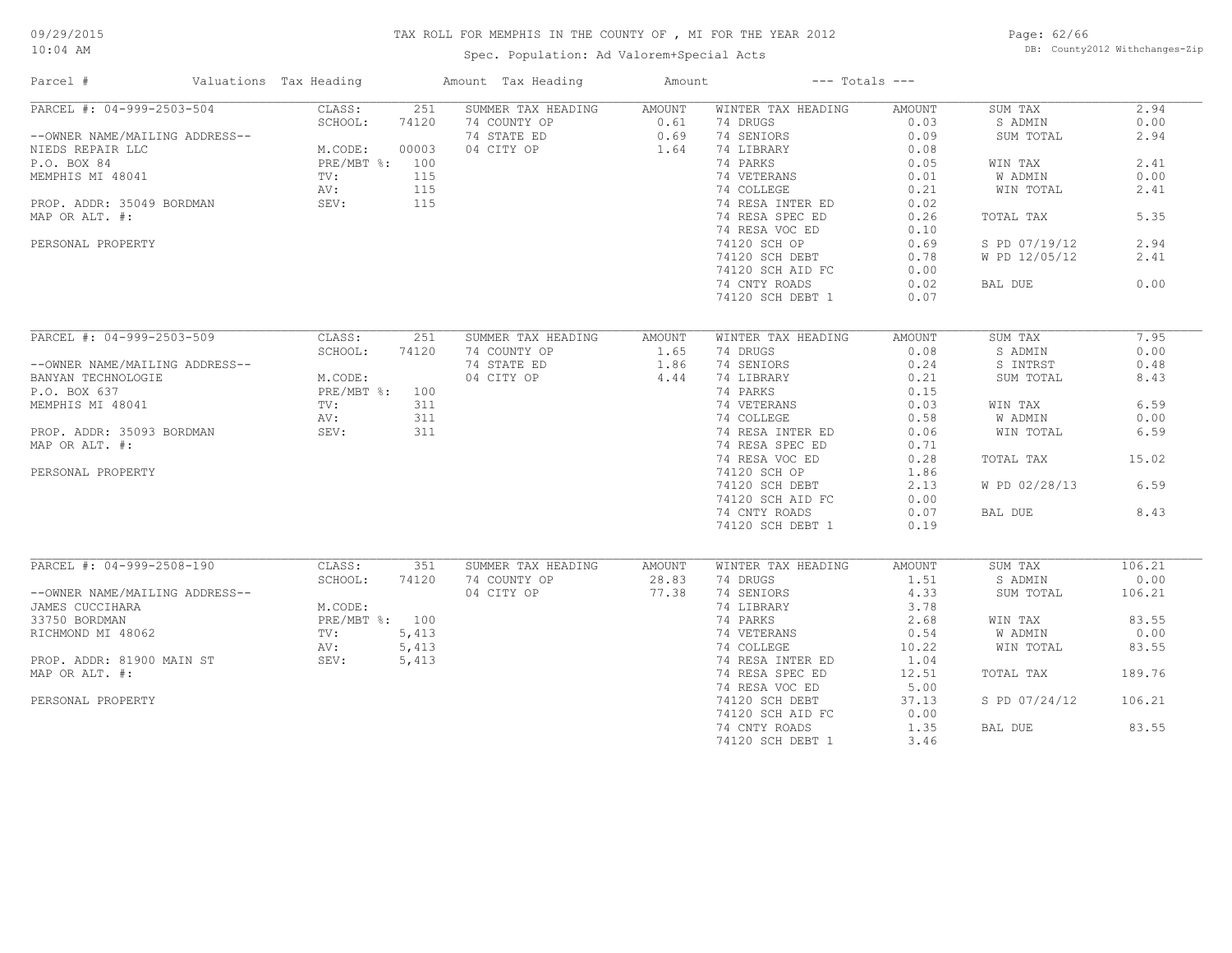Spec. Population: Ad Valorem+Special Acts

Page: 62/66 DB: County2012 Withchanges-Zip

| Parcel #                       | Valuations Tax Heading |       | Amount Tax Heading | Amount | $---$ Totals $---$ |               |               |        |
|--------------------------------|------------------------|-------|--------------------|--------|--------------------|---------------|---------------|--------|
| PARCEL #: 04-999-2503-504      | CLASS:                 | 251   | SUMMER TAX HEADING | AMOUNT | WINTER TAX HEADING | AMOUNT        | SUM TAX       | 2.94   |
|                                | SCHOOL:                | 74120 | 74 COUNTY OP       | 0.61   | 74 DRUGS           | 0.03          | S ADMIN       | 0.00   |
| --OWNER NAME/MAILING ADDRESS-- |                        |       | 74 STATE ED        | 0.69   | 74 SENIORS         | 0.09          | SUM TOTAL     | 2.94   |
| NIEDS REPAIR LLC               | M.CODE:                | 00003 | 04 CITY OP         | 1.64   | 74 LIBRARY         | 0.08          |               |        |
| P.O. BOX 84                    | PRE/MBT %: 100         |       |                    |        | 74 PARKS           | 0.05          | WIN TAX       | 2.41   |
| MEMPHIS MI 48041               | TV:                    | 115   |                    |        | 74 VETERANS        | 0.01          | W ADMIN       | 0.00   |
|                                | AV:                    | 115   |                    |        | 74 COLLEGE         | 0.21          | WIN TOTAL     | 2.41   |
| PROP. ADDR: 35049 BORDMAN      | SEV:                   | 115   |                    |        | 74 RESA INTER ED   | 0.02          |               |        |
| MAP OR ALT. #:                 |                        |       |                    |        | 74 RESA SPEC ED    | 0.26          | TOTAL TAX     | 5.35   |
|                                |                        |       |                    |        | 74 RESA VOC ED     | 0.10          |               |        |
| PERSONAL PROPERTY              |                        |       |                    |        | 74120 SCH OP       | 0.69          | S PD 07/19/12 | 2.94   |
|                                |                        |       |                    |        | 74120 SCH DEBT     | 0.78          | W PD 12/05/12 | 2.41   |
|                                |                        |       |                    |        |                    | 0.00          |               |        |
|                                |                        |       |                    |        | 74120 SCH AID FC   |               |               | 0.00   |
|                                |                        |       |                    |        | 74 CNTY ROADS      | 0.02          | BAL DUE       |        |
|                                |                        |       |                    |        | 74120 SCH DEBT 1   | 0.07          |               |        |
| PARCEL #: 04-999-2503-509      | CLASS:                 | 251   | SUMMER TAX HEADING | AMOUNT | WINTER TAX HEADING | <b>AMOUNT</b> | SUM TAX       | 7.95   |
|                                | SCHOOL:                | 74120 | 74 COUNTY OP       | 1.65   | 74 DRUGS           | 0.08          | S ADMIN       | 0.00   |
|                                |                        |       | 74 STATE ED        | 1.86   | 74 SENIORS         | 0.24          | S INTRST      | 0.48   |
| --OWNER NAME/MAILING ADDRESS-- | M.CODE:                |       | 04 CITY OP         | 4.44   | 74 LIBRARY         | 0.21          | SUM TOTAL     | 8.43   |
| BANYAN TECHNOLOGIE             |                        |       |                    |        |                    |               |               |        |
| P.O. BOX 637                   | PRE/MBT %: 100         |       |                    |        | 74 PARKS           | 0.15          |               |        |
| MEMPHIS MI 48041               | TV:                    | 311   |                    |        | 74 VETERANS        | 0.03          | WIN TAX       | 6.59   |
|                                | AV:                    | 311   |                    |        | 74 COLLEGE         | 0.58          | W ADMIN       | 0.00   |
| PROP. ADDR: 35093 BORDMAN      | SEV:                   | 311   |                    |        | 74 RESA INTER ED   | 0.06          | WIN TOTAL     | 6.59   |
| MAP OR ALT. #:                 |                        |       |                    |        | 74 RESA SPEC ED    | 0.71          |               |        |
|                                |                        |       |                    |        | 74 RESA VOC ED     | 0.28          | TOTAL TAX     | 15.02  |
| PERSONAL PROPERTY              |                        |       |                    |        | 74120 SCH OP       | 1.86          |               |        |
|                                |                        |       |                    |        | 74120 SCH DEBT     | 2.13          | W PD 02/28/13 | 6.59   |
|                                |                        |       |                    |        | 74120 SCH AID FC   | 0.00          |               |        |
|                                |                        |       |                    |        | 74 CNTY ROADS      | 0.07          | BAL DUE       | 8.43   |
|                                |                        |       |                    |        | 74120 SCH DEBT 1   | 0.19          |               |        |
|                                |                        |       |                    |        |                    |               |               |        |
| PARCEL #: 04-999-2508-190      | CLASS:                 | 351   | SUMMER TAX HEADING | AMOUNT | WINTER TAX HEADING | <b>AMOUNT</b> | SUM TAX       | 106.21 |
|                                | SCHOOL:                | 74120 | 74 COUNTY OP       | 28.83  | 74 DRUGS           | 1.51          | S ADMIN       | 0.00   |
| --OWNER NAME/MAILING ADDRESS-- |                        |       | 04 CITY OP         | 77.38  | 74 SENIORS         | 4.33          | SUM TOTAL     | 106.21 |
| JAMES CUCCIHARA                | M.CODE:                |       |                    |        | 74 LIBRARY         | 3.78          |               |        |
| 33750 BORDMAN                  | PRE/MBT %: 100         |       |                    |        | 74 PARKS           | 2.68          | WIN TAX       | 83.55  |
| RICHMOND MI 48062              | TV:                    | 5,413 |                    |        | 74 VETERANS        | 0.54          | W ADMIN       | 0.00   |
|                                | AV:                    | 5,413 |                    |        | 74 COLLEGE         | 10.22         | WIN TOTAL     | 83.55  |
| PROP. ADDR: 81900 MAIN ST      | SEV:                   | 5,413 |                    |        | 74 RESA INTER ED   | 1.04          |               |        |
| MAP OR ALT. #:                 |                        |       |                    |        | 74 RESA SPEC ED    | 12.51         | TOTAL TAX     | 189.76 |
|                                |                        |       |                    |        | 74 RESA VOC ED     | 5.00          |               |        |
| PERSONAL PROPERTY              |                        |       |                    |        | 74120 SCH DEBT     | 37.13         | S PD 07/24/12 | 106.21 |
|                                |                        |       |                    |        | 74120 SCH AID FC   | 0.00          |               |        |
|                                |                        |       |                    |        | 74 CNTY ROADS      | 1.35          | BAL DUE       | 83.55  |
|                                |                        |       |                    |        | 74120 SCH DEBT 1   | 3.46          |               |        |
|                                |                        |       |                    |        |                    |               |               |        |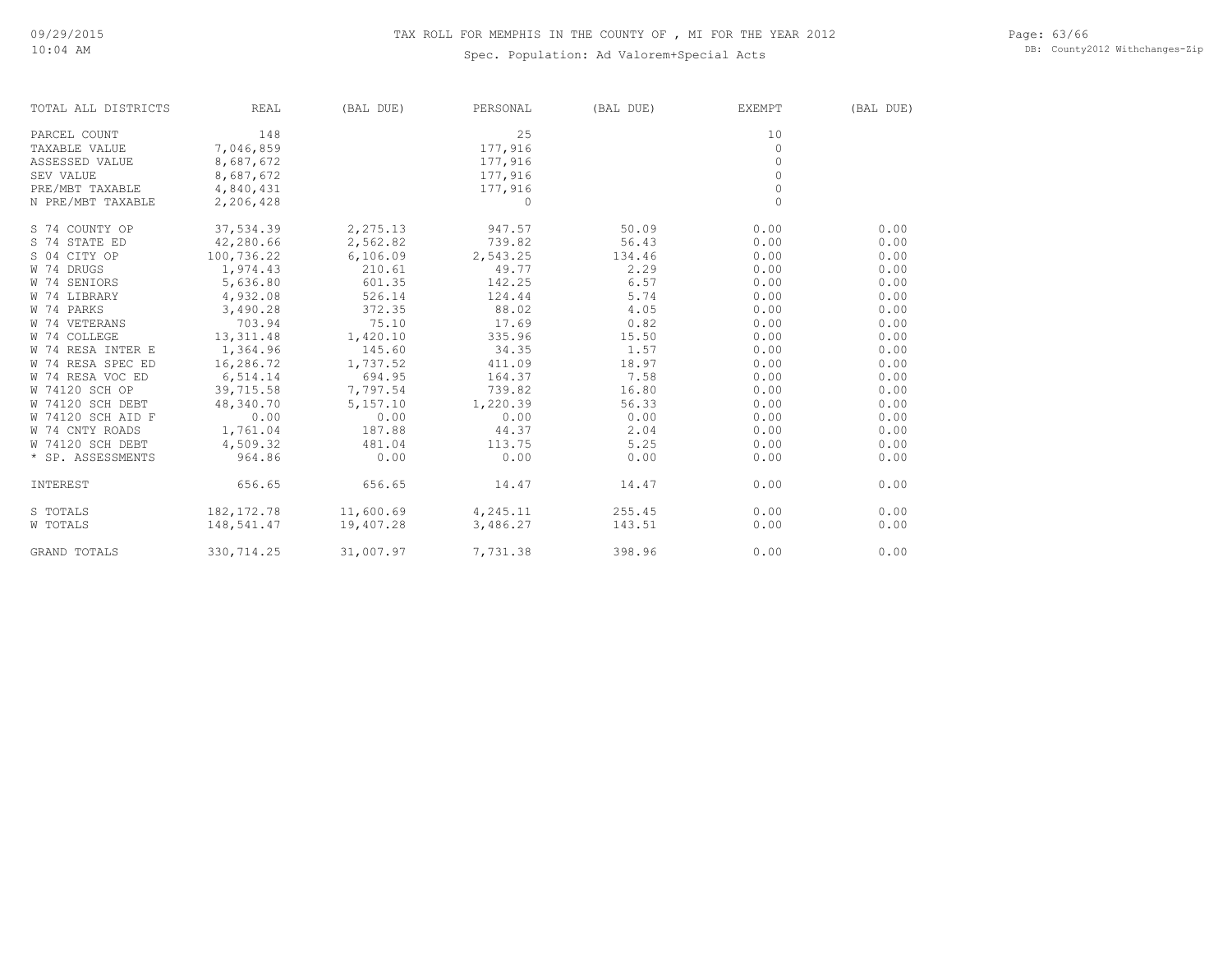Page: 63/66 DB: County2012 Withchanges-Zip

| TOTAL ALL DISTRICTS | REAL        | (BAL DUE)            | PERSONAL | (BAL DUE) | <b>EXEMPT</b> | (BAL DUE) |
|---------------------|-------------|----------------------|----------|-----------|---------------|-----------|
| PARCEL COUNT        | 148         |                      | 25       |           | 10            |           |
| TAXABLE VALUE       | 7,046,859   |                      | 177,916  |           | $\circ$       |           |
| ASSESSED VALUE      | 8,687,672   |                      | 177,916  |           | $\Omega$      |           |
| SEV VALUE           | 8,687,672   |                      | 177,916  |           | $\Omega$      |           |
| PRE/MBT TAXABLE     | 4,840,431   |                      | 177,916  |           | $\circ$       |           |
| N PRE/MBT TAXABLE   | 2,206,428   |                      | $\Omega$ |           | $\Omega$      |           |
| S 74 COUNTY OP      | 37,534.39   | 2,275.13             | 947.57   | 50.09     | 0.00          | 0.00      |
| S 74 STATE ED       | 42,280.66   | 2,562.82             | 739.82   | 56.43     | 0.00          | 0.00      |
| S 04 CITY OP        | 100,736.22  | 6,106.09             | 2,543.25 | 134.46    | 0.00          | 0.00      |
| W 74 DRUGS          | 1,974.43    | 210.61               | 49.77    | 2.29      | 0.00          | 0.00      |
| W 74 SENIORS        | 5,636.80    | 601.35               | 142.25   | 6.57      | 0.00          | 0.00      |
| W 74 LIBRARY        | 4,932.08    | 526.14               | 124.44   | 5.74      | 0.00          | 0.00      |
| W 74 PARKS          | 3,490.28    | 372.35               | 88.02    | 4.05      | 0.00          | 0.00      |
| W 74 VETERANS       | 703.94      | 75.10                | 17.69    | 0.82      | 0.00          | 0.00      |
| W 74 COLLEGE        | 13,311.48   | 1,420.10             | 335.96   | 15.50     | 0.00          | 0.00      |
| W 74 RESA INTER E   | 1,364.96    | 145.60               | 34.35    | 1.57      | 0.00          | 0.00      |
| W 74 RESA SPEC ED   | 16,286.72   | 1,737.52             | 411.09   | 18.97     | 0.00          | 0.00      |
| W 74 RESA VOC ED    | 6,514.14    | 694.95               | 164.37   | 7.58      | 0.00          | 0.00      |
| W 74120 SCH OP      | 39,715.58   | 7,797.54             | 739.82   | 16.80     | 0.00          | 0.00      |
| W 74120 SCH DEBT    | 48,340.70   | 5,157.10             | 1,220.39 | 56.33     | 0.00          | 0.00      |
| W 74120 SCH AID F   | 0.00        | 0.00                 | 0.00     | 0.00      | 0.00          | 0.00      |
| W 74 CNTY ROADS     | 1,761.04    | 187.88               | 44.37    | 2.04      | 0.00          | 0.00      |
| W 74120 SCH DEBT    | 4,509.32    | 481.04               | 113.75   | 5.25      | 0.00          | 0.00      |
| * SP. ASSESSMENTS   | 964.86      | 0.00                 | 0.00     | 0.00      | 0.00          | 0.00      |
| INTEREST            | 656.65      | 656.65               | 14.47    | 14.47     | 0.00          | 0.00      |
| S TOTALS            | 182, 172.78 | $11,600.69$ 4,245.11 |          | 255.45    | 0.00          | 0.00      |
| W TOTALS            | 148,541.47  | 19,407.28            | 3,486.27 | 143.51    | 0.00          | 0.00      |
| GRAND TOTALS        | 330, 714.25 | 31,007.97            | 7,731.38 | 398.96    | 0.00          | 0.00      |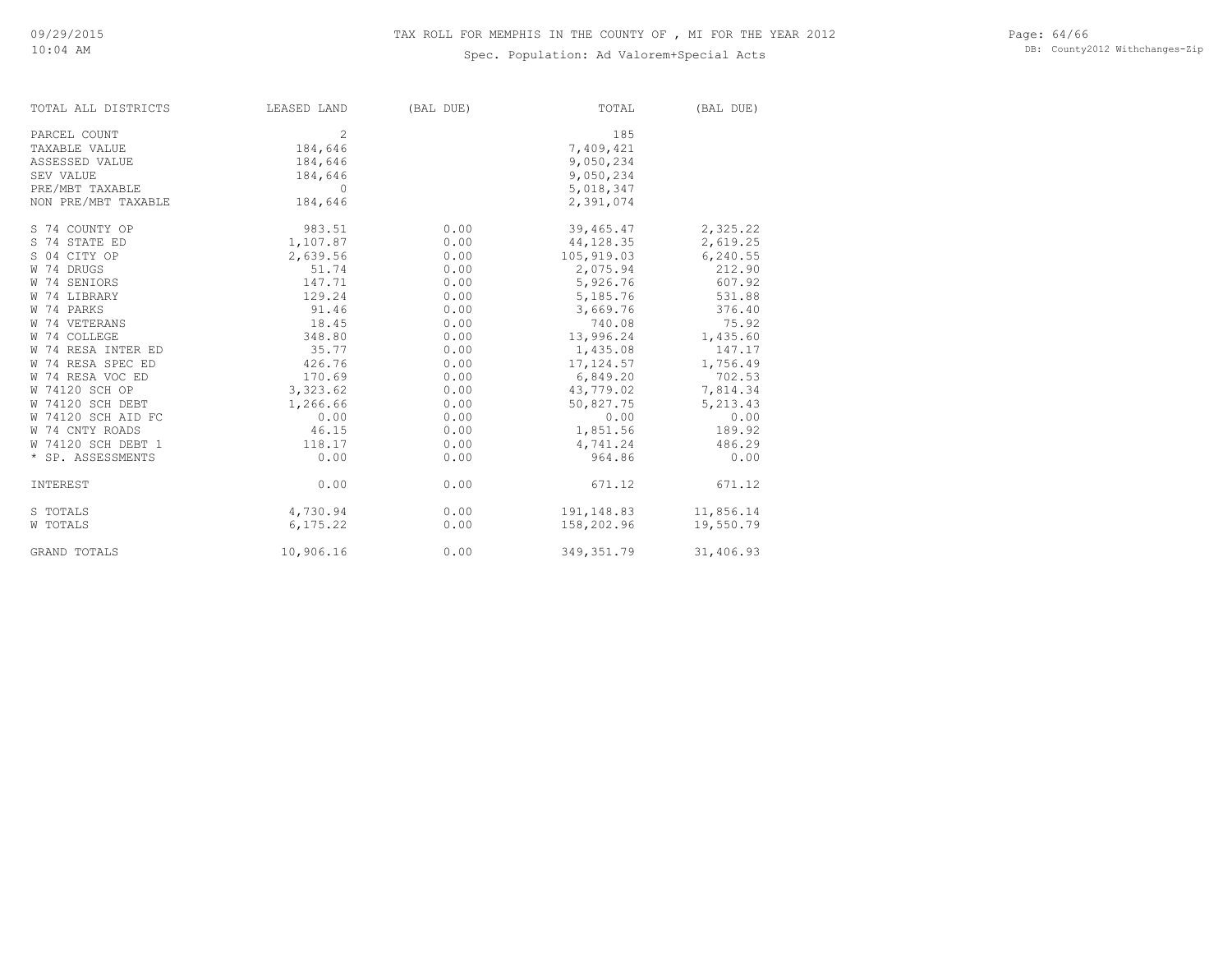| TOTAL ALL DISTRICTS | LEASED LAND   | (BAL DUE) | TOTAL       | (BAL DUE) |
|---------------------|---------------|-----------|-------------|-----------|
| PARCEL COUNT        | $\mathcal{L}$ |           | 185         |           |
| TAXABLE VALUE       | 184,646       |           | 7,409,421   |           |
| ASSESSED VALUE      | 184,646       |           | 9,050,234   |           |
| SEV VALUE           | 184,646       |           | 9,050,234   |           |
| PRE/MBT TAXABLE     | $\circ$       |           | 5,018,347   |           |
| NON PRE/MBT TAXABLE | 184,646       |           | 2,391,074   |           |
| S 74 COUNTY OP      | 983.51        | 0.00      | 39,465.47   | 2,325.22  |
| S 74 STATE ED       | 1,107.87      | 0.00      | 44,128.35   | 2,619.25  |
| S 04 CITY OP        | 2,639.56      | 0.00      | 105,919.03  | 6,240.55  |
| W 74 DRUGS          | 51.74         | 0.00      | 2,075.94    | 212.90    |
| W 74 SENIORS        | 147.71        | 0.00      | 5,926.76    | 607.92    |
| W 74 LIBRARY        | 129.24        | 0.00      | 5,185.76    | 531.88    |
| W 74 PARKS          | 91.46         | 0.00      | 3,669.76    | 376.40    |
| W 74 VETERANS       | 18.45         | 0.00      | 740.08      | 75.92     |
| W 74 COLLEGE        | 348.80        | 0.00      | 13,996.24   | 1,435.60  |
| W 74 RESA INTER ED  | 35.77         | 0.00      | 1,435.08    | 147.17    |
| W 74 RESA SPEC ED   | 426.76        | 0.00      | 17, 124.57  | 1,756.49  |
| W 74 RESA VOC ED    | 170.69        | 0.00      | 6,849.20    | 702.53    |
| W 74120 SCH OP      | 3,323.62      | 0.00      | 43,779.02   | 7,814.34  |
| W 74120 SCH DEBT    | 1,266.66      | 0.00      | 50,827.75   | 5,213.43  |
| W 74120 SCH AID FC  | 0.00          | 0.00      | 0.00        | 0.00      |
| W 74 CNTY ROADS     | 46.15         | 0.00      | 1,851.56    | 189.92    |
| W 74120 SCH DEBT 1  | 118.17        | 0.00      | 4,741.24    | 486.29    |
| * SP. ASSESSMENTS   | 0.00          | 0.00      | 964.86      | 0.00      |
| INTEREST            | 0.00          | 0.00      | 671.12      | 671.12    |
| S TOTALS            | 4,730.94      | 0.00      | 191,148.83  | 11,856.14 |
| W TOTALS            | 6,175.22      | 0.00      | 158,202.96  | 19,550.79 |
| GRAND TOTALS        | 10,906.16     | 0.00      | 349, 351.79 | 31,406.93 |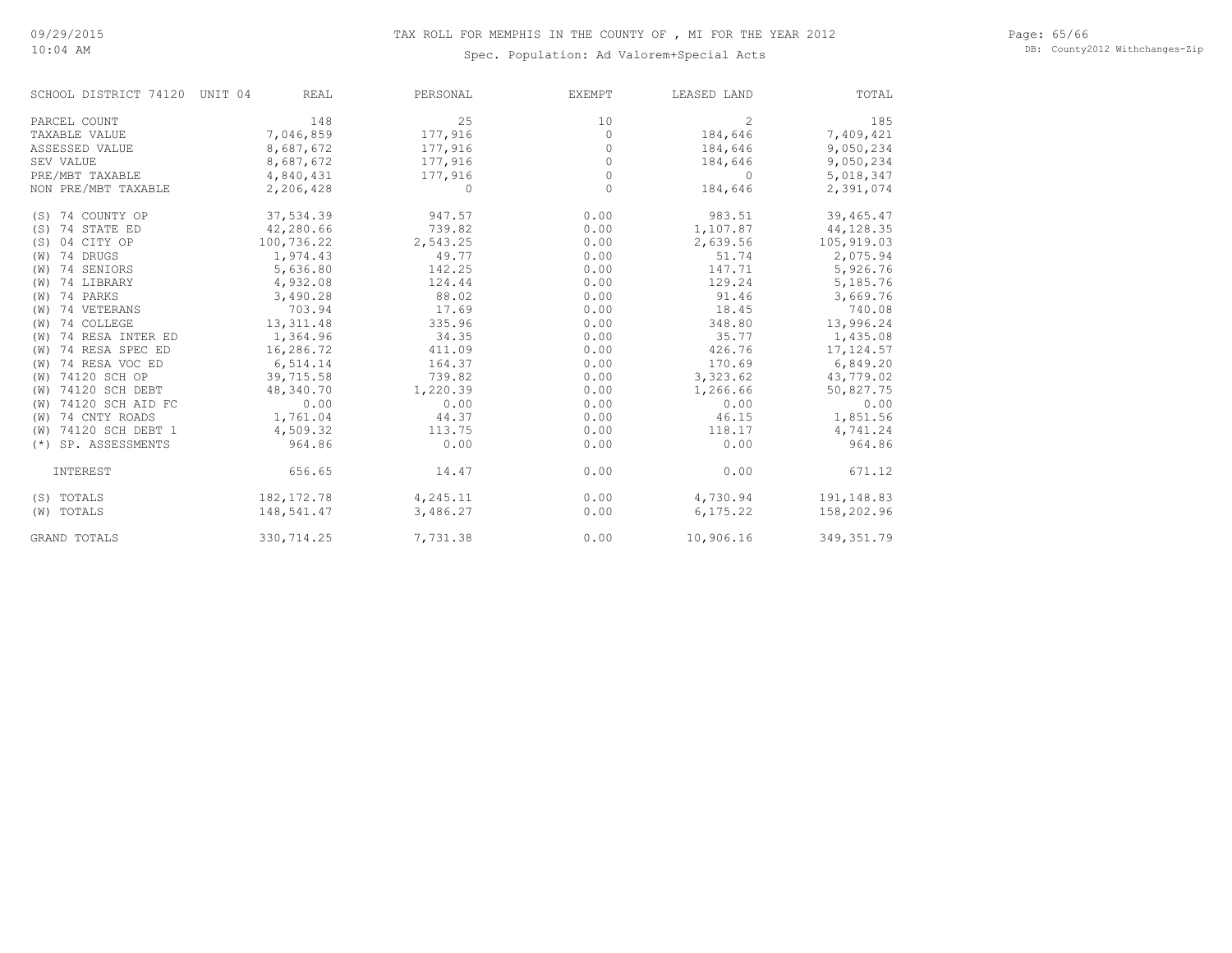Page: 65/66 DB: County2012 Withchanges-Zip

| SCHOOL DISTRICT 74120 | UNIT 04<br><b>REAL</b> | PERSONAL | <b>EXEMPT</b> | LEASED LAND    | TOTAL       |
|-----------------------|------------------------|----------|---------------|----------------|-------------|
| PARCEL COUNT          | 148                    | 25       | 10            | $\overline{c}$ | 185         |
| TAXABLE VALUE         | 7,046,859              | 177,916  | $\Omega$      | 184,646        | 7,409,421   |
| ASSESSED VALUE        | 8,687,672              | 177,916  | $\Omega$      | 184,646        | 9,050,234   |
| SEV VALUE             | 8,687,672              | 177,916  | $\circ$       | 184,646        | 9,050,234   |
| PRE/MBT TAXABLE       | 4,840,431              | 177,916  | $\Omega$      | 0              | 5,018,347   |
| NON PRE/MBT TAXABLE   | 2,206,428              | $\Omega$ | $\Omega$      | 184,646        | 2,391,074   |
| (S) 74 COUNTY OP      | 37,534.39              | 947.57   | 0.00          | 983.51         | 39,465.47   |
| (S) 74 STATE ED       | 42,280.66              | 739.82   | 0.00          | 1,107.87       | 44, 128.35  |
| (S) 04 CITY OP        | 100,736.22             | 2,543.25 | 0.00          | 2,639.56       | 105,919.03  |
| (W) 74 DRUGS          | 1,974.43               | 49.77    | 0.00          | 51.74          | 2,075.94    |
| (W) 74 SENIORS        | 5,636.80               | 142.25   | 0.00          | 147.71         | 5,926.76    |
| (W) 74 LIBRARY        | 4,932.08               | 124.44   | 0.00          | 129.24         | 5,185.76    |
| (W) 74 PARKS          | 3,490.28               | 88.02    | 0.00          | 91.46          | 3,669.76    |
| (W) 74 VETERANS       | 703.94                 | 17.69    | 0.00          | 18.45          | 740.08      |
| (W) 74 COLLEGE        | 13, 311.48             | 335.96   | 0.00          | 348.80         | 13,996.24   |
| (W) 74 RESA INTER ED  | 1,364.96               | 34.35    | 0.00          | 35.77          | 1,435.08    |
| (W) 74 RESA SPEC ED   | 16,286.72              | 411.09   | 0.00          | 426.76         | 17, 124.57  |
| (W) 74 RESA VOC ED    | 6,514.14               | 164.37   | 0.00          | 170.69         | 6,849.20    |
| (W) 74120 SCH OP      | 39,715.58              | 739.82   | 0.00          | 3,323.62       | 43,779.02   |
| (W) 74120 SCH DEBT    | 48,340.70              | 1,220.39 | 0.00          | 1,266.66       | 50,827.75   |
| (W) 74120 SCH AID FC  | 0.00                   | 0.00     | 0.00          | 0.00           | 0.00        |
| (W) 74 CNTY ROADS     | 1,761.04               | 44.37    | 0.00          | 46.15          | 1,851.56    |
| (W) 74120 SCH DEBT 1  | 4,509.32               | 113.75   | 0.00          | 118.17         | 4,741.24    |
| (*) SP. ASSESSMENTS   | 964.86                 | 0.00     | 0.00          | 0.00           | 964.86      |
| INTEREST              | 656.65                 | 14.47    | 0.00          | 0.00           | 671.12      |
| (S) TOTALS            | 182, 172.78            | 4,245.11 | 0.00          | 4,730.94       | 191,148.83  |
| (W) TOTALS            | 148,541.47             | 3,486.27 | 0.00          | 6, 175.22      | 158,202.96  |
| <b>GRAND TOTALS</b>   | 330,714.25             | 7,731.38 | 0.00          | 10,906.16      | 349, 351.79 |